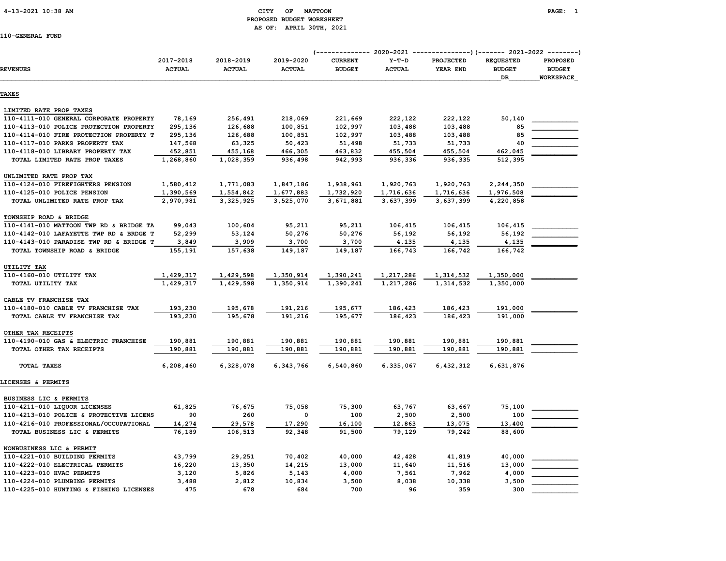#### 4-13-2021 10:38 AM CITY OF MATTOON PAGE: 1 PROPOSED BUDGET WORKSHEET AS OF: APRIL 30TH, 2021

|                                         |                            |                            | (-------------- 2020-2021<br>----------------) (------- 2021-2022 ---------) |                                 |                          |                       |                                         |                                                      |  |
|-----------------------------------------|----------------------------|----------------------------|------------------------------------------------------------------------------|---------------------------------|--------------------------|-----------------------|-----------------------------------------|------------------------------------------------------|--|
| <b>REVENUES</b>                         | 2017-2018<br><b>ACTUAL</b> | 2018-2019<br><b>ACTUAL</b> | 2019-2020<br><b>ACTUAL</b>                                                   | <b>CURRENT</b><br><b>BUDGET</b> | $Y-T-D$<br><b>ACTUAL</b> | PROJECTED<br>YEAR END | <b>REQUESTED</b><br><b>BUDGET</b><br>DR | <b>PROPOSED</b><br><b>BUDGET</b><br><b>WORKSPACE</b> |  |
| <b>TAXES</b>                            |                            |                            |                                                                              |                                 |                          |                       |                                         |                                                      |  |
| LIMITED RATE PROP TAXES                 |                            |                            |                                                                              |                                 |                          |                       |                                         |                                                      |  |
| 110-4111-010 GENERAL CORPORATE PROPERTY | 78,169                     | 256,491                    | 218,069                                                                      | 221,669                         | 222,122                  | 222,122               | 50,140                                  |                                                      |  |
| 110-4113-010 POLICE PROTECTION PROPERTY | 295,136                    | 126,688                    | 100,851                                                                      | 102,997                         | 103,488                  | 103,488               | 85                                      |                                                      |  |
| 110-4114-010 FIRE PROTECTION PROPERTY T | 295,136                    | 126,688                    | 100,851                                                                      | 102,997                         | 103,488                  | 103,488               | 85                                      |                                                      |  |
| 110-4117-010 PARKS PROPERTY TAX         | 147,568                    | 63,325                     | 50,423                                                                       | 51,498                          | 51,733                   | 51,733                | 40                                      |                                                      |  |
| 110-4118-010 LIBRARY PROPERTY TAX       | 452,851                    | 455,168                    | 466,305                                                                      | 463,832                         | 455,504                  | 455,504               | 462,045                                 |                                                      |  |
| TOTAL LIMITED RATE PROP TAXES           | 1,268,860                  | 1,028,359                  | 936,498                                                                      | 942,993                         | 936,336                  | 936,335               | 512,395                                 |                                                      |  |
| UNLIMITED RATE PROP TAX                 |                            |                            |                                                                              |                                 |                          |                       |                                         |                                                      |  |
| 110-4124-010 FIREFIGHTERS PENSION       | 1,580,412                  | 1,771,083                  | 1,847,186                                                                    | 1,938,961                       | 1,920,763                | 1,920,763             | 2,244,350                               |                                                      |  |
| 110-4125-010 POLICE PENSION             | 1,390,569                  | 1,554,842                  | 1,677,883                                                                    | 1,732,920                       | 1,716,636                | 1,716,636             | 1,976,508                               |                                                      |  |
| TOTAL UNLIMITED RATE PROP TAX           | 2,970,981                  | 3, 325, 925                | 3,525,070                                                                    | 3,671,881                       | 3,637,399                | 3,637,399             | 4,220,858                               |                                                      |  |
| TOWNSHIP ROAD & BRIDGE                  |                            |                            |                                                                              |                                 |                          |                       |                                         |                                                      |  |
| 110-4141-010 MATTOON TWP RD & BRIDGE TA | 99,043                     | 100,604                    | 95,211                                                                       | 95,211                          | 106,415                  | 106,415               | 106,415                                 |                                                      |  |
| 110-4142-010 LAFAYETTE TWP RD & BRDGE T | 52,299                     | 53,124                     | 50,276                                                                       | 50,276                          | 56,192                   | 56,192                | 56,192                                  |                                                      |  |
| 110-4143-010 PARADISE TWP RD & BRIDGE T | 3,849                      | 3,909                      | 3,700                                                                        | 3,700                           | 4,135                    | 4,135                 | 4,135                                   |                                                      |  |
| TOTAL TOWNSHIP ROAD & BRIDGE            | 155,191                    | 157,638                    | 149,187                                                                      | 149,187                         | 166,743                  | 166,742               | 166,742                                 |                                                      |  |
| UTILITY TAX                             |                            |                            |                                                                              |                                 |                          |                       |                                         |                                                      |  |
| 110-4160-010 UTILITY TAX                | 1,429,317                  | 1,429,598                  | 1,350,914                                                                    | 1,390,241                       | 1,217,286                | 1,314,532             | 1,350,000                               |                                                      |  |
| TOTAL UTILITY TAX                       | 1,429,317                  | 1,429,598                  | 1,350,914                                                                    | 1,390,241                       | 1,217,286                | 1,314,532             | 1,350,000                               |                                                      |  |
| CABLE TV FRANCHISE TAX                  |                            |                            |                                                                              |                                 |                          |                       |                                         |                                                      |  |
| 110-4180-010 CABLE TV FRANCHISE TAX     | 193,230                    | 195,678                    | 191,216                                                                      | 195,677                         | 186,423                  | 186,423               | 191,000                                 |                                                      |  |
| TOTAL CABLE TV FRANCHISE TAX            | 193,230                    | 195,678                    | 191,216                                                                      | 195,677                         | 186,423                  | 186,423               | 191,000                                 |                                                      |  |
| OTHER TAX RECEIPTS                      |                            |                            |                                                                              |                                 |                          |                       |                                         |                                                      |  |
| 110-4190-010 GAS & ELECTRIC FRANCHISE   | 190,881                    | 190,881                    | 190,881                                                                      | 190,881                         | 190,881                  | 190,881               | 190,881                                 |                                                      |  |
| TOTAL OTHER TAX RECEIPTS                | 190,881                    | 190,881                    | 190,881                                                                      | 190,881                         | 190,881                  | 190,881               | 190,881                                 |                                                      |  |
| TOTAL TAXES                             | 6,208,460                  | 6,328,078                  | 6,343,766                                                                    | 6,540,860                       | 6,335,067                | 6,432,312             | 6,631,876                               |                                                      |  |
| LICENSES & PERMITS                      |                            |                            |                                                                              |                                 |                          |                       |                                         |                                                      |  |
| BUSINESS LIC & PERMITS                  |                            |                            |                                                                              |                                 |                          |                       |                                         |                                                      |  |
| 110-4211-010 LIQUOR LICENSES            | 61,825                     | 76,675                     | 75,058                                                                       | 75,300                          | 63,767                   | 63,667                | 75,100                                  |                                                      |  |
| 110-4213-010 POLICE & PROTECTIVE LICENS | 90                         | 260                        | 0                                                                            | 100                             | 2,500                    | 2,500                 | 100                                     |                                                      |  |
| 110-4216-010 PROFESSIONAL/OCCUPATIONAL  | 14,274                     | 29,578                     | 17,290                                                                       | 16,100                          | 12,863                   | 13,075                | 13,400                                  |                                                      |  |
| TOTAL BUSINESS LIC & PERMITS            | 76,189                     | 106,513                    | 92,348                                                                       | 91,500                          | 79,129                   | 79,242                | 88,600                                  |                                                      |  |
| NONBUSINESS LIC & PERMIT                |                            |                            |                                                                              |                                 |                          |                       |                                         |                                                      |  |
| 110-4221-010 BUILDING PERMITS           | 43,799                     | 29,251                     | 70,402                                                                       | 40,000                          | 42,428                   | 41,819                | 40,000                                  |                                                      |  |
| 110-4222-010 ELECTRICAL PERMITS         | 16,220                     | 13,350                     | 14,215                                                                       | 13,000                          | 11,640                   | 11,516                | 13,000                                  |                                                      |  |
| 110-4223-010 HVAC PERMITS               | 3,120                      | 5,826                      | 5,143                                                                        | 4,000                           | 7,561                    | 7,962                 | 4,000                                   |                                                      |  |
| 110-4224-010 PLUMBING PERMITS           | 3,488                      | 2,812                      | 10,834                                                                       | 3,500                           | 8,038                    | 10,338                | 3,500                                   |                                                      |  |
| 110-4225-010 HUNTING & FISHING LICENSES | 475                        | 678                        | 684                                                                          | 700                             | 96                       | 359                   | 300                                     |                                                      |  |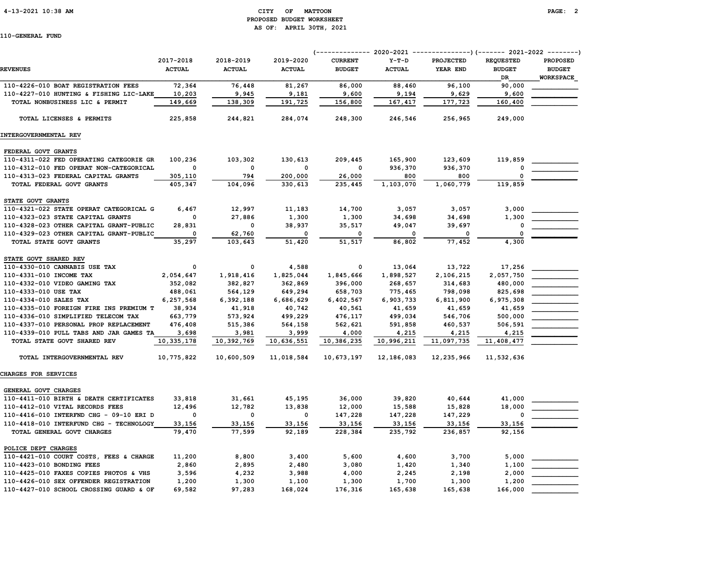#### 4-13-2021 10:38 AM CITY OF MATTOON PAGE: 2 PROPOSED BUDGET WORKSHEET AS OF: APRIL 30TH, 2021

|                                         | 2017-2018     | 2018-2019     | 2019-2020     | <b>CURRENT</b> | $Y-T-D$       | <b>PROJECTED</b> | <b>REOUESTED</b> | <b>PROPOSED</b>  |
|-----------------------------------------|---------------|---------------|---------------|----------------|---------------|------------------|------------------|------------------|
| <b>REVENUES</b>                         | <b>ACTUAL</b> | <b>ACTUAL</b> | <b>ACTUAL</b> | <b>BUDGET</b>  | <b>ACTUAL</b> | YEAR END         | <b>BUDGET</b>    | <b>BUDGET</b>    |
|                                         |               |               |               |                |               |                  | DR               | <b>WORKSPACE</b> |
| 110-4226-010 BOAT REGISTRATION FEES     | 72,364        | 76,448        | 81,267        | 86,000         | 88,460        | 96,100           | 90,000           |                  |
| 110-4227-010 HUNTING & FISHING LIC-LAKE | 10,203        | 9,945         | 9,181         | 9,600          | 9,194         | 9,629            | 9,600            |                  |
| TOTAL NONBUSINESS LIC & PERMIT          | 149,669       | 138,309       | 191,725       | 156,800        | 167,417       | 177,723          | 160,400          |                  |
| TOTAL LICENSES & PERMITS                | 225,858       | 244,821       | 284,074       | 248,300        | 246,546       | 256,965          | 249,000          |                  |
| INTERGOVERNMENTAL REV                   |               |               |               |                |               |                  |                  |                  |
| FEDERAL GOVT GRANTS                     |               |               |               |                |               |                  |                  |                  |
| 110-4311-022 FED OPERATING CATEGORIE GR | 100,236       | 103,302       | 130,613       | 209,445        | 165,900       | 123,609          | 119,859          |                  |
| 110-4312-010 FED OPERAT NON-CATEGORICAL | $\mathbf 0$   | $\mathbf 0$   | 0             | $\Omega$       | 936,370       | 936,370          | $\mathbf{0}$     |                  |
| 110-4313-023 FEDERAL CAPITAL GRANTS     | 305,110       | 794           | 200,000       | 26,000         | 800           | 800              |                  |                  |
| TOTAL FEDERAL GOVT GRANTS               | 405,347       | 104,096       | 330,613       | 235,445        | 1,103,070     | 1,060,779        | 119,859          |                  |
| STATE GOVT GRANTS                       |               |               |               |                |               |                  |                  |                  |
| 110-4321-022 STATE OPERAT CATEGORICAL G | 6,467         | 12,997        | 11,183        | 14,700         | 3,057         | 3,057            | 3,000            |                  |
| 110-4323-023 STATE CAPITAL GRANTS       | 0             | 27,886        | 1,300         | 1,300          | 34,698        | 34,698           | 1,300            |                  |
| 110-4328-023 OTHER CAPITAL GRANT-PUBLIC | 28,831        | 0             | 38,937        | 35,517         | 49,047        | 39,697           | 0                |                  |
| 110-4329-023 OTHER CAPITAL GRANT-PUBLIC | 0             | 62,760        | 0             | 0              | 0             | 0                | $\mathbf 0$      |                  |
| TOTAL STATE GOVT GRANTS                 | 35,297        | 103,643       | 51,420        | 51,517         | 86,802        | 77,452           | 4,300            |                  |
|                                         |               |               |               |                |               |                  |                  |                  |
| STATE GOVT SHARED REV                   |               |               |               |                |               |                  |                  |                  |
| 110-4330-010 CANNABIS USE TAX           | $\mathbf 0$   | $\mathbf 0$   | 4,588         | 0              | 13,064        | 13,722           | 17,256           |                  |
| 110-4331-010 INCOME TAX                 | 2,054,647     | 1,918,416     | 1,825,044     | 1,845,666      | 1,898,527     | 2,106,215        | 2,057,750        |                  |
| 110-4332-010 VIDEO GAMING TAX           | 352,082       | 382,827       | 362,869       | 396,000        | 268,657       | 314,683          | 480,000          |                  |
| 110-4333-010 USE TAX                    | 488,061       | 564,129       | 649,294       | 658,703        | 775,465       | 798,098          | 825,698          |                  |
| 110-4334-010 SALES TAX                  | 6,257,568     | 6,392,188     | 6,686,629     | 6,402,567      | 6,903,733     | 6,811,900        | 6,975,308        |                  |
| 110-4335-010 FOREIGN FIRE INS PREMIUM T | 38,934        | 41,918        | 40,742        | 40,561         | 41,659        | 41,659           | 41,659           |                  |
| 110-4336-010 SIMPLIFIED TELECOM TAX     | 663,779       | 573,924       | 499,229       | 476,117        | 499,034       | 546,706          | 500,000          |                  |
| 110-4337-010 PERSONAL PROP REPLACEMENT  | 476,408       | 515,386       | 564,158       | 562,621        | 591,858       | 460,537          | 506,591          |                  |
| 110-4339-010 PULL TABS AND JAR GAMES TA | 3,698         | 3,981         | 3,999         | 4,000          | 4,215         | 4,215            | 4,215            |                  |
| TOTAL STATE GOVT SHARED REV             | 10,335,178    | 10,392,769    | 10,636,551    | 10,386,235     | 10,996,211    | 11,097,735       | 11,408,477       |                  |
| TOTAL INTERGOVERNMENTAL REV             | 10,775,822    | 10,600,509    | 11,018,584    | 10,673,197     | 12,186,083    | 12,235,966       | 11,532,636       |                  |
| CHARGES FOR SERVICES                    |               |               |               |                |               |                  |                  |                  |
| GENERAL GOVT CHARGES                    |               |               |               |                |               |                  |                  |                  |
| 110-4411-010 BIRTH & DEATH CERTIFICATES | 33,818        | 31,661        | 45,195        | 36,000         | 39,820        | 40,644           | 41,000           |                  |
| 110-4412-010 VITAL RECORDS FEES         | 12,496        | 12,782        | 13,838        | 12,000         | 15,588        | 15,828           | 18,000           |                  |
| 110-4416-010 INTERFND CHG - 09-10 ERI D | $\mathbf 0$   | $\mathbf 0$   | $\mathbf{o}$  | 147,228        | 147,228       | 147,229          | 0                |                  |
| 110-4418-010 INTERFUND CHG - TECHNOLOGY | 33,156        | 33,156        | 33,156        | 33,156         | 33,156        | 33,156           | 33,156           |                  |
| TOTAL GENERAL GOVT CHARGES              | 79,470        | 77,599        | 92,189        | 228,384        | 235,792       | 236,857          | 92,156           |                  |
| POLICE DEPT CHARGES                     |               |               |               |                |               |                  |                  |                  |
| 110-4421-010 COURT COSTS, FEES & CHARGE | 11,200        | 8,800         | 3,400         | 5,600          | 4,600         | 3,700            | 5,000            |                  |
| 110-4423-010 BONDING FEES               | 2,860         | 2,895         | 2,480         | 3,080          | 1,420         | 1,340            | 1,100            |                  |
| 110-4425-010 FAXES COPIES PHOTOS & VHS  | 3,596         | 4,232         | 3,988         | 4,000          | 2,245         | 2,198            | 2,000            |                  |
| 110-4426-010 SEX OFFENDER REGISTRATION  | 1,200         | 1,300         | 1,100         | 1,300          | 1,700         | 1,300            | 1,200            |                  |
| 110-4427-010 SCHOOL CROSSING GUARD & OF | 69,582        | 97,283        | 168,024       | 176,316        | 165,638       | 165,638          | 166,000          |                  |
|                                         |               |               |               |                |               |                  |                  |                  |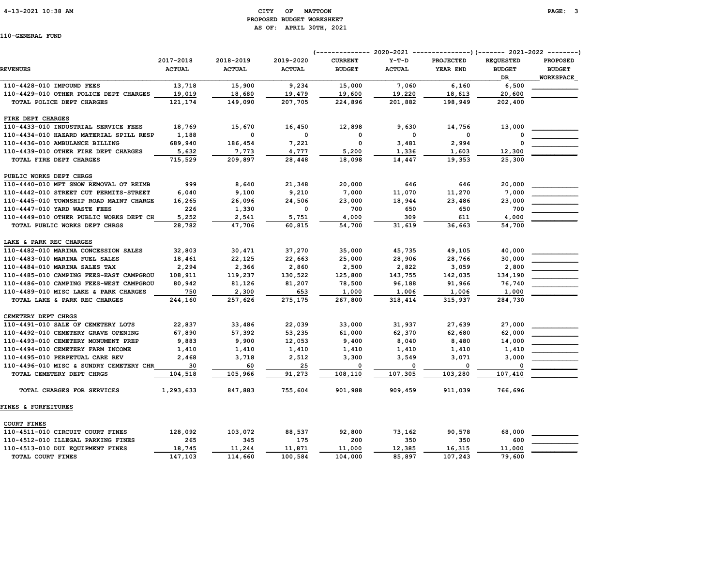#### 4-13-2021 10:38 AM CITY OF MATTOON PAGE: 3 PROPOSED BUDGET WORKSHEET AS OF: APRIL 30TH, 2021

|                                         | 2017-2018     | 2018-2019     | 2019-2020     | <b>CURRENT</b> | $Y-T-D$       | <b>PROJECTED</b> | <b>REQUESTED</b> | <b>PROPOSED</b>  |
|-----------------------------------------|---------------|---------------|---------------|----------------|---------------|------------------|------------------|------------------|
| <b>REVENUES</b>                         | <b>ACTUAL</b> | <b>ACTUAL</b> | <b>ACTUAL</b> | <b>BUDGET</b>  | <b>ACTUAL</b> | YEAR END         | <b>BUDGET</b>    | <b>BUDGET</b>    |
|                                         |               |               |               |                |               |                  | DR               | <b>WORKSPACE</b> |
| 110-4428-010 IMPOUND FEES               | 13,718        | 15,900        | 9,234         | 15,000         | 7,060         | 6,160            | 6,500            |                  |
| 110-4429-010 OTHER POLICE DEPT CHARGES  | 19,019        | 18,680        | 19,479        | 19,600         | 19,220        | 18,613           | 20,600           |                  |
| TOTAL POLICE DEPT CHARGES               | 121,174       | 149,090       | 207,705       | 224,896        | 201,882       | 198,949          | 202,400          |                  |
| FIRE DEPT CHARGES                       |               |               |               |                |               |                  |                  |                  |
| 110-4433-010 INDUSTRIAL SERVICE FEES    | 18,769        | 15,670        | 16,450        | 12,898         | 9,630         | 14,756           | 13,000           |                  |
| 110-4434-010 HAZARD MATERIAL SPILL RESP | 1,188         | 0             | $\mathbf 0$   | $\mathbf 0$    | $\mathbf 0$   | 0                |                  |                  |
| 110-4436-010 AMBULANCE BILLING          | 689,940       | 186,454       | 7,221         | $\mathbf 0$    | 3,481         | 2,994            | 0                |                  |
| 110-4439-010 OTHER FIRE DEPT CHARGES    | 5,632         | 7,773         | 4,777         | 5,200          | 1,336         | 1,603            | 12,300           |                  |
| TOTAL FIRE DEPT CHARGES                 | 715,529       | 209,897       | 28,448        | 18,098         | 14,447        | 19,353           | 25,300           |                  |
| PUBLIC WORKS DEPT CHRGS                 |               |               |               |                |               |                  |                  |                  |
| 110-4440-010 MFT SNOW REMOVAL OT REIMB  | 999           | 8,640         | 21,348        | 20,000         | 646           | 646              | 20,000           |                  |
| 110-4442-010 STREET CUT PERMITS-STREET  | 6,040         | 9,100         | 9,210         | 7,000          | 11,070        | 11,270           | 7,000            |                  |
| 110-4445-010 TOWNSHIP ROAD MAINT CHARGE | 16,265        | 26,096        | 24,506        | 23,000         | 18,944        | 23,486           | 23,000           |                  |
| 110-4447-010 YARD WASTE FEES            | 226           | 1,330         | $\mathbf 0$   | 700            | 650           | 650              | 700              |                  |
| 110-4449-010 OTHER PUBLIC WORKS DEPT CH | 5,252         | 2,541         | 5,751         | 4,000          | 309           | 611              | 4,000            |                  |
| TOTAL PUBLIC WORKS DEPT CHRGS           | 28,782        | 47,706        | 60,815        | 54,700         | 31,619        | 36,663           | 54,700           |                  |
| LAKE & PARK REC CHARGES                 |               |               |               |                |               |                  |                  |                  |
| 110-4482-010 MARINA CONCESSION SALES    | 32,803        | 30,471        | 37,270        | 35,000         | 45,735        | 49,105           | 40,000           |                  |
| 110-4483-010 MARINA FUEL SALES          | 18,461        | 22,125        | 22,663        | 25,000         | 28,906        | 28,766           | 30,000           |                  |
| 110-4484-010 MARINA SALES TAX           | 2,294         | 2,366         | 2,860         | 2,500          | 2,822         | 3,059            | 2,800            |                  |
| 110-4485-010 CAMPING FEES-EAST CAMPGROU | 108,911       | 119,237       | 130,522       | 125,800        | 143,755       | 142,035          | 134,190          |                  |
| 110-4486-010 CAMPING FEES-WEST CAMPGROU | 80,942        | 81,126        | 81,207        | 78,500         | 96,188        | 91,966           | 76,740           |                  |
| 110-4489-010 MISC LAKE & PARK CHARGES   | 750           | 2,300         | 653           | 1,000          | 1,006         | 1,006            | 1,000            |                  |
| TOTAL LAKE & PARK REC CHARGES           | 244,160       | 257,626       | 275,175       | 267,800        | 318,414       | 315,937          | 284,730          |                  |
| CEMETERY DEPT CHRGS                     |               |               |               |                |               |                  |                  |                  |
| 110-4491-010 SALE OF CEMETERY LOTS      | 22,837        | 33,486        | 22,039        | 33,000         | 31,937        | 27,639           | 27,000           |                  |
| 110-4492-010 CEMETERY GRAVE OPENING     | 67,890        | 57,392        | 53,235        | 61,000         | 62,370        | 62,680           | 62,000           |                  |
| 110-4493-010 CEMETERY MONUMENT PREP     | 9,883         | 9,900         | 12,053        | 9,400          | 8,040         | 8,480            | 14,000           |                  |
| 110-4494-010 CEMETERY FARM INCOME       | 1,410         | 1,410         | 1,410         | 1,410          | 1,410         | 1,410            | 1,410            |                  |
| 110-4495-010 PERPETUAL CARE REV         | 2,468         | 3,718         | 2,512         | 3,300          | 3,549         | 3,071            | 3,000            |                  |
| 110-4496-010 MISC & SUNDRY CEMETERY CHR | 30            | 60            | 25            | 0              | $\Omega$      | $\mathbf 0$      | $\Omega$         |                  |
| TOTAL CEMETERY DEPT CHRGS               | 104,518       | 105,966       | 91,273        | 108,110        | 107,305       | 103,280          | 107,410          |                  |
| TOTAL CHARGES FOR SERVICES              | 1,293,633     | 847,883       | 755,604       | 901,988        | 909,459       | 911,039          | 766,696          |                  |
| <b>FINES &amp; FORFEITURES</b>          |               |               |               |                |               |                  |                  |                  |
| <b>COURT FINES</b>                      |               |               |               |                |               |                  |                  |                  |
| 110-4511-010 CIRCUIT COURT FINES        | 128,092       | 103,072       | 88,537        | 92,800         | 73,162        | 90,578           | 68,000           |                  |
| 110-4512-010 ILLEGAL PARKING FINES      | 265           | 345           | 175           | 200            | 350           | 350              | 600              |                  |
| 110-4513-010 DUI EQUIPMENT FINES        | 18,745        | 11,244        | 11,871        | 11,000         | 12,385        | 16,315           | 11,000           |                  |
| TOTAL COURT FINES                       | 147,103       | 114,660       | 100,584       | 104,000        | 85,897        | 107,243          | 79,600           |                  |
|                                         |               |               |               |                |               |                  |                  |                  |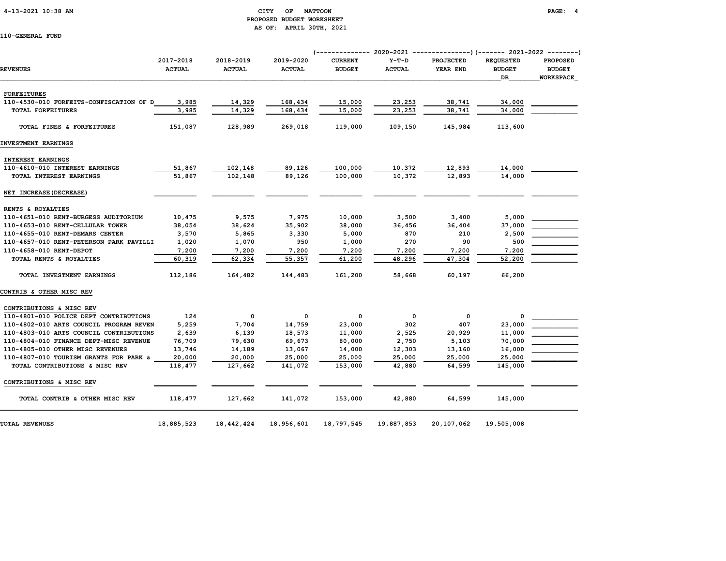#### 4-13-2021 10:38 AM CITY OF MATTOON PAGE: 4 PROPOSED BUDGET WORKSHEET AS OF: APRIL 30TH, 2021

|                                         | 2017-2018     | 2018-2019     | 2019-2020     | <b>CURRENT</b> | $Y-T-D$                  | <b>PROJECTED</b> | <b>REQUESTED</b> | <b>PROPOSED</b> |
|-----------------------------------------|---------------|---------------|---------------|----------------|--------------------------|------------------|------------------|-----------------|
| <b>REVENUES</b>                         | <b>ACTUAL</b> | <b>ACTUAL</b> | <b>ACTUAL</b> | <b>BUDGET</b>  | <b>ACTUAL</b>            | YEAR END         | <b>BUDGET</b>    | <b>BUDGET</b>   |
|                                         |               |               |               |                |                          |                  | <b>DR</b>        | WORKSPACE       |
|                                         |               |               |               |                |                          |                  |                  |                 |
| <b>FORFEITURES</b>                      |               |               |               |                |                          |                  |                  |                 |
| 110-4530-010 FORFEITS-CONFISCATION OF D | 3,985         | 14,329        | 168,434       | 15,000         | 23,253                   | 38,741           | 34,000           |                 |
| TOTAL FORFEITURES                       | 3,985         | 14,329        | 168,434       | 15,000         | 23,253                   | 38,741           | 34,000           |                 |
| TOTAL FINES & FORFEITURES               | 151,087       | 128,989       | 269,018       | 119,000        | 109,150                  | 145,984          | 113,600          |                 |
| INVESTMENT EARNINGS                     |               |               |               |                |                          |                  |                  |                 |
| INTEREST EARNINGS                       |               |               |               |                |                          |                  |                  |                 |
| 110-4610-010 INTEREST EARNINGS          | 51,867        | 102,148       | 89,126        | 100,000        | 10,372                   | 12,893           | 14,000           |                 |
| TOTAL INTEREST EARNINGS                 | 51,867        | 102,148       | 89,126        | 100,000        | 10,372                   | 12,893           | 14,000           |                 |
| NET INCREASE (DECREASE)                 |               |               |               |                |                          |                  |                  |                 |
| RENTS & ROYALTIES                       |               |               |               |                |                          |                  |                  |                 |
| 110-4651-010 RENT-BURGESS AUDITORIUM    | 10,475        | 9,575         | 7,975         | 10,000         | 3,500                    | 3,400            | 5,000            |                 |
| 110-4653-010 RENT-CELLULAR TOWER        | 38,054        | 38,624        | 35,902        | 38,000         | 36,456                   | 36,404           | 37,000           |                 |
| 110-4655-010 RENT-DEMARS CENTER         | 3,570         | 5,865         | 3,330         | 5,000          | 870                      | 210              | 2,500            |                 |
| 110-4657-010 RENT-PETERSON PARK PAVILLI | 1,020         | 1,070         | 950           | 1,000          | 270                      | 90               | 500              |                 |
| 110-4658-010 RENT-DEPOT                 | 7,200         | 7,200         | 7,200         | 7,200          | 7,200                    | 7,200            | 7,200            |                 |
| TOTAL RENTS & ROYALTIES                 | 60,319        | 62,334        | 55,357        | 61,200         | 48,296                   | 47,304           | 52,200           |                 |
|                                         |               |               |               |                |                          |                  |                  |                 |
| TOTAL INVESTMENT EARNINGS               | 112,186       | 164,482       | 144,483       | 161,200        | 58,668                   | 60,197           | 66,200           |                 |
| CONTRIB & OTHER MISC REV                |               |               |               |                |                          |                  |                  |                 |
| CONTRIBUTIONS & MISC REV                |               |               |               |                |                          |                  |                  |                 |
| 110-4801-010 POLICE DEPT CONTRIBUTIONS  | 124           | $\mathbf{o}$  | $\mathbf 0$   | 0              | $\overline{\phantom{0}}$ | 0                | 0                |                 |
| 110-4802-010 ARTS COUNCIL PROGRAM REVEN | 5,259         | 7,704         | 14,759        | 23,000         | 302                      | 407              | 23,000           |                 |
| 110-4803-010 ARTS COUNCIL CONTRIBUTIONS | 2,639         | 6,139         | 18,573        | 11,000         | 2,525                    | 20,929           | 11,000           |                 |
| 110-4804-010 FINANCE DEPT-MISC REVENUE  | 76,709        | 79,630        | 69,673        | 80,000         | 2,750                    | 5,103            | 70,000           |                 |
| 110-4805-010 OTHER MISC REVENUES        | 13,746        | 14,189        | 13,067        | 14,000         | 12,303                   | 13,160           | 16,000           |                 |
| 110-4807-010 TOURISM GRANTS FOR PARK &  | 20,000        | 20,000        | 25,000        | 25,000         | 25,000                   | 25,000           | 25,000           |                 |
| TOTAL CONTRIBUTIONS & MISC REV          | 118,477       | 127,662       | 141,072       | 153,000        | 42,880                   | 64,599           | 145,000          |                 |
| CONTRIBUTIONS & MISC REV                |               |               |               |                |                          |                  |                  |                 |
| TOTAL CONTRIB & OTHER MISC REV          | 118,477       | 127,662       | 141,072       | 153,000        | 42,880                   | 64,599           | 145,000          |                 |
| <b>TOTAL REVENUES</b>                   | 18,885,523    | 18, 442, 424  | 18,956,601    | 18,797,545     | 19,887,853               | 20,107,062       | 19,505,008       |                 |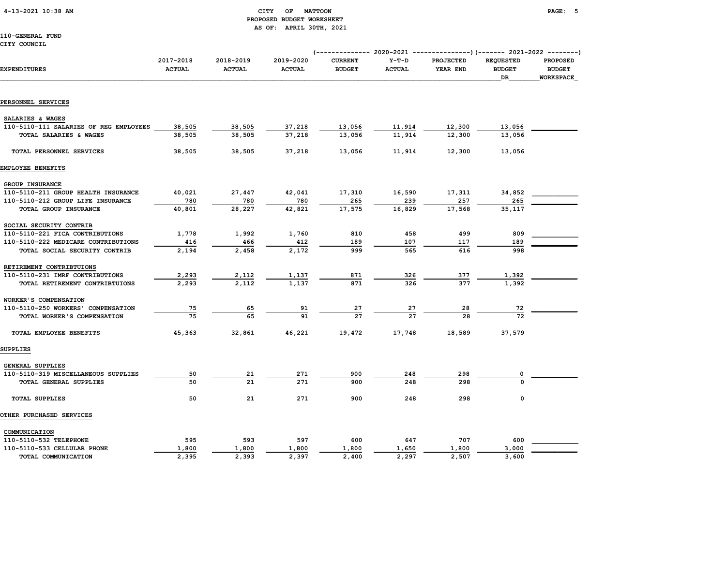### 4-13-2021 10:38 AM CITY OF MATTOON PAGE: 5 PROPOSED BUDGET WORKSHEET AS OF: APRIL 30TH, 2021

110-GENERAL FUND

| <b>EXPENDITURES</b>                                        | 2017-2018<br><b>ACTUAL</b> | 2018-2019<br><b>ACTUAL</b> | 2019-2020<br><b>ACTUAL</b> | <b>CURRENT</b><br><b>BUDGET</b> | $Y-T-D$<br><b>ACTUAL</b> | <b>PROJECTED</b><br>YEAR END | <b>REQUESTED</b><br><b>BUDGET</b><br><b>DR</b> | <b>PROPOSED</b><br><b>BUDGET</b><br><b>WORKSPACE</b> |  |
|------------------------------------------------------------|----------------------------|----------------------------|----------------------------|---------------------------------|--------------------------|------------------------------|------------------------------------------------|------------------------------------------------------|--|
|                                                            |                            |                            |                            |                                 |                          |                              |                                                |                                                      |  |
| PERSONNEL SERVICES                                         |                            |                            |                            |                                 |                          |                              |                                                |                                                      |  |
|                                                            |                            |                            |                            |                                 |                          |                              |                                                |                                                      |  |
| SALARIES & WAGES<br>110-5110-111 SALARIES OF REG EMPLOYEES |                            |                            |                            |                                 |                          |                              |                                                |                                                      |  |
| TOTAL SALARIES & WAGES                                     | 38,505<br>38,505           | 38,505<br>38,505           | 37,218<br>37,218           | 13,056<br>13,056                | 11,914<br>11,914         | 12,300<br>12,300             | 13,056<br>13,056                               |                                                      |  |
|                                                            |                            |                            |                            |                                 |                          |                              |                                                |                                                      |  |
| TOTAL PERSONNEL SERVICES                                   | 38,505                     | 38,505                     | 37,218                     | 13,056                          | 11,914                   | 12,300                       | 13,056                                         |                                                      |  |
| EMPLOYEE BENEFITS                                          |                            |                            |                            |                                 |                          |                              |                                                |                                                      |  |
| GROUP INSURANCE                                            |                            |                            |                            |                                 |                          |                              |                                                |                                                      |  |
| 110-5110-211 GROUP HEALTH INSURANCE                        | 40,021                     | 27,447                     | 42,041                     | 17,310                          | 16,590                   | 17,311                       | 34,852                                         |                                                      |  |
| 110-5110-212 GROUP LIFE INSURANCE                          | 780                        | 780                        | 780                        | 265                             | 239                      | 257                          | 265                                            |                                                      |  |
| TOTAL GROUP INSURANCE                                      | 40,801                     | 28,227                     | 42,821                     | 17,575                          | 16,829                   | 17,568                       | 35,117                                         |                                                      |  |
| SOCIAL SECURITY CONTRIB                                    |                            |                            |                            |                                 |                          |                              |                                                |                                                      |  |
| 110-5110-221 FICA CONTRIBUTIONS                            | 1,778                      | 1,992                      | 1,760                      | 810                             | 458                      | 499                          | 809                                            |                                                      |  |
| 110-5110-222 MEDICARE CONTRIBUTIONS                        | 416                        | 466                        | 412                        | 189                             | 107                      | 117                          | 189                                            |                                                      |  |
| TOTAL SOCIAL SECURITY CONTRIB                              | 2,194                      | 2,458                      | 2,172                      | 999                             | 565                      | 616                          | 998                                            |                                                      |  |
| RETIREMENT CONTRIBTUIONS                                   |                            |                            |                            |                                 |                          |                              |                                                |                                                      |  |
| 110-5110-231 IMRF CONTRIBUTIONS                            | 2,293                      | 2,112                      | 1,137                      | 871                             | 326                      | 377                          | 1,392                                          |                                                      |  |
| TOTAL RETIREMENT CONTRIBTUIONS                             | 2,293                      | 2,112                      | 1,137                      | 871                             | 326                      | 377                          | 1,392                                          |                                                      |  |
| WORKER'S COMPENSATION                                      |                            |                            |                            |                                 |                          |                              |                                                |                                                      |  |
| 110-5110-250 WORKERS' COMPENSATION                         | 75                         | 65                         | 91                         | 27                              | 27                       | 28                           | 72                                             |                                                      |  |
| TOTAL WORKER'S COMPENSATION                                | 75                         | 65                         | 91                         | 27                              | 27                       | 28                           | 72                                             |                                                      |  |
| TOTAL EMPLOYEE BENEFITS                                    | 45,363                     | 32,861                     | 46,221                     | 19,472                          | 17,748                   | 18,589                       | 37,579                                         |                                                      |  |
| <b>SUPPLIES</b>                                            |                            |                            |                            |                                 |                          |                              |                                                |                                                      |  |
| GENERAL SUPPLIES                                           |                            |                            |                            |                                 |                          |                              |                                                |                                                      |  |
| 110-5110-319 MISCELLANEOUS SUPPLIES                        | 50                         | 21                         | 271                        | 900                             | 248                      | 298                          | 0                                              |                                                      |  |
| TOTAL GENERAL SUPPLIES                                     | 50                         | 21                         | 271                        | 900                             | 248                      | 298                          | O                                              |                                                      |  |
| <b>TOTAL SUPPLIES</b>                                      | 50                         | 21                         | 271                        | 900                             | 248                      | 298                          | 0                                              |                                                      |  |
| OTHER PURCHASED SERVICES                                   |                            |                            |                            |                                 |                          |                              |                                                |                                                      |  |
| COMMUNICATION                                              |                            |                            |                            |                                 |                          |                              |                                                |                                                      |  |
| 110-5110-532 TELEPHONE                                     | 595                        | 593                        | 597                        | 600                             | 647                      | 707                          | 600                                            |                                                      |  |
| 110-5110-533 CELLULAR PHONE                                | 1,800                      | 1,800                      | 1,800                      | 1,800                           | 1,650                    | 1,800                        | 3,000                                          |                                                      |  |

TOTAL COMMUNICATION 2,395 2,393 2,397 2,400 2,297 2,507 3,600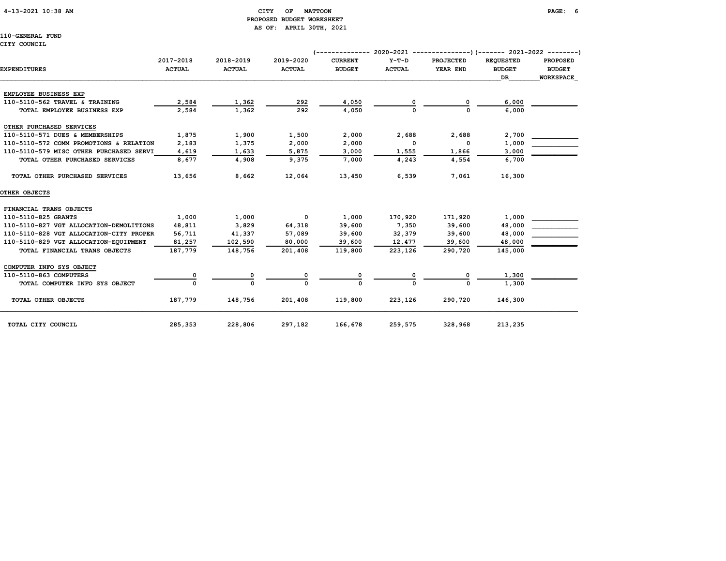#### 4-13-2021 10:38 AM CITY OF MATTOON PAGE: 6 PROPOSED BUDGET WORKSHEET AS OF: APRIL 30TH, 2021

110-GENERAL FUND

#### CITY COUNCIL

|                                         |                            |                            | (--------------            |                                 | 2020-2021 ----------------)(------- 2021-2022 --------) |                       |                                   |                                  |
|-----------------------------------------|----------------------------|----------------------------|----------------------------|---------------------------------|---------------------------------------------------------|-----------------------|-----------------------------------|----------------------------------|
| <b>EXPENDITURES</b>                     | 2017-2018<br><b>ACTUAL</b> | 2018-2019<br><b>ACTUAL</b> | 2019-2020<br><b>ACTUAL</b> | <b>CURRENT</b><br><b>BUDGET</b> | $Y-T-D$<br><b>ACTUAL</b>                                | PROJECTED<br>YEAR END | <b>REQUESTED</b><br><b>BUDGET</b> | <b>PROPOSED</b><br><b>BUDGET</b> |
|                                         |                            |                            |                            |                                 |                                                         |                       | <b>DR</b>                         | <b>WORKSPACE</b>                 |
| EMPLOYEE BUSINESS EXP                   |                            |                            |                            |                                 |                                                         |                       |                                   |                                  |
| 110-5110-562 TRAVEL & TRAINING          | 2,584                      | 1,362                      | 292                        | 4,050                           |                                                         | 0                     | 6,000                             |                                  |
| TOTAL EMPLOYEE BUSINESS EXP             | 2,584                      | 1,362                      | 292                        | 4,050                           |                                                         | 0                     | 6,000                             |                                  |
| OTHER PURCHASED SERVICES                |                            |                            |                            |                                 |                                                         |                       |                                   |                                  |
| 110-5110-571 DUES & MEMBERSHIPS         | 1,875                      | 1,900                      | 1,500                      | 2,000                           | 2,688                                                   | 2,688                 | 2,700                             |                                  |
| 110-5110-572 COMM PROMOTIONS & RELATION | 2,183                      | 1,375                      | 2,000                      | 2,000                           | $\Omega$                                                | O                     | 1,000                             |                                  |
| 110-5110-579 MISC OTHER PURCHASED SERVI | 4,619                      | 1,633                      | 5,875                      | 3,000                           | 1,555                                                   | 1,866                 | 3,000                             |                                  |
| TOTAL OTHER PURCHASED SERVICES          | 8,677                      | 4,908                      | 9,375                      | 7,000                           | 4,243                                                   | 4,554                 | 6,700                             |                                  |
| TOTAL OTHER PURCHASED SERVICES          | 13,656                     | 8,662                      | 12,064                     | 13,450                          | 6,539                                                   | 7,061                 | 16,300                            |                                  |
| OTHER OBJECTS                           |                            |                            |                            |                                 |                                                         |                       |                                   |                                  |
| FINANCIAL TRANS OBJECTS                 |                            |                            |                            |                                 |                                                         |                       |                                   |                                  |
| 110-5110-825 GRANTS                     | 1,000                      | 1,000                      | $^{\circ}$                 | 1,000                           | 170,920                                                 | 171,920               | 1,000                             |                                  |
| 110-5110-827 VGT ALLOCATION-DEMOLITIONS | 48,811                     | 3,829                      | 64,318                     | 39,600                          | 7,350                                                   | 39,600                | 48,000                            |                                  |
| 110-5110-828 VGT ALLOCATION-CITY PROPER | 56,711                     | 41,337                     | 57,089                     | 39,600                          | 32,379                                                  | 39,600                | 48,000                            |                                  |
| 110-5110-829 VGT ALLOCATION-EQUIPMENT   | 81,257                     | 102,590                    | 80,000                     | 39,600                          | 12,477                                                  | 39,600                | 48,000                            |                                  |
| TOTAL FINANCIAL TRANS OBJECTS           | 187,779                    | 148,756                    | 201,408                    | 119,800                         | 223,126                                                 | 290,720               | 145,000                           |                                  |
| COMPUTER INFO SYS OBJECT                |                            |                            |                            |                                 |                                                         |                       |                                   |                                  |
| 110-5110-863 COMPUTERS                  | 0                          | 0                          | 0                          | 0                               |                                                         | 0                     | 1,300                             |                                  |
| TOTAL COMPUTER INFO SYS OBJECT          | O                          | $\Omega$                   |                            | $\Omega$                        |                                                         |                       | 1,300                             |                                  |
| TOTAL OTHER OBJECTS                     | 187,779                    | 148,756                    | 201,408                    | 119,800                         | 223,126                                                 | 290,720               | 146,300                           |                                  |
| TOTAL CITY COUNCIL                      | 285,353                    | 228,806                    | 297,182                    | 166,678                         | 259,575                                                 | 328,968               | 213,235                           |                                  |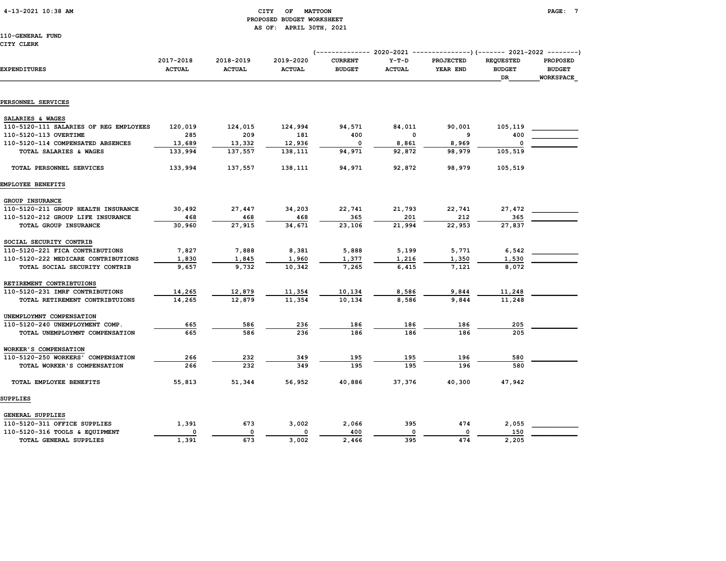### 4-13-2021 10:38 AM CITY OF MATTOON PAGE: 7 PROPOSED BUDGET WORKSHEET AS OF: APRIL 30TH, 2021

110-GENERAL FUND CITY CLERK

| EXPENDITURES                           | 2017-2018<br><b>ACTUAL</b> | 2018-2019<br><b>ACTUAL</b> | 2019-2020<br><b>ACTUAL</b> | <b>CURRENT</b><br><b>BUDGET</b> | $Y-T-D$<br><b>ACTUAL</b> | <b>PROJECTED</b><br>YEAR END | <b>REQUESTED</b><br><b>BUDGET</b><br><b>DR</b> | <b>PROPOSED</b><br><b>BUDGET</b><br><b>WORKSPACE</b> |  |
|----------------------------------------|----------------------------|----------------------------|----------------------------|---------------------------------|--------------------------|------------------------------|------------------------------------------------|------------------------------------------------------|--|
|                                        |                            |                            |                            |                                 |                          |                              |                                                |                                                      |  |
| PERSONNEL SERVICES                     |                            |                            |                            |                                 |                          |                              |                                                |                                                      |  |
| SALARIES & WAGES                       |                            |                            |                            |                                 |                          |                              |                                                |                                                      |  |
| 110-5120-111 SALARIES OF REG EMPLOYEES | 120,019                    | 124,015                    | 124,994                    | 94,571                          | 84,011                   | 90,001                       | 105,119                                        |                                                      |  |
| 110-5120-113 OVERTIME                  | 285                        | 209                        | 181                        | 400                             | $\mathbf 0$              | 9                            | 400                                            |                                                      |  |
| 110-5120-114 COMPENSATED ABSENCES      | 13,689                     | 13,332                     | 12,936                     | $\mathbf 0$                     | 8,861                    | 8,969                        | $\Omega$                                       |                                                      |  |
| TOTAL SALARIES & WAGES                 | 133,994                    | 137,557                    | 138,111                    | 94,971                          | 92,872                   | 98,979                       | 105,519                                        |                                                      |  |
| TOTAL PERSONNEL SERVICES               | 133,994                    | 137,557                    | 138,111                    | 94,971                          | 92,872                   | 98,979                       | 105,519                                        |                                                      |  |
| EMPLOYEE BENEFITS                      |                            |                            |                            |                                 |                          |                              |                                                |                                                      |  |
| GROUP INSURANCE                        |                            |                            |                            |                                 |                          |                              |                                                |                                                      |  |
| 110-5120-211 GROUP HEALTH INSURANCE    | 30,492                     | 27,447                     | 34,203                     | 22,741                          | 21,793                   | 22,741                       | 27,472                                         |                                                      |  |
| 110-5120-212 GROUP LIFE INSURANCE      | 468                        | 468                        | 468                        | 365                             | 201                      | 212                          | 365                                            |                                                      |  |
| TOTAL GROUP INSURANCE                  | 30,960                     | 27,915                     | 34,671                     | 23,106                          | 21,994                   | 22,953                       | 27,837                                         |                                                      |  |
| SOCIAL SECURITY CONTRIB                |                            |                            |                            |                                 |                          |                              |                                                |                                                      |  |
| 110-5120-221 FICA CONTRIBUTIONS        | 7,827                      | 7,888                      | 8,381                      | 5,888                           | 5,199                    | 5,771                        | 6,542                                          |                                                      |  |
| 110-5120-222 MEDICARE CONTRIBUTIONS    | 1,830                      | 1,845                      | 1,960                      | 1,377                           | 1,216                    | 1,350                        | 1,530                                          |                                                      |  |
| TOTAL SOCIAL SECURITY CONTRIB          | 9,657                      | 9,732                      | 10,342                     | 7,265                           | 6,415                    | 7,121                        | 8,072                                          |                                                      |  |
| RETIREMENT CONTRIBTUIONS               |                            |                            |                            |                                 |                          |                              |                                                |                                                      |  |
| 110-5120-231 IMRF CONTRIBUTIONS        | 14,265                     | 12,879                     | 11,354                     | 10,134                          | 8,586                    | 9,844                        | 11,248                                         |                                                      |  |
| TOTAL RETIREMENT CONTRIBTUIONS         | 14,265                     | 12,879                     | 11,354                     | 10.134                          | 8,586                    | 9.844                        | 11,248                                         |                                                      |  |
| UNEMPLOYMNT COMPENSATION               |                            |                            |                            |                                 |                          |                              |                                                |                                                      |  |
| 110-5120-240 UNEMPLOYMENT COMP.        | 665                        | 586                        | 236                        | 186                             | 186                      | 186                          | 205                                            |                                                      |  |
| TOTAL UNEMPLOYMNT COMPENSATION         | 665                        | 586                        | 236                        | 186                             | 186                      | 186                          | 205                                            |                                                      |  |
| WORKER'S COMPENSATION                  |                            |                            |                            |                                 |                          |                              |                                                |                                                      |  |
| 110-5120-250 WORKERS' COMPENSATION     | 266                        | 232                        | 349                        | 195                             | 195                      | 196                          | 580                                            |                                                      |  |
| TOTAL WORKER'S COMPENSATION            | 266                        | 232                        | 349                        | 195                             | 195                      | 196                          | 580                                            |                                                      |  |
| TOTAL EMPLOYEE BENEFITS                | 55,813                     | 51,344                     | 56,952                     | 40,886                          | 37,376                   | 40,300                       | 47,942                                         |                                                      |  |
| SUPPLIES                               |                            |                            |                            |                                 |                          |                              |                                                |                                                      |  |
| GENERAL SUPPLIES                       |                            |                            |                            |                                 |                          |                              |                                                |                                                      |  |
| 110-5120-311 OFFICE SUPPLIES           | 1,391                      | 673                        | 3,002                      | 2,066                           | 395                      | 474                          | 2,055                                          |                                                      |  |
| 110-5120-316 TOOLS & EQUIPMENT         | $\mathbf 0$                | $\mathbf{0}$               | $\mathbf{0}$               | 400                             | $\mathbf{0}$             | $\Omega$                     | 150                                            |                                                      |  |

TOTAL GENERAL SUPPLIES 1,391 673 3,002 2,466 395 474 2,205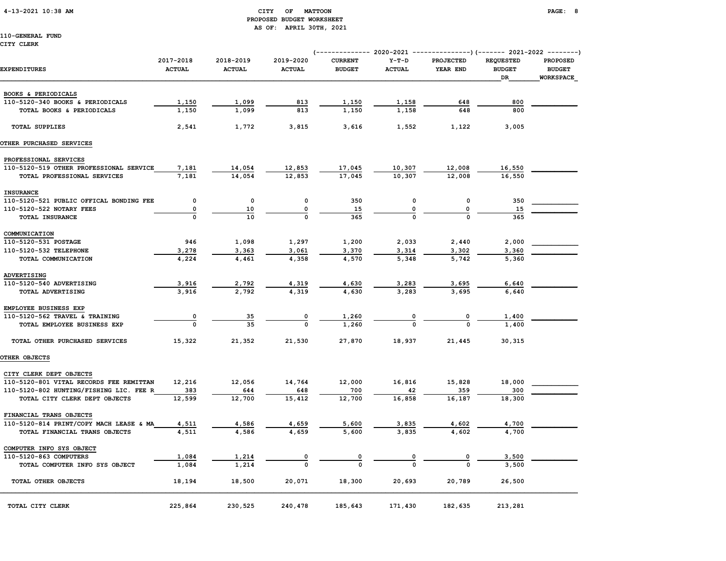### 4-13-2021 10:38 AM CITY OF MATTOON PAGE: 8 PROPOSED BUDGET WORKSHEET AS OF: APRIL 30TH, 2021

|                                         | (------------- 2020-2021 ---------------) (------- 2021-2022 --------) |                            |                            |                                 |                          |                              |                                         |                                        |  |
|-----------------------------------------|------------------------------------------------------------------------|----------------------------|----------------------------|---------------------------------|--------------------------|------------------------------|-----------------------------------------|----------------------------------------|--|
| <b>EXPENDITURES</b>                     | 2017-2018<br><b>ACTUAL</b>                                             | 2018-2019<br><b>ACTUAL</b> | 2019-2020<br><b>ACTUAL</b> | <b>CURRENT</b><br><b>BUDGET</b> | $Y-T-D$<br><b>ACTUAL</b> | <b>PROJECTED</b><br>YEAR END | <b>REQUESTED</b><br><b>BUDGET</b><br>DR | PROPOSED<br><b>BUDGET</b><br>WORKSPACE |  |
|                                         |                                                                        |                            |                            |                                 |                          |                              |                                         |                                        |  |
| BOOKS & PERIODICALS                     |                                                                        |                            |                            |                                 |                          |                              |                                         |                                        |  |
| 110-5120-340 BOOKS & PERIODICALS        | 1,150                                                                  | 1,099                      | 813                        | 1,150                           | 1,158                    | 648                          | 800                                     |                                        |  |
| TOTAL BOOKS & PERIODICALS               | 1,150                                                                  | 1,099                      | 813                        | 1,150                           | 1,158                    | 648                          | 800                                     |                                        |  |
| <b>TOTAL SUPPLIES</b>                   | 2,541                                                                  | 1,772                      | 3,815                      | 3,616                           | 1,552                    | 1,122                        | 3,005                                   |                                        |  |
| OTHER PURCHASED SERVICES                |                                                                        |                            |                            |                                 |                          |                              |                                         |                                        |  |
| PROFESSIONAL SERVICES                   |                                                                        |                            |                            |                                 |                          |                              |                                         |                                        |  |
| 110-5120-519 OTHER PROFESSIONAL SERVICE | 7,181                                                                  | 14,054                     | 12,853                     | 17,045                          | 10,307                   | 12,008                       | 16,550                                  |                                        |  |
| TOTAL PROFESSIONAL SERVICES             | 7,181                                                                  | 14,054                     | 12,853                     | 17,045                          | 10,307                   | 12,008                       | 16,550                                  |                                        |  |
| <b>INSURANCE</b>                        |                                                                        |                            |                            |                                 |                          |                              |                                         |                                        |  |
| 110-5120-521 PUBLIC OFFICAL BONDING FEE | $\mathsf{o}\,$                                                         | $\mathsf{o}$               | $\mathsf{o}\,$             | 350                             | $\mathsf{o}\,$           | $\mathsf{o}\,$               | 350                                     |                                        |  |
| 110-5120-522 NOTARY FEES                | 0                                                                      | 10                         | 0                          | 15                              | 0                        | 0                            | 15                                      |                                        |  |
| TOTAL INSURANCE                         |                                                                        | 10                         |                            | 365                             |                          | $\Omega$                     | 365                                     |                                        |  |
| COMMUNICATION                           |                                                                        |                            |                            |                                 |                          |                              |                                         |                                        |  |
| 110-5120-531 POSTAGE                    | 946                                                                    | 1,098                      | 1,297                      | 1,200                           | 2,033                    | 2,440                        | 2,000                                   |                                        |  |
| 110-5120-532 TELEPHONE                  | 3,278                                                                  | 3,363                      | 3,061                      | 3,370                           | 3,314                    | 3,302                        | 3,360                                   |                                        |  |
| TOTAL COMMUNICATION                     | 4,224                                                                  | 4,461                      | 4,358                      | 4,570                           | 5,348                    | 5,742                        | 5,360                                   |                                        |  |
| ADVERTISING                             |                                                                        |                            |                            |                                 |                          |                              |                                         |                                        |  |
| 110-5120-540 ADVERTISING                | 3,916                                                                  | 2,792                      | 4,319                      | 4,630                           | 3,283                    | 3,695                        | 6,640                                   |                                        |  |
| TOTAL ADVERTISING                       | 3.916                                                                  | 2,792                      | 4,319                      | 4,630                           | 3,283                    | 3.695                        | 6,640                                   |                                        |  |
| EMPLOYEE BUSINESS EXP                   |                                                                        |                            |                            |                                 |                          |                              |                                         |                                        |  |
| 110-5120-562 TRAVEL & TRAINING          | 0                                                                      | 35                         | 0                          | 1,260                           |                          |                              | 1,400                                   |                                        |  |
| TOTAL EMPLOYEE BUSINESS EXP             | $\mathbf 0$                                                            | 35                         | $\Omega$                   | 1,260                           |                          |                              | 1,400                                   |                                        |  |
| TOTAL OTHER PURCHASED SERVICES          | 15,322                                                                 | 21,352                     | 21,530                     | 27,870                          | 18,937                   | 21,445                       | 30,315                                  |                                        |  |
| OTHER OBJECTS                           |                                                                        |                            |                            |                                 |                          |                              |                                         |                                        |  |
| CITY CLERK DEPT OBJECTS                 |                                                                        |                            |                            |                                 |                          |                              |                                         |                                        |  |
| 110-5120-801 VITAL RECORDS FEE REMITTAN | 12,216                                                                 | 12,056                     | 14,764                     | 12,000                          | 16,816                   | 15,828                       | 18,000                                  |                                        |  |
| 110-5120-802 HUNTING/FISHING LIC. FEE R | 383                                                                    | 644                        | 648                        | 700                             | 42                       | 359                          | 300                                     |                                        |  |
| TOTAL CITY CLERK DEPT OBJECTS           | 12,599                                                                 | 12,700                     | 15,412                     | 12,700                          | 16,858                   | 16,187                       | 18,300                                  |                                        |  |
| FINANCIAL TRANS OBJECTS                 |                                                                        |                            |                            |                                 |                          |                              |                                         |                                        |  |
| 110-5120-814 PRINT/COPY MACH LEASE & MA | 4,511                                                                  | 4,586                      | 4,659                      | 5,600                           | 3,835                    | 4,602                        | 4,700                                   |                                        |  |
| TOTAL FINANCIAL TRANS OBJECTS           | 4,511                                                                  | 4,586                      | 4,659                      | 5,600                           | 3,835                    | 4,602                        | 4,700                                   |                                        |  |
| COMPUTER INFO SYS OBJECT                |                                                                        |                            |                            |                                 |                          |                              |                                         |                                        |  |
| 110-5120-863 COMPUTERS                  | 1,084                                                                  | 1,214                      |                            |                                 |                          |                              | 3,500                                   |                                        |  |
| TOTAL COMPUTER INFO SYS OBJECT          | 1,084                                                                  | 1,214                      |                            |                                 |                          |                              | 3,500                                   |                                        |  |
| TOTAL OTHER OBJECTS                     | 18,194                                                                 | 18,500                     | 20,071                     | 18,300                          | 20,693                   | 20,789                       | 26,500                                  |                                        |  |
| TOTAL CITY CLERK                        | 225,864                                                                | 230,525                    | 240,478                    | 185,643                         | 171,430                  | 182,635                      | 213,281                                 |                                        |  |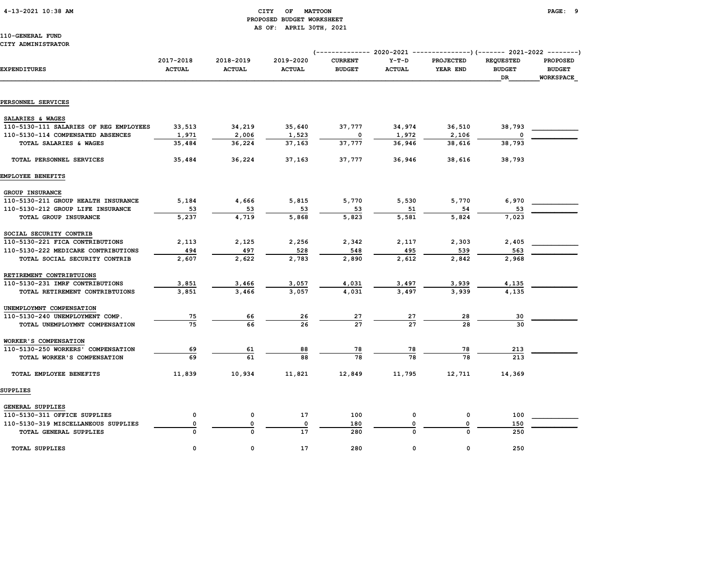#### 4-13-2021 10:38 AM CITY OF MATTOON PAGE: 9 PROPOSED BUDGET WORKSHEET AS OF: APRIL 30TH, 2021

110-GENERAL FUND CITY ADMINISTRATOR

| EXPENDITURES                           | 2017-2018<br><b>ACTUAL</b> | 2018-2019<br><b>ACTUAL</b> | 2019-2020<br><b>ACTUAL</b> | <b>CURRENT</b><br><b>BUDGET</b> | $Y-T-D$<br><b>ACTUAL</b> | <b>PROJECTED</b><br>YEAR END | <b>REQUESTED</b><br><b>BUDGET</b><br>DR | <b>PROPOSED</b><br><b>BUDGET</b><br>WORKSPACE |  |  |
|----------------------------------------|----------------------------|----------------------------|----------------------------|---------------------------------|--------------------------|------------------------------|-----------------------------------------|-----------------------------------------------|--|--|
|                                        |                            |                            |                            |                                 |                          |                              |                                         |                                               |  |  |
| PERSONNEL SERVICES                     |                            |                            |                            |                                 |                          |                              |                                         |                                               |  |  |
| SALARIES & WAGES                       |                            |                            |                            |                                 |                          |                              |                                         |                                               |  |  |
| 110-5130-111 SALARIES OF REG EMPLOYEES | 33,513                     | 34,219                     | 35,640                     | 37,777                          | 34,974                   | 36,510                       | 38,793                                  |                                               |  |  |
| 110-5130-114 COMPENSATED ABSENCES      | 1,971                      | 2,006                      | 1,523                      |                                 | 1,972                    | 2,106                        |                                         |                                               |  |  |
| TOTAL SALARIES & WAGES                 | 35,484                     | 36,224                     | 37,163                     | 37,777                          | 36,946                   | 38,616                       | 38,793                                  |                                               |  |  |
| TOTAL PERSONNEL SERVICES               | 35,484                     | 36,224                     | 37,163                     | 37,777                          | 36,946                   | 38,616                       | 38,793                                  |                                               |  |  |
| EMPLOYEE BENEFITS                      |                            |                            |                            |                                 |                          |                              |                                         |                                               |  |  |
| GROUP INSURANCE                        |                            |                            |                            |                                 |                          |                              |                                         |                                               |  |  |
| 110-5130-211 GROUP HEALTH INSURANCE    | 5,184                      | 4,666                      | 5,815                      | 5,770                           | 5,530                    | 5,770                        | 6,970                                   |                                               |  |  |
| 110-5130-212 GROUP LIFE INSURANCE      | 53                         | 53                         | 53                         | 53                              | 51                       | 54                           | 53                                      |                                               |  |  |
| TOTAL GROUP INSURANCE                  | 5,237                      | 4,719                      | 5,868                      | 5,823                           | 5,581                    | 5,824                        | 7,023                                   |                                               |  |  |
| SOCIAL SECURITY CONTRIB                |                            |                            |                            |                                 |                          |                              |                                         |                                               |  |  |
| 110-5130-221 FICA CONTRIBUTIONS        | 2,113                      | 2,125                      | 2,256                      | 2,342                           | 2,117                    | 2,303                        | 2,405                                   |                                               |  |  |
| 110-5130-222 MEDICARE CONTRIBUTIONS    | 494                        | 497                        | 528                        | 548                             | 495                      | 539                          | 563                                     |                                               |  |  |
| TOTAL SOCIAL SECURITY CONTRIB          | 2,607                      | 2,622                      | 2,783                      | 2,890                           | 2,612                    | 2,842                        | 2,968                                   |                                               |  |  |
| RETIREMENT CONTRIBTUIONS               |                            |                            |                            |                                 |                          |                              |                                         |                                               |  |  |
| 110-5130-231 IMRF CONTRIBUTIONS        | 3,851                      | 3,466                      | 3,057                      | 4,031                           | 3,497                    | 3,939                        | 4,135                                   |                                               |  |  |
| TOTAL RETIREMENT CONTRIBTUIONS         | 3,851                      | 3,466                      | 3,057                      | 4,031                           | 3,497                    | 3,939                        | 4,135                                   |                                               |  |  |
| UNEMPLOYMNT COMPENSATION               |                            |                            |                            |                                 |                          |                              |                                         |                                               |  |  |
| 110-5130-240 UNEMPLOYMENT COMP.        | 75                         | 66                         | 26                         | 27                              | 27                       | 28                           | 30                                      |                                               |  |  |
| TOTAL UNEMPLOYMNT COMPENSATION         | 75                         | 66                         | 26                         | 27                              | $\overline{27}$          | 28                           | 30                                      |                                               |  |  |
| WORKER'S COMPENSATION                  |                            |                            |                            |                                 |                          |                              |                                         |                                               |  |  |
| 110-5130-250 WORKERS' COMPENSATION     | 69                         | 61                         | 88                         | 78                              | 78                       | 78                           | 213                                     |                                               |  |  |
| TOTAL WORKER'S COMPENSATION            | 69                         | 61                         | 88                         | 78                              | 78                       | 78                           | 213                                     |                                               |  |  |
| TOTAL EMPLOYEE BENEFITS                | 11,839                     | 10,934                     | 11,821                     | 12,849                          | 11,795                   | 12,711                       | 14,369                                  |                                               |  |  |
| <b>SUPPLIES</b>                        |                            |                            |                            |                                 |                          |                              |                                         |                                               |  |  |
| GENERAL SUPPLIES                       |                            |                            |                            |                                 |                          |                              |                                         |                                               |  |  |
| 110-5130-311 OFFICE SUPPLIES           | $\mathbf 0$                | 0                          | 17                         | 100                             | 0                        | $\mathsf{o}\,$               | 100                                     |                                               |  |  |
| 110-5130-319 MISCELLANEOUS SUPPLIES    | 0                          | 0                          | 0                          | 180                             |                          | 0                            | 150                                     |                                               |  |  |
| TOTAL GENERAL SUPPLIES                 |                            |                            | 17                         | 280                             |                          | $\Omega$                     | 250                                     |                                               |  |  |
| <b>TOTAL SUPPLIES</b>                  | 0                          | $\Omega$                   | 17                         | 280                             | 0                        | $\mathbf{0}$                 | 250                                     |                                               |  |  |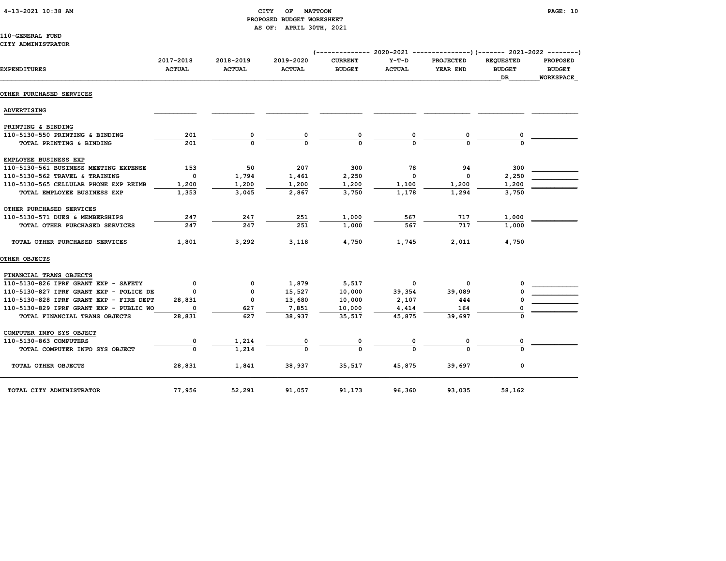#### 4-13-2021 10:38 AM CITY OF MATTOON PAGE: 10 PROPOSED BUDGET WORKSHEET AS OF: APRIL 30TH, 2021

#### 110-GENERAL FUND CITY ADMINISTRATOR

| <b>EXPENDITURES</b>                     | 2017-2018<br><b>ACTUAL</b> | 2018-2019<br><b>ACTUAL</b> | 2019-2020<br><b>ACTUAL</b> | <b>CURRENT</b><br><b>BUDGET</b> | $Y-T-D$<br><b>ACTUAL</b> | <b>PROJECTED</b><br>YEAR END | <b>REQUESTED</b><br><b>BUDGET</b><br>DR | <b>PROPOSED</b><br><b>BUDGET</b><br><b>WORKSPACE</b> |
|-----------------------------------------|----------------------------|----------------------------|----------------------------|---------------------------------|--------------------------|------------------------------|-----------------------------------------|------------------------------------------------------|
| OTHER PURCHASED SERVICES                |                            |                            |                            |                                 |                          |                              |                                         |                                                      |
| ADVERTISING                             |                            |                            |                            |                                 |                          |                              |                                         |                                                      |
| PRINTING & BINDING                      |                            |                            |                            |                                 |                          |                              |                                         |                                                      |
| 110-5130-550 PRINTING & BINDING         | 201                        | 0                          |                            |                                 |                          |                              |                                         |                                                      |
| TOTAL PRINTING & BINDING                | 201                        | $\Omega$                   |                            |                                 |                          |                              |                                         |                                                      |
| EMPLOYEE BUSINESS EXP                   |                            |                            |                            |                                 |                          |                              |                                         |                                                      |
| 110-5130-561 BUSINESS MEETING EXPENSE   | 153                        | 50                         | 207                        | 300                             | 78                       | 94                           | 300                                     |                                                      |
| 110-5130-562 TRAVEL & TRAINING          | $\mathbf 0$                | 1,794                      | 1,461                      | 2,250                           | $\mathbf 0$              | $\mathbf 0$                  | 2,250                                   |                                                      |
| 110-5130-565 CELLULAR PHONE EXP REIMB   | 1,200                      | 1,200                      | 1,200                      | 1,200                           | 1,100                    | 1,200                        | 1,200                                   |                                                      |
| TOTAL EMPLOYEE BUSINESS EXP             | 1,353                      | 3,045                      | 2,867                      | 3,750                           | 1,178                    | 1,294                        | 3,750                                   |                                                      |
| OTHER PURCHASED SERVICES                |                            |                            |                            |                                 |                          |                              |                                         |                                                      |
| 110-5130-571 DUES & MEMBERSHIPS         | 247                        | 247                        | 251                        | 1,000                           | 567                      | 717                          | 1,000                                   |                                                      |
| TOTAL OTHER PURCHASED SERVICES          | 247                        | 247                        | 251                        | 1,000                           | 567                      | 717                          | 1,000                                   |                                                      |
| TOTAL OTHER PURCHASED SERVICES          | 1,801                      | 3,292                      | 3,118                      | 4,750                           | 1,745                    | 2,011                        | 4,750                                   |                                                      |
| OTHER OBJECTS                           |                            |                            |                            |                                 |                          |                              |                                         |                                                      |
| FINANCIAL TRANS OBJECTS                 |                            |                            |                            |                                 |                          |                              |                                         |                                                      |
| 110-5130-826 IPRF GRANT EXP - SAFETY    | $\mathbf 0$                | $\Omega$                   | 1,879                      | 5,517                           | $\overline{\mathbf{0}}$  | $\Omega$                     |                                         |                                                      |
| 110-5130-827 IPRF GRANT EXP - POLICE DE | 0                          | 0                          | 15,527                     | 10,000                          | 39,354                   | 39,089                       |                                         |                                                      |
| 110-5130-828 IPRF GRANT EXP - FIRE DEPT | 28,831                     | $^{\circ}$                 | 13,680                     | 10,000                          | 2,107                    | 444                          |                                         |                                                      |
| 110-5130-829 IPRF GRANT EXP - PUBLIC WO | O                          | 627                        | 7,851                      | 10,000                          | 4,414                    | 164                          |                                         |                                                      |
| TOTAL FINANCIAL TRANS OBJECTS           | 28,831                     | 627                        | 38,937                     | 35,517                          | 45,875                   | 39,697                       |                                         |                                                      |
| COMPUTER INFO SYS OBJECT                |                            |                            |                            |                                 |                          |                              |                                         |                                                      |
| 110-5130-863 COMPUTERS                  |                            | 1,214                      |                            |                                 |                          |                              |                                         |                                                      |
| TOTAL COMPUTER INFO SYS OBJECT          | $\Omega$                   | 1,214                      |                            |                                 |                          | $\Omega$                     |                                         |                                                      |
| TOTAL OTHER OBJECTS                     | 28,831                     | 1,841                      | 38,937                     | 35,517                          | 45,875                   | 39,697                       | 0                                       |                                                      |
| TOTAL CITY ADMINISTRATOR                | 77,956                     | 52,291                     | 91,057                     | 91,173                          | 96,360                   | 93,035                       | 58,162                                  |                                                      |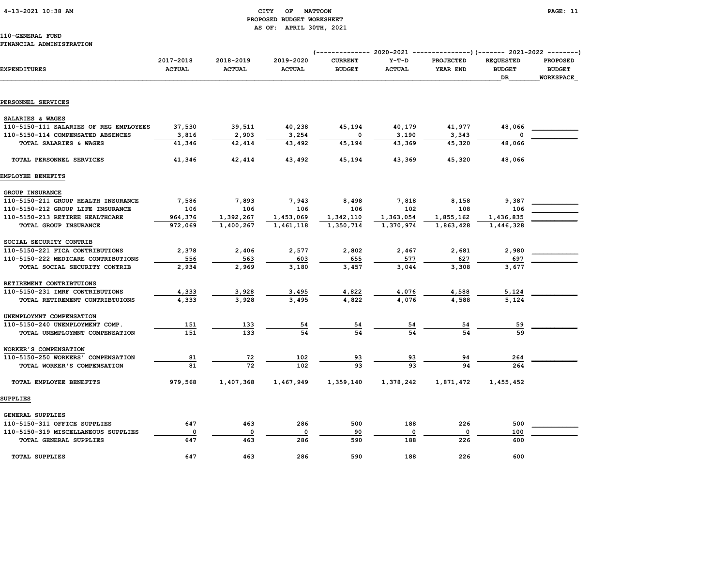#### 4-13-2021 10:38 AM CITY OF MATTOON PAGE: 11 PROPOSED BUDGET WORKSHEET AS OF: APRIL 30TH, 2021

### 110-GENERAL FUND

#### FINANCIAL ADMINISTRATION

|                                        |                            |                            |                            | (------------- 2020-2021 ---------------)(------- 2021-2022 --------) |                          |                              |                                         |                                                      |  |
|----------------------------------------|----------------------------|----------------------------|----------------------------|-----------------------------------------------------------------------|--------------------------|------------------------------|-----------------------------------------|------------------------------------------------------|--|
| <b>EXPENDITURES</b>                    | 2017-2018<br><b>ACTUAL</b> | 2018-2019<br><b>ACTUAL</b> | 2019-2020<br><b>ACTUAL</b> | <b>CURRENT</b><br><b>BUDGET</b>                                       | $Y-T-D$<br><b>ACTUAL</b> | <b>PROJECTED</b><br>YEAR END | <b>REQUESTED</b><br><b>BUDGET</b><br>DR | <b>PROPOSED</b><br><b>BUDGET</b><br><b>WORKSPACE</b> |  |
|                                        |                            |                            |                            |                                                                       |                          |                              |                                         |                                                      |  |
| PERSONNEL SERVICES                     |                            |                            |                            |                                                                       |                          |                              |                                         |                                                      |  |
| SALARIES & WAGES                       |                            |                            |                            |                                                                       |                          |                              |                                         |                                                      |  |
| 110-5150-111 SALARIES OF REG EMPLOYEES | 37,530                     | 39,511                     | 40,238                     | 45,194                                                                | 40,179                   | 41,977                       | 48,066                                  |                                                      |  |
| 110-5150-114 COMPENSATED ABSENCES      | 3,816                      | 2,903                      | 3,254                      | 0                                                                     | 3,190                    | 3,343                        |                                         |                                                      |  |
| TOTAL SALARIES & WAGES                 | 41,346                     | 42,414                     | 43,492                     | 45,194                                                                | 43,369                   | 45,320                       | 48,066                                  |                                                      |  |
| TOTAL PERSONNEL SERVICES               | 41,346                     | 42,414                     | 43,492                     | 45,194                                                                | 43,369                   | 45,320                       | 48,066                                  |                                                      |  |
| EMPLOYEE BENEFITS                      |                            |                            |                            |                                                                       |                          |                              |                                         |                                                      |  |
| GROUP INSURANCE                        |                            |                            |                            |                                                                       |                          |                              |                                         |                                                      |  |
| 110-5150-211 GROUP HEALTH INSURANCE    | 7,586                      | 7,893                      | 7,943                      | 8,498                                                                 | 7,818                    | 8,158                        | 9,387                                   |                                                      |  |
| 110-5150-212 GROUP LIFE INSURANCE      | 106                        | 106                        | 106                        | 106                                                                   | 102                      | 108                          | 106                                     |                                                      |  |
| 110-5150-213 RETIREE HEALTHCARE        | 964,376                    | 1,392,267                  | 1,453,069                  | 1,342,110                                                             | 1,363,054                | 1,855,162                    | 1,436,835                               |                                                      |  |
| TOTAL GROUP INSURANCE                  | 972,069                    | 1,400,267                  | 1,461,118                  | 1,350,714                                                             | 1,370,974                | 1,863,428                    | 1,446,328                               |                                                      |  |
| SOCIAL SECURITY CONTRIB                |                            |                            |                            |                                                                       |                          |                              |                                         |                                                      |  |
| 110-5150-221 FICA CONTRIBUTIONS        | 2,378                      | 2,406                      | 2,577                      | 2,802                                                                 | 2,467                    | 2,681                        | 2,980                                   |                                                      |  |
| 110-5150-222 MEDICARE CONTRIBUTIONS    | 556                        | 563                        | 603                        | 655                                                                   | 577                      | 627                          | 697                                     |                                                      |  |
| TOTAL SOCIAL SECURITY CONTRIB          | 2,934                      | 2,969                      | 3,180                      | 3,457                                                                 | 3,044                    | 3,308                        | 3,677                                   |                                                      |  |
| RETIREMENT CONTRIBTUIONS               |                            |                            |                            |                                                                       |                          |                              |                                         |                                                      |  |
| 110-5150-231 IMRF CONTRIBUTIONS        | 4,333                      | 3,928                      | 3,495                      | 4,822                                                                 | 4,076                    | 4,588                        | 5,124                                   |                                                      |  |
| TOTAL RETIREMENT CONTRIBTUIONS         | 4,333                      | 3,928                      | 3,495                      | 4,822                                                                 | 4,076                    | 4,588                        | 5,124                                   |                                                      |  |
| UNEMPLOYMNT COMPENSATION               |                            |                            |                            |                                                                       |                          |                              |                                         |                                                      |  |
| 110-5150-240 UNEMPLOYMENT COMP.        | 151                        | 133                        | 54                         | 54                                                                    |                          | 54                           | 59                                      |                                                      |  |
| TOTAL UNEMPLOYMNT COMPENSATION         | 151                        | 133                        | 54                         | 54                                                                    | 54                       | 54                           | 59                                      |                                                      |  |
| WORKER'S COMPENSATION                  |                            |                            |                            |                                                                       |                          |                              |                                         |                                                      |  |
| 110-5150-250 WORKERS' COMPENSATION     | 81                         | 72                         | 102                        | 93                                                                    | 93                       | 94                           | 264                                     |                                                      |  |
| TOTAL WORKER'S COMPENSATION            | 81                         | 72                         | 102                        | 93                                                                    | 93                       |                              | 264                                     |                                                      |  |
| TOTAL EMPLOYEE BENEFITS                | 979,568                    | 1,407,368                  | 1,467,949                  | 1,359,140                                                             | 1,378,242                | 1,871,472                    | 1,455,452                               |                                                      |  |
| <b>SUPPLIES</b>                        |                            |                            |                            |                                                                       |                          |                              |                                         |                                                      |  |
| <b>GENERAL SUPPLIES</b>                |                            |                            |                            |                                                                       |                          |                              |                                         |                                                      |  |
| 110-5150-311 OFFICE SUPPLIES           | 647                        | 463                        | 286                        | 500                                                                   | 188                      | 226                          | 500                                     |                                                      |  |
| 110-5150-319 MISCELLANEOUS SUPPLIES    | 0                          | $\mathbf 0$                | $\mathbf 0$                | 90                                                                    | $\mathbf 0$              | $\mathbf 0$                  | 100                                     |                                                      |  |
| TOTAL GENERAL SUPPLIES                 | 647                        | 463                        | 286                        | 590                                                                   | 188                      | 226                          | 600                                     |                                                      |  |
| <b>TOTAL SUPPLIES</b>                  | 647                        | 463                        | 286                        | 590                                                                   | 188                      | 226                          | 600                                     |                                                      |  |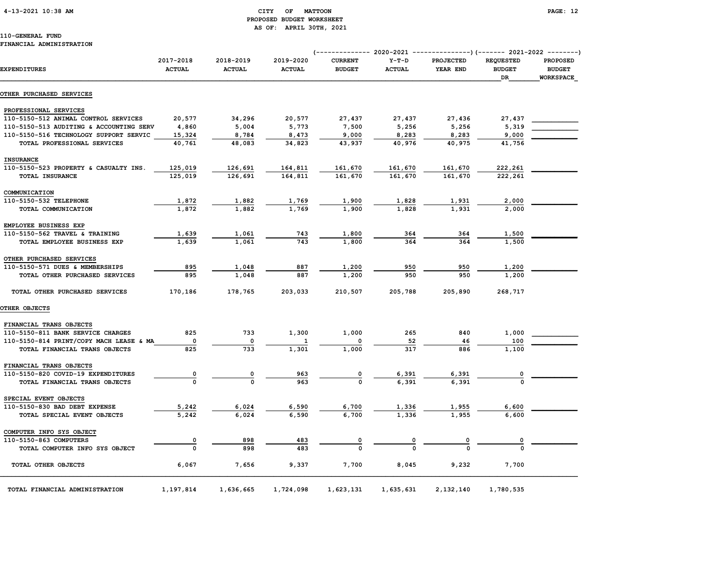4-13-2021 10:38 AM CITY OF MATTOON PAGE: 12

# PROPOSED BUDGET WORKSHEET AS OF: APRIL 30TH, 2021

| <b>EXPENDITURES</b>                     | 2017-2018<br><b>ACTUAL</b> | 2018-2019<br><b>ACTUAL</b> | 2019-2020<br><b>ACTUAL</b> | <b>CURRENT</b><br><b>BUDGET</b> | $Y-T-D$<br><b>ACTUAL</b> | PROJECTED<br>YEAR END | <b>REQUESTED</b><br><b>BUDGET</b><br>DR | <b>PROPOSED</b><br><b>BUDGET</b><br>WORKSPACE |  |  |
|-----------------------------------------|----------------------------|----------------------------|----------------------------|---------------------------------|--------------------------|-----------------------|-----------------------------------------|-----------------------------------------------|--|--|
| OTHER PURCHASED SERVICES                |                            |                            |                            |                                 |                          |                       |                                         |                                               |  |  |
| PROFESSIONAL SERVICES                   |                            |                            |                            |                                 |                          |                       |                                         |                                               |  |  |
| 110-5150-512 ANIMAL CONTROL SERVICES    | 20,577                     | 34,296                     | 20,577                     | 27,437                          | 27,437                   | 27,436                | 27,437                                  |                                               |  |  |
| 110-5150-513 AUDITING & ACCOUNTING SERV | 4,860                      | 5,004                      | 5,773                      | 7,500                           | 5,256                    | 5,256                 | 5,319                                   |                                               |  |  |
| 110-5150-516 TECHNOLOGY SUPPORT SERVIC  | 15,324                     | 8,784                      | 8,473                      | 9,000                           | 8,283                    | 8,283                 | 9,000                                   |                                               |  |  |
| TOTAL PROFESSIONAL SERVICES             | 40,761                     | 48,083                     | 34,823                     | 43,937                          | 40,976                   | 40,975                | 41,756                                  |                                               |  |  |
| <b>INSURANCE</b>                        |                            |                            |                            |                                 |                          |                       |                                         |                                               |  |  |
| 110-5150-523 PROPERTY & CASUALTY INS.   | 125,019                    | 126,691                    | 164,811                    | 161,670                         | 161,670                  | 161,670               | 222,261                                 |                                               |  |  |
| TOTAL INSURANCE                         | 125,019                    | 126,691                    | 164,811                    | 161,670                         | 161,670                  | 161,670               | 222,261                                 |                                               |  |  |
| COMMUNICATION                           |                            |                            |                            |                                 |                          |                       |                                         |                                               |  |  |
| 110-5150-532 TELEPHONE                  | 1,872                      | 1,882                      | 1,769                      | 1,900                           | 1,828                    | 1,931                 | 2,000                                   |                                               |  |  |
| TOTAL COMMUNICATION                     | 1,872                      | 1,882                      | 1,769                      | 1,900                           | 1,828                    | 1,931                 | 2,000                                   |                                               |  |  |
| EMPLOYEE BUSINESS EXP                   |                            |                            |                            |                                 |                          |                       |                                         |                                               |  |  |
| 110-5150-562 TRAVEL & TRAINING          | 1,639                      | 1,061                      | 743                        | 1,800                           | 364                      | 364                   | 1,500                                   |                                               |  |  |
| TOTAL EMPLOYEE BUSINESS EXP             | 1,639                      | 1,061                      | 743                        | 1,800                           | 364                      | 364                   | 1,500                                   |                                               |  |  |
| OTHER PURCHASED SERVICES                |                            |                            |                            |                                 |                          |                       |                                         |                                               |  |  |
| 110-5150-571 DUES & MEMBERSHIPS         | 895                        | 1,048                      | 887                        | 1,200                           | 950                      | 950                   | 1,200                                   |                                               |  |  |
| TOTAL OTHER PURCHASED SERVICES          | 895                        | 1,048                      | 887                        | 1,200                           | 950                      | 950                   | 1,200                                   |                                               |  |  |
| TOTAL OTHER PURCHASED SERVICES          | 170,186                    | 178,765                    | 203,033                    | 210,507                         | 205,788                  | 205,890               | 268,717                                 |                                               |  |  |
| OTHER OBJECTS                           |                            |                            |                            |                                 |                          |                       |                                         |                                               |  |  |
| FINANCIAL TRANS OBJECTS                 |                            |                            |                            |                                 |                          |                       |                                         |                                               |  |  |
| 110-5150-811 BANK SERVICE CHARGES       | 825                        | 733                        | 1,300                      | 1,000                           | 265                      | 840                   | 1,000                                   |                                               |  |  |
| 110-5150-814 PRINT/COPY MACH LEASE & MA | 0                          | 0                          |                            |                                 | 52                       | 46                    | 100                                     |                                               |  |  |
| TOTAL FINANCIAL TRANS OBJECTS           | 825                        | 733                        | 1,301                      | 1,000                           | 317                      | 886                   | 1,100                                   |                                               |  |  |
| FINANCIAL TRANS OBJECTS                 |                            |                            |                            |                                 |                          |                       |                                         |                                               |  |  |
| 110-5150-820 COVID-19 EXPENDITURES      | 0                          | $\overline{\mathbf{0}}$    | 963                        | $\overline{\mathbf{0}}$         | 6,391                    | 6,391                 | $\overline{\mathbf{0}}$                 |                                               |  |  |
| TOTAL FINANCIAL TRANS OBJECTS           | $\mathbf{o}$               | $\mathbf{o}$               | 963                        | $\mathbf 0$                     | 6,391                    | 6,391                 | $\Omega$                                |                                               |  |  |
| SPECIAL EVENT OBJECTS                   |                            |                            |                            |                                 |                          |                       |                                         |                                               |  |  |
| 110-5150-830 BAD DEBT EXPENSE           | 5,242                      | 6,024                      | 6,590                      | 6,700                           | 1,336                    | 1,955                 | 6,600                                   |                                               |  |  |
| TOTAL SPECIAL EVENT OBJECTS             | 5,242                      | 6,024                      | 6,590                      | 6,700                           | 1,336                    | 1,955                 | 6,600                                   |                                               |  |  |
| COMPUTER INFO SYS OBJECT                |                            |                            |                            |                                 |                          |                       |                                         |                                               |  |  |
| 110-5150-863 COMPUTERS                  | 0                          | 898                        | 483                        | 0                               | 0                        | 0                     | 0                                       |                                               |  |  |
| TOTAL COMPUTER INFO SYS OBJECT          | $\mathbf 0$                | 898                        | 483                        | $\mathbf 0$                     | $\mathbf 0$              | $\Omega$              | $\Omega$                                |                                               |  |  |
| TOTAL OTHER OBJECTS                     | 6,067                      | 7,656                      | 9,337                      | 7,700                           | 8,045                    | 9,232                 | 7,700                                   |                                               |  |  |
| TOTAL FINANCIAL ADMINISTRATION          | 1,197,814                  | 1,636,665                  | 1,724,098                  | 1,623,131                       | 1,635,631                | 2,132,140             | 1,780,535                               |                                               |  |  |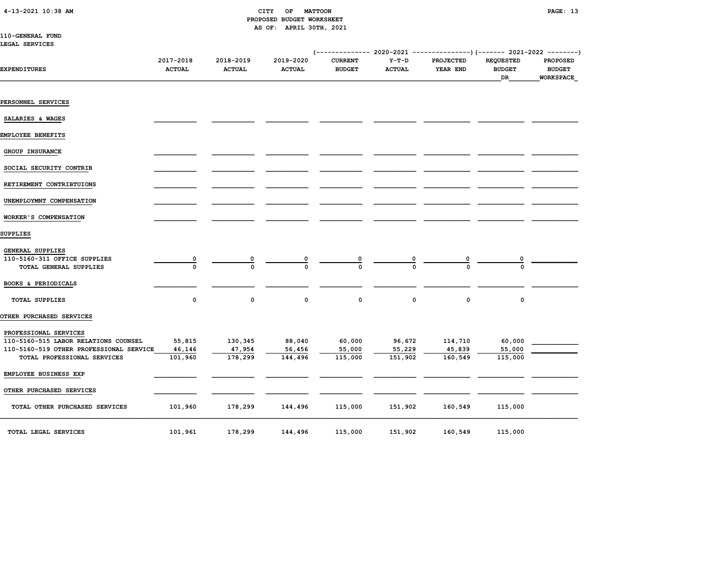#### 4-13-2021 10:38 AM CITY OF MATTOON PAGE: 13 PROPOSED BUDGET WORKSHEET AS OF: APRIL 30TH, 2021

| <b>110-GENERAL FUND</b> |  |
|-------------------------|--|
| LEGAL SERVICES          |  |

| <b>EXPENDITURES</b>                                                                                      | 2017-2018<br><b>ACTUAL</b> | 2018-2019<br><b>ACTUAL</b> | 2019-2020<br><b>ACTUAL</b> | <b>CURRENT</b><br><b>BUDGET</b> | $Y-T-D$<br><b>ACTUAL</b> | <b>PROJECTED</b><br>YEAR END | <b>REQUESTED</b><br><b>BUDGET</b><br>DR | <b>PROPOSED</b><br><b>BUDGET</b><br><b>WORKSPACE</b> |  |
|----------------------------------------------------------------------------------------------------------|----------------------------|----------------------------|----------------------------|---------------------------------|--------------------------|------------------------------|-----------------------------------------|------------------------------------------------------|--|
|                                                                                                          |                            |                            |                            |                                 |                          |                              |                                         |                                                      |  |
| PERSONNEL SERVICES                                                                                       |                            |                            |                            |                                 |                          |                              |                                         |                                                      |  |
| SALARIES & WAGES                                                                                         |                            |                            |                            |                                 |                          |                              |                                         |                                                      |  |
| EMPLOYEE BENEFITS                                                                                        |                            |                            |                            |                                 |                          |                              |                                         |                                                      |  |
| GROUP INSURANCE                                                                                          |                            |                            |                            |                                 |                          |                              |                                         |                                                      |  |
| SOCIAL SECURITY CONTRIB                                                                                  |                            |                            |                            |                                 |                          |                              |                                         |                                                      |  |
| RETIREMENT CONTRIBTUIONS                                                                                 |                            |                            |                            |                                 |                          |                              |                                         |                                                      |  |
| UNEMPLOYMNT COMPENSATION                                                                                 |                            |                            |                            |                                 |                          |                              |                                         |                                                      |  |
| WORKER'S COMPENSATION                                                                                    |                            |                            |                            |                                 |                          |                              |                                         |                                                      |  |
| SUPPLIES                                                                                                 |                            |                            |                            |                                 |                          |                              |                                         |                                                      |  |
| GENERAL SUPPLIES<br>110-5160-311 OFFICE SUPPLIES<br>TOTAL GENERAL SUPPLIES                               | $\overline{\mathbf{0}}$    | 0                          | 0                          |                                 |                          | 0                            |                                         |                                                      |  |
| BOOKS & PERIODICALS                                                                                      |                            |                            |                            |                                 |                          |                              |                                         |                                                      |  |
| <b>TOTAL SUPPLIES</b>                                                                                    | 0                          | 0                          | $\mathsf{o}\,$             | $\mathsf{o}\,$                  | $\mathbf 0$              | $\mathbf 0$                  | 0                                       |                                                      |  |
| OTHER PURCHASED SERVICES                                                                                 |                            |                            |                            |                                 |                          |                              |                                         |                                                      |  |
| PROFESSIONAL SERVICES<br>110-5160-515 LABOR RELATIONS COUNSEL<br>110-5160-519 OTHER PROFESSIONAL SERVICE | 55,815<br>46,146           | 130,345<br>47,954          | 88,040<br>56,456           | 60,000<br>55,000                | 96,672<br>55,229         | 114,710<br>45,839            | 60,000<br>55,000                        |                                                      |  |
| TOTAL PROFESSIONAL SERVICES                                                                              | 101,960                    | 178,299                    | 144,496                    | 115,000                         | 151,902                  | 160,549                      | 115,000                                 |                                                      |  |
| EMPLOYEE BUSINESS EXP                                                                                    |                            |                            |                            |                                 |                          |                              |                                         |                                                      |  |
| OTHER PURCHASED SERVICES                                                                                 |                            |                            |                            |                                 |                          |                              |                                         |                                                      |  |
| TOTAL OTHER PURCHASED SERVICES                                                                           | 101,960                    | 178,299                    | 144,496                    | 115,000                         | 151,902                  | 160,549                      | 115,000                                 |                                                      |  |
| TOTAL LEGAL SERVICES                                                                                     | 101,961                    | 178,299                    | 144,496                    | 115,000                         | 151,902                  | 160,549                      | 115,000                                 |                                                      |  |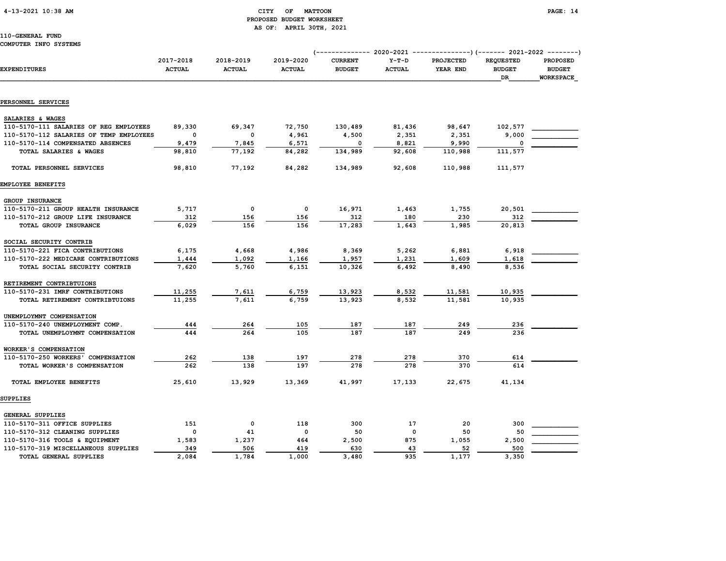### 4-13-2021 10:38 AM CITY OF MATTOON PAGE: 14 PROPOSED BUDGET WORKSHEET AS OF: APRIL 30TH, 2021

|                                         |                            |                            |                            |                                 |                          | <b>PROJECTED</b> | <b>REQUESTED</b>    | <b>PROPOSED</b>                   |
|-----------------------------------------|----------------------------|----------------------------|----------------------------|---------------------------------|--------------------------|------------------|---------------------|-----------------------------------|
| <b>EXPENDITURES</b>                     | 2017-2018<br><b>ACTUAL</b> | 2018-2019<br><b>ACTUAL</b> | 2019-2020<br><b>ACTUAL</b> | <b>CURRENT</b><br><b>BUDGET</b> | $Y-T-D$<br><b>ACTUAL</b> | YEAR END         | <b>BUDGET</b><br>DR | <b>BUDGET</b><br><b>WORKSPACE</b> |
|                                         |                            |                            |                            |                                 |                          |                  |                     |                                   |
| PERSONNEL SERVICES                      |                            |                            |                            |                                 |                          |                  |                     |                                   |
| SALARIES & WAGES                        |                            |                            |                            |                                 |                          |                  |                     |                                   |
| 110-5170-111 SALARIES OF REG EMPLOYEES  | 89,330                     | 69,347                     | 72,750                     | 130,489                         | 81,436                   | 98,647           | 102,577             |                                   |
| 110-5170-112 SALARIES OF TEMP EMPLOYEES | 0                          | $\mathbf 0$                | 4,961                      | 4,500                           | 2,351                    | 2,351            | 9,000               |                                   |
| 110-5170-114 COMPENSATED ABSENCES       | 9,479                      | 7,845                      | 6,571                      | 0                               | 8,821                    | 9,990            |                     |                                   |
| TOTAL SALARIES & WAGES                  | 98,810                     | 77,192                     | 84,282                     | 134,989                         | 92,608                   | 110,988          | 111,577             |                                   |
| TOTAL PERSONNEL SERVICES                | 98,810                     | 77,192                     | 84,282                     | 134,989                         | 92,608                   | 110,988          | 111,577             |                                   |
| EMPLOYEE BENEFITS                       |                            |                            |                            |                                 |                          |                  |                     |                                   |
| GROUP INSURANCE                         |                            |                            |                            |                                 |                          |                  |                     |                                   |
| 110-5170-211 GROUP HEALTH INSURANCE     | 5,717                      | 0                          | 0                          | 16,971                          | 1,463                    | 1,755            | 20,501              |                                   |
| 110-5170-212 GROUP LIFE INSURANCE       | 312                        | 156                        | 156                        | 312                             | 180                      | 230              | 312                 |                                   |
| TOTAL GROUP INSURANCE                   | 6,029                      | 156                        | 156                        | 17,283                          | 1,643                    | 1,985            | 20,813              |                                   |
| SOCIAL SECURITY CONTRIB                 |                            |                            |                            |                                 |                          |                  |                     |                                   |
| 110-5170-221 FICA CONTRIBUTIONS         | 6,175                      | 4,668                      | 4,986                      | 8,369                           | 5,262                    | 6,881            | 6,918               |                                   |
| 110-5170-222 MEDICARE CONTRIBUTIONS     | 1,444                      | 1,092                      | 1,166                      | 1,957                           | 1,231                    | 1,609            | 1,618               |                                   |
| TOTAL SOCIAL SECURITY CONTRIB           | 7,620                      | 5,760                      | 6.151                      | 10,326                          | 6,492                    | 8,490            | 8,536               |                                   |
| RETIREMENT CONTRIBTUIONS                |                            |                            |                            |                                 |                          |                  |                     |                                   |
| 110-5170-231 IMRF CONTRIBUTIONS         | 11,255                     | 7,611                      | 6,759                      | 13,923                          | 8,532                    | 11,581           | 10,935              |                                   |
| TOTAL RETIREMENT CONTRIBTUIONS          | 11,255                     | 7.611                      | 6,759                      | 13,923                          | 8,532                    | 11,581           | 10,935              |                                   |
| UNEMPLOYMNT COMPENSATION                |                            |                            |                            |                                 |                          |                  |                     |                                   |
| 110-5170-240 UNEMPLOYMENT COMP.         | 444                        | 264                        | 105                        | 187                             | 187                      | 249              | 236                 |                                   |
| TOTAL UNEMPLOYMNT COMPENSATION          | 444                        | 264                        | 105                        | 187                             | 187                      | 249              | 236                 |                                   |
| WORKER'S COMPENSATION                   |                            |                            |                            |                                 |                          |                  |                     |                                   |
| 110-5170-250 WORKERS' COMPENSATION      | 262                        | 138                        | 197                        | 278                             | 278                      | 370              | 614                 |                                   |
| TOTAL WORKER'S COMPENSATION             | 262                        | 138                        | 197                        | 278                             | 278                      | 370              | 614                 |                                   |
| TOTAL EMPLOYEE BENEFITS                 | 25,610                     | 13,929                     | 13,369                     | 41,997                          | 17,133                   | 22,675           | 41,134              |                                   |
| SUPPLIES                                |                            |                            |                            |                                 |                          |                  |                     |                                   |
| <b>GENERAL SUPPLIES</b>                 |                            |                            |                            |                                 |                          |                  |                     |                                   |
| 110-5170-311 OFFICE SUPPLIES            | 151                        | $\mathsf{o}\,$             | 118                        | 300                             | 17                       | 20               | 300                 |                                   |
| 110-5170-312 CLEANING SUPPLIES          | $\mathsf{o}\,$             | 41                         | $\mathsf{o}\,$             | 50                              | $\mathbf 0$              | 50               | 50                  |                                   |
| 110-5170-316 TOOLS & EQUIPMENT          | 1,583                      | 1,237                      | 464                        | 2,500                           | 875                      | 1,055            | 2,500               |                                   |
| 110-5170-319 MISCELLANEOUS SUPPLIES     | 349                        | 506                        | 419                        | 630                             | 43                       | 52               | 500                 |                                   |
| TOTAL GENERAL SUPPLIES                  | 2,084                      | 1,784                      | 1,000                      | 3,480                           | 935                      | 1,177            | 3,350               |                                   |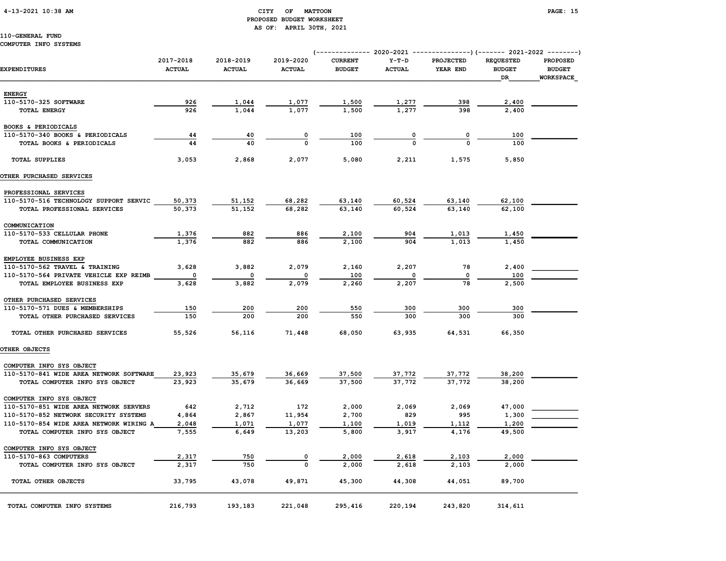#### 4-13-2021 10:38 AM CITY OF MATTOON PAGE: 15 PROPOSED BUDGET WORKSHEET AS OF: APRIL 30TH, 2021

### 110-GENERAL FUND

#### COMPUTER INFO SYSTEMS

| <b>EXPENDITURES</b>                     | 2017-2018<br><b>ACTUAL</b> | 2018-2019<br><b>ACTUAL</b> | 2019-2020<br><b>ACTUAL</b> | <b>CURRENT</b><br><b>BUDGET</b> | $Y-T-D$<br><b>ACTUAL</b> | <b>PROJECTED</b><br>YEAR END | <b>REQUESTED</b><br><b>BUDGET</b><br>DR | <b>PROPOSED</b><br><b>BUDGET</b><br><b>WORKSPACE</b> |  |
|-----------------------------------------|----------------------------|----------------------------|----------------------------|---------------------------------|--------------------------|------------------------------|-----------------------------------------|------------------------------------------------------|--|
| <b>ENERGY</b>                           |                            |                            |                            |                                 |                          |                              |                                         |                                                      |  |
| 110-5170-325 SOFTWARE                   | 926                        | 1,044                      | 1,077                      | 1,500                           | 1,277                    | 398                          | 2,400                                   |                                                      |  |
| <b>TOTAL ENERGY</b>                     | 926                        | 1,044                      | 1,077                      | 1,500                           | 1,277                    | 398                          | 2,400                                   |                                                      |  |
| BOOKS & PERIODICALS                     |                            |                            |                            |                                 |                          |                              |                                         |                                                      |  |
| 110-5170-340 BOOKS & PERIODICALS        | 44                         | 40                         | 0                          | 100                             | 0                        | 0                            | 100                                     |                                                      |  |
| TOTAL BOOKS & PERIODICALS               | 44                         | 40                         | $\mathbf 0$                | 100                             | $\Omega$                 | $\Omega$                     | 100                                     |                                                      |  |
| <b>TOTAL SUPPLIES</b>                   | 3,053                      | 2,868                      | 2,077                      | 5,080                           | 2,211                    | 1,575                        | 5,850                                   |                                                      |  |
| OTHER PURCHASED SERVICES                |                            |                            |                            |                                 |                          |                              |                                         |                                                      |  |
| PROFESSIONAL SERVICES                   |                            |                            |                            |                                 |                          |                              |                                         |                                                      |  |
| 110-5170-516 TECHNOLOGY SUPPORT SERVIC  | 50,373                     | 51,152                     | 68,282                     | 63,140                          | 60,524                   | 63,140                       | 62,100                                  |                                                      |  |
| TOTAL PROFESSIONAL SERVICES             | 50,373                     | 51,152                     | 68,282                     | 63,140                          | 60,524                   | 63,140                       | 62,100                                  |                                                      |  |
| COMMUNICATION                           |                            |                            |                            |                                 |                          |                              |                                         |                                                      |  |
| 110-5170-533 CELLULAR PHONE             | 1,376                      | 882                        | 886                        | 2,100                           | 904                      | 1,013                        | 1,450                                   |                                                      |  |
| TOTAL COMMUNICATION                     | 1,376                      | 882                        | 886                        | 2,100                           | 904                      | 1,013                        | 1,450                                   |                                                      |  |
| EMPLOYEE BUSINESS EXP                   |                            |                            |                            |                                 |                          |                              |                                         |                                                      |  |
| 110-5170-562 TRAVEL & TRAINING          | 3,628                      | 3,882                      | 2,079                      | 2,160                           | 2,207                    | 78                           | 2,400                                   |                                                      |  |
| 110-5170-564 PRIVATE VEHICLE EXP REIMB  | 0                          | 0                          | 0                          | 100                             | 0                        | 0                            | 100                                     |                                                      |  |
| TOTAL EMPLOYEE BUSINESS EXP             | 3,628                      | 3,882                      | 2,079                      | 2,260                           | 2,207                    | 78                           | 2,500                                   |                                                      |  |
| OTHER PURCHASED SERVICES                |                            |                            |                            |                                 |                          |                              |                                         |                                                      |  |
| 110-5170-571 DUES & MEMBERSHIPS         | 150                        | 200                        | 200                        | 550                             | 300                      | 300                          | 300                                     |                                                      |  |
| TOTAL OTHER PURCHASED SERVICES          | 150                        | 200                        | 200                        | 550                             | 300                      | 300                          | 300                                     |                                                      |  |
| TOTAL OTHER PURCHASED SERVICES          | 55,526                     | 56,116                     | 71,448                     | 68,050                          | 63,935                   | 64,531                       | 66,350                                  |                                                      |  |
| OTHER OBJECTS                           |                            |                            |                            |                                 |                          |                              |                                         |                                                      |  |
| COMPUTER INFO SYS OBJECT                |                            |                            |                            |                                 |                          |                              |                                         |                                                      |  |
| 110-5170-841 WIDE AREA NETWORK SOFTWARE | 23,923                     | 35,679                     | 36,669                     | 37,500                          | 37,772                   | 37,772                       | 38,200                                  |                                                      |  |
| TOTAL COMPUTER INFO SYS OBJECT          | 23,923                     | 35,679                     | 36,669                     | 37,500                          | 37,772                   | 37,772                       | 38,200                                  |                                                      |  |
| COMPUTER INFO SYS OBJECT                |                            |                            |                            |                                 |                          |                              |                                         |                                                      |  |
| 110-5170-851 WIDE AREA NETWORK SERVERS  | 642                        | 2,712                      | 172                        | 2,000                           | 2,069                    | 2,069                        | 47,000                                  |                                                      |  |
| 110-5170-852 NETWORK SECURITY SYSTEMS   | 4,864                      | 2,867                      | 11,954                     | 2,700                           | 829                      | 995                          | 1,300                                   |                                                      |  |
| 110-5170-854 WIDE AREA NETWORK WIRING A | 2,048                      | 1,071                      | 1,077                      | 1,100                           | 1,019                    | 1,112                        | 1,200                                   |                                                      |  |
| TOTAL COMPUTER INFO SYS OBJECT          | 7,555                      | 6,649                      | 13,203                     | 5,800                           | 3,917                    | 4,176                        | 49,500                                  |                                                      |  |
| COMPUTER INFO SYS OBJECT                |                            |                            |                            |                                 |                          |                              |                                         |                                                      |  |
| 110-5170-863 COMPUTERS                  | 2,317                      | 750                        | 0                          | 2,000                           | 2,618                    | 2,103                        | 2,000                                   |                                                      |  |
| TOTAL COMPUTER INFO SYS OBJECT          | 2,317                      | 750                        | $\Omega$                   | 2,000                           | 2,618                    | 2,103                        | 2,000                                   |                                                      |  |
| TOTAL OTHER OBJECTS                     | 33,795                     | 43,078                     | 49,871                     | 45,300                          | 44,308                   | 44,051                       | 89,700                                  |                                                      |  |
| TOTAL COMPUTER INFO SYSTEMS             | 216,793                    | 193,183                    | 221,048                    | 295,416                         | 220,194                  | 243,820                      | 314,611                                 |                                                      |  |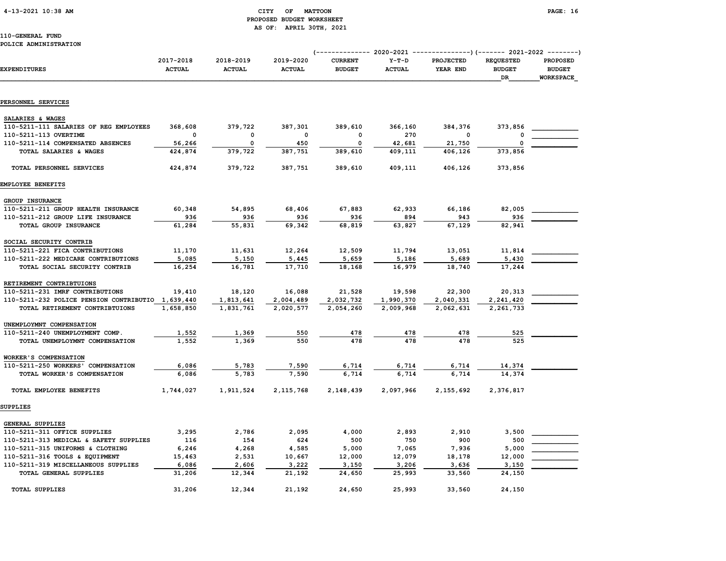#### 4-13-2021 10:38 AM CITY OF MATTOON PAGE: 16 PROPOSED BUDGET WORKSHEET AS OF: APRIL 30TH, 2021

#### 110-GENERAL FUND POLICE ADMINISTRATION

| <b>EXPENDITURES</b>                               | 2017-2018<br><b>ACTUAL</b> | 2018-2019<br><b>ACTUAL</b> | 2019-2020<br><b>ACTUAL</b> | <b>CURRENT</b><br><b>BUDGET</b> | $Y-T-D$<br><b>ACTUAL</b> | <b>PROJECTED</b><br>YEAR END | <b>REQUESTED</b><br><b>BUDGET</b><br>DR | <b>PROPOSED</b><br><b>BUDGET</b><br><b>WORKSPACE</b> |
|---------------------------------------------------|----------------------------|----------------------------|----------------------------|---------------------------------|--------------------------|------------------------------|-----------------------------------------|------------------------------------------------------|
|                                                   |                            |                            |                            |                                 |                          |                              |                                         |                                                      |
| PERSONNEL SERVICES                                |                            |                            |                            |                                 |                          |                              |                                         |                                                      |
| SALARIES & WAGES                                  |                            |                            |                            |                                 |                          |                              |                                         |                                                      |
| 110-5211-111 SALARIES OF REG EMPLOYEES            | 368,608                    | 379,722                    | 387,301                    | 389,610                         | 366,160                  | 384,376                      | 373,856                                 |                                                      |
| 110-5211-113 OVERTIME                             | $\Omega$                   | $\mathbf{0}$               | $\mathbf 0$                | $\mathbf 0$                     | 270                      | $\mathbf 0$                  | $\Omega$                                |                                                      |
| 110-5211-114 COMPENSATED ABSENCES                 | 56,266                     | 0                          | 450                        | 0                               | 42,681                   | 21,750                       | $\Omega$                                |                                                      |
| TOTAL SALARIES & WAGES                            | 424,874                    | 379,722                    | 387,751                    | 389,610                         | 409,111                  | 406,126                      | 373,856                                 |                                                      |
| TOTAL PERSONNEL SERVICES                          | 424,874                    | 379,722                    | 387,751                    | 389,610                         | 409,111                  | 406,126                      | 373,856                                 |                                                      |
| EMPLOYEE BENEFITS                                 |                            |                            |                            |                                 |                          |                              |                                         |                                                      |
| GROUP INSURANCE                                   |                            |                            |                            |                                 |                          |                              |                                         |                                                      |
| 110-5211-211 GROUP HEALTH INSURANCE               | 60,348                     | 54,895                     | 68,406                     | 67,883                          | 62,933                   | 66,186                       | 82,005                                  |                                                      |
| 110-5211-212 GROUP LIFE INSURANCE                 | 936                        | 936                        | 936                        | 936                             | 894                      | 943                          | 936                                     |                                                      |
| TOTAL GROUP INSURANCE                             | 61,284                     | 55,831                     | 69,342                     | 68,819                          | 63,827                   | 67.129                       | 82,941                                  |                                                      |
| SOCIAL SECURITY CONTRIB                           |                            |                            |                            |                                 |                          |                              |                                         |                                                      |
| 110-5211-221 FICA CONTRIBUTIONS                   | 11,170                     | 11,631                     | 12,264                     | 12,509                          | 11,794                   | 13,051                       | 11,814                                  |                                                      |
| 110-5211-222 MEDICARE CONTRIBUTIONS               | 5,085                      | 5,150                      | 5,445                      | 5,659                           | 5,186                    | 5,689                        | 5,430                                   |                                                      |
| TOTAL SOCIAL SECURITY CONTRIB                     | 16,254                     | 16,781                     | 17,710                     | 18,168                          | 16,979                   | 18,740                       | 17,244                                  |                                                      |
| RETIREMENT CONTRIBTUIONS                          |                            |                            |                            |                                 |                          |                              |                                         |                                                      |
| 110-5211-231 IMRF CONTRIBUTIONS                   | 19,410                     | 18,120                     | 16,088                     | 21,528                          | 19,598                   | 22,300                       | 20,313                                  |                                                      |
| 110-5211-232 POLICE PENSION CONTRIBUTIO 1,639,440 |                            | 1,813,641                  | 2,004,489                  | 2,032,732                       | 1,990,370                | 2,040,331                    | 2,241,420                               |                                                      |
| TOTAL RETIREMENT CONTRIBTUIONS                    | 1,658,850                  | 1,831,761                  | 2,020,577                  | 2,054,260                       | 2,009,968                | 2,062,631                    | 2,261,733                               |                                                      |
| UNEMPLOYMNT COMPENSATION                          |                            |                            |                            |                                 |                          |                              |                                         |                                                      |
| 110-5211-240 UNEMPLOYMENT COMP.                   | 1,552                      | 1,369                      | 550                        | 478                             | 478                      | 478                          | 525                                     |                                                      |
| TOTAL UNEMPLOYMNT COMPENSATION                    | 1,552                      | 1,369                      | 550                        | 478                             | 478                      | 478                          | 525                                     |                                                      |
| WORKER'S COMPENSATION                             |                            |                            |                            |                                 |                          |                              |                                         |                                                      |
| 110-5211-250 WORKERS' COMPENSATION                | 6,086                      | 5,783                      | 7,590                      | 6,714                           | 6,714                    | 6,714                        | 14,374                                  |                                                      |
| TOTAL WORKER'S COMPENSATION                       | 6,086                      | 5,783                      | 7,590                      | 6,714                           | 6,714                    | 6,714                        | 14,374                                  |                                                      |
| TOTAL EMPLOYEE BENEFITS                           | 1,744,027                  | 1,911,524                  | 2,115,768                  | 2,148,439                       | 2,097,966                | 2,155,692                    | 2,376,817                               |                                                      |
| <b>SUPPLIES</b>                                   |                            |                            |                            |                                 |                          |                              |                                         |                                                      |
| <b>GENERAL SUPPLIES</b>                           |                            |                            |                            |                                 |                          |                              |                                         |                                                      |
| 110-5211-311 OFFICE SUPPLIES                      | 3,295                      | 2,786                      | 2,095                      | 4,000                           | 2,893                    | 2,910                        | 3,500                                   |                                                      |
| 110-5211-313 MEDICAL & SAFETY SUPPLIES            | 116                        | 154                        | 624                        | 500                             | 750                      | 900                          | 500                                     |                                                      |
| 110-5211-315 UNIFORMS & CLOTHING                  | 6,246                      | 4,268                      | 4,585                      | 5,000                           | 7,065                    | 7,936                        | 5,000                                   |                                                      |
| 110-5211-316 TOOLS & EQUIPMENT                    | 15,463                     | 2,531                      | 10,667                     | 12,000                          | 12,079                   | 18,178                       | 12,000                                  |                                                      |
| 110-5211-319 MISCELLANEOUS SUPPLIES               | 6,086                      | 2,606                      | 3,222                      | 3,150                           | 3,206                    | 3,636                        | 3,150                                   |                                                      |
| TOTAL GENERAL SUPPLIES                            | 31,206                     | 12,344                     | 21,192                     | 24,650                          | 25,993                   | 33,560                       | 24,150                                  |                                                      |
| TOTAL SUPPLIES                                    | 31,206                     | 12,344                     | 21,192                     | 24,650                          | 25,993                   | 33,560                       | 24,150                                  |                                                      |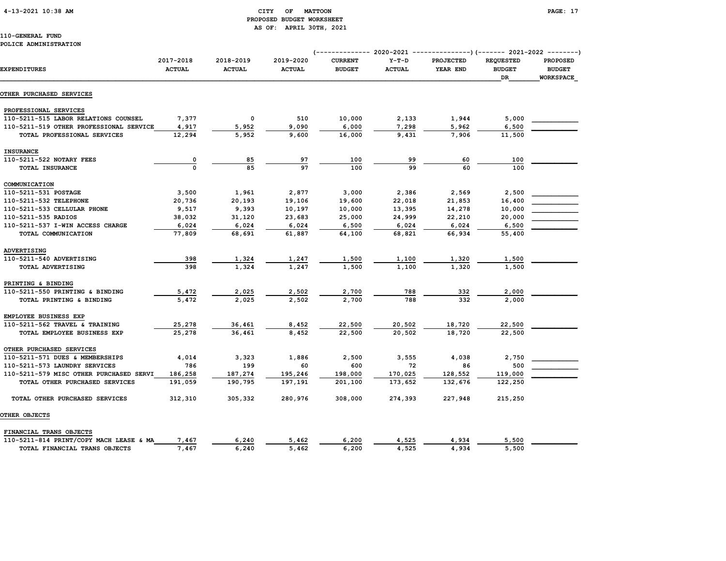#### 4-13-2021 10:38 AM CITY OF MATTOON PAGE: 17 PROPOSED BUDGET WORKSHEET AS OF: APRIL 30TH, 2021

|                                         | 2017-2018     | 2018-2019     | 2019-2020     | (-------------- 2020-2021<br><b>CURRENT</b> | $Y-T-D$       | ---------------) (------- 2021-2022 --------)<br><b>PROJECTED</b> | <b>REQUESTED</b>    | <b>PROPOSED</b>            |
|-----------------------------------------|---------------|---------------|---------------|---------------------------------------------|---------------|-------------------------------------------------------------------|---------------------|----------------------------|
| <b>EXPENDITURES</b>                     | <b>ACTUAL</b> | <b>ACTUAL</b> | <b>ACTUAL</b> | <b>BUDGET</b>                               | <b>ACTUAL</b> | YEAR END                                                          | <b>BUDGET</b><br>DR | <b>BUDGET</b><br>WORKSPACE |
| <b>OTHER PURCHASED SERVICES</b>         |               |               |               |                                             |               |                                                                   |                     |                            |
| PROFESSIONAL SERVICES                   |               |               |               |                                             |               |                                                                   |                     |                            |
| 110-5211-515 LABOR RELATIONS COUNSEL    | 7,377         | 0             | 510           | 10,000                                      | 2,133         | 1,944                                                             | 5,000               |                            |
| 110-5211-519 OTHER PROFESSIONAL SERVICE | 4,917         | 5,952         | 9,090         | 6,000                                       | 7,298         | 5,962                                                             | 6,500               |                            |
| TOTAL PROFESSIONAL SERVICES             | 12,294        | 5,952         | 9,600         | 16,000                                      | 9,431         | 7,906                                                             | 11,500              |                            |
| <b>INSURANCE</b>                        |               |               |               |                                             |               |                                                                   |                     |                            |
| 110-5211-522 NOTARY FEES                | 0             | 85            | 97            | 100                                         | 99            | 60                                                                | 100                 |                            |
| TOTAL INSURANCE                         | $\mathbf 0$   | 85            | 97            | 100                                         | 99            | 60                                                                | 100                 |                            |
| COMMUNICATION                           |               |               |               |                                             |               |                                                                   |                     |                            |
| 110-5211-531 POSTAGE                    | 3,500         | 1,961         | 2,877         | 3,000                                       | 2,386         | 2,569                                                             | 2,500               |                            |
| 110-5211-532 TELEPHONE                  | 20,736        | 20,193        | 19,106        | 19,600                                      | 22,018        | 21,853                                                            | 16,400              |                            |
| 110-5211-533 CELLULAR PHONE             | 9,517         | 9,393         | 10,197        | 10,000                                      | 13,395        | 14,278                                                            | 10,000              |                            |
| 110-5211-535 RADIOS                     | 38,032        | 31,120        | 23,683        | 25,000                                      | 24,999        | 22,210                                                            | 20,000              |                            |
| 110-5211-537 I-WIN ACCESS CHARGE        | 6,024         | 6,024         | 6,024         | 6,500                                       | 6,024         | 6,024                                                             | 6,500               |                            |
| TOTAL COMMUNICATION                     | 77,809        | 68,691        | 61,887        | 64,100                                      | 68,821        | 66,934                                                            | 55,400              |                            |
| ADVERTISING                             |               |               |               |                                             |               |                                                                   |                     |                            |
| 110-5211-540 ADVERTISING                | 398           | 1,324         | 1,247         | 1,500                                       | 1,100         | 1,320                                                             | 1,500               |                            |
| TOTAL ADVERTISING                       | 398           | 1,324         | 1,247         | 1,500                                       | 1,100         | 1,320                                                             | 1,500               |                            |
| PRINTING & BINDING                      |               |               |               |                                             |               |                                                                   |                     |                            |
| 110-5211-550 PRINTING & BINDING         | 5,472         | 2,025         | 2,502         | 2,700                                       | 788           | 332                                                               | 2,000               |                            |
| TOTAL PRINTING & BINDING                | 5,472         | 2,025         | 2,502         | 2,700                                       | 788           | 332                                                               | 2,000               |                            |
| EMPLOYEE BUSINESS EXP                   |               |               |               |                                             |               |                                                                   |                     |                            |
| 110-5211-562 TRAVEL & TRAINING          | 25,278        | 36,461        | 8,452         | 22,500                                      | 20,502        | 18,720                                                            | 22,500              |                            |
| TOTAL EMPLOYEE BUSINESS EXP             | 25,278        | 36,461        | 8,452         | 22,500                                      | 20,502        | 18,720                                                            | 22,500              |                            |
| OTHER PURCHASED SERVICES                |               |               |               |                                             |               |                                                                   |                     |                            |
| 110-5211-571 DUES & MEMBERSHIPS         | 4,014         | 3,323         | 1,886         | 2,500                                       | 3,555         | 4,038                                                             | 2,750               |                            |
| 110-5211-573 LAUNDRY SERVICES           | 786           | 199           | 60            | 600                                         | 72            | 86                                                                | 500                 |                            |
| 110-5211-579 MISC OTHER PURCHASED SERVI | 186,258       | 187,274       | 195,246       | 198,000                                     | 170,025       | 128,552                                                           | 119,000             |                            |
| TOTAL OTHER PURCHASED SERVICES          | 191,059       | 190,795       | 197,191       | 201,100                                     | 173,652       | 132,676                                                           | 122,250             |                            |
| TOTAL OTHER PURCHASED SERVICES          | 312,310       | 305,332       | 280,976       | 308,000                                     | 274,393       | 227,948                                                           | 215,250             |                            |
| <b>OTHER OBJECTS</b>                    |               |               |               |                                             |               |                                                                   |                     |                            |
| FINANCIAL TRANS OBJECTS                 |               |               |               |                                             |               |                                                                   |                     |                            |
| 110-5211-814 PRINT/COPY MACH LEASE & MA | 7,467         | 6,240         | 5,462         | 6,200                                       | 4,525         | 4,934                                                             | 5,500               |                            |
| TOTAL FINANCIAL TRANS OBJECTS           | 7,467         | 6,240         | 5,462         | 6,200                                       | 4,525         | 4,934                                                             | 5,500               |                            |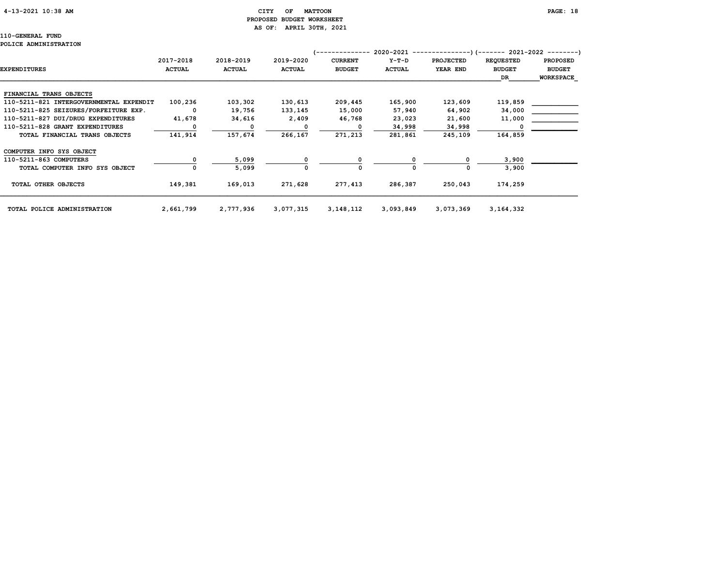#### 4-13-2021 10:38 AM CITY OF MATTOON PAGE: 18 PROPOSED BUDGET WORKSHEET AS OF: APRIL 30TH, 2021

|                                         |               |               |               |                | 2020-2021     |                  | --)(------- 2021-2022 --------) |                  |
|-----------------------------------------|---------------|---------------|---------------|----------------|---------------|------------------|---------------------------------|------------------|
|                                         | 2017-2018     | 2018-2019     | 2019-2020     | <b>CURRENT</b> | $Y-T-D$       | <b>PROJECTED</b> | <b>REQUESTED</b>                | <b>PROPOSED</b>  |
| <b>EXPENDITURES</b>                     | <b>ACTUAL</b> | <b>ACTUAL</b> | <b>ACTUAL</b> | <b>BUDGET</b>  | <b>ACTUAL</b> | YEAR END         | <b>BUDGET</b>                   | <b>BUDGET</b>    |
|                                         |               |               |               |                |               |                  | DR                              | <b>WORKSPACE</b> |
|                                         |               |               |               |                |               |                  |                                 |                  |
| FINANCIAL TRANS OBJECTS                 |               |               |               |                |               |                  |                                 |                  |
| 110-5211-821 INTERGOVERNMENTAL EXPENDIT | 100,236       | 103,302       | 130,613       | 209,445        | 165,900       | 123,609          | 119,859                         |                  |
| 110-5211-825 SEIZURES/FORFEITURE EXP.   | $^{\circ}$    | 19,756        | 133,145       | 15,000         | 57,940        | 64,902           | 34,000                          |                  |
| 110-5211-827 DUI/DRUG EXPENDITURES      | 41,678        | 34,616        | 2,409         | 46,768         | 23,023        | 21,600           | 11,000                          |                  |
| 110-5211-828 GRANT EXPENDITURES         |               | $\Omega$      | O             | O              | 34,998        | 34,998           |                                 |                  |
| TOTAL FINANCIAL TRANS OBJECTS           | 141,914       | 157,674       | 266,167       | 271,213        | 281,861       | 245,109          | 164,859                         |                  |
| COMPUTER INFO SYS OBJECT                |               |               |               |                |               |                  |                                 |                  |
| 110-5211-863 COMPUTERS                  |               | 5,099         |               |                |               |                  | 3,900                           |                  |
| TOTAL COMPUTER INFO SYS OBJECT          |               | 5,099         | 0             | 0              |               | O                | 3,900                           |                  |
| TOTAL OTHER OBJECTS                     | 149,381       | 169,013       | 271,628       | 277,413        | 286,387       | 250,043          | 174,259                         |                  |
| TOTAL POLICE ADMINISTRATION             | 2,661,799     | 2,777,936     | 3,077,315     | 3, 148, 112    | 3,093,849     | 3,073,369        | 3,164,332                       |                  |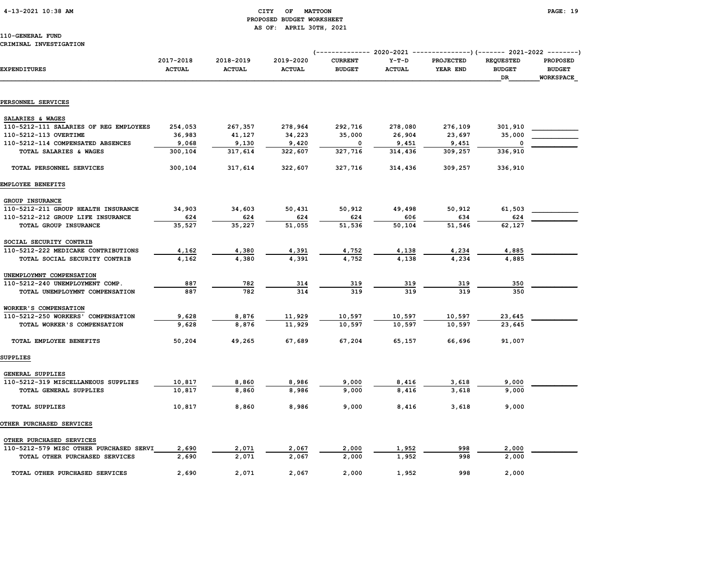#### 4-13-2021 10:38 AM CITY OF MATTOON PAGE: 19 PROPOSED BUDGET WORKSHEET AS OF: APRIL 30TH, 2021

|                                         |                            |                            |                            | (------------- 2020-2021 ---------------) (------- 2021-2022 --------) |                          |                              |                                         |                                                      |
|-----------------------------------------|----------------------------|----------------------------|----------------------------|------------------------------------------------------------------------|--------------------------|------------------------------|-----------------------------------------|------------------------------------------------------|
| <b>EXPENDITURES</b>                     | 2017-2018<br><b>ACTUAL</b> | 2018-2019<br><b>ACTUAL</b> | 2019-2020<br><b>ACTUAL</b> | <b>CURRENT</b><br><b>BUDGET</b>                                        | $Y-T-D$<br><b>ACTUAL</b> | <b>PROJECTED</b><br>YEAR END | <b>REQUESTED</b><br><b>BUDGET</b><br>DR | <b>PROPOSED</b><br><b>BUDGET</b><br><b>WORKSPACE</b> |
|                                         |                            |                            |                            |                                                                        |                          |                              |                                         |                                                      |
| PERSONNEL SERVICES                      |                            |                            |                            |                                                                        |                          |                              |                                         |                                                      |
| SALARIES & WAGES                        |                            |                            |                            |                                                                        |                          |                              |                                         |                                                      |
| 110-5212-111 SALARIES OF REG EMPLOYEES  | 254,053                    | 267,357                    | 278,964                    | 292,716                                                                | 278,080                  | 276,109                      | 301,910                                 |                                                      |
| 110-5212-113 OVERTIME                   | 36,983                     | 41,127                     | 34,223                     | 35,000                                                                 | 26,904                   | 23,697                       | 35,000                                  |                                                      |
| 110-5212-114 COMPENSATED ABSENCES       | 9,068                      | 9,130                      | 9,420                      | 0                                                                      | 9,451                    | 9,451                        |                                         |                                                      |
| TOTAL SALARIES & WAGES                  | 300,104                    | 317,614                    | 322,607                    | 327,716                                                                | 314,436                  | 309,257                      | 336,910                                 |                                                      |
| TOTAL PERSONNEL SERVICES                | 300,104                    | 317,614                    | 322,607                    | 327,716                                                                | 314,436                  | 309,257                      | 336,910                                 |                                                      |
| EMPLOYEE BENEFITS                       |                            |                            |                            |                                                                        |                          |                              |                                         |                                                      |
| <b>GROUP INSURANCE</b>                  |                            |                            |                            |                                                                        |                          |                              |                                         |                                                      |
| 110-5212-211 GROUP HEALTH INSURANCE     | 34,903                     | 34,603                     | 50,431                     | 50,912                                                                 | 49,498                   | 50,912                       | 61,503                                  |                                                      |
| 110-5212-212 GROUP LIFE INSURANCE       | 624                        | 624                        | 624                        | 624                                                                    | 606                      | 634                          | 624                                     |                                                      |
| TOTAL GROUP INSURANCE                   | 35,527                     | 35,227                     | 51,055                     | 51,536                                                                 | 50,104                   | 51,546                       | 62,127                                  |                                                      |
| SOCIAL SECURITY CONTRIB                 |                            |                            |                            |                                                                        |                          |                              |                                         |                                                      |
| 110-5212-222 MEDICARE CONTRIBUTIONS     | 4,162                      | 4,380                      | 4,391                      | 4,752                                                                  | 4,138                    | 4,234                        | 4,885                                   |                                                      |
| TOTAL SOCIAL SECURITY CONTRIB           | 4,162                      | 4,380                      | 4,391                      | 4,752                                                                  | 4,138                    | 4,234                        | 4,885                                   |                                                      |
| UNEMPLOYMNT COMPENSATION                |                            |                            |                            |                                                                        |                          |                              |                                         |                                                      |
| 110-5212-240 UNEMPLOYMENT COMP.         | 887                        | 782                        | 314                        | 319                                                                    | 319                      | 319                          | 350                                     |                                                      |
| TOTAL UNEMPLOYMNT COMPENSATION          | 887                        | 782                        | 314                        | 319                                                                    | 319                      | 319                          | 350                                     |                                                      |
| WORKER'S COMPENSATION                   |                            |                            |                            |                                                                        |                          |                              |                                         |                                                      |
| 110-5212-250 WORKERS' COMPENSATION      | 9,628                      | 8,876                      | 11,929                     | 10,597                                                                 | 10,597                   | 10,597                       | 23,645                                  |                                                      |
| TOTAL WORKER'S COMPENSATION             | 9,628                      | 8,876                      | 11,929                     | 10,597                                                                 | 10,597                   | 10,597                       | 23,645                                  |                                                      |
| TOTAL EMPLOYEE BENEFITS                 | 50,204                     | 49,265                     | 67,689                     | 67,204                                                                 | 65,157                   | 66,696                       | 91,007                                  |                                                      |
| SUPPLIES                                |                            |                            |                            |                                                                        |                          |                              |                                         |                                                      |
| <b>GENERAL SUPPLIES</b>                 |                            |                            |                            |                                                                        |                          |                              |                                         |                                                      |
| 110-5212-319 MISCELLANEOUS SUPPLIES     | 10,817                     | 8,860                      | 8,986                      | 9,000                                                                  | 8,416                    | 3,618                        | 9,000                                   |                                                      |
| TOTAL GENERAL SUPPLIES                  | 10,817                     | 8,860                      | 8,986                      | 9,000                                                                  | 8,416                    | 3,618                        | 9,000                                   |                                                      |
| <b>TOTAL SUPPLIES</b>                   | 10,817                     | 8,860                      | 8,986                      | 9,000                                                                  | 8,416                    | 3,618                        | 9,000                                   |                                                      |
| OTHER PURCHASED SERVICES                |                            |                            |                            |                                                                        |                          |                              |                                         |                                                      |
| OTHER PURCHASED SERVICES                |                            |                            |                            |                                                                        |                          |                              |                                         |                                                      |
| 110-5212-579 MISC OTHER PURCHASED SERVI | 2,690                      | 2,071                      | 2,067                      | 2,000                                                                  | 1,952                    | 998                          | 2,000                                   |                                                      |
| TOTAL OTHER PURCHASED SERVICES          | 2,690                      | 2,071                      | 2,067                      | 2,000                                                                  | 1,952                    | 998                          | 2,000                                   |                                                      |
| TOTAL OTHER PURCHASED SERVICES          | 2,690                      | 2,071                      | 2,067                      | 2,000                                                                  | 1,952                    | 998                          | 2,000                                   |                                                      |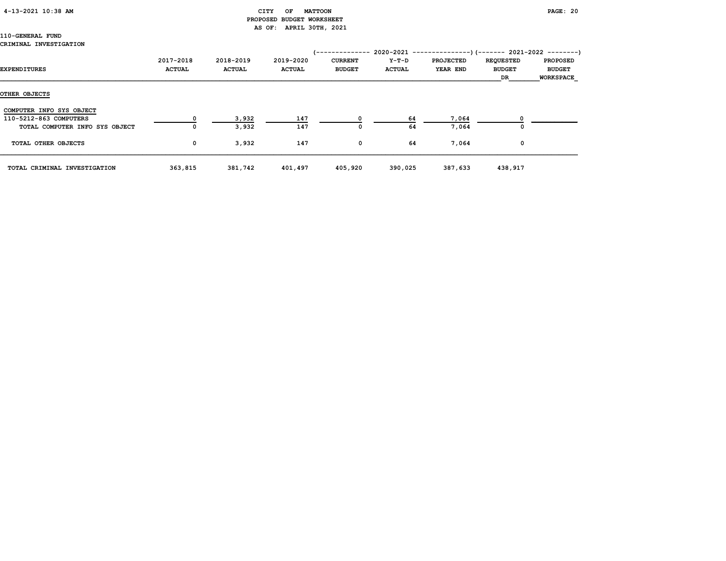#### 4-13-2021 10:38 AM CITY OF MATTOON PAGE: 20

# PROPOSED BUDGET WORKSHEET AS OF: APRIL 30TH, 2021

|                                |               |               |               | '-------------- |               | 2020-2021 ----------------) (------- 2021-2022 ---------) |                  |                  |
|--------------------------------|---------------|---------------|---------------|-----------------|---------------|-----------------------------------------------------------|------------------|------------------|
|                                | 2017-2018     | 2018-2019     | 2019-2020     | <b>CURRENT</b>  | Y-T-D         | <b>PROJECTED</b>                                          | <b>REQUESTED</b> | <b>PROPOSED</b>  |
| EXPENDITURES                   | <b>ACTUAL</b> | <b>ACTUAL</b> | <b>ACTUAL</b> | <b>BUDGET</b>   | <b>ACTUAL</b> | YEAR END                                                  | <b>BUDGET</b>    | <b>BUDGET</b>    |
|                                |               |               |               |                 |               |                                                           | DR               | <b>WORKSPACE</b> |
| OTHER OBJECTS                  |               |               |               |                 |               |                                                           |                  |                  |
| COMPUTER INFO SYS OBJECT       |               |               |               |                 |               |                                                           |                  |                  |
| 110-5212-863 COMPUTERS         |               | 3,932         | 147           |                 | 64            | 7,064                                                     |                  |                  |
| TOTAL COMPUTER INFO SYS OBJECT | 0             | 3,932         | 147           | $\Omega$        | 64            | 7,064                                                     |                  |                  |
| TOTAL OTHER OBJECTS            | $\mathbf 0$   | 3,932         | 147           | 0               | 64            | 7,064                                                     | 0                |                  |
| TOTAL CRIMINAL INVESTIGATION   | 363,815       | 381,742       | 401,497       | 405,920         | 390,025       | 387,633                                                   | 438,917          |                  |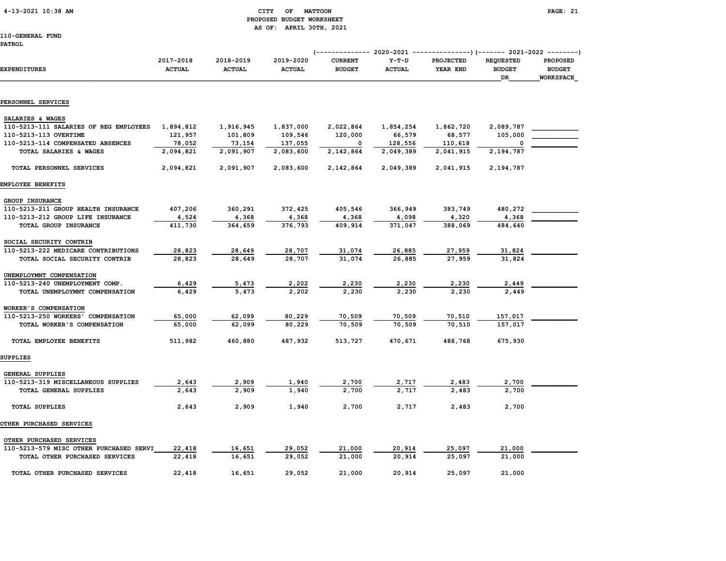### 4-13-2021 10:38 AM CITY OF MATTOON PAGE: 21 PROPOSED BUDGET WORKSHEET AS OF: APRIL 30TH, 2021

110-GENERAL FUND

#### PATROL

| <b>EXPENDITURES</b>                     | 2017-2018<br><b>ACTUAL</b> | 2018-2019<br><b>ACTUAL</b> | 2019-2020<br><b>ACTUAL</b> | <b>CURRENT</b><br><b>BUDGET</b> | $Y-T-D$<br><b>ACTUAL</b> | <b>PROJECTED</b><br>YEAR END | <b>REQUESTED</b><br><b>BUDGET</b><br>DR | <b>PROPOSED</b><br><b>BUDGET</b><br>WORKSPACE |  |
|-----------------------------------------|----------------------------|----------------------------|----------------------------|---------------------------------|--------------------------|------------------------------|-----------------------------------------|-----------------------------------------------|--|
|                                         |                            |                            |                            |                                 |                          |                              |                                         |                                               |  |
| PERSONNEL SERVICES                      |                            |                            |                            |                                 |                          |                              |                                         |                                               |  |
| SALARIES & WAGES                        |                            |                            |                            |                                 |                          |                              |                                         |                                               |  |
| 110-5213-111 SALARIES OF REG EMPLOYEES  | 1,894,812                  | 1,916,945                  | 1,837,000                  | 2,022,864                       | 1,854,254                | 1,862,720                    | 2,089,787                               |                                               |  |
| 110-5213-113 OVERTIME                   | 121,957                    | 101,809                    | 109,546                    | 120,000                         | 66,579                   | 68,577                       | 105,000                                 |                                               |  |
| 110-5213-114 COMPENSATED ABSENCES       | 78,052                     | 73,154                     | 137,055                    | $\Omega$                        | 128,556                  | 110,618                      | O                                       |                                               |  |
| TOTAL SALARIES & WAGES                  | 2,094,821                  | 2,091,907                  | 2,083,600                  | 2,142,864                       | 2,049,389                | 2,041,915                    | 2,194,787                               |                                               |  |
| TOTAL PERSONNEL SERVICES                | 2,094,821                  | 2,091,907                  | 2,083,600                  | 2,142,864                       | 2,049,389                | 2,041,915                    | 2,194,787                               |                                               |  |
| EMPLOYEE BENEFITS                       |                            |                            |                            |                                 |                          |                              |                                         |                                               |  |
| GROUP INSURANCE                         |                            |                            |                            |                                 |                          |                              |                                         |                                               |  |
| 110-5213-211 GROUP HEALTH INSURANCE     | 407,206                    | 360,291                    | 372,425                    | 405,546                         | 366,949                  | 383,749                      | 480,272                                 |                                               |  |
| 110-5213-212 GROUP LIFE INSURANCE       | 4,524                      | 4,368                      | 4,368                      | 4,368                           | 4,098                    | 4,320                        | 4,368                                   |                                               |  |
| TOTAL GROUP INSURANCE                   | 411,730                    | 364,659                    | 376,793                    | 409,914                         | 371,047                  | 388,069                      | 484,640                                 |                                               |  |
| SOCIAL SECURITY CONTRIB                 |                            |                            |                            |                                 |                          |                              |                                         |                                               |  |
| 110-5213-222 MEDICARE CONTRIBUTIONS     | 28,823                     | 28,649                     | 28,707                     | 31,074                          | 26,885                   | 27,959                       | 31,824                                  |                                               |  |
| TOTAL SOCIAL SECURITY CONTRIB           | 28,823                     | 28,649                     | 28,707                     | 31,074                          | 26,885                   | 27,959                       | 31,824                                  |                                               |  |
| UNEMPLOYMNT COMPENSATION                |                            |                            |                            |                                 |                          |                              |                                         |                                               |  |
| 110-5213-240 UNEMPLOYMENT COMP.         | 6,429                      | 5,473                      | 2,202                      | 2,230                           | 2,230                    | 2,230                        | 2,449                                   |                                               |  |
| TOTAL UNEMPLOYMNT COMPENSATION          | 6,429                      | 5,473                      | 2,202                      | 2,230                           | 2,230                    | 2,230                        | 2,449                                   |                                               |  |
| WORKER'S COMPENSATION                   |                            |                            |                            |                                 |                          |                              |                                         |                                               |  |
| 110-5213-250 WORKERS' COMPENSATION      | 65,000                     | 62,099                     | 80,229                     | 70,509                          | 70,509                   | 70,510                       | 157,017                                 |                                               |  |
| TOTAL WORKER'S COMPENSATION             | 65,000                     | 62,099                     | 80,229                     | 70,509                          | 70,509                   | 70,510                       | 157,017                                 |                                               |  |
| TOTAL EMPLOYEE BENEFITS                 | 511,982                    | 460,880                    | 487,932                    | 513,727                         | 470,671                  | 488,768                      | 675,930                                 |                                               |  |
| SUPPLIES                                |                            |                            |                            |                                 |                          |                              |                                         |                                               |  |
| GENERAL SUPPLIES                        |                            |                            |                            |                                 |                          |                              |                                         |                                               |  |
| 110-5213-319 MISCELLANEOUS SUPPLIES     | 2,643                      | 2,909                      | 1,940                      | 2,700                           | 2,717                    | 2,483                        | 2,700                                   |                                               |  |
| TOTAL GENERAL SUPPLIES                  | 2,643                      | 2,909                      | 1,940                      | 2,700                           | 2,717                    | 2,483                        | 2,700                                   |                                               |  |
| <b>TOTAL SUPPLIES</b>                   | 2,643                      | 2,909                      | 1,940                      | 2,700                           | 2,717                    | 2,483                        | 2,700                                   |                                               |  |
| OTHER PURCHASED SERVICES                |                            |                            |                            |                                 |                          |                              |                                         |                                               |  |
| OTHER PURCHASED SERVICES                |                            |                            |                            |                                 |                          |                              |                                         |                                               |  |
| 110-5213-579 MISC OTHER PURCHASED SERVI | 22,418                     | 16,651                     | 29,052                     | 21,000                          | 20,914                   | 25,097                       | 21,000                                  |                                               |  |
| TOTAL OTHER PURCHASED SERVICES          | 22,418                     | 16,651                     | 29,052                     | 21,000                          | 20,914                   | 25,097                       | 21,000                                  |                                               |  |
| TOTAL OTHER PURCHASED SERVICES          | 22,418                     | 16,651                     | 29,052                     | 21,000                          | 20,914                   | 25,097                       | 21,000                                  |                                               |  |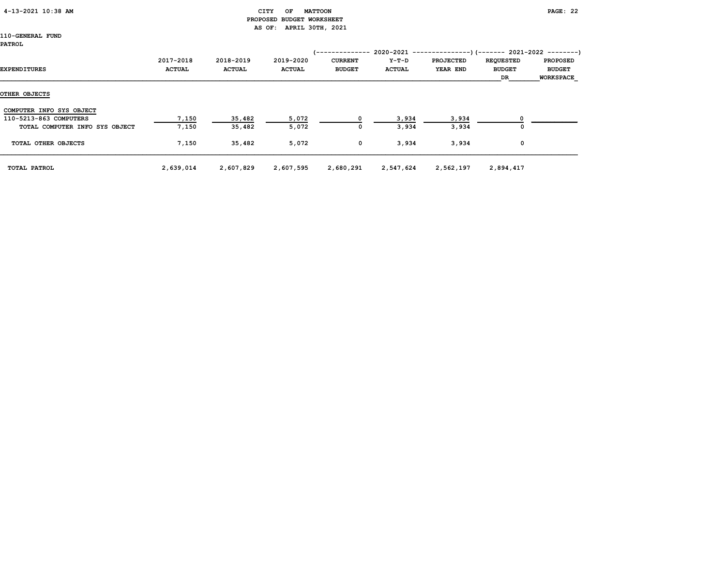| 4-13-2021 10:38 AM |  |  |
|--------------------|--|--|
|--------------------|--|--|

#### CITY OF MATTOON **PAGE: 22**  PROPOSED BUDGET WORKSHEET AS OF: APRIL 30TH, 2021

110-GENERAL FUND PATROL

| EXPENDITURES                   | 2017-2018<br><b>ACTUAL</b> | 2018-2019<br><b>ACTUAL</b> | 2019-2020<br><b>ACTUAL</b> | /--------------<br><b>CURRENT</b><br><b>BUDGET</b> | Y-T-D<br><b>ACTUAL</b> | $2020-2021$ ----------------)(------- 2021-2022 --------)<br><b>PROJECTED</b><br>YEAR END | <b>REQUESTED</b><br><b>BUDGET</b><br>DR | <b>PROPOSED</b><br><b>BUDGET</b><br><b>WORKSPACE</b> |
|--------------------------------|----------------------------|----------------------------|----------------------------|----------------------------------------------------|------------------------|-------------------------------------------------------------------------------------------|-----------------------------------------|------------------------------------------------------|
| OTHER OBJECTS                  |                            |                            |                            |                                                    |                        |                                                                                           |                                         |                                                      |
| COMPUTER INFO SYS OBJECT       |                            |                            |                            |                                                    |                        |                                                                                           |                                         |                                                      |
| 110-5213-863 COMPUTERS         | 7,150                      | 35,482                     | 5,072                      |                                                    | 3,934                  | 3,934                                                                                     |                                         |                                                      |
| TOTAL COMPUTER INFO SYS OBJECT | 7,150                      | 35,482                     | 5,072                      | 0                                                  | 3,934                  | 3,934                                                                                     | O                                       |                                                      |
| TOTAL OTHER OBJECTS            | 7,150                      | 35,482                     | 5,072                      | 0                                                  | 3,934                  | 3,934                                                                                     | 0                                       |                                                      |
| TOTAL PATROL                   | 2,639,014                  | 2,607,829                  | 2,607,595                  | 2,680,291                                          | 2,547,624              | 2,562,197                                                                                 | 2,894,417                               |                                                      |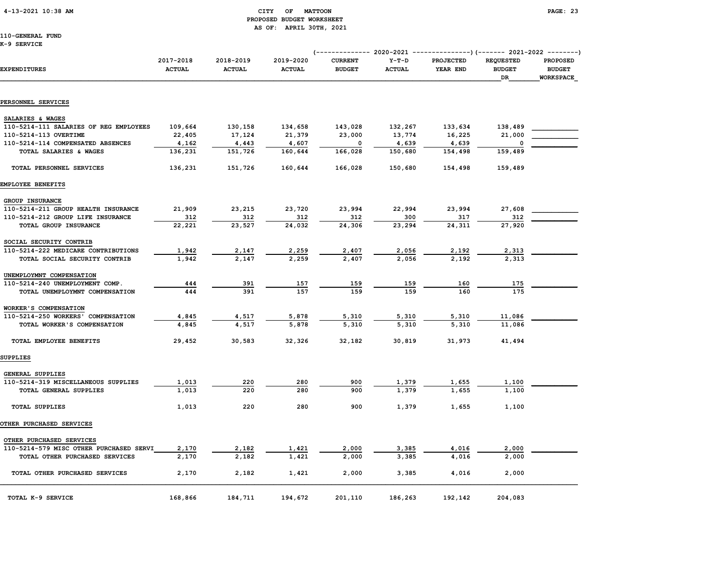### 4-13-2021 10:38 AM CITY OF MATTOON PAGE: 23 PROPOSED BUDGET WORKSHEET AS OF: APRIL 30TH, 2021

# 110-GENERAL FUND

K-9 SERVICE

| EXPENDITURES                            | 2017-2018<br><b>ACTUAL</b> | 2018-2019<br><b>ACTUAL</b> | 2019-2020<br><b>ACTUAL</b> | <b>CURRENT</b><br><b>BUDGET</b> | $Y-T-D$<br><b>ACTUAL</b> | <b>PROJECTED</b><br>YEAR END | <b>REQUESTED</b><br><b>BUDGET</b><br>DR | <b>PROPOSED</b><br><b>BUDGET</b><br>WORKSPACE |
|-----------------------------------------|----------------------------|----------------------------|----------------------------|---------------------------------|--------------------------|------------------------------|-----------------------------------------|-----------------------------------------------|
| PERSONNEL SERVICES                      |                            |                            |                            |                                 |                          |                              |                                         |                                               |
| SALARIES & WAGES                        |                            |                            |                            |                                 |                          |                              |                                         |                                               |
| 110-5214-111 SALARIES OF REG EMPLOYEES  | 109,664                    | 130,158                    | 134,658                    | 143,028                         | 132,267                  | 133,634                      | 138,489                                 |                                               |
| 110-5214-113 OVERTIME                   | 22,405                     | 17,124                     | 21,379                     | 23,000                          | 13,774                   | 16,225                       | 21,000                                  |                                               |
| 110-5214-114 COMPENSATED ABSENCES       | 4,162                      | 4,443                      | 4,607                      | 0                               | 4,639                    | 4,639                        |                                         |                                               |
| TOTAL SALARIES & WAGES                  | 136,231                    | 151,726                    | 160,644                    | 166,028                         | 150,680                  | 154,498                      | 159,489                                 |                                               |
| TOTAL PERSONNEL SERVICES                | 136,231                    | 151,726                    | 160,644                    | 166,028                         | 150,680                  | 154,498                      | 159,489                                 |                                               |
| EMPLOYEE BENEFITS                       |                            |                            |                            |                                 |                          |                              |                                         |                                               |
| GROUP INSURANCE                         |                            |                            |                            |                                 |                          |                              |                                         |                                               |
| 110-5214-211 GROUP HEALTH INSURANCE     | 21,909                     | 23,215                     | 23,720                     | 23,994                          | 22,994                   | 23,994                       | 27,608                                  |                                               |
| 110-5214-212 GROUP LIFE INSURANCE       | 312                        | 312                        | 312                        | 312                             | 300                      | 317                          | 312                                     |                                               |
| TOTAL GROUP INSURANCE                   | 22,221                     | 23,527                     | 24,032                     | 24,306                          | 23,294                   | 24,311                       | 27,920                                  |                                               |
| SOCIAL SECURITY CONTRIB                 |                            |                            |                            |                                 |                          |                              |                                         |                                               |
| 110-5214-222 MEDICARE CONTRIBUTIONS     | 1,942                      | 2,147                      | 2,259                      | 2,407                           | 2,056                    | 2,192                        | 2,313                                   |                                               |
| TOTAL SOCIAL SECURITY CONTRIB           | 1,942                      | 2,147                      | 2,259                      | 2,407                           | 2,056                    | 2,192                        | 2,313                                   |                                               |
| UNEMPLOYMNT COMPENSATION                |                            |                            |                            |                                 |                          |                              |                                         |                                               |
| 110-5214-240 UNEMPLOYMENT COMP.         | 444                        | 391                        | 157                        | 159                             | 159                      | 160                          | 175                                     |                                               |
| TOTAL UNEMPLOYMNT COMPENSATION          | 444                        | 391                        | 157                        | 159                             | 159                      | 160                          | 175                                     |                                               |
| WORKER'S COMPENSATION                   |                            |                            |                            |                                 |                          |                              |                                         |                                               |
| 110-5214-250 WORKERS' COMPENSATION      | 4,845                      | 4,517                      | 5,878                      | 5,310                           | 5,310                    | 5,310                        | 11,086                                  |                                               |
| TOTAL WORKER'S COMPENSATION             | 4,845                      | 4,517                      | 5,878                      | 5,310                           | 5,310                    | 5,310                        | 11,086                                  |                                               |
| TOTAL EMPLOYEE BENEFITS                 | 29,452                     | 30,583                     | 32,326                     | 32,182                          | 30,819                   | 31,973                       | 41,494                                  |                                               |
| SUPPLIES                                |                            |                            |                            |                                 |                          |                              |                                         |                                               |
| GENERAL SUPPLIES                        |                            |                            |                            |                                 |                          |                              |                                         |                                               |
| 110-5214-319 MISCELLANEOUS SUPPLIES     | 1,013                      | 220                        | 280                        | 900                             | 1,379                    | 1,655                        | 1,100                                   |                                               |
| TOTAL GENERAL SUPPLIES                  | 1,013                      | 220                        | 280                        | 900                             | 1,379                    | 1,655                        | 1,100                                   |                                               |
| <b>TOTAL SUPPLIES</b>                   | 1,013                      | 220                        | 280                        | 900                             | 1,379                    | 1,655                        | 1,100                                   |                                               |
| OTHER PURCHASED SERVICES                |                            |                            |                            |                                 |                          |                              |                                         |                                               |
| OTHER PURCHASED SERVICES                |                            |                            |                            |                                 |                          |                              |                                         |                                               |
| 110-5214-579 MISC OTHER PURCHASED SERVI | 2,170                      | 2,182                      | 1,421                      | 2,000                           | 3,385                    | 4,016                        | 2,000                                   |                                               |
| TOTAL OTHER PURCHASED SERVICES          | 2,170                      | 2,182                      | 1,421                      | 2,000                           | 3,385                    | 4,016                        | 2,000                                   |                                               |
| TOTAL OTHER PURCHASED SERVICES          | 2,170                      | 2,182                      | 1,421                      | 2,000                           | 3,385                    | 4,016                        | 2,000                                   |                                               |
| TOTAL K-9 SERVICE                       | 168,866                    | 184,711                    | 194,672                    | 201,110                         | 186,263                  | 192,142                      | 204,083                                 |                                               |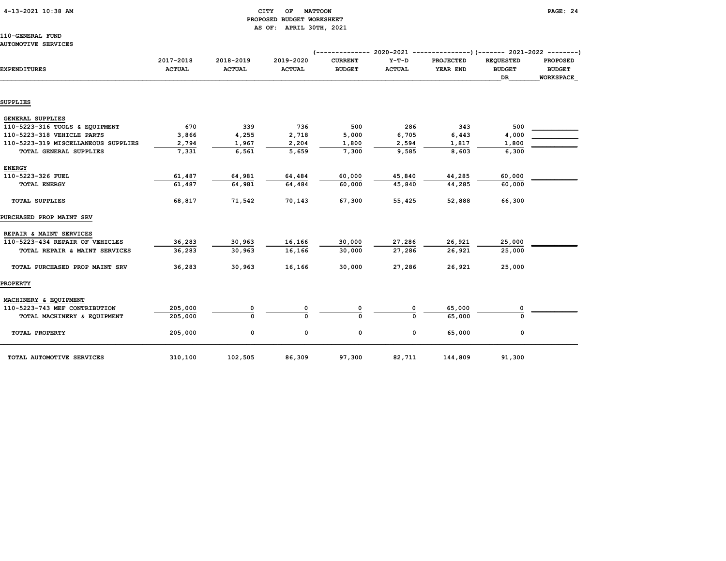### 4-13-2021 10:38 AM CITY OF MATTOON PAGE: 24 PROPOSED BUDGET WORKSHEET AS OF: APRIL 30TH, 2021

110-GENERAL FUND AUTOMOTIVE SERVICES

| <b>EXPENDITURES</b>                 | 2017-2018<br><b>ACTUAL</b> | 2018-2019<br><b>ACTUAL</b> | 2019-2020<br><b>ACTUAL</b> | <b>CURRENT</b><br><b>BUDGET</b> | $Y-T-D$<br><b>ACTUAL</b> | <b>PROJECTED</b><br>YEAR END | <b>REQUESTED</b><br><b>BUDGET</b><br>DR | <b>PROPOSED</b><br><b>BUDGET</b><br><b>WORKSPACE</b> |
|-------------------------------------|----------------------------|----------------------------|----------------------------|---------------------------------|--------------------------|------------------------------|-----------------------------------------|------------------------------------------------------|
|                                     |                            |                            |                            |                                 |                          |                              |                                         |                                                      |
| SUPPLIES                            |                            |                            |                            |                                 |                          |                              |                                         |                                                      |
| <b>GENERAL SUPPLIES</b>             |                            |                            |                            |                                 |                          |                              |                                         |                                                      |
| 110-5223-316 TOOLS & EQUIPMENT      | 670                        | 339                        | 736                        | 500                             | 286                      | 343                          | 500                                     |                                                      |
| 110-5223-318 VEHICLE PARTS          | 3,866                      | 4,255                      | 2,718                      | 5,000                           | 6,705                    | 6,443                        | 4,000                                   |                                                      |
| 110-5223-319 MISCELLANEOUS SUPPLIES | 2,794                      | 1,967                      | 2,204                      | 1,800                           | 2,594                    | 1,817                        | 1,800                                   |                                                      |
| TOTAL GENERAL SUPPLIES              | 7,331                      | 6,561                      | 5,659                      | 7,300                           | 9,585                    | 8,603                        | 6,300                                   |                                                      |
| <b>ENERGY</b>                       |                            |                            |                            |                                 |                          |                              |                                         |                                                      |
| 110-5223-326 FUEL                   | 61,487                     | 64,981                     | 64,484                     | 60,000                          | 45,840                   | 44,285                       | 60,000                                  |                                                      |
| <b>TOTAL ENERGY</b>                 | 61,487                     | 64,981                     | 64,484                     | 60,000                          | 45,840                   | 44,285                       | 60,000                                  |                                                      |
| <b>TOTAL SUPPLIES</b>               | 68,817                     | 71,542                     | 70,143                     | 67,300                          | 55,425                   | 52,888                       | 66,300                                  |                                                      |
| PURCHASED PROP MAINT SRV            |                            |                            |                            |                                 |                          |                              |                                         |                                                      |
| REPAIR & MAINT SERVICES             |                            |                            |                            |                                 |                          |                              |                                         |                                                      |
| 110-5223-434 REPAIR OF VEHICLES     | 36,283                     | 30,963                     | 16,166                     | 30,000                          | 27,286                   | 26,921                       | 25,000                                  |                                                      |
| TOTAL REPAIR & MAINT SERVICES       | 36,283                     | 30,963                     | 16,166                     | 30,000                          | 27,286                   | 26,921                       | 25,000                                  |                                                      |
| TOTAL PURCHASED PROP MAINT SRV      | 36,283                     | 30,963                     | 16,166                     | 30,000                          | 27,286                   | 26,921                       | 25,000                                  |                                                      |
| <b>PROPERTY</b>                     |                            |                            |                            |                                 |                          |                              |                                         |                                                      |
| MACHINERY & EQUIPMENT               |                            |                            |                            |                                 |                          |                              |                                         |                                                      |
| 110-5223-743 MEF CONTRIBUTION       | 205,000                    | 0                          |                            |                                 |                          | 65,000                       | 0                                       |                                                      |
| TOTAL MACHINERY & EQUIPMENT         | 205,000                    | 0                          | n                          | $\Omega$                        | $\Omega$                 | 65,000                       | $\Omega$                                |                                                      |
| TOTAL PROPERTY                      | 205,000                    | 0                          | 0                          | 0                               | 0                        | 65,000                       | 0                                       |                                                      |
| TOTAL AUTOMOTIVE SERVICES           | 310,100                    | 102,505                    | 86,309                     | 97,300                          | 82,711                   | 144,809                      | 91,300                                  |                                                      |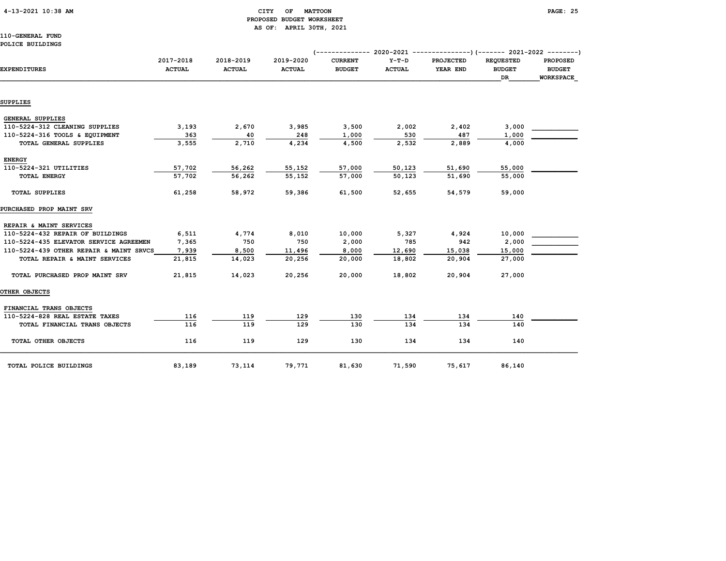### 4-13-2021 10:38 AM CITY OF MATTOON PAGE: 25 PROPOSED BUDGET WORKSHEET AS OF: APRIL 30TH, 2021

110-GENERAL FUND POLICE BUILDINGS

| <b>EXPENDITURES</b>                     | 2017-2018<br><b>ACTUAL</b> | 2018-2019<br><b>ACTUAL</b> | 2019-2020<br><b>ACTUAL</b> | <b>CURRENT</b><br><b>BUDGET</b> | $Y-T-D$<br><b>ACTUAL</b> | <b>PROJECTED</b><br>YEAR END | <b>REOUESTED</b><br><b>BUDGET</b><br>DR | <b>PROPOSED</b><br><b>BUDGET</b><br><b>WORKSPACE</b> |
|-----------------------------------------|----------------------------|----------------------------|----------------------------|---------------------------------|--------------------------|------------------------------|-----------------------------------------|------------------------------------------------------|
| SUPPLIES                                |                            |                            |                            |                                 |                          |                              |                                         |                                                      |
|                                         |                            |                            |                            |                                 |                          |                              |                                         |                                                      |
| GENERAL SUPPLIES                        |                            |                            |                            |                                 |                          |                              |                                         |                                                      |
| 110-5224-312 CLEANING SUPPLIES          | 3,193                      | 2,670                      | 3,985                      | 3,500                           | 2,002                    | 2,402                        | 3,000                                   |                                                      |
| 110-5224-316 TOOLS & EQUIPMENT          | 363                        | 40                         | 248                        | 1,000                           | 530                      | 487                          | 1,000                                   |                                                      |
| TOTAL GENERAL SUPPLIES                  | 3,555                      | 2,710                      | 4,234                      | 4,500                           | 2,532                    | 2,889                        | 4,000                                   |                                                      |
| <b>ENERGY</b>                           |                            |                            |                            |                                 |                          |                              |                                         |                                                      |
| 110-5224-321 UTILITIES                  | 57,702                     | 56,262                     | 55,152                     | 57,000                          | 50, 123                  | 51,690                       | 55,000                                  |                                                      |
| <b>TOTAL ENERGY</b>                     | 57,702                     | 56,262                     | 55,152                     | 57,000                          | 50,123                   | 51,690                       | 55,000                                  |                                                      |
| <b>TOTAL SUPPLIES</b>                   | 61,258                     | 58,972                     | 59,386                     | 61,500                          | 52,655                   | 54,579                       | 59,000                                  |                                                      |
| PURCHASED PROP MAINT SRV                |                            |                            |                            |                                 |                          |                              |                                         |                                                      |
| REPAIR & MAINT SERVICES                 |                            |                            |                            |                                 |                          |                              |                                         |                                                      |
| 110-5224-432 REPAIR OF BUILDINGS        | 6,511                      | 4,774                      | 8,010                      | 10,000                          | 5,327                    | 4,924                        | 10,000                                  |                                                      |
| 110-5224-435 ELEVATOR SERVICE AGREEMEN  | 7,365                      | 750                        | 750                        | 2,000                           | 785                      | 942                          | 2,000                                   |                                                      |
| 110-5224-439 OTHER REPAIR & MAINT SRVCS | 7,939                      | 8,500                      | 11,496                     | 8,000                           | 12,690                   | 15,038                       | 15,000                                  |                                                      |
| TOTAL REPAIR & MAINT SERVICES           | 21,815                     | 14,023                     | 20,256                     | 20,000                          | 18,802                   | 20,904                       | 27,000                                  |                                                      |
| TOTAL PURCHASED PROP MAINT SRV          | 21,815                     | 14,023                     | 20,256                     | 20,000                          | 18,802                   | 20,904                       | 27,000                                  |                                                      |
| OTHER OBJECTS                           |                            |                            |                            |                                 |                          |                              |                                         |                                                      |
| FINANCIAL TRANS OBJECTS                 |                            |                            |                            |                                 |                          |                              |                                         |                                                      |
| 110-5224-828 REAL ESTATE TAXES          | 116                        | 119                        | 129                        | 130                             | 134                      | 134                          | 140                                     |                                                      |
| TOTAL FINANCIAL TRANS OBJECTS           | 116                        | 119                        | 129                        | 130                             | 134                      | 134                          | 140                                     |                                                      |
| TOTAL OTHER OBJECTS                     | 116                        | 119                        | 129                        | 130                             | 134                      | 134                          | 140                                     |                                                      |
| TOTAL POLICE BUILDINGS                  | 83,189                     | 73,114                     | 79,771                     | 81,630                          | 71,590                   | 75,617                       | 86,140                                  |                                                      |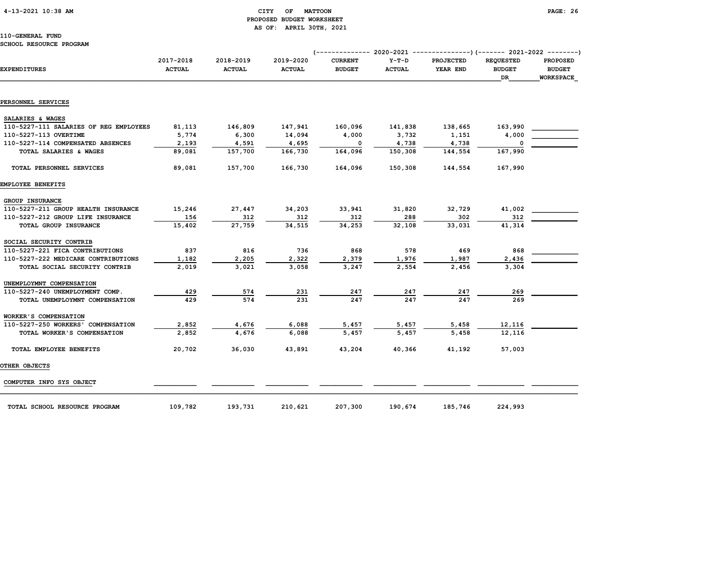### 4-13-2021 10:38 AM CITY OF MATTOON PAGE: 26 PROPOSED BUDGET WORKSHEET AS OF: APRIL 30TH, 2021

|                                        |               |               |               | $(----------2020-2021$ |               | $-----------$ (------- 2021-2022 --------) |                  |                  |
|----------------------------------------|---------------|---------------|---------------|------------------------|---------------|--------------------------------------------|------------------|------------------|
|                                        | 2017-2018     | 2018-2019     | 2019-2020     | <b>CURRENT</b>         | $Y-T-D$       | <b>PROJECTED</b>                           | <b>REQUESTED</b> | <b>PROPOSED</b>  |
| <b>EXPENDITURES</b>                    | <b>ACTUAL</b> | <b>ACTUAL</b> | <b>ACTUAL</b> | <b>BUDGET</b>          | <b>ACTUAL</b> | YEAR END                                   | <b>BUDGET</b>    | <b>BUDGET</b>    |
|                                        |               |               |               |                        |               |                                            | <b>DR</b>        | <b>WORKSPACE</b> |
|                                        |               |               |               |                        |               |                                            |                  |                  |
| PERSONNEL SERVICES                     |               |               |               |                        |               |                                            |                  |                  |
| SALARIES & WAGES                       |               |               |               |                        |               |                                            |                  |                  |
| 110-5227-111 SALARIES OF REG EMPLOYEES | 81,113        | 146,809       | 147,941       | 160,096                | 141,838       | 138,665                                    | 163,990          |                  |
| 110-5227-113 OVERTIME                  | 5,774         | 6,300         | 14,094        | 4,000                  | 3,732         | 1,151                                      | 4,000            |                  |
| 110-5227-114 COMPENSATED ABSENCES      | 2,193         | 4,591         | 4,695         | $^{\circ}$             | 4,738         | 4,738                                      | $\Omega$         |                  |
| TOTAL SALARIES & WAGES                 | 89,081        | 157,700       | 166,730       | 164,096                | 150,308       | 144,554                                    | 167,990          |                  |
| TOTAL PERSONNEL SERVICES               | 89,081        | 157,700       | 166,730       | 164,096                | 150,308       | 144,554                                    | 167,990          |                  |
| EMPLOYEE BENEFITS                      |               |               |               |                        |               |                                            |                  |                  |
| GROUP INSURANCE                        |               |               |               |                        |               |                                            |                  |                  |
| 110-5227-211 GROUP HEALTH INSURANCE    | 15,246        | 27,447        | 34,203        | 33,941                 | 31,820        | 32,729                                     | 41,002           |                  |
| 110-5227-212 GROUP LIFE INSURANCE      | 156           | 312           | 312           | 312                    | 288           | 302                                        | 312              |                  |
| TOTAL GROUP INSURANCE                  | 15,402        | 27,759        | 34,515        | 34,253                 | 32,108        | 33,031                                     | 41,314           |                  |
| SOCIAL SECURITY CONTRIB                |               |               |               |                        |               |                                            |                  |                  |
| 110-5227-221 FICA CONTRIBUTIONS        | 837           | 816           | 736           | 868                    | 578           | 469                                        | 868              |                  |
| 110-5227-222 MEDICARE CONTRIBUTIONS    | 1,182         | 2,205         | 2,322         | 2,379                  | 1,976         | 1,987                                      | 2,436            |                  |
| TOTAL SOCIAL SECURITY CONTRIB          | 2,019         | 3.021         | 3,058         | 3,247                  | 2,554         | 2,456                                      | 3,304            |                  |
| UNEMPLOYMNT COMPENSATION               |               |               |               |                        |               |                                            |                  |                  |
| 110-5227-240 UNEMPLOYMENT COMP.        | 429           | 574           | 231           | 247                    | 247           | 247                                        | 269              |                  |
| TOTAL UNEMPLOYMNT COMPENSATION         | 429           | 574           | 231           | 247                    | 247           | 247                                        | 269              |                  |
| WORKER'S COMPENSATION                  |               |               |               |                        |               |                                            |                  |                  |
| 110-5227-250 WORKERS' COMPENSATION     | 2,852         | 4,676         | 6,088         | 5,457                  | 5,457         | 5,458                                      | 12,116           |                  |
| TOTAL WORKER'S COMPENSATION            | 2,852         | 4,676         | 6,088         | 5,457                  | 5,457         | 5,458                                      | 12,116           |                  |
| TOTAL EMPLOYEE BENEFITS                | 20,702        | 36,030        | 43,891        | 43,204                 | 40,366        | 41,192                                     | 57,003           |                  |
| OTHER OBJECTS                          |               |               |               |                        |               |                                            |                  |                  |
| COMPUTER INFO SYS OBJECT               |               |               |               |                        |               |                                            |                  |                  |
| TOTAL SCHOOL RESOURCE PROGRAM          | 109,782       | 193,731       | 210,621       | 207,300                | 190,674       | 185,746                                    | 224,993          |                  |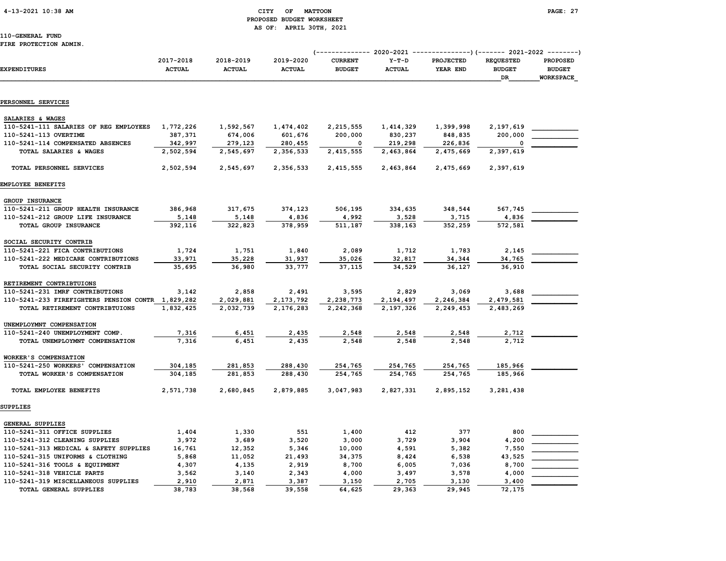#### 4-13-2021 10:38 AM CITY OF MATTOON PAGE: 27 PROPOSED BUDGET WORKSHEET AS OF: APRIL 30TH, 2021

#### FIRE PROTECTION ADMIN.

|                                        |                             |                      | AS OF: APRIL SUTH, ZUZI     |                |                      |                                    |                  |                  |
|----------------------------------------|-----------------------------|----------------------|-----------------------------|----------------|----------------------|------------------------------------|------------------|------------------|
| 110-GENERAL FUND                       |                             |                      |                             |                |                      |                                    |                  |                  |
| FIRE PROTECTION ADMIN.                 |                             |                      |                             |                |                      |                                    |                  |                  |
|                                        |                             |                      |                             |                |                      |                                    |                  |                  |
|                                        | 2017-2018                   | 2018-2019            | 2019-2020                   | <b>CURRENT</b> | Y-T-D                | PROJECTED                          | <b>REQUESTED</b> | <b>PROPOSED</b>  |
| EXPENDITURES                           | <b>ACTUAL</b>               | <b>ACTUAL</b>        | <b>ACTUAL</b>               | <b>BUDGET</b>  | <b>ACTUAL</b>        | YEAR END                           | <b>BUDGET</b>    | <b>BUDGET</b>    |
|                                        |                             |                      |                             |                |                      |                                    | DR.              | <b>WORKSPACE</b> |
|                                        |                             |                      |                             |                |                      |                                    |                  |                  |
|                                        |                             |                      |                             |                |                      |                                    |                  |                  |
| PERSONNEL SERVICES                     |                             |                      |                             |                |                      |                                    |                  |                  |
|                                        |                             |                      |                             |                |                      |                                    |                  |                  |
| SALARIES & WAGES                       |                             |                      |                             |                |                      |                                    |                  |                  |
| 110-5241-111 SALARIES OF REG EMPLOYEES | 1,772,226                   | 1,592,567            | 1,474,402                   | 2,215,555      | 1,414,329            | 1,399,998                          | 2,197,619        |                  |
| 110-5241-113 OVERTIME                  | 387,371                     | 674,006              | 601,676                     | 200,000        | 830,237              | 848,835                            | 200,000          |                  |
| 110-5241-114 COMPENSATED ABSENCES      | 342,997                     | 279,123              | 280,455                     |                | 219,298              | 226,836                            |                  |                  |
| TOTAL SALARIES & WAGES                 | 2,502,594                   | 2,545,697            | 2,356,533                   | 2,415,555      | 2,463,864            | 2,475,669                          | 2,397,619        |                  |
|                                        |                             |                      |                             |                |                      |                                    |                  |                  |
| TOTAL PERSONNEL SERVICES               | 2,502,594                   | 2,545,697            | 2,356,533                   | 2,415,555      | 2,463,864            | 2,475,669                          | 2,397,619        |                  |
|                                        |                             |                      |                             |                |                      |                                    |                  |                  |
| EMPLOYEE BENEFITS                      |                             |                      |                             |                |                      |                                    |                  |                  |
| <b>GROUP INSURANCE</b>                 |                             |                      |                             |                |                      |                                    |                  |                  |
| 110-5241-211 GROUP HEALTH INSURANCE    | 386,968                     | 317,675              | 374,123                     | 506,195        | 334,635              | 348,544                            | 567,745          |                  |
| 110-5241-212 GROUP LIFE INSURANCE      | 5,148                       | 5,148                | 4,836                       | 4,992          | 3,528                | 3,715                              | 4,836            |                  |
| TOTAL GROUP INSURANCE                  | 392,116                     | 322,823              | 378,959                     | 511,187        | 338,163              | 352,259                            | 572,581          |                  |
|                                        |                             |                      |                             |                |                      |                                    |                  |                  |
| SOCIAL SECURITY CONTRIB                |                             |                      |                             |                |                      |                                    |                  |                  |
| 110-5241-221 FICA CONTRIBUTIONS        | 1,724                       | 1,751                | 1,840                       | 2,089          | 1,712                | 1,783                              | 2,145            |                  |
|                                        | $\sim$ $\sim$ $\sim$ $\sim$ | $\sim$ $\sim$ $\sim$ | $\sim$ $\sim$ $\sim$ $\sim$ | $\sim$ $\sim$  | $\sim$ $\sim$ $\sim$ | $\sim$ $\sim$ $\sim$ $\sim$ $\sim$ |                  |                  |

| 110-5241-221 FICA CONTRIBUTIONS              | 1,724     | 1,751     | 1,840     | 2,089     | 1,712     | 1,783     | 2,145     |  |
|----------------------------------------------|-----------|-----------|-----------|-----------|-----------|-----------|-----------|--|
| 110-5241-222 MEDICARE CONTRIBUTIONS          | 33,971    | 35,228    | 31,937    | 35,026    | 32,817    | 34,344    | 34,765    |  |
| TOTAL SOCIAL SECURITY CONTRIB                | 35,695    | 36,980    | 33,777    | 37,115    | 34,529    | 36,127    | 36,910    |  |
| RETIREMENT CONTRIBTUIONS                     |           |           |           |           |           |           |           |  |
| 110-5241-231 IMRF CONTRIBUTIONS              | 3,142     | 2,858     | 2,491     | 3,595     | 2,829     | 3,069     | 3,688     |  |
| 110-5241-233 FIREFIGHTERS PENSION CONTR      | 1,829,282 | 2,029,881 | 2,173,792 | 2,238,773 | 2,194,497 | 2,246,384 | 2,479,581 |  |
| TOTAL RETIREMENT CONTRIBTUIONS               | 1,832,425 | 2,032,739 | 2,176,283 | 2,242,368 | 2,197,326 | 2,249,453 | 2,483,269 |  |
| UNEMPLOYMNT COMPENSATION                     |           |           |           |           |           |           |           |  |
| 110-5241-240 UNEMPLOYMENT COMP.              | 7,316     | 6,451     | 2,435     | 2,548     | 2,548     | 2,548     | 2,712     |  |
| TOTAL UNEMPLOYMNT COMPENSATION               | 7,316     | 6,451     | 2,435     | 2,548     | 2,548     | 2,548     | 2,712     |  |
| WORKER'S COMPENSATION                        |           |           |           |           |           |           |           |  |
| 110-5241-250 WORKERS'<br><b>COMPENSATION</b> | 304,185   | 281,853   | 288,430   | 254,765   | 254,765   | 254,765   | 185,966   |  |
| TOTAL WORKER'S COMPENSATION                  | 304,185   | 281,853   | 288,430   | 254,765   | 254,765   | 254,765   | 185,966   |  |
| TOTAL EMPLOYEE BENEFITS                      | 2,571,738 | 2,680,845 | 2,879,885 | 3,047,983 | 2,827,331 | 2,895,152 | 3,281,438 |  |

SUPPLIES

| GENERAL SUPPLIES                       |        |        |        |        |        |        |        |  |
|----------------------------------------|--------|--------|--------|--------|--------|--------|--------|--|
| 110-5241-311 OFFICE SUPPLIES           | 1,404  | 1,330  | 551    | 1,400  | 412    | 377    | 800    |  |
| 110-5241-312 CLEANING SUPPLIES         | 3,972  | 3,689  | 3,520  | 3,000  | 3.729  | 3.904  | 4,200  |  |
| 110-5241-313 MEDICAL & SAFETY SUPPLIES | 16,761 | 12,352 | 5,346  | 10,000 | 4,591  | 5,382  | 7,550  |  |
| 110-5241-315 UNIFORMS & CLOTHING       | 5,868  | 11,052 | 21,493 | 34,375 | 8,424  | 6,538  | 43,525 |  |
| 110-5241-316 TOOLS & EOUIPMENT         | 4,307  | 4,135  | 2,919  | 8,700  | 6,005  | 7,036  | 8,700  |  |
| 110-5241-318 VEHICLE PARTS             | 3.562  | 3,140  | 2,343  | 4,000  | 3,497  | 3,578  | 4,000  |  |
| 110-5241-319 MISCELLANEOUS SUPPLIES    | 2,910  | 2,871  | 3,387  | 3,150  | 2,705  | 3,130  | 3,400  |  |
| TOTAL GENERAL SUPPLIES                 | 38,783 | 38,568 | 39,558 | 64,625 | 29,363 | 29,945 | 72,175 |  |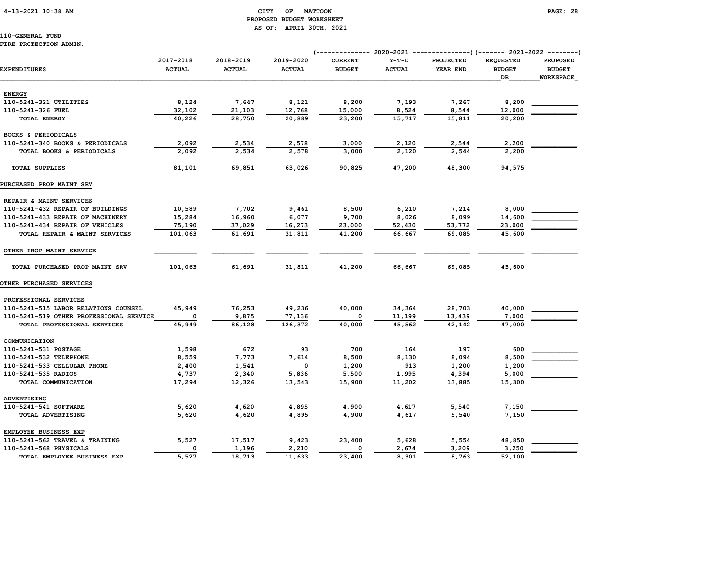# PROPOSED BUDGET WORKSHEET AS OF: APRIL 30TH, 2021

110-GENERAL FUND FIRE PROTECTION ADMIN.

## (-------------- 2020-2021 ---------------)(------- 2021-2022 --------) 2017-2018 2018-2019 2019-2020 CURRENT Y-T-D PROJECTED REQUESTED PROPOSED EXPENDITURES ACTUAL ACTUAL ACTUAL BUDGET ACTUAL YEAR END BUDGET BUDGET  $\Box$  . The contract of the contract of the contract of the contract of the contract of the contract of the contract of the contract of the contract of the contract of the contract of the contract of the contract of the co ENERGY 110-5241-321 UTILITIES 8,124 7,647 8,121 8,200 7,193 7,267 8,200 \_\_\_\_\_\_\_\_\_\_\_\_ 110-5241-326 FUEL 32,102 21,103 12,768 15,000 8,524 8,544 12,000 \_\_\_\_\_\_\_\_\_\_\_\_ TOTAL ENERGY 40,226 28,750 20,889 23,200 15,717 15,811 20,200 BOOKS & PERIODICALS 110-5241-340 BOOKS & PERIODICALS 2,092 2,534 2,578 3,000 2,120 2,544 2,200 TOTAL BOOKS & PERIODICALS 2,092 2,534 2,578 3,000 2,120 2,544 2,200 TOTAL SUPPLIES 81,101 69,851 63,026 90,825 47,200 48,300 94,575 PURCHASED PROP MAINT SRV REPAIR & MAINT SERVICES 110-5241-432 REPAIR OF BUILDINGS 10,589 7,702 9,461 8,500 6,210 7,214 8,000 110-5241-433 REPAIR OF MACHINERY 15,284 16,960 6,077 9,700 8,026 8,099 14,600 110-5241-434 REPAIR OF VEHICLES 75,190 37,029 16,273 23,000 52,430 53,772 23,000 \_\_\_\_\_\_\_\_\_\_\_\_ TOTAL REPAIR & MAINT SERVICES 101,063 61,691 31,811 41,200 66,667 69,085 45,600 OTHER PROP MAINT SERVICE TOTAL PURCHASED PROP MAINT SRV 101,063 61,691 31,811 41,200 66,667 69,085 45,600 OTHER PURCHASED SERVICES PROFESSIONAL SERVICES 110-5241-515 LABOR RELATIONS COUNSEL 45,949 76,253 49,236 40,000 34,364 28,703 40,000 \_\_\_\_\_\_\_\_\_\_\_\_ 110-5241-519 OTHER PROFESSIONAL SERVICE 0 9,875 77,136 0 11,199 13,439 7,000 TOTAL PROFESSIONAL SERVICES 45,949 86,128 126,372 40,000 45,562 42,142 47,000 COMMUNICATION  $110-5241-531$  POSTAGE  $1,598$   $672$   $93$   $700$   $164$   $197$   $600$  110-5241-532 TELEPHONE 8,559 7,773 7,614 8,500 8,130 8,094 8,500 \_\_\_\_\_\_\_\_\_\_\_\_ 110-5241-533 CELLULAR PHONE 2,400 1,541 0 1,200 913 1,200 1,200 1,200 110-5241-535 RADIOS 4,737 2,340 5,836 5,500 1,995 4,394 5,000 TOTAL COMMUNICATION 17,294 12,326 13,543 15,900 11,202 13,885 15,300 ADVERTISING 110-5241-541 SOFTWARE 5,620 4,620 4,895 4,900 4,617 5,540 7,150 TOTAL ADVERTISING 5,620 4,620 4,895 4,900 4,617 5,540 7,150 EMPLOYEE BUSINESS EXP 110-5241-562 TRAVEL & TRAINING 5,527 17,517 9,423 23,400 5,628 5,554 48,850 110-5241-568 PHYSICALS  $\begin{array}{cccccccc} 0 & 1,196 & 2,210 & 0 & 2,674 & 3,209 & 3,250 \end{array}$ TOTAL EMPLOYEE BUSINESS EXP 5,527 18,713 11,633 23,400 8,301 8,763 52,100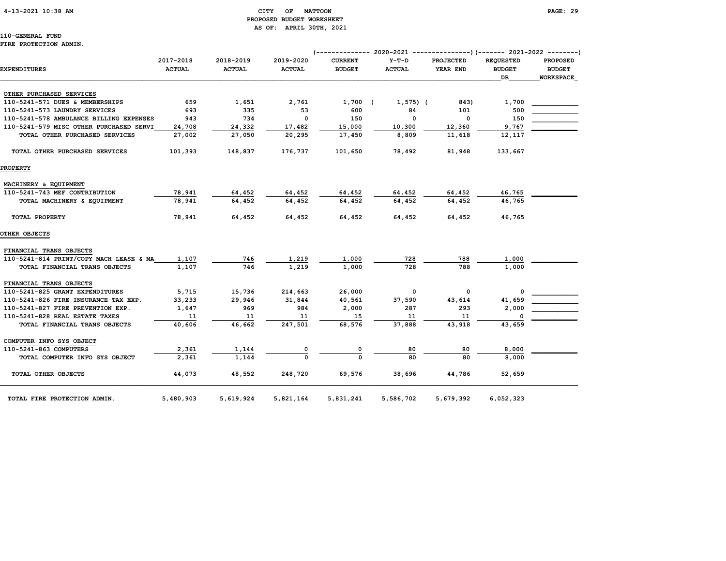#### 4-13-2021 10:38 AM CITY OF MATTOON PAGE: 29 PROPOSED BUDGET WORKSHEET AS OF: APRIL 30TH, 2021

110-GENERAL FUND FIRE PROTECTION ADMIN.

|                                         |               |               |               | (-------------- 2020-2021 |               | ----------------) (------- 2021-2022 ---------) |                  |                  |
|-----------------------------------------|---------------|---------------|---------------|---------------------------|---------------|-------------------------------------------------|------------------|------------------|
|                                         | 2017-2018     | 2018-2019     | 2019-2020     | <b>CURRENT</b>            | $Y-T-D$       | PROJECTED                                       | <b>REQUESTED</b> | <b>PROPOSED</b>  |
| <b>EXPENDITURES</b>                     | <b>ACTUAL</b> | <b>ACTUAL</b> | <b>ACTUAL</b> | <b>BUDGET</b>             | <b>ACTUAL</b> | YEAR END                                        | <b>BUDGET</b>    | <b>BUDGET</b>    |
|                                         |               |               |               |                           |               |                                                 | DR               | <b>WORKSPACE</b> |
| OTHER PURCHASED SERVICES                |               |               |               |                           |               |                                                 |                  |                  |
| 110-5241-571 DUES & MEMBERSHIPS         | 659           | 1,651         | 2,761         | 1,700 (                   | $1,575$ ) (   | 843)                                            | 1,700            |                  |
| 110-5241-573 LAUNDRY SERVICES           | 693           | 335           | 53            | 600                       | 84            | 101                                             | 500              |                  |
| 110-5241-578 AMBULANCE BILLING EXPENSES | 943           | 734           | $\Omega$      | 150                       | $\mathbf 0$   | 0                                               | 150              |                  |
| 110-5241-579 MISC OTHER PURCHASED SERVI | 24,708        | 24,332        | 17,482        | 15,000                    | 10,300        | 12,360                                          | 9,767            |                  |
| TOTAL OTHER PURCHASED SERVICES          | 27,002        | 27,050        | 20,295        | 17,450                    | 8,809         | 11,618                                          | 12,117           |                  |
| TOTAL OTHER PURCHASED SERVICES          | 101,393       | 148,837       | 176,737       | 101,650                   | 78,492        | 81,948                                          | 133,667          |                  |
| <b>PROPERTY</b>                         |               |               |               |                           |               |                                                 |                  |                  |
| MACHINERY & EQUIPMENT                   |               |               |               |                           |               |                                                 |                  |                  |
| 110-5241-743 MEF CONTRIBUTION           | 78,941        | 64,452        | 64,452        | 64,452                    | 64,452        | 64,452                                          | 46,765           |                  |
| TOTAL MACHINERY & EQUIPMENT             | 78,941        | 64,452        | 64,452        | 64,452                    | 64,452        | 64,452                                          | 46,765           |                  |
| TOTAL PROPERTY                          | 78,941        | 64,452        | 64,452        | 64,452                    | 64,452        | 64,452                                          | 46,765           |                  |
| <b>OTHER OBJECTS</b>                    |               |               |               |                           |               |                                                 |                  |                  |
| FINANCIAL TRANS OBJECTS                 |               |               |               |                           |               |                                                 |                  |                  |
| 110-5241-814 PRINT/COPY MACH LEASE & MA | 1,107         | 746           | 1,219         | 1,000                     | 728           | 788                                             | 1,000            |                  |
| TOTAL FINANCIAL TRANS OBJECTS           | 1,107         | 746           | 1,219         | 1,000                     | 728           | 788                                             | 1,000            |                  |
| FINANCIAL TRANS OBJECTS                 |               |               |               |                           |               |                                                 |                  |                  |
| 110-5241-825 GRANT EXPENDITURES         | 5,715         | 15,736        | 214,663       | 26,000                    | 0             | 0                                               | 0                |                  |
| 110-5241-826 FIRE INSURANCE TAX EXP.    | 33,233        | 29,946        | 31,844        | 40,561                    | 37,590        | 43,614                                          | 41,659           |                  |
| 110-5241-827 FIRE PREVENTION EXP.       | 1,647         | 969           | 984           | 2,000                     | 287           | 293                                             | 2,000            |                  |
| 110-5241-828 REAL ESTATE TAXES          | 11            | 11            | 11            | 15                        | 11            | 11                                              | 0                |                  |
| TOTAL FINANCIAL TRANS OBJECTS           | 40,606        | 46,662        | 247,501       | 68,576                    | 37,888        | 43,918                                          | 43,659           |                  |
| COMPUTER INFO SYS OBJECT                |               |               |               |                           |               |                                                 |                  |                  |
| 110-5241-863 COMPUTERS                  | 2,361         | 1,144         |               | 0                         | 80            | 80                                              | 8,000            |                  |
| TOTAL COMPUTER INFO SYS OBJECT          | 2,361         | 1,144         |               | $\Omega$                  | 80            | 80                                              | 8,000            |                  |
| TOTAL OTHER OBJECTS                     | 44,073        | 48,552        | 248,720       | 69,576                    | 38,696        | 44,786                                          | 52,659           |                  |
| TOTAL FIRE PROTECTION ADMIN.            | 5,480,903     | 5,619,924     | 5,821,164     | 5,831,241                 | 5,586,702     | 5,679,392                                       | 6,052,323        |                  |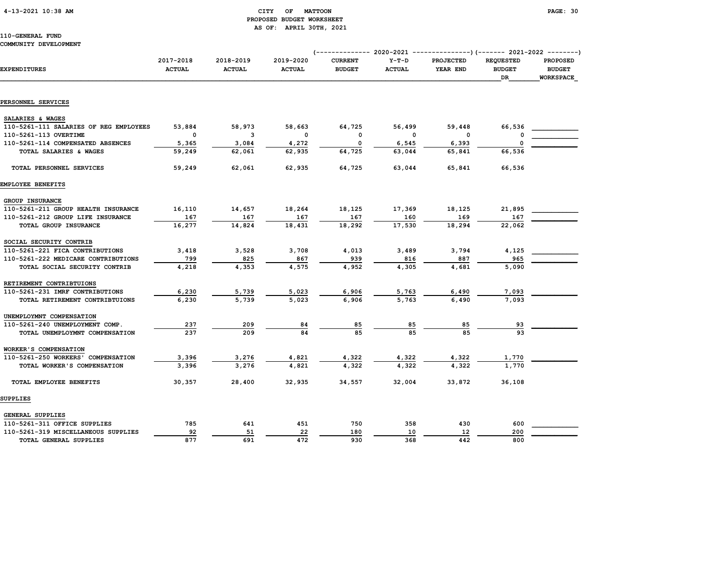#### 4-13-2021 10:38 AM CITY OF MATTOON PAGE: 30 PROPOSED BUDGET WORKSHEET AS OF: APRIL 30TH, 2021

|                                        | 2017-2018     | 2018-2019     | 2019-2020     | <b>CURRENT</b> | $Y-T-D$       | <b>PROJECTED</b> | <b>REQUESTED</b>    | <b>PROPOSED</b>            |
|----------------------------------------|---------------|---------------|---------------|----------------|---------------|------------------|---------------------|----------------------------|
| <b>EXPENDITURES</b>                    | <b>ACTUAL</b> | <b>ACTUAL</b> | <b>ACTUAL</b> | <b>BUDGET</b>  | <b>ACTUAL</b> | YEAR END         | <b>BUDGET</b><br>DR | <b>BUDGET</b><br>WORKSPACE |
|                                        |               |               |               |                |               |                  |                     |                            |
| PERSONNEL SERVICES                     |               |               |               |                |               |                  |                     |                            |
| SALARIES & WAGES                       |               |               |               |                |               |                  |                     |                            |
| 110-5261-111 SALARIES OF REG EMPLOYEES | 53,884        | 58,973        | 58,663        | 64,725         | 56,499        | 59,448           | 66,536              |                            |
| 110-5261-113 OVERTIME                  | $\mathbf 0$   | 3             | $\Omega$      | 0              | 0             | 0                | 0                   |                            |
| 110-5261-114 COMPENSATED ABSENCES      | 5,365         | 3,084         | 4,272         | $\mathbf 0$    | 6,545         | 6,393            | $\Omega$            |                            |
| TOTAL SALARIES & WAGES                 | 59,249        | 62,061        | 62,935        | 64,725         | 63,044        | 65,841           | 66,536              |                            |
| TOTAL PERSONNEL SERVICES               | 59,249        | 62,061        | 62,935        | 64,725         | 63,044        | 65,841           | 66,536              |                            |
| EMPLOYEE BENEFITS                      |               |               |               |                |               |                  |                     |                            |
| GROUP INSURANCE                        |               |               |               |                |               |                  |                     |                            |
| 110-5261-211 GROUP HEALTH INSURANCE    | 16,110        | 14,657        | 18,264        | 18,125         | 17,369        | 18,125           | 21,895              |                            |
| 110-5261-212 GROUP LIFE INSURANCE      | 167           | 167           | 167           | 167            | 160           | 169              | 167                 |                            |
| TOTAL GROUP INSURANCE                  | 16,277        | 14,824        | 18,431        | 18,292         | 17,530        | 18,294           | 22,062              |                            |
| SOCIAL SECURITY CONTRIB                |               |               |               |                |               |                  |                     |                            |
| 110-5261-221 FICA CONTRIBUTIONS        | 3,418         | 3,528         | 3,708         | 4,013          | 3,489         | 3,794            | 4,125               |                            |
| 110-5261-222 MEDICARE CONTRIBUTIONS    | 799           | 825           | 867           | 939            | 816           | 887              | 965                 |                            |
| TOTAL SOCIAL SECURITY CONTRIB          | 4,218         | 4,353         | 4,575         | 4,952          | 4,305         | 4,681            | 5,090               |                            |
| RETIREMENT CONTRIBTUIONS               |               |               |               |                |               |                  |                     |                            |
| 110-5261-231 IMRF CONTRIBUTIONS        | 6,230         | 5,739         | 5,023         | 6,906          | 5,763         | 6,490            | 7,093               |                            |
| TOTAL RETIREMENT CONTRIBTUIONS         | 6,230         | 5,739         | 5,023         | 6,906          | 5,763         | 6,490            | 7,093               |                            |
| UNEMPLOYMNT COMPENSATION               |               |               |               |                |               |                  |                     |                            |
| 110-5261-240 UNEMPLOYMENT COMP.        | 237           | 209           | 84            | 85             | 85            | 85               | 93                  |                            |
| TOTAL UNEMPLOYMNT COMPENSATION         | 237           | 209           | 84            | 85             | 85            | 85               | 93                  |                            |
| WORKER'S COMPENSATION                  |               |               |               |                |               |                  |                     |                            |
| 110-5261-250 WORKERS' COMPENSATION     | 3,396         | 3,276         | 4,821         | 4,322          | 4,322         | 4,322            | 1,770               |                            |
| TOTAL WORKER'S COMPENSATION            | 3,396         | 3,276         | 4,821         | 4,322          | 4,322         | 4,322            | 1,770               |                            |
| TOTAL EMPLOYEE BENEFITS                | 30,357        | 28,400        | 32,935        | 34,557         | 32,004        | 33,872           | 36,108              |                            |
| SUPPLIES                               |               |               |               |                |               |                  |                     |                            |
| GENERAL SUPPLIES                       |               |               |               |                |               |                  |                     |                            |
| 110-5261-311 OFFICE SUPPLIES           | 785           | 641           | 451           | 750            | 358           | 430              | 600                 |                            |
| 110-5261-319 MISCELLANEOUS SUPPLIES    | 92            | 51            | 22            | 180            | 10            | 12               | 200                 |                            |
| TOTAL GENERAL SUPPLIES                 | 877           | 691           | 472           | 930            | 368           | 442              | 800                 |                            |
|                                        |               |               |               |                |               |                  |                     |                            |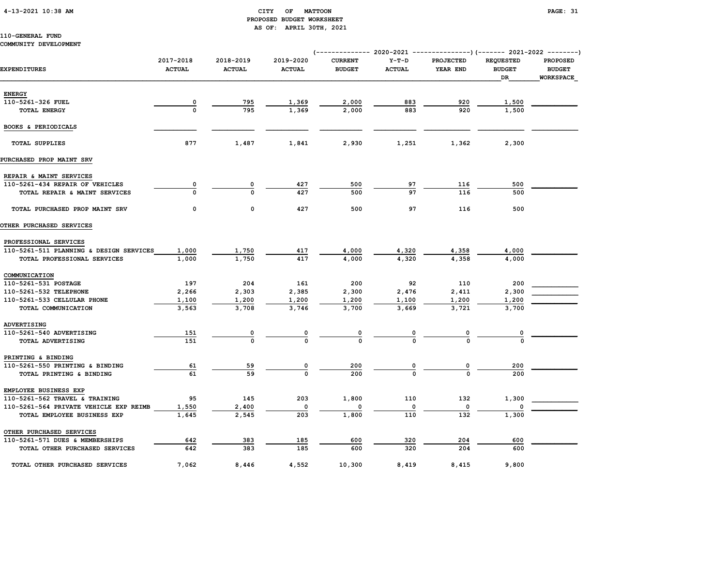#### 4-13-2021 10:38 AM CITY OF MATTOON PAGE: 31 PROPOSED BUDGET WORKSHEET AS OF: APRIL 30TH, 2021

## 110-GENERAL FUND

#### COMMUNITY DEVELOPMENT

|                                         | 2017-2018        | 2018-2019     | 2019-2020      | <b>CURRENT</b>          | $Y-T-D$       | <b>PROJECTED</b>        | <b>REQUESTED</b>    | <b>PROPOSED</b>                   |
|-----------------------------------------|------------------|---------------|----------------|-------------------------|---------------|-------------------------|---------------------|-----------------------------------|
| <b>EXPENDITURES</b>                     | <b>ACTUAL</b>    | <b>ACTUAL</b> | <b>ACTUAL</b>  | <b>BUDGET</b>           | <b>ACTUAL</b> | YEAR END                | <b>BUDGET</b><br>DR | <b>BUDGET</b><br><b>WORKSPACE</b> |
|                                         |                  |               |                |                         |               |                         |                     |                                   |
| <b>ENERGY</b>                           |                  |               |                |                         |               |                         |                     |                                   |
| 110-5261-326 FUEL                       | 0<br>$\mathbf 0$ | 795<br>795    | 1,369<br>1,369 | 2,000                   | 883<br>883    | 920<br>920              | 1,500               |                                   |
| TOTAL ENERGY                            |                  |               |                | 2,000                   |               |                         | 1,500               |                                   |
| BOOKS & PERIODICALS                     |                  |               |                |                         |               |                         |                     |                                   |
| <b>TOTAL SUPPLIES</b>                   | 877              | 1,487         | 1,841          | 2,930                   | 1,251         | 1,362                   | 2,300               |                                   |
| PURCHASED PROP MAINT SRV                |                  |               |                |                         |               |                         |                     |                                   |
| REPAIR & MAINT SERVICES                 |                  |               |                |                         |               |                         |                     |                                   |
| 110-5261-434 REPAIR OF VEHICLES         | 0                | 0             | 427            | 500                     | 97            | 116                     | 500                 |                                   |
| TOTAL REPAIR & MAINT SERVICES           | $\Omega$         | U             | 427            | 500                     | 97            | 116                     | 500                 |                                   |
| TOTAL PURCHASED PROP MAINT SRV          | 0                | $\mathbf 0$   | 427            | 500                     | 97            | 116                     | 500                 |                                   |
| OTHER PURCHASED SERVICES                |                  |               |                |                         |               |                         |                     |                                   |
| PROFESSIONAL SERVICES                   |                  |               |                |                         |               |                         |                     |                                   |
| 110-5261-511 PLANNING & DESIGN SERVICES | 1,000            | 1,750         | 417            | 4,000                   | 4,320         | 4,358                   | 4,000               |                                   |
| TOTAL PROFESSIONAL SERVICES             | 1,000            | 1,750         | 417            | 4,000                   | 4,320         | 4,358                   | 4,000               |                                   |
| COMMUNICATION                           |                  |               |                |                         |               |                         |                     |                                   |
| 110-5261-531 POSTAGE                    | 197              | 204           | 161            | 200                     | 92            | 110                     | 200                 |                                   |
| 110-5261-532 TELEPHONE                  | 2,266            | 2,303         | 2,385          | 2,300                   | 2,476         | 2,411                   | 2,300               |                                   |
| 110-5261-533 CELLULAR PHONE             | 1,100            | 1,200         | 1,200          | 1,200                   | 1,100         | 1,200                   | 1,200               |                                   |
| TOTAL COMMUNICATION                     | 3,563            | 3,708         | 3,746          | 3,700                   | 3,669         | 3,721                   | 3,700               |                                   |
| ADVERTISING                             |                  |               |                |                         |               |                         |                     |                                   |
| 110-5261-540 ADVERTISING                | 151              | 0             | 0              | $\overline{\mathbf{0}}$ | 0             | $\overline{0}$          | 0                   |                                   |
| TOTAL ADVERTISING                       | 151              | $\mathbf 0$   | $\mathbf 0$    | $\mathbf{o}$            |               | <sup>0</sup>            |                     |                                   |
| PRINTING & BINDING                      |                  |               |                |                         |               |                         |                     |                                   |
| 110-5261-550 PRINTING & BINDING         | 61               | 59            | 0              | 200                     | 0             | $\overline{\mathbf{0}}$ | 200                 |                                   |
| TOTAL PRINTING & BINDING                | 61               | 59            | $\Omega$       | 200                     | $\Omega$      | $\Omega$                | 200                 |                                   |
| EMPLOYEE BUSINESS EXP                   |                  |               |                |                         |               |                         |                     |                                   |
| 110-5261-562 TRAVEL & TRAINING          | 95               | 145           | 203            | 1,800                   | 110           | 132                     | 1,300               |                                   |
| 110-5261-564 PRIVATE VEHICLE EXP REIMB  | 1,550            | 2,400         | $\Omega$       | $\Omega$                | 0             | 0                       |                     |                                   |
| TOTAL EMPLOYEE BUSINESS EXP             | 1,645            | 2,545         | 203            | 1,800                   | 110           | 132                     | 1,300               |                                   |
| OTHER PURCHASED SERVICES                |                  |               |                |                         |               |                         |                     |                                   |
| 110-5261-571 DUES & MEMBERSHIPS         | 642              | 383           | 185            | 600                     | 320           | 204                     | 600                 |                                   |
| TOTAL OTHER PURCHASED SERVICES          | 642              | 383           | 185            | 600                     | 320           | 204                     | 600                 |                                   |
| TOTAL OTHER PURCHASED SERVICES          | 7,062            | 8,446         | 4,552          | 10,300                  | 8,419         | 8,415                   | 9,800               |                                   |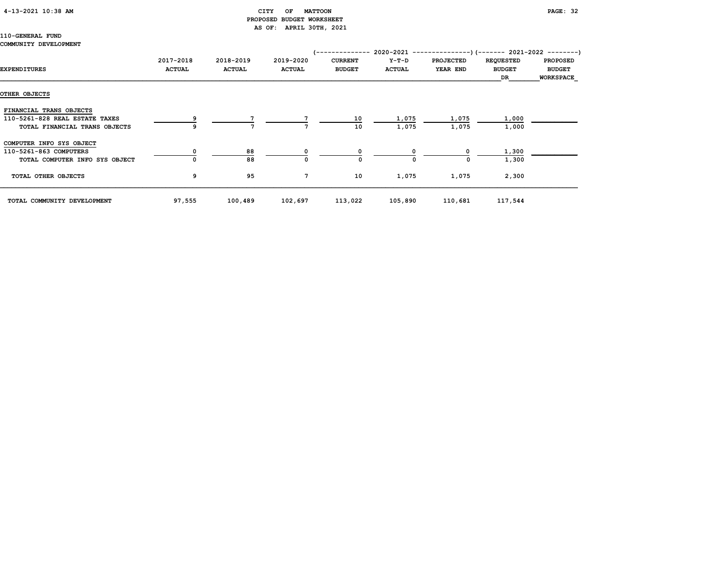### 4-13-2021 10:38 AM CITY OF MATTOON PAGE: 32 PROPOSED BUDGET WORKSHEET AS OF: APRIL 30TH, 2021

## 110-GENERAL FUND

#### COMMUNITY DEVELOPMENT

|                                |               |               |               | (-------------- |               | $2020-2021$ ----------------) (------- 2021-2022 ---------) |                  |                  |
|--------------------------------|---------------|---------------|---------------|-----------------|---------------|-------------------------------------------------------------|------------------|------------------|
|                                | 2017-2018     | 2018-2019     | 2019-2020     | <b>CURRENT</b>  | $Y-T-D$       | <b>PROJECTED</b>                                            | <b>REQUESTED</b> | <b>PROPOSED</b>  |
| EXPENDITURES                   | <b>ACTUAL</b> | <b>ACTUAL</b> | <b>ACTUAL</b> | <b>BUDGET</b>   | <b>ACTUAL</b> | YEAR END                                                    | <b>BUDGET</b>    | <b>BUDGET</b>    |
|                                |               |               |               |                 |               |                                                             | <b>DR</b>        | <b>WORKSPACE</b> |
|                                |               |               |               |                 |               |                                                             |                  |                  |
| OTHER OBJECTS                  |               |               |               |                 |               |                                                             |                  |                  |
| FINANCIAL TRANS OBJECTS        |               |               |               |                 |               |                                                             |                  |                  |
| 110-5261-828 REAL ESTATE TAXES |               |               |               | 10              | 1,075         | 1,075                                                       | 1,000            |                  |
| TOTAL FINANCIAL TRANS OBJECTS  |               |               |               | 10              | 1,075         | 1,075                                                       | 1,000            |                  |
| COMPUTER INFO SYS OBJECT       |               |               |               |                 |               |                                                             |                  |                  |
| 110-5261-863 COMPUTERS         |               | 88            | 0             |                 |               |                                                             | 1,300            |                  |
| TOTAL COMPUTER INFO SYS OBJECT |               | 88            | $\Omega$      | $\Omega$        | $\Omega$      | <sup>0</sup>                                                | 1,300            |                  |
| TOTAL OTHER OBJECTS            | 9             | 95            | 7             | 10              | 1,075         | 1,075                                                       | 2,300            |                  |
| TOTAL COMMUNITY DEVELOPMENT    | 97,555        | 100,489       | 102,697       | 113,022         | 105,890       | 110,681                                                     | 117,544          |                  |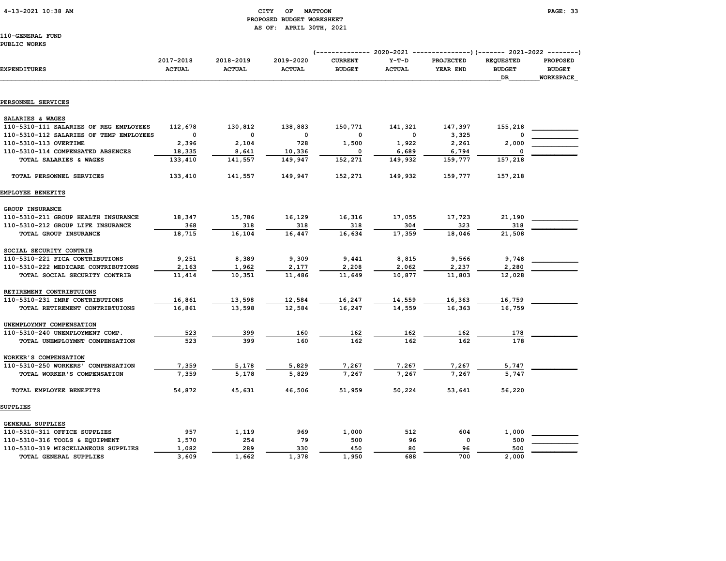4-13-2021 10:38 AM CITY OF MATTOON PAGE: 33

# PROPOSED BUDGET WORKSHEET AS OF: APRIL 30TH, 2021

110-GENERAL FUND

#### PUBLIC WORKS

| <b>EXPENDITURES</b>                     | 2017-2018<br><b>ACTUAL</b> | 2018-2019<br><b>ACTUAL</b> | 2019-2020<br><b>ACTUAL</b> | <b>CURRENT</b><br><b>BUDGET</b> | $Y-T-D$<br><b>ACTUAL</b> | <b>PROJECTED</b><br>YEAR END | <b>REQUESTED</b><br><b>BUDGET</b><br>DR | <b>PROPOSED</b><br><b>BUDGET</b><br><b>WORKSPACE</b> |
|-----------------------------------------|----------------------------|----------------------------|----------------------------|---------------------------------|--------------------------|------------------------------|-----------------------------------------|------------------------------------------------------|
|                                         |                            |                            |                            |                                 |                          |                              |                                         |                                                      |
| PERSONNEL SERVICES                      |                            |                            |                            |                                 |                          |                              |                                         |                                                      |
| SALARIES & WAGES                        |                            |                            |                            |                                 |                          |                              |                                         |                                                      |
| 110-5310-111 SALARIES OF REG EMPLOYEES  | 112,678                    | 130,812                    | 138,883                    | 150,771                         | 141,321                  | 147,397                      | 155,218                                 |                                                      |
| 110-5310-112 SALARIES OF TEMP EMPLOYEES | $\Omega$                   | $\Omega$                   | $\mathbf{o}$               | 0                               | $\Omega$                 | 3,325                        | O                                       |                                                      |
| 110-5310-113 OVERTIME                   | 2,396                      | 2,104                      | 728                        | 1,500                           | 1,922                    | 2,261                        | 2,000                                   |                                                      |
| 110-5310-114 COMPENSATED ABSENCES       | 18,335                     | 8,641                      | 10,336                     | $\Omega$                        | 6,689                    | 6,794                        | 0                                       |                                                      |
| TOTAL SALARIES & WAGES                  | 133,410                    | 141,557                    | 149,947                    | 152,271                         | 149,932                  | 159,777                      | 157,218                                 |                                                      |
| TOTAL PERSONNEL SERVICES                | 133,410                    | 141,557                    | 149,947                    | 152,271                         | 149,932                  | 159,777                      | 157,218                                 |                                                      |
| EMPLOYEE BENEFITS                       |                            |                            |                            |                                 |                          |                              |                                         |                                                      |
| GROUP INSURANCE                         |                            |                            |                            |                                 |                          |                              |                                         |                                                      |
| 110-5310-211 GROUP HEALTH INSURANCE     | 18,347                     | 15,786                     | 16,129                     | 16,316                          | 17,055                   | 17,723                       | 21,190                                  |                                                      |
| 110-5310-212 GROUP LIFE INSURANCE       | 368                        | 318                        | 318                        | 318                             | 304                      | 323                          | 318                                     |                                                      |
| TOTAL GROUP INSURANCE                   | 18,715                     | 16,104                     | 16,447                     | 16,634                          | 17,359                   | 18,046                       | 21,508                                  |                                                      |
| SOCIAL SECURITY CONTRIB                 |                            |                            |                            |                                 |                          |                              |                                         |                                                      |
| 110-5310-221 FICA CONTRIBUTIONS         | 9,251                      | 8,389                      | 9,309                      | 9,441                           | 8,815                    | 9,566                        | 9,748                                   |                                                      |
| 110-5310-222 MEDICARE CONTRIBUTIONS     | 2,163                      | 1,962                      | 2,177                      | 2,208                           | 2,062                    | 2,237                        | 2,280                                   |                                                      |
| TOTAL SOCIAL SECURITY CONTRIB           | 11,414                     | 10,351                     | 11,486                     | 11,649                          | 10,877                   | 11,803                       | 12,028                                  |                                                      |
| RETIREMENT CONTRIBTUIONS                |                            |                            |                            |                                 |                          |                              |                                         |                                                      |
| 110-5310-231 IMRF CONTRIBUTIONS         | 16,861                     | 13,598                     | 12,584                     | 16,247                          | 14,559                   | 16,363                       | 16,759                                  |                                                      |
| TOTAL RETIREMENT CONTRIBTUIONS          | 16,861                     | 13,598                     | 12,584                     | 16,247                          | 14,559                   | 16,363                       | 16,759                                  |                                                      |
| UNEMPLOYMNT COMPENSATION                |                            |                            |                            |                                 |                          |                              |                                         |                                                      |
| 110-5310-240 UNEMPLOYMENT COMP.         | 523                        | 399                        | 160                        | 162                             | 162                      | 162                          | 178                                     |                                                      |
| TOTAL UNEMPLOYMNT COMPENSATION          | 523                        | 399                        | 160                        | 162                             | 162                      | 162                          | 178                                     |                                                      |
| WORKER'S COMPENSATION                   |                            |                            |                            |                                 |                          |                              |                                         |                                                      |
| 110-5310-250 WORKERS' COMPENSATION      | 7,359                      | 5,178                      | 5,829                      | 7,267                           | 7,267                    | 7,267                        | 5,747                                   |                                                      |
| TOTAL WORKER'S COMPENSATION             | 7,359                      | 5,178                      | 5,829                      | 7,267                           | 7,267                    | 7,267                        | 5,747                                   |                                                      |
| TOTAL EMPLOYEE BENEFITS                 | 54,872                     | 45,631                     | 46,506                     | 51,959                          | 50,224                   | 53,641                       | 56,220                                  |                                                      |
| <b>SUPPLIES</b>                         |                            |                            |                            |                                 |                          |                              |                                         |                                                      |
| <b>GENERAL SUPPLIES</b>                 |                            |                            |                            |                                 |                          |                              |                                         |                                                      |
| 110-5310-311 OFFICE SUPPLIES            | 957                        | 1,119                      | 969                        | 1,000                           | 512                      | 604                          | 1,000                                   |                                                      |
| 110-5310-316 TOOLS & EQUIPMENT          | 1,570                      | 254                        | 79                         | 500                             | 96                       | $\mathbf 0$                  | 500                                     |                                                      |
| 110-5310-319 MISCELLANEOUS SUPPLIES     | 1,082                      | 289                        | 330                        | 450                             | 80                       | 96                           | 500                                     |                                                      |
| TOTAL GENERAL SUPPLIES                  | 3,609                      | 1,662                      | 1,378                      | 1,950                           | 688                      | 700                          | 2,000                                   |                                                      |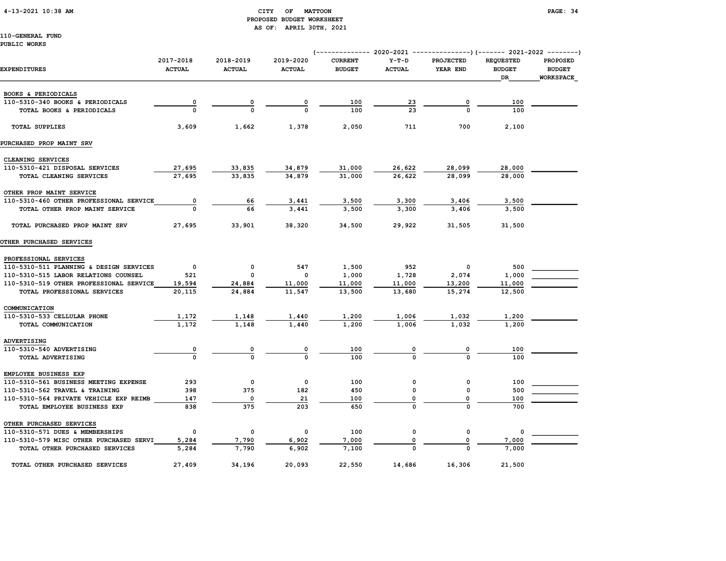#### 4-13-2021 10:38 AM CITY OF MATTOON PAGE: 34 PROPOSED BUDGET WORKSHEET AS OF: APRIL 30TH, 2021

|                                         |                            |                            |                            | (------------- 2020-2021 ---------------) (------- 2021-2022 --------) |                          |                              |                                         |                                                      |
|-----------------------------------------|----------------------------|----------------------------|----------------------------|------------------------------------------------------------------------|--------------------------|------------------------------|-----------------------------------------|------------------------------------------------------|
| <b>EXPENDITURES</b>                     | 2017-2018<br><b>ACTUAL</b> | 2018-2019<br><b>ACTUAL</b> | 2019-2020<br><b>ACTUAL</b> | <b>CURRENT</b><br><b>BUDGET</b>                                        | $Y-T-D$<br><b>ACTUAL</b> | <b>PROJECTED</b><br>YEAR END | <b>REQUESTED</b><br><b>BUDGET</b><br>DR | <b>PROPOSED</b><br><b>BUDGET</b><br><b>WORKSPACE</b> |
| BOOKS & PERIODICALS                     |                            |                            |                            |                                                                        |                          |                              |                                         |                                                      |
| 110-5310-340 BOOKS & PERIODICALS        | 0                          | 0                          | 0                          | 100                                                                    | 23                       | 0                            | 100                                     |                                                      |
| TOTAL BOOKS & PERIODICALS               |                            | $\Omega$                   | $\Omega$                   | 100                                                                    | 23                       | $\mathbf 0$                  | 100                                     |                                                      |
| <b>TOTAL SUPPLIES</b>                   | 3,609                      | 1,662                      | 1,378                      | 2,050                                                                  | 711                      | 700                          | 2,100                                   |                                                      |
| PURCHASED PROP MAINT SRV                |                            |                            |                            |                                                                        |                          |                              |                                         |                                                      |
| CLEANING SERVICES                       |                            |                            |                            |                                                                        |                          |                              |                                         |                                                      |
| 110-5310-421 DISPOSAL SERVICES          | 27,695                     | 33,835                     | 34,879                     | 31,000                                                                 | 26,622                   | 28,099                       | 28,000                                  |                                                      |
| TOTAL CLEANING SERVICES                 | 27,695                     | 33,835                     | 34,879                     | 31,000                                                                 | 26,622                   | 28,099                       | 28,000                                  |                                                      |
| OTHER PROP MAINT SERVICE                |                            |                            |                            |                                                                        |                          |                              |                                         |                                                      |
| 110-5310-460 OTHER PROFESSIONAL SERVICE | 0                          | 66                         | 3,441                      | 3,500                                                                  | 3,300                    | 3,406                        | 3,500                                   |                                                      |
| TOTAL OTHER PROP MAINT SERVICE          | $\Omega$                   | 66                         | 3,441                      | 3,500                                                                  | 3,300                    | 3,406                        | 3,500                                   |                                                      |
| TOTAL PURCHASED PROP MAINT SRV          | 27,695                     | 33,901                     | 38,320                     | 34,500                                                                 | 29,922                   | 31,505                       | 31,500                                  |                                                      |
| OTHER PURCHASED SERVICES                |                            |                            |                            |                                                                        |                          |                              |                                         |                                                      |
| PROFESSIONAL SERVICES                   |                            |                            |                            |                                                                        |                          |                              |                                         |                                                      |
| 110-5310-511 PLANNING & DESIGN SERVICES | $\mathbf{o}$               | 0                          | 547                        | 1,500                                                                  | 952                      | 0                            | 500                                     |                                                      |
| 110-5310-515 LABOR RELATIONS COUNSEL    | 521                        | 0                          | 0                          | 1,000                                                                  | 1,728                    | 2,074                        | 1,000                                   |                                                      |
| 110-5310-519 OTHER PROFESSIONAL SERVICE | 19,594                     | 24,884                     | 11,000                     | 11,000                                                                 | 11,000                   | 13,200                       | 11,000                                  |                                                      |
| TOTAL PROFESSIONAL SERVICES             | 20,115                     | 24,884                     | 11,547                     | 13,500                                                                 | 13,680                   | 15,274                       | 12,500                                  |                                                      |
| COMMUNICATION                           |                            |                            |                            |                                                                        |                          |                              |                                         |                                                      |
| 110-5310-533 CELLULAR PHONE             | 1,172                      | 1,148                      | 1,440                      | 1,200                                                                  | 1,006                    | 1,032                        | 1,200                                   |                                                      |
| TOTAL COMMUNICATION                     | 1,172                      | 1,148                      | 1,440                      | 1,200                                                                  | 1,006                    | 1,032                        | 1,200                                   |                                                      |
| ADVERTISING                             |                            |                            |                            |                                                                        |                          |                              |                                         |                                                      |
| 110-5310-540 ADVERTISING                | $\overline{\mathbf{0}}$    | 0                          | 0                          | 100                                                                    | 0                        | 0                            | 100                                     |                                                      |
| TOTAL ADVERTISING                       | $\Omega$                   | $\mathbf 0$                | $\Omega$                   | 100                                                                    | $\Omega$                 | $\Omega$                     | 100                                     |                                                      |
| EMPLOYEE BUSINESS EXP                   |                            |                            |                            |                                                                        |                          |                              |                                         |                                                      |
| 110-5310-561 BUSINESS MEETING EXPENSE   | 293                        | $\mathsf{o}\,$             | 0                          | 100                                                                    | 0                        | 0                            | 100                                     |                                                      |
| 110-5310-562 TRAVEL & TRAINING          | 398                        | 375                        | 182                        | 450                                                                    | 0                        | 0                            | 500                                     |                                                      |
| 110-5310-564 PRIVATE VEHICLE EXP REIMB  | 147                        | $\mathbf 0$                | 21                         | 100                                                                    | 0                        | 0                            | 100                                     |                                                      |
| TOTAL EMPLOYEE BUSINESS EXP             | 838                        | 375                        | 203                        | 650                                                                    | $\mathbf 0$              | $\mathbf 0$                  | 700                                     |                                                      |
| OTHER PURCHASED SERVICES                |                            |                            |                            |                                                                        |                          |                              |                                         |                                                      |
| 110-5310-571 DUES & MEMBERSHIPS         | 0                          | $\mathsf{o}\,$             | 0                          | 100                                                                    | 0                        | 0                            | 0                                       |                                                      |
| 110-5310-579 MISC OTHER PURCHASED SERVI | 5,284                      | 7,790                      | 6,902                      | 7,000                                                                  | 0                        | 0                            | 7,000                                   |                                                      |
| TOTAL OTHER PURCHASED SERVICES          | 5,284                      | 7,790                      | 6,902                      | 7,100                                                                  |                          |                              | 7,000                                   |                                                      |
| TOTAL OTHER PURCHASED SERVICES          | 27,409                     | 34,196                     | 20,093                     | 22,550                                                                 | 14,686                   | 16,306                       | 21,500                                  |                                                      |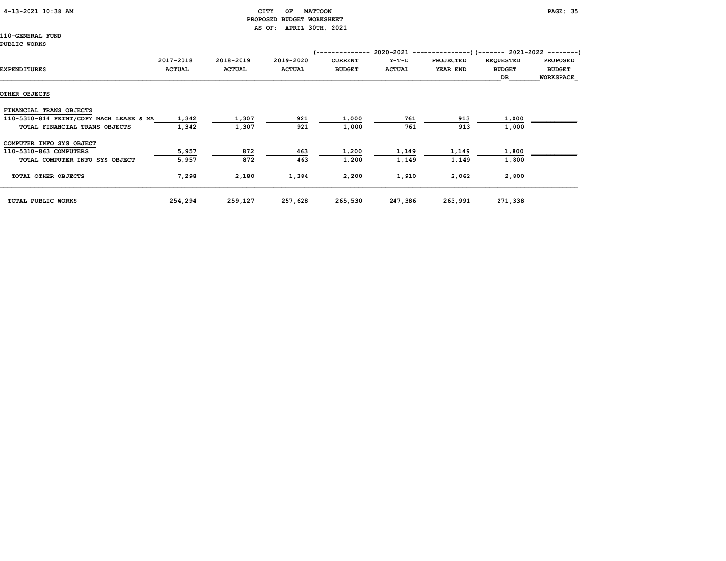#### 4-13-2021 10:38 AM CITY OF MATTOON PAGE: 35 PROPOSED BUDGET WORKSHEET AS OF: APRIL 30TH, 2021

110-GENERAL FUND

#### PUBLIC WORKS

| EXPENDITURES                            | 2017-2018<br><b>ACTUAL</b> | 2018-2019<br><b>ACTUAL</b> | 2019-2020<br><b>ACTUAL</b> | (--------------<br><b>CURRENT</b><br><b>BUDGET</b> | Y-T-D<br><b>ACTUAL</b> | 2020-2021 ----------------) (------- 2021-2022 ---------)<br><b>PROJECTED</b><br>YEAR END | <b>REQUESTED</b><br><b>BUDGET</b><br>DR | <b>PROPOSED</b><br><b>BUDGET</b><br><b>WORKSPACE</b> |
|-----------------------------------------|----------------------------|----------------------------|----------------------------|----------------------------------------------------|------------------------|-------------------------------------------------------------------------------------------|-----------------------------------------|------------------------------------------------------|
| OTHER OBJECTS                           |                            |                            |                            |                                                    |                        |                                                                                           |                                         |                                                      |
| FINANCIAL TRANS OBJECTS                 |                            |                            |                            |                                                    |                        |                                                                                           |                                         |                                                      |
| 110-5310-814 PRINT/COPY MACH LEASE & MA | 1,342                      | 1,307                      | 921                        | 1,000                                              | 761                    | 913                                                                                       | 1,000                                   |                                                      |
| TOTAL FINANCIAL TRANS OBJECTS           | 1,342                      | 1,307                      | 921                        | 1,000                                              | 761                    | 913                                                                                       | 1,000                                   |                                                      |
| COMPUTER INFO SYS OBJECT                |                            |                            |                            |                                                    |                        |                                                                                           |                                         |                                                      |
| 110-5310-863 COMPUTERS                  | 5,957                      | 872                        | 463                        | 1,200                                              | 1,149                  | 1,149                                                                                     | 1,800                                   |                                                      |
| TOTAL COMPUTER INFO SYS OBJECT          | 5,957                      | 872                        | 463                        | 1,200                                              | 1,149                  | 1,149                                                                                     | 1,800                                   |                                                      |
| TOTAL OTHER OBJECTS                     | 7,298                      | 2,180                      | 1,384                      | 2,200                                              | 1,910                  | 2,062                                                                                     | 2,800                                   |                                                      |
| TOTAL PUBLIC WORKS                      | 254,294                    | 259,127                    | 257,628                    | 265,530                                            | 247,386                | 263,991                                                                                   | 271,338                                 |                                                      |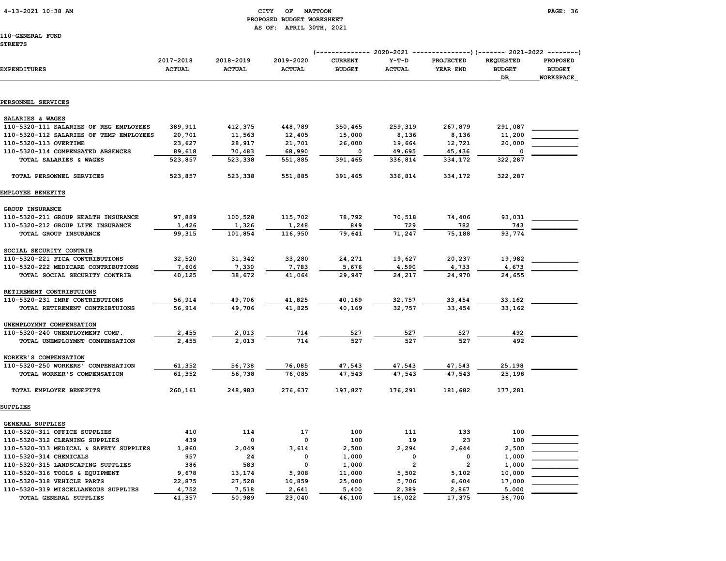#### 4-13-2021 10:38 AM CITY OF MATTOON PAGE: 36 PROPOSED BUDGET WORKSHEET AS OF: APRIL 30TH, 2021

110-GENERAL FUND

#### STREETS

|                                         | 2020-2021<br>---------------) (------- 2021-2022 ---------)<br>(-------------- |                            |                            |                                 |                          |                       |                                         |                                                      |
|-----------------------------------------|--------------------------------------------------------------------------------|----------------------------|----------------------------|---------------------------------|--------------------------|-----------------------|-----------------------------------------|------------------------------------------------------|
| <b>EXPENDITURES</b>                     | 2017-2018<br><b>ACTUAL</b>                                                     | 2018-2019<br><b>ACTUAL</b> | 2019-2020<br><b>ACTUAL</b> | <b>CURRENT</b><br><b>BUDGET</b> | $Y-T-D$<br><b>ACTUAL</b> | PROJECTED<br>YEAR END | <b>REQUESTED</b><br><b>BUDGET</b><br>DR | <b>PROPOSED</b><br><b>BUDGET</b><br><b>WORKSPACE</b> |
|                                         |                                                                                |                            |                            |                                 |                          |                       |                                         |                                                      |
| PERSONNEL SERVICES                      |                                                                                |                            |                            |                                 |                          |                       |                                         |                                                      |
| SALARIES & WAGES                        |                                                                                |                            |                            |                                 |                          |                       |                                         |                                                      |
| 110-5320-111 SALARIES OF REG EMPLOYEES  | 389,911                                                                        | 412,375                    | 448,789                    | 350,465                         | 259,319                  | 267,879               | 291,087                                 |                                                      |
| 110-5320-112 SALARIES OF TEMP EMPLOYEES | 20,701                                                                         | 11,563                     | 12,405                     | 15,000                          | 8,136                    | 8,136                 | 11,200                                  |                                                      |
| 110-5320-113 OVERTIME                   | 23,627                                                                         | 28,917                     | 21,701                     | 26,000                          | 19,664                   | 12,721                | 20,000                                  |                                                      |
| 110-5320-114 COMPENSATED ABSENCES       | 89,618                                                                         | 70,483                     | 68,990                     | 0                               | 49,695                   | 45,436                | 0                                       |                                                      |
| TOTAL SALARIES & WAGES                  | 523,857                                                                        | 523,338                    | 551,885                    | 391,465                         | 336,814                  | 334,172               | 322,287                                 |                                                      |
| TOTAL PERSONNEL SERVICES                | 523,857                                                                        | 523,338                    | 551,885                    | 391,465                         | 336,814                  | 334,172               | 322,287                                 |                                                      |
| EMPLOYEE BENEFITS                       |                                                                                |                            |                            |                                 |                          |                       |                                         |                                                      |
| GROUP INSURANCE                         |                                                                                |                            |                            |                                 |                          |                       |                                         |                                                      |
| 110-5320-211 GROUP HEALTH INSURANCE     | 97,889                                                                         | 100,528                    | 115,702                    | 78,792                          | 70,518                   | 74,406                | 93,031                                  |                                                      |
| 110-5320-212 GROUP LIFE INSURANCE       | 1,426                                                                          | 1,326                      | 1,248                      | 849                             | 729                      | 782                   | 743                                     |                                                      |
| TOTAL GROUP INSURANCE                   | 99,315                                                                         | 101,854                    | 116,950                    | 79,641                          | 71,247                   | 75,188                | 93,774                                  |                                                      |
| SOCIAL SECURITY CONTRIB                 |                                                                                |                            |                            |                                 |                          |                       |                                         |                                                      |
| 110-5320-221 FICA CONTRIBUTIONS         | 32,520                                                                         | 31,342                     | 33,280                     | 24,271                          | 19,627                   | 20,237                | 19,982                                  |                                                      |
| 110-5320-222 MEDICARE CONTRIBUTIONS     | 7,606                                                                          | 7,330                      | 7,783                      | 5,676                           | 4,590                    | 4,733                 | 4,673                                   |                                                      |
| TOTAL SOCIAL SECURITY CONTRIB           | 40,125                                                                         | 38,672                     | 41,064                     | 29,947                          | 24,217                   | 24,970                | 24,655                                  |                                                      |
| RETIREMENT CONTRIBTUIONS                |                                                                                |                            |                            |                                 |                          |                       |                                         |                                                      |
| 110-5320-231 IMRF CONTRIBUTIONS         | 56,914                                                                         | 49,706                     | 41,825                     | 40,169                          | 32,757                   | 33,454                | 33,162                                  |                                                      |
| TOTAL RETIREMENT CONTRIBTUIONS          | 56,914                                                                         | 49,706                     | 41,825                     | 40,169                          | 32,757                   | 33,454                | 33.162                                  |                                                      |
| UNEMPLOYMNT COMPENSATION                |                                                                                |                            |                            |                                 |                          |                       |                                         |                                                      |
| 110-5320-240 UNEMPLOYMENT COMP.         | 2,455                                                                          | 2,013                      | 714                        | 527                             | 527                      | 527                   | 492                                     |                                                      |
| TOTAL UNEMPLOYMNT COMPENSATION          | 2,455                                                                          | 2,013                      | 714                        | 527                             | 527                      | 527                   | 492                                     |                                                      |
| WORKER'S COMPENSATION                   |                                                                                |                            |                            |                                 |                          |                       |                                         |                                                      |
| 110-5320-250 WORKERS' COMPENSATION      | 61,352                                                                         | 56,738                     | 76,085                     | 47,543                          | 47,543                   | 47,543                | 25,198                                  |                                                      |
| TOTAL WORKER'S COMPENSATION             | 61,352                                                                         | 56,738                     | 76,085                     | 47.543                          | 47.543                   | 47.543                | 25,198                                  |                                                      |
| TOTAL EMPLOYEE BENEFITS                 | 260,161                                                                        | 248,983                    | 276,637                    | 197,827                         | 176,291                  | 181,682               | 177,281                                 |                                                      |
| SUPPLIES                                |                                                                                |                            |                            |                                 |                          |                       |                                         |                                                      |
| GENERAL SUPPLIES                        |                                                                                |                            |                            |                                 |                          |                       |                                         |                                                      |
| 110-5320-311 OFFICE SUPPLIES            | 410                                                                            | 114                        | 17                         | 100                             | 111                      | 133                   | 100                                     |                                                      |
| 110-5320-312 CLEANING SUPPLIES          | 439                                                                            | 0                          | 0                          | 100                             | 19                       | 23                    | 100                                     |                                                      |
| 110-5320-313 MEDICAL & SAFETY SUPPLIES  | 1,860                                                                          | 2,049                      | 3,614                      | 2,500                           | 2,294                    | 2,644                 | 2,500                                   |                                                      |
| 110-5320-314 CHEMICALS                  | 957                                                                            | 24                         | 0                          | 1,000                           | $\mathbf 0$              | 0                     | 1,000                                   |                                                      |
| 110-5320-315 LANDSCAPING SUPPLIES       | 386                                                                            | 583                        | 0                          | 1,000                           | $\overline{\mathbf{2}}$  | $\overline{2}$        | 1,000                                   |                                                      |
| 110-5320-316 TOOLS & EQUIPMENT          | 9,678                                                                          | 13,174                     | 5,908                      | 11,000                          | 5,502                    | 5,102                 | 10,000                                  |                                                      |
| 110-5320-318 VEHICLE PARTS              | 22,875                                                                         | 27,528                     | 10,859                     | 25,000                          | 5,706                    | 6,604                 | 17,000                                  |                                                      |
| 110-5320-319 MISCELLANEOUS SUPPLIES     | 4,752                                                                          | 7,518                      | 2,641                      | 5,400                           | 2,389                    | 2,867                 | 5,000                                   |                                                      |

TOTAL GENERAL SUPPLIES 41,357 50,989 23,040 46,100 16,022 17,375 36,700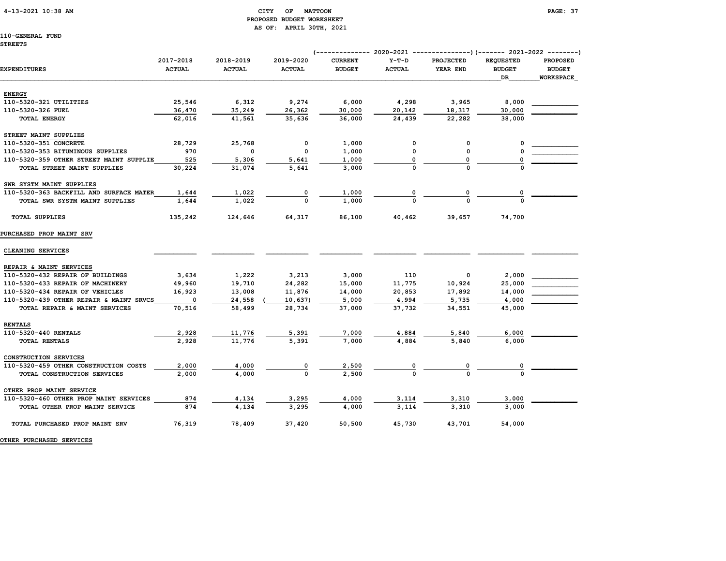## 4-13-2021 10:38 AM CITY OF MATTOON PAGE: 37 PROPOSED BUDGET WORKSHEET AS OF: APRIL 30TH, 2021

## 110-GENERAL FUND

|                                         | 2017-2018     | 2018-2019     | 2019-2020     | <b>CURRENT</b> | $Y-T-D$       | <b>PROJECTED</b> | <b>REQUESTED</b>           | <b>PROPOSED</b>                   |
|-----------------------------------------|---------------|---------------|---------------|----------------|---------------|------------------|----------------------------|-----------------------------------|
| EXPENDITURES                            | <b>ACTUAL</b> | <b>ACTUAL</b> | <b>ACTUAL</b> | <b>BUDGET</b>  | <b>ACTUAL</b> | YEAR END         | <b>BUDGET</b><br><b>DR</b> | <b>BUDGET</b><br><b>WORKSPACE</b> |
| <b>ENERGY</b>                           |               |               |               |                |               |                  |                            |                                   |
| 110-5320-321 UTILITIES                  | 25,546        | 6,312         | 9,274         | 6,000          | 4,298         | 3,965            | 8,000                      |                                   |
| 110-5320-326 FUEL                       | 36,470        | 35,249        | 26,362        | 30,000         | 20,142        | 18,317           | 30,000                     |                                   |
| <b>TOTAL ENERGY</b>                     | 62,016        | 41,561        | 35,636        | 36,000         | 24,439        | 22,282           | 38,000                     |                                   |
| STREET MAINT SUPPLIES                   |               |               |               |                |               |                  |                            |                                   |
| 110-5320-351 CONCRETE                   | 28,729        | 25,768        | 0             | 1,000          | 0             | 0                | 0                          |                                   |
| 110-5320-353 BITUMINOUS SUPPLIES        | 970           | 0             | 0             | 1,000          | 0             | 0                |                            |                                   |
| 110-5320-359 OTHER STREET MAINT SUPPLIE | 525           | 5,306         | 5,641         | 1,000          | O             | 0                |                            |                                   |
| TOTAL STREET MAINT SUPPLIES             | 30,224        | 31,074        | 5,641         | 3,000          |               | $\Omega$         |                            |                                   |
| SWR SYSTM MAINT SUPPLIES                |               |               |               |                |               |                  |                            |                                   |
| 110-5320-363 BACKFILL AND SURFACE MATER | 1,644         | 1,022         | 0             | 1,000          |               | 0                |                            |                                   |
| TOTAL SWR SYSTM MAINT SUPPLIES          | 1,644         | 1,022         |               | 1,000          |               |                  |                            |                                   |
| <b>TOTAL SUPPLIES</b>                   | 135,242       | 124,646       | 64,317        | 86,100         | 40,462        | 39,657           | 74,700                     |                                   |
| PURCHASED PROP MAINT SRV                |               |               |               |                |               |                  |                            |                                   |
| CLEANING SERVICES                       |               |               |               |                |               |                  |                            |                                   |
| REPAIR & MAINT SERVICES                 |               |               |               |                |               |                  |                            |                                   |
| 110-5320-432 REPAIR OF BUILDINGS        | 3,634         | 1,222         | 3,213         | 3,000          | 110           | 0                | 2,000                      |                                   |
| 110-5320-433 REPAIR OF MACHINERY        | 49,960        | 19,710        | 24,282        | 15,000         | 11,775        | 10,924           | 25,000                     |                                   |
| 110-5320-434 REPAIR OF VEHICLES         | 16,923        | 13,008        | 11,876        | 14,000         | 20,853        | 17,892           | 14,000                     |                                   |
| 110-5320-439 OTHER REPAIR & MAINT SRVCS | $\mathbf 0$   | 24,558        | 10,637)       | 5,000          | 4,994         | 5,735            | 4,000                      |                                   |
| TOTAL REPAIR & MAINT SERVICES           | 70,516        | 58,499        | 28,734        | 37,000         | 37,732        | 34,551           | 45,000                     |                                   |
| <b>RENTALS</b>                          |               |               |               |                |               |                  |                            |                                   |
| 110-5320-440 RENTALS                    | 2,928         | 11,776        | 5,391         | 7,000          | 4,884         | 5,840            | 6,000                      |                                   |
| TOTAL RENTALS                           | 2.928         | 11.776        | 5.391         | 7,000          | 4.884         | 5.840            | 6,000                      |                                   |
| CONSTRUCTION SERVICES                   |               |               |               |                |               |                  |                            |                                   |
| 110-5320-459 OTHER CONSTRUCTION COSTS   | 2,000         | 4,000         | 0             | 2,500          |               | 0                |                            |                                   |
| TOTAL CONSTRUCTION SERVICES             | 2,000         | 4,000         |               | 2,500          |               |                  |                            |                                   |
| OTHER PROP MAINT SERVICE                |               |               |               |                |               |                  |                            |                                   |
| 110-5320-460 OTHER PROP MAINT SERVICES  | 874           | 4,134         | 3,295         | 4,000          | 3,114         | 3,310            | 3,000                      |                                   |
| TOTAL OTHER PROP MAINT SERVICE          | 874           | 4.134         | 3.295         | 4,000          | 3.114         | 3,310            | 3,000                      |                                   |
| TOTAL PURCHASED PROP MAINT SRV          | 76,319        | 78,409        | 37,420        | 50,500         | 45,730        | 43,701           | 54,000                     |                                   |
|                                         |               |               |               |                |               |                  |                            |                                   |

OTHER PURCHASED SERVICES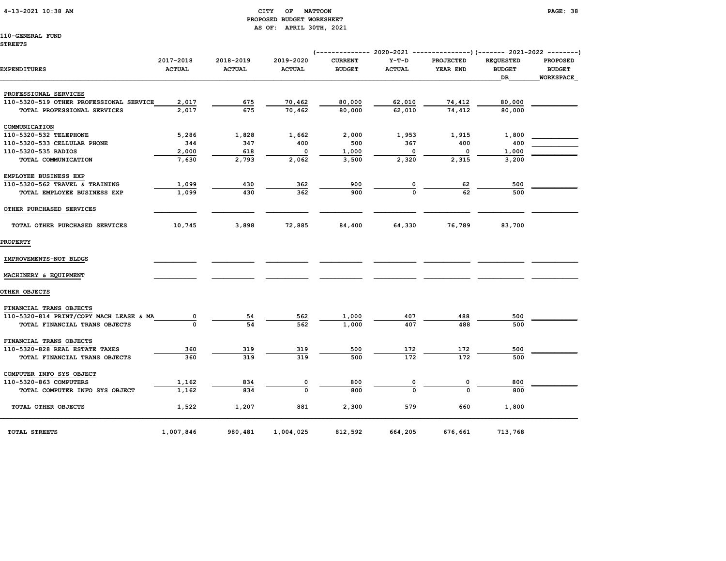## 4-13-2021 10:38 AM CITY OF MATTOON PAGE: 38 PROPOSED BUDGET WORKSHEET AS OF: APRIL 30TH, 2021

|                                         |                            |                            |                            |                                 |                          | (------------- 2020-2021 ---------------) (------- 2021-2022 --------) |                                         |                                                      |
|-----------------------------------------|----------------------------|----------------------------|----------------------------|---------------------------------|--------------------------|------------------------------------------------------------------------|-----------------------------------------|------------------------------------------------------|
| EXPENDITURES                            | 2017-2018<br><b>ACTUAL</b> | 2018-2019<br><b>ACTUAL</b> | 2019-2020<br><b>ACTUAL</b> | <b>CURRENT</b><br><b>BUDGET</b> | $Y-T-D$<br><b>ACTUAL</b> | <b>PROJECTED</b><br>YEAR END                                           | <b>REQUESTED</b><br><b>BUDGET</b><br>DR | <b>PROPOSED</b><br><b>BUDGET</b><br><b>WORKSPACE</b> |
| PROFESSIONAL SERVICES                   |                            |                            |                            |                                 |                          |                                                                        |                                         |                                                      |
| 110-5320-519 OTHER PROFESSIONAL SERVICE | 2,017                      | 675                        | 70,462                     | 80,000                          | 62,010                   | 74,412                                                                 | 80,000                                  |                                                      |
| TOTAL PROFESSIONAL SERVICES             | 2,017                      | 675                        | 70,462                     | 80,000                          | 62,010                   | 74,412                                                                 | 80,000                                  |                                                      |
| COMMUNICATION                           |                            |                            |                            |                                 |                          |                                                                        |                                         |                                                      |
| 110-5320-532 TELEPHONE                  | 5,286                      | 1,828                      | 1,662                      | 2,000                           | 1,953                    | 1,915                                                                  | 1,800                                   |                                                      |
| 110-5320-533 CELLULAR PHONE             | 344                        | 347                        | 400                        | 500                             | 367                      | 400                                                                    | 400                                     |                                                      |
| 110-5320-535 RADIOS                     | 2,000                      | 618                        | 0                          | 1,000                           | 0                        | 0                                                                      | 1,000                                   |                                                      |
| TOTAL COMMUNICATION                     | 7,630                      | 2,793                      | 2,062                      | 3,500                           | 2,320                    | 2,315                                                                  | 3,200                                   |                                                      |
| EMPLOYEE BUSINESS EXP                   |                            |                            |                            |                                 |                          |                                                                        |                                         |                                                      |
| 110-5320-562 TRAVEL & TRAINING          | 1,099                      | 430                        | 362                        | 900                             | 0                        | 62                                                                     | 500                                     |                                                      |
| TOTAL EMPLOYEE BUSINESS EXP             | 1,099                      | 430                        | 362                        | 900                             | $\Omega$                 | 62                                                                     | 500                                     |                                                      |
| OTHER PURCHASED SERVICES                |                            |                            |                            |                                 |                          |                                                                        |                                         |                                                      |
| TOTAL OTHER PURCHASED SERVICES          | 10,745                     | 3,898                      | 72,885                     | 84,400                          | 64,330                   | 76,789                                                                 | 83,700                                  |                                                      |
| <b>PROPERTY</b>                         |                            |                            |                            |                                 |                          |                                                                        |                                         |                                                      |
| IMPROVEMENTS-NOT BLDGS                  |                            |                            |                            |                                 |                          |                                                                        |                                         |                                                      |
| MACHINERY & EQUIPMENT                   |                            |                            |                            |                                 |                          |                                                                        |                                         |                                                      |
| OTHER OBJECTS                           |                            |                            |                            |                                 |                          |                                                                        |                                         |                                                      |
| FINANCIAL TRANS OBJECTS                 |                            |                            |                            |                                 |                          |                                                                        |                                         |                                                      |
| 110-5320-814 PRINT/COPY MACH LEASE & MA | 0                          | 54                         | 562                        | 1,000                           | 407                      | 488                                                                    | 500                                     |                                                      |
| TOTAL FINANCIAL TRANS OBJECTS           |                            | 54                         | 562                        | 1,000                           | 407                      | 488                                                                    | 500                                     |                                                      |
| FINANCIAL TRANS OBJECTS                 |                            |                            |                            |                                 |                          |                                                                        |                                         |                                                      |
| 110-5320-828 REAL ESTATE TAXES          | 360                        | 319                        | 319                        | 500                             | 172                      | 172                                                                    | 500                                     |                                                      |
| TOTAL FINANCIAL TRANS OBJECTS           | 360                        | 319                        | 319                        | 500                             | 172                      | 172                                                                    | 500                                     |                                                      |
| COMPUTER INFO SYS OBJECT                |                            |                            |                            |                                 |                          |                                                                        |                                         |                                                      |
| 110-5320-863 COMPUTERS                  | 1,162                      | 834                        | 0                          | 800                             | 0                        | 0                                                                      | 800                                     |                                                      |
| TOTAL COMPUTER INFO SYS OBJECT          | 1,162                      | 834                        | $\Omega$                   | 800                             | $\Omega$                 | $\Omega$                                                               | 800                                     |                                                      |
| TOTAL OTHER OBJECTS                     | 1,522                      | 1,207                      | 881                        | 2,300                           | 579                      | 660                                                                    | 1,800                                   |                                                      |
| TOTAL STREETS                           | 1,007,846                  | 980,481                    | 1,004,025                  | 812,592                         | 664,205                  | 676,661                                                                | 713,768                                 |                                                      |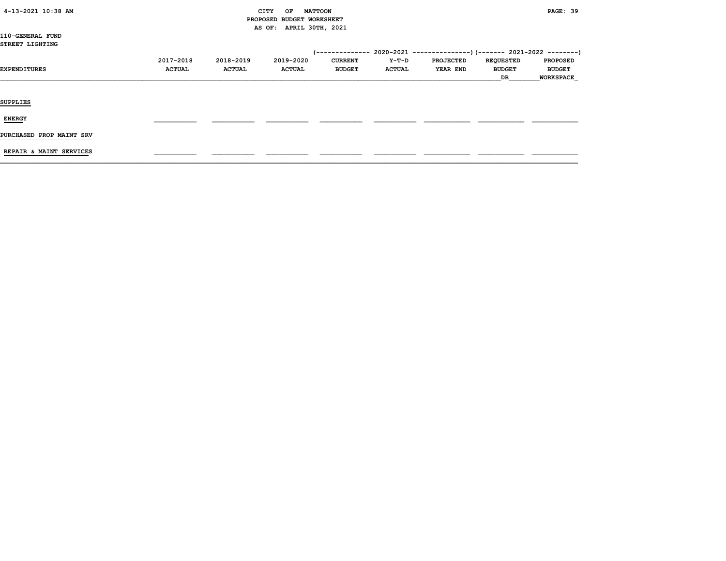| 4-13-2021 10:38 AM |  |
|--------------------|--|
|                    |  |

## CITY OF MATTOON **PAGE: 39**  PROPOSED BUDGET WORKSHEET AS OF: APRIL 30TH, 2021

110-GENERAL FUND STREET LIGHTING

|                          | 2017-2018     | 2018-2019     | 2019-2020     | <b>CURRENT</b> | Y-T-D         | <b>PROJECTED</b> | <b>REQUESTED</b> | <b>PROPOSED</b>  |
|--------------------------|---------------|---------------|---------------|----------------|---------------|------------------|------------------|------------------|
| EXPENDITURES             | <b>ACTUAL</b> | <b>ACTUAL</b> | <b>ACTUAL</b> | <b>BUDGET</b>  | <b>ACTUAL</b> | <b>YEAR END</b>  | <b>BUDGET</b>    | <b>BUDGET</b>    |
|                          |               |               |               |                |               |                  | DR               | <b>WORKSPACE</b> |
|                          |               |               |               |                |               |                  |                  |                  |
|                          |               |               |               |                |               |                  |                  |                  |
| <b>SUPPLIES</b>          |               |               |               |                |               |                  |                  |                  |
|                          |               |               |               |                |               |                  |                  |                  |
| <b>ENERGY</b>            |               |               |               |                |               |                  |                  |                  |
| PURCHASED PROP MAINT SRV |               |               |               |                |               |                  |                  |                  |
|                          |               |               |               |                |               |                  |                  |                  |

REPAIR & MAINT SERVICES \_\_\_\_\_\_\_\_\_\_\_ \_\_\_\_\_\_\_\_\_\_\_ \_\_\_\_\_\_\_\_\_\_\_ \_\_\_\_\_\_\_\_\_\_\_ \_\_\_\_\_\_\_\_\_\_\_ \_\_\_\_\_\_\_\_\_\_\_\_ \_\_\_\_\_\_\_\_\_\_\_\_ \_\_\_\_\_\_\_\_\_\_\_\_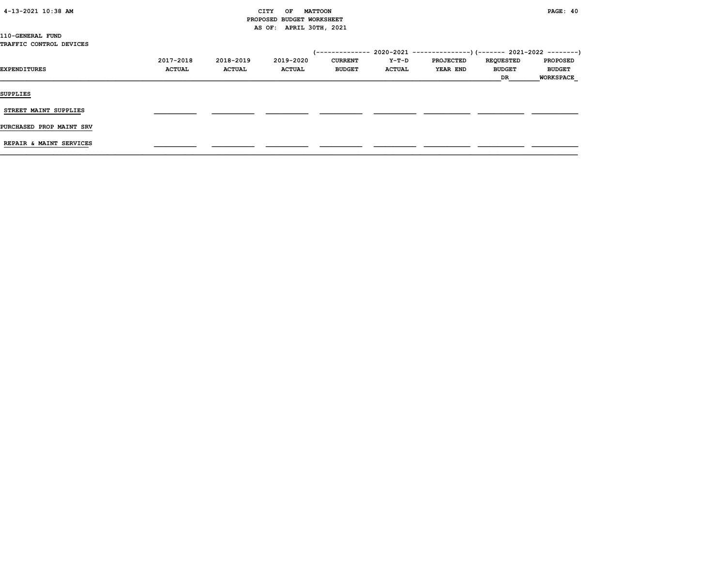| $4-13-2021$ $10:38$ AM |  |  |
|------------------------|--|--|
|------------------------|--|--|

## CITY OF MATTOON **PAGE:** 40 PROPOSED BUDGET WORKSHEET AS OF: APRIL 30TH, 2021

| 110-GENERAL FUND |  |                                |
|------------------|--|--------------------------------|
|                  |  | <b>TRAFFIC CONTROL DEVICES</b> |

|                          |               |               |               | '-------------- |               | 2020-2021 ----------------) (------- 2021-2022 ---------) |                  |                  |
|--------------------------|---------------|---------------|---------------|-----------------|---------------|-----------------------------------------------------------|------------------|------------------|
|                          | 2017-2018     | 2018-2019     | 2019-2020     | <b>CURRENT</b>  | Y-T-D         | <b>PROJECTED</b>                                          | <b>REQUESTED</b> | <b>PROPOSED</b>  |
| <b>EXPENDITURES</b>      | <b>ACTUAL</b> | <b>ACTUAL</b> | <b>ACTUAL</b> | <b>BUDGET</b>   | <b>ACTUAL</b> | YEAR END                                                  | <b>BUDGET</b>    | <b>BUDGET</b>    |
|                          |               |               |               |                 |               |                                                           | DR               | <b>WORKSPACE</b> |
| <b>SUPPLIES</b>          |               |               |               |                 |               |                                                           |                  |                  |
| STREET MAINT SUPPLIES    |               |               |               |                 |               |                                                           |                  |                  |
| PURCHASED PROP MAINT SRV |               |               |               |                 |               |                                                           |                  |                  |
| REPAIR & MAINT SERVICES  |               |               |               |                 |               |                                                           |                  |                  |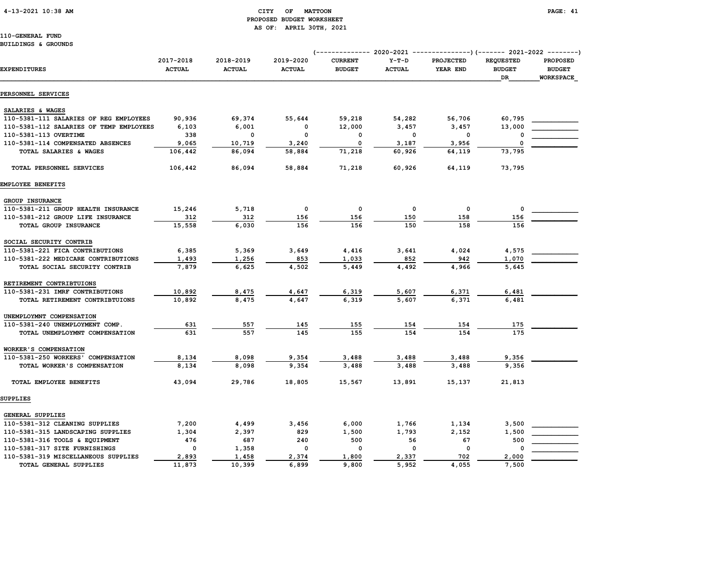# PROPOSED BUDGET WORKSHEET AS OF: APRIL 30TH, 2021

110-GENERAL FUND BUILDINGS & GROUNDS

|                                         |                            |                            |                            |                                 |                          | (------------- 2020-2021 ---------------) (------- 2021-2022 --------) |                                   |                                  |
|-----------------------------------------|----------------------------|----------------------------|----------------------------|---------------------------------|--------------------------|------------------------------------------------------------------------|-----------------------------------|----------------------------------|
| <b>EXPENDITURES</b>                     | 2017-2018<br><b>ACTUAL</b> | 2018-2019<br><b>ACTUAL</b> | 2019-2020<br><b>ACTUAL</b> | <b>CURRENT</b><br><b>BUDGET</b> | $Y-T-D$<br><b>ACTUAL</b> | <b>PROJECTED</b><br>YEAR END                                           | <b>REQUESTED</b><br><b>BUDGET</b> | <b>PROPOSED</b><br><b>BUDGET</b> |
|                                         |                            |                            |                            |                                 |                          |                                                                        | DR                                | <b>WORKSPACE</b>                 |
| PERSONNEL SERVICES                      |                            |                            |                            |                                 |                          |                                                                        |                                   |                                  |
| SALARIES & WAGES                        |                            |                            |                            |                                 |                          |                                                                        |                                   |                                  |
| 110-5381-111 SALARIES OF REG EMPLOYEES  | 90,936                     | 69,374                     | 55,644                     | 59,218                          | 54,282                   | 56,706                                                                 | 60,795                            |                                  |
| 110-5381-112 SALARIES OF TEMP EMPLOYEES | 6,103                      | 6,001                      | 0                          | 12,000                          | 3,457                    | 3,457                                                                  | 13,000                            |                                  |
| 110-5381-113 OVERTIME                   | 338                        | $\mathbf 0$                | $\mathbf 0$                | 0                               | $\mathbf 0$              | $\mathbf 0$                                                            | 0                                 |                                  |
| 110-5381-114 COMPENSATED ABSENCES       | 9,065                      | 10,719                     | 3,240                      | 0                               | 3,187                    | 3,956                                                                  | 0                                 |                                  |
| TOTAL SALARIES & WAGES                  | 106,442                    | 86,094                     | 58,884                     | 71,218                          | 60,926                   | 64,119                                                                 | 73,795                            |                                  |
| TOTAL PERSONNEL SERVICES                | 106,442                    | 86,094                     | 58,884                     | 71,218                          | 60,926                   | 64,119                                                                 | 73,795                            |                                  |
| EMPLOYEE BENEFITS                       |                            |                            |                            |                                 |                          |                                                                        |                                   |                                  |
| <b>GROUP INSURANCE</b>                  |                            |                            |                            |                                 |                          |                                                                        |                                   |                                  |
| 110-5381-211 GROUP HEALTH INSURANCE     | 15,246                     | 5,718                      | $\mathbf 0$                | $\mathbf 0$                     | $\Omega$                 | $\Omega$                                                               | $\mathbf 0$                       |                                  |
| 110-5381-212 GROUP LIFE INSURANCE       | 312                        | 312                        | 156                        | 156                             | 150                      | 158                                                                    | 156                               |                                  |
| TOTAL GROUP INSURANCE                   | 15,558                     | 6,030                      | 156                        | 156                             | 150                      | 158                                                                    | 156                               |                                  |
| SOCIAL SECURITY CONTRIB                 |                            |                            |                            |                                 |                          |                                                                        |                                   |                                  |
| 110-5381-221 FICA CONTRIBUTIONS         | 6,385                      | 5,369                      | 3,649                      | 4,416                           | 3,641                    | 4,024                                                                  | 4,575                             |                                  |
| 110-5381-222 MEDICARE CONTRIBUTIONS     | 1,493                      | 1,256                      | 853                        | 1,033                           | 852                      | 942                                                                    | 1,070                             |                                  |
| TOTAL SOCIAL SECURITY CONTRIB           | 7,879                      | 6,625                      | 4,502                      | 5,449                           | 4,492                    | 4,966                                                                  | 5,645                             |                                  |
| RETIREMENT CONTRIBTUIONS                |                            |                            |                            |                                 |                          |                                                                        |                                   |                                  |
| 110-5381-231 IMRF CONTRIBUTIONS         | 10,892                     | 8,475                      | 4,647                      | 6,319                           | 5,607                    | 6,371                                                                  | 6,481                             |                                  |
| TOTAL RETIREMENT CONTRIBTUIONS          | 10,892                     | 8,475                      | 4,647                      | 6,319                           | 5,607                    | 6,371                                                                  | 6,481                             |                                  |
| UNEMPLOYMNT COMPENSATION                |                            |                            |                            |                                 |                          |                                                                        |                                   |                                  |
| 110-5381-240 UNEMPLOYMENT COMP.         | 631                        | 557                        | 145                        | 155                             | 154                      | 154                                                                    | 175                               |                                  |
| TOTAL UNEMPLOYMNT COMPENSATION          | 631                        | 557                        | 145                        | 155                             | 154                      | 154                                                                    | 175                               |                                  |
| WORKER'S COMPENSATION                   |                            |                            |                            |                                 |                          |                                                                        |                                   |                                  |
| 110-5381-250 WORKERS' COMPENSATION      | 8,134                      | 8,098                      | 9,354                      | 3,488                           | 3,488                    | 3,488                                                                  | 9,356                             |                                  |
| TOTAL WORKER'S COMPENSATION             | 8,134                      | 8,098                      | 9,354                      | 3,488                           | 3,488                    | 3,488                                                                  | 9,356                             |                                  |
| TOTAL EMPLOYEE BENEFITS                 | 43,094                     | 29,786                     | 18,805                     | 15,567                          | 13,891                   | 15,137                                                                 | 21,813                            |                                  |
| SUPPLIES                                |                            |                            |                            |                                 |                          |                                                                        |                                   |                                  |
| GENERAL SUPPLIES                        |                            |                            |                            |                                 |                          |                                                                        |                                   |                                  |
| 110-5381-312 CLEANING SUPPLIES          | 7,200                      | 4,499                      | 3,456                      | 6,000                           | 1,766                    | 1,134                                                                  | 3,500                             |                                  |
| 110-5381-315 LANDSCAPING SUPPLIES       | 1,304                      | 2,397                      | 829                        | 1,500                           | 1,793                    | 2,152                                                                  | 1,500                             |                                  |

110-5381-316 TOOLS & EQUIPMENT 476 687 240 500 56 67 500 110-5381-317 SITE FURNISHINGS 0 1,358 0 0 0 0 0 \_\_\_\_\_\_\_\_\_\_\_\_ 110-5381-319 MISCELLANEOUS SUPPLIES 2,893 1,458 2,374 1,800 2,337 702 2,000 TOTAL GENERAL SUPPLIES 11,873 10,399 6,899 9,800 5,952 4,055 7,500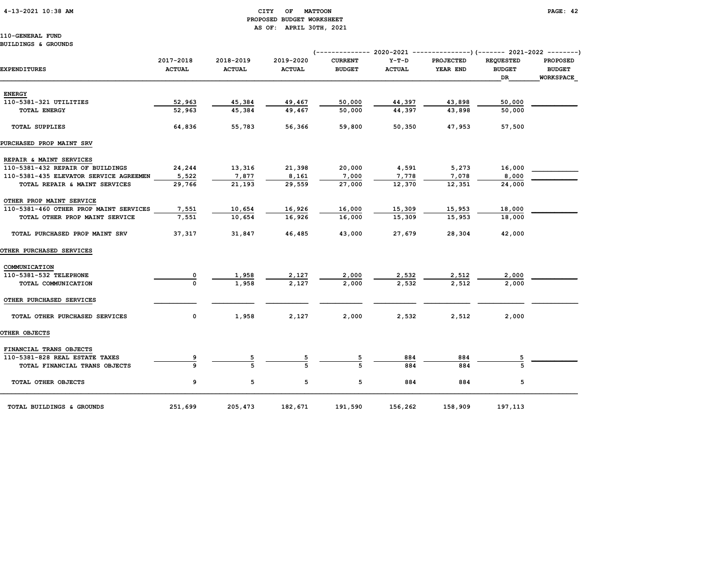## 4-13-2021 10:38 AM CITY OF MATTOON PAGE: 42 PROPOSED BUDGET WORKSHEET AS OF: APRIL 30TH, 2021

110-GENERAL FUND BUILDINGS & GROUNDS

|                                        |               |               |               |                |               | (------------- 2020-2021 ---------------)(------- 2021-2022 --------) |                  |                 |
|----------------------------------------|---------------|---------------|---------------|----------------|---------------|-----------------------------------------------------------------------|------------------|-----------------|
|                                        | 2017-2018     | 2018-2019     | 2019-2020     | <b>CURRENT</b> | $Y-T-D$       | <b>PROJECTED</b>                                                      | <b>REQUESTED</b> | <b>PROPOSED</b> |
| <b>EXPENDITURES</b>                    | <b>ACTUAL</b> | <b>ACTUAL</b> | <b>ACTUAL</b> | <b>BUDGET</b>  | <b>ACTUAL</b> | YEAR END                                                              | <b>BUDGET</b>    | <b>BUDGET</b>   |
|                                        |               |               |               |                |               |                                                                       | DR               | WORKSPACE       |
| <b>ENERGY</b>                          |               |               |               |                |               |                                                                       |                  |                 |
| 110-5381-321 UTILITIES                 | 52,963        | 45,384        | 49,467        | 50,000         | 44,397        | 43,898                                                                | 50,000           |                 |
| <b>TOTAL ENERGY</b>                    | 52,963        | 45,384        | 49,467        | 50,000         | 44,397        | 43,898                                                                | 50,000           |                 |
| <b>TOTAL SUPPLIES</b>                  | 64,836        | 55,783        | 56,366        | 59,800         | 50,350        | 47,953                                                                | 57,500           |                 |
| PURCHASED PROP MAINT SRV               |               |               |               |                |               |                                                                       |                  |                 |
| REPAIR & MAINT SERVICES                |               |               |               |                |               |                                                                       |                  |                 |
| 110-5381-432 REPAIR OF BUILDINGS       | 24,244        | 13,316        | 21,398        | 20,000         | 4,591         | 5,273                                                                 | 16,000           |                 |
| 110-5381-435 ELEVATOR SERVICE AGREEMEN | 5,522         | 7,877         | 8,161         | 7,000          | 7,778         | 7,078                                                                 | 8,000            |                 |
| TOTAL REPAIR & MAINT SERVICES          | 29,766        | 21,193        | 29,559        | 27,000         | 12,370        | 12,351                                                                | 24,000           |                 |
| OTHER PROP MAINT SERVICE               |               |               |               |                |               |                                                                       |                  |                 |
| 110-5381-460 OTHER PROP MAINT SERVICES | 7,551         | 10,654        | 16,926        | 16,000         | 15,309        | 15,953                                                                | 18,000           |                 |
| TOTAL OTHER PROP MAINT SERVICE         | 7,551         | 10,654        | 16,926        | 16,000         | 15,309        | 15,953                                                                | 18,000           |                 |
| TOTAL PURCHASED PROP MAINT SRV         | 37,317        | 31,847        | 46,485        | 43,000         | 27,679        | 28,304                                                                | 42,000           |                 |
| OTHER PURCHASED SERVICES               |               |               |               |                |               |                                                                       |                  |                 |
| COMMUNICATION                          |               |               |               |                |               |                                                                       |                  |                 |
| 110-5381-532 TELEPHONE                 | 0             | 1,958         | 2,127         | 2,000          | 2,532         | 2,512                                                                 | 2,000            |                 |
| TOTAL COMMUNICATION                    | $\Omega$      | 1,958         | 2,127         | 2,000          | 2,532         | 2,512                                                                 | 2,000            |                 |
| OTHER PURCHASED SERVICES               |               |               |               |                |               |                                                                       |                  |                 |
| TOTAL OTHER PURCHASED SERVICES         | 0             | 1,958         | 2,127         | 2,000          | 2,532         | 2,512                                                                 | 2,000            |                 |
| OTHER OBJECTS                          |               |               |               |                |               |                                                                       |                  |                 |
| FINANCIAL TRANS OBJECTS                |               |               |               |                |               |                                                                       |                  |                 |
| 110-5381-828 REAL ESTATE TAXES         |               |               |               |                | 884           | 884                                                                   |                  |                 |
| TOTAL FINANCIAL TRANS OBJECTS          |               |               |               |                | 884           | 884                                                                   |                  |                 |
| TOTAL OTHER OBJECTS                    | 9             | 5             | 5             | 5              | 884           | 884                                                                   | 5                |                 |
| TOTAL BUILDINGS & GROUNDS              | 251,699       | 205,473       | 182,671       | 191,590        | 156,262       | 158,909                                                               | 197,113          |                 |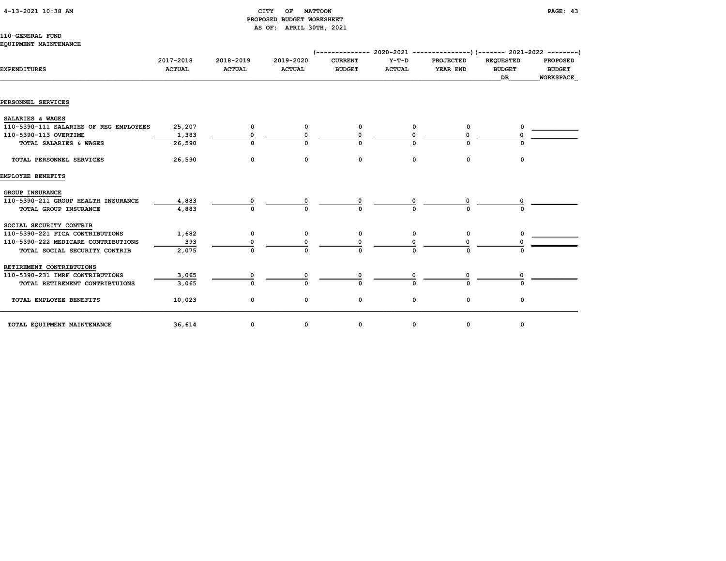## 4-13-2021 10:38 AM CITY OF MATTOON PAGE: 43 PROPOSED BUDGET WORKSHEET AS OF: APRIL 30TH, 2021

## 110-GENERAL FUND

#### EQUIPMENT MAINTENANCE

| <b>EXPENDITURES</b>                    | 2017-2018<br><b>ACTUAL</b> | 2018-2019<br><b>ACTUAL</b> | 2019-2020<br><b>ACTUAL</b> | <b>CURRENT</b><br><b>BUDGET</b> | $Y-T-D$<br><b>ACTUAL</b> | PROJECTED<br>YEAR END | <b>REQUESTED</b><br><b>BUDGET</b><br>DR | <b>PROPOSED</b><br><b>BUDGET</b><br><b>WORKSPACE</b> |
|----------------------------------------|----------------------------|----------------------------|----------------------------|---------------------------------|--------------------------|-----------------------|-----------------------------------------|------------------------------------------------------|
| PERSONNEL SERVICES                     |                            |                            |                            |                                 |                          |                       |                                         |                                                      |
| SALARIES & WAGES                       |                            |                            |                            |                                 |                          |                       |                                         |                                                      |
| 110-5390-111 SALARIES OF REG EMPLOYEES | 25,207                     | 0                          | 0                          | 0                               | 0                        |                       |                                         |                                                      |
| 110-5390-113 OVERTIME                  | 1,383                      | 0                          |                            |                                 |                          |                       |                                         |                                                      |
| TOTAL SALARIES & WAGES                 | 26,590                     | $\Omega$                   |                            |                                 |                          |                       |                                         |                                                      |
| TOTAL PERSONNEL SERVICES               | 26,590                     | 0                          | 0                          | 0                               | 0                        | 0                     | $\mathbf 0$                             |                                                      |
| EMPLOYEE BENEFITS                      |                            |                            |                            |                                 |                          |                       |                                         |                                                      |
| GROUP INSURANCE                        |                            |                            |                            |                                 |                          |                       |                                         |                                                      |
| 110-5390-211 GROUP HEALTH INSURANCE    | 4,883                      |                            |                            |                                 |                          |                       |                                         |                                                      |
| TOTAL GROUP INSURANCE                  | 4,883                      | n                          |                            |                                 |                          |                       |                                         |                                                      |
| SOCIAL SECURITY CONTRIB                |                            |                            |                            |                                 |                          |                       |                                         |                                                      |
| 110-5390-221 FICA CONTRIBUTIONS        | 1,682                      | 0                          | 0                          | 0                               | 0                        |                       |                                         |                                                      |
| 110-5390-222 MEDICARE CONTRIBUTIONS    | 393                        |                            |                            |                                 |                          |                       |                                         |                                                      |
| TOTAL SOCIAL SECURITY CONTRIB          | 2,075                      | $\Omega$                   |                            |                                 |                          |                       |                                         |                                                      |
| RETIREMENT CONTRIBTUIONS               |                            |                            |                            |                                 |                          |                       |                                         |                                                      |
| 110-5390-231 IMRF CONTRIBUTIONS        | 3,065                      | 0                          |                            |                                 |                          |                       |                                         |                                                      |
| TOTAL RETIREMENT CONTRIBTUIONS         | 3,065                      | $\Omega$                   |                            |                                 |                          |                       |                                         |                                                      |
| TOTAL EMPLOYEE BENEFITS                | 10,023                     | 0                          | 0                          | 0                               | 0                        | $\mathbf 0$           | 0                                       |                                                      |
| TOTAL EQUIPMENT MAINTENANCE            | 36,614                     | 0                          | 0                          | 0                               | 0                        | 0                     | 0                                       |                                                      |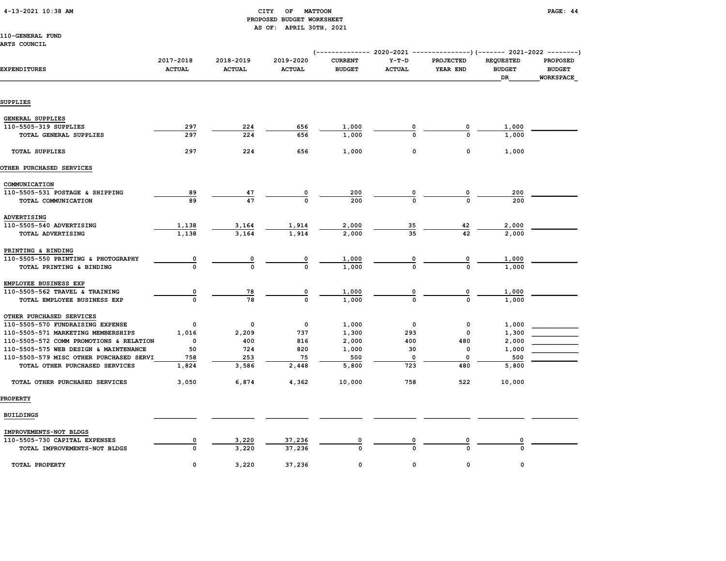## 4-13-2021 10:38 AM CITY OF MATTOON PAGE: 44 PROPOSED BUDGET WORKSHEET AS OF: APRIL 30TH, 2021

## 110-GENERAL FUND

ARTS COUNCIL

| <b>ARTS COUNCIL</b>                     |                            |                            |                            |                                                                                                           |                          |                       |                                                |                                                      |
|-----------------------------------------|----------------------------|----------------------------|----------------------------|-----------------------------------------------------------------------------------------------------------|--------------------------|-----------------------|------------------------------------------------|------------------------------------------------------|
| <b>EXPENDITURES</b>                     | 2017-2018<br><b>ACTUAL</b> | 2018-2019<br><b>ACTUAL</b> | 2019-2020<br><b>ACTUAL</b> | (------------- 2020-2021 ---------------) (------- 2021-2022 --------)<br><b>CURRENT</b><br><b>BUDGET</b> | $Y-T-D$<br><b>ACTUAL</b> | PROJECTED<br>YEAR END | <b>REQUESTED</b><br><b>BUDGET</b><br><b>DR</b> | <b>PROPOSED</b><br><b>BUDGET</b><br><b>WORKSPACE</b> |
| SUPPLIES                                |                            |                            |                            |                                                                                                           |                          |                       |                                                |                                                      |
| <b>GENERAL SUPPLIES</b>                 |                            |                            |                            |                                                                                                           |                          |                       |                                                |                                                      |
| 110-5505-319 SUPPLIES                   | 297                        | 224                        | 656                        |                                                                                                           | 0                        | 0                     | 1,000                                          |                                                      |
| TOTAL GENERAL SUPPLIES                  | 297                        | 224                        | 656                        | 1,000<br>1,000                                                                                            | $\Omega$                 | $\Omega$              | 1,000                                          |                                                      |
|                                         |                            |                            |                            |                                                                                                           |                          |                       |                                                |                                                      |
| <b>TOTAL SUPPLIES</b>                   | 297                        | 224                        | 656                        | 1,000                                                                                                     | 0                        | 0                     | 1,000                                          |                                                      |
| OTHER PURCHASED SERVICES                |                            |                            |                            |                                                                                                           |                          |                       |                                                |                                                      |
| COMMUNICATION                           |                            |                            |                            |                                                                                                           |                          |                       |                                                |                                                      |
| 110-5505-531 POSTAGE & SHIPPING         | 89                         | 47                         | 0                          | 200                                                                                                       | 0                        | 0                     | 200                                            |                                                      |
| TOTAL COMMUNICATION                     | 89                         | 47                         | $\Omega$                   | 200                                                                                                       | $\Omega$                 | $\Omega$              | 200                                            |                                                      |
| ADVERTISING                             |                            |                            |                            |                                                                                                           |                          |                       |                                                |                                                      |
| 110-5505-540 ADVERTISING                | 1,138                      | 3,164                      | 1,914                      | 2,000                                                                                                     | $\overline{35}$          | 42                    | 2,000                                          |                                                      |
| TOTAL ADVERTISING                       | 1,138                      | 3,164                      | 1,914                      | 2,000                                                                                                     | 35                       | 42                    | 2,000                                          |                                                      |
| PRINTING & BINDING                      |                            |                            |                            |                                                                                                           |                          |                       |                                                |                                                      |
| 110-5505-550 PRINTING & PHOTOGRAPHY     | $\overline{\mathbf{0}}$    | 0                          | 0                          | 1,000                                                                                                     | 0                        | 0                     | 1,000                                          |                                                      |
| TOTAL PRINTING & BINDING                | $\Omega$                   | $\mathbf 0$                | $\mathbf{o}$               | 1,000                                                                                                     | $\Omega$                 | $\Omega$              | 1,000                                          |                                                      |
| EMPLOYEE BUSINESS EXP                   |                            |                            |                            |                                                                                                           |                          |                       |                                                |                                                      |
| 110-5505-562 TRAVEL & TRAINING          | $\overline{\mathbf{0}}$    | 78                         | 0                          | 1,000                                                                                                     | $\overline{\mathbf{0}}$  | 0                     | 1,000                                          |                                                      |
| TOTAL EMPLOYEE BUSINESS EXP             | $\Omega$                   | 78                         | $\Omega$                   | 1,000                                                                                                     | $\Omega$                 | $\Omega$              | 1,000                                          |                                                      |
| OTHER PURCHASED SERVICES                |                            |                            |                            |                                                                                                           |                          |                       |                                                |                                                      |
| 110-5505-570 FUNDRAISING EXPENSE        | 0                          | $\mathsf{o}\,$             | 0                          | 1,000                                                                                                     | $\mathbf 0$              | 0                     | 1,000                                          |                                                      |
| 110-5505-571 MARKETING MEMBERSHIPS      | 1,016                      | 2,209                      | 737                        | 1,300                                                                                                     | 293                      | 0                     | 1,300                                          |                                                      |
| 110-5505-572 COMM PROMOTIONS & RELATION | 0                          | 400                        | 816                        | 2,000                                                                                                     | 400                      | 480                   | 2,000                                          |                                                      |
| 110-5505-575 WEB DESIGN & MAINTENANCE   | 50                         | 724                        | 820                        | 1,000                                                                                                     | 30                       | $\mathbf 0$           | 1,000                                          |                                                      |
| 110-5505-579 MISC OTHER PURCHASED SERVI | 758                        | 253                        | 75                         | 500                                                                                                       | 0                        | 0                     | 500                                            |                                                      |
| TOTAL OTHER PURCHASED SERVICES          | 1,824                      | 3,586                      | 2,448                      | 5,800                                                                                                     | 723                      | 480                   | 5,800                                          |                                                      |
| TOTAL OTHER PURCHASED SERVICES          | 3,050                      | 6,874                      | 4,362                      | 10,000                                                                                                    | 758                      | 522                   | 10,000                                         |                                                      |
| <b>PROPERTY</b>                         |                            |                            |                            |                                                                                                           |                          |                       |                                                |                                                      |
| <b>BUILDINGS</b>                        |                            |                            |                            |                                                                                                           |                          |                       |                                                |                                                      |
| IMPROVEMENTS-NOT BLDGS                  |                            |                            |                            |                                                                                                           |                          |                       |                                                |                                                      |
| 110-5505-730 CAPITAL EXPENSES           | 0                          | 3,220                      | 37,236                     | 0                                                                                                         | 0                        | 0                     |                                                |                                                      |
| TOTAL IMPROVEMENTS-NOT BLDGS            | $\mathbf{o}$               | 3,220                      | 37,236                     | $\Omega$                                                                                                  |                          | $\Omega$              | $\Omega$                                       |                                                      |
| TOTAL PROPERTY                          | $\mathbf 0$                | 3,220                      | 37,236                     | $\Omega$                                                                                                  | 0                        | 0                     | $\mathbf 0$                                    |                                                      |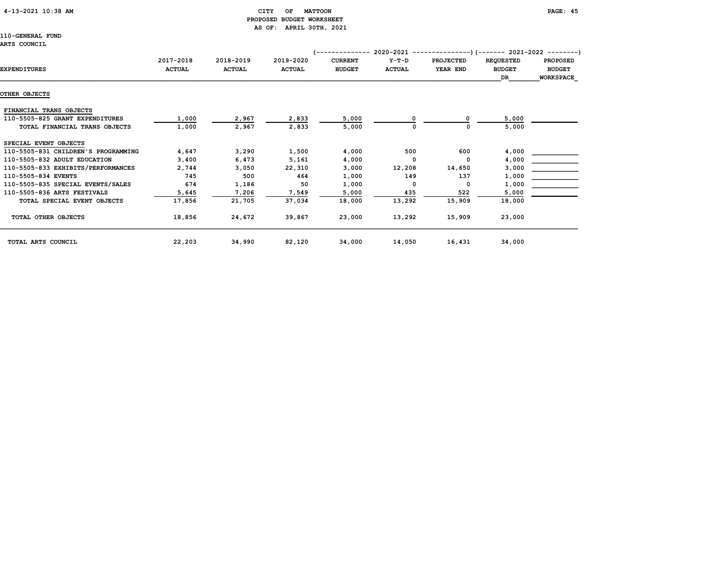## 4-13-2021 10:38 AM CITY OF MATTOON PAGE: 45 PROPOSED BUDGET WORKSHEET AS OF: APRIL 30TH, 2021

110-GENERAL FUND

#### ARTS COUNCIL

|                                     |               |               |               | (-------------- |               | 2020-2021 ----------------) (------- 2021-2022 ---------) |                  |                  |
|-------------------------------------|---------------|---------------|---------------|-----------------|---------------|-----------------------------------------------------------|------------------|------------------|
|                                     | 2017-2018     | 2018-2019     | 2019-2020     | <b>CURRENT</b>  | $Y-T-D$       | <b>PROJECTED</b>                                          | <b>REQUESTED</b> | <b>PROPOSED</b>  |
| <b>EXPENDITURES</b>                 | <b>ACTUAL</b> | <b>ACTUAL</b> | <b>ACTUAL</b> | <b>BUDGET</b>   | <b>ACTUAL</b> | YEAR END                                                  | <b>BUDGET</b>    | <b>BUDGET</b>    |
|                                     |               |               |               |                 |               |                                                           | DR               | <b>WORKSPACE</b> |
| OTHER OBJECTS                       |               |               |               |                 |               |                                                           |                  |                  |
| FINANCIAL TRANS OBJECTS             |               |               |               |                 |               |                                                           |                  |                  |
| 110-5505-825 GRANT EXPENDITURES     | 1,000         | 2,967         | 2,833         | 5,000           |               |                                                           | 5,000            |                  |
| TOTAL FINANCIAL TRANS OBJECTS       | 1,000         | 2,967         | 2,833         | 5,000           |               | ٥                                                         | 5,000            |                  |
| SPECIAL EVENT OBJECTS               |               |               |               |                 |               |                                                           |                  |                  |
| 110-5505-831 CHILDREN'S PROGRAMMING | 4,647         | 3,290         | 1,500         | 4,000           | 500           | 600                                                       | 4,000            |                  |
| 110-5505-832 ADULT EDUCATION        | 3,400         | 6,473         | 5,161         | 4,000           | 0             | $\mathbf 0$                                               | 4,000            |                  |
| 110-5505-833 EXHIBITS/PERFORMANCES  | 2,744         | 3,050         | 22,310        | 3,000           | 12,208        | 14,650                                                    | 3,000            |                  |
| 110-5505-834 EVENTS                 | 745           | 500           | 464           | 1,000           | 149           | 137                                                       | 1,000            |                  |
| 110-5505-835 SPECIAL EVENTS/SALES   | 674           | 1,186         | 50            | 1,000           | 0             | $\mathbf 0$                                               | 1,000            |                  |
| 110-5505-836 ARTS FESTIVALS         | 5,645         | 7,206         | 7,549         | 5,000           | 435           | 522                                                       | 5,000            |                  |
| TOTAL SPECIAL EVENT OBJECTS         | 17,856        | 21,705        | 37,034        | 18,000          | 13,292        | 15,909                                                    | 18,000           |                  |
| TOTAL OTHER OBJECTS                 | 18,856        | 24,672        | 39,867        | 23,000          | 13,292        | 15,909                                                    | 23,000           |                  |
| TOTAL ARTS COUNCIL                  | 22,203        | 34,990        | 82,120        | 34,000          | 14,050        | 16,431                                                    | 34,000           |                  |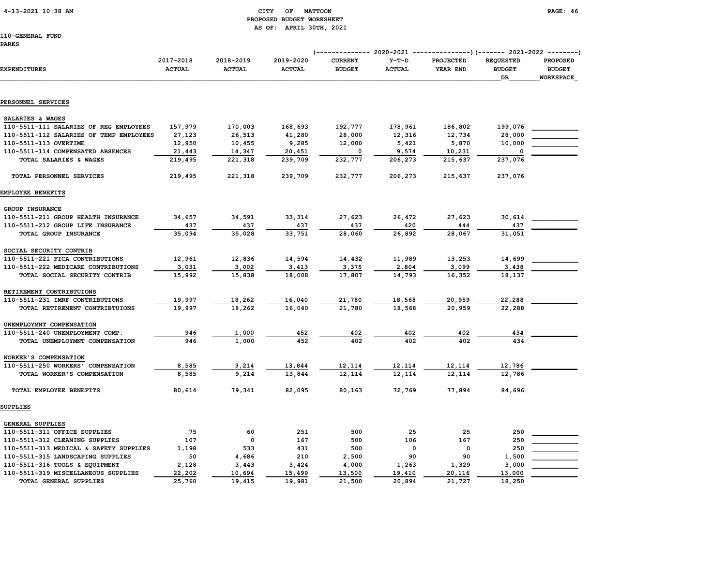## 4-13-2021 10:38 AM CITY OF MATTOON PAGE: 46 PROPOSED BUDGET WORKSHEET AS OF: APRIL 30TH, 2021

| <b>EXPENDITURES</b>                     | 2017-2018<br><b>ACTUAL</b> | 2018-2019<br><b>ACTUAL</b> | 2019-2020<br><b>ACTUAL</b> | <b>CURRENT</b><br><b>BUDGET</b> | $Y-T-D$<br><b>ACTUAL</b> | PROJECTED<br>YEAR END | <b>REQUESTED</b><br><b>BUDGET</b><br>DR | <b>PROPOSED</b><br><b>BUDGET</b><br><b>WORKSPACE</b> |
|-----------------------------------------|----------------------------|----------------------------|----------------------------|---------------------------------|--------------------------|-----------------------|-----------------------------------------|------------------------------------------------------|
|                                         |                            |                            |                            |                                 |                          |                       |                                         |                                                      |
| PERSONNEL SERVICES                      |                            |                            |                            |                                 |                          |                       |                                         |                                                      |
| SALARIES & WAGES                        |                            |                            |                            |                                 |                          |                       |                                         |                                                      |
| 110-5511-111 SALARIES OF REG EMPLOYEES  | 157,979                    | 170,003                    | 168,693                    | 192,777                         | 178,961                  | 186,802               | 199,076                                 |                                                      |
| 110-5511-112 SALARIES OF TEMP EMPLOYEES | 27,123                     | 26,513                     | 41,280                     | 28,000                          | 12,316                   | 12,734                | 28,000                                  |                                                      |
| 110-5511-113 OVERTIME                   | 12,950                     | 10,455                     | 9,285                      | 12,000                          | 5,421                    | 5,870                 | 10,000                                  |                                                      |
| 110-5511-114 COMPENSATED ABSENCES       | 21,443                     | 14,347                     | 20,451                     | $\mathbf 0$                     | 9,574                    | 10,231                |                                         |                                                      |
| TOTAL SALARIES & WAGES                  | 219,495                    | 221,318                    | 239,709                    | 232,777                         | 206,273                  | 215,637               | 237,076                                 |                                                      |
| TOTAL PERSONNEL SERVICES                | 219,495                    | 221,318                    | 239,709                    | 232,777                         | 206,273                  | 215,637               | 237,076                                 |                                                      |
| EMPLOYEE BENEFITS                       |                            |                            |                            |                                 |                          |                       |                                         |                                                      |
| GROUP INSURANCE                         |                            |                            |                            |                                 |                          |                       |                                         |                                                      |
| 110-5511-211 GROUP HEALTH INSURANCE     | 34,657                     | 34,591                     | 33,314                     | 27,623                          | 26,472                   | 27,623                | 30,614                                  |                                                      |
| 110-5511-212 GROUP LIFE INSURANCE       | 437                        | 437                        | 437                        | 437                             | 420                      | 444                   | 437                                     |                                                      |
| TOTAL GROUP INSURANCE                   | 35,094                     | 35,028                     | 33,751                     | 28,060                          | 26,892                   | 28,067                | 31,051                                  |                                                      |
| SOCIAL SECURITY CONTRIB                 |                            |                            |                            |                                 |                          |                       |                                         |                                                      |
| 110-5511-221 FICA CONTRIBUTIONS         | 12,961                     | 12,836                     | 14,594                     | 14,432                          | 11,989                   | 13,253                | 14,699                                  |                                                      |
| 110-5511-222 MEDICARE CONTRIBUTIONS     | 3,031                      | 3,002                      | 3,413                      | 3,375                           | 2,804                    | 3,099                 | 3,438                                   |                                                      |
| TOTAL SOCIAL SECURITY CONTRIB           | 15,992                     | 15,838                     | 18,008                     | 17,807                          | 14,793                   | 16,352                | 18,137                                  |                                                      |
| RETIREMENT CONTRIBTUIONS                |                            |                            |                            |                                 |                          |                       |                                         |                                                      |
| 110-5511-231 IMRF CONTRIBUTIONS         | 19,997                     | 18,262                     | 16,040                     | 21,780                          | 18,568                   | 20,959                | 22,288                                  |                                                      |
| TOTAL RETIREMENT CONTRIBTUIONS          | 19,997                     | 18,262                     | 16,040                     | 21,780                          | 18,568                   | 20,959                | 22,288                                  |                                                      |
| UNEMPLOYMNT COMPENSATION                |                            |                            |                            |                                 |                          |                       |                                         |                                                      |
| 110-5511-240 UNEMPLOYMENT COMP.         | 946                        | 1,000                      | 452                        | 402                             | 402                      | 402                   | 434                                     |                                                      |
| TOTAL UNEMPLOYMNT COMPENSATION          | 946                        | 1,000                      | 452                        | 402                             | 402                      | 402                   | 434                                     |                                                      |
| WORKER'S COMPENSATION                   |                            |                            |                            |                                 |                          |                       |                                         |                                                      |
| 110-5511-250 WORKERS' COMPENSATION      | 8,585                      | 9,214                      | 13,844                     | 12,114                          | 12,114                   | 12,114                | 12,786                                  |                                                      |
| TOTAL WORKER'S COMPENSATION             | 8,585                      | 9,214                      | 13,844                     | 12,114                          | 12,114                   | 12,114                | 12,786                                  |                                                      |
| TOTAL EMPLOYEE BENEFITS                 | 80,614                     | 79,341                     | 82,095                     | 80,163                          | 72,769                   | 77,894                | 84,696                                  |                                                      |
| <b>SUPPLIES</b>                         |                            |                            |                            |                                 |                          |                       |                                         |                                                      |
| <b>GENERAL SUPPLIES</b>                 |                            |                            |                            |                                 |                          |                       |                                         |                                                      |
| 110-5511-311 OFFICE SUPPLIES            | 75                         | 60                         | 251                        | 500                             | 25                       | 25                    | 250                                     |                                                      |
| 110-5511-312 CLEANING SUPPLIES          | 107                        | $\mathbf 0$                | 167                        | 500                             | 106                      | 167                   | 250                                     |                                                      |
| 110-5511-313 MEDICAL & SAFETY SUPPLIES  | 1,198                      | 533                        | 431                        | 500                             | 0                        | 0                     | 250                                     |                                                      |
| 110-5511-315 LANDSCAPING SUPPLIES       | 50                         | 4,686                      | 210                        | 2,500                           | 90                       | 90                    | 1,500                                   |                                                      |
| 110-5511-316 TOOLS & EQUIPMENT          | 2,128                      | 3,443                      | 3,424                      | 4,000                           | 1,263                    | 1,329                 | 3,000                                   |                                                      |
| 110-5511-319 MISCELLANEOUS SUPPLIES     | 22,202                     | 10,694                     | 15,499                     | 13,500                          | 19,410                   | 20,116                | 13,000                                  |                                                      |
| TOTAL GENERAL SUPPLIES                  | 25,760                     | 19,415                     | 19,981                     | 21,500                          | 20,894                   | 21,727                | 18,250                                  |                                                      |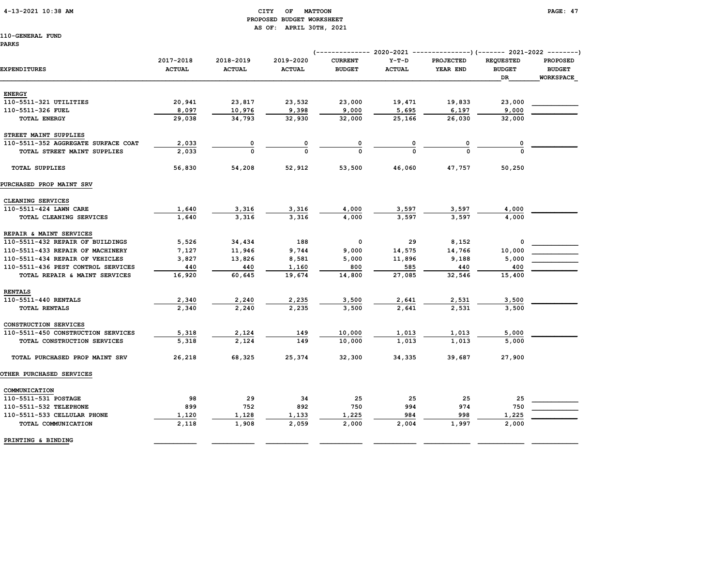## 4-13-2021 10:38 AM CITY OF MATTOON PAGE: 47 PROPOSED BUDGET WORKSHEET AS OF: APRIL 30TH, 2021

| PARKS                               |                            |                            |                            | --------------                  |                          | 2020-2021 ----------------)(------- 2021-2022 ---------) |                                                |                                                      |
|-------------------------------------|----------------------------|----------------------------|----------------------------|---------------------------------|--------------------------|----------------------------------------------------------|------------------------------------------------|------------------------------------------------------|
| <b>EXPENDITURES</b>                 | 2017-2018<br><b>ACTUAL</b> | 2018-2019<br><b>ACTUAL</b> | 2019-2020<br><b>ACTUAL</b> | <b>CURRENT</b><br><b>BUDGET</b> | $Y-T-D$<br><b>ACTUAL</b> | <b>PROJECTED</b><br>YEAR END                             | <b>REQUESTED</b><br><b>BUDGET</b><br><b>DR</b> | <b>PROPOSED</b><br><b>BUDGET</b><br><b>WORKSPACE</b> |
| <b>ENERGY</b>                       |                            |                            |                            |                                 |                          |                                                          |                                                |                                                      |
| 110-5511-321 UTILITIES              | 20,941                     | 23,817                     | 23,532                     | 23,000                          | 19,471                   | 19,833                                                   | 23,000                                         |                                                      |
| 110-5511-326 FUEL                   | 8,097                      | 10,976                     | 9,398                      | 9,000                           | 5,695                    | 6,197                                                    | 9,000                                          |                                                      |
| <b>TOTAL ENERGY</b>                 | 29,038                     | 34,793                     | 32,930                     | 32,000                          | 25,166                   | 26,030                                                   | 32,000                                         |                                                      |
| STREET MAINT SUPPLIES               |                            |                            |                            |                                 |                          |                                                          |                                                |                                                      |
| 110-5511-352 AGGREGATE SURFACE COAT | 2,033                      | 0                          |                            |                                 |                          |                                                          |                                                |                                                      |
| TOTAL STREET MAINT SUPPLIES         | 2,033                      | $\Omega$                   | $\Omega$                   | $\Omega$                        | $\Omega$                 | <sup>0</sup>                                             |                                                |                                                      |
| <b>TOTAL SUPPLIES</b>               | 56,830                     | 54,208                     | 52,912                     | 53,500                          | 46,060                   | 47,757                                                   | 50,250                                         |                                                      |
| PURCHASED PROP MAINT SRV            |                            |                            |                            |                                 |                          |                                                          |                                                |                                                      |
| CLEANING SERVICES                   |                            |                            |                            |                                 |                          |                                                          |                                                |                                                      |
| 110-5511-424 LAWN CARE              | 1,640                      | 3,316                      | 3,316                      | 4,000                           | 3,597                    | 3,597                                                    | 4,000                                          |                                                      |
| TOTAL CLEANING SERVICES             | 1,640                      | 3,316                      | 3,316                      | 4,000                           | 3,597                    | 3,597                                                    | 4,000                                          |                                                      |
| REPAIR & MAINT SERVICES             |                            |                            |                            |                                 |                          |                                                          |                                                |                                                      |
| 110-5511-432 REPAIR OF BUILDINGS    | 5,526                      | 34,434                     | 188                        | 0                               | 29                       | 8,152                                                    | 0                                              |                                                      |
| 110-5511-433 REPAIR OF MACHINERY    | 7,127                      | 11,946                     | 9,744                      | 9,000                           | 14,575                   | 14,766                                                   | 10,000                                         |                                                      |
| 110-5511-434 REPAIR OF VEHICLES     | 3,827                      | 13,826                     | 8,581                      | 5,000                           | 11,896                   | 9,188                                                    | 5,000                                          |                                                      |
| 110-5511-436 PEST CONTROL SERVICES  | 440                        | 440                        | 1,160                      | 800                             | 585                      | 440                                                      | 400                                            |                                                      |
| TOTAL REPAIR & MAINT SERVICES       | 16,920                     | 60,645                     | 19,674                     | 14,800                          | 27,085                   | 32,546                                                   | 15,400                                         |                                                      |
| <b>RENTALS</b>                      |                            |                            |                            |                                 |                          |                                                          |                                                |                                                      |
| 110-5511-440 RENTALS                | 2,340                      | 2,240                      | 2,235                      | 3,500                           | 2,641                    | 2,531                                                    | 3,500                                          |                                                      |
| TOTAL RENTALS                       | 2,340                      | 2,240                      | 2,235                      | 3,500                           | 2,641                    | 2,531                                                    | 3,500                                          |                                                      |
| CONSTRUCTION SERVICES               |                            |                            |                            |                                 |                          |                                                          |                                                |                                                      |
| 110-5511-450 CONSTRUCTION SERVICES  | 5,318                      | 2,124                      | 149                        | 10,000                          | 1,013                    | 1,013                                                    | 5,000                                          |                                                      |
| TOTAL CONSTRUCTION SERVICES         | 5,318                      | 2,124                      | 149                        | 10,000                          | 1,013                    | 1,013                                                    | 5,000                                          |                                                      |
| TOTAL PURCHASED PROP MAINT SRV      | 26,218                     | 68,325                     | 25,374                     | 32,300                          | 34,335                   | 39,687                                                   | 27,900                                         |                                                      |
| <b>OTHER PURCHASED SERVICES</b>     |                            |                            |                            |                                 |                          |                                                          |                                                |                                                      |
| COMMUNICATION                       |                            |                            |                            |                                 |                          |                                                          |                                                |                                                      |
| 110-5511-531 POSTAGE                | 98                         | 29                         | 34                         | 25                              | 25                       | 25                                                       | 25                                             |                                                      |
| 110-5511-532 TELEPHONE              | 899                        | 752                        | 892                        | 750                             | 994                      | 974                                                      | 750                                            |                                                      |
| 110-5511-533 CELLULAR PHONE         | 1,120                      | 1,128                      | 1,133                      | 1,225                           | 984                      | 998                                                      | 1,225                                          |                                                      |
| TOTAL COMMUNICATION                 | 2,118                      | 1,908                      | 2,059                      | 2,000                           | 2,004                    | 1,997                                                    | 2,000                                          |                                                      |
| PRINTING & BINDING                  |                            |                            |                            |                                 |                          |                                                          |                                                |                                                      |
|                                     |                            |                            |                            |                                 |                          |                                                          |                                                |                                                      |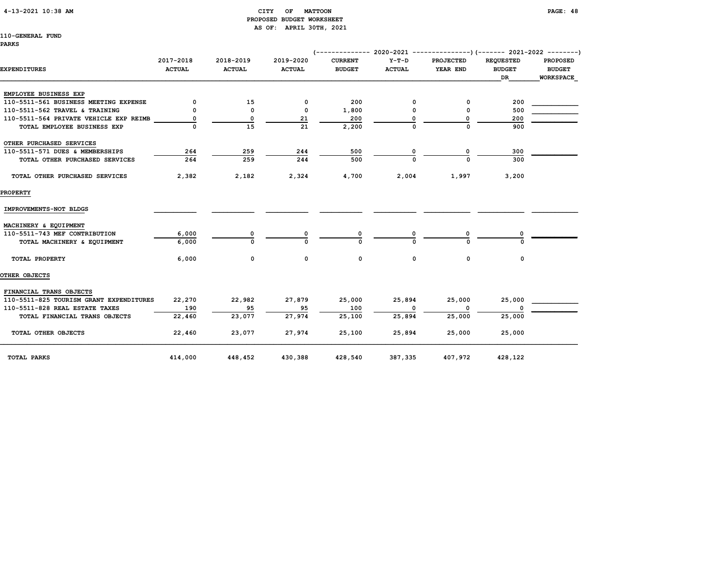## 4-13-2021 10:38 AM CITY OF MATTOON PAGE: 48 PROPOSED BUDGET WORKSHEET AS OF: APRIL 30TH, 2021

| <b>EXPENDITURES</b>                     | 2017-2018<br><b>ACTUAL</b> | 2018-2019<br><b>ACTUAL</b> | 2019-2020<br><b>ACTUAL</b> | <b>CURRENT</b><br><b>BUDGET</b> | $Y-T-D$<br><b>ACTUAL</b> | <b>PROJECTED</b><br>YEAR END | <b>REQUESTED</b><br><b>BUDGET</b><br>DR. | <b>PROPOSED</b><br><b>BUDGET</b><br><b>WORKSPACE</b> |
|-----------------------------------------|----------------------------|----------------------------|----------------------------|---------------------------------|--------------------------|------------------------------|------------------------------------------|------------------------------------------------------|
| EMPLOYEE BUSINESS EXP                   |                            |                            |                            |                                 |                          |                              |                                          |                                                      |
| 110-5511-561 BUSINESS MEETING EXPENSE   | 0                          | 15                         | 0                          | 200                             | 0                        | 0                            | 200                                      |                                                      |
| 110-5511-562 TRAVEL & TRAINING          | 0                          | $\mathbf 0$                | $\mathbf 0$                | 1,800                           | 0                        | 0                            | 500                                      |                                                      |
| 110-5511-564 PRIVATE VEHICLE EXP REIMB  | 0                          | 0                          | 21                         | 200                             |                          | $\Omega$                     | 200                                      |                                                      |
| TOTAL EMPLOYEE BUSINESS EXP             | $\Omega$                   | 15                         | 21                         | 2,200                           | $\Omega$                 | $\Omega$                     | 900                                      |                                                      |
| OTHER PURCHASED SERVICES                |                            |                            |                            |                                 |                          |                              |                                          |                                                      |
| 110-5511-571 DUES & MEMBERSHIPS         | 264                        | 259                        | 244                        | 500                             | 0                        | 0                            | 300                                      |                                                      |
| TOTAL OTHER PURCHASED SERVICES          | 264                        | 259                        | 244                        | 500                             |                          | $\Omega$                     | 300                                      |                                                      |
| TOTAL OTHER PURCHASED SERVICES          | 2,382                      | 2,182                      | 2,324                      | 4,700                           | 2,004                    | 1,997                        | 3,200                                    |                                                      |
| <b>PROPERTY</b>                         |                            |                            |                            |                                 |                          |                              |                                          |                                                      |
| IMPROVEMENTS-NOT BLDGS                  |                            |                            |                            |                                 |                          |                              |                                          |                                                      |
| MACHINERY & EQUIPMENT                   |                            |                            |                            |                                 |                          |                              |                                          |                                                      |
| 110-5511-743 MEF CONTRIBUTION           | 6,000                      | 0                          |                            |                                 |                          |                              |                                          |                                                      |
| TOTAL MACHINERY & EQUIPMENT             | 6,000                      | $\Omega$                   | n                          | $\Omega$                        |                          |                              |                                          |                                                      |
| TOTAL PROPERTY                          | 6,000                      | $\mathbf 0$                | 0                          | $\mathbf 0$                     | $\mathbf 0$              | $\mathbf 0$                  | 0                                        |                                                      |
| OTHER OBJECTS                           |                            |                            |                            |                                 |                          |                              |                                          |                                                      |
| FINANCIAL TRANS OBJECTS                 |                            |                            |                            |                                 |                          |                              |                                          |                                                      |
| 110-5511-825 TOURISM GRANT EXPENDITURES | 22,270                     | 22,982                     | 27,879                     | 25,000                          | 25,894                   | 25,000                       | 25,000                                   |                                                      |
| 110-5511-828 REAL ESTATE TAXES          | 190                        | 95                         | 95                         | 100                             |                          |                              |                                          |                                                      |
| TOTAL FINANCIAL TRANS OBJECTS           | 22,460                     | 23,077                     | 27.974                     | 25,100                          | 25,894                   | 25,000                       | 25,000                                   |                                                      |
| TOTAL OTHER OBJECTS                     | 22,460                     | 23,077                     | 27,974                     | 25,100                          | 25,894                   | 25,000                       | 25,000                                   |                                                      |
| <b>TOTAL PARKS</b>                      | 414,000                    | 448,452                    | 430,388                    | 428,540                         | 387,335                  | 407,972                      | 428,122                                  |                                                      |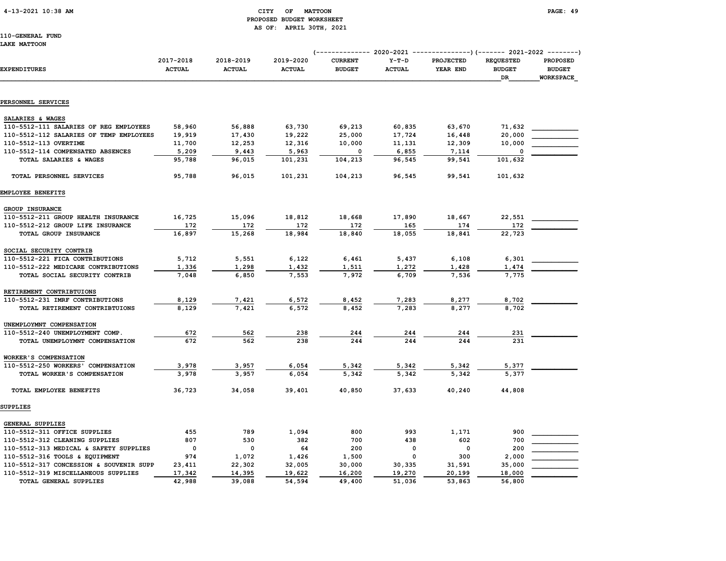## 4-13-2021 10:38 AM CITY OF MATTOON PAGE: 49 PROPOSED BUDGET WORKSHEET AS OF: APRIL 30TH, 2021

110-GENERAL FUND LAKE MATTOON

|                                         |                            |                            |                            | (------------- 2020-2021        |                          | ---------------) (------- 2021-2022 --------) |                                                |                                               |
|-----------------------------------------|----------------------------|----------------------------|----------------------------|---------------------------------|--------------------------|-----------------------------------------------|------------------------------------------------|-----------------------------------------------|
| <b>EXPENDITURES</b>                     | 2017-2018<br><b>ACTUAL</b> | 2018-2019<br><b>ACTUAL</b> | 2019-2020<br><b>ACTUAL</b> | <b>CURRENT</b><br><b>BUDGET</b> | $Y-T-D$<br><b>ACTUAL</b> | PROJECTED<br>YEAR END                         | <b>REQUESTED</b><br><b>BUDGET</b><br><b>DR</b> | PROPOSED<br><b>BUDGET</b><br><b>WORKSPACE</b> |
|                                         |                            |                            |                            |                                 |                          |                                               |                                                |                                               |
| PERSONNEL SERVICES                      |                            |                            |                            |                                 |                          |                                               |                                                |                                               |
| SALARIES & WAGES                        |                            |                            |                            |                                 |                          |                                               |                                                |                                               |
| 110-5512-111 SALARIES OF REG EMPLOYEES  | 58,960                     | 56,888                     | 63,730                     | 69,213                          | 60,835                   | 63,670                                        | 71,632                                         |                                               |
| 110-5512-112 SALARIES OF TEMP EMPLOYEES | 19,919                     | 17,430                     | 19,222                     | 25,000                          | 17,724                   | 16,448                                        | 20,000                                         |                                               |
| 110-5512-113 OVERTIME                   | 11,700                     | 12,253                     | 12,316                     | 10,000                          | 11,131                   | 12,309                                        | 10,000                                         |                                               |
| 110-5512-114 COMPENSATED ABSENCES       | 5,209                      | 9,443                      | 5,963                      | 0                               | 6,855                    | 7,114                                         |                                                |                                               |
| TOTAL SALARIES & WAGES                  | 95,788                     | 96,015                     | 101,231                    | 104,213                         | 96,545                   | 99,541                                        | 101,632                                        |                                               |
| TOTAL PERSONNEL SERVICES                | 95,788                     | 96,015                     | 101,231                    | 104,213                         | 96,545                   | 99,541                                        | 101,632                                        |                                               |
| EMPLOYEE BENEFITS                       |                            |                            |                            |                                 |                          |                                               |                                                |                                               |
| GROUP INSURANCE                         |                            |                            |                            |                                 |                          |                                               |                                                |                                               |
| 110-5512-211 GROUP HEALTH INSURANCE     | 16,725                     | 15,096                     | 18,812                     | 18,668                          | 17,890                   | 18,667                                        | 22,551                                         |                                               |
| 110-5512-212 GROUP LIFE INSURANCE       | 172                        | 172                        | 172                        | 172                             | 165                      | 174                                           | 172                                            |                                               |
| TOTAL GROUP INSURANCE                   | 16,897                     | 15,268                     | 18,984                     | 18,840                          | 18,055                   | 18,841                                        | 22,723                                         |                                               |
| SOCIAL SECURITY CONTRIB                 |                            |                            |                            |                                 |                          |                                               |                                                |                                               |
| 110-5512-221 FICA CONTRIBUTIONS         | 5,712                      | 5,551                      | 6,122                      | 6,461                           | 5,437                    | 6,108                                         | 6,301                                          |                                               |
| 110-5512-222 MEDICARE CONTRIBUTIONS     | 1,336                      | 1,298                      | 1,432                      | 1,511                           | 1,272                    | 1,428                                         | 1,474                                          |                                               |
| TOTAL SOCIAL SECURITY CONTRIB           | 7,048                      | 6,850                      | 7,553                      | 7,972                           | 6,709                    | 7,536                                         | 7,775                                          |                                               |
| RETIREMENT CONTRIBTUIONS                |                            |                            |                            |                                 |                          |                                               |                                                |                                               |
| 110-5512-231 IMRF CONTRIBUTIONS         | 8,129                      | 7,421                      | 6,572                      | 8,452                           | 7,283                    | 8,277                                         | 8,702                                          |                                               |
| TOTAL RETIREMENT CONTRIBTUIONS          | 8,129                      | 7,421                      | 6,572                      | 8,452                           | 7,283                    | 8,277                                         | 8,702                                          |                                               |
| UNEMPLOYMNT COMPENSATION                |                            |                            |                            |                                 |                          |                                               |                                                |                                               |
| 110-5512-240 UNEMPLOYMENT COMP.         | 672                        | 562                        | 238                        | 244                             | 244                      | 244                                           | 231                                            |                                               |
| TOTAL UNEMPLOYMNT COMPENSATION          | 672                        | 562                        | 238                        | 244                             | 244                      | 244                                           | 231                                            |                                               |
| WORKER'S COMPENSATION                   |                            |                            |                            |                                 |                          |                                               |                                                |                                               |
| 110-5512-250 WORKERS' COMPENSATION      | 3,978                      | 3,957                      | 6,054                      | 5,342                           | 5,342                    | 5,342                                         | 5,377                                          |                                               |
| TOTAL WORKER'S COMPENSATION             | 3,978                      | 3,957                      | 6,054                      | 5,342                           | 5,342                    | 5,342                                         | 5,377                                          |                                               |
| TOTAL EMPLOYEE BENEFITS                 | 36,723                     | 34,058                     | 39,401                     | 40,850                          | 37,633                   | 40,240                                        | 44,808                                         |                                               |
| <b>SUPPLIES</b>                         |                            |                            |                            |                                 |                          |                                               |                                                |                                               |
| <b>GENERAL SUPPLIES</b>                 |                            |                            |                            |                                 |                          |                                               |                                                |                                               |
| 110-5512-311 OFFICE SUPPLIES            | 455                        | 789                        | 1,094                      | 800                             | 993                      | 1,171                                         | 900                                            |                                               |
| 110-5512-312 CLEANING SUPPLIES          | 807                        | 530                        | 382                        | 700                             | 438                      | 602                                           | 700                                            |                                               |
| 110-5512-313 MEDICAL & SAFETY SUPPLIES  | $\mathbf 0$                | 0                          | 64                         | 200                             | $\mathbf 0$              | $\mathbf 0$                                   | 200                                            |                                               |
| 110-5512-316 TOOLS & EQUIPMENT          | 974                        | 1,072                      | 1,426                      | 1,500                           | 0                        | 300                                           | 2,000                                          |                                               |
| 110-5512-317 CONCESSION & SOUVENIR SUPP | 23,411                     | 22,302                     | 32,005                     | 30,000                          | 30,335                   | 31,591                                        | 35,000                                         |                                               |
| 110-5512-319 MISCELLANEOUS SUPPLIES     | 17,342                     | 14,395                     | 19,622                     | 16,200                          | 19,270                   | 20,199                                        | 18,000                                         |                                               |
| TOTAL GENERAL SUPPLIES                  | 42,988                     | 39,088                     | 54,594                     | 49,400                          | 51,036                   | 53,863                                        | 56,800                                         |                                               |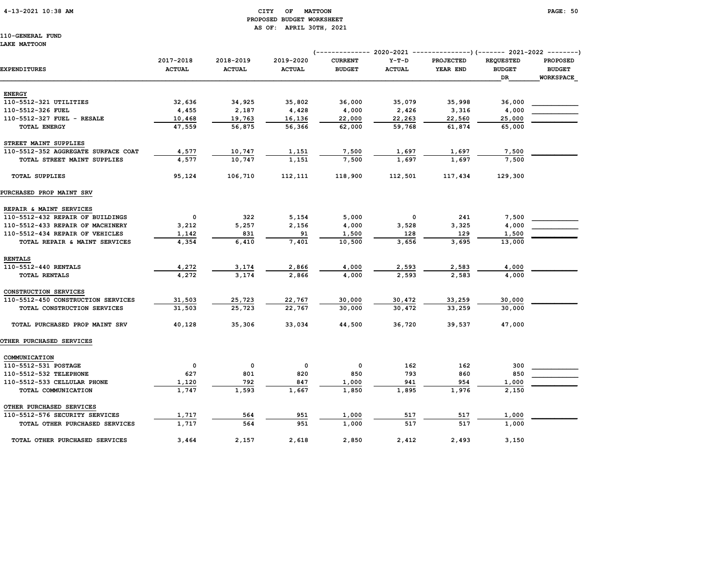# PROPOSED BUDGET WORKSHEET AS OF: APRIL 30TH, 2021

110-GENERAL FUND LAKE MATTOON

# (-------------- 2020-2021 ---------------)(------- 2021-2022 --------) 2017-2018 2018-2019 2019-2020 CURRENT Y-T-D PROJECTED REQUESTED PROPOSED EXPENDITURES ACTUAL ACTUAL ACTUAL BUDGET ACTUAL YEAR END BUDGET BUDGET  $\Box$  . The contract of the contract of the contract of the contract of the contract of the contract of the contract of the contract of the contract of the contract of the contract of the contract of the contract of the co ENERGY 110-5512-321 UTILITIES 32,636 34,925 35,802 36,000 35,079 35,998 36,000 \_\_\_\_\_\_\_\_\_\_\_\_ 110-5512-326 FUEL 4,455 2,187 4,428 4,000 2,426 3,316 4,000 \_\_\_\_\_\_\_\_\_\_\_\_ 110-5512-327 FUEL - RESALE 10,468 19,763 16,136 22,000 22,263 22,560 25,000 TOTAL ENERGY 47,559 56,875 56,366 62,000 59,768 61,874 65,000 STREET MAINT SUPPLIES 110-5512-352 AGGREGATE SURFACE COAT  $4,577$  10,747 1,151 7,500 1,697 1,697 7,500 TOTAL STREET MAINT SUPPLIES 4,577 10,747 1,151 7,500 1,697 1,697 7,500 TOTAL SUPPLIES 95,124 106,710 112,111 118,900 112,501 117,434 129,300 PURCHASED PROP MAINT SRV REPAIR & MAINT SERVICES 110-5512-432 REPAIR OF BUILDINGS 0 322 5,154 5,000 0 241 7,500 \_\_\_\_\_\_\_\_\_\_\_\_ 110-5512-433 REPAIR OF MACHINERY 3,212 5,257 2,156 4,000 3,528 3,325 4,000 110-5512-434 REPAIR OF VEHICLES 1,142 831 91 1,500 128 129 1,500 1,500 TOTAL REPAIR & MAINT SERVICES 4,354 6,410 7,401 10,500 3,656 3,695 13,000 RENTALS 110-5512-440 RENTALS 4,272 3,174 2,866 4,000 2,593 2,583 4,000 \_\_\_\_\_\_\_\_\_\_\_\_ TOTAL RENTALS 4,272 3,174 2,866 4,000 2,593 2,583 4,000 CONSTRUCTION SERVICES 110-5512-450 CONSTRUCTION SERVICES 31,503 25,723 22,767 30,000 30,472 33,259 30,000 \_\_\_\_\_\_\_\_\_\_\_\_ TOTAL CONSTRUCTION SERVICES 31,503 25,723 22,767 30,000 30,472 33,259 30,000 TOTAL PURCHASED PROP MAINT SRV 40,128 35,306 33,034 44,500 36,720 39,537 47,000 OTHER PURCHASED SERVICES COMMUNICATION 110-5512-531 POSTAGE 0 0 0 0 162 162 300 \_\_\_\_\_\_\_\_\_\_\_\_ 110-5512-532 TELEPHONE 627 801 820 850 793 860 850 \_\_\_\_\_\_\_\_\_\_\_\_  $110-5512-533 \text{ CELULAR PHONE} \begin{array}{l} \text{1,120} \\ \text{2,120} \end{array} \qquad \qquad 792 \qquad \qquad 847 \qquad \qquad 1,000 \qquad \qquad 941 \qquad \qquad 954 \qquad \qquad 1,000$  TOTAL COMMUNICATION 1,747 1,593 1,667 1,850 1,895 1,976 2,150 OTHER PURCHASED SERVICES 110-5512-576 SECURITY SERVICES 1,717 564 951 1,000 517 517 1,000 \_\_\_\_\_\_\_\_\_\_\_\_

 TOTAL OTHER PURCHASED SERVICES 1,717 564 951 1,000 517 517 1,000 TOTAL OTHER PURCHASED SERVICES 3,464 2,157 2,618 2,850 2,412 2,493 3,150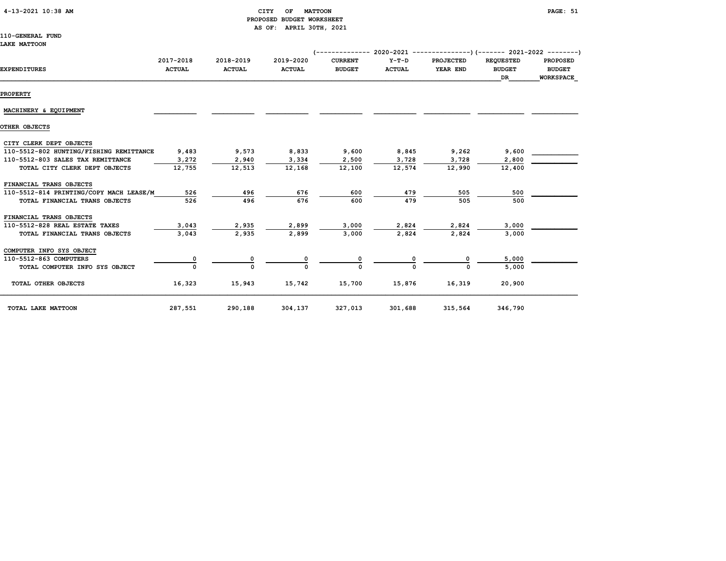| 4-13-2021 10:38 AM |  |  |
|--------------------|--|--|
|--------------------|--|--|

## CITY OF MATTOON **PAGE: 51**  PROPOSED BUDGET WORKSHEET AS OF: APRIL 30TH, 2021

110-GENERAL FUND

#### LAKE MATTOON

| <b>EXPENDITURES</b>                     | 2017-2018<br><b>ACTUAL</b> | 2018-2019<br><b>ACTUAL</b> | 2019-2020<br><b>ACTUAL</b> | <b>CURRENT</b><br><b>BUDGET</b> | Y-T-D<br><b>ACTUAL</b> | PROJECTED<br>YEAR END | <b>REQUESTED</b><br><b>BUDGET</b><br>DR | <b>PROPOSED</b><br><b>BUDGET</b><br><b>WORKSPACE</b> |
|-----------------------------------------|----------------------------|----------------------------|----------------------------|---------------------------------|------------------------|-----------------------|-----------------------------------------|------------------------------------------------------|
| <b>PROPERTY</b>                         |                            |                            |                            |                                 |                        |                       |                                         |                                                      |
| MACHINERY & EQUIPMENT                   |                            |                            |                            |                                 |                        |                       |                                         |                                                      |
| OTHER OBJECTS                           |                            |                            |                            |                                 |                        |                       |                                         |                                                      |
| CITY CLERK DEPT OBJECTS                 |                            |                            |                            |                                 |                        |                       |                                         |                                                      |
| 110-5512-802 HUNTING/FISHING REMITTANCE | 9,483                      | 9,573                      | 8,833                      | 9,600                           | 8,845                  | 9,262                 | 9,600                                   |                                                      |
| 110-5512-803 SALES TAX REMITTANCE       | 3,272                      | 2,940                      | 3,334                      | 2,500                           | 3,728                  | 3,728                 | 2,800                                   |                                                      |
| TOTAL CITY CLERK DEPT OBJECTS           | 12,755                     | 12,513                     | 12,168                     | 12,100                          | 12,574                 | 12,990                | 12,400                                  |                                                      |
| FINANCIAL TRANS OBJECTS                 |                            |                            |                            |                                 |                        |                       |                                         |                                                      |
| 110-5512-814 PRINTING/COPY MACH LEASE/M | 526                        | 496                        | 676                        | 600                             | 479                    | 505                   | 500                                     |                                                      |
| TOTAL FINANCIAL TRANS OBJECTS           | 526                        | 496                        | 676                        | 600                             | 479                    | 505                   | 500                                     |                                                      |
| FINANCIAL TRANS OBJECTS                 |                            |                            |                            |                                 |                        |                       |                                         |                                                      |
| 110-5512-828 REAL ESTATE TAXES          | 3,043                      | 2,935                      | 2,899                      | 3,000                           | 2,824                  | 2,824                 | 3,000                                   |                                                      |
| TOTAL FINANCIAL TRANS OBJECTS           | 3,043                      | 2,935                      | 2,899                      | 3,000                           | 2,824                  | 2,824                 | 3,000                                   |                                                      |
| COMPUTER INFO SYS OBJECT                |                            |                            |                            |                                 |                        |                       |                                         |                                                      |
| 110-5512-863 COMPUTERS                  |                            |                            |                            |                                 |                        |                       | 5,000                                   |                                                      |
| TOTAL COMPUTER INFO SYS OBJECT          | $\Omega$                   | 0                          |                            |                                 |                        |                       | 5,000                                   |                                                      |
| TOTAL OTHER OBJECTS                     | 16,323                     | 15,943                     | 15,742                     | 15,700                          | 15,876                 | 16,319                | 20,900                                  |                                                      |
| TOTAL LAKE MATTOON                      | 287,551                    | 290,188                    | 304,137                    | 327,013                         | 301,688                | 315,564               | 346,790                                 |                                                      |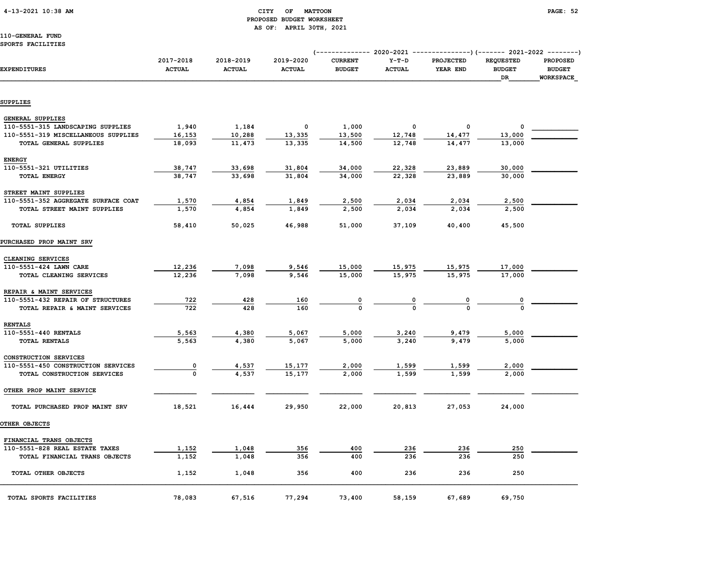## 4-13-2021 10:38 AM CITY OF MATTOON PAGE: 52 PROPOSED BUDGET WORKSHEET AS OF: APRIL 30TH, 2021

110-GENERAL FUND SPORTS FACILITIES

|                                     | 2017-2018     | 2018-2019     | 2019-2020     | <b>CURRENT</b> | $Y-T-D$                 | <b>PROJECTED</b>        | <b>REQUESTED</b> | <b>PROPOSED</b> |
|-------------------------------------|---------------|---------------|---------------|----------------|-------------------------|-------------------------|------------------|-----------------|
| <b>EXPENDITURES</b>                 | <b>ACTUAL</b> | <b>ACTUAL</b> | <b>ACTUAL</b> | <b>BUDGET</b>  | <b>ACTUAL</b>           | YEAR END                | <b>BUDGET</b>    | <b>BUDGET</b>   |
|                                     |               |               |               |                |                         |                         | DR               | WORKSPACE       |
|                                     |               |               |               |                |                         |                         |                  |                 |
| SUPPLIES                            |               |               |               |                |                         |                         |                  |                 |
| <b>GENERAL SUPPLIES</b>             |               |               |               |                |                         |                         |                  |                 |
| 110-5551-315 LANDSCAPING SUPPLIES   | 1,940         | 1,184         | 0             | 1,000          | 0                       | 0                       | 0                |                 |
| 110-5551-319 MISCELLANEOUS SUPPLIES | 16,153        | 10,288        | 13,335        | 13,500         | 12,748                  | 14,477                  | 13,000           |                 |
| TOTAL GENERAL SUPPLIES              | 18,093        | 11,473        | 13,335        | 14,500         | 12,748                  | 14,477                  | 13,000           |                 |
| <b>ENERGY</b>                       |               |               |               |                |                         |                         |                  |                 |
| 110-5551-321 UTILITIES              | 38,747        | 33,698        | 31,804        | 34,000         | 22,328                  | 23,889                  | 30,000           |                 |
| <b>TOTAL ENERGY</b>                 | 38,747        | 33,698        | 31,804        | 34,000         | 22,328                  | 23,889                  | 30,000           |                 |
| STREET MAINT SUPPLIES               |               |               |               |                |                         |                         |                  |                 |
| 110-5551-352 AGGREGATE SURFACE COAT | 1,570         | 4,854         | 1,849         | 2,500          | 2,034                   | 2,034                   | 2,500            |                 |
| TOTAL STREET MAINT SUPPLIES         | 1,570         | 4,854         | 1,849         | 2,500          | 2,034                   | 2,034                   | 2,500            |                 |
|                                     |               |               |               |                |                         |                         |                  |                 |
| <b>TOTAL SUPPLIES</b>               | 58,410        | 50,025        | 46,988        | 51,000         | 37,109                  | 40,400                  | 45,500           |                 |
| PURCHASED PROP MAINT SRV            |               |               |               |                |                         |                         |                  |                 |
| CLEANING SERVICES                   |               |               |               |                |                         |                         |                  |                 |
| 110-5551-424 LAWN CARE              | 12,236        | 7,098         | 9,546         | 15,000         |                         |                         | 17,000           |                 |
| TOTAL CLEANING SERVICES             | 12,236        | 7,098         | 9,546         | 15,000         | $\frac{15,975}{15,975}$ | $\frac{15,975}{15,975}$ | 17,000           |                 |
| REPAIR & MAINT SERVICES             |               |               |               |                |                         |                         |                  |                 |
| 110-5551-432 REPAIR OF STRUCTURES   | 722           | 428           | 160           |                |                         |                         |                  |                 |
| TOTAL REPAIR & MAINT SERVICES       | 722           | 428           | 160           |                | $\frac{0}{0}$           | $\frac{0}{0}$           |                  |                 |
| <b>RENTALS</b>                      |               |               |               |                |                         |                         |                  |                 |
| 110-5551-440 RENTALS                | 5,563         | 4,380         | 5,067         | 5,000          |                         |                         | 5,000            |                 |
| TOTAL RENTALS                       | 5,563         | 4,380         | 5,067         | 5,000          | $\frac{3,240}{3,240}$   | $\frac{9,479}{9,479}$   | 5,000            |                 |
| CONSTRUCTION SERVICES               |               |               |               |                |                         |                         |                  |                 |
| 110-5551-450 CONSTRUCTION SERVICES  |               | 4,537         | 15,177        | 2,000          | 1,599                   |                         | 2,000            |                 |
| TOTAL CONSTRUCTION SERVICES         | $\frac{0}{0}$ | 4,537         | 15,177        | 2,000          | 1,599                   | $\frac{1,599}{1,599}$   | 2,000            |                 |
| OTHER PROP MAINT SERVICE            |               |               |               |                |                         |                         |                  |                 |
| TOTAL PURCHASED PROP MAINT SRV      | 18,521        | 16,444        | 29,950        | 22,000         | 20,813                  | 27,053                  | 24,000           |                 |
| OTHER OBJECTS                       |               |               |               |                |                         |                         |                  |                 |
| FINANCIAL TRANS OBJECTS             |               |               |               |                |                         |                         |                  |                 |
| 110-5551-828 REAL ESTATE TAXES      | 1,152         | 1,048         | 356           | 400            | 236                     | 236                     | 250              |                 |
| TOTAL FINANCIAL TRANS OBJECTS       | 1,152         | 1,048         | 356           | 400            | 236                     | 236                     | 250              |                 |

| TOTAL SPORTS FACILITIES                                         | 78,083         | 67,516         | 77,294     | 73,400     | 58,159     | 67,689     | 69,750     |  |
|-----------------------------------------------------------------|----------------|----------------|------------|------------|------------|------------|------------|--|
| TOTAL OTHER OBJECTS                                             | 1,152          | 1,048          | 356        | 400        | 236        | 236        | 250        |  |
| 110-5551-828 REAL ESTATE TAXES<br>TOTAL FINANCIAL TRANS OBJECTS | 1,152<br>1,152 | 1,048<br>1,048 | 356<br>356 | 400<br>400 | 236<br>236 | 236<br>236 | 250<br>250 |  |
| FINANCIAL TRANS OBJECTS                                         |                |                |            |            |            |            |            |  |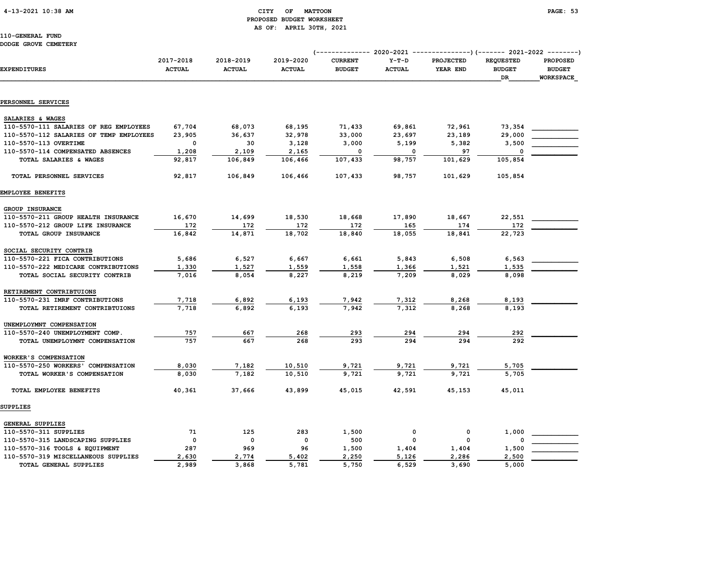## 4-13-2021 10:38 AM CITY OF MATTOON PAGE: 53 PROPOSED BUDGET WORKSHEET AS OF: APRIL 30TH, 2021

| DODGE GROVE CEMEIERI                    |                            |                            |                            |                                 |                          |                              |                                         |                                               |
|-----------------------------------------|----------------------------|----------------------------|----------------------------|---------------------------------|--------------------------|------------------------------|-----------------------------------------|-----------------------------------------------|
| EXPENDITURES                            | 2017-2018<br><b>ACTUAL</b> | 2018-2019<br><b>ACTUAL</b> | 2019-2020<br><b>ACTUAL</b> | <b>CURRENT</b><br><b>BUDGET</b> | $Y-T-D$<br><b>ACTUAL</b> | <b>PROJECTED</b><br>YEAR END | <b>REQUESTED</b><br><b>BUDGET</b><br>DR | <b>PROPOSED</b><br><b>BUDGET</b><br>WORKSPACE |
| PERSONNEL SERVICES                      |                            |                            |                            |                                 |                          |                              |                                         |                                               |
| SALARIES & WAGES                        |                            |                            |                            |                                 |                          |                              |                                         |                                               |
| 110-5570-111 SALARIES OF REG EMPLOYEES  | 67,704                     | 68,073                     | 68,195                     | 71,433                          | 69,861                   | 72,961                       | 73,354                                  |                                               |
| 110-5570-112 SALARIES OF TEMP EMPLOYEES | 23,905                     | 36,637                     | 32,978                     | 33,000                          | 23,697                   | 23,189                       | 29,000                                  |                                               |
| 110-5570-113 OVERTIME                   | 0                          | 30                         | 3,128                      | 3,000                           | 5,199                    | 5,382                        | 3,500                                   |                                               |
| 110-5570-114 COMPENSATED ABSENCES       | 1,208                      | 2,109                      | 2,165                      | 0                               | $\mathbf 0$              | 97                           | 0                                       |                                               |
| TOTAL SALARIES & WAGES                  | 92,817                     | 106,849                    | 106,466                    | 107,433                         | 98,757                   | 101,629                      | 105,854                                 |                                               |
| TOTAL PERSONNEL SERVICES                | 92,817                     | 106,849                    | 106,466                    | 107,433                         | 98,757                   | 101,629                      | 105,854                                 |                                               |
| EMPLOYEE BENEFITS                       |                            |                            |                            |                                 |                          |                              |                                         |                                               |
|                                         |                            |                            |                            |                                 |                          |                              |                                         |                                               |
| GROUP INSURANCE                         |                            |                            |                            |                                 |                          |                              |                                         |                                               |
| 110-5570-211 GROUP HEALTH INSURANCE     | 16,670                     | 14,699                     | 18,530                     | 18,668                          | 17,890                   | 18,667                       | 22,551                                  |                                               |
| 110-5570-212 GROUP LIFE INSURANCE       | 172                        | 172                        | 172                        | 172                             | 165                      | 174                          | 172                                     |                                               |
| TOTAL GROUP INSURANCE                   | 16,842                     | 14,871                     | 18,702                     | 18,840                          | 18,055                   | 18,841                       | 22,723                                  |                                               |
| SOCIAL SECURITY CONTRIB                 |                            |                            |                            |                                 |                          |                              |                                         |                                               |
| 110-5570-221 FICA CONTRIBUTIONS         | 5,686                      | 6,527                      | 6,667                      | 6,661                           | 5,843                    | 6,508                        | 6,563                                   |                                               |
| 110-5570-222 MEDICARE CONTRIBUTIONS     | 1,330                      | 1,527                      | 1,559                      | 1,558                           | 1,366                    | 1,521                        | 1,535                                   |                                               |
| TOTAL SOCIAL SECURITY CONTRIB           | 7,016                      | 8,054                      | 8,227                      | 8,219                           | 7,209                    | 8,029                        | 8,098                                   |                                               |
| RETIREMENT CONTRIBTUIONS                |                            |                            |                            |                                 |                          |                              |                                         |                                               |
| 110-5570-231 IMRF CONTRIBUTIONS         | 7,718                      | 6,892                      | 6,193                      | 7,942                           | 7,312                    | 8,268                        | 8,193                                   |                                               |
| TOTAL RETIREMENT CONTRIBTUIONS          | 7,718                      | 6,892                      | 6,193                      | 7,942                           | 7,312                    | 8,268                        | 8,193                                   |                                               |
| UNEMPLOYMNT COMPENSATION                |                            |                            |                            |                                 |                          |                              |                                         |                                               |
| 110-5570-240 UNEMPLOYMENT COMP.         | 757                        | 667                        | 268                        | 293                             | 294                      | 294                          | 292                                     |                                               |
| TOTAL UNEMPLOYMNT COMPENSATION          | 757                        | 667                        | 268                        | 293                             | 294                      | 294                          | 292                                     |                                               |
| WORKER'S COMPENSATION                   |                            |                            |                            |                                 |                          |                              |                                         |                                               |
| 110-5570-250 WORKERS' COMPENSATION      | 8,030                      | 7,182                      | 10,510                     | 9,721                           | 9,721                    | 9,721                        | 5,705                                   |                                               |
| TOTAL WORKER'S COMPENSATION             | 8,030                      | 7,182                      | 10,510                     | 9,721                           | 9,721                    | 9,721                        | 5,705                                   |                                               |
| TOTAL EMPLOYEE BENEFITS                 | 40,361                     | 37,666                     | 43,899                     | 45,015                          | 42,591                   | 45,153                       | 45,011                                  |                                               |
| SUPPLIES                                |                            |                            |                            |                                 |                          |                              |                                         |                                               |
| GENERAL SUPPLIES                        |                            |                            |                            |                                 |                          |                              |                                         |                                               |
| 110-5570-311 SUPPLIES                   | 71                         | 125                        | 283                        | 1,500                           | $\mathbf 0$              | 0                            | 1,000                                   |                                               |
| 110-5570-315 LANDSCAPING SUPPLIES       | $\mathbf 0$                | 0                          | 0                          | 500                             | $\Omega$                 | 0                            |                                         |                                               |
| 110-5570-316 TOOLS & EQUIPMENT          | 287                        | 969                        | 96                         | 1,500                           | 1,404                    | 1,404                        | 1,500                                   |                                               |
| 110-5570-319 MISCELLANEOUS SUPPLIES     | 2,630                      | 2,774                      | 5,402                      | 2,250                           | 5,126                    | 2,286                        | 2,500                                   |                                               |
| TOTAL GENERAL SUPPLIES                  | 2,989                      | 3,868                      | 5,781                      | 5,750                           | 6,529                    | 3,690                        | 5,000                                   |                                               |
|                                         |                            |                            |                            |                                 |                          |                              |                                         |                                               |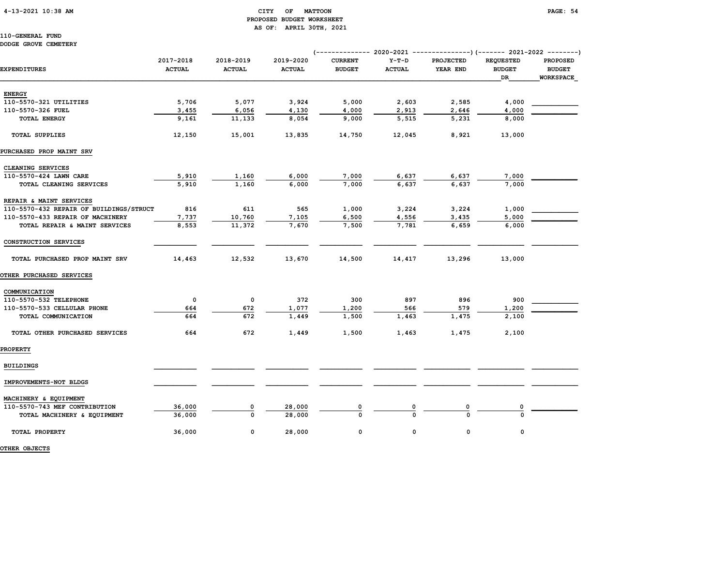## 4-13-2021 10:38 AM CITY OF MATTOON PAGE: 54 PROPOSED BUDGET WORKSHEET AS OF: APRIL 30TH, 2021

110-GENERAL FUND DODGE GROVE CEMETERY

| DODGE GROVE CEMEIERI                    |                            |                            |                            |                                 |                          |                              |                                         |                                               |
|-----------------------------------------|----------------------------|----------------------------|----------------------------|---------------------------------|--------------------------|------------------------------|-----------------------------------------|-----------------------------------------------|
| <b>EXPENDITURES</b>                     | 2017-2018<br><b>ACTUAL</b> | 2018-2019<br><b>ACTUAL</b> | 2019-2020<br><b>ACTUAL</b> | <b>CURRENT</b><br><b>BUDGET</b> | $Y-T-D$<br><b>ACTUAL</b> | <b>PROJECTED</b><br>YEAR END | <b>REQUESTED</b><br><b>BUDGET</b><br>DR | <b>PROPOSED</b><br><b>BUDGET</b><br>WORKSPACE |
| <b>ENERGY</b>                           |                            |                            |                            |                                 |                          |                              |                                         |                                               |
| 110-5570-321 UTILITIES                  | 5,706                      | 5,077                      | 3,924                      | 5,000                           | 2,603                    | 2,585                        | 4,000                                   |                                               |
| 110-5570-326 FUEL                       | 3,455                      | 6,056                      | 4,130                      | 4,000                           | 2,913                    | 2,646                        | 4,000                                   |                                               |
| <b>TOTAL ENERGY</b>                     | 9,161                      | 11,133                     | 8,054                      | 9,000                           | 5,515                    | 5,231                        | 8,000                                   |                                               |
| <b>TOTAL SUPPLIES</b>                   | 12,150                     | 15,001                     | 13,835                     | 14,750                          | 12,045                   | 8,921                        | 13,000                                  |                                               |
| PURCHASED PROP MAINT SRV                |                            |                            |                            |                                 |                          |                              |                                         |                                               |
| CLEANING SERVICES                       |                            |                            |                            |                                 |                          |                              |                                         |                                               |
| 110-5570-424 LAWN CARE                  | 5,910                      | 1,160                      | 6,000                      | 7,000                           | 6,637                    | 6,637                        | 7,000                                   |                                               |
| TOTAL CLEANING SERVICES                 | 5,910                      | 1,160                      | 6,000                      | 7,000                           | 6,637                    | 6,637                        | 7,000                                   |                                               |
| REPAIR & MAINT SERVICES                 |                            |                            |                            |                                 |                          |                              |                                         |                                               |
| 110-5570-432 REPAIR OF BUILDINGS/STRUCT | 816                        | 611                        | 565                        | 1,000                           | 3,224                    | 3,224                        | 1,000                                   |                                               |
| 110-5570-433 REPAIR OF MACHINERY        | 7,737                      | 10,760                     | 7,105                      | 6,500                           | 4,556                    | 3,435                        | 5,000                                   |                                               |
| TOTAL REPAIR & MAINT SERVICES           | 8,553                      | 11,372                     | 7,670                      | 7,500                           | 7,781                    | 6,659                        | 6,000                                   |                                               |
| CONSTRUCTION SERVICES                   |                            |                            |                            |                                 |                          |                              |                                         |                                               |
| TOTAL PURCHASED PROP MAINT SRV          | 14,463                     | 12,532                     | 13,670                     | 14,500                          | 14,417                   | 13,296                       | 13,000                                  |                                               |
| OTHER PURCHASED SERVICES                |                            |                            |                            |                                 |                          |                              |                                         |                                               |
| COMMUNICATION                           |                            |                            |                            |                                 |                          |                              |                                         |                                               |
| 110-5570-532 TELEPHONE                  | 0                          | 0                          | 372                        | 300                             | 897                      | 896                          | 900                                     |                                               |
| 110-5570-533 CELLULAR PHONE             | 664                        | 672                        | 1,077                      | 1,200                           | 566                      | 579                          | 1,200                                   |                                               |
| TOTAL COMMUNICATION                     | 664                        | 672                        | 1,449                      | 1,500                           | 1,463                    | 1,475                        | 2,100                                   |                                               |
| TOTAL OTHER PURCHASED SERVICES          | 664                        | 672                        | 1,449                      | 1,500                           | 1,463                    | 1,475                        | 2,100                                   |                                               |
| <b>PROPERTY</b>                         |                            |                            |                            |                                 |                          |                              |                                         |                                               |
| <b>BUILDINGS</b>                        |                            |                            |                            |                                 |                          |                              |                                         |                                               |
| IMPROVEMENTS-NOT BLDGS                  |                            |                            |                            |                                 |                          |                              |                                         |                                               |
| MACHINERY & EQUIPMENT                   |                            |                            |                            |                                 |                          |                              |                                         |                                               |
| 110-5570-743 MEF CONTRIBUTION           | 36,000                     | 0                          | 28,000                     |                                 |                          | 0                            |                                         |                                               |
| TOTAL MACHINERY & EQUIPMENT             | 36,000                     | $\Omega$                   | 28,000                     |                                 |                          | $\Omega$                     | U                                       |                                               |
| TOTAL PROPERTY                          | 36,000                     | 0                          | 28,000                     | 0                               | 0                        | 0                            | 0                                       |                                               |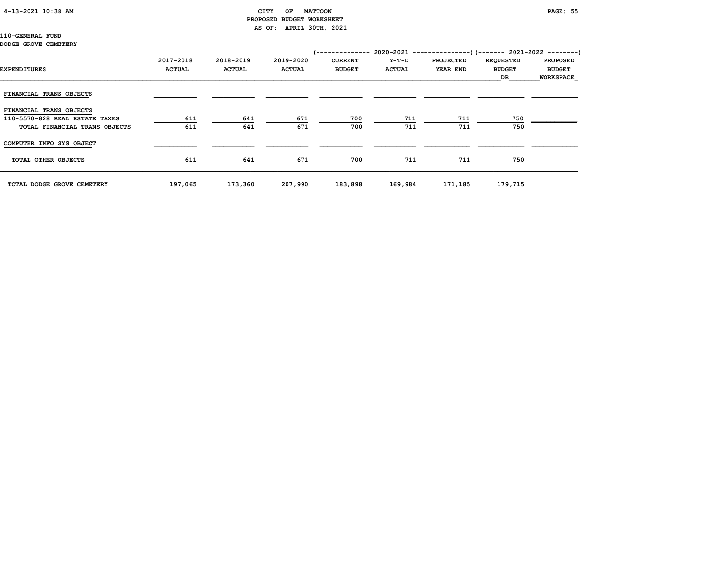#### 4-13-2021 10:38 AM CITY OF MATTOON PAGE: 55

# PROPOSED BUDGET WORKSHEET AS OF: APRIL 30TH, 2021

110-GENERAL FUND DODGE GROVE CEMETERY

# (-------------- 2020-2021 ---------------)(------- 2021-2022 --------) 2017-2018 2018-2019 2019-2020 CURRENT Y-T-D PROJECTED REQUESTED PROPOSED EXPENDITURES ACTUAL ACTUAL ACTUAL BUDGET ACTUAL YEAR END BUDGET BUDGET  $\Box$  . The contract of the contract of the contract of the contract of the contract of the contract of the contract of the contract of the contract of the contract of the contract of the contract of the contract of the co FINANCIAL TRANS OBJECTS FINANCIAL TRANS OBJECTS 110-5570-828 REAL ESTATE TAXES 611 641 671 700 711 711 750 \_\_\_\_\_\_\_\_\_\_\_\_ TOTAL FINANCIAL TRANS OBJECTS COMPUTER INFO SYS OBJECT \_\_\_\_\_\_\_\_\_\_\_ \_\_\_\_\_\_\_\_\_\_\_ \_\_\_\_\_\_\_\_\_\_\_ \_\_\_\_\_\_\_\_\_\_\_ \_\_\_\_\_\_\_\_\_\_\_ \_\_\_\_\_\_\_\_\_\_\_\_ \_\_\_\_\_\_\_\_\_\_\_\_ \_\_\_\_\_\_\_\_\_\_\_\_ TOTAL OTHER OBJECTS 611 641 671 700 711 711 750 TOTAL DODGE GROVE CEMETERY 197,065 173,360 207,990 183,898 169,984 171,185 179,715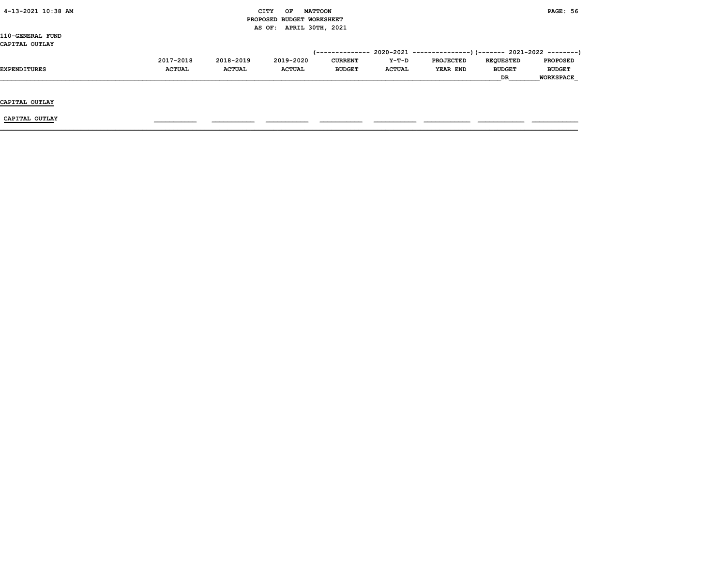| 4-13-2021 10:38 AM     |               | CITY                      | OF                      | <b>MATTOON</b> |                | <b>PAGE: 56</b> |                  |                  |                  |  |
|------------------------|---------------|---------------------------|-------------------------|----------------|----------------|-----------------|------------------|------------------|------------------|--|
|                        |               | PROPOSED BUDGET WORKSHEET |                         |                |                |                 |                  |                  |                  |  |
|                        |               |                           | AS OF: APRIL 30TH, 2021 |                |                |                 |                  |                  |                  |  |
| 110-GENERAL FUND       |               |                           |                         |                |                |                 |                  |                  |                  |  |
| CAPITAL OUTLAY         |               |                           |                         |                |                |                 |                  |                  |                  |  |
|                        |               |                           |                         |                |                |                 |                  |                  |                  |  |
| 2017-2018              | 2018-2019     |                           | 2019-2020               |                | <b>CURRENT</b> | Y-T-D           | <b>PROJECTED</b> | <b>REQUESTED</b> | <b>PROPOSED</b>  |  |
| ACTUAL<br>EXPENDITURES | <b>ACTUAL</b> |                           | <b>ACTUAL</b>           |                | <b>BUDGET</b>  | <b>ACTUAL</b>   | YEAR END         | <b>BUDGET</b>    | <b>BUDGET</b>    |  |
|                        |               |                           |                         |                |                |                 |                  | DR               | <b>WORKSPACE</b> |  |
|                        |               |                           |                         |                |                |                 |                  |                  |                  |  |
|                        |               |                           |                         |                |                |                 |                  |                  |                  |  |
| CAPITAL OUTLAY         |               |                           |                         |                |                |                 |                  |                  |                  |  |
|                        |               |                           |                         |                |                |                 |                  |                  |                  |  |
| CAPITAL OUTLAY         |               |                           |                         |                |                |                 |                  |                  |                  |  |
|                        |               |                           |                         |                |                |                 |                  |                  |                  |  |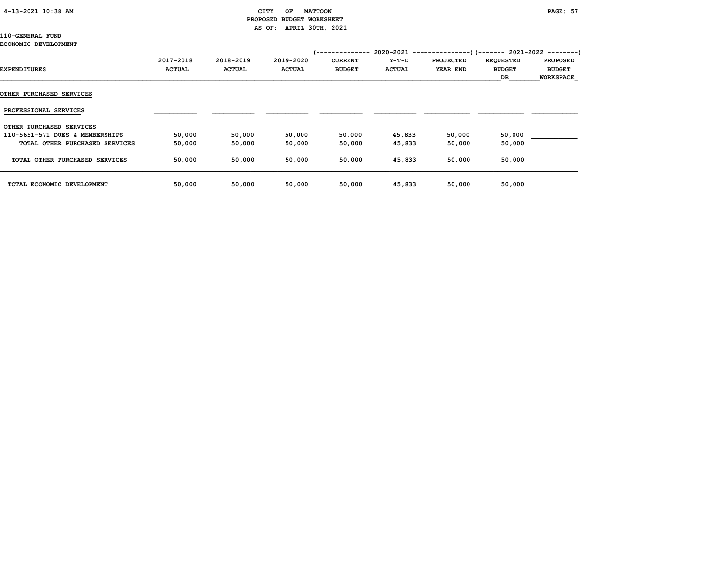## 4-13-2021 10:38 AM CITY OF MATTOON PAGE: 57 PROPOSED BUDGET WORKSHEET AS OF: APRIL 30TH, 2021

## 110-GENERAL FUND

#### ECONOMIC DEVELOPMENT

| EXPENDITURES                    | 2017-2018<br><b>ACTUAL</b> | 2018-2019<br><b>ACTUAL</b> | 2019-2020<br><b>ACTUAL</b> | /--------------<br><b>CURRENT</b><br><b>BUDGET</b> | $Y-T-D$<br><b>ACTUAL</b> | $2020-2021$ ----------------) (------- 2021-2022 ---------)<br><b>PROJECTED</b><br>YEAR END | <b>REQUESTED</b><br><b>BUDGET</b><br>DR | <b>PROPOSED</b><br><b>BUDGET</b><br><b>WORKSPACE</b> |
|---------------------------------|----------------------------|----------------------------|----------------------------|----------------------------------------------------|--------------------------|---------------------------------------------------------------------------------------------|-----------------------------------------|------------------------------------------------------|
| <b>OTHER PURCHASED SERVICES</b> |                            |                            |                            |                                                    |                          |                                                                                             |                                         |                                                      |
| PROFESSIONAL SERVICES           |                            |                            |                            |                                                    |                          |                                                                                             |                                         |                                                      |
| OTHER PURCHASED SERVICES        |                            |                            |                            |                                                    |                          |                                                                                             |                                         |                                                      |
| 110-5651-571 DUES & MEMBERSHIPS | 50,000                     | 50,000                     | 50,000                     | 50,000                                             | 45,833                   | 50,000                                                                                      | 50,000                                  |                                                      |
| TOTAL OTHER PURCHASED SERVICES  | 50,000                     | 50,000                     | 50,000                     | 50,000                                             | 45,833                   | 50,000                                                                                      | 50,000                                  |                                                      |
| TOTAL OTHER PURCHASED SERVICES  | 50,000                     | 50,000                     | 50,000                     | 50,000                                             | 45,833                   | 50,000                                                                                      | 50,000                                  |                                                      |
| TOTAL ECONOMIC DEVELOPMENT      | 50,000                     | 50,000                     | 50,000                     | 50,000                                             | 45,833                   | 50,000                                                                                      | 50,000                                  |                                                      |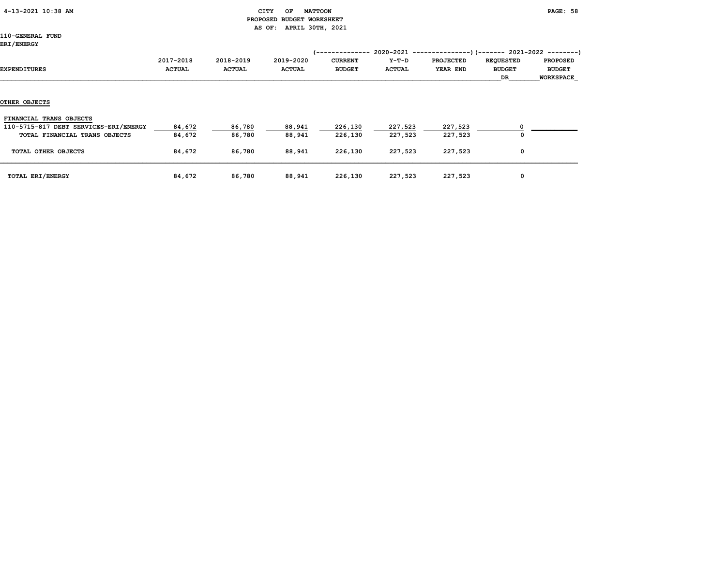## 4-13-2021 10:38 AM CITY OF MATTOON PAGE: 58 PROPOSED BUDGET WORKSHEET AS OF: APRIL 30TH, 2021

| <b>ERI/ENERGY</b>                     |                            |                            |                            | /--------------                 |                          | $2020-2021$ ----------------) (------- 2021-2022 ---------) |                                          |                                                      |
|---------------------------------------|----------------------------|----------------------------|----------------------------|---------------------------------|--------------------------|-------------------------------------------------------------|------------------------------------------|------------------------------------------------------|
| EXPENDITURES                          | 2017-2018<br><b>ACTUAL</b> | 2018-2019<br><b>ACTUAL</b> | 2019-2020<br><b>ACTUAL</b> | <b>CURRENT</b><br><b>BUDGET</b> | $Y-T-D$<br><b>ACTUAL</b> | <b>PROJECTED</b><br>YEAR END                                | <b>REQUESTED</b><br><b>BUDGET</b><br>DR. | <b>PROPOSED</b><br><b>BUDGET</b><br><b>WORKSPACE</b> |
|                                       |                            |                            |                            |                                 |                          |                                                             |                                          |                                                      |
| OTHER OBJECTS                         |                            |                            |                            |                                 |                          |                                                             |                                          |                                                      |
| FINANCIAL TRANS OBJECTS               |                            |                            |                            |                                 |                          |                                                             |                                          |                                                      |
| 110-5715-817 DEBT SERVICES-ERI/ENERGY | 84,672                     | 86,780                     | 88,941                     | 226,130                         | 227,523                  | 227,523                                                     |                                          |                                                      |
| TOTAL FINANCIAL TRANS OBJECTS         | 84,672                     | 86,780                     | 88,941                     | 226,130                         | 227,523                  | 227,523                                                     |                                          |                                                      |
| TOTAL OTHER OBJECTS                   | 84,672                     | 86,780                     | 88,941                     | 226,130                         | 227,523                  | 227,523                                                     | 0                                        |                                                      |
| TOTAL ERI/ENERGY                      | 84,672                     | 86,780                     | 88,941                     | 226,130                         | 227,523                  | 227,523                                                     | 0                                        |                                                      |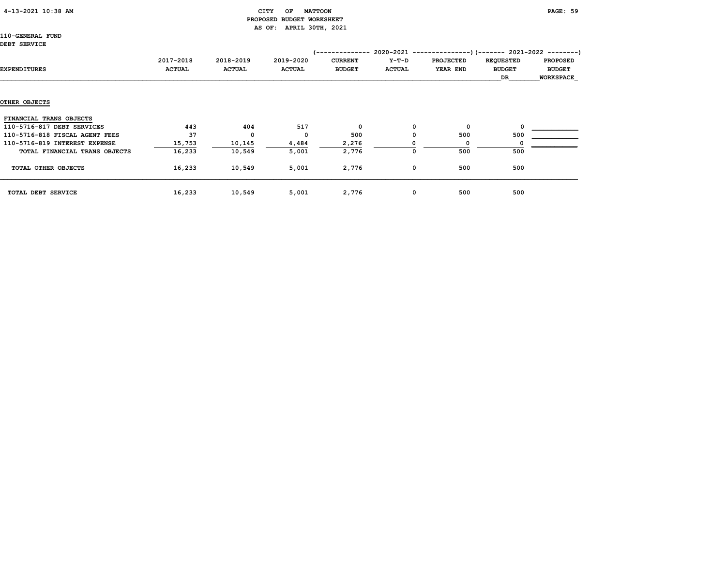## 4-13-2021 10:38 AM CITY OF MATTOON PAGE: 59 PROPOSED BUDGET WORKSHEET AS OF: APRIL 30TH, 2021

110-GENERAL FUND DEBT

| <b>DEBT SERVICE</b>            |               |               |               |                 |               |                                                           |                  |                  |
|--------------------------------|---------------|---------------|---------------|-----------------|---------------|-----------------------------------------------------------|------------------|------------------|
|                                |               |               |               | '-------------- |               | 2020-2021 ----------------) (------- 2021-2022 ---------) |                  |                  |
|                                | 2017-2018     | 2018-2019     | 2019-2020     | <b>CURRENT</b>  | Y-T-D         | <b>PROJECTED</b>                                          | <b>REQUESTED</b> | <b>PROPOSED</b>  |
| EXPENDITURES                   | <b>ACTUAL</b> | <b>ACTUAL</b> | <b>ACTUAL</b> | <b>BUDGET</b>   | <b>ACTUAL</b> | YEAR END                                                  | <b>BUDGET</b>    | <b>BUDGET</b>    |
|                                |               |               |               |                 |               |                                                           | DR               | <b>WORKSPACE</b> |
|                                |               |               |               |                 |               |                                                           |                  |                  |
| <b>OTHER OBJECTS</b>           |               |               |               |                 |               |                                                           |                  |                  |
| FINANCIAL TRANS OBJECTS        |               |               |               |                 |               |                                                           |                  |                  |
| 110-5716-817 DEBT SERVICES     | 443           | 404           | 517           | 0               | 0             | 0                                                         | 0                |                  |
| 110-5716-818 FISCAL AGENT FEES | 37            | 0             | $\Omega$      | 500             | 0             | 500                                                       | 500              |                  |
| 110-5716-819 INTEREST EXPENSE  | 15,753        | 10,145        | 4,484         | 2,276           |               | $\Omega$                                                  |                  |                  |
| TOTAL FINANCIAL TRANS OBJECTS  | 16,233        | 10,549        | 5,001         | 2,776           | 0             | 500                                                       | 500              |                  |
| TOTAL OTHER OBJECTS            | 16,233        | 10,549        | 5,001         | 2,776           | 0             | 500                                                       | 500              |                  |

| <b>SERVICE</b><br>TOTAL<br><b>DEBT</b> | 16,233 | 10,549 | 5,001 | 776 | ι. | 500 | 500 |
|----------------------------------------|--------|--------|-------|-----|----|-----|-----|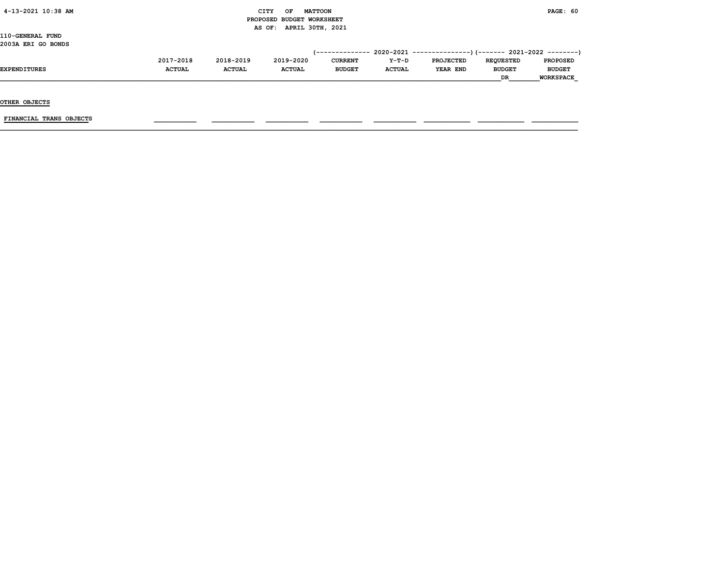## $\begin{array}{ccc} \text{CITY} & \text{OF} & \text{MATTCON} \end{array}$  PROPOSED BUDGET WORKSHEET AS OF: APRIL 30TH, 2021

110-GENERAL FUND 2003A ERI GO BONDS

|                     |               |               |               | --------------- |               | 2020-2021 ----------------)(------- 2021-2022 ---------) |                  |                  |
|---------------------|---------------|---------------|---------------|-----------------|---------------|----------------------------------------------------------|------------------|------------------|
|                     | 2017-2018     | 2018-2019     | 2019-2020     | <b>CURRENT</b>  | $Y-T-D$       | <b>PROJECTED</b>                                         | <b>REOUESTED</b> | <b>PROPOSED</b>  |
| <b>EXPENDITURES</b> | <b>ACTUAL</b> | <b>ACTUAL</b> | <b>ACTUAL</b> | <b>BUDGET</b>   | <b>ACTUAL</b> | YEAR END                                                 | <b>BUDGET</b>    | <b>BUDGET</b>    |
|                     |               |               |               |                 |               |                                                          | <b>DR</b>        | <b>WORKSPACE</b> |
|                     |               |               |               |                 |               |                                                          |                  |                  |

OTHER OBJECTS

FINANCIAL TRANS OBJECTS \_\_\_\_\_\_\_\_\_\_\_ \_\_\_\_\_\_\_\_\_\_\_ \_\_\_\_\_\_\_\_\_\_\_ \_\_\_\_\_\_\_\_\_\_\_ \_\_\_\_\_\_\_\_\_\_\_ \_\_\_\_\_\_\_\_\_\_\_\_ \_\_\_\_\_\_\_\_\_\_\_\_ \_\_\_\_\_\_\_\_\_\_\_\_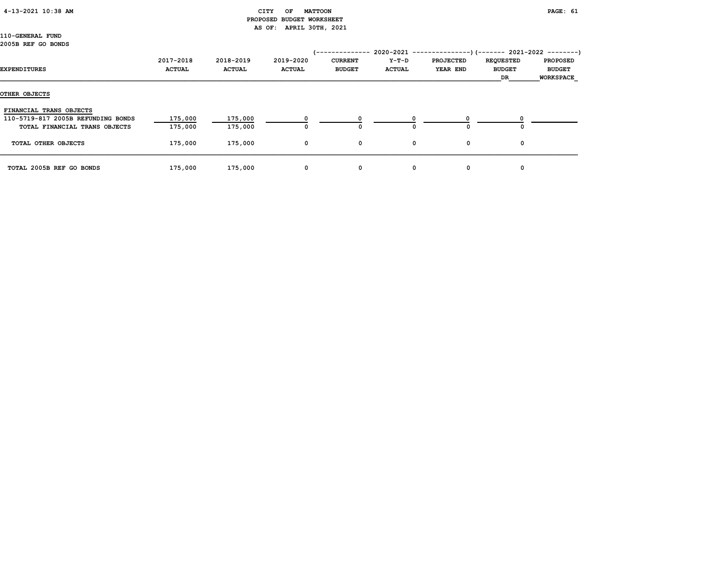## 4-13-2021 10:38 AM CITY OF MATTOON PAGE: 61 PROPOSED BUDGET WORKSHEET AS OF: APRIL 30TH, 2021

110-GENERAL FUND 2005B REF GO BONDS

| EXPENDITURES                       | 2017-2018<br><b>ACTUAL</b> | 2018-2019<br><b>ACTUAL</b> | 2019-2020<br><b>ACTUAL</b> | <b>CURRENT</b><br><b>BUDGET</b> | $2020 - 2021$ ---<br>Y-T-D<br><b>ACTUAL</b> | . _ _ _ _ _ _ _ _ _ _<br><b>PROJECTED</b><br><b>YEAR END</b> | --)(------- 2021-2022 --------)<br><b>REQUESTED</b><br><b>BUDGET</b><br>DR | <b>PROPOSED</b><br><b>BUDGET</b><br><b>WORKSPACE</b> |
|------------------------------------|----------------------------|----------------------------|----------------------------|---------------------------------|---------------------------------------------|--------------------------------------------------------------|----------------------------------------------------------------------------|------------------------------------------------------|
| OTHER OBJECTS                      |                            |                            |                            |                                 |                                             |                                                              |                                                                            |                                                      |
| FINANCIAL TRANS OBJECTS            |                            |                            |                            |                                 |                                             |                                                              |                                                                            |                                                      |
| 110-5719-817 2005B REFUNDING BONDS | 175,000                    | 175,000                    |                            |                                 |                                             |                                                              |                                                                            |                                                      |
| TOTAL FINANCIAL TRANS OBJECTS      | 175,000                    | 175,000                    | 0                          | 0                               |                                             | 0                                                            | 0                                                                          |                                                      |
| TOTAL OTHER OBJECTS                | 175,000                    | 175,000                    | $\mathbf 0$                | 0                               | 0                                           | 0                                                            | 0                                                                          |                                                      |
| TOTAL 2005B REF GO BONDS           | 175,000                    | 175,000                    | 0                          | 0                               | 0                                           | 0                                                            | 0                                                                          |                                                      |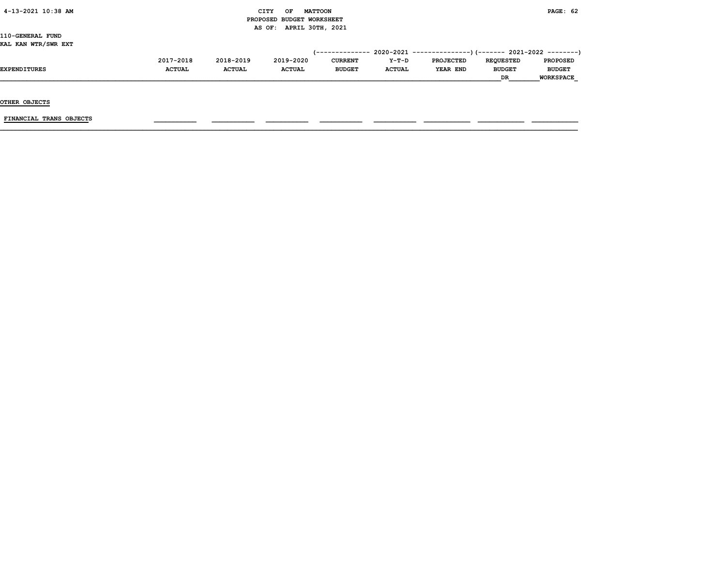## $CITY$  OF MATTOON PAGE: 62 PROPOSED BUDGET WORKSHEET AS OF: APRIL 30TH, 2021

110-GENERAL FUND KAL KAN WTR/SWR EXT

|                     | 2017-2018     | 2018-2019     | 2019-2020     | <b>CURRENT</b> | $Y-T-D$       | <b>PROJECTED</b> | <b>REOUESTED</b> | <b>PROPOSED</b>  |
|---------------------|---------------|---------------|---------------|----------------|---------------|------------------|------------------|------------------|
| <b>EXPENDITURES</b> | <b>ACTUAL</b> | <b>ACTUAL</b> | <b>ACTUAL</b> | <b>BUDGET</b>  | <b>ACTUAL</b> | YEAR END         | <b>BUDGET</b>    | <b>BUDGET</b>    |
|                     |               |               |               |                |               |                  | DR               | <b>WORKSPACE</b> |

OTHER OBJECTS

FINANCIAL TRANS OBJECTS \_\_\_\_\_\_\_\_\_\_\_ \_\_\_\_\_\_\_\_\_\_\_ \_\_\_\_\_\_\_\_\_\_\_ \_\_\_\_\_\_\_\_\_\_\_ \_\_\_\_\_\_\_\_\_\_\_ \_\_\_\_\_\_\_\_\_\_\_\_ \_\_\_\_\_\_\_\_\_\_\_\_ \_\_\_\_\_\_\_\_\_\_\_\_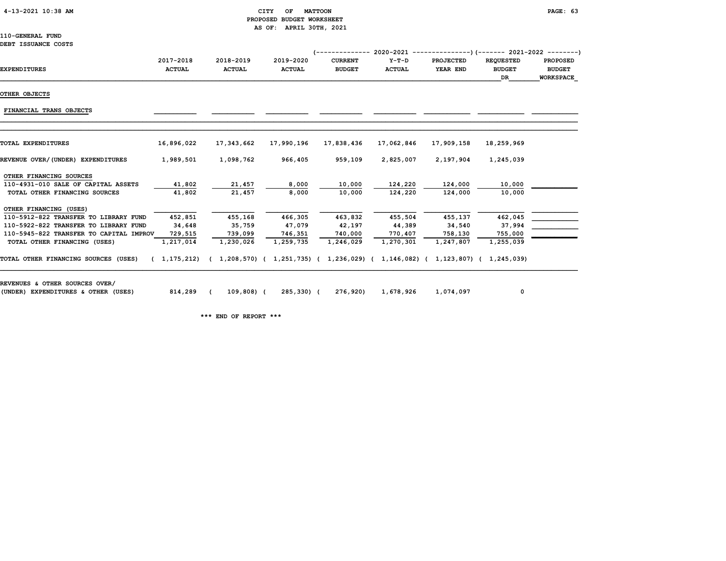## 4-13-2021 10:38 AM CITY OF MATTOON PAGE: 63 PROPOSED BUDGET WORKSHEET AS OF: APRIL 30TH, 2021

## 110-GENERAL FUND

|  | DEBT ISSUANCE COSTS |  |  |
|--|---------------------|--|--|
|--|---------------------|--|--|

|                                         |               |               |                           | /-------------- | $2020-2021$ ----------------) (------- 2021-2022 ---------) |                             |                  |                  |
|-----------------------------------------|---------------|---------------|---------------------------|-----------------|-------------------------------------------------------------|-----------------------------|------------------|------------------|
|                                         | 2017-2018     | 2018-2019     | 2019-2020                 | <b>CURRENT</b>  | $Y-T-D$                                                     | <b>PROJECTED</b>            | <b>REQUESTED</b> | <b>PROPOSED</b>  |
| <b>EXPENDITURES</b>                     | <b>ACTUAL</b> | <b>ACTUAL</b> | <b>ACTUAL</b>             | <b>BUDGET</b>   | <b>ACTUAL</b>                                               | YEAR END                    | <b>BUDGET</b>    | <b>BUDGET</b>    |
|                                         |               |               |                           |                 |                                                             |                             | DR.              | <b>WORKSPACE</b> |
| OTHER OBJECTS                           |               |               |                           |                 |                                                             |                             |                  |                  |
| FINANCIAL TRANS OBJECTS                 |               |               |                           |                 |                                                             |                             |                  |                  |
|                                         |               |               |                           |                 |                                                             |                             |                  |                  |
| <b>TOTAL EXPENDITURES</b>               | 16,896,022    | 17,343,662    | 17,990,196                | 17,838,436      | 17,062,846                                                  | 17,909,158                  | 18,259,969       |                  |
| REVENUE OVER/(UNDER) EXPENDITURES       | 1,989,501     | 1,098,762     | 966,405                   | 959,109         | 2,825,007                                                   | 2,197,904                   | 1,245,039        |                  |
| OTHER FINANCING SOURCES                 |               |               |                           |                 |                                                             |                             |                  |                  |
| 110-4931-010 SALE OF CAPITAL ASSETS     | 41,802        | 21,457        | 8,000                     | 10,000          | 124,220                                                     | 124,000                     | 10,000           |                  |
| TOTAL OTHER FINANCING SOURCES           | 41,802        | 21,457        | 8,000                     | 10,000          | 124,220                                                     | 124,000                     | 10,000           |                  |
| OTHER FINANCING (USES)                  |               |               |                           |                 |                                                             |                             |                  |                  |
| 110-5912-822 TRANSFER TO LIBRARY FUND   | 452,851       | 455,168       | 466,305                   | 463,832         | 455,504                                                     | 455,137                     | 462,045          |                  |
| 110-5922-822 TRANSFER TO LIBRARY FUND   | 34,648        | 35,759        | 47,079                    | 42,197          | 44,389                                                      | 34,540                      | 37,994           |                  |
| 110-5945-822 TRANSFER TO CAPITAL IMPROV | 729,515       | 739,099       | 746,351                   | 740,000         | 770,407                                                     | 758,130                     | 755,000          |                  |
| TOTAL OTHER FINANCING (USES)            | 1,217,014     | 1,230,026     | 1,259,735                 | 1,246,029       | 1,270,301                                                   | 1,247,807                   | 1,255,039        |                  |
| TOTAL OTHER FINANCING SOURCES (USES)    | (1, 175, 212) |               | 1,208,570) ( 1,251,735) ( |                 | 1,236,029) ( 1,146,082) (                                   | 1, 123, 807) ( 1, 245, 039) |                  |                  |
| REVENUES & OTHER SOURCES OVER/          |               |               |                           |                 |                                                             |                             |                  |                  |

(UNDER) EXPENDITURES & OTHER (USES) 814,289 ( 109,808) ( 285,330) ( 276,920) 1,678,926 1,074,097 0

\*\*\* END OF REPORT \*\*\*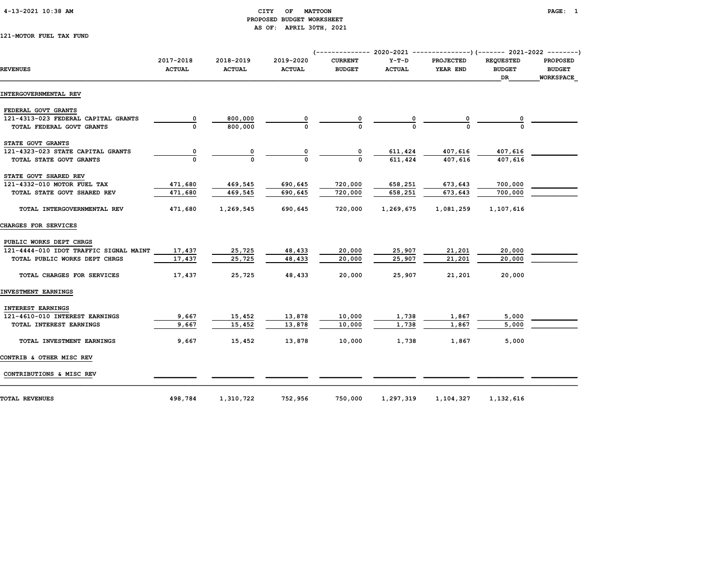## 4-13-2021 10:38 AM CITY OF MATTOON PAGE: 1 PROPOSED BUDGET WORKSHEET AS OF: APRIL 30TH, 2021

121-MOTOR FUEL TAX FUND

| <b>REVENUES</b>                        | 2017-2018<br><b>ACTUAL</b> | 2018-2019<br><b>ACTUAL</b> | 2019-2020<br><b>ACTUAL</b> | <b>CURRENT</b><br><b>BUDGET</b> | $Y-T-D$<br><b>ACTUAL</b>  | <b>PROJECTED</b><br>YEAR END | <b>REQUESTED</b><br><b>BUDGET</b><br><b>DR</b> | <b>PROPOSED</b><br><b>BUDGET</b><br><b>WORKSPACE</b> |
|----------------------------------------|----------------------------|----------------------------|----------------------------|---------------------------------|---------------------------|------------------------------|------------------------------------------------|------------------------------------------------------|
| INTERGOVERNMENTAL REV                  |                            |                            |                            |                                 |                           |                              |                                                |                                                      |
| FEDERAL GOVT GRANTS                    |                            |                            |                            |                                 |                           |                              |                                                |                                                      |
| 121-4313-023 FEDERAL CAPITAL GRANTS    | 0                          | 800,000                    |                            |                                 |                           |                              |                                                |                                                      |
| TOTAL FEDERAL GOVT GRANTS              |                            | 800,000                    |                            |                                 |                           |                              |                                                |                                                      |
| STATE GOVT GRANTS                      |                            |                            |                            |                                 |                           |                              |                                                |                                                      |
| 121-4323-023 STATE CAPITAL GRANTS      | 0                          | 0                          |                            | 0                               | $\frac{611,424}{611,424}$ | 407,616                      | 407,616                                        |                                                      |
| TOTAL STATE GOVT GRANTS                |                            |                            |                            |                                 |                           | 407,616                      | 407,616                                        |                                                      |
| STATE GOVT SHARED REV                  |                            |                            |                            |                                 |                           |                              |                                                |                                                      |
| 121-4332-010 MOTOR FUEL TAX            | 471,680                    | 469,545                    | 690,645                    | 720,000                         | 658,251                   | 673,643                      | 700,000                                        |                                                      |
| TOTAL STATE GOVT SHARED REV            | 471,680                    | 469,545                    | 690,645                    | 720,000                         | 658,251                   | 673,643                      | 700,000                                        |                                                      |
| TOTAL INTERGOVERNMENTAL REV            | 471,680                    | 1,269,545                  | 690,645                    | 720,000                         | 1,269,675                 | 1,081,259                    | 1,107,616                                      |                                                      |
| CHARGES FOR SERVICES                   |                            |                            |                            |                                 |                           |                              |                                                |                                                      |
| PUBLIC WORKS DEPT CHRGS                |                            |                            |                            |                                 |                           |                              |                                                |                                                      |
| 121-4444-010 IDOT TRAFFIC SIGNAL MAINT | 17,437                     | 25,725                     | 48,433                     | 20,000                          | 25,907                    | 21,201                       | 20,000                                         |                                                      |
| TOTAL PUBLIC WORKS DEPT CHRGS          | 17,437                     | 25,725                     | 48,433                     | 20,000                          | 25,907                    | 21,201                       | 20,000                                         |                                                      |
| TOTAL CHARGES FOR SERVICES             | 17,437                     | 25,725                     | 48,433                     | 20,000                          | 25,907                    | 21,201                       | 20,000                                         |                                                      |
| INVESTMENT EARNINGS                    |                            |                            |                            |                                 |                           |                              |                                                |                                                      |
| <b>INTEREST EARNINGS</b>               |                            |                            |                            |                                 |                           |                              |                                                |                                                      |
| 121-4610-010 INTEREST EARNINGS         | 9,667                      | 15,452                     | 13,878                     | 10,000                          | 1,738                     | 1,867                        | 5,000                                          |                                                      |
| TOTAL INTEREST EARNINGS                | 9,667                      | 15,452                     | 13,878                     | 10,000                          | 1,738                     | 1,867                        | 5,000                                          |                                                      |
| TOTAL INVESTMENT EARNINGS              | 9,667                      | 15,452                     | 13,878                     | 10,000                          | 1,738                     | 1,867                        | 5,000                                          |                                                      |
| CONTRIB & OTHER MISC REV               |                            |                            |                            |                                 |                           |                              |                                                |                                                      |
| CONTRIBUTIONS & MISC REV               |                            |                            |                            |                                 |                           |                              |                                                |                                                      |
| <b>TOTAL REVENUES</b>                  | 498,784                    | 1,310,722                  | 752,956                    | 750,000                         | 1,297,319                 | 1,104,327                    | 1,132,616                                      |                                                      |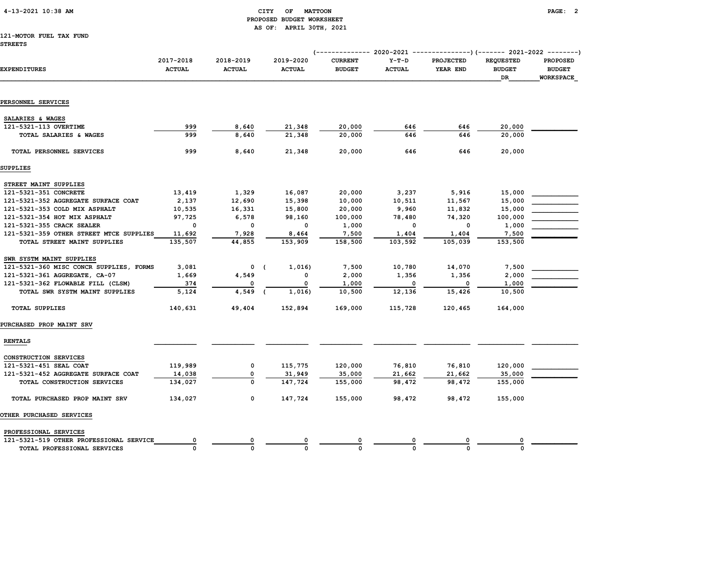## 4-13-2021 10:38 AM CITY OF MATTOON PAGE: 2 PROPOSED BUDGET WORKSHEET AS OF: APRIL 30TH, 2021

## 121-MOTOR FUEL TAX FUND

| EXPENDITURES                            | 2017-2018<br><b>ACTUAL</b> | 2018-2019<br><b>ACTUAL</b> | 2019-2020<br><b>ACTUAL</b> | <b>CURRENT</b><br><b>BUDGET</b> | $Y-T-D$<br><b>ACTUAL</b> | <b>PROJECTED</b><br>YEAR END | <b>REQUESTED</b><br><b>BUDGET</b><br>DR | <b>PROPOSED</b><br><b>BUDGET</b><br><b>WORKSPACE</b> |
|-----------------------------------------|----------------------------|----------------------------|----------------------------|---------------------------------|--------------------------|------------------------------|-----------------------------------------|------------------------------------------------------|
|                                         |                            |                            |                            |                                 |                          |                              |                                         |                                                      |
| PERSONNEL SERVICES                      |                            |                            |                            |                                 |                          |                              |                                         |                                                      |
| SALARIES & WAGES                        |                            |                            |                            |                                 |                          |                              |                                         |                                                      |
| 121-5321-113 OVERTIME                   | 999                        | 8,640                      | 21,348                     | 20,000                          | 646                      | 646                          | 20,000                                  |                                                      |
| TOTAL SALARIES & WAGES                  | 999                        | 8,640                      | 21,348                     | 20,000                          | 646                      | 646                          | 20,000                                  |                                                      |
| TOTAL PERSONNEL SERVICES                | 999                        | 8,640                      | 21,348                     | 20,000                          | 646                      | 646                          | 20,000                                  |                                                      |
| SUPPLIES                                |                            |                            |                            |                                 |                          |                              |                                         |                                                      |
| STREET MAINT SUPPLIES                   |                            |                            |                            |                                 |                          |                              |                                         |                                                      |
| 121-5321-351 CONCRETE                   | 13,419                     | 1,329                      | 16,087                     | 20,000                          | 3,237                    | 5,916                        | 15,000                                  |                                                      |
| 121-5321-352 AGGREGATE SURFACE COAT     | 2,137                      | 12,690                     | 15,398                     | 10,000                          | 10,511                   | 11,567                       | 15,000                                  |                                                      |
| 121-5321-353 COLD MIX ASPHALT           | 10,535                     | 16,331                     | 15,800                     | 20,000                          | 9,960                    | 11,832                       | 15,000                                  |                                                      |
| 121-5321-354 HOT MIX ASPHALT            | 97,725                     | 6,578                      | 98,160                     | 100,000                         | 78,480                   | 74,320                       | 100,000                                 |                                                      |
| 121-5321-355 CRACK SEALER               | 0                          | 0                          | $\mathbf 0$                | 1,000                           | $\mathbf{o}$             | $\Omega$                     | 1,000                                   |                                                      |
| 121-5321-359 OTHER STREET MTCE SUPPLIES | 11,692                     | 7,928                      | 8,464                      | 7,500                           | 1,404                    | 1,404                        | 7,500                                   |                                                      |
| TOTAL STREET MAINT SUPPLIES             | 135,507                    | 44,855                     | 153,909                    | 158,500                         | 103,592                  | 105,039                      | 153,500                                 |                                                      |
| SWR SYSTM MAINT SUPPLIES                |                            |                            |                            |                                 |                          |                              |                                         |                                                      |
| 121-5321-360 MISC CONCR SUPPLIES, FORMS | 3,081                      | $0$ (                      | 1,016)                     | 7,500                           | 10,780                   | 14,070                       | 7,500                                   |                                                      |
| 121-5321-361 AGGREGATE, CA-07           | 1,669                      | 4,549                      | 0                          | 2,000                           | 1,356                    | 1,356                        | 2,000                                   |                                                      |
| 121-5321-362 FLOWABLE FILL (CLSM)       | 374                        | 0                          | 0                          | 1,000                           | 0                        | 0                            | 1,000                                   |                                                      |
| TOTAL SWR SYSTM MAINT SUPPLIES          | 5,124                      | 4,549                      | 1,016)                     | 10,500                          | 12,136                   | 15,426                       | 10,500                                  |                                                      |
| <b>TOTAL SUPPLIES</b>                   | 140,631                    | 49,404                     | 152,894                    | 169,000                         | 115,728                  | 120,465                      | 164,000                                 |                                                      |
| PURCHASED PROP MAINT SRV                |                            |                            |                            |                                 |                          |                              |                                         |                                                      |
| <b>RENTALS</b>                          |                            |                            |                            |                                 |                          |                              |                                         |                                                      |
| CONSTRUCTION SERVICES                   |                            |                            |                            |                                 |                          |                              |                                         |                                                      |
| 121-5321-451 SEAL COAT                  | 119,989                    | 0                          | 115,775                    | 120,000                         | 76,810                   | 76,810                       | 120,000                                 |                                                      |
| 121-5321-452 AGGREGATE SURFACE COAT     | 14,038                     | 0                          | 31,949                     | 35,000                          | 21,662                   | 21,662                       | 35,000                                  |                                                      |
| TOTAL CONSTRUCTION SERVICES             | 134,027                    | $\mathbf 0$                | 147,724                    | 155,000                         | 98,472                   | 98,472                       | 155,000                                 |                                                      |
| TOTAL PURCHASED PROP MAINT SRV          | 134,027                    | 0                          | 147,724                    | 155,000                         | 98,472                   | 98,472                       | 155,000                                 |                                                      |
| OTHER PURCHASED SERVICES                |                            |                            |                            |                                 |                          |                              |                                         |                                                      |
| PROFESSIONAL SERVICES                   |                            |                            |                            |                                 |                          |                              |                                         |                                                      |
| 121-5321-519 OTHER PROFESSIONAL SERVICE | 0                          | 0                          |                            | 0                               |                          | 0                            |                                         |                                                      |
| TOTAL PROFESSIONAL SERVICES             | $\Omega$                   | 0                          | $\Omega$                   | $\Omega$                        | $\Omega$                 | 0                            | 0                                       |                                                      |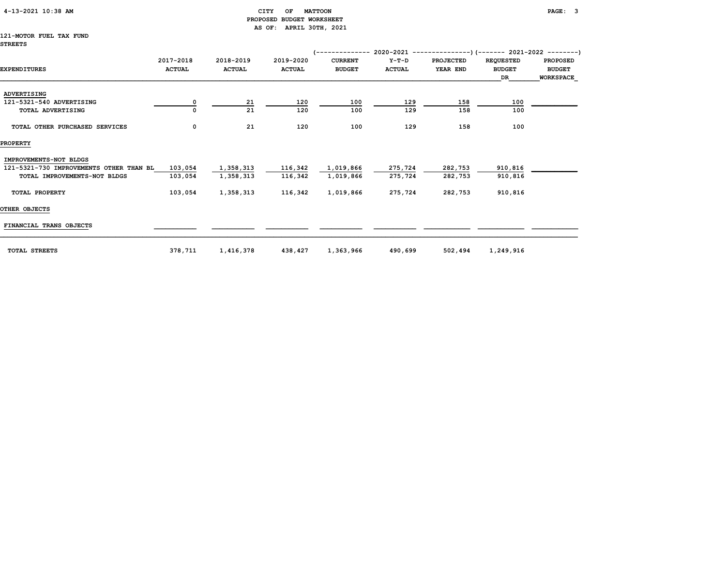## 4-13-2021 10:38 AM CITY OF MATTOON PAGE: 3 PROPOSED BUDGET WORKSHEET AS OF: APRIL 30TH, 2021

## 121-MOTOR FUEL TAX FUND

|                                         |               |               |               | '-------------- |               | $2020-2021$ ----------------) (------- 2021-2022 ---------) |                  |                  |
|-----------------------------------------|---------------|---------------|---------------|-----------------|---------------|-------------------------------------------------------------|------------------|------------------|
|                                         | 2017-2018     | 2018-2019     | 2019-2020     | <b>CURRENT</b>  | $Y-T-D$       | <b>PROJECTED</b>                                            | <b>REQUESTED</b> | <b>PROPOSED</b>  |
| <b>EXPENDITURES</b>                     | <b>ACTUAL</b> | <b>ACTUAL</b> | <b>ACTUAL</b> | <b>BUDGET</b>   | <b>ACTUAL</b> | YEAR END                                                    | <b>BUDGET</b>    | <b>BUDGET</b>    |
|                                         |               |               |               |                 |               |                                                             | DR               | <b>WORKSPACE</b> |
| <b>ADVERTISING</b>                      |               |               |               |                 |               |                                                             |                  |                  |
| 121-5321-540 ADVERTISING                |               | 21            | 120           | 100             | 129           | 158                                                         | 100              |                  |
| <b>TOTAL ADVERTISING</b>                |               | 21            | 120           | 100             | 129           | 158                                                         | 100              |                  |
| TOTAL OTHER PURCHASED SERVICES          | 0             | 21            | 120           | 100             | 129           | 158                                                         | 100              |                  |
| <b>PROPERTY</b>                         |               |               |               |                 |               |                                                             |                  |                  |
| IMPROVEMENTS-NOT BLDGS                  |               |               |               |                 |               |                                                             |                  |                  |
| 121-5321-730 IMPROVEMENTS OTHER THAN BL | 103,054       | 1,358,313     | 116,342       | 1,019,866       | 275,724       | 282,753                                                     | 910,816          |                  |
| TOTAL IMPROVEMENTS-NOT BLDGS            | 103,054       | 1,358,313     | 116,342       | 1,019,866       | 275,724       | 282,753                                                     | 910,816          |                  |
| TOTAL PROPERTY                          | 103,054       | 1,358,313     | 116,342       | 1,019,866       | 275,724       | 282,753                                                     | 910,816          |                  |
| OTHER OBJECTS                           |               |               |               |                 |               |                                                             |                  |                  |
| FINANCIAL TRANS OBJECTS                 |               |               |               |                 |               |                                                             |                  |                  |
| <b>TOTAL STREETS</b>                    | 378,711       | 1,416,378     | 438,427       | 1,363,966       | 490,699       | 502,494                                                     | 1,249,916        |                  |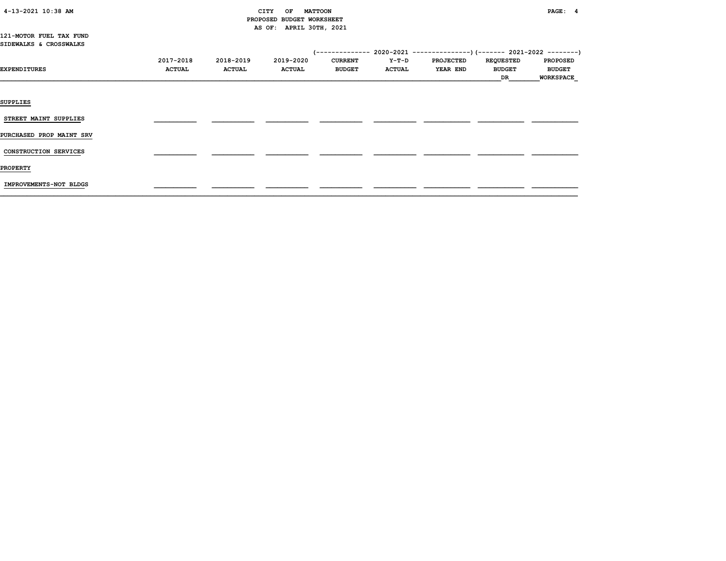# PROPOSED BUDGET WORKSHEET AS OF: APRIL 30TH, 2021

121-MOTOR FUEL TAX FUND SIDEWALKS & CROSSWALKS

|                          | 2017-2018     | 2018-2019     | 2019-2020     | <b>CURRENT</b> | <b>Y-T-D</b>  | <b>PROJECTED</b> | <b>REQUESTED</b> | <b>PROPOSED</b> |
|--------------------------|---------------|---------------|---------------|----------------|---------------|------------------|------------------|-----------------|
| EXPENDITURES             | <b>ACTUAL</b> | <b>ACTUAL</b> | <b>ACTUAL</b> | <b>BUDGET</b>  | <b>ACTUAL</b> | <b>YEAR END</b>  | <b>BUDGET</b>    | <b>BUDGET</b>   |
|                          |               |               |               |                |               |                  | DR               | WORKSPACE       |
|                          |               |               |               |                |               |                  |                  |                 |
| <b>SUPPLIES</b>          |               |               |               |                |               |                  |                  |                 |
|                          |               |               |               |                |               |                  |                  |                 |
| STREET MAINT SUPPLIES    |               |               |               |                |               |                  |                  |                 |
| PURCHASED PROP MAINT SRV |               |               |               |                |               |                  |                  |                 |
| CONSTRUCTION SERVICES    |               |               |               |                |               |                  |                  |                 |
|                          |               |               |               |                |               |                  |                  |                 |
| <b>PROPERTY</b>          |               |               |               |                |               |                  |                  |                 |
|                          |               |               |               |                |               |                  |                  |                 |
| IMPROVEMENTS-NOT BLDGS   |               |               |               |                |               |                  |                  |                 |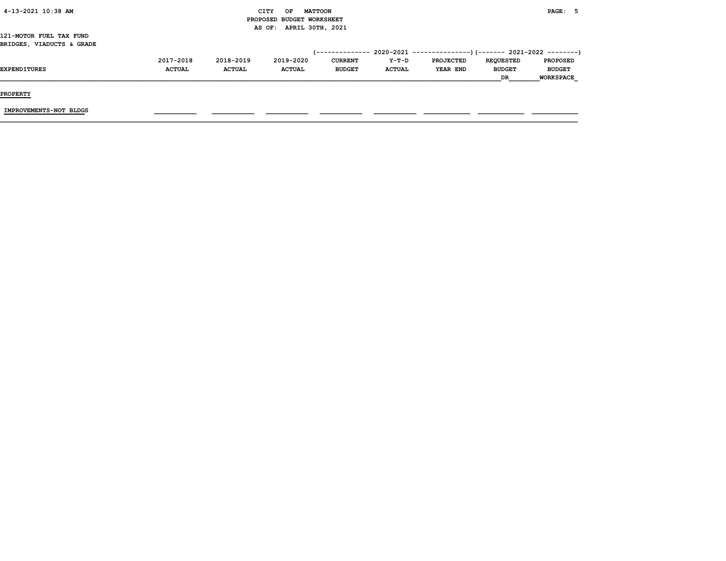| 4-13-2021 10:38 AM |  |
|--------------------|--|
|                    |  |

## CITY OF MATTOON **PAGE:** 5 PROPOSED BUDGET WORKSHEET AS OF: APRIL 30TH, 2021

121-MOTOR FUEL TAX FUND BRIDGES, VIADUCTS & GRADE

|                     | 2017-2018     | 2018-2019     | 2019-2020     | CURRENT       | $Y-T-D$       | <b>PROJECTED</b> | <b>REOUESTED</b> | <b>PROPOSED</b>  |
|---------------------|---------------|---------------|---------------|---------------|---------------|------------------|------------------|------------------|
| <b>EXPENDITURES</b> | <b>ACTUAL</b> | <b>ACTUAL</b> | <b>ACTUAL</b> | <b>BUDGET</b> | <b>ACTUAL</b> | YEAR END         | <b>BUDGET</b>    | <b>BUDGET</b>    |
|                     |               |               |               |               |               |                  | DR               | <b>WORKSPACE</b> |

PROPERTY

IMPROVEMENTS-NOT BLDGS \_\_\_\_\_\_\_\_\_\_\_ \_\_\_\_\_\_\_\_\_\_\_ \_\_\_\_\_\_\_\_\_\_\_ \_\_\_\_\_\_\_\_\_\_\_ \_\_\_\_\_\_\_\_\_\_\_ \_\_\_\_\_\_\_\_\_\_\_\_ \_\_\_\_\_\_\_\_\_\_\_\_ \_\_\_\_\_\_\_\_\_\_\_\_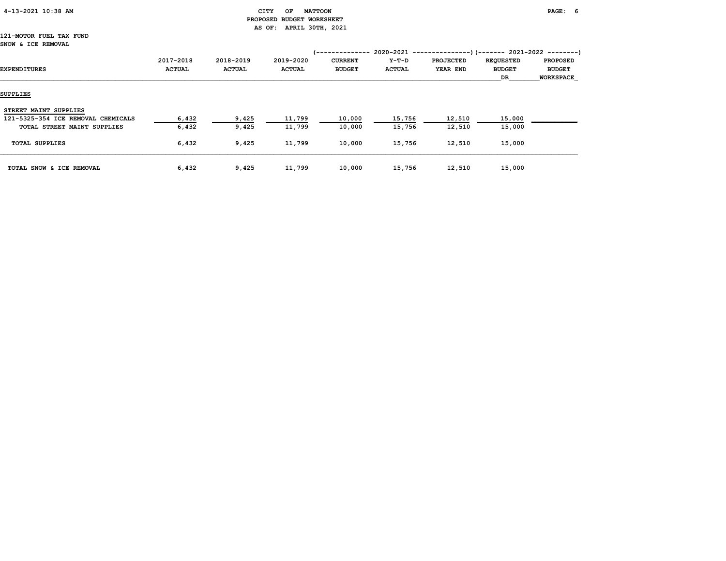## 4-13-2021 10:38 AM CITY OF MATTOON PAGE: 6 PROPOSED BUDGET WORKSHEET AS OF: APRIL 30TH, 2021

#### 121-MOTOR FUEL TAX FUND SNOW & ICE REMOVAL

| EXPENDITURES                       | 2017-2018<br><b>ACTUAL</b> | 2018-2019<br><b>ACTUAL</b> | 2019-2020<br><b>ACTUAL</b> | <b>CURRENT</b><br><b>BUDGET</b> | Y-T-D<br><b>ACTUAL</b> | <b>PROJECTED</b><br>YEAR END | <b>REQUESTED</b><br><b>BUDGET</b><br>DR | <b>PROPOSED</b><br><b>BUDGET</b><br><b>WORKSPACE</b> |
|------------------------------------|----------------------------|----------------------------|----------------------------|---------------------------------|------------------------|------------------------------|-----------------------------------------|------------------------------------------------------|
| SUPPLIES                           |                            |                            |                            |                                 |                        |                              |                                         |                                                      |
| STREET MAINT SUPPLIES              |                            |                            |                            |                                 |                        |                              |                                         |                                                      |
| 121-5325-354 ICE REMOVAL CHEMICALS | 6,432                      | 9,425                      | 11,799                     | 10,000                          | 15,756                 | 12,510                       | 15,000                                  |                                                      |
| TOTAL STREET MAINT SUPPLIES        | 6,432                      | 9,425                      | 11,799                     | 10,000                          | 15,756                 | 12,510                       | 15,000                                  |                                                      |
| <b>TOTAL SUPPLIES</b>              | 6,432                      | 9,425                      | 11,799                     | 10,000                          | 15,756                 | 12,510                       | 15,000                                  |                                                      |
| TOTAL SNOW & ICE REMOVAL           | 6,432                      | 9,425                      | 11,799                     | 10,000                          | 15,756                 | 12,510                       | 15,000                                  |                                                      |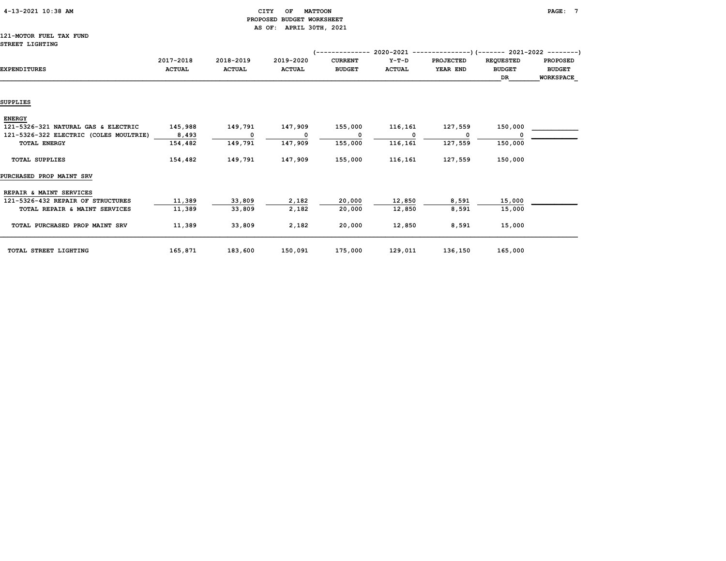## 4-13-2021 10:38 AM CITY OF MATTOON PAGE: 7 PROPOSED BUDGET WORKSHEET AS OF: APRIL 30TH, 2021

## 121-MOTOR FUEL TAX FUND STREET LIGHTING

|                                        |               |               |               | ----------     | $2020 - 2021 -$ |                  | -----------)(------- 2021-2022 --------) |                  |
|----------------------------------------|---------------|---------------|---------------|----------------|-----------------|------------------|------------------------------------------|------------------|
|                                        | 2017-2018     | 2018-2019     | 2019-2020     | <b>CURRENT</b> | $Y-T-D$         | <b>PROJECTED</b> | <b>REQUESTED</b>                         | <b>PROPOSED</b>  |
| <b>EXPENDITURES</b>                    | <b>ACTUAL</b> | <b>ACTUAL</b> | <b>ACTUAL</b> | <b>BUDGET</b>  | <b>ACTUAL</b>   | YEAR END         | <b>BUDGET</b>                            | <b>BUDGET</b>    |
|                                        |               |               |               |                |                 |                  | DR                                       | <b>WORKSPACE</b> |
|                                        |               |               |               |                |                 |                  |                                          |                  |
| <b>SUPPLIES</b>                        |               |               |               |                |                 |                  |                                          |                  |
| <b>ENERGY</b>                          |               |               |               |                |                 |                  |                                          |                  |
| 121-5326-321 NATURAL GAS & ELECTRIC    | 145,988       | 149,791       | 147,909       | 155,000        | 116,161         | 127,559          | 150,000                                  |                  |
| 121-5326-322 ELECTRIC (COLES MOULTRIE) | 8,493         | $\mathbf{o}$  | 0             | $\Omega$       | n               |                  |                                          |                  |
| <b>TOTAL ENERGY</b>                    | 154,482       | 149,791       | 147,909       | 155,000        | 116,161         | 127,559          | 150,000                                  |                  |
| <b>TOTAL SUPPLIES</b>                  | 154,482       | 149,791       | 147,909       | 155,000        | 116,161         | 127,559          | 150,000                                  |                  |
| PURCHASED PROP MAINT SRV               |               |               |               |                |                 |                  |                                          |                  |
| REPAIR & MAINT SERVICES                |               |               |               |                |                 |                  |                                          |                  |
| 121-5326-432 REPAIR OF STRUCTURES      | 11,389        | 33,809        | 2,182         | 20,000         | 12,850          | 8,591            | 15,000                                   |                  |
| TOTAL REPAIR & MAINT SERVICES          | 11,389        | 33,809        | 2,182         | 20,000         | 12,850          | 8,591            | 15,000                                   |                  |
| TOTAL PURCHASED PROP MAINT SRV         | 11,389        | 33,809        | 2,182         | 20,000         | 12,850          | 8,591            | 15,000                                   |                  |
| TOTAL STREET LIGHTING                  | 165,871       | 183,600       | 150,091       | 175,000        | 129,011         | 136,150          | 165,000                                  |                  |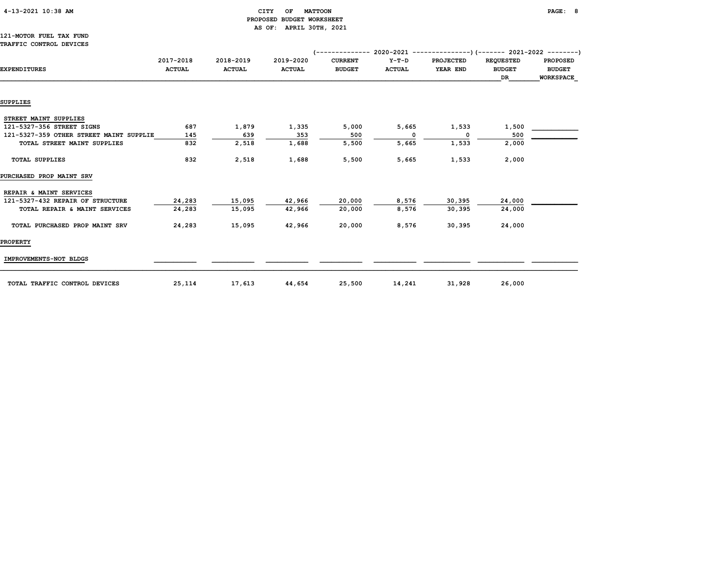|  | $4-13-2021$ $10:38$ AM |  |  |
|--|------------------------|--|--|
|--|------------------------|--|--|

## $\begin{array}{ccc} \texttt{CITY} & \texttt{OF} & \texttt{MATTOON} \end{array}$  PROPOSED BUDGET WORKSHEET AS OF: APRIL 30TH, 2021

## 121-MOTOR FUEL TAX FUND TRAFFIC CONTROL DEVICES

| <b>EXPENDITURES</b>                     | 2017-2018<br><b>ACTUAL</b> | 2018-2019<br><b>ACTUAL</b> | 2019-2020<br><b>ACTUAL</b> | <b>CURRENT</b><br><b>BUDGET</b> | Y-T-D<br><b>ACTUAL</b> | <b>PROJECTED</b><br>YEAR END | <b>REQUESTED</b><br><b>BUDGET</b><br>DR | <b>PROPOSED</b><br><b>BUDGET</b><br>WORKSPACE |
|-----------------------------------------|----------------------------|----------------------------|----------------------------|---------------------------------|------------------------|------------------------------|-----------------------------------------|-----------------------------------------------|
|                                         |                            |                            |                            |                                 |                        |                              |                                         |                                               |
| <b>SUPPLIES</b>                         |                            |                            |                            |                                 |                        |                              |                                         |                                               |
| STREET MAINT SUPPLIES                   |                            |                            |                            |                                 |                        |                              |                                         |                                               |
| 121-5327-356 STREET SIGNS               | 687                        | 1,879                      | 1,335                      | 5,000                           | 5,665                  | 1,533                        | 1,500                                   |                                               |
| 121-5327-359 OTHER STREET MAINT SUPPLIE | 145                        | 639                        | 353                        | 500                             | $\Omega$               | $^{\circ}$                   | 500                                     |                                               |
| TOTAL STREET MAINT SUPPLIES             | 832                        | 2,518                      | 1,688                      | 5,500                           | 5,665                  | 1,533                        | 2,000                                   |                                               |
| <b>TOTAL SUPPLIES</b>                   | 832                        | 2,518                      | 1,688                      | 5,500                           | 5,665                  | 1,533                        | 2,000                                   |                                               |
| PURCHASED PROP MAINT SRV                |                            |                            |                            |                                 |                        |                              |                                         |                                               |
| REPAIR & MAINT SERVICES                 |                            |                            |                            |                                 |                        |                              |                                         |                                               |
| 121-5327-432 REPAIR OF STRUCTURE        | 24,283                     | 15,095                     | 42,966                     | 20,000                          | 8,576                  | 30,395                       | 24,000                                  |                                               |
| TOTAL REPAIR & MAINT SERVICES           | 24,283                     | 15,095                     | 42,966                     | 20,000                          | 8,576                  | 30,395                       | 24,000                                  |                                               |
| TOTAL PURCHASED PROP MAINT SRV          | 24,283                     | 15,095                     | 42,966                     | 20,000                          | 8,576                  | 30,395                       | 24,000                                  |                                               |
| <b>PROPERTY</b>                         |                            |                            |                            |                                 |                        |                              |                                         |                                               |
| IMPROVEMENTS-NOT BLDGS                  |                            |                            |                            |                                 |                        |                              |                                         |                                               |
| TOTAL TRAFFIC CONTROL DEVICES           | 25,114                     | 17,613                     | 44,654                     | 25,500                          | 14,241                 | 31,928                       | 26,000                                  |                                               |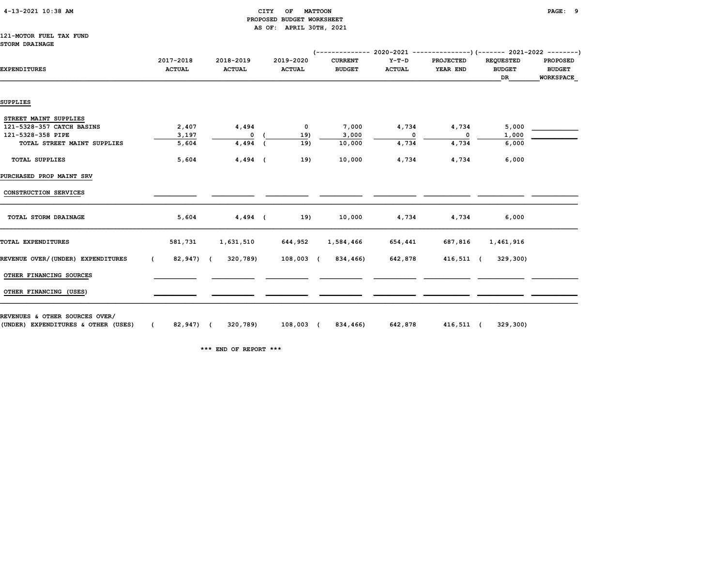| 4-13-2021 10:38 AM |  |
|--------------------|--|
|                    |  |

#### $\begin{array}{ccc} \text{CITY} & \text{OF} & \text{MATTOON} \end{array}$  PROPOSED BUDGET WORKSHEET AS OF: APRIL 30TH, 2021

#### 121-MOTOR FUEL TAX FUND STORM DRAINAGE

| <b>EXPENDITURES</b>               | 2017-2018<br><b>ACTUAL</b> | 2018-2019<br><b>ACTUAL</b> | 2019-2020<br><b>ACTUAL</b> | <b>CURRENT</b><br><b>BUDGET</b> | Y-T-D<br><b>ACTUAL</b> | <b>PROJECTED</b><br>YEAR END | <b>REQUESTED</b><br><b>BUDGET</b> | <b>PROPOSED</b><br><b>BUDGET</b> |
|-----------------------------------|----------------------------|----------------------------|----------------------------|---------------------------------|------------------------|------------------------------|-----------------------------------|----------------------------------|
|                                   |                            |                            |                            |                                 |                        |                              | DR                                | WORKSPACE                        |
| <b>SUPPLIES</b>                   |                            |                            |                            |                                 |                        |                              |                                   |                                  |
|                                   |                            |                            |                            |                                 |                        |                              |                                   |                                  |
| STREET MAINT SUPPLIES             |                            |                            |                            |                                 |                        |                              |                                   |                                  |
| 121-5328-357 CATCH BASINS         | 2,407                      | 4,494                      | $\mathbf 0$                | 7,000                           | 4,734                  | 4,734                        | 5,000                             |                                  |
| 121-5328-358 PIPE                 | 3,197                      | $\mathbf{o}$               | 19)                        | 3,000                           | $\mathbf{o}$           | $\overline{\phantom{0}}$     | 1,000                             |                                  |
| TOTAL STREET MAINT SUPPLIES       | 5,604                      | $4,494$ (                  | 19)                        | 10,000                          | 4,734                  | 4,734                        | 6,000                             |                                  |
| <b>TOTAL SUPPLIES</b>             | 5,604                      | 4,494 (                    | 19)                        | 10,000                          | 4,734                  | 4,734                        | 6,000                             |                                  |
| PURCHASED PROP MAINT SRV          |                            |                            |                            |                                 |                        |                              |                                   |                                  |
| CONSTRUCTION SERVICES             |                            |                            |                            |                                 |                        |                              |                                   |                                  |
| TOTAL STORM DRAINAGE              | 5,604                      | 4,494 (                    | 19)                        | 10,000                          | 4,734                  | 4,734                        | 6,000                             |                                  |
| TOTAL EXPENDITURES                | 581,731                    | 1,631,510                  | 644,952                    | 1,584,466                       | 654,441                | 687,816                      | 1,461,916                         |                                  |
| REVENUE OVER/(UNDER) EXPENDITURES | $\epsilon$                 | 82,947) ( 320,789)         | 108,003 (                  | 834,466)                        | 642,878                | 416,511 (                    | 329,300)                          |                                  |
| OTHER FINANCING SOURCES           |                            |                            |                            |                                 |                        |                              |                                   |                                  |
| OTHER FINANCING (USES)            |                            |                            |                            |                                 |                        |                              |                                   |                                  |

REVENUES & OTHER SOURCES OVER/

(UNDER) EXPENDITURES & OTHER (USES) ( 82,947) ( 320,789) 108,003 ( 834,466) 642,878 416,511 ( 329,300)

\*\*\* END OF REPORT \*\*\*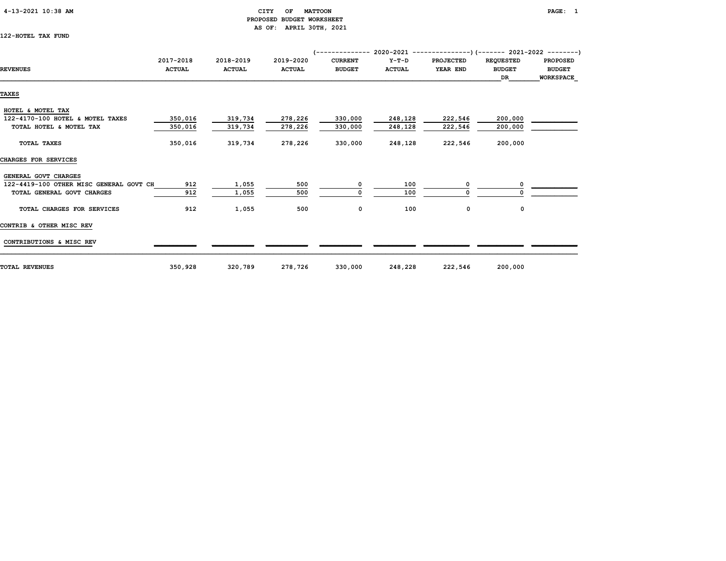### 4-13-2021 10:38 AM CITY OF MATTOON PAGE: 1 PROPOSED BUDGET WORKSHEET AS OF: APRIL 30TH, 2021

122-HOTEL TAX FUND

|                                         | 2017-2018     | 2018-2019     | 2019-2020     | <b>CURRENT</b> | $Y-T-D$       | <b>PROJECTED</b> | <b>REQUESTED</b> | <b>PROPOSED</b>  |
|-----------------------------------------|---------------|---------------|---------------|----------------|---------------|------------------|------------------|------------------|
| <b>REVENUES</b>                         | <b>ACTUAL</b> | <b>ACTUAL</b> | <b>ACTUAL</b> | <b>BUDGET</b>  | <b>ACTUAL</b> | YEAR END         | <b>BUDGET</b>    | <b>BUDGET</b>    |
|                                         |               |               |               |                |               |                  | DR               | <b>WORKSPACE</b> |
| TAXES                                   |               |               |               |                |               |                  |                  |                  |
|                                         |               |               |               |                |               |                  |                  |                  |
| HOTEL & MOTEL TAX                       |               |               |               |                |               |                  |                  |                  |
| 122-4170-100 HOTEL & MOTEL TAXES        | 350,016       | 319,734       | 278,226       | 330,000        | 248,128       | 222,546          | 200,000          |                  |
| TOTAL HOTEL & MOTEL TAX                 | 350,016       | 319,734       | 278,226       | 330,000        | 248,128       | 222,546          | 200,000          |                  |
| TOTAL TAXES                             | 350,016       | 319,734       | 278,226       | 330,000        | 248,128       | 222,546          | 200,000          |                  |
| CHARGES FOR SERVICES                    |               |               |               |                |               |                  |                  |                  |
| GENERAL GOVT CHARGES                    |               |               |               |                |               |                  |                  |                  |
| 122-4419-100 OTHER MISC GENERAL GOVT CH | 912           | 1,055         | 500           | 0              | 100           | 0                |                  |                  |
| TOTAL GENERAL GOVT CHARGES              | 912           | 1,055         | 500           |                | 100           |                  |                  |                  |
| TOTAL CHARGES FOR SERVICES              | 912           | 1,055         | 500           | 0              | 100           | 0                | 0                |                  |
| CONTRIB & OTHER MISC REV                |               |               |               |                |               |                  |                  |                  |
| CONTRIBUTIONS & MISC REV                |               |               |               |                |               |                  |                  |                  |
| TOTAL REVENUES                          | 350,928       | 320,789       | 278,726       | 330,000        | 248,228       | 222,546          | 200,000          |                  |
|                                         |               |               |               |                |               |                  |                  |                  |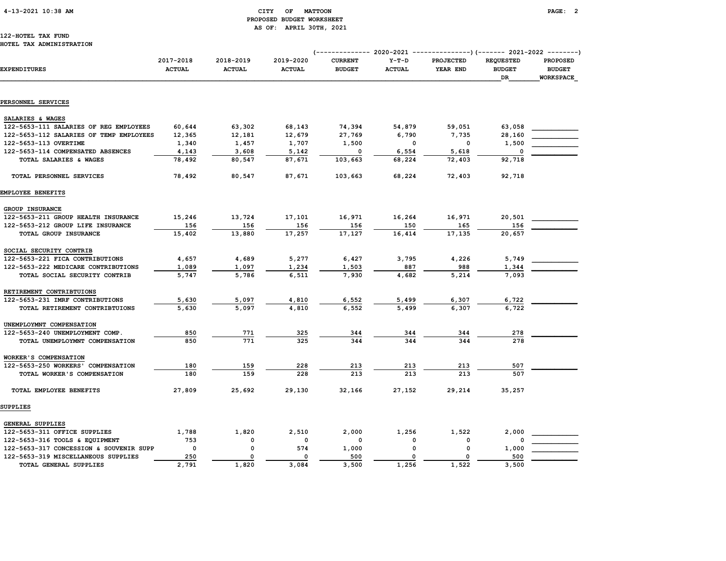## 4-13-2021 10:38 AM CITY OF MATTOON PAGE: 2 PROPOSED BUDGET WORKSHEET AS OF: APRIL 30TH, 2021

#### 122-HOTEL TAX FUND HOTEL TAX ADMINISTRATION

|                                         |                            |                            |                            | (------------- 2020-2021        |                          |                       |                                         |                                               |  |
|-----------------------------------------|----------------------------|----------------------------|----------------------------|---------------------------------|--------------------------|-----------------------|-----------------------------------------|-----------------------------------------------|--|
| <b>EXPENDITURES</b>                     | 2017-2018<br><b>ACTUAL</b> | 2018-2019<br><b>ACTUAL</b> | 2019-2020<br><b>ACTUAL</b> | <b>CURRENT</b><br><b>BUDGET</b> | $Y-T-D$<br><b>ACTUAL</b> | PROJECTED<br>YEAR END | <b>REQUESTED</b><br><b>BUDGET</b><br>DR | <b>PROPOSED</b><br><b>BUDGET</b><br>WORKSPACE |  |
|                                         |                            |                            |                            |                                 |                          |                       |                                         |                                               |  |
| PERSONNEL SERVICES                      |                            |                            |                            |                                 |                          |                       |                                         |                                               |  |
| SALARIES & WAGES                        |                            |                            |                            |                                 |                          |                       |                                         |                                               |  |
| 122-5653-111 SALARIES OF REG EMPLOYEES  | 60,644                     | 63,302                     | 68,143                     | 74,394                          | 54,879                   | 59,051                | 63,058                                  |                                               |  |
| 122-5653-112 SALARIES OF TEMP EMPLOYEES | 12,365                     | 12,181                     | 12,679                     | 27,769                          | 6,790                    | 7,735                 | 28,160                                  |                                               |  |
| 122-5653-113 OVERTIME                   | 1,340                      | 1,457                      | 1,707                      | 1,500                           | 0                        | $\mathbf 0$           | 1,500                                   |                                               |  |
| 122-5653-114 COMPENSATED ABSENCES       | 4,143                      | 3,608                      | 5,142                      | 0                               | 6,554                    | 5,618                 | 0                                       |                                               |  |
| TOTAL SALARIES & WAGES                  | 78,492                     | 80,547                     | 87,671                     | 103,663                         | 68,224                   | 72,403                | 92,718                                  |                                               |  |
| TOTAL PERSONNEL SERVICES                | 78,492                     | 80,547                     | 87,671                     | 103,663                         | 68,224                   | 72,403                | 92,718                                  |                                               |  |
| EMPLOYEE BENEFITS                       |                            |                            |                            |                                 |                          |                       |                                         |                                               |  |
| GROUP INSURANCE                         |                            |                            |                            |                                 |                          |                       |                                         |                                               |  |
| 122-5653-211 GROUP HEALTH INSURANCE     | 15,246                     | 13,724                     | 17,101                     | 16,971                          | 16,264                   | 16,971                | 20,501                                  |                                               |  |
| 122-5653-212 GROUP LIFE INSURANCE       | 156                        | 156                        | 156                        | 156                             | 150                      | 165                   | 156                                     |                                               |  |
| TOTAL GROUP INSURANCE                   | 15,402                     | 13,880                     | 17,257                     | 17,127                          | 16,414                   | 17,135                | 20,657                                  |                                               |  |
| SOCIAL SECURITY CONTRIB                 |                            |                            |                            |                                 |                          |                       |                                         |                                               |  |
| 122-5653-221 FICA CONTRIBUTIONS         | 4,657                      | 4,689                      | 5,277                      | 6,427                           | 3,795                    | 4,226                 | 5,749                                   |                                               |  |
| 122-5653-222 MEDICARE CONTRIBUTIONS     | 1,089                      | 1,097                      | 1,234                      | 1,503                           | 887                      | 988                   | 1,344                                   |                                               |  |
| TOTAL SOCIAL SECURITY CONTRIB           | 5,747                      | 5,786                      | 6,511                      | 7,930                           | 4,682                    | 5,214                 | 7,093                                   |                                               |  |
| RETIREMENT CONTRIBTUIONS                |                            |                            |                            |                                 |                          |                       |                                         |                                               |  |
| 122-5653-231 IMRF CONTRIBUTIONS         | 5,630                      | 5,097                      | 4,810                      | 6,552                           | 5,499                    | 6,307                 | 6,722                                   |                                               |  |
| TOTAL RETIREMENT CONTRIBTUIONS          | 5,630                      | 5,097                      | 4,810                      | 6,552                           | 5,499                    | 6,307                 | 6,722                                   |                                               |  |
| UNEMPLOYMNT COMPENSATION                |                            |                            |                            |                                 |                          |                       |                                         |                                               |  |
| 122-5653-240 UNEMPLOYMENT COMP.         | 850                        | 771                        | 325                        | 344                             | 344                      | 344                   | 278                                     |                                               |  |
| TOTAL UNEMPLOYMNT COMPENSATION          | 850                        | 771                        | 325                        | 344                             | 344                      | 344                   | 278                                     |                                               |  |
| WORKER'S COMPENSATION                   |                            |                            |                            |                                 |                          |                       |                                         |                                               |  |
| 122-5653-250 WORKERS' COMPENSATION      | 180                        | 159                        | 228                        | 213                             | 213                      | 213                   | 507                                     |                                               |  |
| TOTAL WORKER'S COMPENSATION             | 180                        | 159                        | 228                        | 213                             | 213                      | 213                   | 507                                     |                                               |  |
| TOTAL EMPLOYEE BENEFITS                 | 27,809                     | 25,692                     | 29,130                     | 32,166                          | 27,152                   | 29,214                | 35,257                                  |                                               |  |
| SUPPLIES                                |                            |                            |                            |                                 |                          |                       |                                         |                                               |  |
| GENERAL SUPPLIES                        |                            |                            |                            |                                 |                          |                       |                                         |                                               |  |
| 122-5653-311 OFFICE SUPPLIES            | 1,788                      | 1,820                      | 2,510                      | 2,000                           | 1,256                    | 1,522                 | 2,000                                   |                                               |  |
| 122-5653-316 TOOLS & EQUIPMENT          | 753                        | $\Omega$                   | 0                          | 0                               | 0                        | $\mathbf 0$           | 0                                       |                                               |  |
| 122-5653-317 CONCESSION & SOUVENIR SUPP | $\mathbf 0$                | $\mathbf 0$                | 574                        | 1,000                           | 0                        | $\mathbf 0$           | 1,000                                   |                                               |  |
| 122-5653-319 MISCELLANEOUS SUPPLIES     | 250                        | 0                          | $\mathbf 0$                | 500                             | $\mathbf{o}$             | 0                     | 500                                     |                                               |  |
| TOTAL GENERAL SUPPLIES                  | 2,791                      | 1,820                      | 3,084                      | 3,500                           | 1,256                    | 1,522                 | 3,500                                   |                                               |  |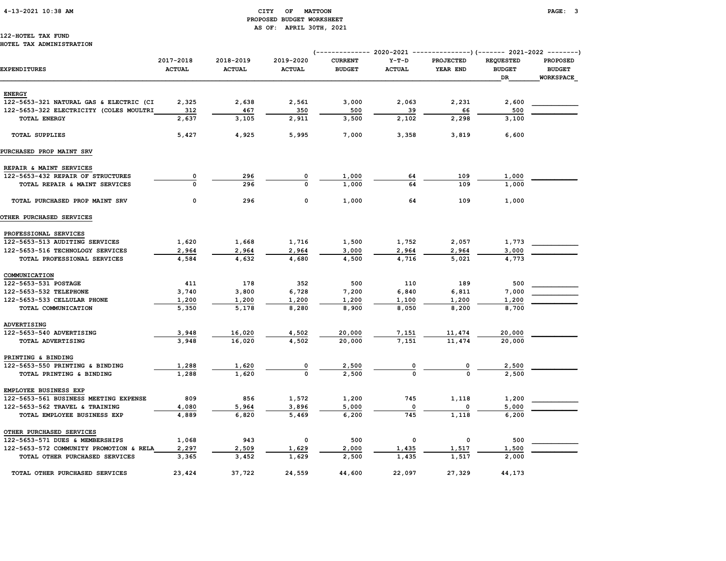# 4-13-2021 10:38 AM CITY OF MATTOON PAGE: 3 PROPOSED BUDGET WORKSHEET AS OF: APRIL 30TH, 2021

#### 122-HOTEL TAX FUND HOTEL TAX ADMINISTRATION

|                                         |                            |                            |                            | (------------- 2020-2021        |                          |                       | ---------------) (------- 2021-2022 --------) |                                                      |  |
|-----------------------------------------|----------------------------|----------------------------|----------------------------|---------------------------------|--------------------------|-----------------------|-----------------------------------------------|------------------------------------------------------|--|
| <b>EXPENDITURES</b>                     | 2017-2018<br><b>ACTUAL</b> | 2018-2019<br><b>ACTUAL</b> | 2019-2020<br><b>ACTUAL</b> | <b>CURRENT</b><br><b>BUDGET</b> | $Y-T-D$<br><b>ACTUAL</b> | PROJECTED<br>YEAR END | <b>REQUESTED</b><br><b>BUDGET</b><br>DR       | <b>PROPOSED</b><br><b>BUDGET</b><br><b>WORKSPACE</b> |  |
| <b>ENERGY</b>                           |                            |                            |                            |                                 |                          |                       |                                               |                                                      |  |
| 122-5653-321 NATURAL GAS & ELECTRIC (CI | 2,325                      | 2,638                      | 2,561                      | 3,000                           | 2,063                    | 2,231                 | 2,600                                         |                                                      |  |
| 122-5653-322 ELECTRICITY (COLES MOULTRI | 312                        | 467                        | 350                        | 500                             | 39                       | 66                    | 500                                           |                                                      |  |
| TOTAL ENERGY                            | 2,637                      | 3,105                      | 2,911                      | 3,500                           | 2,102                    | 2,298                 | 3,100                                         |                                                      |  |
|                                         |                            |                            |                            |                                 |                          |                       |                                               |                                                      |  |
| <b>TOTAL SUPPLIES</b>                   | 5,427                      | 4,925                      | 5,995                      | 7,000                           | 3,358                    | 3,819                 | 6,600                                         |                                                      |  |
| PURCHASED PROP MAINT SRV                |                            |                            |                            |                                 |                          |                       |                                               |                                                      |  |
| REPAIR & MAINT SERVICES                 |                            |                            |                            |                                 |                          |                       |                                               |                                                      |  |
| 122-5653-432 REPAIR OF STRUCTURES       | 0                          | 296                        | 0                          | 1,000                           | 64                       | 109                   | 1,000                                         |                                                      |  |
| TOTAL REPAIR & MAINT SERVICES           | $\Omega$                   | 296                        | $\Omega$                   | 1,000                           | 64                       | 109                   | 1,000                                         |                                                      |  |
| TOTAL PURCHASED PROP MAINT SRV          | $\mathbf 0$                | 296                        | 0                          | 1,000                           | 64                       | 109                   | 1,000                                         |                                                      |  |
| OTHER PURCHASED SERVICES                |                            |                            |                            |                                 |                          |                       |                                               |                                                      |  |
| PROFESSIONAL SERVICES                   |                            |                            |                            |                                 |                          |                       |                                               |                                                      |  |
| 122-5653-513 AUDITING SERVICES          | 1,620                      | 1,668                      | 1,716                      | 1,500                           | 1,752                    | 2,057                 | 1,773                                         |                                                      |  |
| 122-5653-516 TECHNOLOGY SERVICES        | 2,964                      | 2,964                      | 2,964                      | 3,000                           | 2,964                    | 2,964                 | 3,000                                         |                                                      |  |
| TOTAL PROFESSIONAL SERVICES             | 4,584                      | 4,632                      | 4,680                      | 4,500                           | 4,716                    | 5,021                 | 4,773                                         |                                                      |  |
| COMMUNICATION                           |                            |                            |                            |                                 |                          |                       |                                               |                                                      |  |
| 122-5653-531 POSTAGE                    | 411                        | 178                        | 352                        | 500                             | 110                      | 189                   | 500                                           |                                                      |  |
| 122-5653-532 TELEPHONE                  | 3,740                      | 3,800                      | 6,728                      | 7,200                           | 6,840                    | 6,811                 | 7,000                                         |                                                      |  |
| 122-5653-533 CELLULAR PHONE             | 1,200                      | 1,200                      | 1,200                      | 1,200                           | 1,100                    | 1,200                 | 1,200                                         |                                                      |  |
| TOTAL COMMUNICATION                     | 5,350                      | 5,178                      | 8,280                      | 8,900                           | 8,050                    | 8,200                 | 8,700                                         |                                                      |  |
| <b>ADVERTISING</b>                      |                            |                            |                            |                                 |                          |                       |                                               |                                                      |  |
| 122-5653-540 ADVERTISING                | 3,948                      | 16,020                     | 4,502                      | 20,000                          | 7,151                    | 11,474                | 20,000                                        |                                                      |  |
| TOTAL ADVERTISING                       | 3,948                      | 16,020                     | 4,502                      | 20,000                          | 7,151                    | 11,474                | 20,000                                        |                                                      |  |
| PRINTING & BINDING                      |                            |                            |                            |                                 |                          |                       |                                               |                                                      |  |
| 122-5653-550 PRINTING & BINDING         | 1,288                      | 1,620                      | $\overline{0}$             | 2,500                           |                          |                       | 2,500                                         |                                                      |  |
| TOTAL PRINTING & BINDING                | 1,288                      | 1,620                      | $\Omega$                   | 2,500                           | $\Omega$                 |                       | 2,500                                         |                                                      |  |
| EMPLOYEE BUSINESS EXP                   |                            |                            |                            |                                 |                          |                       |                                               |                                                      |  |
| 122-5653-561 BUSINESS MEETING EXPENSE   | 809                        | 856                        | 1,572                      | 1,200                           | 745                      | 1,118                 | 1,200                                         |                                                      |  |
| 122-5653-562 TRAVEL & TRAINING          | 4,080                      | 5,964                      | 3,896                      | 5,000                           | $\mathbf 0$              | $\mathbf 0$           | 5,000                                         |                                                      |  |
| TOTAL EMPLOYEE BUSINESS EXP             | 4,889                      | 6,820                      | 5,469                      | 6,200                           | 745                      | 1,118                 | 6,200                                         |                                                      |  |
| OTHER PURCHASED SERVICES                |                            |                            |                            |                                 |                          |                       |                                               |                                                      |  |
| 122-5653-571 DUES & MEMBERSHIPS         | 1,068                      | 943                        | 0                          | 500                             | 0                        | $\mathbf 0$           | 500                                           |                                                      |  |
| 122-5653-572 COMMUNITY PROMOTION & RELA | 2,297                      | 2,509                      | 1,629                      | 2,000                           | 1,435                    | 1,517                 | 1,500                                         |                                                      |  |
| TOTAL OTHER PURCHASED SERVICES          | 3,365                      | 3,452                      | 1,629                      | 2,500                           | 1,435                    | 1,517                 | 2,000                                         |                                                      |  |
| TOTAL OTHER PURCHASED SERVICES          | 23,424                     | 37,722                     | 24,559                     | 44,600                          | 22,097                   | 27,329                | 44,173                                        |                                                      |  |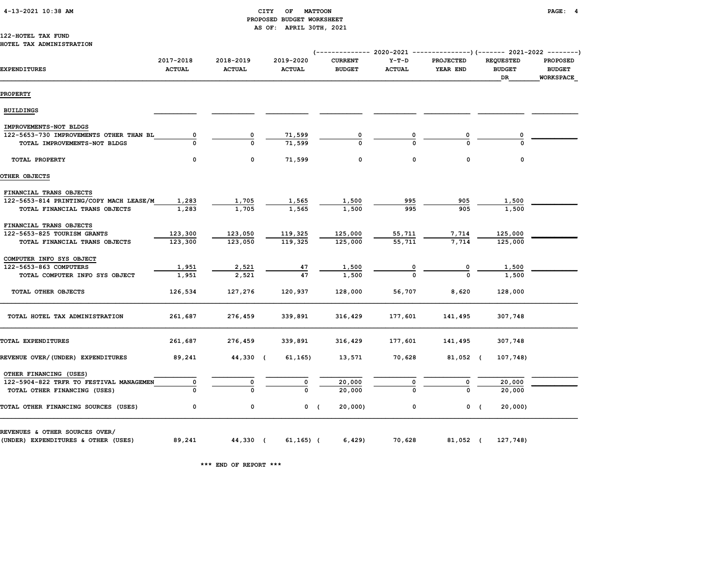### CITY OF MATTOON **PAGE:** 4 PROPOSED BUDGET WORKSHEET AS OF: APRIL 30TH, 2021

#### 122-HOTEL TAX FUND HOTEL TAX ADMINISTRATION

| EXPENDITURES                                           | 2017-2018<br><b>ACTUAL</b> | 2018-2019<br><b>ACTUAL</b> | 2019-2020<br><b>ACTUAL</b> | <b>CURRENT</b><br><b>BUDGET</b> | $Y-T-D$<br><b>ACTUAL</b> | <b>PROJECTED</b><br>YEAR END | <b>REQUESTED</b><br><b>BUDGET</b><br>DR | <b>PROPOSED</b><br><b>BUDGET</b><br>WORKSPACE |  |
|--------------------------------------------------------|----------------------------|----------------------------|----------------------------|---------------------------------|--------------------------|------------------------------|-----------------------------------------|-----------------------------------------------|--|
| <b>PROPERTY</b>                                        |                            |                            |                            |                                 |                          |                              |                                         |                                               |  |
| <b>BUILDINGS</b>                                       |                            |                            |                            |                                 |                          |                              |                                         |                                               |  |
| IMPROVEMENTS-NOT BLDGS                                 |                            |                            |                            |                                 |                          |                              |                                         |                                               |  |
| 122-5653-730 IMPROVEMENTS OTHER THAN BL                | 0                          | 0                          | 71,599                     |                                 |                          |                              |                                         |                                               |  |
| TOTAL IMPROVEMENTS-NOT BLDGS                           |                            |                            | 71,599                     |                                 |                          |                              |                                         |                                               |  |
| TOTAL PROPERTY                                         | 0                          | 0                          | 71,599                     | 0                               | 0                        | 0                            | 0                                       |                                               |  |
| OTHER OBJECTS                                          |                            |                            |                            |                                 |                          |                              |                                         |                                               |  |
| FINANCIAL TRANS OBJECTS                                |                            |                            |                            |                                 |                          |                              |                                         |                                               |  |
| 122-5653-814 PRINTING/COPY MACH LEASE/M                | 1,283                      | 1,705                      | 1,565                      | 1,500                           | 995                      | 905                          | 1,500                                   |                                               |  |
| TOTAL FINANCIAL TRANS OBJECTS                          | 1,283                      | 1,705                      | 1,565                      | 1,500                           | 995                      | 905                          | 1,500                                   |                                               |  |
|                                                        |                            |                            |                            |                                 |                          |                              |                                         |                                               |  |
| FINANCIAL TRANS OBJECTS<br>122-5653-825 TOURISM GRANTS | 123,300                    | 123,050                    | 119,325                    | 125,000                         | 55,711                   | 7,714                        | 125,000                                 |                                               |  |
| TOTAL FINANCIAL TRANS OBJECTS                          | 123,300                    | 123,050                    | 119,325                    | 125,000                         | 55,711                   | 7.714                        | 125,000                                 |                                               |  |
|                                                        |                            |                            |                            |                                 |                          |                              |                                         |                                               |  |
| COMPUTER INFO SYS OBJECT                               |                            |                            |                            |                                 |                          |                              |                                         |                                               |  |
| 122-5653-863 COMPUTERS                                 | 1,951                      | 2,521                      | 47                         | 1,500                           |                          |                              | 1,500                                   |                                               |  |
| TOTAL COMPUTER INFO SYS OBJECT                         | 1,951                      | 2,521                      | 47                         | 1,500                           |                          |                              | 1,500                                   |                                               |  |
| TOTAL OTHER OBJECTS                                    | 126,534                    | 127,276                    | 120,937                    | 128,000                         | 56,707                   | 8,620                        | 128,000                                 |                                               |  |
| TOTAL HOTEL TAX ADMINISTRATION                         | 261,687                    | 276,459                    | 339,891                    | 316,429                         | 177,601                  | 141,495                      | 307,748                                 |                                               |  |
| TOTAL EXPENDITURES                                     | 261,687                    | 276,459                    | 339,891                    | 316,429                         | 177,601                  | 141,495                      | 307,748                                 |                                               |  |
| REVENUE OVER/(UNDER) EXPENDITURES                      | 89,241                     | 44,330 (                   | 61, 165)                   | 13,571                          | 70,628                   | 81,052 (                     | 107,748)                                |                                               |  |
| OTHER FINANCING (USES)                                 |                            |                            |                            |                                 |                          |                              |                                         |                                               |  |
| 122-5904-822 TRFR TO FESTIVAL MANAGEMEN                |                            | 0                          |                            | 20,000                          |                          | 0                            | 20,000                                  |                                               |  |
| TOTAL OTHER FINANCING (USES)                           |                            |                            |                            | 20,000                          |                          |                              | 20,000                                  |                                               |  |
| TOTAL OTHER FINANCING SOURCES (USES)                   | 0                          | 0                          |                            | $0$ (<br>20,000)                | 0                        |                              | 0(<br>20,000)                           |                                               |  |
| REVENUES & OTHER SOURCES OVER/                         |                            |                            |                            |                                 |                          |                              |                                         |                                               |  |
| (UNDER) EXPENDITURES & OTHER (USES)                    | 89,241                     | 44,330 (                   | $61, 165)$ (               | 6,429                           | 70,628                   | 81,052 (                     | 127,748)                                |                                               |  |

\*\*\* END OF REPORT \*\*\*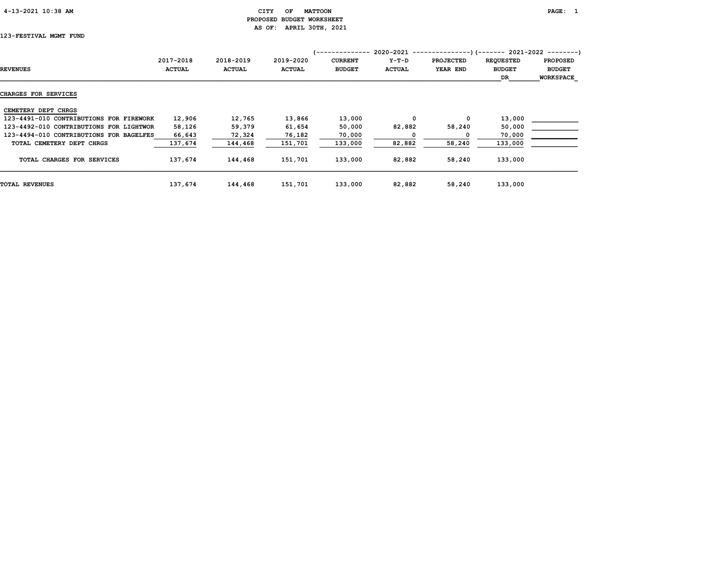# 4-13-2021 10:38 AM CITY OF MATTOON PAGE: 1 PROPOSED BUDGET WORKSHEET AS OF: APRIL 30TH, 2021

# 123-FESTIVAL MGMT FUND

|                                         |               |               |               | '-------------- |               | 2020-2021 ----------------) (------- 2021-2022 ---------) |                  |                  |
|-----------------------------------------|---------------|---------------|---------------|-----------------|---------------|-----------------------------------------------------------|------------------|------------------|
|                                         | 2017-2018     | 2018-2019     | 2019-2020     | <b>CURRENT</b>  | $Y-T-D$       | <b>PROJECTED</b>                                          | <b>REQUESTED</b> | <b>PROPOSED</b>  |
| <b>REVENUES</b>                         | <b>ACTUAL</b> | <b>ACTUAL</b> | <b>ACTUAL</b> | <b>BUDGET</b>   | <b>ACTUAL</b> | YEAR END                                                  | <b>BUDGET</b>    | <b>BUDGET</b>    |
|                                         |               |               |               |                 |               |                                                           | <b>DR</b>        | <b>WORKSPACE</b> |
| <b>CHARGES FOR SERVICES</b>             |               |               |               |                 |               |                                                           |                  |                  |
| CEMETERY DEPT CHRGS                     |               |               |               |                 |               |                                                           |                  |                  |
| 123-4491-010 CONTRIBUTIONS FOR FIREWORK | 12,906        | 12,765        | 13,866        | 13,000          | 0             | 0                                                         | 13,000           |                  |
| 123-4492-010 CONTRIBUTIONS FOR LIGHTWOR | 58,126        | 59,379        | 61,654        | 50,000          | 82,882        | 58,240                                                    | 50,000           |                  |
| 123-4494-010 CONTRIBUTIONS FOR BAGELFES | 66,643        | 72,324        | 76,182        | 70,000          |               |                                                           | 70,000           |                  |
| TOTAL CEMETERY DEPT CHRGS               | 137,674       | 144,468       | 151,701       | 133,000         | 82,882        | 58,240                                                    | 133,000          |                  |
| TOTAL CHARGES FOR SERVICES              | 137,674       | 144,468       | 151,701       | 133,000         | 82,882        | 58,240                                                    | 133,000          |                  |
| <b>TOTAL REVENUES</b>                   | 137,674       | 144,468       | 151,701       | 133,000         | 82,882        | 58,240                                                    | 133,000          |                  |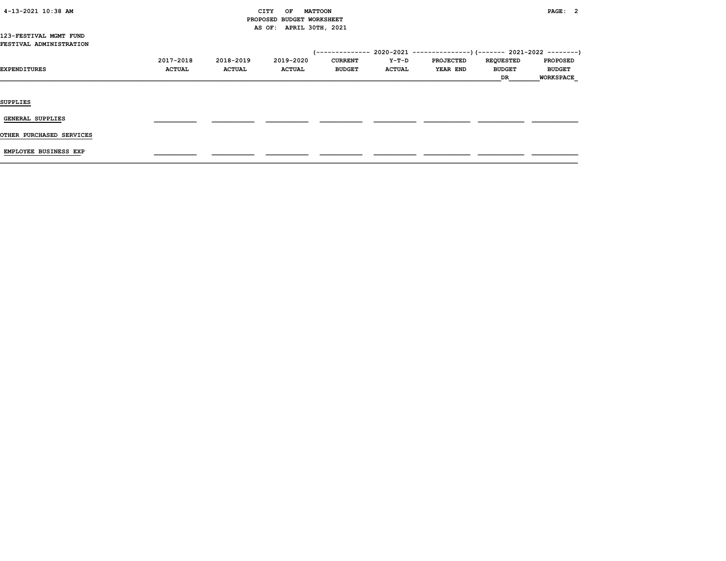| 4-13-2021 10:38 AM |  |  |
|--------------------|--|--|
|--------------------|--|--|

# CITY OF MATTOON **PAGE: 2**  PROPOSED BUDGET WORKSHEET AS OF: APRIL 30TH, 2021

#### 123-FESTIVAL MGMT FUND FESTIVAL ADMINISTRATION

| <b>EXPENDITURES</b>      | 2017-2018<br><b>ACTUAL</b> | 2018-2019<br><b>ACTUAL</b> | 2019-2020<br><b>ACTUAL</b> | 1 - - - - - - - - - - - - - -<br><b>CURRENT</b><br><b>BUDGET</b> | Y-T-D<br><b>ACTUAL</b> | 2020-2021 ----------------) (------- 2021-2022 ---------)<br><b>PROJECTED</b><br><b>YEAR END</b> | <b>REQUESTED</b><br><b>BUDGET</b><br>DR | <b>PROPOSED</b><br><b>BUDGET</b><br><b>WORKSPACE</b> |
|--------------------------|----------------------------|----------------------------|----------------------------|------------------------------------------------------------------|------------------------|--------------------------------------------------------------------------------------------------|-----------------------------------------|------------------------------------------------------|
| <b>SUPPLIES</b>          |                            |                            |                            |                                                                  |                        |                                                                                                  |                                         |                                                      |
| GENERAL SUPPLIES         |                            |                            |                            |                                                                  |                        |                                                                                                  |                                         |                                                      |
| OTHER PURCHASED SERVICES |                            |                            |                            |                                                                  |                        |                                                                                                  |                                         |                                                      |

EMPLOYEE BUSINESS EXP \_\_\_\_\_\_\_\_\_\_\_ \_\_\_\_\_\_\_\_\_\_\_ \_\_\_\_\_\_\_\_\_\_\_ \_\_\_\_\_\_\_\_\_\_\_ \_\_\_\_\_\_\_\_\_\_\_ \_\_\_\_\_\_\_\_\_\_\_\_ \_\_\_\_\_\_\_\_\_\_\_\_ \_\_\_\_\_\_\_\_\_\_\_\_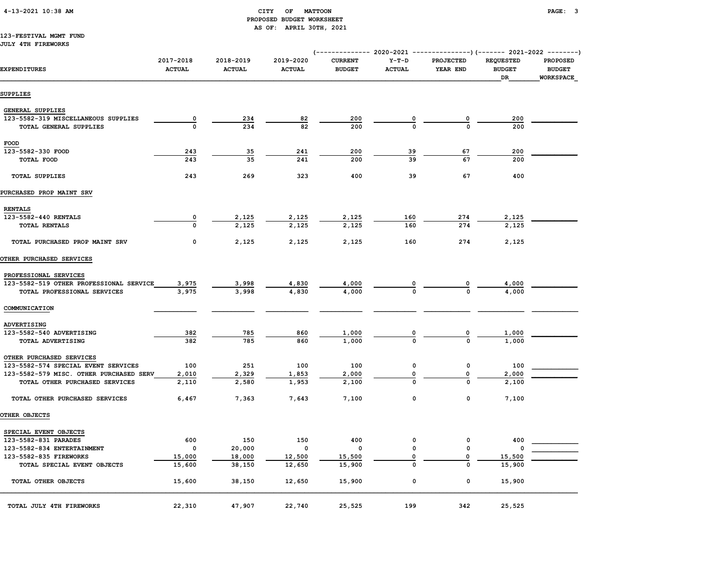# 4-13-2021 10:38 AM CITY OF MATTOON PAGE: 3 PROPOSED BUDGET WORKSHEET AS OF: APRIL 30TH, 2021

#### 123-FESTIVAL MGMT FUND JULY 4TH FIREWORKS

| <b>EXPENDITURES</b>                     | 2017-2018<br><b>ACTUAL</b> | 2018-2019<br><b>ACTUAL</b> | 2019-2020<br><b>ACTUAL</b> | <b>CURRENT</b><br><b>BUDGET</b> | $Y-T-D$<br><b>ACTUAL</b> | PROJECTED<br>YEAR END   | <b>REQUESTED</b><br><b>BUDGET</b><br>DR | PROPOSED<br><b>BUDGET</b><br>WORKSPACE |
|-----------------------------------------|----------------------------|----------------------------|----------------------------|---------------------------------|--------------------------|-------------------------|-----------------------------------------|----------------------------------------|
| SUPPLIES                                |                            |                            |                            |                                 |                          |                         |                                         |                                        |
| <b>GENERAL SUPPLIES</b>                 |                            |                            |                            |                                 |                          |                         |                                         |                                        |
| 123-5582-319 MISCELLANEOUS SUPPLIES     | $\overline{\mathbf{0}}$    | 234                        | 82                         | 200                             |                          | $\overline{\mathbf{0}}$ | 200                                     |                                        |
| TOTAL GENERAL SUPPLIES                  | $\mathbf{o}$               | 234                        | 82                         | 200                             | $\frac{0}{0}$            | $\mathbf{o}$            | 200                                     |                                        |
| FOOD                                    |                            |                            |                            |                                 |                          |                         |                                         |                                        |
| 123-5582-330 FOOD                       | 243                        | 35                         | 241                        | 200                             | 39                       | 67                      | 200                                     |                                        |
| TOTAL FOOD                              | 243                        | 35                         | 241                        | 200                             | 39                       | 67                      | 200                                     |                                        |
| TOTAL SUPPLIES                          | 243                        | 269                        | 323                        | 400                             | 39                       | 67                      | 400                                     |                                        |
| PURCHASED PROP MAINT SRV                |                            |                            |                            |                                 |                          |                         |                                         |                                        |
| <b>RENTALS</b>                          |                            |                            |                            |                                 |                          |                         |                                         |                                        |
| 123-5582-440 RENTALS                    | 0                          | 2,125                      | 2,125                      | 2,125                           | 160                      | 274                     | 2,125                                   |                                        |
| TOTAL RENTALS                           | $\mathbf{o}$               | 2,125                      | 2,125                      | 2,125                           | 160                      | 274                     | 2,125                                   |                                        |
| TOTAL PURCHASED PROP MAINT SRV          | 0                          | 2,125                      | 2,125                      | 2,125                           | 160                      | 274                     | 2,125                                   |                                        |
| OTHER PURCHASED SERVICES                |                            |                            |                            |                                 |                          |                         |                                         |                                        |
| PROFESSIONAL SERVICES                   |                            |                            |                            |                                 |                          |                         |                                         |                                        |
| 123-5582-519 OTHER PROFESSIONAL SERVICE | 3,975                      | 3,998                      | 4,830                      | 4,000                           |                          |                         | 4,000                                   |                                        |
| TOTAL PROFESSIONAL SERVICES             | 3,975                      | 3,998                      | 4,830                      | 4,000                           |                          |                         | 4,000                                   |                                        |
| COMMUNICATION                           |                            |                            |                            |                                 |                          |                         |                                         |                                        |
| <b>ADVERTISING</b>                      |                            |                            |                            |                                 |                          |                         |                                         |                                        |
| 123-5582-540 ADVERTISING                | 382                        | 785                        | 860                        | 1,000                           |                          | $\overline{\mathbf{0}}$ | 1,000                                   |                                        |
| TOTAL ADVERTISING                       | 382                        | 785                        | 860                        | 1,000                           | $\frac{0}{0}$            | $\mathbf{o}$            | 1,000                                   |                                        |
| OTHER PURCHASED SERVICES                |                            |                            |                            |                                 |                          |                         |                                         |                                        |
| 123-5582-574 SPECIAL EVENT SERVICES     | 100                        | 251                        | 100                        | 100                             | 0                        | 0                       | 100                                     |                                        |
| 123-5582-579 MISC. OTHER PURCHASED SERV | 2,010                      | 2,329                      | 1,853                      | 2,000                           | 0                        | 0                       | 2,000                                   |                                        |
| TOTAL OTHER PURCHASED SERVICES          | 2,110                      | 2,580                      | 1,953                      | 2,100                           | 0                        | 0                       | 2,100                                   |                                        |
| TOTAL OTHER PURCHASED SERVICES          | 6,467                      | 7,363                      | 7,643                      | 7,100                           | 0                        | 0                       | 7,100                                   |                                        |
| OTHER OBJECTS                           |                            |                            |                            |                                 |                          |                         |                                         |                                        |
| SPECIAL EVENT OBJECTS                   |                            |                            |                            |                                 |                          |                         |                                         |                                        |
| 123-5582-831 PARADES                    | 600                        | 150                        | 150                        | 400                             | 0                        | 0                       | 400                                     |                                        |
| 123-5582-834 ENTERTAINMENT              | $\mathbf 0$                | 20,000                     | $\mathbf 0$                | $\mathbf 0$                     | 0                        | 0                       |                                         |                                        |
| 123-5582-835 FIREWORKS                  | 15,000                     | 18,000                     | 12,500                     | 15,500                          | $\mathbf 0$              | 0                       | 15,500                                  |                                        |
| TOTAL SPECIAL EVENT OBJECTS             | 15,600                     | 38,150                     | 12,650                     | 15,900                          | 0                        | 0                       | 15,900                                  |                                        |
| TOTAL OTHER OBJECTS                     | 15,600                     | 38,150                     | 12,650                     | 15,900                          | 0                        | 0                       | 15,900                                  |                                        |
| TOTAL JULY 4TH FIREWORKS                | 22,310                     | 47,907                     | 22,740                     | 25,525                          | 199                      | 342                     | 25,525                                  |                                        |

(-------------- 2020-2021 ---------------)(------- 2021-2022 --------)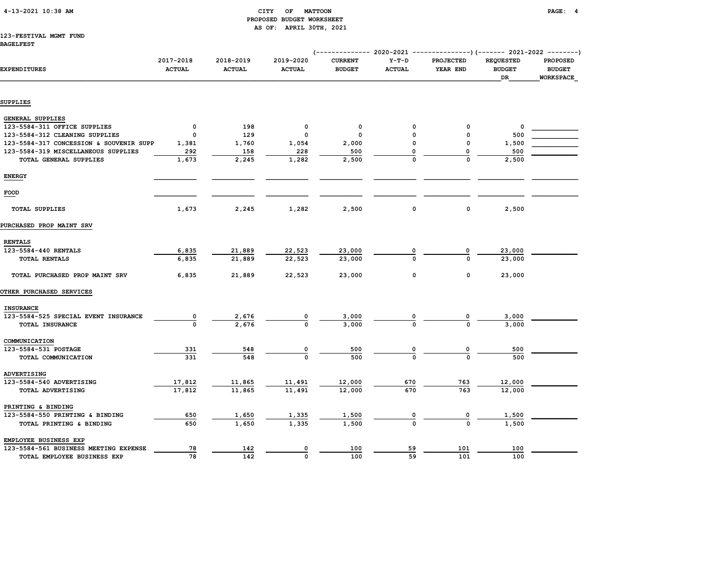| 4-13-2021 10:38 AM |  |
|--------------------|--|
|                    |  |

# CITY OF MATTOON **PAGE: 4**  PROPOSED BUDGET WORKSHEET AS OF: APRIL 30TH, 2021

#### 123-FESTIVAL MGMT FUND BAGELFEST

| <b>EXPENDITURES</b>                     | 2017-2018<br><b>ACTUAL</b> | 2018-2019<br><b>ACTUAL</b> | 2019-2020<br><b>ACTUAL</b> | <b>CURRENT</b><br><b>BUDGET</b> | $Y-T-D$<br><b>ACTUAL</b> | <b>PROJECTED</b><br>YEAR END | <b>REQUESTED</b><br><b>BUDGET</b><br>DR | <b>PROPOSED</b><br><b>BUDGET</b><br><b>WORKSPACE</b> |
|-----------------------------------------|----------------------------|----------------------------|----------------------------|---------------------------------|--------------------------|------------------------------|-----------------------------------------|------------------------------------------------------|
| SUPPLIES                                |                            |                            |                            |                                 |                          |                              |                                         |                                                      |
| GENERAL SUPPLIES                        |                            |                            |                            |                                 |                          |                              |                                         |                                                      |
| 123-5584-311 OFFICE SUPPLIES            | $\mathbf 0$                | 198                        | 0                          | 0                               | 0                        | 0                            | 0                                       |                                                      |
| 123-5584-312 CLEANING SUPPLIES          | $\Omega$                   | 129                        | 0                          | 0                               | $\Omega$                 | 0                            | 500                                     |                                                      |
| 123-5584-317 CONCESSION & SOUVENIR SUPP | 1,381                      | 1,760                      | 1,054                      | 2,000                           | 0                        | 0                            | 1,500                                   |                                                      |
| 123-5584-319 MISCELLANEOUS SUPPLIES     | 292                        | 158                        | 228                        | 500                             | 0                        | 0                            | 500                                     |                                                      |
| TOTAL GENERAL SUPPLIES                  | 1,673                      | 2,245                      | 1,282                      | 2,500                           | $\mathbf 0$              | 0                            | 2,500                                   |                                                      |
| <b>ENERGY</b>                           |                            |                            |                            |                                 |                          |                              |                                         |                                                      |
| FOOD                                    |                            |                            |                            |                                 |                          |                              |                                         |                                                      |
| <b>TOTAL SUPPLIES</b>                   | 1,673                      | 2,245                      | 1,282                      | 2,500                           | 0                        | 0                            | 2,500                                   |                                                      |
| PURCHASED PROP MAINT SRV                |                            |                            |                            |                                 |                          |                              |                                         |                                                      |
| <b>RENTALS</b>                          |                            |                            |                            |                                 |                          |                              |                                         |                                                      |
| 123-5584-440 RENTALS                    | 6,835                      | 21,889                     | 22,523                     | 23,000                          | $\mathbf 0$              | 0                            | 23,000                                  |                                                      |
| TOTAL RENTALS                           | 6,835                      | 21,889                     | 22,523                     | 23,000                          | $\Omega$                 | $\Omega$                     | 23,000                                  |                                                      |
| TOTAL PURCHASED PROP MAINT SRV          | 6,835                      | 21,889                     | 22,523                     | 23,000                          | 0                        | 0                            | 23,000                                  |                                                      |
| <b>OTHER PURCHASED SERVICES</b>         |                            |                            |                            |                                 |                          |                              |                                         |                                                      |
| <b>INSURANCE</b>                        |                            |                            |                            |                                 |                          |                              |                                         |                                                      |
| 123-5584-525 SPECIAL EVENT INSURANCE    | 0                          | 2,676                      |                            | 3,000                           |                          |                              | 3,000                                   |                                                      |
| TOTAL INSURANCE                         | $\pmb{0}$                  | 2,676                      | $\Omega$                   | 3,000                           |                          | 0                            | 3,000                                   |                                                      |
| COMMUNICATION                           |                            |                            |                            |                                 |                          |                              |                                         |                                                      |
| 123-5584-531 POSTAGE                    | 331                        | 548                        | 0                          | 500                             | 0                        | 0                            | 500                                     |                                                      |
| TOTAL COMMUNICATION                     | 331                        | 548                        | $\mathbf 0$                | 500                             | $\Omega$                 | 0                            | 500                                     |                                                      |
| ADVERTISING                             |                            |                            |                            |                                 |                          |                              |                                         |                                                      |
| 123-5584-540 ADVERTISING                | 17,812                     | 11,865                     | 11,491                     | 12,000                          | 670                      | 763                          | 12,000                                  |                                                      |
| TOTAL ADVERTISING                       | 17,812                     | 11,865                     | 11,491                     | 12,000                          | 670                      | 763                          | 12,000                                  |                                                      |
| PRINTING & BINDING                      |                            |                            |                            |                                 |                          |                              |                                         |                                                      |
| 123-5584-550 PRINTING & BINDING         | 650                        | 1,650                      | 1,335                      | 1,500                           | 0                        | 0                            | 1,500                                   |                                                      |
| TOTAL PRINTING & BINDING                | 650                        | 1,650                      | 1,335                      | 1,500                           | $\mathbf 0$              | 0                            | 1,500                                   |                                                      |
| EMPLOYEE BUSINESS EXP                   |                            |                            |                            |                                 |                          |                              |                                         |                                                      |
| 123-5584-561 BUSINESS MEETING EXPENSE   | 78                         | 142                        | 0                          | 100                             | 59                       | 101                          | 100                                     |                                                      |
| TOTAL EMPLOYEE BUSINESS EXP             | 78                         | 142                        | $\mathbf 0$                | 100                             | 59                       | 101                          | 100                                     |                                                      |

(-------------- 2020-2021 ---------------)(------- 2021-2022 --------)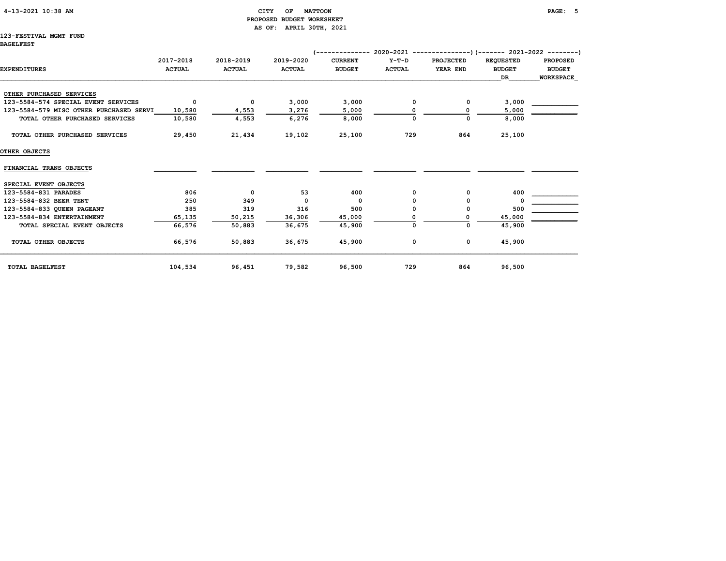# 4-13-2021 10:38 AM CITY OF MATTOON PAGE: 5 PROPOSED BUDGET WORKSHEET AS OF: APRIL 30TH, 2021

#### 123-FESTIVAL MGMT FUND BAGELFEST

|                                         |               |               | $2020-2021$ ----------------) (------- 2021-2022 ---------)<br>1 - - - - - - - - - - - - - - |                |               |                  |                  |                  |  |  |
|-----------------------------------------|---------------|---------------|----------------------------------------------------------------------------------------------|----------------|---------------|------------------|------------------|------------------|--|--|
|                                         | 2017-2018     | 2018-2019     | 2019-2020                                                                                    | <b>CURRENT</b> | $Y-T-D$       | <b>PROJECTED</b> | <b>REQUESTED</b> | <b>PROPOSED</b>  |  |  |
| <b>EXPENDITURES</b>                     | <b>ACTUAL</b> | <b>ACTUAL</b> | <b>ACTUAL</b>                                                                                | <b>BUDGET</b>  | <b>ACTUAL</b> | YEAR END         | <b>BUDGET</b>    | <b>BUDGET</b>    |  |  |
|                                         |               |               |                                                                                              |                |               |                  | DR               | <b>WORKSPACE</b> |  |  |
| OTHER PURCHASED SERVICES                |               |               |                                                                                              |                |               |                  |                  |                  |  |  |
| 123-5584-574 SPECIAL EVENT SERVICES     | $\mathbf 0$   | $\mathbf 0$   | 3,000                                                                                        | 3,000          | 0             | 0                | 3,000            |                  |  |  |
| 123-5584-579 MISC OTHER PURCHASED SERVI | 10,580        | 4,553         | 3,276                                                                                        | 5,000          |               | O                | 5,000            |                  |  |  |
| TOTAL OTHER PURCHASED SERVICES          | 10,580        | 4,553         | 6,276                                                                                        | 8,000          | $\Omega$      | 0                | 8,000            |                  |  |  |
| TOTAL OTHER PURCHASED SERVICES          | 29,450        | 21,434        | 19,102                                                                                       | 25,100         | 729           | 864              | 25,100           |                  |  |  |
| OTHER OBJECTS                           |               |               |                                                                                              |                |               |                  |                  |                  |  |  |
| FINANCIAL TRANS OBJECTS                 |               |               |                                                                                              |                |               |                  |                  |                  |  |  |
| SPECIAL EVENT OBJECTS                   |               |               |                                                                                              |                |               |                  |                  |                  |  |  |
| 123-5584-831 PARADES                    | 806           | 0             | 53                                                                                           | 400            | 0             | 0                | 400              |                  |  |  |
| 123-5584-832 BEER TENT                  | 250           | 349           | $\Omega$                                                                                     | $\Omega$       |               | 0                |                  |                  |  |  |
| 123-5584-833 QUEEN PAGEANT              | 385           | 319           | 316                                                                                          | 500            |               | 0                | 500              |                  |  |  |
| 123-5584-834 ENTERTAINMENT              | 65,135        | 50,215        | 36,306                                                                                       | 45,000         |               |                  | 45,000           |                  |  |  |
| TOTAL SPECIAL EVENT OBJECTS             | 66,576        | 50,883        | 36,675                                                                                       | 45,900         | 0             | 0                | 45,900           |                  |  |  |
| TOTAL OTHER OBJECTS                     | 66,576        | 50,883        | 36,675                                                                                       | 45,900         | 0             | 0                | 45,900           |                  |  |  |
| TOTAL BAGELFEST                         | 104,534       | 96,451        | 79,582                                                                                       | 96,500         | 729           | 864              | 96,500           |                  |  |  |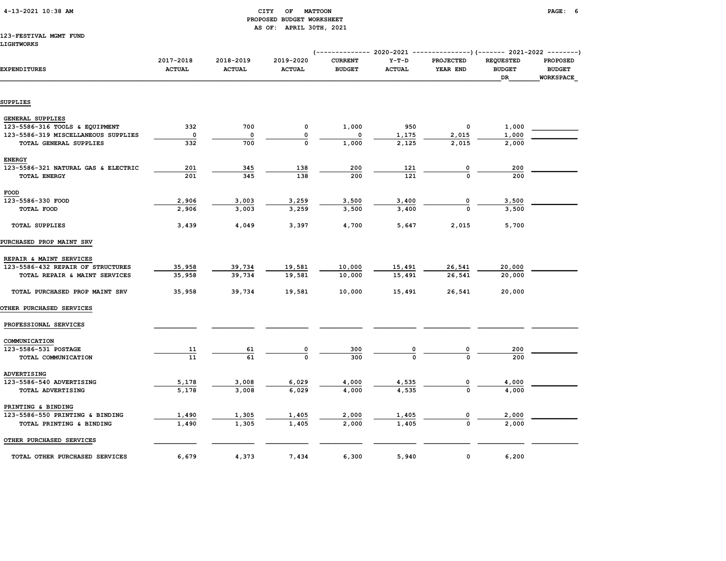### CITY OF MATTOON **PAGE: 6**  PROPOSED BUDGET WORKSHEET AS OF: APRIL 30TH, 2021

# 123-FESTIVAL MGMT FUND

| <b>EXPENDITURES</b>                 | 2017-2018<br><b>ACTUAL</b> | 2018-2019<br><b>ACTUAL</b> | 2019-2020<br><b>ACTUAL</b> | <b>CURRENT</b><br><b>BUDGET</b> | $Y-T-D$<br><b>ACTUAL</b> | PROJECTED<br>YEAR END | <b>REQUESTED</b><br><b>BUDGET</b><br>DR | <b>PROPOSED</b><br><b>BUDGET</b><br><b>WORKSPACE</b> |
|-------------------------------------|----------------------------|----------------------------|----------------------------|---------------------------------|--------------------------|-----------------------|-----------------------------------------|------------------------------------------------------|
| SUPPLIES                            |                            |                            |                            |                                 |                          |                       |                                         |                                                      |
|                                     |                            |                            |                            |                                 |                          |                       |                                         |                                                      |
| <b>GENERAL SUPPLIES</b>             |                            |                            |                            |                                 |                          |                       |                                         |                                                      |
| 123-5586-316 TOOLS & EQUIPMENT      | 332                        | 700                        | 0                          | 1,000                           | 950                      | 0                     | 1,000                                   |                                                      |
| 123-5586-319 MISCELLANEOUS SUPPLIES | $\mathbf 0$                | 0                          | 0                          | 0                               | 1,175                    | 2,015                 | 1,000                                   |                                                      |
| TOTAL GENERAL SUPPLIES              | 332                        | 700                        | $\Omega$                   | 1,000                           | 2,125                    | 2,015                 | 2,000                                   |                                                      |
| <b>ENERGY</b>                       |                            |                            |                            |                                 |                          |                       |                                         |                                                      |
| 123-5586-321 NATURAL GAS & ELECTRIC | 201                        | 345                        | 138                        | 200                             | 121                      | 0                     | 200                                     |                                                      |
| <b>TOTAL ENERGY</b>                 | 201                        | 345                        | 138                        | 200                             | 121                      |                       | 200                                     |                                                      |
| FOOD                                |                            |                            |                            |                                 |                          |                       |                                         |                                                      |
| 123-5586-330 FOOD                   | 2,906                      | 3,003                      | 3,259                      | 3,500                           | 3,400                    | 0                     | 3,500                                   |                                                      |
| TOTAL FOOD                          | 2,906                      | 3,003                      | 3,259                      | 3,500                           | 3,400                    |                       | 3,500                                   |                                                      |
|                                     |                            |                            |                            |                                 |                          |                       |                                         |                                                      |
| TOTAL SUPPLIES                      | 3,439                      | 4,049                      | 3,397                      | 4,700                           | 5,647                    | 2,015                 | 5,700                                   |                                                      |
| <b>PURCHASED PROP MAINT SRV</b>     |                            |                            |                            |                                 |                          |                       |                                         |                                                      |
| REPAIR & MAINT SERVICES             |                            |                            |                            |                                 |                          |                       |                                         |                                                      |
| 123-5586-432 REPAIR OF STRUCTURES   | 35,958                     | 39,734                     | 19,581                     | 10,000                          | 15,491                   | 26,541                | 20,000                                  |                                                      |
| TOTAL REPAIR & MAINT SERVICES       | 35,958                     | 39,734                     | 19,581                     | 10,000                          | 15,491                   | 26,541                | 20,000                                  |                                                      |
| TOTAL PURCHASED PROP MAINT SRV      | 35,958                     | 39,734                     | 19,581                     | 10,000                          | 15,491                   | 26,541                | 20,000                                  |                                                      |
| <b>OTHER PURCHASED SERVICES</b>     |                            |                            |                            |                                 |                          |                       |                                         |                                                      |
| PROFESSIONAL SERVICES               |                            |                            |                            |                                 |                          |                       |                                         |                                                      |
| COMMUNICATION                       |                            |                            |                            |                                 |                          |                       |                                         |                                                      |
| 123-5586-531 POSTAGE                | 11                         | 61                         | 0                          | 300                             |                          | 0                     | 200                                     |                                                      |
| TOTAL COMMUNICATION                 | 11                         | 61                         | $\Omega$                   | 300                             | O                        | $\Omega$              | 200                                     |                                                      |
| ADVERTISING                         |                            |                            |                            |                                 |                          |                       |                                         |                                                      |
| 123-5586-540 ADVERTISING            | 5,178                      | 3,008                      | 6,029                      | 4,000                           | 4,535                    |                       | 4,000                                   |                                                      |
| TOTAL ADVERTISING                   | 5,178                      | 3,008                      | 6,029                      | 4,000                           | 4,535                    | $\Omega$              | 4,000                                   |                                                      |
| PRINTING & BINDING                  |                            |                            |                            |                                 |                          |                       |                                         |                                                      |
| 123-5586-550 PRINTING & BINDING     | 1,490                      | 1,305                      | 1,405                      | 2,000                           | 1,405                    |                       | 2,000                                   |                                                      |
| TOTAL PRINTING & BINDING            | 1,490                      | 1,305                      | 1,405                      | 2,000                           | 1,405                    | $\mathbf 0$           | 2,000                                   |                                                      |
|                                     |                            |                            |                            |                                 |                          |                       |                                         |                                                      |
| OTHER PURCHASED SERVICES            |                            |                            |                            |                                 |                          |                       |                                         |                                                      |
| TOTAL OTHER PURCHASED SERVICES      | 6,679                      | 4,373                      | 7,434                      | 6,300                           | 5,940                    | $\mathbf 0$           | 6,200                                   |                                                      |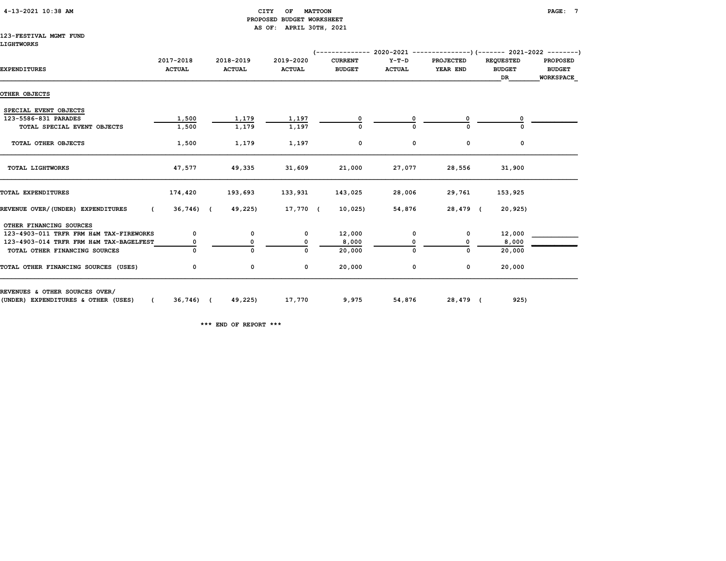# 4-13-2021 10:38 AM CITY OF MATTOON PAGE: 7 PROPOSED BUDGET WORKSHEET AS OF: APRIL 30TH, 2021

#### 123-FESTIVAL MGMT FUND LIGHTWORKS

| <b>EXPENDITURES</b>                             | 2017-2018<br><b>ACTUAL</b> | 2018-2019<br><b>ACTUAL</b> |              | 2019-2020<br><b>ACTUAL</b> | <b>CURRENT</b><br><b>BUDGET</b> | $Y-T-D$<br><b>ACTUAL</b> |        | <b>PROJECTED</b><br>YEAR END | <b>REQUESTED</b><br><b>BUDGET</b><br>DR |         | <b>PROPOSED</b><br><b>BUDGET</b><br><b>WORKSPACE</b> |
|-------------------------------------------------|----------------------------|----------------------------|--------------|----------------------------|---------------------------------|--------------------------|--------|------------------------------|-----------------------------------------|---------|------------------------------------------------------|
| OTHER OBJECTS                                   |                            |                            |              |                            |                                 |                          |        |                              |                                         |         |                                                      |
| SPECIAL EVENT OBJECTS                           |                            |                            |              |                            |                                 |                          |        |                              |                                         |         |                                                      |
| 123-5586-831 PARADES                            | 1,500                      |                            | 1,179        | 1,197                      |                                 |                          |        |                              |                                         |         |                                                      |
| TOTAL SPECIAL EVENT OBJECTS                     | 1,500                      |                            | 1,179        | 1,197                      | $\Omega$                        |                          |        | $\Omega$                     |                                         |         |                                                      |
| TOTAL OTHER OBJECTS                             | 1,500                      |                            | 1,179        | 1,197                      | 0                               |                          | 0      | 0                            |                                         | 0       |                                                      |
| TOTAL LIGHTWORKS                                | 47,577                     |                            | 49,335       | 31,609                     | 21,000                          | 27,077                   |        | 28,556                       | 31,900                                  |         |                                                      |
| TOTAL EXPENDITURES                              | 174,420                    |                            | 193,693      | 133,931                    | 143,025                         | 28,006                   |        | 29,761                       | 153,925                                 |         |                                                      |
| REVENUE OVER/(UNDER) EXPENDITURES<br>$\epsilon$ | 36,746) (                  |                            | 49,225)      | 17,770 (                   | 10,025)                         | 54,876                   |        | 28,479 (                     |                                         | 20,925) |                                                      |
| OTHER FINANCING SOURCES                         |                            |                            |              |                            |                                 |                          |        |                              |                                         |         |                                                      |
| 123-4903-011 TRFR FRM H&M TAX-FIREWORKS         | 0                          |                            | 0            | $^{\circ}$                 | 12,000                          |                          | 0      | 0                            | 12,000                                  |         |                                                      |
| 123-4903-014 TRFR FRM H&M TAX-BAGELFEST         |                            |                            | 0            | 0                          | 8,000                           |                          |        |                              |                                         | 8,000   |                                                      |
| TOTAL OTHER FINANCING SOURCES                   |                            |                            | $\mathbf{0}$ | 0                          | 20,000                          |                          |        | 0                            |                                         | 20,000  |                                                      |
| TOTAL OTHER FINANCING SOURCES (USES)            | 0                          |                            | 0            | 0                          | 20,000                          |                          | 0      | 0                            | 20,000                                  |         |                                                      |
| REVENUES & OTHER SOURCES OVER/                  |                            |                            |              |                            |                                 |                          |        |                              |                                         |         |                                                      |
| (UNDER) EXPENDITURES & OTHER (USES)             | 36,746) (                  |                            | 49,225)      | 17,770                     | 9,975                           |                          | 54,876 | 28,479 (                     |                                         | 925)    |                                                      |

\*\*\* END OF REPORT \*\*\*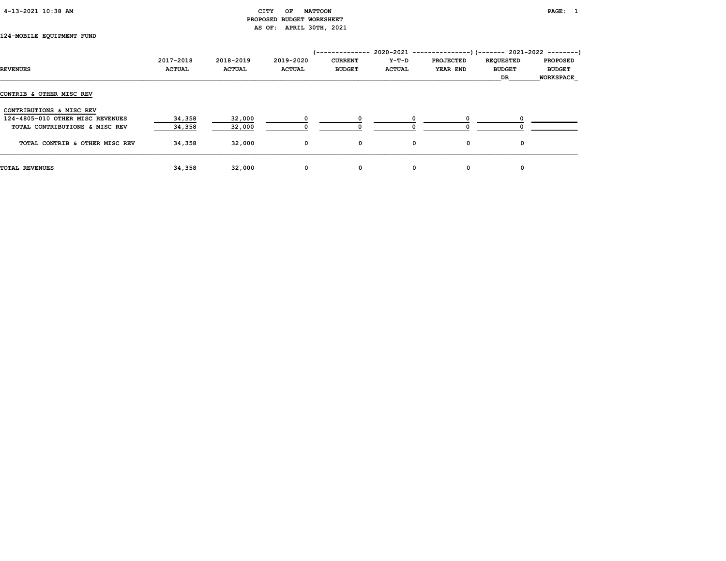# CITY OF MATTOON **PAGE:** 1 PROPOSED BUDGET WORKSHEET AS OF: APRIL 30TH, 2021

# 124-MOBILE EQUIPMENT FUND

|                                  |               |               |               | '-------------- |               | $2020-2021$ ----------------)(------- 2021-2022 --------) |                  |                  |
|----------------------------------|---------------|---------------|---------------|-----------------|---------------|-----------------------------------------------------------|------------------|------------------|
|                                  | 2017-2018     | 2018-2019     | 2019-2020     | <b>CURRENT</b>  | Y-T-D         | <b>PROJECTED</b>                                          | <b>REQUESTED</b> | <b>PROPOSED</b>  |
| <b>REVENUES</b>                  | <b>ACTUAL</b> | <b>ACTUAL</b> | <b>ACTUAL</b> | <b>BUDGET</b>   | <b>ACTUAL</b> | <b>YEAR END</b>                                           | <b>BUDGET</b>    | <b>BUDGET</b>    |
|                                  |               |               |               |                 |               |                                                           | DR               | <b>WORKSPACE</b> |
| CONTRIB & OTHER MISC REV         |               |               |               |                 |               |                                                           |                  |                  |
| CONTRIBUTIONS & MISC REV         |               |               |               |                 |               |                                                           |                  |                  |
| 124-4805-010 OTHER MISC REVENUES | 34,358        | 32,000        |               |                 |               |                                                           |                  |                  |
| TOTAL CONTRIBUTIONS & MISC REV   | 34,358        | 32,000        |               |                 |               |                                                           |                  |                  |
| TOTAL CONTRIB & OTHER MISC REV   | 34,358        | 32,000        | $\mathbf{o}$  | 0               | 0             | 0                                                         | 0                |                  |
| <b>TOTAL REVENUES</b>            | 34,358        | 32,000        | 0             | 0               | 0             | 0                                                         | 0                |                  |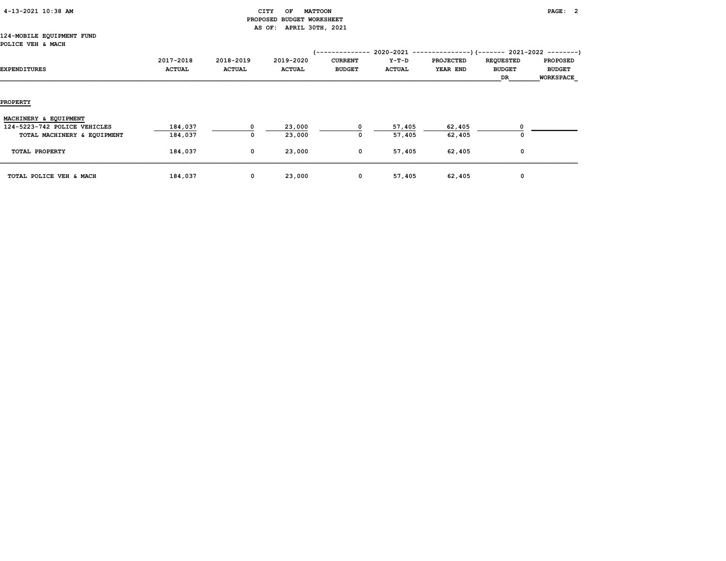# CITY OF MATTOON **PAGE: 2**  PROPOSED BUDGET WORKSHEET AS OF: APRIL 30TH, 2021

#### 124-MOBILE EQUIPMENT FUND POLICE VEH & MACH

| EXPENDITURES                 | 2017-2018<br><b>ACTUAL</b> | 2018-2019<br><b>ACTUAL</b> | 2019-2020<br><b>ACTUAL</b> | <b>CURRENT</b><br><b>BUDGET</b> | Y-T-D<br><b>ACTUAL</b> | <b>PROJECTED</b><br><b>YEAR END</b> | <b>REQUESTED</b><br><b>BUDGET</b><br>DR | <b>PROPOSED</b><br><b>BUDGET</b><br>WORKSPACE |
|------------------------------|----------------------------|----------------------------|----------------------------|---------------------------------|------------------------|-------------------------------------|-----------------------------------------|-----------------------------------------------|
| <b>PROPERTY</b>              |                            |                            |                            |                                 |                        |                                     |                                         |                                               |
| MACHINERY & EQUIPMENT        |                            |                            |                            |                                 |                        |                                     |                                         |                                               |
| 124-5223-742 POLICE VEHICLES | 184,037                    | $\Omega$                   | 23,000                     |                                 | 57,405                 | 62,405                              |                                         |                                               |
| TOTAL MACHINERY & EQUIPMENT  | 184,037                    | 0                          | 23,000                     | 0                               | 57,405                 | 62,405                              | $\Omega$                                |                                               |
| TOTAL PROPERTY               | 184,037                    | $\mathbf 0$                | 23,000                     | 0                               | 57,405                 | 62,405                              | 0                                       |                                               |
| TOTAL POLICE VEH & MACH      | 184,037                    | 0                          | 23,000                     | 0                               | 57,405                 | 62,405                              | 0                                       |                                               |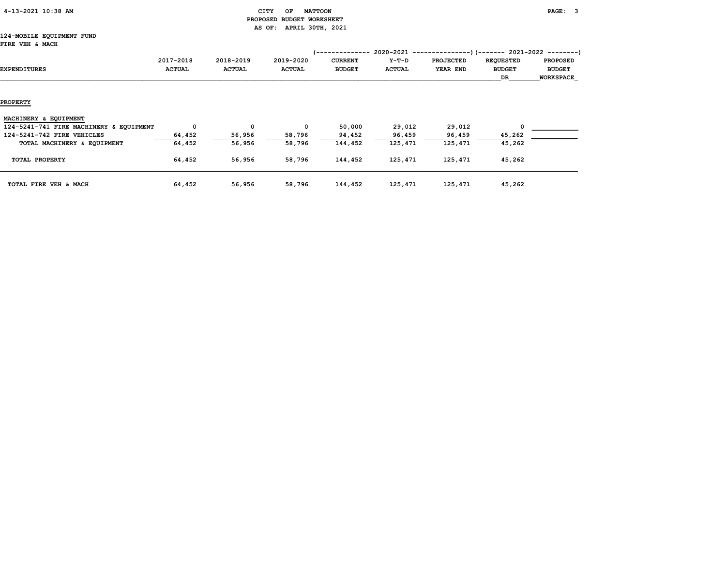|  | 4-13-2021 10:38 AM |  |  |
|--|--------------------|--|--|
|--|--------------------|--|--|

# $\text{CHY}$  OF MATTOON **PAGE:** 3 PROPOSED BUDGET WORKSHEET AS OF: APRIL 30TH, 2021

#### 124-MOBILE EQUIPMENT FUND FIRE VEH & MACH

| <b>FIRE VEH &amp; MACH</b>              |                            |                            |                            | (--------------                 |                        |                              | 2020-2021 ----------------) (------- 2021-2022 ---------) |                                                      |
|-----------------------------------------|----------------------------|----------------------------|----------------------------|---------------------------------|------------------------|------------------------------|-----------------------------------------------------------|------------------------------------------------------|
| <b>EXPENDITURES</b>                     | 2017-2018<br><b>ACTUAL</b> | 2018-2019<br><b>ACTUAL</b> | 2019-2020<br><b>ACTUAL</b> | <b>CURRENT</b><br><b>BUDGET</b> | Y-T-D<br><b>ACTUAL</b> | <b>PROJECTED</b><br>YEAR END | <b>REQUESTED</b><br><b>BUDGET</b><br>DR                   | <b>PROPOSED</b><br><b>BUDGET</b><br><b>WORKSPACE</b> |
| <b>PROPERTY</b>                         |                            |                            |                            |                                 |                        |                              |                                                           |                                                      |
| MACHINERY & EQUIPMENT                   |                            |                            |                            |                                 |                        |                              |                                                           |                                                      |
| 124-5241-741 FIRE MACHINERY & EQUIPMENT | $^{\circ}$                 | 0                          | $\Omega$                   | 50,000                          | 29,012                 | 29,012                       | $\Omega$                                                  |                                                      |
| 124-5241-742 FIRE VEHICLES              | 64,452                     | 56,956                     | 58,796                     | 94,452                          | 96,459                 | 96,459                       | 45,262                                                    |                                                      |
| TOTAL MACHINERY & EQUIPMENT             | 64,452                     | 56,956                     | 58,796                     | 144,452                         | 125,471                | 125,471                      | 45,262                                                    |                                                      |
| TOTAL PROPERTY                          | 64,452                     | 56,956                     | 58,796                     | 144,452                         | 125,471                | 125,471                      | 45,262                                                    |                                                      |
| TOTAL FIRE VEH & MACH                   | 64,452                     | 56,956                     | 58,796                     | 144,452                         | 125,471                | 125,471                      | 45,262                                                    |                                                      |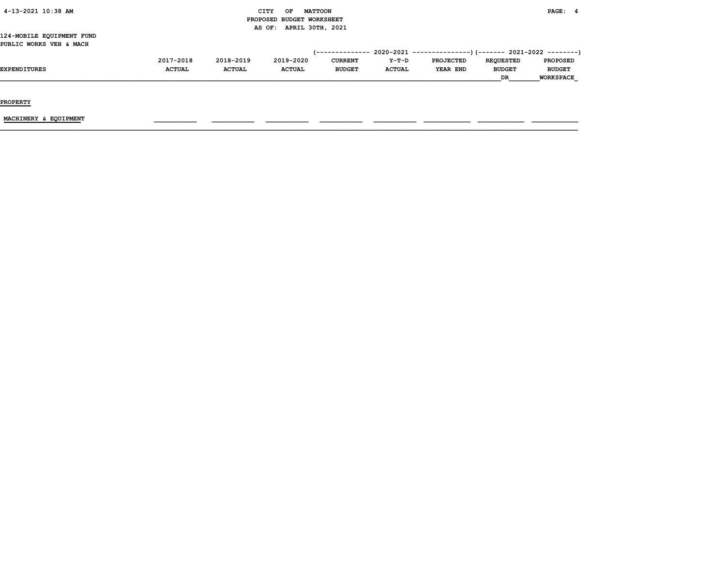# CITY OF MATTOON **PAGE: 4**  PROPOSED BUDGET WORKSHEET AS OF: APRIL 30TH, 2021

#### 124-MOBILE EQUIPMENT FUND PUBLIC WORKS VEH & MACH

|                     | 2017-2018     | 2018-2019     | 2019-2020     | <b>CURRENT</b> | $Y-T-D$       | PROJECTED | <b>REOUESTED</b> | <b>PROPOSED</b>  |
|---------------------|---------------|---------------|---------------|----------------|---------------|-----------|------------------|------------------|
| <b>EXPENDITURES</b> | <b>ACTUAL</b> | <b>ACTUAL</b> | <b>ACTUAL</b> | <b>BUDGET</b>  | <b>ACTUAL</b> | YEAR END  | <b>BUDGET</b>    | <b>BUDGET</b>    |
|                     |               |               |               |                |               |           | <b>DR</b>        | <b>WORKSPACE</b> |

PROPERTY

MACHINERY & EQUIPMENT \_\_\_\_\_\_\_\_\_\_\_ \_\_\_\_\_\_\_\_\_\_\_ \_\_\_\_\_\_\_\_\_\_\_ \_\_\_\_\_\_\_\_\_\_\_ \_\_\_\_\_\_\_\_\_\_\_ \_\_\_\_\_\_\_\_\_\_\_\_ \_\_\_\_\_\_\_\_\_\_\_\_ \_\_\_\_\_\_\_\_\_\_\_\_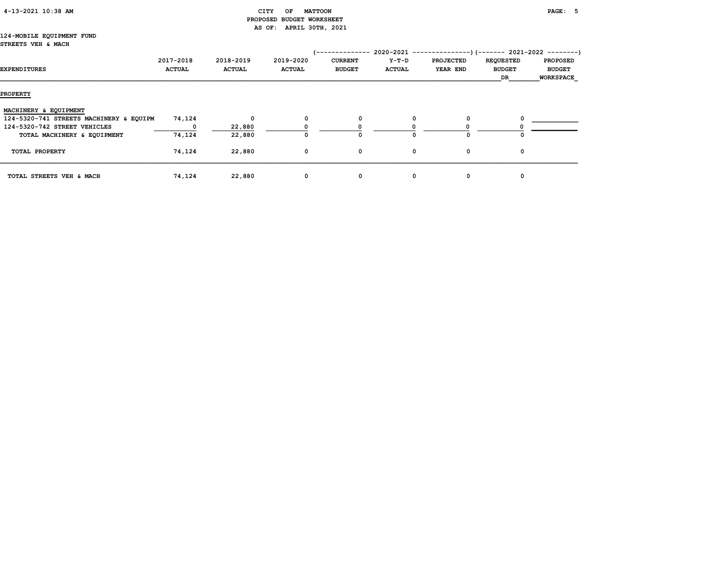| 4-13-2021 10:38 AM |
|--------------------|
|--------------------|

# CITY OF MATTOON **PAGE:** 5 PROPOSED BUDGET WORKSHEET AS OF: APRIL 30TH, 2021

#### 124-MOBILE EQUIPMENT FUND STREETS VEH & MACH

| EXPENDITURES                            | 2017-2018<br><b>ACTUAL</b> | 2018-2019<br><b>ACTUAL</b> | 2019-2020<br><b>ACTUAL</b> | -----------<br><b>CURRENT</b><br><b>BUDGET</b> | $2020 - 2021$ -------------<br>Y-T-D<br><b>ACTUAL</b> | <b>PROJECTED</b><br>YEAR END | <b>REQUESTED</b><br><b>BUDGET</b><br>DR | --)(------- 2021-2022 --------)<br><b>PROPOSED</b><br><b>BUDGET</b><br><b>WORKSPACE</b> |
|-----------------------------------------|----------------------------|----------------------------|----------------------------|------------------------------------------------|-------------------------------------------------------|------------------------------|-----------------------------------------|-----------------------------------------------------------------------------------------|
| <b>PROPERTY</b>                         |                            |                            |                            |                                                |                                                       |                              |                                         |                                                                                         |
| MACHINERY & EQUIPMENT                   |                            |                            |                            |                                                |                                                       |                              |                                         |                                                                                         |
| 124-5320-741 STREETS MACHINERY & EQUIPM | 74,124                     | $\mathbf{0}$               | 0                          | 0                                              |                                                       | 0                            |                                         |                                                                                         |
| 124-5320-742 STREET VEHICLES            |                            | 22,880                     |                            |                                                |                                                       |                              |                                         |                                                                                         |
| TOTAL MACHINERY & EQUIPMENT             | 74,124                     | 22,880                     |                            | 0                                              |                                                       | $\Omega$                     |                                         |                                                                                         |
| TOTAL PROPERTY                          | 74,124                     | 22,880                     | 0                          | 0                                              | 0                                                     | 0                            | 0                                       |                                                                                         |
| TOTAL STREETS VEH & MACH                | 74,124                     | 22,880                     | $\mathbf{o}$               | 0                                              | 0                                                     | 0                            | 0                                       |                                                                                         |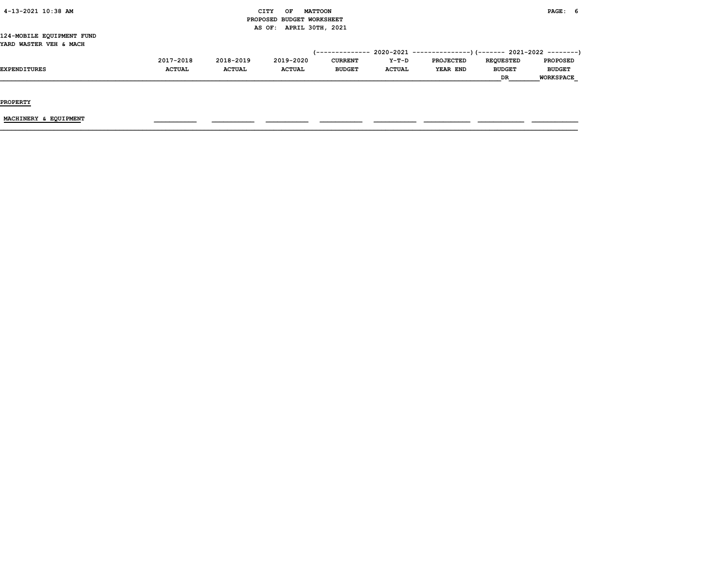# $CITY$  OF MATTOON PAGE: 6 PROPOSED BUDGET WORKSHEET AS OF: APRIL 30TH, 2021

#### 124-MOBILE EQUIPMENT FUND YARD WASTER VEH & MACH

|                     | 2017-2018     | 2018-2019     | 2019-2020     | <b>CURRENT</b> | $Y-T-D$       | <b>PROJECTED</b> | <b>REOUESTED</b> | <b>PROPOSED</b>  |
|---------------------|---------------|---------------|---------------|----------------|---------------|------------------|------------------|------------------|
| <b>EXPENDITURES</b> | <b>ACTUAL</b> | <b>ACTUAL</b> | <b>ACTUAL</b> | <b>BUDGET</b>  | <b>ACTUAL</b> | YEAR END         | <b>BUDGET</b>    | <b>BUDGET</b>    |
|                     |               |               |               |                |               |                  | DR               | <b>WORKSPACE</b> |

PROPERTY

 $\underline{\text{MACHINERY}} \text{ & EQUIPMENT} \qquad \qquad \text{---} \qquad \text{---} \qquad \text{---} \qquad \text{---} \qquad \text{---} \qquad \text{---} \qquad \text{---} \qquad \text{---} \qquad \text{---} \qquad \text{---} \qquad \text{---} \qquad \text{---} \qquad \text{---} \qquad \text{---} \qquad \text{---} \qquad \text{---} \qquad \text{---} \qquad \text{---} \qquad \text{---} \qquad \text{---} \qquad \text{---} \qquad \text{---} \qquad \text{---} \qquad \text{---}$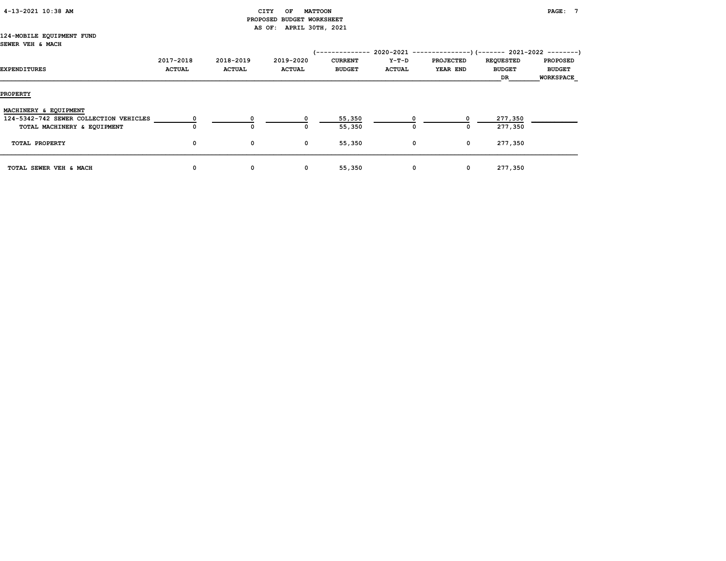# $\begin{array}{ccc} \texttt{CITY} & \texttt{OF} & \texttt{MATTOON} \end{array}$  PROPOSED BUDGET WORKSHEET AS OF: APRIL 30TH, 2021

#### 124-MOBILE EQUIPMENT FUND SEWER VEH & MACH

| EXPENDITURES                                                          | 2017-2018<br><b>ACTUAL</b> | 2018-2019<br><b>ACTUAL</b> | 2019-2020<br><b>ACTUAL</b> | ------------<br><b>CURRENT</b><br><b>BUDGET</b> | Y-T-D<br><b>ACTUAL</b> | $2020-2021$ ----------------)(------- 2021-2022 --------)<br><b>PROJECTED</b><br>YEAR END | <b>REQUESTED</b><br><b>BUDGET</b><br>DR | <b>PROPOSED</b><br><b>BUDGET</b><br><b>WORKSPACE</b> |
|-----------------------------------------------------------------------|----------------------------|----------------------------|----------------------------|-------------------------------------------------|------------------------|-------------------------------------------------------------------------------------------|-----------------------------------------|------------------------------------------------------|
| <b>PROPERTY</b>                                                       |                            |                            |                            |                                                 |                        |                                                                                           |                                         |                                                      |
| MACHINERY & EQUIPMENT                                                 |                            |                            |                            |                                                 |                        |                                                                                           |                                         |                                                      |
| 124-5342-742 SEWER COLLECTION VEHICLES<br>TOTAL MACHINERY & EQUIPMENT | 0                          | 0                          |                            | 55,350<br>55,350                                | 0                      | 0                                                                                         | 277,350<br>277,350                      |                                                      |
| TOTAL PROPERTY                                                        | 0                          | 0                          | 0                          | 55,350                                          | $\mathbf 0$            | $\mathbf 0$                                                                               | 277,350                                 |                                                      |
| TOTAL SEWER VEH & MACH                                                | 0                          | 0                          | 0                          | 55,350                                          | $\mathbf 0$            | $\mathbf 0$                                                                               | 277,350                                 |                                                      |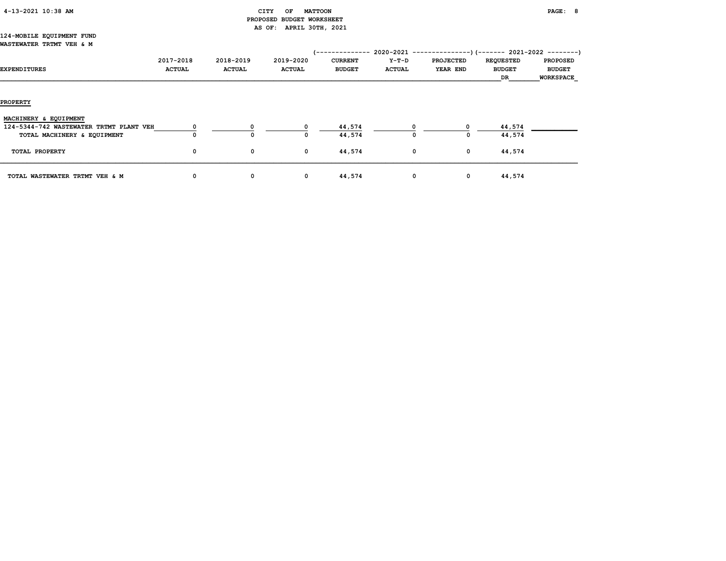# $\begin{array}{ccc} \texttt{CITY} & \texttt{OF} & \texttt{MATTOON} \end{array}$  PROPOSED BUDGET WORKSHEET AS OF: APRIL 30TH, 2021

#### 124-MOBILE EQUIPMENT FUND WASTEWATER TRTMT VEH & M

| EXPENDITURES                            | 2017-2018<br><b>ACTUAL</b> | 2018-2019<br><b>ACTUAL</b> | 2019-2020<br><b>ACTUAL</b> | (--------------<br><b>CURRENT</b><br><b>BUDGET</b> | Y-T-D<br><b>ACTUAL</b> | 2020-2021 ----------------) (------- 2021-2022 ---------)<br><b>PROJECTED</b><br>YEAR END | <b>REQUESTED</b><br><b>BUDGET</b><br>DR | <b>PROPOSED</b><br><b>BUDGET</b><br><b>WORKSPACE</b> |
|-----------------------------------------|----------------------------|----------------------------|----------------------------|----------------------------------------------------|------------------------|-------------------------------------------------------------------------------------------|-----------------------------------------|------------------------------------------------------|
| <b>PROPERTY</b>                         |                            |                            |                            |                                                    |                        |                                                                                           |                                         |                                                      |
| MACHINERY & EQUIPMENT                   |                            |                            |                            |                                                    |                        |                                                                                           |                                         |                                                      |
| 124-5344-742 WASTEWATER TRTMT PLANT VEH |                            |                            |                            | 44,574                                             |                        |                                                                                           | 44,574                                  |                                                      |
| TOTAL MACHINERY & EQUIPMENT             |                            | $\mathbf{o}$               | 0                          | 44,574                                             |                        | 0                                                                                         | 44,574                                  |                                                      |
| TOTAL PROPERTY                          | 0                          | 0                          | $\mathbf 0$                | 44,574                                             |                        | 0<br>$\mathbf{0}$                                                                         | 44,574                                  |                                                      |
| TOTAL WASTEWATER TRTMT VEH & M          | 0                          | 0                          | 0                          | 44,574                                             |                        | 0<br>$\mathbf 0$                                                                          | 44,574                                  |                                                      |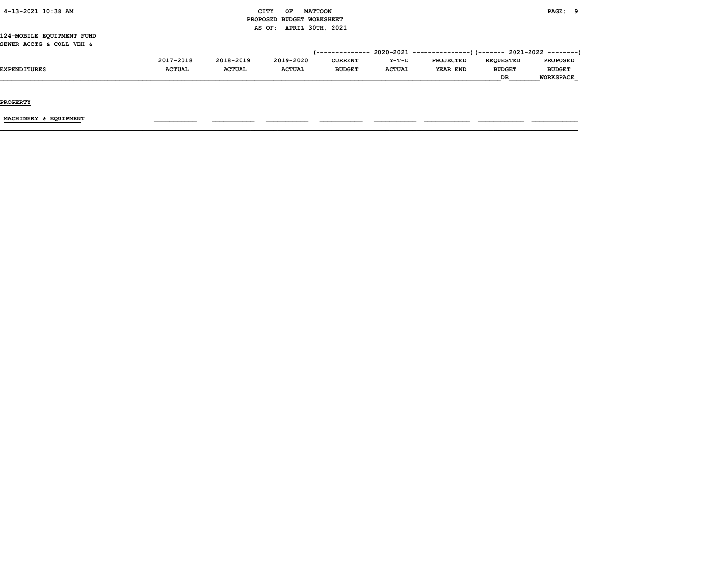# $\begin{array}{cccccccccc} \text{CITY} & \text{OF} & \text{MATTOON} & & & & \end{array}$  PROPOSED BUDGET WORKSHEET AS OF: APRIL 30TH, 2021

124-MOBILE EQUIPMENT FUND SEWER ACCTG & COLL VEH &

|                     | 2017-2018     | 2018-2019     | 2019-2020     | <b>CURRENT</b> | $Y-T-D$       | <b>PROJECTED</b> | <b>REQUESTED</b> | <b>PROPOSED</b>  |
|---------------------|---------------|---------------|---------------|----------------|---------------|------------------|------------------|------------------|
| <b>EXPENDITURES</b> | <b>ACTUAL</b> | <b>ACTUAL</b> | <b>ACTUAL</b> | <b>BUDGET</b>  | <b>ACTUAI</b> | YEAR END         | <b>BUDGET</b>    | <b>BUDGET</b>    |
|                     |               |               |               |                |               |                  | <b>DR</b>        | <b>WORKSPACE</b> |

PROPERTY

 $\underline{\text{MACHINERY}} \text{ & EQUIPMENT} \qquad \qquad \text{---} \qquad \text{---} \qquad \text{---} \qquad \text{---} \qquad \text{---} \qquad \text{---} \qquad \text{---} \qquad \text{---} \qquad \text{---} \qquad \text{---} \qquad \text{---} \qquad \text{---} \qquad \text{---} \qquad \text{---} \qquad \text{---} \qquad \text{---} \qquad \text{---} \qquad \text{---} \qquad \text{---} \qquad \text{---} \qquad \text{---} \qquad \text{---} \qquad \text{---} \qquad \text{---}$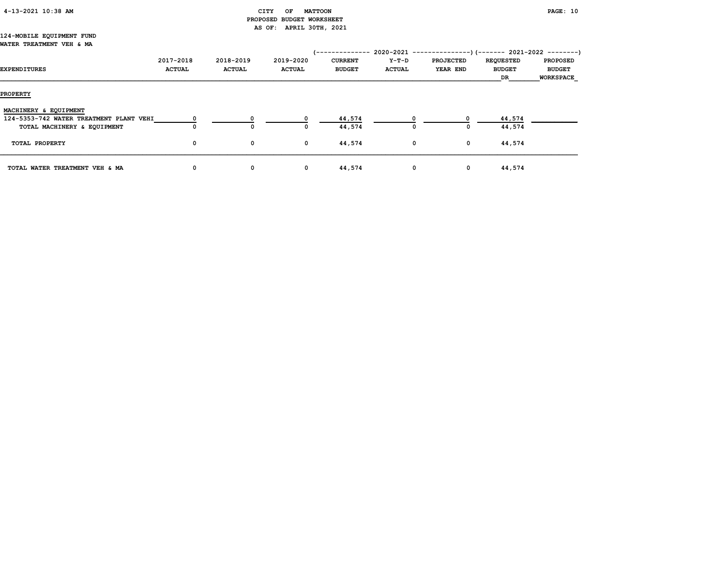# CITY OF MATTOON **PAGE:** 10 PROPOSED BUDGET WORKSHEET AS OF: APRIL 30TH, 2021

#### 124-MOBILE EQUIPMENT FUND WATER TREATMENT VEH & MA

|                                         |               |               |               | /-------------- |               | $2020-2021$ ----------------)(------- 2021-2022 --------) |                  |                  |
|-----------------------------------------|---------------|---------------|---------------|-----------------|---------------|-----------------------------------------------------------|------------------|------------------|
|                                         | 2017-2018     | 2018-2019     | 2019-2020     | <b>CURRENT</b>  | Y-T-D         | <b>PROJECTED</b>                                          | <b>REQUESTED</b> | <b>PROPOSED</b>  |
| <b>EXPENDITURES</b>                     | <b>ACTUAL</b> | <b>ACTUAL</b> | <b>ACTUAL</b> | <b>BUDGET</b>   | <b>ACTUAL</b> | <b>YEAR END</b>                                           | <b>BUDGET</b>    | <b>BUDGET</b>    |
|                                         |               |               |               |                 |               |                                                           | DR               | <b>WORKSPACE</b> |
|                                         |               |               |               |                 |               |                                                           |                  |                  |
| <b>PROPERTY</b>                         |               |               |               |                 |               |                                                           |                  |                  |
| MACHINERY & EQUIPMENT                   |               |               |               |                 |               |                                                           |                  |                  |
| 124-5353-742 WATER TREATMENT PLANT VEHI |               |               |               | 44,574          |               |                                                           | 44,574           |                  |
| TOTAL MACHINERY & EQUIPMENT             | 0             | 0             | O             | 44,574          | $^{\circ}$    | $\Omega$                                                  | 44,574           |                  |
|                                         |               |               |               |                 |               |                                                           |                  |                  |
| TOTAL PROPERTY                          | $\mathbf{o}$  | $\mathbf{o}$  | $\mathbf 0$   | 44,574          | $^{\circ}$    | $\mathbf 0$                                               | 44,574           |                  |
|                                         |               |               |               |                 |               |                                                           |                  |                  |
| TOTAL WATER TREATMENT VEH & MA          | 0             | 0             | 0             | 44,574          | $\mathbf{o}$  | $\mathbf{o}$                                              | 44,574           |                  |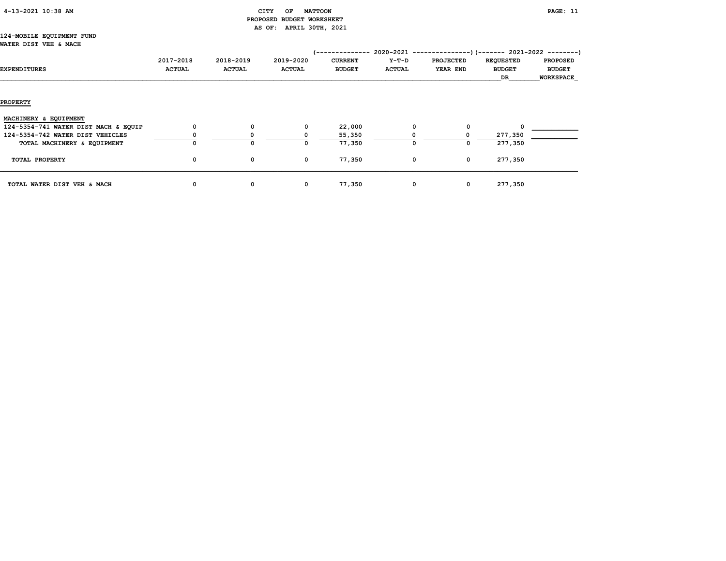| 4-13-2021 10:38 AM |  |  |
|--------------------|--|--|
|--------------------|--|--|

# CITY OF MATTOON **PAGE:** 11 PROPOSED BUDGET WORKSHEET AS OF: APRIL 30TH, 2021

#### 124-MOBILE EQUIPMENT FUND WATER DIST VEH & MACH

| EXPENDITURES                         | 2017-2018<br><b>ACTUAL</b> | 2018-2019<br><b>ACTUAL</b> | 2019-2020<br><b>ACTUAL</b> | <b>CURRENT</b><br><b>BUDGET</b> | 2020-2021<br>Y-T-D<br><b>ACTUAL</b> | ------------<br><b>PROJECTED</b><br>YEAR END | --)(------- 2021-2022 --------)<br><b>REQUESTED</b><br><b>BUDGET</b><br>DR | <b>PROPOSED</b><br><b>BUDGET</b><br><b>WORKSPACE</b> |
|--------------------------------------|----------------------------|----------------------------|----------------------------|---------------------------------|-------------------------------------|----------------------------------------------|----------------------------------------------------------------------------|------------------------------------------------------|
| <b>PROPERTY</b>                      |                            |                            |                            |                                 |                                     |                                              |                                                                            |                                                      |
| MACHINERY & EQUIPMENT                |                            |                            |                            |                                 |                                     |                                              |                                                                            |                                                      |
| 124-5354-741 WATER DIST MACH & EQUIP | $^{\circ}$                 | $\Omega$                   | 0                          | 22,000                          | $\Omega$                            | 0                                            |                                                                            |                                                      |
| 124-5354-742 WATER DIST VEHICLES     |                            |                            |                            | 55,350                          |                                     |                                              | 277,350                                                                    |                                                      |
| TOTAL MACHINERY & EQUIPMENT          | 0                          | 0                          | 0                          | 77,350                          |                                     | 0                                            | 277,350                                                                    |                                                      |
| TOTAL PROPERTY                       | $\mathbf{o}$               | 0                          | 0                          | 77,350                          | $\mathbf{o}$                        | $\mathbf 0$                                  | 277,350                                                                    |                                                      |
| TOTAL WATER DIST VEH & MACH          | 0                          | 0                          | 0                          | 77,350                          | 0                                   | $\mathbf 0$                                  | 277,350                                                                    |                                                      |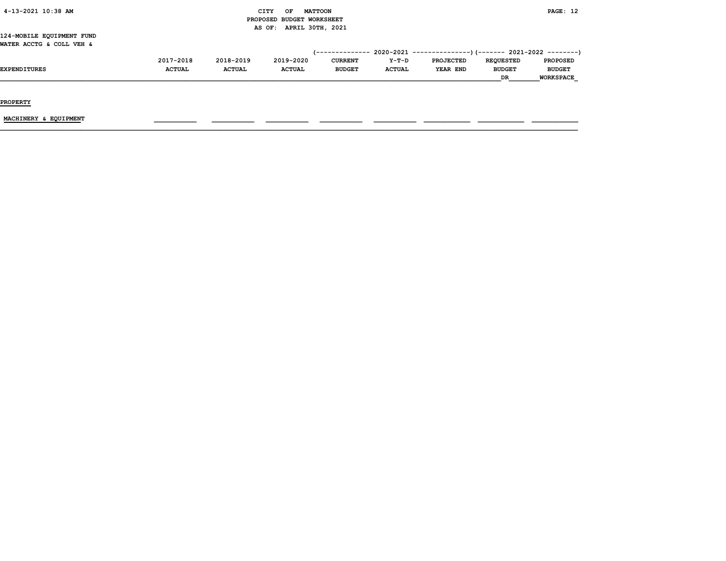# CITY OF MATTOON **EXAMPLE 2008** AND THE MATTOON **PAGE:** 12 PROPOSED BUDGET WORKSHEET AS OF: APRIL 30TH, 2021

124-MOBILE EQUIPMENT FUND WATER ACCTG & COLL VEH &

|                     | 2017-2018     | 2018-2019     | 2019-2020     | <b>CURRENT</b> | $Y-T-D$       | <b>PROJECTED</b> | <b>REQUESTED</b> | <b>PROPOSED</b>  |
|---------------------|---------------|---------------|---------------|----------------|---------------|------------------|------------------|------------------|
| <b>EXPENDITURES</b> | <b>ACTUAL</b> | <b>ACTUAL</b> | <b>ACTUAL</b> | <b>BUDGET</b>  | <b>ACTUAL</b> | YEAR END         | <b>BUDGET</b>    | <b>BUDGET</b>    |
|                     |               |               |               |                |               |                  | <b>DR</b>        | <b>WORKSPACE</b> |

PROPERTY

MACHINERY & EQUIPMENT \_\_\_\_\_\_\_\_\_\_\_ \_\_\_\_\_\_\_\_\_\_\_ \_\_\_\_\_\_\_\_\_\_\_ \_\_\_\_\_\_\_\_\_\_\_ \_\_\_\_\_\_\_\_\_\_\_ \_\_\_\_\_\_\_\_\_\_\_\_ \_\_\_\_\_\_\_\_\_\_\_\_ \_\_\_\_\_\_\_\_\_\_\_\_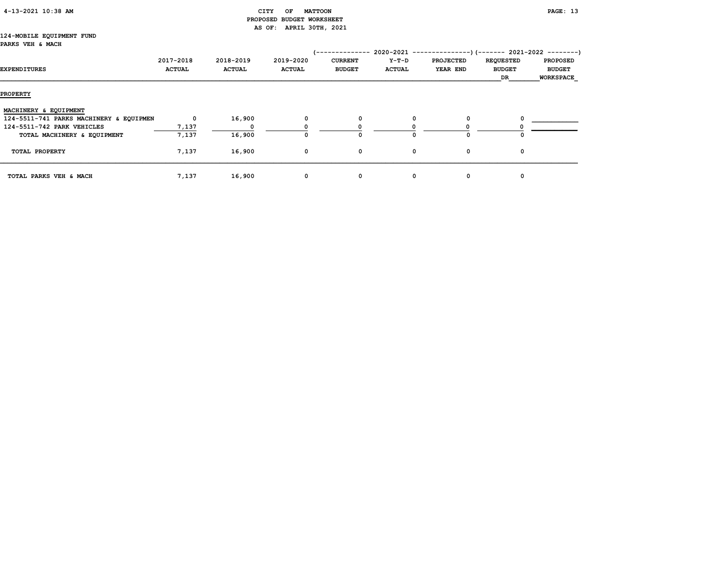| 4-13-2021 10:38 AM |
|--------------------|
|--------------------|

# CITY OF MATTOON **PAGE:** 13 PROPOSED BUDGET WORKSHEET AS OF: APRIL 30TH, 2021

#### 124-MOBILE EQUIPMENT FUND PARKS VEH & MACH

| EXPENDITURES                            | 2017-2018<br><b>ACTUAL</b> | 2018-2019<br><b>ACTUAL</b> | 2019-2020<br><b>ACTUAL</b> | ---------<br><b>CURRENT</b><br><b>BUDGET</b> | $2020 - 2021$ -------------<br>Y-T-D<br><b>ACTUAL</b> | <b>PROJECTED</b><br>YEAR END | <b>REQUESTED</b><br><b>BUDGET</b><br>DR | $---)$ (------- 2021-2022 --------)<br><b>PROPOSED</b><br><b>BUDGET</b><br><b>WORKSPACE</b> |
|-----------------------------------------|----------------------------|----------------------------|----------------------------|----------------------------------------------|-------------------------------------------------------|------------------------------|-----------------------------------------|---------------------------------------------------------------------------------------------|
| <b>PROPERTY</b>                         |                            |                            |                            |                                              |                                                       |                              |                                         |                                                                                             |
| MACHINERY & EQUIPMENT                   |                            |                            |                            |                                              |                                                       |                              |                                         |                                                                                             |
| 124-5511-741 PARKS MACHINERY & EQUIPMEN | $\mathbf 0$                | 16,900                     | 0                          | 0                                            | 0                                                     | 0                            |                                         |                                                                                             |
| 124-5511-742 PARK VEHICLES              | 7,137                      |                            |                            |                                              |                                                       |                              |                                         |                                                                                             |
| TOTAL MACHINERY & EQUIPMENT             | 7,137                      | 16,900                     |                            | 0                                            |                                                       | ი                            |                                         |                                                                                             |
| TOTAL PROPERTY                          | 7,137                      | 16,900                     | 0                          | 0                                            | 0                                                     | 0                            | 0                                       |                                                                                             |
| TOTAL PARKS VEH & MACH                  | 7,137                      | 16,900                     | $\mathbf{o}$               | $\mathbf{o}$                                 | 0                                                     | 0                            | 0                                       |                                                                                             |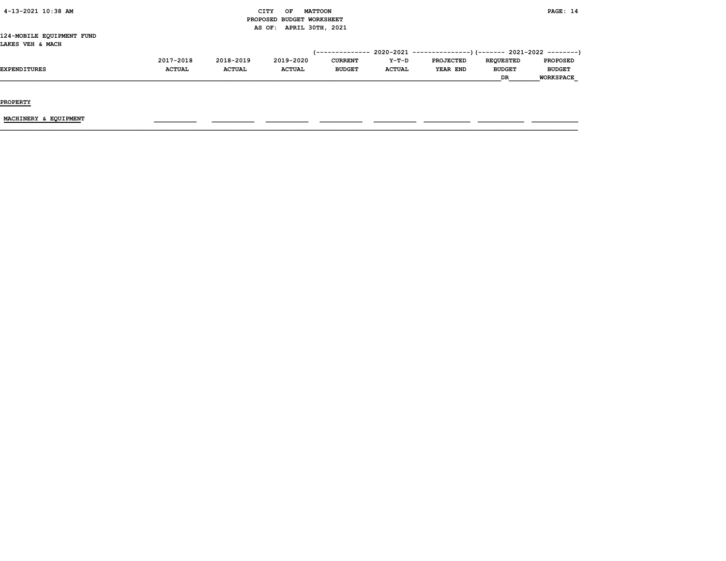|  | 4-13-2021 10:38 AM |  |  |
|--|--------------------|--|--|
|--|--------------------|--|--|

# CITY OF MATTOON **PAGE:** 14 PROPOSED BUDGET WORKSHEET AS OF: APRIL 30TH, 2021

124-MOBILE EQUIPMENT FUND LAKES VEH & MACH

|                     | 2017-2018     | 2018-2019     | 2019-2020     | <b>CURRENT</b> | $Y-T-D$       | <b>PROJECTED</b> | <b>REOUESTED</b> | <b>PROPOSED</b>  |
|---------------------|---------------|---------------|---------------|----------------|---------------|------------------|------------------|------------------|
| <b>EXPENDITURES</b> | <b>ACTUAL</b> | <b>ACTUAL</b> | <b>ACTUAL</b> | <b>BUDGET</b>  | <b>ACTUAL</b> | YEAR END         | <b>BUDGET</b>    | <b>BUDGET</b>    |
|                     |               |               |               |                |               |                  | <b>DR</b>        | <b>WORKSPACE</b> |

PROPERTY

 $\underline{\text{MACHINERY}} \text{ & EQUIPMENT} \qquad \qquad \text{---} \qquad \text{---} \qquad \text{---} \qquad \text{---} \qquad \text{---} \qquad \text{---} \qquad \text{---} \qquad \text{---} \qquad \text{---} \qquad \text{---} \qquad \text{---} \qquad \text{---} \qquad \text{---} \qquad \text{---} \qquad \text{---} \qquad \text{---} \qquad \text{---} \qquad \text{---} \qquad \text{---} \qquad \text{---} \qquad \text{---} \qquad \text{---} \qquad \text{---} \qquad \text{---}$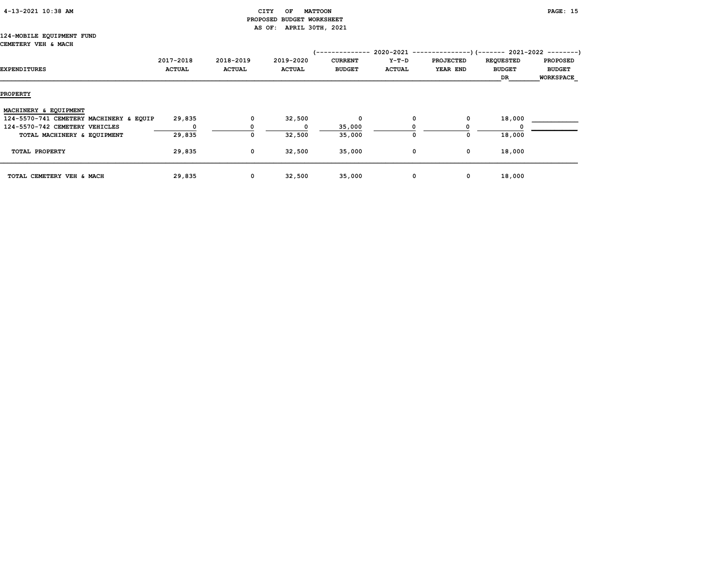# 4-13-2021 10:38 AM CITY OF MATTOON PAGE: 15 PROPOSED BUDGET WORKSHEET AS OF: APRIL 30TH, 2021

#### 124-MOBILE EQUIPMENT FUND CEMETERY VEH & MACH

| EXPENDITURES                            | 2017-2018<br><b>ACTUAL</b> | 2018-2019<br><b>ACTUAL</b> | 2019-2020<br><b>ACTUAL</b> | --------------<br><b>CURRENT</b><br><b>BUDGET</b> | 2020-2021 -------------<br>Y-T-D<br><b>ACTUAL</b> | <b>PROJECTED</b><br>YEAR END | --)(------- 2021-2022 --------)<br><b>REQUESTED</b><br><b>BUDGET</b><br>DR | <b>PROPOSED</b><br><b>BUDGET</b><br><b>WORKSPACE</b> |
|-----------------------------------------|----------------------------|----------------------------|----------------------------|---------------------------------------------------|---------------------------------------------------|------------------------------|----------------------------------------------------------------------------|------------------------------------------------------|
| <b>PROPERTY</b>                         |                            |                            |                            |                                                   |                                                   |                              |                                                                            |                                                      |
| MACHINERY & EQUIPMENT                   |                            |                            |                            |                                                   |                                                   |                              |                                                                            |                                                      |
| 124-5570-741 CEMETERY MACHINERY & EQUIP | 29,835                     | $\mathbf 0$                | 32,500                     | 0                                                 | 0                                                 | 0                            | 18,000                                                                     |                                                      |
| 124-5570-742 CEMETERY VEHICLES          | $^{\circ}$                 |                            |                            | 35,000                                            |                                                   |                              |                                                                            |                                                      |
| TOTAL MACHINERY & EQUIPMENT             | 29,835                     | 0                          | 32,500                     | 35,000                                            |                                                   | 0                            | 18,000                                                                     |                                                      |
| TOTAL PROPERTY                          | 29,835                     | $\mathbf 0$                | 32,500                     | 35,000                                            | 0                                                 | 0                            | 18,000                                                                     |                                                      |
| TOTAL CEMETERY VEH & MACH               | 29,835                     | $\mathbf 0$                | 32,500                     | 35,000                                            | 0                                                 | 0                            | 18,000                                                                     |                                                      |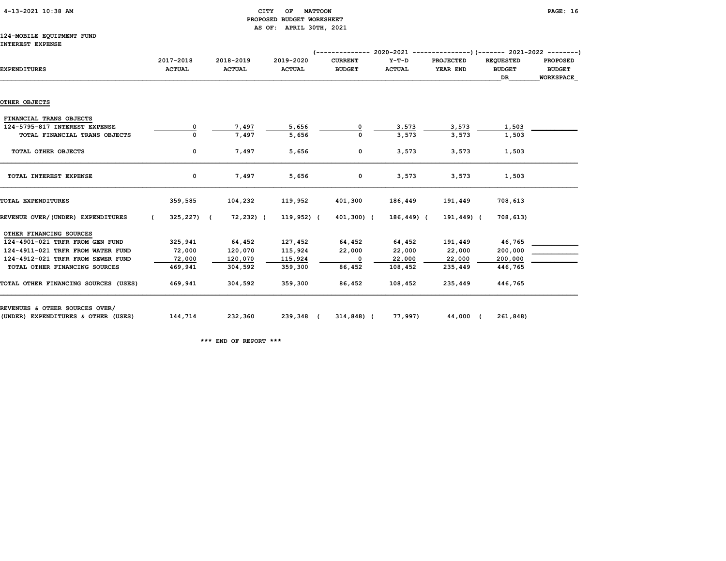| 4-13-2021 10:38 AM |  |  |
|--------------------|--|--|
|--------------------|--|--|

# CITY OF MATTOON **PAGE:** 16 PROPOSED BUDGET WORKSHEET AS OF: APRIL 30TH, 2021

#### 124-MOBILE EQUIPMENT FUND INTEREST EXPENSE

| <b>EXPENDITURES</b>                  | 2017-2018<br><b>ACTUAL</b>   | 2018-2019<br><b>ACTUAL</b> | 2019-2020<br><b>ACTUAL</b> | <b>CURRENT</b><br><b>BUDGET</b> | $Y-T-D$<br><b>ACTUAL</b> | <b>PROJECTED</b><br>YEAR END | <b>REQUESTED</b><br><b>BUDGET</b><br>DR | <b>PROPOSED</b><br><b>BUDGET</b><br><b>WORKSPACE</b> |
|--------------------------------------|------------------------------|----------------------------|----------------------------|---------------------------------|--------------------------|------------------------------|-----------------------------------------|------------------------------------------------------|
|                                      |                              |                            |                            |                                 |                          |                              |                                         |                                                      |
| OTHER OBJECTS                        |                              |                            |                            |                                 |                          |                              |                                         |                                                      |
| FINANCIAL TRANS OBJECTS              |                              |                            |                            |                                 |                          |                              |                                         |                                                      |
| 124-5795-817 INTEREST EXPENSE        | 0                            | 7,497                      | 5,656                      |                                 | 3,573                    | 3,573                        | 1,503                                   |                                                      |
| TOTAL FINANCIAL TRANS OBJECTS        |                              | 7,497                      | 5,656                      |                                 | 3,573                    | 3,573                        | 1,503                                   |                                                      |
| TOTAL OTHER OBJECTS                  | 0                            | 7,497                      | 5,656                      | $\mathbf 0$                     | 3,573                    | 3,573                        | 1,503                                   |                                                      |
| TOTAL INTEREST EXPENSE               | $\mathbf{o}$                 | 7,497                      | 5,656                      | $\mathbf 0$                     | 3,573                    | 3,573                        | 1,503                                   |                                                      |
| TOTAL EXPENDITURES                   | 359,585                      | 104,232                    | 119,952                    | 401,300                         | 186,449                  | 191,449                      | 708,613                                 |                                                      |
| REVENUE OVER/(UNDER) EXPENDITURES    | $325, 227$ ) (<br>$\epsilon$ | 72,232) (                  | $119,952$ ) (              | 401,300) (                      | 186,449) (               | 191,449) (                   | 708,613)                                |                                                      |
| OTHER FINANCING SOURCES              |                              |                            |                            |                                 |                          |                              |                                         |                                                      |
| 124-4901-021 TRFR FROM GEN FUND      | 325,941                      | 64,452                     | 127,452                    | 64,452                          | 64,452                   | 191,449                      | 46,765                                  |                                                      |
| 124-4911-021 TRFR FROM WATER FUND    | 72,000                       | 120,070                    | 115,924                    | 22,000                          | 22,000                   | 22,000                       | 200,000                                 |                                                      |
| 124-4912-021 TRFR FROM SEWER FUND    | 72,000                       | 120,070                    | 115,924                    | 0                               | 22,000                   | 22,000                       | 200,000                                 |                                                      |
| TOTAL OTHER FINANCING SOURCES        | 469,941                      | 304,592                    | 359,300                    | 86,452                          | 108,452                  | 235,449                      | 446,765                                 |                                                      |
| TOTAL OTHER FINANCING SOURCES (USES) | 469,941                      | 304,592                    | 359,300                    | 86,452                          | 108,452                  | 235,449                      | 446,765                                 |                                                      |
| REVENUES & OTHER SOURCES OVER/       |                              |                            |                            |                                 |                          |                              |                                         |                                                      |
| (UNDER) EXPENDITURES & OTHER (USES)  | 144,714                      | 232,360                    | 239,348 (                  | 314,848) (                      | 77,997)                  | 44,000 (                     | 261,848)                                |                                                      |

\*\*\* END OF REPORT \*\*\*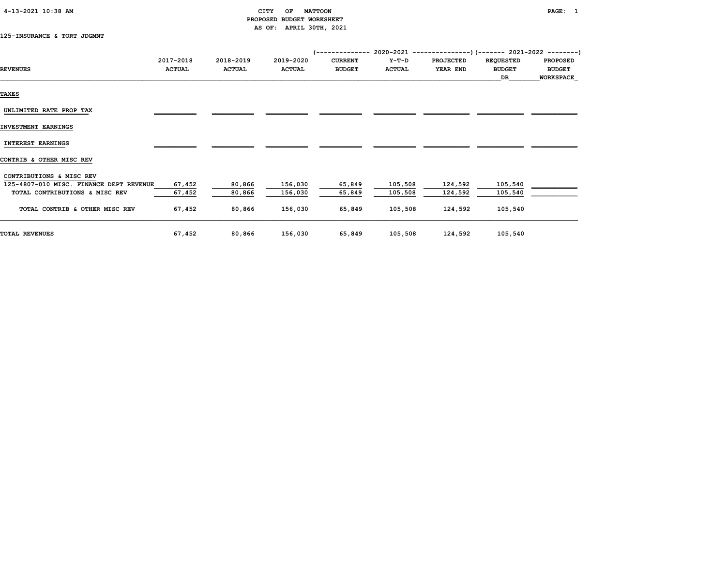| 4-13-2021 10:38 AM |  |  |
|--------------------|--|--|
|--------------------|--|--|

# CITY OF MATTOON **PAGE:** 1 PROPOSED BUDGET WORKSHEET AS OF: APRIL 30TH, 2021

125-INSURANCE & TORT JDGMNT

|                                         | 2017-2018     | 2018-2019     | 2019-2020     | <b>CURRENT</b> | Y-T-D         | <b>PROJECTED</b> | <b>REQUESTED</b> | <b>PROPOSED</b>  |
|-----------------------------------------|---------------|---------------|---------------|----------------|---------------|------------------|------------------|------------------|
| <b>REVENUES</b>                         | <b>ACTUAL</b> | <b>ACTUAL</b> | <b>ACTUAL</b> | <b>BUDGET</b>  | <b>ACTUAL</b> | YEAR END         | <b>BUDGET</b>    | <b>BUDGET</b>    |
|                                         |               |               |               |                |               |                  | DR               | <b>WORKSPACE</b> |
| <b>TAXES</b>                            |               |               |               |                |               |                  |                  |                  |
| UNLIMITED RATE PROP TAX                 |               |               |               |                |               |                  |                  |                  |
| INVESTMENT EARNINGS                     |               |               |               |                |               |                  |                  |                  |
| <b>INTEREST EARNINGS</b>                |               |               |               |                |               |                  |                  |                  |
| CONTRIB & OTHER MISC REV                |               |               |               |                |               |                  |                  |                  |
| CONTRIBUTIONS & MISC REV                |               |               |               |                |               |                  |                  |                  |
| 125-4807-010 MISC. FINANCE DEPT REVENUE | 67,452        | 80,866        | 156,030       | 65,849         | 105,508       | 124,592          | 105,540          |                  |
| TOTAL CONTRIBUTIONS & MISC REV          | 67,452        | 80,866        | 156,030       | 65,849         | 105,508       | 124,592          | 105,540          |                  |
| TOTAL CONTRIB & OTHER MISC REV          | 67,452        | 80,866        | 156,030       | 65,849         | 105,508       | 124,592          | 105,540          |                  |
| <b>TOTAL REVENUES</b>                   | 67,452        | 80,866        | 156,030       | 65,849         | 105,508       | 124,592          | 105,540          |                  |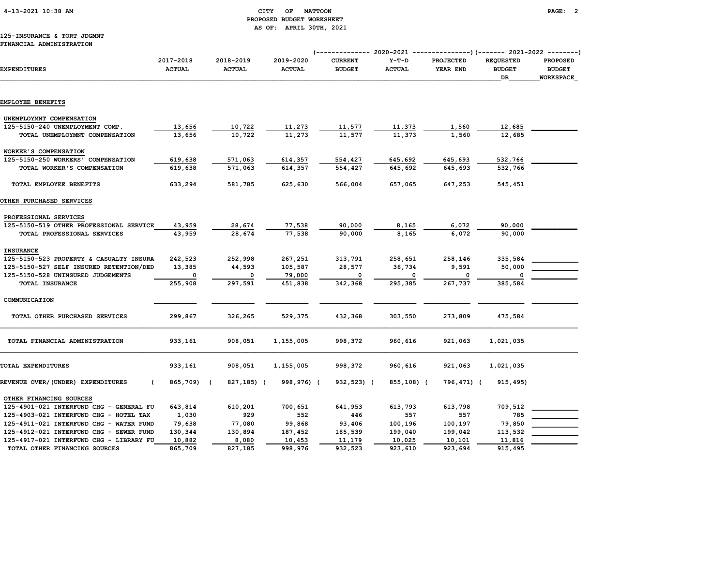# 4-13-2021 10:38 AM CITY OF MATTOON PAGE: 2 PROPOSED BUDGET WORKSHEET AS OF: APRIL 30TH, 2021

#### 125-INSURANCE & TORT JDGMNT FINANCIAL ADMINISTRATION

|                                                 |                            |                            |                            | (--------------                 | 2020-2021                | ----------------) (------- 2021-2022 ---------) |                                         |                                               |
|-------------------------------------------------|----------------------------|----------------------------|----------------------------|---------------------------------|--------------------------|-------------------------------------------------|-----------------------------------------|-----------------------------------------------|
| <b>EXPENDITURES</b>                             | 2017-2018<br><b>ACTUAL</b> | 2018-2019<br><b>ACTUAL</b> | 2019-2020<br><b>ACTUAL</b> | <b>CURRENT</b><br><b>BUDGET</b> | $Y-T-D$<br><b>ACTUAL</b> | PROJECTED<br>YEAR END                           | <b>REQUESTED</b><br><b>BUDGET</b><br>DR | <b>PROPOSED</b><br><b>BUDGET</b><br>WORKSPACE |
| EMPLOYEE BENEFITS                               |                            |                            |                            |                                 |                          |                                                 |                                         |                                               |
|                                                 |                            |                            |                            |                                 |                          |                                                 |                                         |                                               |
| UNEMPLOYMNT COMPENSATION                        |                            |                            |                            |                                 |                          |                                                 |                                         |                                               |
| 125-5150-240 UNEMPLOYMENT COMP.                 | 13,656                     | 10,722                     | 11,273                     | 11,577                          | 11,373                   | 1,560                                           | 12,685                                  |                                               |
| TOTAL UNEMPLOYMNT COMPENSATION                  | 13,656                     | 10,722                     | 11,273                     | 11,577                          | 11,373                   | 1,560                                           | 12,685                                  |                                               |
| WORKER'S COMPENSATION                           |                            |                            |                            |                                 |                          |                                                 |                                         |                                               |
| 125-5150-250 WORKERS' COMPENSATION              | 619,638                    | 571,063                    | 614,357                    | 554,427                         | 645,692                  | 645,693                                         | 532,766                                 |                                               |
| TOTAL WORKER'S COMPENSATION                     | 619,638                    | 571,063                    | 614,357                    | 554,427                         | 645,692                  | 645,693                                         | 532,766                                 |                                               |
| TOTAL EMPLOYEE BENEFITS                         | 633,294                    | 581,785                    | 625,630                    | 566,004                         | 657,065                  | 647,253                                         | 545,451                                 |                                               |
| OTHER PURCHASED SERVICES                        |                            |                            |                            |                                 |                          |                                                 |                                         |                                               |
| PROFESSIONAL SERVICES                           |                            |                            |                            |                                 |                          |                                                 |                                         |                                               |
| 125-5150-519 OTHER PROFESSIONAL SERVICE         | 43,959                     | 28,674                     | 77,538                     | 90,000                          | 8,165                    | 6,072                                           | 90,000                                  |                                               |
| TOTAL PROFESSIONAL SERVICES                     | 43,959                     | 28,674                     | 77,538                     | 90,000                          | 8,165                    | 6,072                                           | 90,000                                  |                                               |
| <b>INSURANCE</b>                                |                            |                            |                            |                                 |                          |                                                 |                                         |                                               |
| 125-5150-523 PROPERTY & CASUALTY INSURA         | 242,523                    | 252,998                    | 267,251                    | 313,791                         | 258,651                  | 258,146                                         | 335,584                                 |                                               |
| 125-5150-527 SELF INSURED RETENTION/DED         | 13,385                     | 44,593                     | 105,587                    | 28,577                          | 36,734                   | 9,591                                           | 50,000                                  |                                               |
| 125-5150-528 UNINSURED JUDGEMENTS               | $\Omega$                   | $\mathbf{0}$               | 79,000                     | $\mathbf 0$                     | 0                        | $\Omega$                                        | $\Omega$                                |                                               |
| TOTAL INSURANCE                                 | 255,908                    | 297,591                    | 451,838                    | 342,368                         | 295,385                  | 267,737                                         | 385,584                                 |                                               |
| COMMUNICATION                                   |                            |                            |                            |                                 |                          |                                                 |                                         |                                               |
| TOTAL OTHER PURCHASED SERVICES                  | 299,867                    | 326,265                    | 529,375                    | 432,368                         | 303,550                  | 273,809                                         | 475,584                                 |                                               |
| TOTAL FINANCIAL ADMINISTRATION                  | 933,161                    | 908,051                    | 1,155,005                  | 998,372                         | 960,616                  | 921,063                                         | 1,021,035                               |                                               |
| TOTAL EXPENDITURES                              | 933,161                    | 908,051                    | 1,155,005                  | 998,372                         | 960,616                  | 921,063                                         | 1,021,035                               |                                               |
| REVENUE OVER/(UNDER) EXPENDITURES<br>$\epsilon$ | 865,709) (                 | 827,185) (                 | 998,976) (                 | 932,523) (                      | 855,108) (               | 796,471) (                                      | 915,495)                                |                                               |
| OTHER FINANCING SOURCES                         |                            |                            |                            |                                 |                          |                                                 |                                         |                                               |
| 125-4901-021 INTERFUND CHG - GENERAL FU         | 643,814                    | 610,201                    | 700,651                    | 641,953                         | 613,793                  | 613,798                                         | 709,512                                 |                                               |
| 125-4903-021 INTERFUND CHG - HOTEL TAX          | 1,030                      | 929                        | 552                        | 446                             | 557                      | 557                                             | 785                                     |                                               |
| 125-4911-021 INTERFUND CHG - WATER FUND         | 79,638                     | 77,080                     | 99,868                     | 93,406                          | 100,196                  | 100,197                                         | 79,850                                  |                                               |
| 125-4912-021 INTERFUND CHG - SEWER FUND         | 130,344                    | 130,894                    | 187,452                    | 185,539                         | 199,040                  | 199,042                                         | 113,532                                 |                                               |
| 125-4917-021 INTERFUND CHG - LIBRARY FU         | 10,882                     | 8,080                      | 10,453                     | 11,179                          | 10,025                   | 10,101                                          | 11,816                                  |                                               |
| TOTAL OTHER FINANCING SOURCES                   | 865,709                    | 827,185                    | 998,976                    | 932,523                         | 923,610                  | 923,694                                         | 915,495                                 |                                               |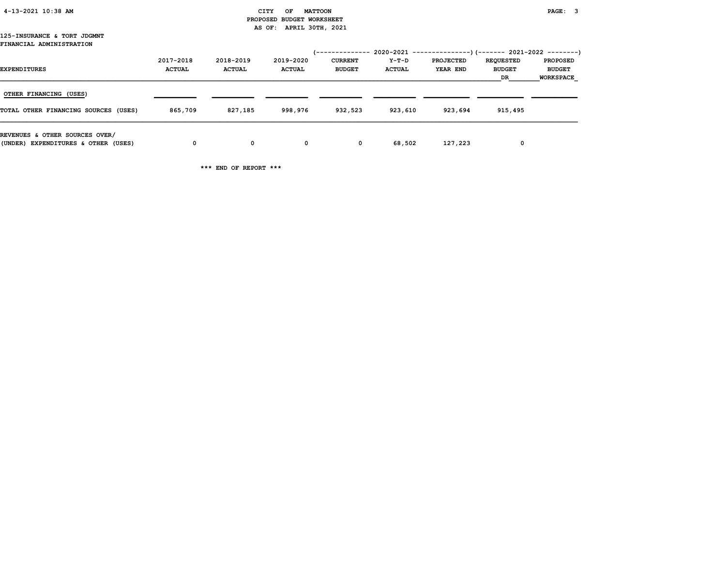| 4-13-2021 10:38 AM |  |
|--------------------|--|
|                    |  |

#### CITY OF MATTOON **PAGE:** 3 PROPOSED BUDGET WORKSHEET AS OF: APRIL 30TH, 2021

#### 125-INSURANCE & TORT JDGMNT FINANCIAL ADMINISTRATION

| <b>EXPENDITURES</b>                                                   | 2017-2018<br><b>ACTUAL</b> | 2018-2019<br><b>ACTUAL</b> | 2019-2020<br><b>ACTUAL</b> | /--------------<br><b>CURRENT</b><br><b>BUDGET</b> | Y-T-D<br><b>ACTUAL</b> | $2020-2021$ ---------------) (------- 2021-2022 --------)<br><b>PROJECTED</b><br>YEAR END | <b>REQUESTED</b><br><b>BUDGET</b><br>DR | <b>PROPOSED</b><br><b>BUDGET</b><br><b>WORKSPACE</b> |
|-----------------------------------------------------------------------|----------------------------|----------------------------|----------------------------|----------------------------------------------------|------------------------|-------------------------------------------------------------------------------------------|-----------------------------------------|------------------------------------------------------|
| OTHER FINANCING (USES)<br>TOTAL OTHER FINANCING SOURCES (USES)        | 865,709                    | 827,185                    | 998,976                    | 932,523                                            | 923,610                | 923,694                                                                                   | 915,495                                 |                                                      |
| REVENUES & OTHER SOURCES OVER/<br>(UNDER) EXPENDITURES & OTHER (USES) | 0                          | 0                          | $^{\circ}$                 | $\mathbf 0$                                        | 68,502                 | 127,223                                                                                   | 0                                       |                                                      |

\*\*\* END OF REPORT \*\*\*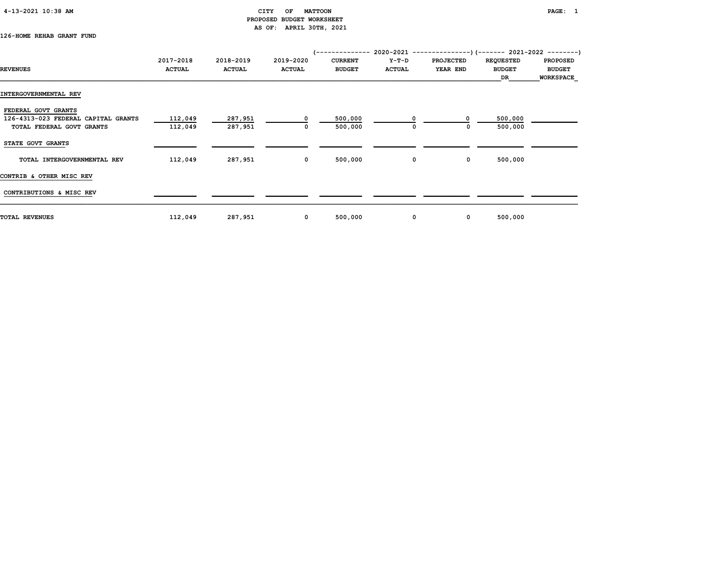| 4-13-2021 10:38 AM |  |
|--------------------|--|
|                    |  |

# CITY OF MATTOON **PAGE:** 1 PROPOSED BUDGET WORKSHEET AS OF: APRIL 30TH, 2021

# 126-HOME REHAB GRANT FUND

|                                     | 2017-2018     | 2018-2019     | 2019-2020     | <b>CURRENT</b> | Y-T-D         | <b>PROJECTED</b> | <b>REQUESTED</b>    | <b>PROPOSED</b>                   |
|-------------------------------------|---------------|---------------|---------------|----------------|---------------|------------------|---------------------|-----------------------------------|
| <b>REVENUES</b>                     | <b>ACTUAL</b> | <b>ACTUAL</b> | <b>ACTUAL</b> | <b>BUDGET</b>  | <b>ACTUAL</b> | YEAR END         | <b>BUDGET</b><br>DR | <b>BUDGET</b><br><b>WORKSPACE</b> |
| INTERGOVERNMENTAL REV               |               |               |               |                |               |                  |                     |                                   |
| FEDERAL GOVT GRANTS                 |               |               |               |                |               |                  |                     |                                   |
| 126-4313-023 FEDERAL CAPITAL GRANTS | 112,049       | 287,951       | $\mathbf 0$   | 500,000        | 0             |                  | 500,000             |                                   |
| TOTAL FEDERAL GOVT GRANTS           | 112,049       | 287,951       | 0             | 500,000        | 0             | 0                | 500,000             |                                   |
| STATE GOVT GRANTS                   |               |               |               |                |               |                  |                     |                                   |
| TOTAL INTERGOVERNMENTAL REV         | 112,049       | 287,951       | $\mathbf 0$   | 500,000        | 0             | $\mathbf 0$      | 500,000             |                                   |
| CONTRIB & OTHER MISC REV            |               |               |               |                |               |                  |                     |                                   |
| CONTRIBUTIONS & MISC REV            |               |               |               |                |               |                  |                     |                                   |
| <b>TOTAL REVENUES</b>               | 112,049       | 287,951       | $\mathbf 0$   | 500,000        | 0             | $\mathbf 0$      | 500,000             |                                   |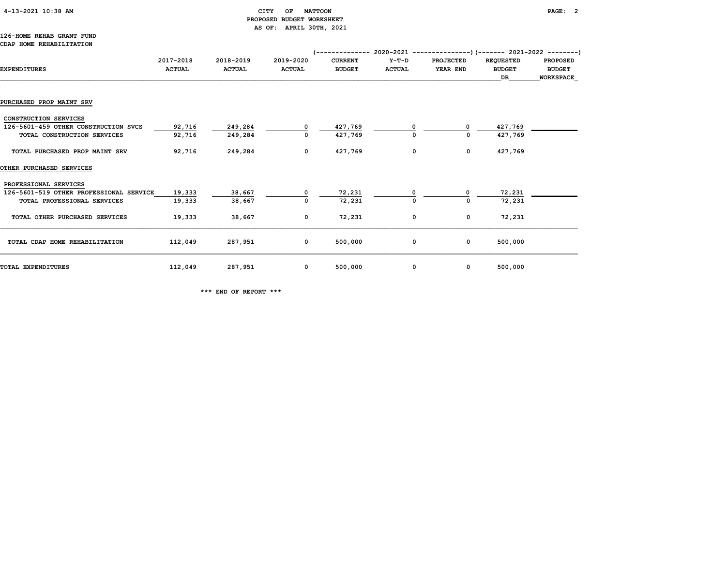# 4-13-2021 10:38 AM CITY OF MATTOON PAGE: 2 PROPOSED BUDGET WORKSHEET AS OF: APRIL 30TH, 2021

#### 126-HOME REHAB GRANT FUND CDAP HOME REHABILITATION

|                                         |               |               |               |                |               | 2020-2021 ----------------)(-------- 2021-2022 ---------) |                  |                  |
|-----------------------------------------|---------------|---------------|---------------|----------------|---------------|-----------------------------------------------------------|------------------|------------------|
|                                         | 2017-2018     | 2018-2019     | 2019-2020     | <b>CURRENT</b> | $Y-T-D$       | <b>PROJECTED</b>                                          | <b>REQUESTED</b> | <b>PROPOSED</b>  |
| <b>EXPENDITURES</b>                     | <b>ACTUAL</b> | <b>ACTUAL</b> | <b>ACTUAL</b> | <b>BUDGET</b>  | <b>ACTUAL</b> | YEAR END                                                  | <b>BUDGET</b>    | <b>BUDGET</b>    |
|                                         |               |               |               |                |               |                                                           | DR               | <b>WORKSPACE</b> |
|                                         |               |               |               |                |               |                                                           |                  |                  |
| PURCHASED PROP MAINT SRV                |               |               |               |                |               |                                                           |                  |                  |
|                                         |               |               |               |                |               |                                                           |                  |                  |
| CONSTRUCTION SERVICES                   |               |               |               |                |               |                                                           |                  |                  |
| 126-5601-459 OTHER CONSTRUCTION SVCS    | 92,716        | 249,284       |               | 427,769        |               |                                                           | 427,769          |                  |
| TOTAL CONSTRUCTION SERVICES             | 92,716        | 249,284       |               | 427,769        |               |                                                           | 427,769          |                  |
|                                         |               |               |               |                |               |                                                           |                  |                  |
| TOTAL PURCHASED PROP MAINT SRV          | 92,716        | 249,284       | 0             | 427,769        | 0             | $\mathbf 0$                                               | 427,769          |                  |
| <b>OTHER PURCHASED SERVICES</b>         |               |               |               |                |               |                                                           |                  |                  |
|                                         |               |               |               |                |               |                                                           |                  |                  |
| PROFESSIONAL SERVICES                   |               |               |               |                |               |                                                           |                  |                  |
| 126-5601-519 OTHER PROFESSIONAL SERVICE | 19,333        | 38,667        |               | 72,231         |               |                                                           | 72,231           |                  |
| TOTAL PROFESSIONAL SERVICES             | 19,333        | 38,667        |               | 72,231         |               | $\Omega$                                                  | 72,231           |                  |
|                                         |               |               |               |                |               |                                                           |                  |                  |
| TOTAL OTHER PURCHASED SERVICES          | 19,333        | 38,667        | 0             | 72,231         | 0             | $\mathbf 0$                                               | 72,231           |                  |
|                                         |               |               |               |                |               |                                                           |                  |                  |
| TOTAL CDAP HOME REHABILITATION          | 112,049       | 287,951       | $\mathbf{o}$  | 500,000        | 0             | $\mathbf 0$                                               | 500,000          |                  |
|                                         |               |               |               |                |               |                                                           |                  |                  |
|                                         |               |               |               |                |               |                                                           |                  |                  |
| TOTAL EXPENDITURES                      | 112,049       | 287,951       | 0             | 500,000        | 0             | 0                                                         | 500,000          |                  |

\*\*\* END OF REPORT \*\*\*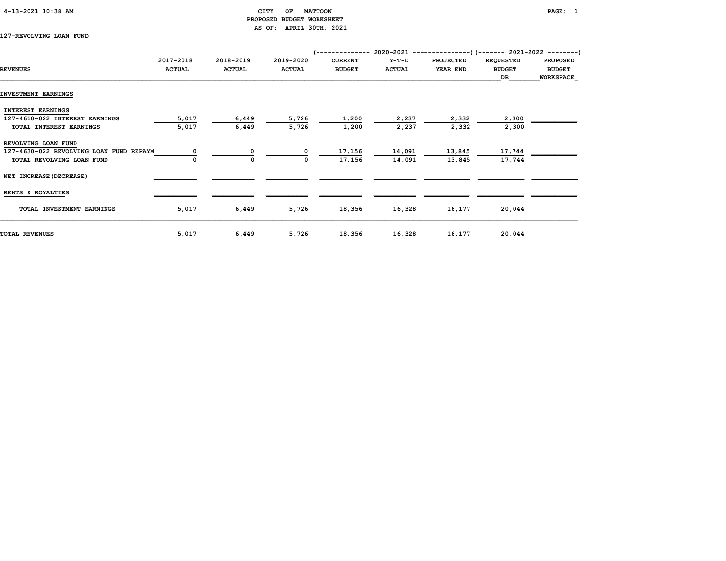# 4-13-2021 10:38 AM CITY OF MATTOON PAGE: 1 PROPOSED BUDGET WORKSHEET AS OF: APRIL 30TH, 2021

127-REVOLVING LOAN FUND

|                                         | 2017-2018     | 2018-2019     | 2019-2020     | <b>CURRENT</b> | $Y-T-D$       | <b>PROJECTED</b> | <b>REQUESTED</b> | <b>PROPOSED</b>  |
|-----------------------------------------|---------------|---------------|---------------|----------------|---------------|------------------|------------------|------------------|
| <b>REVENUES</b>                         | <b>ACTUAL</b> | <b>ACTUAL</b> | <b>ACTUAL</b> | <b>BUDGET</b>  | <b>ACTUAL</b> | YEAR END         | <b>BUDGET</b>    | <b>BUDGET</b>    |
|                                         |               |               |               |                |               |                  | DR               | <b>WORKSPACE</b> |
| INVESTMENT EARNINGS                     |               |               |               |                |               |                  |                  |                  |
| <b>INTEREST EARNINGS</b>                |               |               |               |                |               |                  |                  |                  |
| 127-4610-022 INTEREST EARNINGS          | 5,017         | 6,449         | 5,726         | 1,200          | 2,237         | 2,332            | 2,300            |                  |
| TOTAL INTEREST EARNINGS                 | 5,017         | 6,449         | 5,726         | 1,200          | 2,237         | 2,332            | 2,300            |                  |
| REVOLVING LOAN FUND                     |               |               |               |                |               |                  |                  |                  |
| 127-4630-022 REVOLVING LOAN FUND REPAYM |               |               | 0             | 17,156         | 14,091        | 13,845           | 17,744           |                  |
| TOTAL REVOLVING LOAN FUND               |               | 0             | <sup>0</sup>  | 17,156         | 14,091        | 13,845           | 17,744           |                  |
| NET INCREASE (DECREASE)                 |               |               |               |                |               |                  |                  |                  |
| RENTS & ROYALTIES                       |               |               |               |                |               |                  |                  |                  |
| TOTAL INVESTMENT EARNINGS               | 5,017         | 6,449         | 5,726         | 18,356         | 16,328        | 16,177           | 20,044           |                  |
| TOTAL REVENUES                          | 5,017         | 6,449         | 5,726         | 18,356         | 16,328        | 16,177           | 20,044           |                  |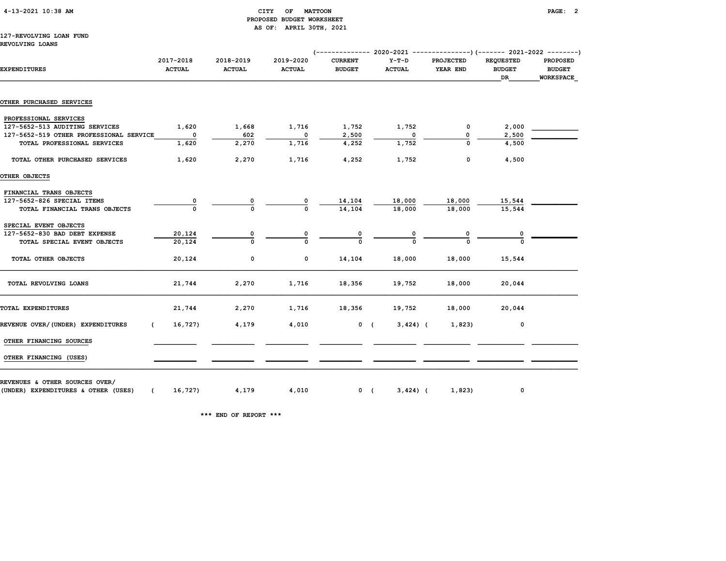# 4-13-2021 10:38 AM CITY OF MATTOON PAGE: 2 PROPOSED BUDGET WORKSHEET AS OF: APRIL 30TH, 2021

# 127-REVOLVING LOAN FUND

REVOLVING LOANS

| <b>EXPENDITURES</b>                     | 2017-2018<br><b>ACTUAL</b> | 2018-2019<br><b>ACTUAL</b> | 2019-2020<br><b>ACTUAL</b> | <b>CURRENT</b><br><b>BUDGET</b> | $Y-T-D$<br><b>ACTUAL</b> | <b>PROJECTED</b><br>YEAR END | <b>REQUESTED</b><br><b>BUDGET</b><br>DR | <b>PROPOSED</b><br><b>BUDGET</b><br>WORKSPACE |
|-----------------------------------------|----------------------------|----------------------------|----------------------------|---------------------------------|--------------------------|------------------------------|-----------------------------------------|-----------------------------------------------|
|                                         |                            |                            |                            |                                 |                          |                              |                                         |                                               |
| OTHER PURCHASED SERVICES                |                            |                            |                            |                                 |                          |                              |                                         |                                               |
| PROFESSIONAL SERVICES                   |                            |                            |                            |                                 |                          |                              |                                         |                                               |
| 127-5652-513 AUDITING SERVICES          | 1,620                      | 1,668                      | 1,716                      | 1,752                           | 1,752                    | $\mathbf{0}$                 | 2,000                                   |                                               |
| 127-5652-519 OTHER PROFESSIONAL SERVICE | $\overline{\phantom{0}}$   | 602                        | $\overline{\phantom{0}}$   | 2,500                           | $^{\circ}$               | 0                            | 2,500                                   |                                               |
| TOTAL PROFESSIONAL SERVICES             | 1,620                      | 2,270                      | 1,716                      | 4,252                           | 1,752                    | $\Omega$                     | 4,500                                   |                                               |
| TOTAL OTHER PURCHASED SERVICES          | 1,620                      | 2,270                      | 1,716                      | 4,252                           | 1,752                    | $\mathbf 0$                  | 4,500                                   |                                               |
| OTHER OBJECTS                           |                            |                            |                            |                                 |                          |                              |                                         |                                               |
| FINANCIAL TRANS OBJECTS                 |                            |                            |                            |                                 |                          |                              |                                         |                                               |
| 127-5652-826 SPECIAL ITEMS              | 0                          | 0                          | 0                          | 14,104                          | 18,000                   | 18,000                       | 15,544                                  |                                               |
| TOTAL FINANCIAL TRANS OBJECTS           | $\Omega$                   |                            | $\Omega$                   | 14,104                          | 18,000                   | 18,000                       | 15,544                                  |                                               |
| SPECIAL EVENT OBJECTS                   |                            |                            |                            |                                 |                          |                              |                                         |                                               |
| 127-5652-830 BAD DEBT EXPENSE           | 20,124                     | 0                          |                            |                                 |                          |                              |                                         |                                               |
| TOTAL SPECIAL EVENT OBJECTS             | 20,124                     |                            |                            |                                 |                          |                              |                                         |                                               |
| TOTAL OTHER OBJECTS                     | 20,124                     | 0                          | 0                          | 14,104                          | 18,000                   | 18,000                       | 15,544                                  |                                               |
| TOTAL REVOLVING LOANS                   | 21,744                     | 2,270                      | 1,716                      | 18,356                          | 19,752                   | 18,000                       | 20,044                                  |                                               |
| TOTAL EXPENDITURES                      | 21,744                     | 2,270                      | 1,716                      | 18,356                          | 19,752                   | 18,000                       | 20,044                                  |                                               |
| REVENUE OVER/(UNDER) EXPENDITURES       | 16,727)                    | 4,179                      | 4,010                      |                                 | 0(3,424)                 | 1,823)                       | $\mathbf 0$                             |                                               |
| OTHER FINANCING SOURCES                 |                            |                            |                            |                                 |                          |                              |                                         |                                               |
| OTHER FINANCING (USES)                  |                            |                            |                            |                                 |                          |                              |                                         |                                               |
| REVENUES & OTHER SOURCES OVER/          |                            |                            |                            |                                 |                          |                              |                                         |                                               |
| (UNDER) EXPENDITURES & OTHER (USES)     | (16, 727)                  | 4,179                      |                            | 4,010                           | 0(<br>$3,424$ ) (        | 1,823)                       | 0                                       |                                               |

\*\*\* END OF REPORT \*\*\*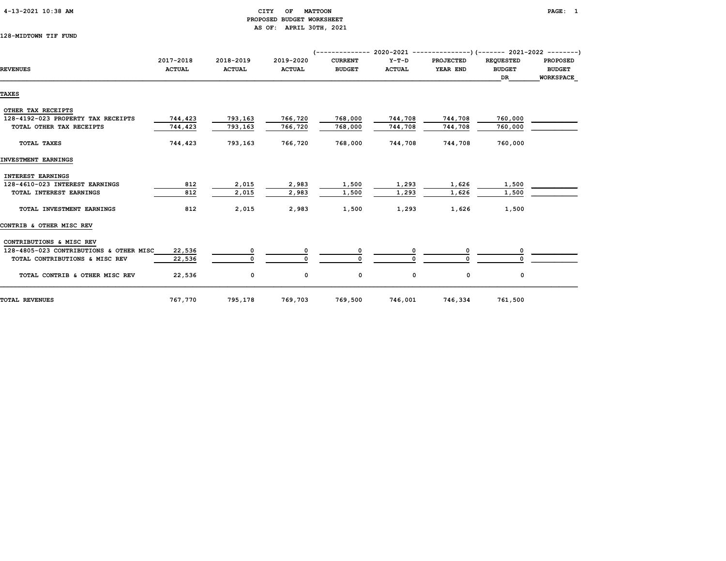|  | $4-13-2021$ $10:38$ AM |  |  |
|--|------------------------|--|--|
|--|------------------------|--|--|

# CITY OF MATTOON PAGE: 1 PROPOSED BUDGET WORKSHEET AS OF: APRIL 30TH, 2021

128-MIDTOWN TIF FUND

| <b>REVENUES</b>                         | 2017-2018<br><b>ACTUAL</b> | 2018-2019<br><b>ACTUAL</b> | 2019-2020<br><b>ACTUAL</b> | <b>CURRENT</b><br><b>BUDGET</b> | $Y-T-D$<br><b>ACTUAL</b> | <b>PROJECTED</b><br>YEAR END | <b>REQUESTED</b><br><b>BUDGET</b><br><b>DR</b> | <b>PROPOSED</b><br><b>BUDGET</b><br><b>WORKSPACE</b> |
|-----------------------------------------|----------------------------|----------------------------|----------------------------|---------------------------------|--------------------------|------------------------------|------------------------------------------------|------------------------------------------------------|
|                                         |                            |                            |                            |                                 |                          |                              |                                                |                                                      |
| <b>TAXES</b>                            |                            |                            |                            |                                 |                          |                              |                                                |                                                      |
| OTHER TAX RECEIPTS                      |                            |                            |                            |                                 |                          |                              |                                                |                                                      |
| 128-4192-023 PROPERTY TAX RECEIPTS      | 744,423                    | 793,163                    | 766,720                    | 768,000                         | 744,708                  | 744,708                      | 760,000                                        |                                                      |
| TOTAL OTHER TAX RECEIPTS                | 744,423                    | 793,163                    | 766,720                    | 768,000                         | 744,708                  | 744,708                      | 760,000                                        |                                                      |
| TOTAL TAXES                             | 744,423                    | 793,163                    | 766,720                    | 768,000                         | 744,708                  | 744,708                      | 760,000                                        |                                                      |
| INVESTMENT EARNINGS                     |                            |                            |                            |                                 |                          |                              |                                                |                                                      |
| <b>INTEREST EARNINGS</b>                |                            |                            |                            |                                 |                          |                              |                                                |                                                      |
| 128-4610-023 INTEREST EARNINGS          | 812                        | 2,015                      | 2,983                      | 1,500                           | 1,293                    | 1,626                        | 1,500                                          |                                                      |
| TOTAL INTEREST EARNINGS                 | 812                        | 2,015                      | 2,983                      | 1,500                           | 1,293                    | 1,626                        | 1,500                                          |                                                      |
| TOTAL INVESTMENT EARNINGS               | 812                        | 2,015                      | 2,983                      | 1,500                           | 1,293                    | 1,626                        | 1,500                                          |                                                      |
| CONTRIB & OTHER MISC REV                |                            |                            |                            |                                 |                          |                              |                                                |                                                      |
| CONTRIBUTIONS & MISC REV                |                            |                            |                            |                                 |                          |                              |                                                |                                                      |
| 128-4805-023 CONTRIBUTIONS & OTHER MISC | 22,536                     |                            |                            |                                 |                          |                              |                                                |                                                      |
| TOTAL CONTRIBUTIONS & MISC REV          | 22,536                     | $\Omega$                   |                            |                                 |                          |                              |                                                |                                                      |
| TOTAL CONTRIB & OTHER MISC REV          | 22,536                     | 0                          | 0                          | 0                               | 0                        | 0                            | 0                                              |                                                      |
| <b>TOTAL REVENUES</b>                   | 767,770                    | 795,178                    | 769,703                    | 769,500                         | 746,001                  | 746,334                      | 761,500                                        |                                                      |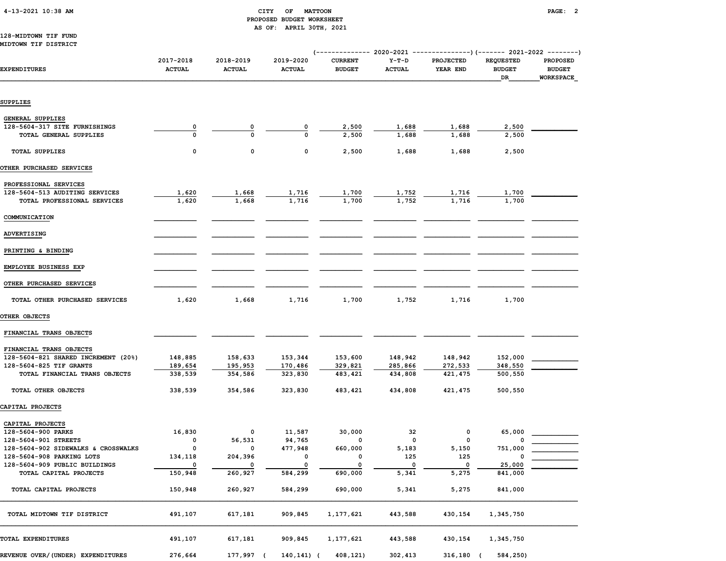| 4-13-2021 10:38 AM |  |
|--------------------|--|
|                    |  |

## $\begin{array}{ccc} \text{CITY} & \text{OF} & \text{MATTOON} \end{array}$  PROPOSED BUDGET WORKSHEET AS OF: APRIL 30TH, 2021

#### 128-MIDTOWN TIF FUND MIDTOWN TIF DISTRICT

|                                                         |                            |                            |                            | (-------------- 2020-2021       |                          |                         | $-----------$ ) (------- 2021-2022 --------) |                                               |  |
|---------------------------------------------------------|----------------------------|----------------------------|----------------------------|---------------------------------|--------------------------|-------------------------|----------------------------------------------|-----------------------------------------------|--|
| <b>EXPENDITURES</b>                                     | 2017-2018<br><b>ACTUAL</b> | 2018-2019<br><b>ACTUAL</b> | 2019-2020<br><b>ACTUAL</b> | <b>CURRENT</b><br><b>BUDGET</b> | $Y-T-D$<br><b>ACTUAL</b> | PROJECTED<br>YEAR END   | <b>REQUESTED</b><br><b>BUDGET</b><br>DR      | PROPOSED<br><b>BUDGET</b><br><b>WORKSPACE</b> |  |
| <b>SUPPLIES</b>                                         |                            |                            |                            |                                 |                          |                         |                                              |                                               |  |
|                                                         |                            |                            |                            |                                 |                          |                         |                                              |                                               |  |
| GENERAL SUPPLIES                                        |                            |                            |                            |                                 |                          |                         |                                              |                                               |  |
| 128-5604-317 SITE FURNISHINGS                           | 0                          |                            |                            | 2,500                           | 1,688                    | 1,688                   | 2,500                                        |                                               |  |
| TOTAL GENERAL SUPPLIES                                  |                            |                            | O                          | 2,500                           | 1,688                    | 1,688                   | 2,500                                        |                                               |  |
| <b>TOTAL SUPPLIES</b>                                   | 0                          | 0                          | 0                          | 2,500                           | 1,688                    | 1,688                   | 2,500                                        |                                               |  |
| OTHER PURCHASED SERVICES                                |                            |                            |                            |                                 |                          |                         |                                              |                                               |  |
|                                                         |                            |                            |                            |                                 |                          |                         |                                              |                                               |  |
| PROFESSIONAL SERVICES<br>128-5604-513 AUDITING SERVICES |                            |                            |                            |                                 |                          |                         |                                              |                                               |  |
| TOTAL PROFESSIONAL SERVICES                             | 1,620<br>1,620             | 1,668<br>1,668             | 1,716<br>1,716             | 1,700<br>1,700                  | 1,752<br>1,752           | 1,716<br>1,716          | 1,700<br>1,700                               |                                               |  |
|                                                         |                            |                            |                            |                                 |                          |                         |                                              |                                               |  |
| COMMUNICATION                                           |                            |                            |                            |                                 |                          |                         |                                              |                                               |  |
| ADVERTISING                                             |                            |                            |                            |                                 |                          |                         |                                              |                                               |  |
| PRINTING & BINDING                                      |                            |                            |                            |                                 |                          |                         |                                              |                                               |  |
| EMPLOYEE BUSINESS EXP                                   |                            |                            |                            |                                 |                          |                         |                                              |                                               |  |
| OTHER PURCHASED SERVICES                                |                            |                            |                            |                                 |                          |                         |                                              |                                               |  |
| TOTAL OTHER PURCHASED SERVICES                          | 1,620                      | 1,668                      | 1,716                      | 1,700                           | 1,752                    | 1,716                   | 1,700                                        |                                               |  |
| OTHER OBJECTS                                           |                            |                            |                            |                                 |                          |                         |                                              |                                               |  |
|                                                         |                            |                            |                            |                                 |                          |                         |                                              |                                               |  |
| FINANCIAL TRANS OBJECTS                                 |                            |                            |                            |                                 |                          |                         |                                              |                                               |  |
| FINANCIAL TRANS OBJECTS                                 |                            |                            |                            |                                 |                          |                         |                                              |                                               |  |
| 128-5604-821 SHARED INCREMENT (20%)                     | 148,885                    | 158,633                    | 153,344                    | 153,600                         | 148,942                  | 148,942                 | 152,000                                      |                                               |  |
| 128-5604-825 TIF GRANTS                                 | 189,654                    | 195,953                    | 170,486                    | 329,821                         | 285,866                  | 272,533                 | 348,550                                      |                                               |  |
| TOTAL FINANCIAL TRANS OBJECTS                           | 338,539                    | 354,586                    | 323,830                    | 483,421                         | 434,808                  | 421,475                 | 500,550                                      |                                               |  |
| TOTAL OTHER OBJECTS                                     | 338,539                    | 354,586                    | 323,830                    | 483,421                         | 434,808                  | 421,475                 | 500,550                                      |                                               |  |
| CAPITAL PROJECTS                                        |                            |                            |                            |                                 |                          |                         |                                              |                                               |  |
|                                                         |                            |                            |                            |                                 |                          |                         |                                              |                                               |  |
| CAPITAL PROJECTS<br>128-5604-900 PARKS                  | 16,830                     | 0                          | 11,587                     | 30,000                          | 32                       | 0                       | 65,000                                       |                                               |  |
| 128-5604-901 STREETS                                    | 0                          | 56,531                     | 94,765                     | 0                               | 0                        | 0                       |                                              |                                               |  |
| 128-5604-902 SIDEWALKS & CROSSWALKS                     | 0                          | 0                          | 477,948                    | 660,000                         | 5,183                    | 5,150                   | 751,000                                      |                                               |  |
| 128-5604-908 PARKING LOTS                               | 134,118                    | 204,396                    | 0                          | 0                               | 125                      | 125                     | 0                                            |                                               |  |
| 128-5604-909 PUBLIC BUILDINGS                           | 0                          | 0                          | 0                          | 0                               | 0                        | $\overline{\mathbf{0}}$ | 25,000                                       |                                               |  |
| TOTAL CAPITAL PROJECTS                                  | 150,948                    | 260,927                    | 584, 299                   | 690,000                         | 5,341                    | 5,275                   | 841,000                                      |                                               |  |
| TOTAL CAPITAL PROJECTS                                  | 150,948                    | 260,927                    | 584,299                    | 690,000                         | 5,341                    | 5,275                   | 841,000                                      |                                               |  |
|                                                         |                            |                            |                            |                                 |                          |                         |                                              |                                               |  |
| TOTAL MIDTOWN TIF DISTRICT                              | 491,107                    | 617,181                    | 909,845                    | 1,177,621                       | 443,588                  | 430,154                 | 1,345,750                                    |                                               |  |
| TOTAL EXPENDITURES                                      | 491,107                    | 617,181                    | 909,845                    | 1,177,621                       | 443,588                  | 430,154                 | 1,345,750                                    |                                               |  |
| REVENUE OVER/ (UNDER) EXPENDITURES                      | 276,664                    | 177,997 (                  | 140,141) (                 | 408,121)                        | 302,413                  | 316,180 (               | 584,250)                                     |                                               |  |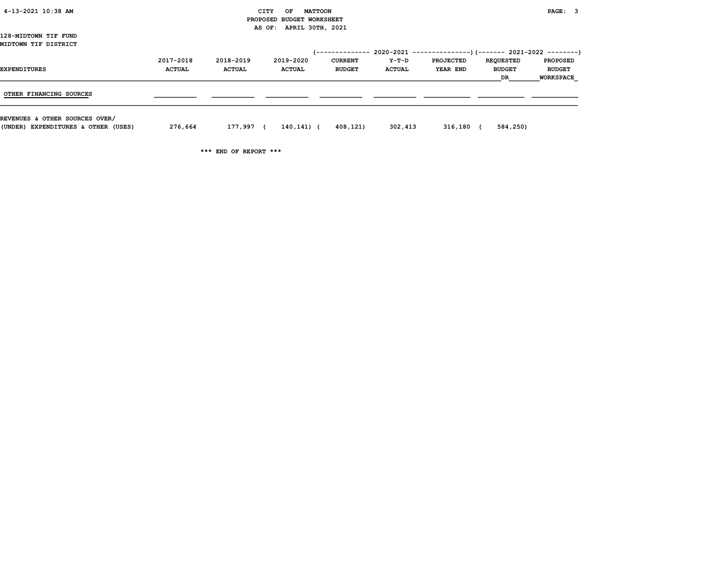| 4-13-2021 10:38 AM                  |               |               | CITY<br>OF                | <b>MATTOON</b> |               |                  |                  | PAGE: 3          |
|-------------------------------------|---------------|---------------|---------------------------|----------------|---------------|------------------|------------------|------------------|
|                                     |               |               | PROPOSED BUDGET WORKSHEET |                |               |                  |                  |                  |
|                                     |               |               | AS OF: APRIL 30TH, 2021   |                |               |                  |                  |                  |
| 128-MIDTOWN TIF FUND                |               |               |                           |                |               |                  |                  |                  |
| MIDTOWN TIF DISTRICT                |               |               |                           |                |               |                  |                  |                  |
|                                     |               |               |                           |                |               |                  |                  |                  |
|                                     | 2017-2018     | 2018-2019     | 2019-2020                 | <b>CURRENT</b> | Y-T-D         | <b>PROJECTED</b> | <b>REQUESTED</b> | <b>PROPOSED</b>  |
| EXPENDITURES                        | <b>ACTUAL</b> | <b>ACTUAL</b> | <b>ACTUAL</b>             | <b>BUDGET</b>  | <b>ACTUAL</b> | YEAR END         | <b>BUDGET</b>    | <b>BUDGET</b>    |
|                                     |               |               |                           |                |               |                  | DR               | <b>WORKSPACE</b> |
|                                     |               |               |                           |                |               |                  |                  |                  |
| OTHER FINANCING SOURCES             |               |               |                           |                |               |                  |                  |                  |
|                                     |               |               |                           |                |               |                  |                  |                  |
|                                     |               |               |                           |                |               |                  |                  |                  |
| REVENUES & OTHER SOURCES OVER/      |               |               |                           |                |               |                  |                  |                  |
| (UNDER) EXPENDITURES & OTHER (USES) | 276,664       | 177,997 (     | 140,141) (                | 408,121)       | 302,413       | $316,180$ (      | 584,250)         |                  |
|                                     |               |               |                           |                |               |                  |                  |                  |

\*\*\* END OF REPORT \*\*\*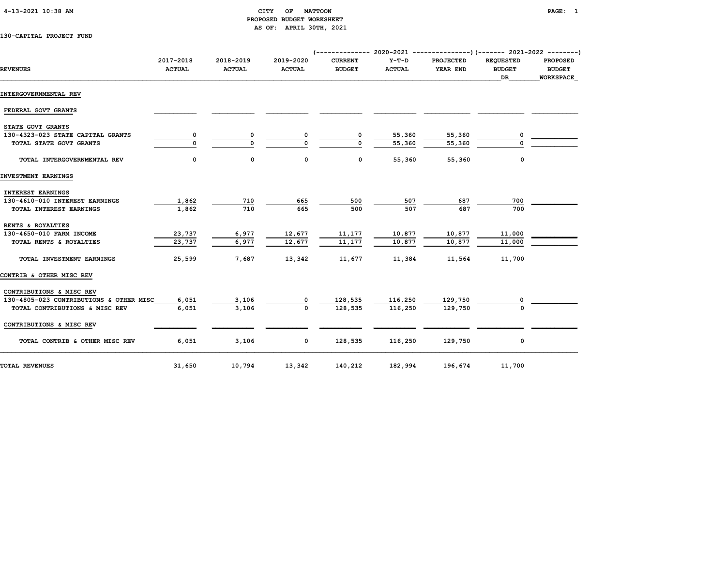# 4-13-2021 10:38 AM CITY OF MATTOON PAGE: 1 PROPOSED BUDGET WORKSHEET AS OF: APRIL 30TH, 2021

130-CAPITAL PROJECT FUND

|                                         | 2017-2018     | 2018-2019     | 2019-2020     | <b>CURRENT</b> | $Y-T-D$       | <b>PROJECTED</b> | <b>REOUESTED</b><br><b>PROPOSED</b> |                                   |  |
|-----------------------------------------|---------------|---------------|---------------|----------------|---------------|------------------|-------------------------------------|-----------------------------------|--|
| <b>REVENUES</b>                         | <b>ACTUAL</b> | <b>ACTUAL</b> | <b>ACTUAL</b> | <b>BUDGET</b>  | <b>ACTUAL</b> | YEAR END         | <b>BUDGET</b><br>DR.                | <b>BUDGET</b><br><b>WORKSPACE</b> |  |
| INTERGOVERNMENTAL REV                   |               |               |               |                |               |                  |                                     |                                   |  |
| FEDERAL GOVT GRANTS                     |               |               |               |                |               |                  |                                     |                                   |  |
| STATE GOVT GRANTS                       |               |               |               |                |               |                  |                                     |                                   |  |
| 130-4323-023 STATE CAPITAL GRANTS       | 0             | 0             |               | 0              | 55,360        | 55,360           |                                     |                                   |  |
| TOTAL STATE GOVT GRANTS                 |               | $\Omega$      | $\Omega$      | $\Omega$       | 55,360        | 55,360           |                                     |                                   |  |
| TOTAL INTERGOVERNMENTAL REV             | 0             | 0             | 0             | 0              | 55,360        | 55,360           | 0                                   |                                   |  |
| INVESTMENT EARNINGS                     |               |               |               |                |               |                  |                                     |                                   |  |
| <b>INTEREST EARNINGS</b>                |               |               |               |                |               |                  |                                     |                                   |  |
| 130-4610-010 INTEREST EARNINGS          | 1,862         | 710           | 665           | 500            | 507           | 687              | 700                                 |                                   |  |
| TOTAL INTEREST EARNINGS                 | 1,862         | 710           | 665           | 500            | 507           | 687              | 700                                 |                                   |  |
| RENTS & ROYALTIES                       |               |               |               |                |               |                  |                                     |                                   |  |
| 130-4650-010 FARM INCOME                | 23,737        | 6,977         | 12,677        | 11,177         | 10,877        | 10,877           | 11,000                              |                                   |  |
| TOTAL RENTS & ROYALTIES                 | 23,737        | 6,977         | 12,677        | 11,177         | 10,877        | 10,877           | 11,000                              |                                   |  |
| TOTAL INVESTMENT EARNINGS               | 25,599        | 7,687         | 13,342        | 11,677         | 11,384        | 11,564           | 11,700                              |                                   |  |
| CONTRIB & OTHER MISC REV                |               |               |               |                |               |                  |                                     |                                   |  |
| CONTRIBUTIONS & MISC REV                |               |               |               |                |               |                  |                                     |                                   |  |
| 130-4805-023 CONTRIBUTIONS & OTHER MISC | 6,051         | 3,106         |               | 128,535        | 116,250       | 129,750          |                                     |                                   |  |
| TOTAL CONTRIBUTIONS & MISC REV          | 6,051         | 3,106         | $\Omega$      | 128,535        | 116,250       | 129,750          |                                     |                                   |  |
| CONTRIBUTIONS & MISC REV                |               |               |               |                |               |                  |                                     |                                   |  |
| TOTAL CONTRIB & OTHER MISC REV          | 6,051         | 3,106         | $\mathbf{0}$  | 128,535        | 116,250       | 129,750          | 0                                   |                                   |  |
| <b>TOTAL REVENUES</b>                   | 31,650        | 10,794        | 13,342        | 140,212        | 182,994       | 196,674          | 11,700                              |                                   |  |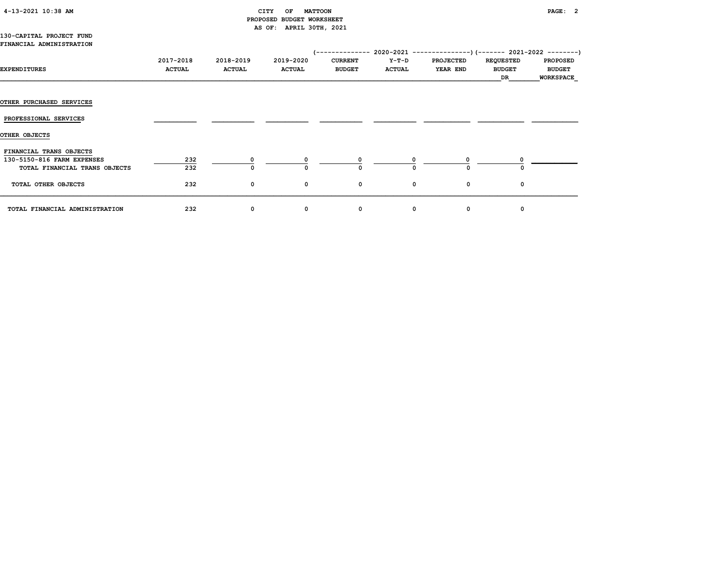# 4-13-2021 10:38 AM CITY OF MATTOON PAGE: 2 PROPOSED BUDGET WORKSHEET AS OF: APRIL 30TH, 2021

#### 130-CAPITAL PROJECT FUND FINANCIAL ADMINISTRATION

| EXPENDITURES                                                                           | 2017-2018<br><b>ACTUAL</b> | 2018-2019<br><b>ACTUAL</b> | 2019-2020<br><b>ACTUAL</b> | <b>CURRENT</b><br><b>BUDGET</b> | Y-T-D<br><b>ACTUAL</b> | <b>PROJECTED</b><br><b>YEAR END</b> | <b>REQUESTED</b><br><b>BUDGET</b><br>DR | <b>PROPOSED</b><br><b>BUDGET</b><br>WORKSPACE |
|----------------------------------------------------------------------------------------|----------------------------|----------------------------|----------------------------|---------------------------------|------------------------|-------------------------------------|-----------------------------------------|-----------------------------------------------|
|                                                                                        |                            |                            |                            |                                 |                        |                                     |                                         |                                               |
| <b>OTHER PURCHASED SERVICES</b>                                                        |                            |                            |                            |                                 |                        |                                     |                                         |                                               |
| PROFESSIONAL SERVICES                                                                  |                            |                            |                            |                                 |                        |                                     |                                         |                                               |
| OTHER OBJECTS                                                                          |                            |                            |                            |                                 |                        |                                     |                                         |                                               |
| FINANCIAL TRANS OBJECTS<br>130-5150-816 FARM EXPENSES<br>TOTAL FINANCIAL TRANS OBJECTS | 232<br>232                 |                            |                            | n                               |                        |                                     |                                         |                                               |
| TOTAL OTHER OBJECTS                                                                    | 232                        | 0                          | 0                          | 0                               | 0                      | 0                                   | 0                                       |                                               |
| TOTAL FINANCIAL ADMINISTRATION                                                         | 232                        | 0                          | 0                          | 0                               | 0                      | 0                                   | 0                                       |                                               |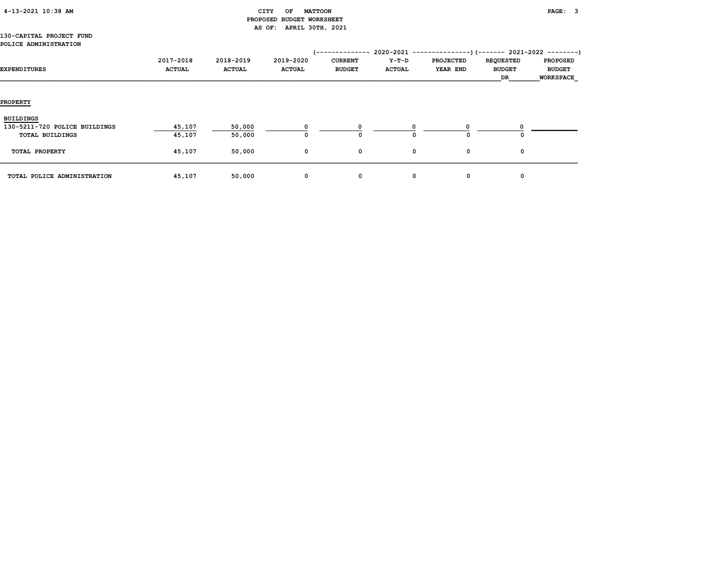|  | $4-13-2021$ $10:38$ AM |  |  |
|--|------------------------|--|--|
|--|------------------------|--|--|

# CITY OF MATTOON **PAGE:** 3 PROPOSED BUDGET WORKSHEET AS OF: APRIL 30TH, 2021

### 130-CAPITAL PROJECT FUND POLICE ADMINISTRATION

|                               |               |               |               | --------       | $2020 - 2021 - -$ | . - - - - - - - - - | $---)$ (------- 2021-2022 --------) |                 |
|-------------------------------|---------------|---------------|---------------|----------------|-------------------|---------------------|-------------------------------------|-----------------|
|                               | 2017-2018     | 2018-2019     | 2019-2020     | <b>CURRENT</b> | Y-T-D             | <b>PROJECTED</b>    | <b>REQUESTED</b>                    | <b>PROPOSED</b> |
| EXPENDITURES                  | <b>ACTUAL</b> | <b>ACTUAL</b> | <b>ACTUAL</b> | <b>BUDGET</b>  | <b>ACTUAL</b>     | YEAR END            | <b>BUDGET</b>                       | <b>BUDGET</b>   |
|                               |               |               |               |                |                   |                     | DR                                  | WORKSPACE       |
|                               |               |               |               |                |                   |                     |                                     |                 |
|                               |               |               |               |                |                   |                     |                                     |                 |
| <b>PROPERTY</b>               |               |               |               |                |                   |                     |                                     |                 |
|                               |               |               |               |                |                   |                     |                                     |                 |
| BUILDINGS                     |               |               |               |                |                   |                     |                                     |                 |
| 130-5211-720 POLICE BUILDINGS | 45,107        | 50,000        |               |                |                   |                     |                                     |                 |
| TOTAL BUILDINGS               | 45,107        | 50,000        | $\Omega$      | 0              |                   | 0                   |                                     |                 |
|                               |               |               |               |                |                   |                     |                                     |                 |
| TOTAL PROPERTY                | 45,107        | 50,000        | 0             | 0              | 0                 | 0                   | $\mathbf 0$                         |                 |
|                               |               |               |               |                |                   |                     |                                     |                 |
|                               |               |               |               |                |                   |                     |                                     |                 |
| TOTAL POLICE ADMINISTRATION   | 45,107        | 50,000        | 0             | 0              | 0                 | 0                   | 0                                   |                 |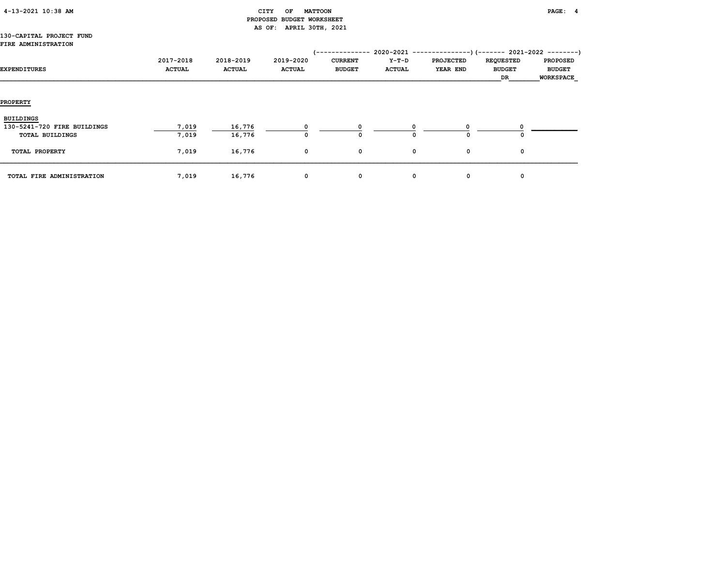| 4-13-2021 10:38 AM |  |  |
|--------------------|--|--|
|--------------------|--|--|

# CITY OF MATTOON **PAGE:** 4 PROPOSED BUDGET WORKSHEET AS OF: APRIL 30TH, 2021

### 130-CAPITAL PROJECT FUND FIRE ADMINISTRATION

| EXPENDITURES                                                       | 2017-2018<br><b>ACTUAL</b> | 2018-2019<br><b>ACTUAL</b> | 2019-2020<br><b>ACTUAL</b> | --------<br><b>CURRENT</b><br><b>BUDGET</b> | $2020 - 2021$ ---<br>Y-T-D<br><b>ACTUAL</b> | . <u>.</u> .<br><b>PROJECTED</b><br>YEAR END | --) (------- 2021-2022 ---------)<br><b>REQUESTED</b><br><b>BUDGET</b><br>DR | <b>PROPOSED</b><br><b>BUDGET</b><br><b>WORKSPACE</b> |
|--------------------------------------------------------------------|----------------------------|----------------------------|----------------------------|---------------------------------------------|---------------------------------------------|----------------------------------------------|------------------------------------------------------------------------------|------------------------------------------------------|
| <b>PROPERTY</b>                                                    |                            |                            |                            |                                             |                                             |                                              |                                                                              |                                                      |
| <b>BUILDINGS</b><br>130-5241-720 FIRE BUILDINGS<br>TOTAL BUILDINGS | 7,019<br>7,019             | 16,776<br>16,776           | O                          | 0                                           |                                             | $\Omega$                                     |                                                                              |                                                      |
| TOTAL PROPERTY                                                     | 7,019                      | 16,776                     | 0                          | 0                                           | 0                                           | 0                                            | 0                                                                            |                                                      |
| TOTAL FIRE ADMINISTRATION                                          | 7,019                      | 16,776                     | 0                          | 0                                           | 0                                           | 0                                            | $\Omega$                                                                     |                                                      |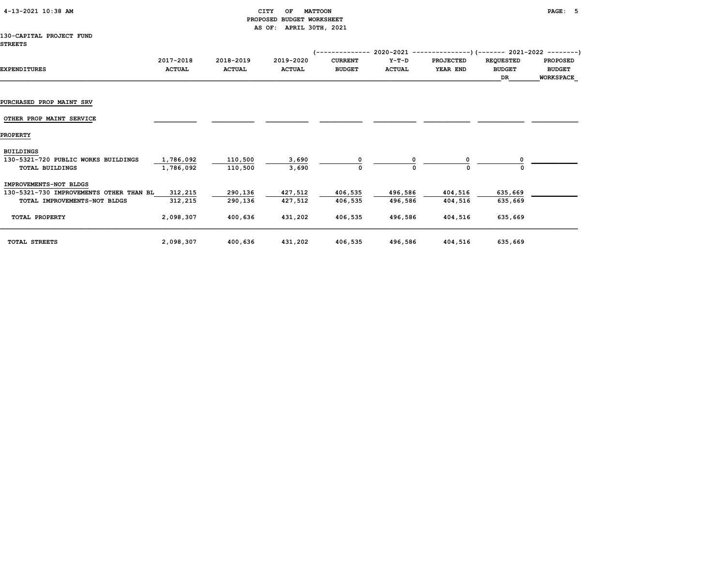| 4-13-2021 10:38 AM |  |  |
|--------------------|--|--|
|--------------------|--|--|

# CITY OF MATTOON **PAGE: 5**  PROPOSED BUDGET WORKSHEET AS OF: APRIL 30TH, 2021

### 130-CAPITAL PROJECT FUND STREETS

|                                         |               |               |               | ------------   |               | 2020-2021 ----------------) (------- 2021-2022 ---------) |                  |                 |
|-----------------------------------------|---------------|---------------|---------------|----------------|---------------|-----------------------------------------------------------|------------------|-----------------|
|                                         | 2017-2018     | 2018-2019     | 2019-2020     | <b>CURRENT</b> | $Y-T-D$       | <b>PROJECTED</b>                                          | <b>REQUESTED</b> | <b>PROPOSED</b> |
| <b>EXPENDITURES</b>                     | <b>ACTUAL</b> | <b>ACTUAL</b> | <b>ACTUAL</b> | <b>BUDGET</b>  | <b>ACTUAL</b> | YEAR END                                                  | <b>BUDGET</b>    | <b>BUDGET</b>   |
|                                         |               |               |               |                |               |                                                           | DR               | WORKSPACE       |
|                                         |               |               |               |                |               |                                                           |                  |                 |
| PURCHASED PROP MAINT SRV                |               |               |               |                |               |                                                           |                  |                 |
| OTHER PROP MAINT SERVICE                |               |               |               |                |               |                                                           |                  |                 |
| <b>PROPERTY</b>                         |               |               |               |                |               |                                                           |                  |                 |
| <b>BUILDINGS</b>                        |               |               |               |                |               |                                                           |                  |                 |
| 130-5321-720 PUBLIC WORKS BUILDINGS     | 1,786,092     | 110,500       | 3,690         |                |               |                                                           |                  |                 |
| <b>TOTAL BUILDINGS</b>                  | 1,786,092     | 110,500       | 3,690         | 0              |               | ი                                                         |                  |                 |
| IMPROVEMENTS-NOT BLDGS                  |               |               |               |                |               |                                                           |                  |                 |
| 130-5321-730 IMPROVEMENTS OTHER THAN BL | 312,215       | 290,136       | 427,512       | 406,535        | 496,586       | 404,516                                                   | 635,669          |                 |
| TOTAL IMPROVEMENTS-NOT BLDGS            | 312,215       | 290,136       | 427,512       | 406,535        | 496,586       | 404,516                                                   | 635,669          |                 |
| TOTAL PROPERTY                          | 2,098,307     | 400,636       | 431,202       | 406,535        | 496,586       | 404,516                                                   | 635,669          |                 |
| TOTAL STREETS                           | 2,098,307     | 400,636       | 431,202       | 406,535        | 496,586       | 404,516                                                   | 635,669          |                 |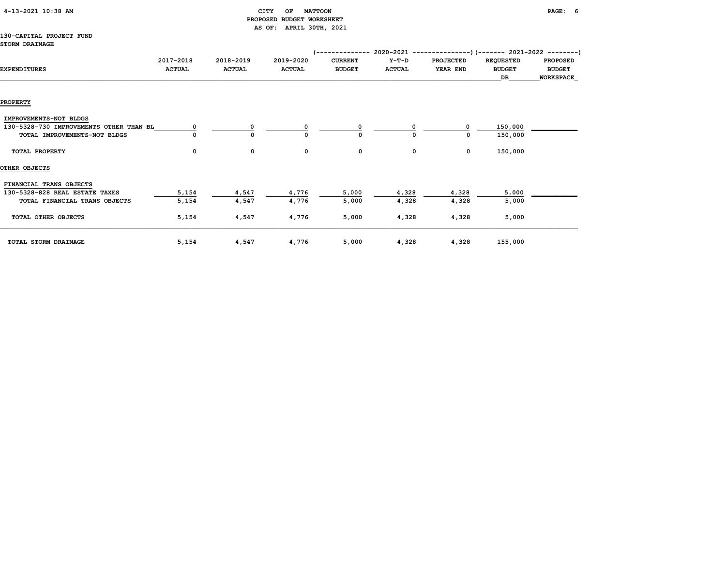| 4-13-2021 10:38 AM |  |  |
|--------------------|--|--|
|                    |  |  |

# $CITY$  OF MATTOON PAGE: 6 PROPOSED BUDGET WORKSHEET AS OF: APRIL 30TH, 2021

### 130-CAPITAL PROJECT FUND STORM DRAINAGE

|                                         |               |               |               | 1 - - - - - - - - - - - - - - | $2020 - 2021 -$ | -------------)(------- 2021-2022 --------) |                  |                  |
|-----------------------------------------|---------------|---------------|---------------|-------------------------------|-----------------|--------------------------------------------|------------------|------------------|
|                                         | 2017-2018     | 2018-2019     | 2019-2020     | <b>CURRENT</b>                | $Y-T-D$         | <b>PROJECTED</b>                           | <b>REQUESTED</b> | <b>PROPOSED</b>  |
| <b>EXPENDITURES</b>                     | <b>ACTUAL</b> | <b>ACTUAL</b> | <b>ACTUAL</b> | <b>BUDGET</b>                 | <b>ACTUAL</b>   | YEAR END                                   | <b>BUDGET</b>    | <b>BUDGET</b>    |
|                                         |               |               |               |                               |                 |                                            | DR               | <b>WORKSPACE</b> |
|                                         |               |               |               |                               |                 |                                            |                  |                  |
|                                         |               |               |               |                               |                 |                                            |                  |                  |
| <b>PROPERTY</b>                         |               |               |               |                               |                 |                                            |                  |                  |
| IMPROVEMENTS-NOT BLDGS                  |               |               |               |                               |                 |                                            |                  |                  |
| 130-5328-730 IMPROVEMENTS OTHER THAN BL |               | 0             | 0             | 0                             | O               | $\Omega$                                   | 150,000          |                  |
| TOTAL IMPROVEMENTS-NOT BLDGS            |               | $\mathbf 0$   | 0             | $\Omega$                      | 0               | 0                                          | 150,000          |                  |
|                                         |               |               |               |                               |                 |                                            |                  |                  |
| TOTAL PROPERTY                          | 0             | 0             | 0             | 0                             | 0               | 0                                          | 150,000          |                  |
|                                         |               |               |               |                               |                 |                                            |                  |                  |
| OTHER OBJECTS                           |               |               |               |                               |                 |                                            |                  |                  |
| FINANCIAL TRANS OBJECTS                 |               |               |               |                               |                 |                                            |                  |                  |
| 130-5328-828 REAL ESTATE TAXES          | 5,154         | 4,547         | 4,776         | 5,000                         | 4,328           | 4,328                                      | 5,000            |                  |
| TOTAL FINANCIAL TRANS OBJECTS           | 5,154         | 4,547         | 4,776         | 5,000                         | 4,328           | 4,328                                      | 5,000            |                  |
|                                         |               |               |               |                               |                 |                                            |                  |                  |
| TOTAL OTHER OBJECTS                     | 5,154         | 4,547         | 4,776         | 5,000                         | 4,328           | 4,328                                      | 5,000            |                  |
|                                         |               |               |               |                               |                 |                                            |                  |                  |
|                                         |               |               |               |                               |                 |                                            |                  |                  |
| TOTAL STORM DRAINAGE                    | 5,154         | 4,547         | 4,776         | 5,000                         | 4,328           | 4,328                                      | 155,000          |                  |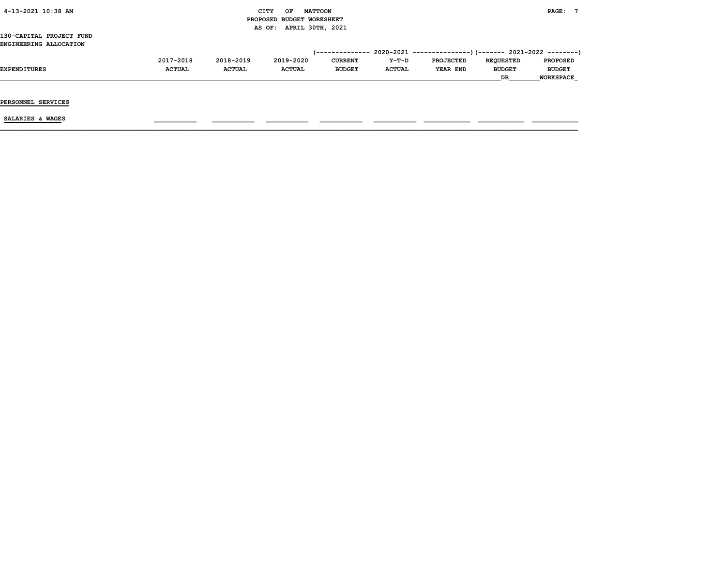| 4-13-2021 10:38 AM                                 |               |               | <b>MATTOON</b><br>CITY<br>OF<br>PROPOSED BUDGET WORKSHEET |                |               |                  |                  | PAGE: 7          |
|----------------------------------------------------|---------------|---------------|-----------------------------------------------------------|----------------|---------------|------------------|------------------|------------------|
| 130-CAPITAL PROJECT FUND<br>ENGINEERING ALLOCATION |               |               | APRIL 30TH, 2021<br>AS OF:                                |                |               |                  |                  |                  |
|                                                    |               |               |                                                           |                |               |                  |                  |                  |
|                                                    | 2017-2018     | 2018-2019     | 2019-2020                                                 | <b>CURRENT</b> | Y-T-D         | <b>PROJECTED</b> | <b>REQUESTED</b> | <b>PROPOSED</b>  |
| EXPENDITURES                                       | <b>ACTUAL</b> | <b>ACTUAL</b> | <b>ACTUAL</b>                                             | <b>BUDGET</b>  | <b>ACTUAL</b> | YEAR END         | <b>BUDGET</b>    | <b>BUDGET</b>    |
|                                                    |               |               |                                                           |                |               |                  | DR               | <b>WORKSPACE</b> |
| PERSONNEL SERVICES                                 |               |               |                                                           |                |               |                  |                  |                  |
| SALARIES & WAGES                                   |               |               |                                                           |                |               |                  |                  |                  |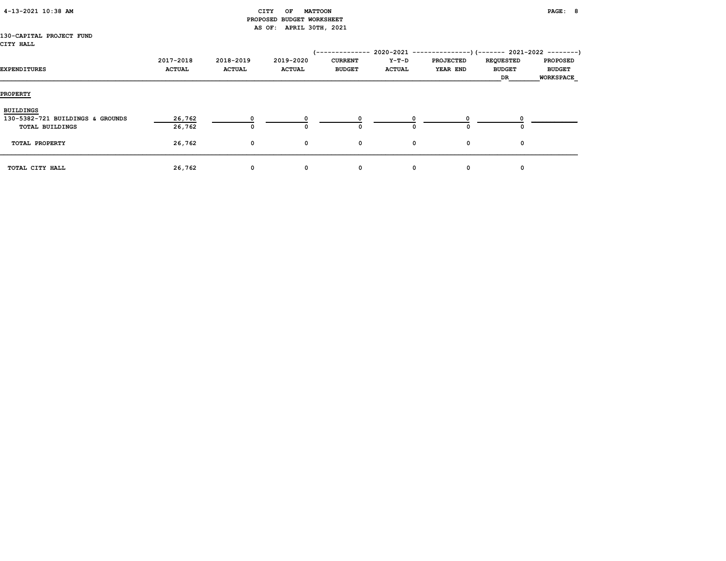# CITY OF MATTOON **PAGE: 8**  PROPOSED BUDGET WORKSHEET AS OF: APRIL 30TH, 2021

### 130-CAPITAL PROJECT FUND CITY HALL

| EXPENDITURES                     | 2017-2018<br><b>ACTUAL</b> | 2018-2019<br><b>ACTUAL</b> | 2019-2020<br><b>ACTUAL</b> | -----------<br><b>CURRENT</b><br><b>BUDGET</b> | Y-T-D<br><b>ACTUAL</b> | 2020-2021 ----------------) (------- 2021-2022 ---------)<br><b>PROJECTED</b><br>YEAR END | <b>REQUESTED</b><br><b>BUDGET</b><br>DR | <b>PROPOSED</b><br><b>BUDGET</b><br><b>WORKSPACE</b> |
|----------------------------------|----------------------------|----------------------------|----------------------------|------------------------------------------------|------------------------|-------------------------------------------------------------------------------------------|-----------------------------------------|------------------------------------------------------|
| <b>PROPERTY</b>                  |                            |                            |                            |                                                |                        |                                                                                           |                                         |                                                      |
| <b>BUILDINGS</b>                 |                            |                            |                            |                                                |                        |                                                                                           |                                         |                                                      |
| 130-5382-721 BUILDINGS & GROUNDS | 26,762                     | $\Omega$                   |                            |                                                |                        |                                                                                           |                                         |                                                      |
| <b>TOTAL BUILDINGS</b>           | 26,762                     | 0                          |                            | 0                                              | O                      | O                                                                                         | 0                                       |                                                      |
| TOTAL PROPERTY                   | 26,762                     | 0                          | 0                          | 0                                              | 0                      | 0                                                                                         | 0                                       |                                                      |
| TOTAL CITY HALL                  | 26,762                     | 0                          | 0                          | 0                                              | 0                      | 0                                                                                         | 0                                       |                                                      |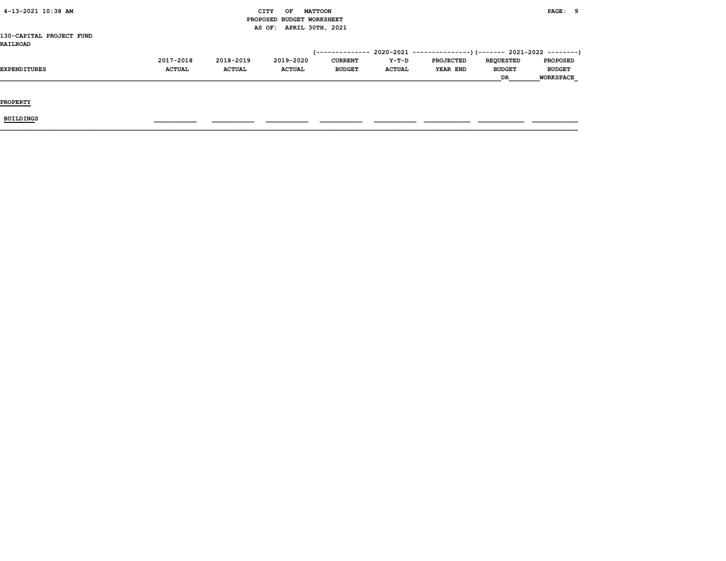| (------------- 2020-2021 ---------------)(------- 2021-2022 --------) |
|-----------------------------------------------------------------------|
|                                                                       |
|                                                                       |
|                                                                       |
|                                                                       |
|                                                                       |
| <b>PROPOSED</b>                                                       |
| <b>BUDGET</b>                                                         |
| <b>WORKSPACE</b>                                                      |
|                                                                       |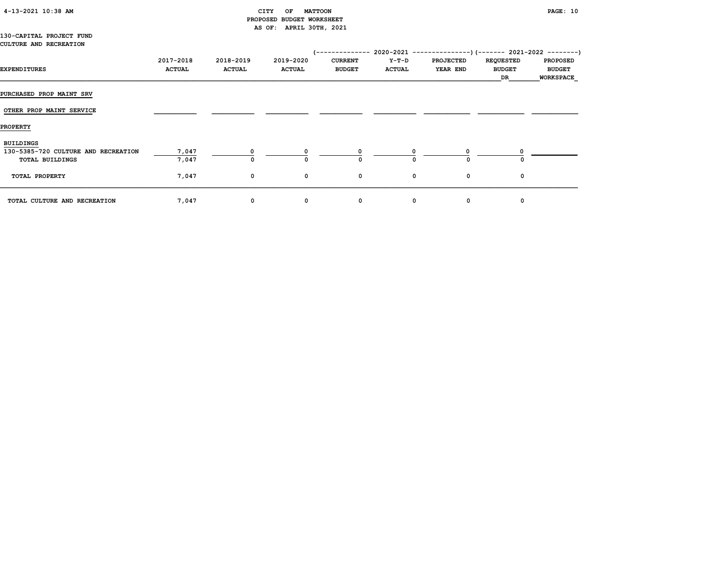# 4-13-2021 10:38 AM CITY OF MATTOON PAGE: 10 PROPOSED BUDGET WORKSHEET AS OF: APRIL 30TH, 2021

|  | 130-CAPITAL PROJECT FUND      |  |
|--|-------------------------------|--|
|  | <b>CULTURE AND RECREATION</b> |  |

| <b>EXPENDITURES</b>                 | 2017-2018<br><b>ACTUAL</b> | 2018-2019<br><b>ACTUAL</b> | 2019-2020<br><b>ACTUAL</b> | <b>CURRENT</b><br><b>BUDGET</b> | Y-T-D<br><b>ACTUAL</b> | <b>PROJECTED</b><br>YEAR END | <b>REQUESTED</b><br><b>BUDGET</b> | <b>PROPOSED</b><br><b>BUDGET</b> |
|-------------------------------------|----------------------------|----------------------------|----------------------------|---------------------------------|------------------------|------------------------------|-----------------------------------|----------------------------------|
|                                     |                            |                            |                            |                                 |                        |                              | DR                                | WORKSPACE                        |
| <b>PURCHASED PROP MAINT SRV</b>     |                            |                            |                            |                                 |                        |                              |                                   |                                  |
| OTHER PROP MAINT SERVICE            |                            |                            |                            |                                 |                        |                              |                                   |                                  |
| <b>PROPERTY</b>                     |                            |                            |                            |                                 |                        |                              |                                   |                                  |
| <b>BUILDINGS</b>                    |                            |                            |                            |                                 |                        |                              |                                   |                                  |
| 130-5385-720 CULTURE AND RECREATION | 7,047                      |                            |                            |                                 |                        |                              |                                   |                                  |
| TOTAL BUILDINGS                     | 7,047                      | $\Omega$                   | $\Omega$                   | $\Omega$                        | $\Omega$               | $\Omega$                     |                                   |                                  |
| TOTAL PROPERTY                      | 7,047                      | 0                          | 0                          | 0                               | 0                      | 0                            | 0                                 |                                  |
| TOTAL CULTURE AND RECREATION        | 7,047                      | 0                          | 0                          | 0                               | 0                      | 0                            | 0                                 |                                  |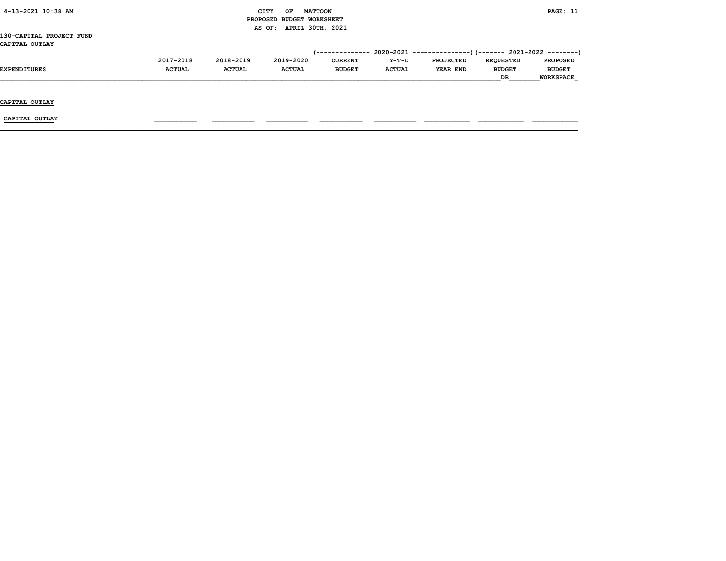| 4-13-2021 10:38 AM       |               | CITY<br>OF<br><b>MATTOON</b> |                           |                 |               |                                                                                                                                             | PAGE: 11 |                  |  |  |
|--------------------------|---------------|------------------------------|---------------------------|-----------------|---------------|---------------------------------------------------------------------------------------------------------------------------------------------|----------|------------------|--|--|
|                          |               |                              | PROPOSED BUDGET WORKSHEET |                 |               | 2020-2021 ----------------) (------- 2021-2022 ---------)<br><b>PROJECTED</b><br><b>REQUESTED</b><br><b>YEAR END</b><br><b>BUDGET</b><br>DR |          |                  |  |  |
|                          |               |                              | AS OF: APRIL 30TH, 2021   |                 |               |                                                                                                                                             |          |                  |  |  |
| 130-CAPITAL PROJECT FUND |               |                              |                           |                 |               |                                                                                                                                             |          |                  |  |  |
| CAPITAL OUTLAY           |               |                              |                           |                 |               |                                                                                                                                             |          |                  |  |  |
|                          |               |                              |                           | (-------------- |               |                                                                                                                                             |          |                  |  |  |
|                          | 2017-2018     | 2018-2019                    | 2019-2020                 | <b>CURRENT</b>  | Y-T-D         |                                                                                                                                             |          | <b>PROPOSED</b>  |  |  |
| <b>EXPENDITURES</b>      | <b>ACTUAL</b> | <b>ACTUAL</b>                | <b>ACTUAL</b>             | <b>BUDGET</b>   | <b>ACTUAL</b> |                                                                                                                                             |          | <b>BUDGET</b>    |  |  |
|                          |               |                              |                           |                 |               |                                                                                                                                             |          | <b>WORKSPACE</b> |  |  |
|                          |               |                              |                           |                 |               |                                                                                                                                             |          |                  |  |  |
|                          |               |                              |                           |                 |               |                                                                                                                                             |          |                  |  |  |
| CAPITAL OUTLAY           |               |                              |                           |                 |               |                                                                                                                                             |          |                  |  |  |
|                          |               |                              |                           |                 |               |                                                                                                                                             |          |                  |  |  |
| CAPITAL OUTLAY           |               |                              |                           |                 |               |                                                                                                                                             |          |                  |  |  |
|                          |               |                              |                           |                 |               |                                                                                                                                             |          |                  |  |  |
|                          |               |                              |                           |                 |               |                                                                                                                                             |          |                  |  |  |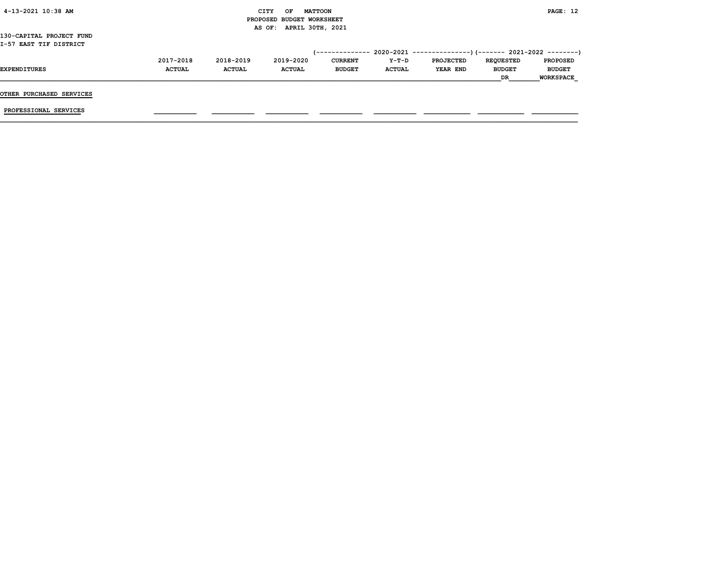| 4-13-2021 10:38 AM       |               |               | <b>CITY</b><br><b>MATTOON</b><br>OF |                 |               |                                                          |                  | PAGE: 12         |
|--------------------------|---------------|---------------|-------------------------------------|-----------------|---------------|----------------------------------------------------------|------------------|------------------|
|                          |               |               | PROPOSED BUDGET WORKSHEET           |                 |               |                                                          |                  |                  |
|                          |               |               | AS OF: APRIL 30TH, 2021             |                 |               |                                                          |                  |                  |
| 130-CAPITAL PROJECT FUND |               |               |                                     |                 |               |                                                          |                  |                  |
| I-57 EAST TIF DISTRICT   |               |               |                                     |                 |               |                                                          |                  |                  |
|                          |               |               |                                     | /-------------- |               | $2020-2021$ ---------------)(------- 2021-2022 --------) |                  |                  |
|                          | 2017-2018     | 2018-2019     | 2019-2020                           | <b>CURRENT</b>  | Y-T-D         | PROJECTED                                                | <b>REQUESTED</b> | <b>PROPOSED</b>  |
| <b>EXPENDITURES</b>      | <b>ACTUAL</b> | <b>ACTUAL</b> | <b>ACTUAL</b>                       | <b>BUDGET</b>   | <b>ACTUAL</b> | YEAR END                                                 | <b>BUDGET</b>    | <b>BUDGET</b>    |
|                          |               |               |                                     |                 |               |                                                          | DR.              | <b>WORKSPACE</b> |
|                          |               |               |                                     |                 |               |                                                          |                  |                  |
| OTHER PURCHASED SERVICES |               |               |                                     |                 |               |                                                          |                  |                  |
|                          |               |               |                                     |                 |               |                                                          |                  |                  |
| PROFESSIONAL SERVICES    |               |               |                                     |                 |               |                                                          |                  |                  |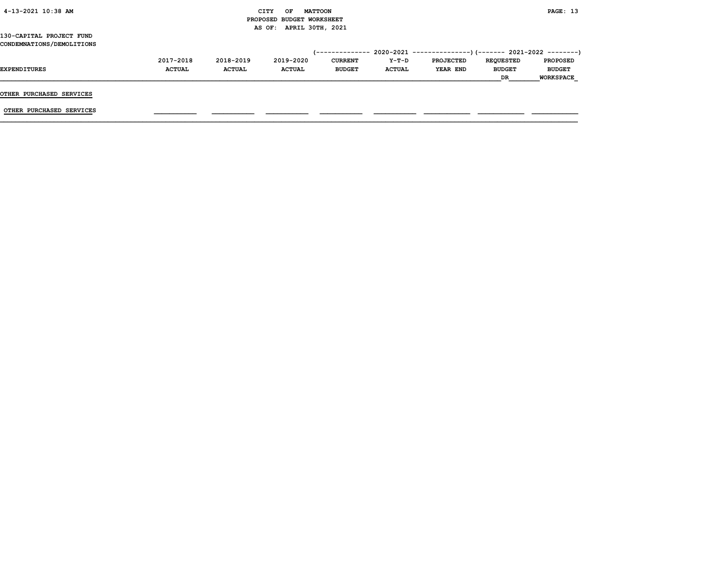| 4-13-2021 10:38 AM                                    |                            |                            | <b>MATTOON</b><br>OF<br>CITY<br>PROPOSED BUDGET WORKSHEET |                                 |                        |                              |                                         | PAGE: 13                                             |
|-------------------------------------------------------|----------------------------|----------------------------|-----------------------------------------------------------|---------------------------------|------------------------|------------------------------|-----------------------------------------|------------------------------------------------------|
| 130-CAPITAL PROJECT FUND<br>CONDEMNATIONS/DEMOLITIONS |                            |                            | AS OF: APRIL 30TH, 2021                                   |                                 |                        |                              |                                         |                                                      |
| <b>EXPENDITURES</b>                                   | 2017-2018<br><b>ACTUAL</b> | 2018-2019<br><b>ACTUAL</b> | 2019-2020<br><b>ACTUAL</b>                                | <b>CURRENT</b><br><b>BUDGET</b> | Y-T-D<br><b>ACTUAL</b> | <b>PROJECTED</b><br>YEAR END | <b>REQUESTED</b><br><b>BUDGET</b><br>DR | <b>PROPOSED</b><br><b>BUDGET</b><br><b>WORKSPACE</b> |
| OTHER PURCHASED SERVICES                              |                            |                            |                                                           |                                 |                        |                              |                                         |                                                      |
| OTHER PURCHASED SERVICES                              |                            |                            |                                                           |                                 |                        |                              |                                         |                                                      |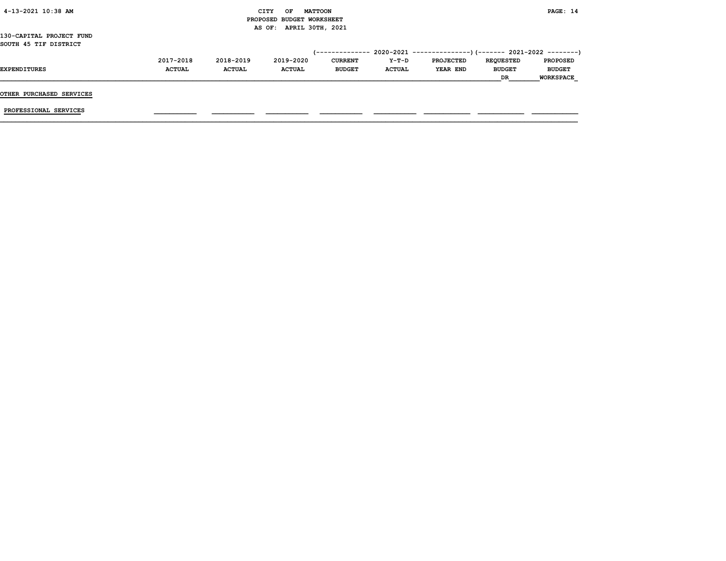| 4-13-2021 10:38 AM       |               |               | <b>CITY</b><br>OF         | <b>MATTOON</b> |               |                                                           |                  | PAGE: 14         |
|--------------------------|---------------|---------------|---------------------------|----------------|---------------|-----------------------------------------------------------|------------------|------------------|
|                          |               |               | PROPOSED BUDGET WORKSHEET |                |               |                                                           |                  |                  |
|                          |               |               | AS OF: APRIL 30TH, 2021   |                |               |                                                           |                  |                  |
| 130-CAPITAL PROJECT FUND |               |               |                           |                |               |                                                           |                  |                  |
| SOUTH 45 TIF DISTRICT    |               |               |                           |                |               |                                                           |                  |                  |
|                          |               |               |                           | -------------- |               | 2020-2021 ----------------) (------- 2021-2022 ---------) |                  |                  |
|                          | 2017-2018     | 2018-2019     | 2019-2020                 | <b>CURRENT</b> | Y-T-D         | PROJECTED                                                 | <b>REQUESTED</b> | <b>PROPOSED</b>  |
| <b>EXPENDITURES</b>      | <b>ACTUAL</b> | <b>ACTUAL</b> | <b>ACTUAL</b>             | <b>BUDGET</b>  | <b>ACTUAL</b> | YEAR END                                                  | <b>BUDGET</b>    | <b>BUDGET</b>    |
|                          |               |               |                           |                |               |                                                           | DR.              | <b>WORKSPACE</b> |
|                          |               |               |                           |                |               |                                                           |                  |                  |
| OTHER PURCHASED SERVICES |               |               |                           |                |               |                                                           |                  |                  |
|                          |               |               |                           |                |               |                                                           |                  |                  |
| PROFESSIONAL SERVICES    |               |               |                           |                |               |                                                           |                  |                  |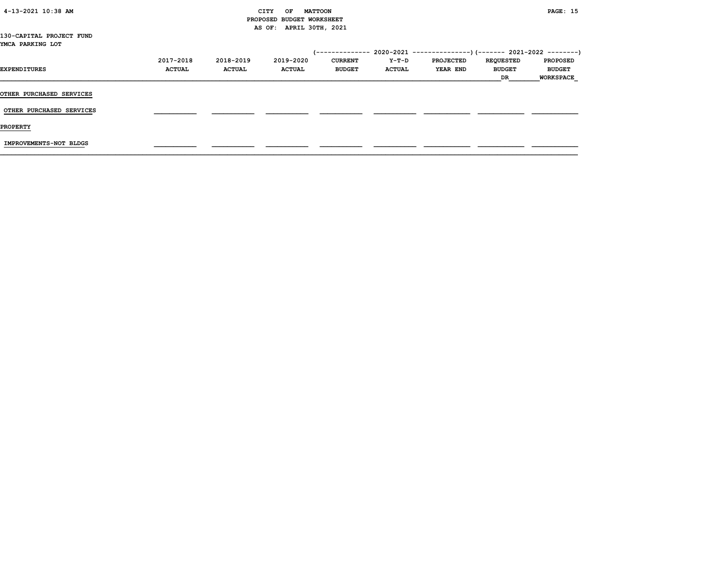| 4-13-2021 10:38 AM                           |               |               | CITY<br>OF<br><b>MATTOON</b><br>PROPOSED BUDGET WORKSHEET |                | <b>PAGE: 15</b> |                  |                  |                  |
|----------------------------------------------|---------------|---------------|-----------------------------------------------------------|----------------|-----------------|------------------|------------------|------------------|
|                                              |               |               | AS OF: APRIL 30TH, 2021                                   |                |                 |                  |                  |                  |
| 130-CAPITAL PROJECT FUND<br>YMCA PARKING LOT |               |               |                                                           |                |                 |                  |                  |                  |
|                                              |               |               |                                                           |                |                 |                  |                  |                  |
|                                              | 2017-2018     | 2018-2019     | 2019-2020                                                 | <b>CURRENT</b> | Y-T-D           | <b>PROJECTED</b> | <b>REQUESTED</b> | <b>PROPOSED</b>  |
| EXPENDITURES                                 | <b>ACTUAL</b> | <b>ACTUAL</b> | <b>ACTUAL</b>                                             | <b>BUDGET</b>  | <b>ACTUAL</b>   | <b>YEAR END</b>  | <b>BUDGET</b>    | <b>BUDGET</b>    |
|                                              |               |               |                                                           |                |                 |                  | DR               | <b>WORKSPACE</b> |
| <b>OTHER PURCHASED SERVICES</b>              |               |               |                                                           |                |                 |                  |                  |                  |
| OTHER PURCHASED SERVICES                     |               |               |                                                           |                |                 |                  |                  |                  |
| <b>PROPERTY</b>                              |               |               |                                                           |                |                 |                  |                  |                  |
| IMPROVEMENTS-NOT BLDGS                       |               |               |                                                           |                |                 |                  |                  |                  |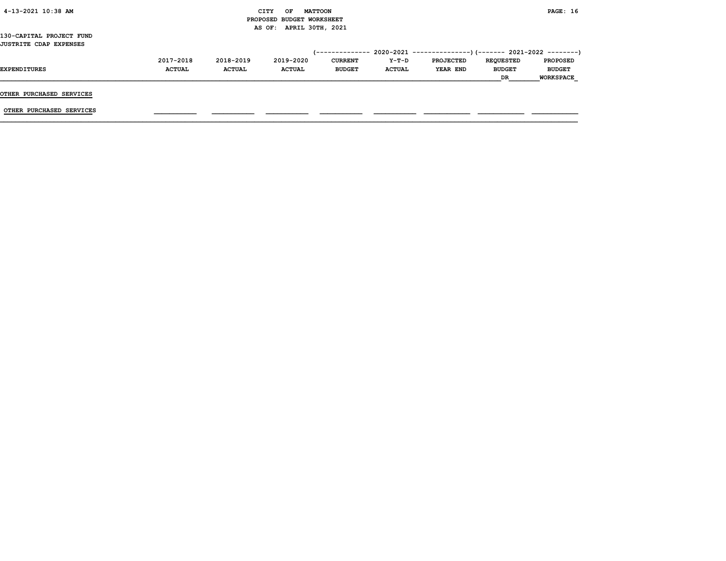| 4-13-2021 10:38 AM |  |
|--------------------|--|
|                    |  |

# CITY OF MATTOON **PAGE:** 16 PROPOSED BUDGET WORKSHEET AS OF: APRIL 30TH, 2021

130-CAPITAL PROJECT FUND JUSTRITE CDAP EXPENSES

|                     | 2017-2018     | 2018-2019     | 2019-2020     | <b>CURRENT</b> | $Y-T-D$       | <b>PROJECTED</b> | <b>REOUESTED</b> | <b>PROPOSED</b>  |
|---------------------|---------------|---------------|---------------|----------------|---------------|------------------|------------------|------------------|
| <b>EXPENDITURES</b> | <b>ACTUAL</b> | <b>ACTUAL</b> | <b>ACTUAL</b> | <b>BUDGET</b>  | <b>ACTUAL</b> | YEAR END         | <b>BUDGET</b>    | <b>BUDGET</b>    |
|                     |               |               |               |                |               |                  | <b>DR</b>        | <b>WORKSPACE</b> |
|                     |               |               |               |                |               |                  |                  |                  |

OTHER PURCHASED SERVICES

OTHER PURCHASED SERVICES \_\_\_\_\_\_\_\_\_\_\_ \_\_\_\_\_\_\_\_\_\_\_ \_\_\_\_\_\_\_\_\_\_\_ \_\_\_\_\_\_\_\_\_\_\_ \_\_\_\_\_\_\_\_\_\_\_ \_\_\_\_\_\_\_\_\_\_\_\_ \_\_\_\_\_\_\_\_\_\_\_\_ \_\_\_\_\_\_\_\_\_\_\_\_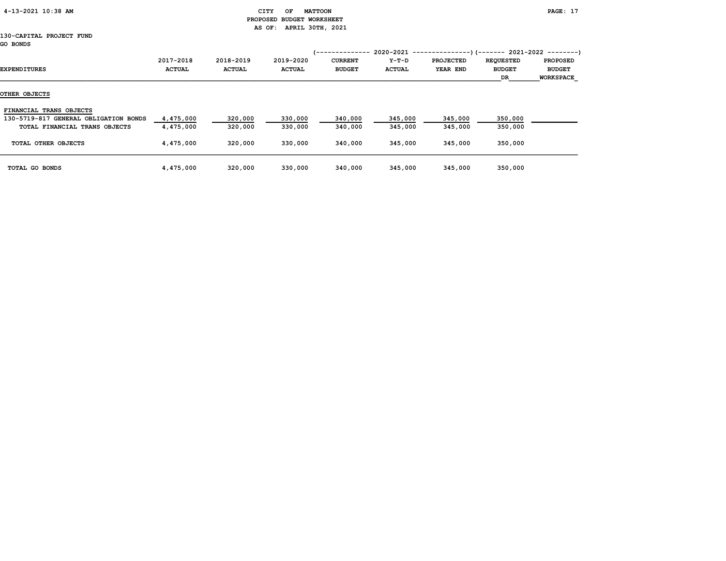| 4-13-2021 10:38 AM |  |
|--------------------|--|
|                    |  |

# CITY OF MATTOON **PAGE: 17**  PROPOSED BUDGET WORKSHEET AS OF: APRIL 30TH, 2021

#### 130-CAPITAL PROJECT FUND GO BONDS

| EXPENDITURES                          | 2017-2018<br><b>ACTUAL</b> | 2018-2019<br><b>ACTUAL</b> | 2019-2020<br><b>ACTUAL</b> | <b>CURRENT</b><br><b>BUDGET</b> | 2020-2021<br>Y-T-D<br><b>ACTUAL</b> | <b>PROJECTED</b><br>YEAR END | -)(------- 2021-2022 --------)<br><b>REQUESTED</b><br><b>BUDGET</b><br>DR | <b>PROPOSED</b><br><b>BUDGET</b><br><b>WORKSPACE</b> |
|---------------------------------------|----------------------------|----------------------------|----------------------------|---------------------------------|-------------------------------------|------------------------------|---------------------------------------------------------------------------|------------------------------------------------------|
| OTHER OBJECTS                         |                            |                            |                            |                                 |                                     |                              |                                                                           |                                                      |
| FINANCIAL TRANS OBJECTS               |                            |                            |                            |                                 |                                     |                              |                                                                           |                                                      |
| 130-5719-817 GENERAL OBLIGATION BONDS | 4,475,000                  | 320,000                    | 330,000                    | 340,000                         | 345,000                             | 345,000                      | 350,000                                                                   |                                                      |
| TOTAL FINANCIAL TRANS OBJECTS         | 4,475,000                  | 320,000                    | 330,000                    | 340,000                         | 345,000                             | 345,000                      | 350,000                                                                   |                                                      |
| TOTAL OTHER OBJECTS                   | 4,475,000                  | 320,000                    | 330,000                    | 340,000                         | 345,000                             | 345,000                      | 350,000                                                                   |                                                      |
| TOTAL GO BONDS                        | 4,475,000                  | 320,000                    | 330,000                    | 340,000                         | 345,000                             | 345,000                      | 350,000                                                                   |                                                      |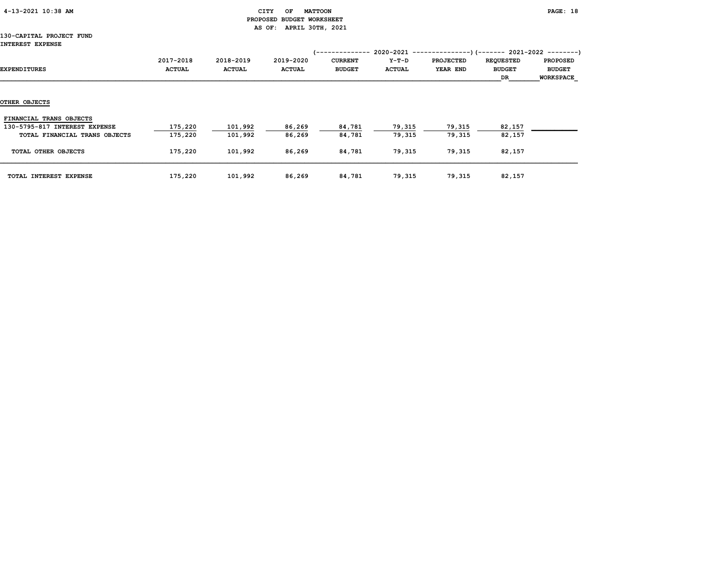| 4-13-2021 10:38 AM |  |  |
|--------------------|--|--|
|--------------------|--|--|

## CITY OF MATTOON **PAGE:** 18 PROPOSED BUDGET WORKSHEET AS OF: APRIL 30TH, 2021

### 130-CAPITAL PROJECT FUND INT<sub>.</sub>

| <b>INTEREST EXPENSE</b>                                  |                            |                            |                            | . <u>.</u>                      |                          | 2020-2021 ----------------) (------- 2021-2022 ---------) |                                         |                                                      |
|----------------------------------------------------------|----------------------------|----------------------------|----------------------------|---------------------------------|--------------------------|-----------------------------------------------------------|-----------------------------------------|------------------------------------------------------|
| EXPENDITURES                                             | 2017-2018<br><b>ACTUAL</b> | 2018-2019<br><b>ACTUAL</b> | 2019-2020<br><b>ACTUAL</b> | <b>CURRENT</b><br><b>BUDGET</b> | $Y-T-D$<br><b>ACTUAL</b> | <b>PROJECTED</b><br>YEAR END                              | <b>REQUESTED</b><br><b>BUDGET</b><br>DR | <b>PROPOSED</b><br><b>BUDGET</b><br><b>WORKSPACE</b> |
| OTHER OBJECTS                                            |                            |                            |                            |                                 |                          |                                                           |                                         |                                                      |
| FINANCIAL TRANS OBJECTS<br>130-5795-817 INTEREST EXPENSE | 175,220                    | 101,992                    | 86,269                     | 84,781                          | 79,315                   | 79,315                                                    | 82,157                                  |                                                      |
| TOTAL FINANCIAL TRANS OBJECTS                            | 175,220                    | 101,992                    | 86,269                     | 84,781                          | 79,315                   | 79,315                                                    | 82,157                                  |                                                      |
| TOTAL OTHER OBJECTS                                      | 175,220                    | 101,992                    | 86,269                     | 84,781                          | 79,315                   | 79,315                                                    | 82,157                                  |                                                      |
| TOTAL INTEREST EXPENSE                                   | 175,220                    | 101,992                    | 86,269                     | 84,781                          | 79,315                   | 79,315                                                    | 82,157                                  |                                                      |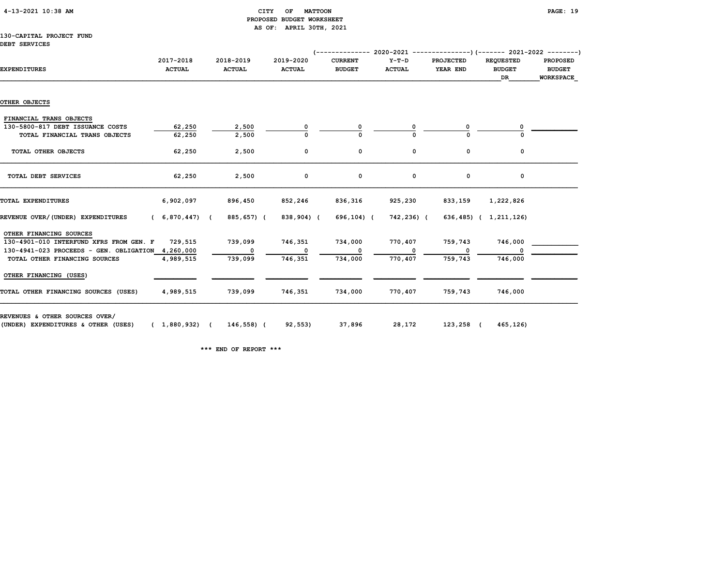# CITY OF MATTOON **PAGE:** 19 PROPOSED BUDGET WORKSHEET AS OF: APRIL 30TH, 2021

### 130-CAPITAL PROJECT FUND DEBT SERVICES

|                                                   |                                      |                            |            |                            |                                 |                          |                              | $(---------- 2020-2021$ ----------------) (------- 2021-2022 --------) |                                                      |
|---------------------------------------------------|--------------------------------------|----------------------------|------------|----------------------------|---------------------------------|--------------------------|------------------------------|------------------------------------------------------------------------|------------------------------------------------------|
| <b>EXPENDITURES</b>                               | 2017-2018<br><b>ACTUAL</b>           | 2018-2019<br><b>ACTUAL</b> |            | 2019-2020<br><b>ACTUAL</b> | <b>CURRENT</b><br><b>BUDGET</b> | $Y-T-D$<br><b>ACTUAL</b> | <b>PROJECTED</b><br>YEAR END | <b>REQUESTED</b><br><b>BUDGET</b><br>DR                                | <b>PROPOSED</b><br><b>BUDGET</b><br><b>WORKSPACE</b> |
|                                                   |                                      |                            |            |                            |                                 |                          |                              |                                                                        |                                                      |
| OTHER OBJECTS                                     |                                      |                            |            |                            |                                 |                          |                              |                                                                        |                                                      |
| FINANCIAL TRANS OBJECTS                           |                                      |                            |            |                            |                                 |                          |                              |                                                                        |                                                      |
| 130-5800-817 DEBT ISSUANCE COSTS                  | 62,250                               |                            | 2,500      |                            |                                 |                          |                              |                                                                        |                                                      |
| TOTAL FINANCIAL TRANS OBJECTS                     | 62,250                               |                            | 2,500      |                            |                                 |                          |                              |                                                                        |                                                      |
| TOTAL OTHER OBJECTS                               | 62,250                               |                            | 2,500      | 0                          | 0                               | 0                        | 0                            | 0                                                                      |                                                      |
| TOTAL DEBT SERVICES                               | 62,250                               |                            | 2,500      | 0                          | 0                               | 0                        | 0                            | 0                                                                      |                                                      |
| TOTAL EXPENDITURES                                | 6,902,097                            |                            | 896,450    | 852,246                    | 836,316                         | 925,230                  | 833,159                      | 1,222,826                                                              |                                                      |
| REVENUE OVER/(UNDER) EXPENDITURES                 | (6,870,447)                          |                            | 885,657) ( | 838,904) (                 | 696,104) (                      | 742,236) (               |                              | 636,485) ( 1,211,126)                                                  |                                                      |
| OTHER FINANCING SOURCES                           |                                      |                            |            |                            |                                 |                          |                              |                                                                        |                                                      |
| 130-4901-010 INTERFUND XFRS FROM GEN. F           | 729,515                              | 739,099                    |            | 746,351                    | 734,000                         | 770,407                  | 759,743                      | 746,000                                                                |                                                      |
| 130-4941-023 PROCEEDS - GEN. OBLIGATION 4,260,000 |                                      |                            | $^{\circ}$ | $\mathbf{o}$               |                                 | 0                        |                              |                                                                        |                                                      |
| TOTAL OTHER FINANCING SOURCES                     | 4,989,515                            |                            | 739,099    | 746,351                    | 734,000                         | 770,407                  | 759,743                      | 746,000                                                                |                                                      |
| OTHER FINANCING (USES)                            |                                      |                            |            |                            |                                 |                          |                              |                                                                        |                                                      |
| TOTAL OTHER FINANCING SOURCES (USES)              | 4,989,515                            |                            | 739,099    | 746,351                    | 734,000                         | 770,407                  | 759,743                      | 746,000                                                                |                                                      |
| REVENUES & OTHER SOURCES OVER/                    |                                      |                            |            |                            |                                 |                          |                              |                                                                        |                                                      |
| (UNDER) EXPENDITURES & OTHER (USES)               | $(1,880,932)$ $(146,558)$ $(92,553)$ |                            |            |                            | 37,896                          |                          | 28,172 123,258 (             | 465,126)                                                               |                                                      |

\*\*\* END OF REPORT \*\*\*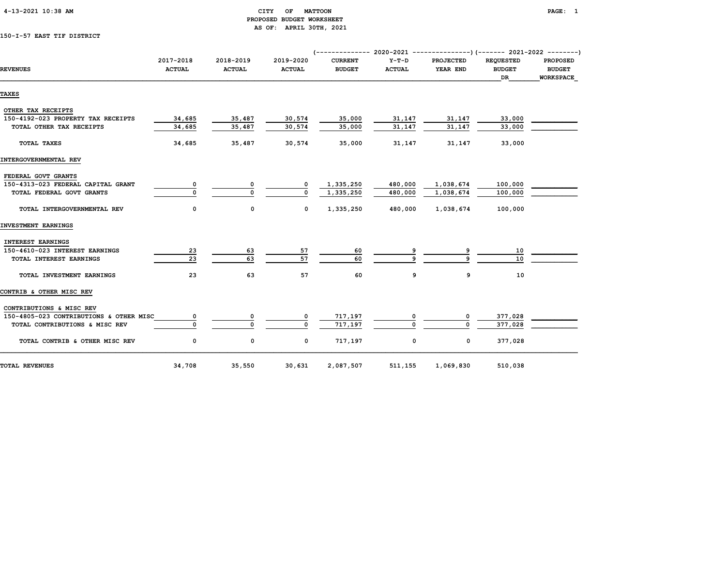| 4-13-2021 10:38 AM |  |
|--------------------|--|
|                    |  |

# CITY OF MATTOON **EXAMPLE ALSO AMELIAN CONTRACT AND ACCEPT ACCEPT ACCEPT ACCEPT ACCEPT ACCEPT**  PROPOSED BUDGET WORKSHEET AS OF: APRIL 30TH, 2021

# 150-I-57 EAST TIF DISTRICT

| <b>REVENUES</b>                         | 2017-2018<br><b>ACTUAL</b> | 2018-2019<br><b>ACTUAL</b> | 2019-2020<br><b>ACTUAL</b> | <b>CURRENT</b><br><b>BUDGET</b> | $Y-T-D$<br><b>ACTUAL</b> | <b>PROJECTED</b><br>YEAR END | <b>REOUESTED</b><br><b>BUDGET</b><br>DR | <b>PROPOSED</b><br><b>BUDGET</b><br><b>WORKSPACE</b> |  |
|-----------------------------------------|----------------------------|----------------------------|----------------------------|---------------------------------|--------------------------|------------------------------|-----------------------------------------|------------------------------------------------------|--|
| TAXES                                   |                            |                            |                            |                                 |                          |                              |                                         |                                                      |  |
| OTHER TAX RECEIPTS                      |                            |                            |                            |                                 |                          |                              |                                         |                                                      |  |
| 150-4192-023 PROPERTY TAX RECEIPTS      | 34,685                     | 35,487                     | 30,574                     | 35,000                          | 31,147                   | 31,147                       | 33,000                                  |                                                      |  |
| TOTAL OTHER TAX RECEIPTS                | 34,685                     | 35,487                     | 30,574                     | 35,000                          | 31,147                   | 31,147                       | 33,000                                  |                                                      |  |
| TOTAL TAXES                             | 34,685                     | 35,487                     | 30,574                     | 35,000                          | 31,147                   | 31,147                       | 33,000                                  |                                                      |  |
| INTERGOVERNMENTAL REV                   |                            |                            |                            |                                 |                          |                              |                                         |                                                      |  |
| FEDERAL GOVT GRANTS                     |                            |                            |                            |                                 |                          |                              |                                         |                                                      |  |
| 150-4313-023 FEDERAL CAPITAL GRANT      | 0                          | 0                          | 0                          | 1,335,250                       | 480,000                  | 1,038,674                    | 100,000                                 |                                                      |  |
| TOTAL FEDERAL GOVT GRANTS               | $\Omega$                   | $\Omega$                   | <sup>0</sup>               | 1,335,250                       | 480,000                  | 1,038,674                    | 100,000                                 |                                                      |  |
|                                         |                            |                            |                            |                                 |                          |                              |                                         |                                                      |  |
| TOTAL INTERGOVERNMENTAL REV             | 0                          | 0                          | 0                          | 1,335,250                       | 480,000                  | 1,038,674                    | 100,000                                 |                                                      |  |
| INVESTMENT EARNINGS                     |                            |                            |                            |                                 |                          |                              |                                         |                                                      |  |
| <b>INTEREST EARNINGS</b>                |                            |                            |                            |                                 |                          |                              |                                         |                                                      |  |
| 150-4610-023 INTEREST EARNINGS          | 23                         | 63                         | 57                         | 60                              |                          |                              | 10                                      |                                                      |  |
| TOTAL INTEREST EARNINGS                 | 23                         | 63                         | 57                         | 60                              |                          |                              | 10                                      |                                                      |  |
| TOTAL INVESTMENT EARNINGS               | 23                         | 63                         | 57                         | 60                              | 9                        | 9                            | 10                                      |                                                      |  |
| CONTRIB & OTHER MISC REV                |                            |                            |                            |                                 |                          |                              |                                         |                                                      |  |
| CONTRIBUTIONS & MISC REV                |                            |                            |                            |                                 |                          |                              |                                         |                                                      |  |
| 150-4805-023 CONTRIBUTIONS & OTHER MISC | 0                          | 0                          | 0                          | 717,197                         |                          | 0                            | 377,028                                 |                                                      |  |
| TOTAL CONTRIBUTIONS & MISC REV          | $\Omega$                   | $\Omega$                   | $\mathbf{0}$               | 717,197                         |                          | $\Omega$                     | 377,028                                 |                                                      |  |
| TOTAL CONTRIB & OTHER MISC REV          | 0                          | 0                          | 0                          | 717,197                         | 0                        | 0                            | 377,028                                 |                                                      |  |
| <b>TOTAL REVENUES</b>                   | 34,708                     | 35,550                     | 30,631                     | 2,087,507                       | 511,155                  | 1,069,830                    | 510,038                                 |                                                      |  |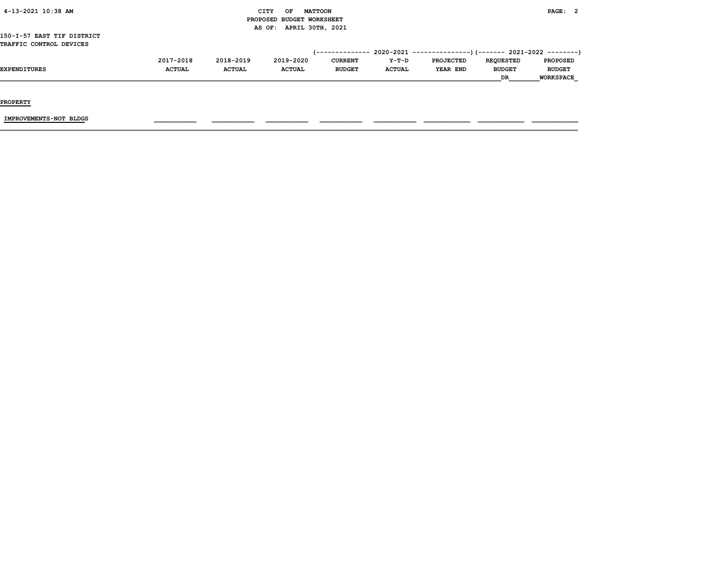|  | 4-13-2021 10:38 AM |  |  |
|--|--------------------|--|--|
|--|--------------------|--|--|

# CITY OF MATTOON **EXAMPLE ALSO AMELIAN CITY** OF MATTOON PROPOSED BUDGET WORKSHEET AS OF: APRIL 30TH, 2021

### 150-I-57 EAST TIF DISTRICT TRAFFIC CONTROL DEVICES

|                     | 2017-2018     | 2018-2019     | 2019-2020     | <b>CURRENT</b> | $Y-T-D$       | <b>PROJECTED</b> | <b>REOUESTED</b> | <b>PROPOSED</b> |
|---------------------|---------------|---------------|---------------|----------------|---------------|------------------|------------------|-----------------|
| <b>EXPENDITURES</b> | <b>ACTUAL</b> | <b>ACTUAL</b> | <b>ACTUAL</b> | <b>BUDGET</b>  | <b>ACTUAL</b> | YEAR END         | <b>BUDGET</b>    | <b>BUDGET</b>   |
|                     |               |               |               |                |               |                  | DR               | WORKSPACE       |

PROPERTY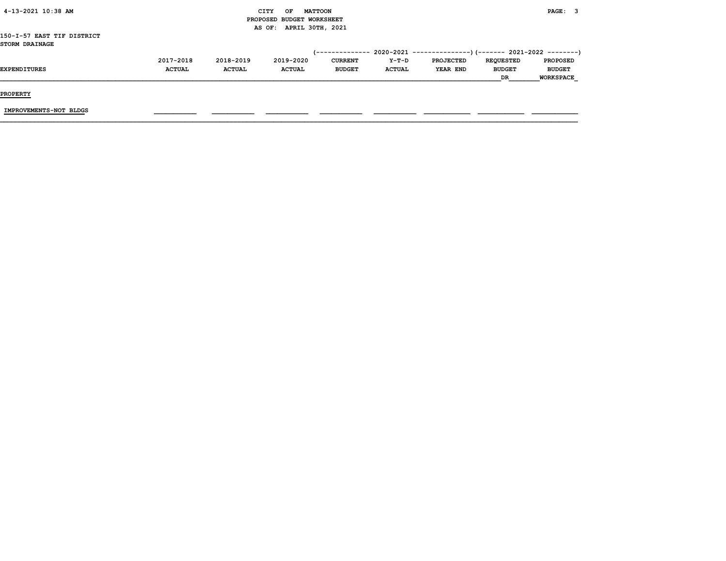|               |               | OF            |                   |                                                                        |                  |                  | PAGE: 3       |                                                                                                 |
|---------------|---------------|---------------|-------------------|------------------------------------------------------------------------|------------------|------------------|---------------|-------------------------------------------------------------------------------------------------|
|               |               |               |                   |                                                                        |                  |                  |               |                                                                                                 |
|               |               |               |                   |                                                                        |                  |                  |               |                                                                                                 |
|               |               |               |                   |                                                                        |                  |                  |               |                                                                                                 |
|               |               |               |                   |                                                                        |                  |                  |               |                                                                                                 |
|               |               |               |                   |                                                                        |                  |                  |               |                                                                                                 |
| 2017-2018     | 2018-2019     |               | <b>CURRENT</b>    | Y-T-D                                                                  | <b>PROJECTED</b> | <b>REQUESTED</b> |               |                                                                                                 |
| <b>ACTUAL</b> | <b>ACTUAL</b> | <b>ACTUAL</b> | <b>BUDGET</b>     | <b>ACTUAL</b>                                                          | YEAR END         | <b>BUDGET</b>    | <b>BUDGET</b> |                                                                                                 |
|               |               |               |                   |                                                                        |                  | DR.              |               |                                                                                                 |
|               |               |               | CITY<br>2019-2020 | <b>MATTOON</b><br>PROPOSED BUDGET WORKSHEET<br>AS OF: APRIL 30TH, 2021 | (--------------  |                  |               | $2020-2021$ ---------------)(------- 2021-2022 --------)<br><b>PROPOSED</b><br><b>WORKSPACE</b> |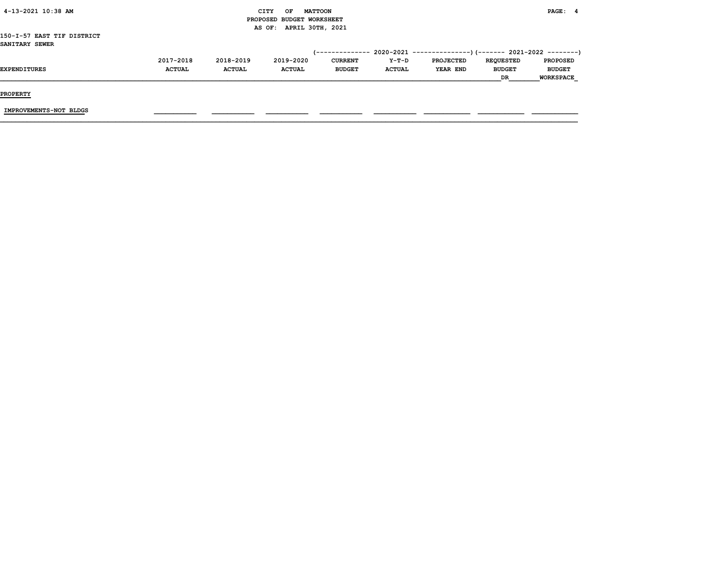| 4-13-2021 10:38 AM                           |               | CITY          | OF<br>PROPOSED BUDGET WORKSHEET | <b>MATTOON</b>         |               |                                                          |                  | PAGE: 4          |  |
|----------------------------------------------|---------------|---------------|---------------------------------|------------------------|---------------|----------------------------------------------------------|------------------|------------------|--|
|                                              |               |               | AS OF:                          | APRIL 30TH, 2021       |               |                                                          |                  |                  |  |
| 150-I-57 EAST TIF DISTRICT<br>SANITARY SEWER |               |               |                                 |                        |               |                                                          |                  |                  |  |
|                                              |               |               |                                 | <i>(--------------</i> |               | 2020-2021 ----------------)(------- 2021-2022 ---------) |                  |                  |  |
|                                              | 2017-2018     | 2018-2019     | 2019-2020                       | <b>CURRENT</b>         | Y-T-D         | <b>PROJECTED</b>                                         | <b>REQUESTED</b> | <b>PROPOSED</b>  |  |
| <b>EXPENDITURES</b>                          | <b>ACTUAL</b> | <b>ACTUAL</b> | <b>ACTUAL</b>                   | <b>BUDGET</b>          | <b>ACTUAL</b> | <b>YEAR END</b>                                          | <b>BUDGET</b>    | <b>BUDGET</b>    |  |
|                                              |               |               |                                 |                        |               |                                                          | <b>DR</b>        | <b>WORKSPACE</b> |  |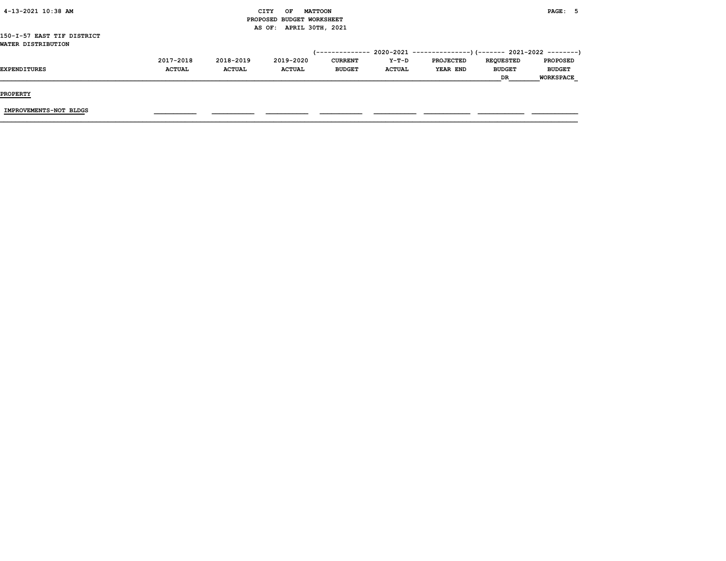| 4-13-2021 10:38 AM         |               |               | OF<br>CITY                | <b>MATTOON</b>  |               |                                                           |                  | PAGE: 5          |
|----------------------------|---------------|---------------|---------------------------|-----------------|---------------|-----------------------------------------------------------|------------------|------------------|
|                            |               |               | PROPOSED BUDGET WORKSHEET |                 |               |                                                           |                  |                  |
|                            |               |               | AS OF: APRIL 30TH, 2021   |                 |               |                                                           |                  |                  |
| 150-I-57 EAST TIF DISTRICT |               |               |                           |                 |               |                                                           |                  |                  |
| WATER DISTRIBUTION         |               |               |                           |                 |               |                                                           |                  |                  |
|                            |               |               |                           | (-------------- |               | $2020-2021$ ---------------) (------- 2021-2022 --------) |                  |                  |
|                            | 2017-2018     | 2018-2019     | 2019-2020                 | <b>CURRENT</b>  | Y-T-D         | <b>PROJECTED</b>                                          | <b>REQUESTED</b> | <b>PROPOSED</b>  |
| <b>EXPENDITURES</b>        | <b>ACTUAL</b> | <b>ACTUAL</b> | <b>ACTUAL</b>             | <b>BUDGET</b>   | <b>ACTUAL</b> | <b>YEAR END</b>                                           | <b>BUDGET</b>    | <b>BUDGET</b>    |
|                            |               |               |                           |                 |               |                                                           | DR.              | <b>WORKSPACE</b> |
|                            |               |               |                           |                 |               |                                                           |                  |                  |
|                            |               |               |                           |                 |               |                                                           |                  |                  |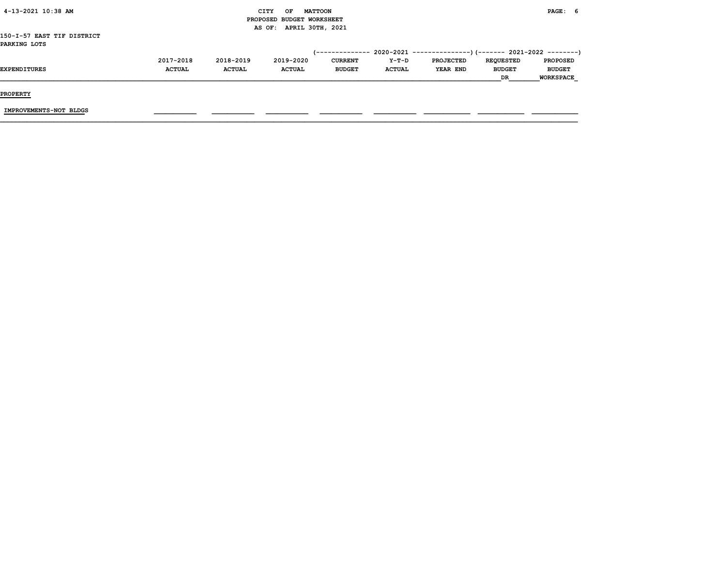| ---------                  |               |               |                           |                 |               |                                                           |                  |                  |  |
|----------------------------|---------------|---------------|---------------------------|-----------------|---------------|-----------------------------------------------------------|------------------|------------------|--|
|                            |               |               |                           |                 |               |                                                           | <b>DR</b>        | <b>WORKSPACE</b> |  |
| <b>EXPENDITURES</b>        | <b>ACTUAL</b> | <b>ACTUAL</b> | <b>ACTUAL</b>             | <b>BUDGET</b>   | <b>ACTUAL</b> | <b>YEAR END</b>                                           | <b>BUDGET</b>    | <b>BUDGET</b>    |  |
|                            | 2017-2018     | 2018-2019     | 2019-2020                 | <b>CURRENT</b>  | Y-T-D         | <b>PROJECTED</b>                                          | <b>REQUESTED</b> | <b>PROPOSED</b>  |  |
|                            |               |               |                           | (-------------- |               | $2020-2021$ ----------------)(------- 2021-2022 --------) |                  |                  |  |
| PARKING LOTS               |               |               |                           |                 |               |                                                           |                  |                  |  |
| 150-I-57 EAST TIF DISTRICT |               |               |                           |                 |               |                                                           |                  |                  |  |
|                            |               |               | AS OF: APRIL 30TH, 2021   |                 |               |                                                           |                  |                  |  |
|                            |               |               | PROPOSED BUDGET WORKSHEET |                 |               |                                                           |                  |                  |  |
| 4-13-2021 10:38 AM         |               |               | CITY<br>OF                | <b>MATTOON</b>  |               |                                                           |                  | PAGE: 6          |  |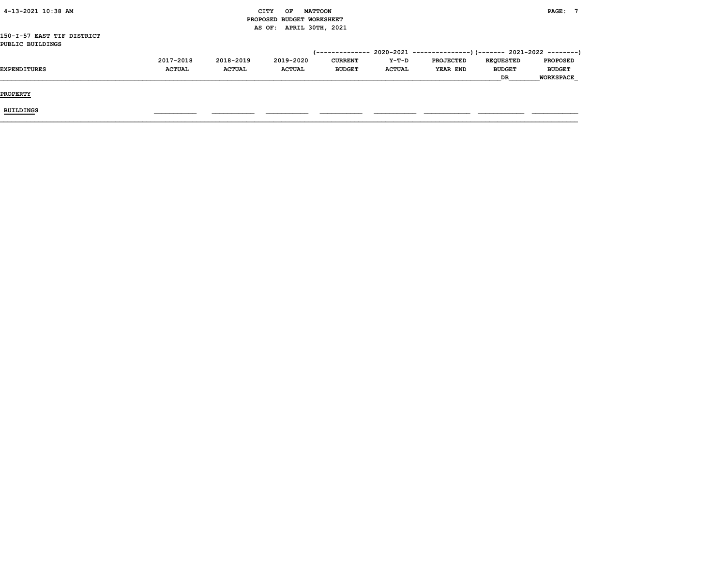| 4-13-2021 10:38 AM         |               |               | CITY<br>OF<br><b>MATTOON</b> |                |               |                  |                  | <b>PAGE:</b>     |
|----------------------------|---------------|---------------|------------------------------|----------------|---------------|------------------|------------------|------------------|
|                            |               |               | PROPOSED BUDGET WORKSHEET    |                |               |                  |                  |                  |
|                            |               |               | AS OF: APRIL 30TH, 2021      |                |               |                  |                  |                  |
| 150-I-57 EAST TIF DISTRICT |               |               |                              |                |               |                  |                  |                  |
| PUBLIC BUILDINGS           |               |               |                              |                |               |                  |                  |                  |
|                            |               |               |                              |                |               |                  |                  |                  |
|                            | 2017-2018     | 2018-2019     | 2019-2020                    | <b>CURRENT</b> | Y-T-D         | <b>PROJECTED</b> | <b>REQUESTED</b> | <b>PROPOSED</b>  |
| <b>EXPENDITURES</b>        | <b>ACTUAL</b> | <b>ACTUAL</b> | <b>ACTUAL</b>                | <b>BUDGET</b>  | <b>ACTUAL</b> | <b>YEAR END</b>  | <b>BUDGET</b>    | <b>BUDGET</b>    |
|                            |               |               |                              |                |               |                  | DR               | <b>WORKSPACE</b> |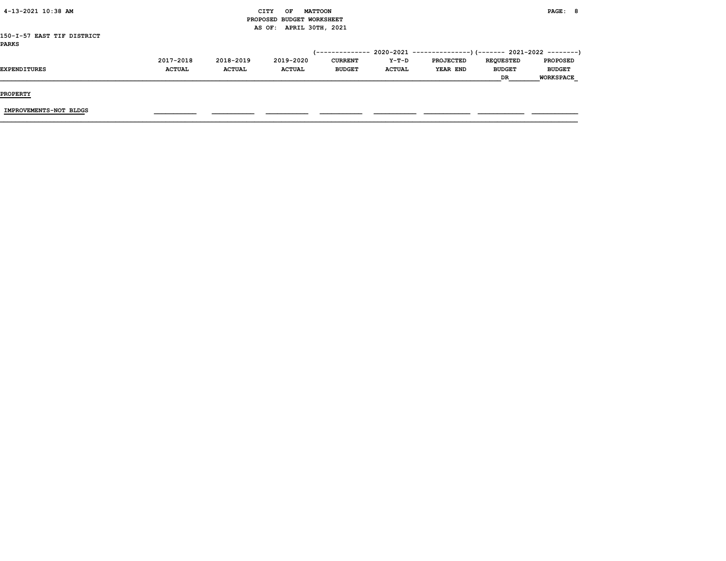| 4-13-2021 10:38 AM         |               |               | CITY<br>OF                | <b>MATTOON</b> |               |                  |                  | PAGE: 8          |  |
|----------------------------|---------------|---------------|---------------------------|----------------|---------------|------------------|------------------|------------------|--|
|                            |               |               | PROPOSED BUDGET WORKSHEET |                |               |                  |                  |                  |  |
|                            |               |               | AS OF: APRIL 30TH, 2021   |                |               |                  |                  |                  |  |
| 150-I-57 EAST TIF DISTRICT |               |               |                           |                |               |                  |                  |                  |  |
| <b>PARKS</b>               |               |               |                           |                |               |                  |                  |                  |  |
|                            |               |               |                           |                |               |                  |                  |                  |  |
|                            | 2017-2018     | 2018-2019     | 2019-2020                 | <b>CURRENT</b> | Y-T-D         | <b>PROJECTED</b> | <b>REQUESTED</b> | <b>PROPOSED</b>  |  |
| EXPENDITURES               | <b>ACTUAL</b> | <b>ACTUAL</b> | <b>ACTUAL</b>             | <b>BUDGET</b>  | <b>ACTUAL</b> | <b>YEAR END</b>  | <b>BUDGET</b>    | <b>BUDGET</b>    |  |
|                            |               |               |                           |                |               |                  | DR               | <b>WORKSPACE</b> |  |
|                            |               |               |                           |                |               |                  |                  |                  |  |
| <b>PROPERTY</b>            |               |               |                           |                |               |                  |                  |                  |  |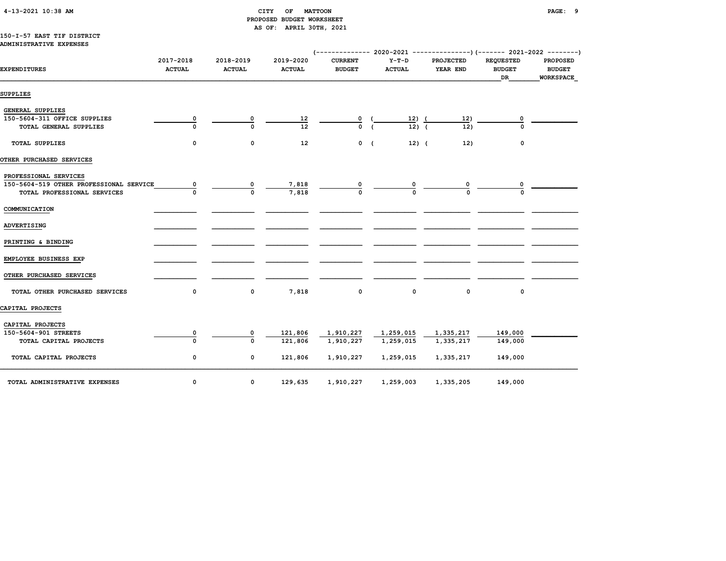# 4-13-2021 10:38 AM CITY OF MATTOON PAGE: 9 PROPOSED BUDGET WORKSHEET AS OF: APRIL 30TH, 2021

### 150-I-57 EAST TIF DISTRICT ADMINISTRATIVE EXPENSES

| <b>EXPENDITURES</b>                     | 2017-2018<br><b>ACTUAL</b> | 2018-2019<br><b>ACTUAL</b> | 2019-2020<br><b>ACTUAL</b> | <b>CURRENT</b><br><b>BUDGET</b> | $Y-T-D$<br><b>ACTUAL</b> | <b>PROJECTED</b><br>YEAR END | <b>REQUESTED</b><br><b>BUDGET</b><br><b>DR</b> | <b>PROPOSED</b><br><b>BUDGET</b><br><b>WORKSPACE</b> |
|-----------------------------------------|----------------------------|----------------------------|----------------------------|---------------------------------|--------------------------|------------------------------|------------------------------------------------|------------------------------------------------------|
| SUPPLIES                                |                            |                            |                            |                                 |                          |                              |                                                |                                                      |
| <b>GENERAL SUPPLIES</b>                 |                            |                            |                            |                                 |                          |                              |                                                |                                                      |
| 150-5604-311 OFFICE SUPPLIES            | $\overline{\mathbf{0}}$    |                            |                            |                                 | <u>12) (</u>             | 12)                          | 0                                              |                                                      |
| TOTAL GENERAL SUPPLIES                  | $\mathbf 0$                | $\Omega$                   | $\frac{12}{12}$            | $\frac{0}{0}$                   | $\overline{12}$ ) (      | 12)                          | $\Omega$                                       |                                                      |
| <b>TOTAL SUPPLIES</b>                   | 0                          | 0                          | 12                         | $0 \quad ($                     | $12)$ (                  | 12)                          | 0                                              |                                                      |
| OTHER PURCHASED SERVICES                |                            |                            |                            |                                 |                          |                              |                                                |                                                      |
| PROFESSIONAL SERVICES                   |                            |                            |                            |                                 |                          |                              |                                                |                                                      |
| 150-5604-519 OTHER PROFESSIONAL SERVICE | 0                          | 0                          | 7,818                      |                                 |                          |                              |                                                |                                                      |
| TOTAL PROFESSIONAL SERVICES             |                            | $\Omega$                   | 7,818                      |                                 |                          |                              |                                                |                                                      |
| COMMUNICATION                           |                            |                            |                            |                                 |                          |                              |                                                |                                                      |
| <b>ADVERTISING</b>                      |                            |                            |                            |                                 |                          |                              |                                                |                                                      |
| PRINTING & BINDING                      |                            |                            |                            |                                 |                          |                              |                                                |                                                      |
| EMPLOYEE BUSINESS EXP                   |                            |                            |                            |                                 |                          |                              |                                                |                                                      |
| OTHER PURCHASED SERVICES                |                            |                            |                            |                                 |                          |                              |                                                |                                                      |
| TOTAL OTHER PURCHASED SERVICES          | 0                          | 0                          | 7,818                      | 0                               | 0                        | $\mathbf 0$                  | 0                                              |                                                      |
| CAPITAL PROJECTS                        |                            |                            |                            |                                 |                          |                              |                                                |                                                      |
| CAPITAL PROJECTS                        |                            |                            |                            |                                 |                          |                              |                                                |                                                      |
| 150-5604-901 STREETS                    | 0                          | 0                          | 121,806                    | 1,910,227                       | 1,259,015                | 1,335,217                    | 149,000                                        |                                                      |
| TOTAL CAPITAL PROJECTS                  | $\Omega$                   | 0                          | 121,806                    | 1,910,227                       | 1,259,015                | 1,335,217                    | 149,000                                        |                                                      |
| TOTAL CAPITAL PROJECTS                  | 0                          | 0                          | 121,806                    | 1,910,227                       | 1,259,015                | 1,335,217                    | 149,000                                        |                                                      |
| TOTAL ADMINISTRATIVE EXPENSES           | $\mathbf 0$                | 0                          | 129,635                    | 1,910,227                       | 1,259,003                | 1,335,205                    | 149,000                                        |                                                      |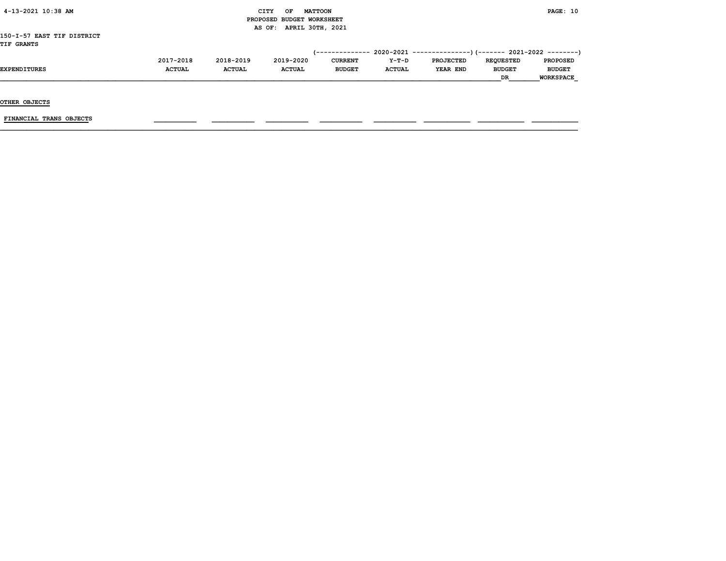| 4-13-2021 10:38 AM         |               |               | CITY<br>OF<br>PROPOSED BUDGET WORKSHEET | <b>MATTOON</b>  |               |                                                            |                  | PAGE: 10         |
|----------------------------|---------------|---------------|-----------------------------------------|-----------------|---------------|------------------------------------------------------------|------------------|------------------|
|                            |               |               | AS OF: APRIL 30TH, 2021                 |                 |               |                                                            |                  |                  |
| 150-I-57 EAST TIF DISTRICT |               |               |                                         |                 |               |                                                            |                  |                  |
| <b>TIF GRANTS</b>          |               |               |                                         |                 |               |                                                            |                  |                  |
|                            |               |               |                                         | '-------------- |               | - 2020–2021 ----------------)(------- 2021–2022 ---------) |                  |                  |
|                            | 2017-2018     | 2018-2019     | 2019-2020                               | <b>CURRENT</b>  | Y-T-D         | <b>PROJECTED</b>                                           | <b>REQUESTED</b> | <b>PROPOSED</b>  |
| <b>EXPENDITURES</b>        | <b>ACTUAL</b> | <b>ACTUAL</b> | <b>ACTUAL</b>                           | <b>BUDGET</b>   | <b>ACTUAL</b> | YEAR END                                                   | <b>BUDGET</b>    | <b>BUDGET</b>    |
|                            |               |               |                                         |                 |               |                                                            | DR.              | <b>WORKSPACE</b> |

OTHER OBJECTS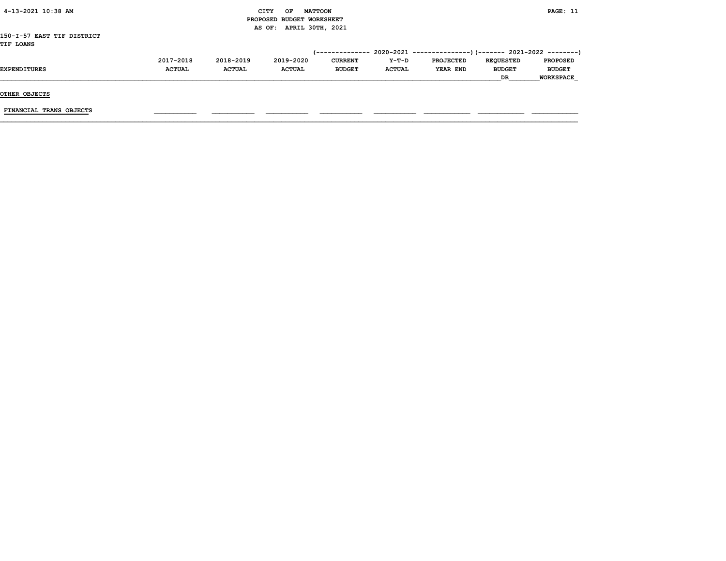| 4-13-2021 10:38 AM         |               |               | <b>CITY</b><br><b>MATTOON</b><br>OF |                |               |                  |                  | PAGE: 11         |
|----------------------------|---------------|---------------|-------------------------------------|----------------|---------------|------------------|------------------|------------------|
|                            |               |               | PROPOSED BUDGET WORKSHEET           |                |               |                  |                  |                  |
|                            |               |               | AS OF: APRIL 30TH, 2021             |                |               |                  |                  |                  |
| 150-I-57 EAST TIF DISTRICT |               |               |                                     |                |               |                  |                  |                  |
| <b>TIF LOANS</b>           |               |               |                                     |                |               |                  |                  |                  |
|                            |               |               |                                     |                |               |                  |                  |                  |
|                            | 2017-2018     | 2018-2019     | 2019-2020                           | <b>CURRENT</b> | Y-T-D         | <b>PROJECTED</b> | <b>REQUESTED</b> | <b>PROPOSED</b>  |
| <b>EXPENDITURES</b>        | <b>ACTUAL</b> | <b>ACTUAL</b> | <b>ACTUAL</b>                       | <b>BUDGET</b>  | <b>ACTUAL</b> | YEAR END         | <b>BUDGET</b>    | <b>BUDGET</b>    |
|                            |               |               |                                     |                |               |                  | DR               | <b>WORKSPACE</b> |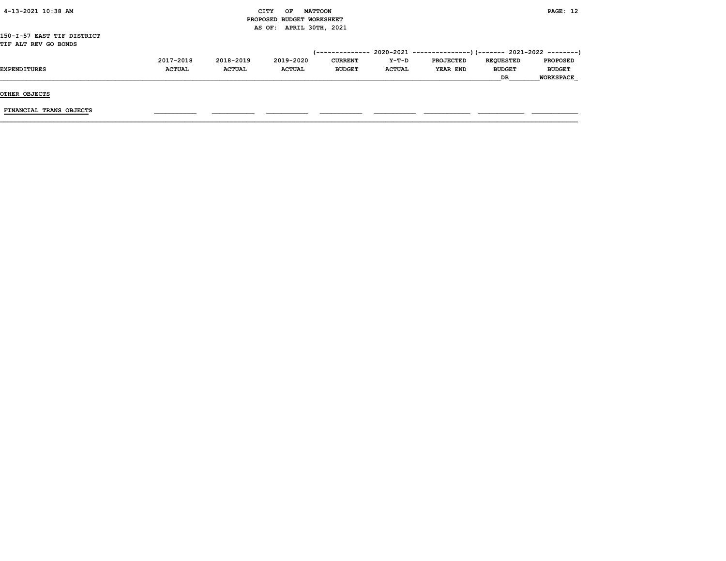| 4-13-2021 10:38 AM         |               |               | <b>CITY</b><br>OF         | <b>MATTOON</b>  |               |                                                        |                  | PAGE: 12         |
|----------------------------|---------------|---------------|---------------------------|-----------------|---------------|--------------------------------------------------------|------------------|------------------|
|                            |               |               | PROPOSED BUDGET WORKSHEET |                 |               |                                                        |                  |                  |
|                            |               |               | AS OF: APRIL 30TH, 2021   |                 |               |                                                        |                  |                  |
| 150-I-57 EAST TIF DISTRICT |               |               |                           |                 |               |                                                        |                  |                  |
| TIF ALT REV GO BONDS       |               |               |                           |                 |               |                                                        |                  |                  |
|                            |               |               |                           | (-------------- |               | 2020-2021 ---------------)(------- 2021-2022 --------) |                  |                  |
|                            | 2017-2018     | 2018-2019     | 2019-2020                 | <b>CURRENT</b>  | Y-T-D         | <b>PROJECTED</b>                                       | <b>REQUESTED</b> | <b>PROPOSED</b>  |
| EXPENDITURES               | <b>ACTUAL</b> | <b>ACTUAL</b> | <b>ACTUAL</b>             | <b>BUDGET</b>   | <b>ACTUAL</b> | YEAR END                                               | <b>BUDGET</b>    | <b>BUDGET</b>    |
|                            |               |               |                           |                 |               |                                                        | <b>DR</b>        | <b>WORKSPACE</b> |
|                            |               |               |                           |                 |               |                                                        |                  |                  |
| OTHER OBJECTS              |               |               |                           |                 |               |                                                        |                  |                  |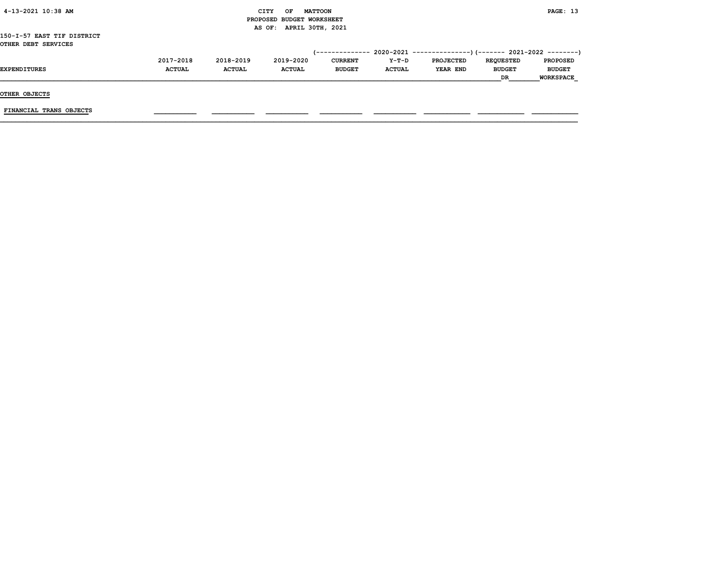| 4-13-2021 10:38 AM         |               |               | <b>CITY</b><br>OF         | <b>MATTOON</b> |               |                  |                  | PAGE: 13         |
|----------------------------|---------------|---------------|---------------------------|----------------|---------------|------------------|------------------|------------------|
|                            |               |               | PROPOSED BUDGET WORKSHEET |                |               |                  |                  |                  |
|                            |               |               | AS OF: APRIL 30TH, 2021   |                |               |                  |                  |                  |
| 150-I-57 EAST TIF DISTRICT |               |               |                           |                |               |                  |                  |                  |
| OTHER DEBT SERVICES        |               |               |                           |                |               |                  |                  |                  |
|                            |               |               |                           |                |               |                  |                  |                  |
|                            | 2017-2018     | 2018-2019     | 2019-2020                 | <b>CURRENT</b> | Y-T-D         | <b>PROJECTED</b> | <b>REQUESTED</b> | <b>PROPOSED</b>  |
| <b>EXPENDITURES</b>        | <b>ACTUAL</b> | <b>ACTUAL</b> | <b>ACTUAL</b>             | <b>BUDGET</b>  | <b>ACTUAL</b> | YEAR END         | <b>BUDGET</b>    | <b>BUDGET</b>    |
|                            |               |               |                           |                |               |                  | DR.              | <b>WORKSPACE</b> |
|                            |               |               |                           |                |               |                  |                  |                  |
| OTHER OBJECTS              |               |               |                           |                |               |                  |                  |                  |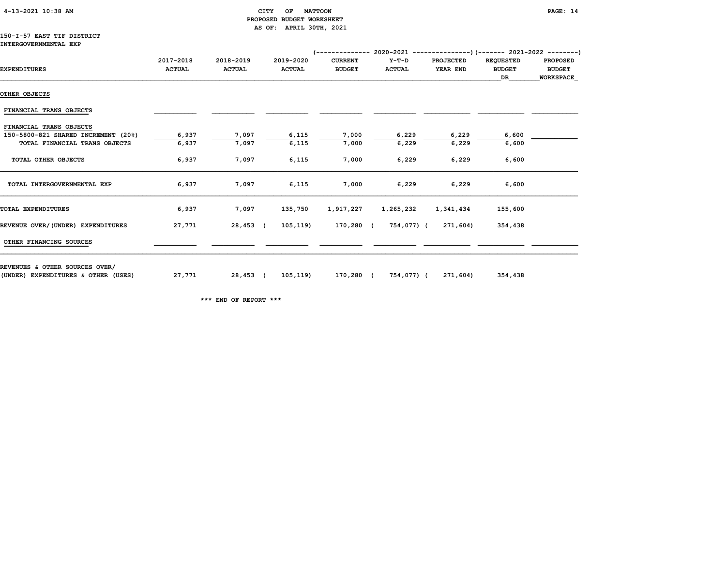# 4-13-2021 10:38 AM CITY OF MATTOON PAGE: 14 PROPOSED BUDGET WORKSHEET AS OF: APRIL 30TH, 2021

#### 150-I-57 EAST TIF DISTRICT INTERGOVERNMENTAL EXP

| <b>EXPENDITURES</b>                 | 2017-2018<br><b>ACTUAL</b> | 2018-2019<br><b>ACTUAL</b> | 2019-2020<br><b>ACTUAL</b> | <b>CURRENT</b><br><b>BUDGET</b> | Y-T-D<br><b>ACTUAL</b> | <b>PROJECTED</b><br>YEAR END | <b>REQUESTED</b><br><b>BUDGET</b><br>DR | <b>PROPOSED</b><br><b>BUDGET</b><br><b>WORKSPACE</b> |
|-------------------------------------|----------------------------|----------------------------|----------------------------|---------------------------------|------------------------|------------------------------|-----------------------------------------|------------------------------------------------------|
|                                     |                            |                            |                            |                                 |                        |                              |                                         |                                                      |
| OTHER OBJECTS                       |                            |                            |                            |                                 |                        |                              |                                         |                                                      |
| FINANCIAL TRANS OBJECTS             |                            |                            |                            |                                 |                        |                              |                                         |                                                      |
| FINANCIAL TRANS OBJECTS             |                            |                            |                            |                                 |                        |                              |                                         |                                                      |
| 150-5800-821 SHARED INCREMENT (20%) | 6,937                      | 7,097                      | 6,115                      | 7,000                           | 6,229                  | 6,229                        | 6,600                                   |                                                      |
| TOTAL FINANCIAL TRANS OBJECTS       | 6,937                      | 7,097                      | 6,115                      | 7,000                           | 6,229                  | 6,229                        | 6,600                                   |                                                      |
| TOTAL OTHER OBJECTS                 | 6,937                      | 7,097                      | 6,115                      | 7,000                           | 6,229                  | 6,229                        | 6,600                                   |                                                      |
| TOTAL INTERGOVERNMENTAL EXP         | 6,937                      | 7,097                      | 6,115                      | 7,000                           | 6,229                  | 6,229                        | 6,600                                   |                                                      |
| TOTAL EXPENDITURES                  | 6,937                      | 7,097                      | 135,750                    | 1,917,227                       | 1,265,232              | 1,341,434                    | 155,600                                 |                                                      |
| REVENUE OVER/(UNDER) EXPENDITURES   | 27,771                     | 28,453 (                   | 105, 119                   | 170,280 (                       |                        | 754,077) (271,604)           | 354,438                                 |                                                      |
| OTHER FINANCING SOURCES             |                            |                            |                            |                                 |                        |                              |                                         |                                                      |
| REVENUES & OTHER SOURCES OVER/      |                            |                            |                            |                                 |                        |                              |                                         |                                                      |
| (UNDER) EXPENDITURES & OTHER (USES) | 27,771                     | 28,453 (                   |                            | 105,119) 170,280 (              |                        | 754,077) (271,604)           | 354,438                                 |                                                      |

\*\*\* END OF REPORT \*\*\*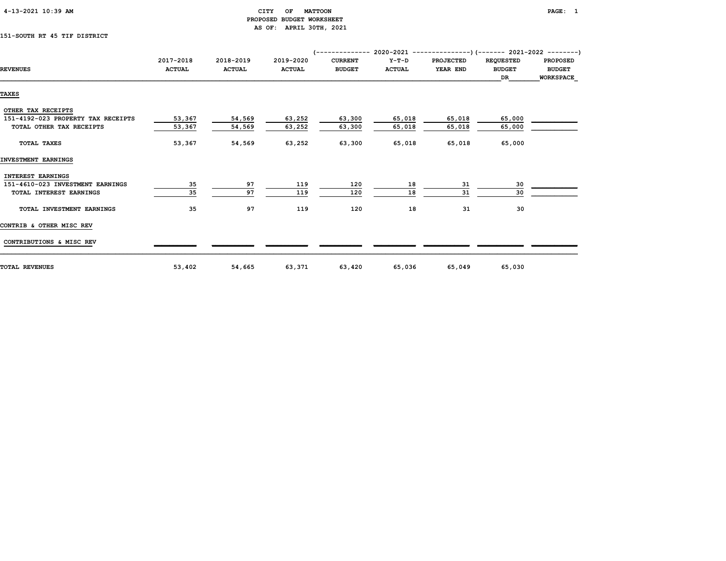| $4-13-2021$ 10:39 AM |  |
|----------------------|--|
|                      |  |

# CITY OF MATTOON **PAGE:** 1 PROPOSED BUDGET WORKSHEET AS OF: APRIL 30TH, 2021

# 151-SOUTH RT 45 TIF DISTRICT

|                                    | 2017-2018     | 2018-2019     | 2019-2020     | <b>CURRENT</b> | $Y-T-D$       | <b>PROJECTED</b> | <b>REQUESTED</b> | <b>PROPOSED</b>  |
|------------------------------------|---------------|---------------|---------------|----------------|---------------|------------------|------------------|------------------|
| <b>REVENUES</b>                    | <b>ACTUAL</b> | <b>ACTUAL</b> | <b>ACTUAL</b> | <b>BUDGET</b>  | <b>ACTUAL</b> | YEAR END         | <b>BUDGET</b>    | <b>BUDGET</b>    |
|                                    |               |               |               |                |               |                  | DR.              | <b>WORKSPACE</b> |
| <b>TAXES</b>                       |               |               |               |                |               |                  |                  |                  |
|                                    |               |               |               |                |               |                  |                  |                  |
| OTHER TAX RECEIPTS                 |               |               |               |                |               |                  |                  |                  |
| 151-4192-023 PROPERTY TAX RECEIPTS | 53,367        | 54,569        | 63,252        | 63,300         | 65,018        | 65,018           | 65,000           |                  |
| TOTAL OTHER TAX RECEIPTS           | 53,367        | 54,569        | 63,252        | 63,300         | 65,018        | 65,018           | 65,000           |                  |
| <b>TOTAL TAXES</b>                 | 53,367        | 54,569        | 63,252        | 63,300         | 65,018        | 65,018           | 65,000           |                  |
| INVESTMENT EARNINGS                |               |               |               |                |               |                  |                  |                  |
| INTEREST EARNINGS                  |               |               |               |                |               |                  |                  |                  |
| 151-4610-023 INVESTMENT EARNINGS   | 35            | 97            | 119           | 120            | 18            | 31               | 30               |                  |
| TOTAL INTEREST EARNINGS            | 35            | 97            | 119           | 120            | 18            | 31               | 30               |                  |
| TOTAL INVESTMENT EARNINGS          | 35            | 97            | 119           | 120            | 18            | 31               | 30               |                  |
| CONTRIB & OTHER MISC REV           |               |               |               |                |               |                  |                  |                  |
| CONTRIBUTIONS & MISC REV           |               |               |               |                |               |                  |                  |                  |
| <b>TOTAL REVENUES</b>              | 53,402        | 54,665        | 63,371        | 63,420         | 65,036        | 65,049           | 65,030           |                  |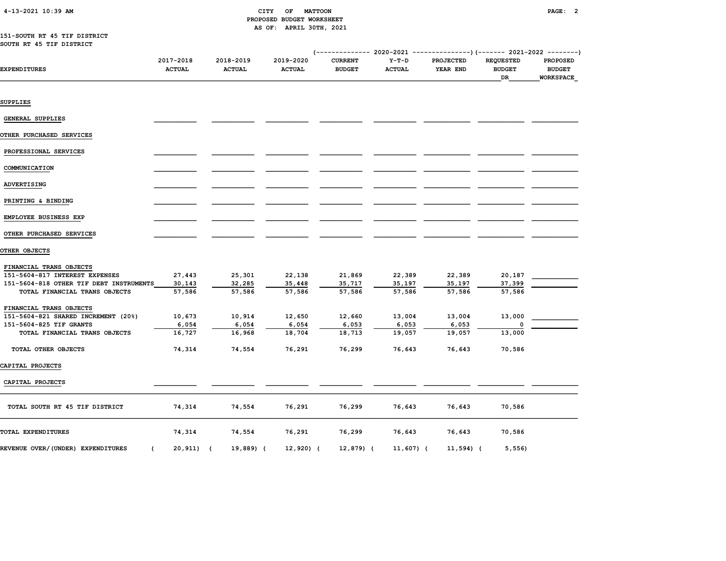# 4-13-2021 10:39 AM CITY OF MATTOON PAGE: 2 PROPOSED BUDGET WORKSHEET AS OF: APRIL 30TH, 2021

### 151-SOUTH RT 45 TIF DISTRICT SOUTH RT 45 TIF DISTRICT

| EXPENDITURES                                        | 2017-2018<br><b>ACTUAL</b> | 2018-2019<br><b>ACTUAL</b> | 2019-2020<br><b>ACTUAL</b> | <b>CURRENT</b><br><b>BUDGET</b> | $Y-T-D$<br><b>ACTUAL</b> | PROJECTED<br>YEAR END | <b>REQUESTED</b><br><b>BUDGET</b><br>DR | <b>PROPOSED</b><br><b>BUDGET</b><br>WORKSPACE |
|-----------------------------------------------------|----------------------------|----------------------------|----------------------------|---------------------------------|--------------------------|-----------------------|-----------------------------------------|-----------------------------------------------|
|                                                     |                            |                            |                            |                                 |                          |                       |                                         |                                               |
| SUPPLIES                                            |                            |                            |                            |                                 |                          |                       |                                         |                                               |
|                                                     |                            |                            |                            |                                 |                          |                       |                                         |                                               |
| <b>GENERAL SUPPLIES</b>                             |                            |                            |                            |                                 |                          |                       |                                         |                                               |
| OTHER PURCHASED SERVICES                            |                            |                            |                            |                                 |                          |                       |                                         |                                               |
| PROFESSIONAL SERVICES                               |                            |                            |                            |                                 |                          |                       |                                         |                                               |
| COMMUNICATION                                       |                            |                            |                            |                                 |                          |                       |                                         |                                               |
| ADVERTISING                                         |                            |                            |                            |                                 |                          |                       |                                         |                                               |
| PRINTING & BINDING                                  |                            |                            |                            |                                 |                          |                       |                                         |                                               |
| EMPLOYEE BUSINESS EXP                               |                            |                            |                            |                                 |                          |                       |                                         |                                               |
| OTHER PURCHASED SERVICES                            |                            |                            |                            |                                 |                          |                       |                                         |                                               |
| OTHER OBJECTS                                       |                            |                            |                            |                                 |                          |                       |                                         |                                               |
| FINANCIAL TRANS OBJECTS                             |                            |                            |                            |                                 |                          |                       |                                         |                                               |
| 151-5604-817 INTEREST EXPENSES                      | 27,443                     | 25,301                     | 22,138                     | 21,869                          | 22,389                   | 22,389                | 20,187                                  |                                               |
| 151-5604-818 OTHER TIF DEBT INSTRUMENTS             | 30,143                     | 32,285                     | 35,448                     | 35,717                          | 35,197                   | 35,197                | 37,399                                  |                                               |
| TOTAL FINANCIAL TRANS OBJECTS                       | 57,586                     | 57,586                     | 57,586                     | 57,586                          | 57,586                   | 57,586                | 57,586                                  |                                               |
| FINANCIAL TRANS OBJECTS                             |                            |                            |                            |                                 |                          |                       |                                         |                                               |
| 151-5604-821 SHARED INCREMENT (20%)                 | 10,673                     | 10,914                     | 12,650                     | 12,660                          | 13,004                   | 13,004                | 13,000                                  |                                               |
| 151-5604-825 TIF GRANTS                             | 6,054                      | 6,054                      | 6,054                      | 6,053                           | 6,053                    | 6,053                 |                                         |                                               |
| TOTAL FINANCIAL TRANS OBJECTS                       | 16,727                     | 16,968                     | 18,704                     | 18,713                          | 19,057                   | 19,057                | 13,000                                  |                                               |
| TOTAL OTHER OBJECTS                                 | 74,314                     | 74,554                     | 76,291                     | 76,299                          | 76,643                   | 76,643                | 70,586                                  |                                               |
| CAPITAL PROJECTS                                    |                            |                            |                            |                                 |                          |                       |                                         |                                               |
| CAPITAL PROJECTS                                    |                            |                            |                            |                                 |                          |                       |                                         |                                               |
| TOTAL SOUTH RT 45 TIF DISTRICT                      | 74,314                     | 74,554                     | 76,291                     | 76,299                          | 76,643                   | 76,643                | 70,586                                  |                                               |
| TOTAL EXPENDITURES                                  | 74,314                     | 74,554                     | 76,291                     | 76,299                          | 76,643                   | 76,643                | 70,586                                  |                                               |
| REVENUE OVER/(UNDER) EXPENDITURES<br>$\overline{ }$ | $20,911$ (                 | 19,889) (                  | 12,920) (                  | 12,879) (                       | 11,607) (                | $11,594$ ) (          | 5,556                                   |                                               |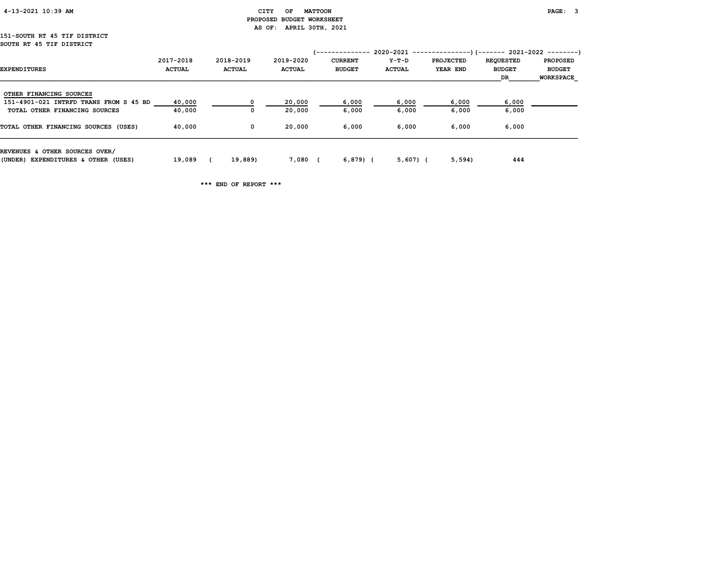| 4-13-2021 10:39 AM |  |
|--------------------|--|
|                    |  |

#### CITY OF MATTOON **PAGE: 3**  PROPOSED BUDGET WORKSHEET AS OF: APRIL 30TH, 2021

#### 151-SOUTH RT 45 TIF DISTRICT SOUTH RT 45 TIF DISTRICT

|                                        |               |               |               | '-------------- | $2020-2021$ ----------------)(------- 2021-2022 --------) |           |                  |                  |
|----------------------------------------|---------------|---------------|---------------|-----------------|-----------------------------------------------------------|-----------|------------------|------------------|
|                                        | 2017-2018     | 2018-2019     | 2019-2020     | <b>CURRENT</b>  | Y-T-D                                                     | PROJECTED | <b>REQUESTED</b> | <b>PROPOSED</b>  |
| <b>EXPENDITURES</b>                    | <b>ACTUAL</b> | <b>ACTUAL</b> | <b>ACTUAL</b> | <b>BUDGET</b>   | <b>ACTUAL</b>                                             | YEAR END  | <b>BUDGET</b>    | <b>BUDGET</b>    |
|                                        |               |               |               |                 |                                                           |           | DR               | <b>WORKSPACE</b> |
| OTHER FINANCING SOURCES                |               |               |               |                 |                                                           |           |                  |                  |
| 151-4901-021 INTRFD TRANS FROM S 45 BD | 40,000        | $^{\circ}$    | 20,000        | 6,000           | 6,000                                                     | 6,000     | 6,000            |                  |
| TOTAL OTHER FINANCING SOURCES          | 40,000        | $\Omega$      | 20,000        | 6,000           | 6,000                                                     | 6,000     | 6,000            |                  |
| TOTAL OTHER FINANCING SOURCES (USES)   | 40,000        | 0             | 20,000        | 6,000           | 6,000                                                     | 6,000     | 6,000            |                  |
| REVENUES & OTHER SOURCES OVER/         |               |               |               |                 |                                                           |           |                  |                  |
| (UNDER) EXPENDITURES & OTHER (USES)    | 19,089        | 19,889)       | 7,080         | $6,879$ (       | $5,607$ ) (                                               | 5,594     | 444              |                  |

\*\*\* END OF REPORT \*\*\*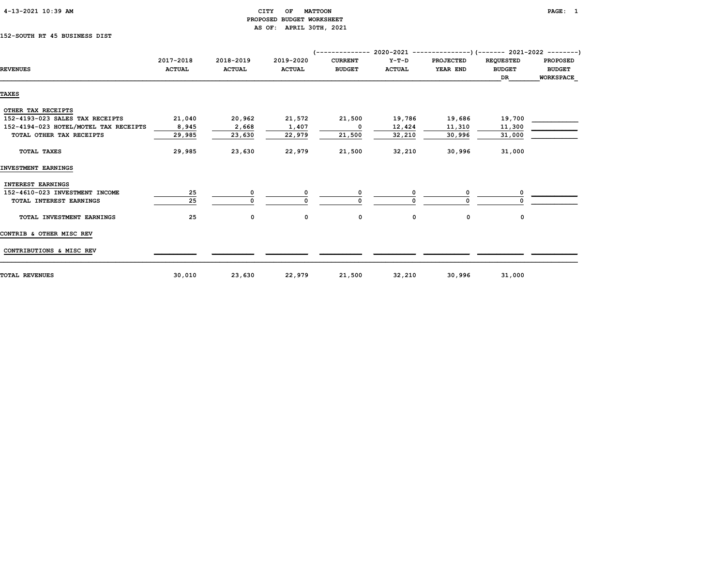| 4-13-2021 10:39 AM |  |
|--------------------|--|
|                    |  |

#### CITY OF MATTOON **EXAMPLE ASSESSED AT A CITY** OF MATTOON PROPOSED BUDGET WORKSHEET AS OF: APRIL 30TH, 2021

#### 152-SOUTH RT 45 BUSINESS DIST

| <b>REVENUES</b>                       | 2017-2018<br><b>ACTUAL</b> | 2018-2019<br><b>ACTUAL</b> | 2019-2020<br><b>ACTUAL</b> | <b>CURRENT</b><br><b>BUDGET</b> | $Y-T-D$<br><b>ACTUAL</b> | <b>PROJECTED</b><br>YEAR END | <b>REQUESTED</b><br><b>BUDGET</b> | <b>PROPOSED</b><br><b>BUDGET</b> |  |  |
|---------------------------------------|----------------------------|----------------------------|----------------------------|---------------------------------|--------------------------|------------------------------|-----------------------------------|----------------------------------|--|--|
|                                       |                            |                            |                            |                                 |                          |                              | DR                                | <b>WORKSPACE</b>                 |  |  |
| <b>TAXES</b>                          |                            |                            |                            |                                 |                          |                              |                                   |                                  |  |  |
| OTHER TAX RECEIPTS                    |                            |                            |                            |                                 |                          |                              |                                   |                                  |  |  |
| 152-4193-023 SALES TAX RECEIPTS       | 21,040                     | 20,962                     | 21,572                     | 21,500                          | 19,786                   | 19,686                       | 19,700                            |                                  |  |  |
| 152-4194-023 HOTEL/MOTEL TAX RECEIPTS | 8,945                      | 2,668                      | 1,407                      | 0                               | 12,424                   | 11,310                       | 11,300                            |                                  |  |  |
| TOTAL OTHER TAX RECEIPTS              | 29,985                     | 23,630                     | 22,979                     | 21,500                          | 32,210                   | 30,996                       | 31,000                            |                                  |  |  |
| TOTAL TAXES                           | 29,985                     | 23,630                     | 22,979                     | 21,500                          | 32,210                   | 30,996                       | 31,000                            |                                  |  |  |
| INVESTMENT EARNINGS                   |                            |                            |                            |                                 |                          |                              |                                   |                                  |  |  |
| <b>INTEREST EARNINGS</b>              |                            |                            |                            |                                 |                          |                              |                                   |                                  |  |  |
| 152-4610-023 INVESTMENT INCOME        | 25                         | 0                          |                            | 0                               | 0                        |                              | 0                                 |                                  |  |  |
| TOTAL INTEREST EARNINGS               | 25                         | $\mathbf 0$                |                            |                                 |                          |                              |                                   |                                  |  |  |
| TOTAL INVESTMENT EARNINGS             | 25                         | $\mathbf 0$                | 0                          | $\mathbf{o}$                    | 0                        | 0                            | 0                                 |                                  |  |  |
| CONTRIB & OTHER MISC REV              |                            |                            |                            |                                 |                          |                              |                                   |                                  |  |  |
| CONTRIBUTIONS & MISC REV              |                            |                            |                            |                                 |                          |                              |                                   |                                  |  |  |
| TOTAL REVENUES                        | 30,010                     | 23,630                     | 22,979                     | 21,500                          | 32,210                   | 30,996                       | 31,000                            |                                  |  |  |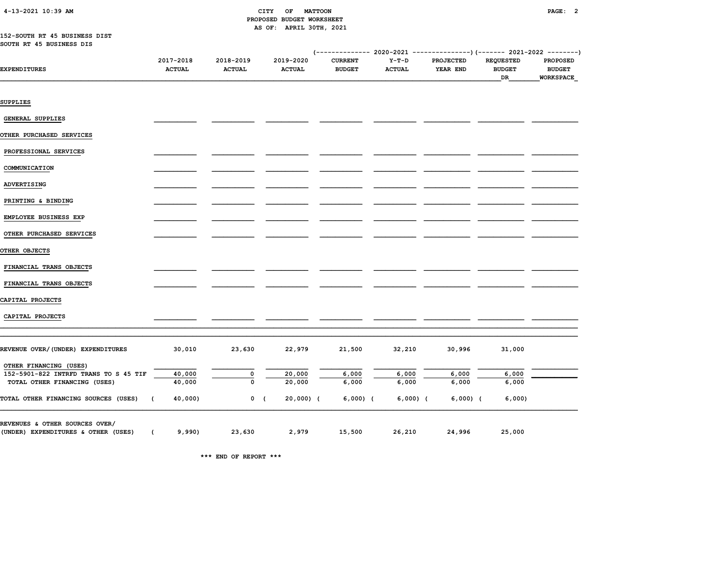| 4-13-2021 10:39 AM |  |
|--------------------|--|
|                    |  |

#### CITY OF MATTOON **PAGE: 2**  PROPOSED BUDGET WORKSHEET AS OF: APRIL 30TH, 2021

#### 152-SOUTH RT 45 BUSINESS DIST SOUTH RT 45 BUSINESS DIS

| <b>EXPENDITURES</b>                   | 2017-2018<br><b>ACTUAL</b> | 2018-2019<br><b>ACTUAL</b> | 2019-2020<br><b>ACTUAL</b> | <b>CURRENT</b><br><b>BUDGET</b> | $Y-T-D$<br><b>ACTUAL</b> | <b>PROJECTED</b><br>YEAR END | <b>REQUESTED</b><br><b>BUDGET</b><br>DR | <b>PROPOSED</b><br><b>BUDGET</b><br><b>WORKSPACE</b> |
|---------------------------------------|----------------------------|----------------------------|----------------------------|---------------------------------|--------------------------|------------------------------|-----------------------------------------|------------------------------------------------------|
| SUPPLIES                              |                            |                            |                            |                                 |                          |                              |                                         |                                                      |
| <b>GENERAL SUPPLIES</b>               |                            |                            |                            |                                 |                          |                              |                                         |                                                      |
| <b>OTHER PURCHASED SERVICES</b>       |                            |                            |                            |                                 |                          |                              |                                         |                                                      |
| PROFESSIONAL SERVICES                 |                            |                            |                            |                                 |                          |                              |                                         |                                                      |
| COMMUNICATION                         |                            |                            |                            |                                 |                          |                              |                                         |                                                      |
| ADVERTISING                           |                            |                            |                            |                                 |                          |                              |                                         |                                                      |
| PRINTING & BINDING                    |                            |                            |                            |                                 |                          |                              |                                         |                                                      |
| EMPLOYEE BUSINESS EXP                 |                            |                            |                            |                                 |                          |                              |                                         |                                                      |
| OTHER PURCHASED SERVICES              |                            |                            |                            |                                 |                          |                              |                                         |                                                      |
| OTHER OBJECTS                         |                            |                            |                            |                                 |                          |                              |                                         |                                                      |
| FINANCIAL TRANS OBJECTS               |                            |                            |                            |                                 |                          |                              |                                         |                                                      |
| FINANCIAL TRANS OBJECTS               |                            |                            |                            |                                 |                          |                              |                                         |                                                      |
| CAPITAL PROJECTS                      |                            |                            |                            |                                 |                          |                              |                                         |                                                      |
| CAPITAL PROJECTS                      |                            |                            |                            |                                 |                          |                              |                                         |                                                      |
| REVENUE OVER/(UNDER) EXPENDITURES     | 30,010                     | 23,630                     | 22,979                     | 21,500                          | 32,210                   | 30,996                       | 31,000                                  |                                                      |
| OTHER FINANCING (USES)                |                            |                            |                            |                                 |                          |                              |                                         |                                                      |
| 152-5901-822 INTRFD TRANS TO S 45 TIF | 40,000                     | 0                          | 20,000                     | 6,000                           | 6,000                    | 6,000                        | 6,000                                   |                                                      |
| TOTAL OTHER FINANCING (USES)          | 40,000                     | $\mathbf 0$                | 20,000                     | 6,000                           | 6,000                    | 6,000                        | 6,000                                   |                                                      |
| TOTAL OTHER FINANCING SOURCES (USES)  | 40,000)<br>$\overline{ }$  |                            | $0$ (<br>20,000) (         | $6,000)$ (                      | $6,000)$ (               | $6,000)$ (                   | 6,000                                   |                                                      |
| REVENUES & OTHER SOURCES OVER/        |                            |                            |                            |                                 |                          |                              |                                         |                                                      |
| (UNDER) EXPENDITURES & OTHER (USES)   | 9,990)<br>$\overline{ }$   | 23,630                     | 2,979                      | 15,500                          | 26,210                   | 24,996                       | 25,000                                  |                                                      |

\*\*\* END OF REPORT \*\*\*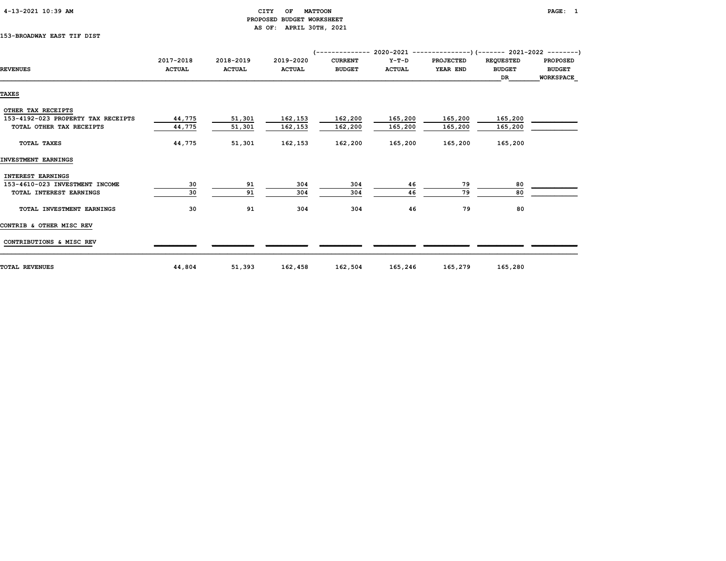#### CITY OF MATTOON **PAGE:** 1 PROPOSED BUDGET WORKSHEET AS OF: APRIL 30TH, 2021

#### 153-BROADWAY EAST TIF DIST

|                                    | 2017-2018     | 2018-2019     | 2019-2020     | <b>CURRENT</b> | Y-T-D         | PROJECTED | <b>REQUESTED</b> | <b>PROPOSED</b> |
|------------------------------------|---------------|---------------|---------------|----------------|---------------|-----------|------------------|-----------------|
| <b>REVENUES</b>                    | <b>ACTUAL</b> | <b>ACTUAL</b> | <b>ACTUAL</b> | <b>BUDGET</b>  | <b>ACTUAL</b> | YEAR END  | <b>BUDGET</b>    | <b>BUDGET</b>   |
|                                    |               |               |               |                |               |           | DR               | WORKSPACE       |
| <b>TAXES</b>                       |               |               |               |                |               |           |                  |                 |
|                                    |               |               |               |                |               |           |                  |                 |
| OTHER TAX RECEIPTS                 |               |               |               |                |               |           |                  |                 |
| 153-4192-023 PROPERTY TAX RECEIPTS | 44,775        | 51,301        | 162,153       | 162,200        | 165,200       | 165,200   | 165,200          |                 |
| TOTAL OTHER TAX RECEIPTS           | 44,775        | 51,301        | 162,153       | 162,200        | 165,200       | 165,200   | 165,200          |                 |
| TOTAL TAXES                        | 44,775        | 51,301        | 162,153       | 162,200        | 165,200       | 165,200   | 165,200          |                 |
| INVESTMENT EARNINGS                |               |               |               |                |               |           |                  |                 |
| INTEREST EARNINGS                  |               |               |               |                |               |           |                  |                 |
| 153-4610-023 INVESTMENT INCOME     | 30            | 91            | 304           | 304            | 46            | 79        | 80               |                 |
| TOTAL INTEREST EARNINGS            | 30            | 91            | 304           | 304            | 46            | 79        | 80               |                 |
| TOTAL INVESTMENT EARNINGS          | 30            | 91            | 304           | 304            | 46            | 79        | 80               |                 |
| CONTRIB & OTHER MISC REV           |               |               |               |                |               |           |                  |                 |
| CONTRIBUTIONS & MISC REV           |               |               |               |                |               |           |                  |                 |
| <b>TOTAL REVENUES</b>              | 44,804        | 51,393        | 162,458       | 162,504        | 165,246       | 165,279   | 165,280          |                 |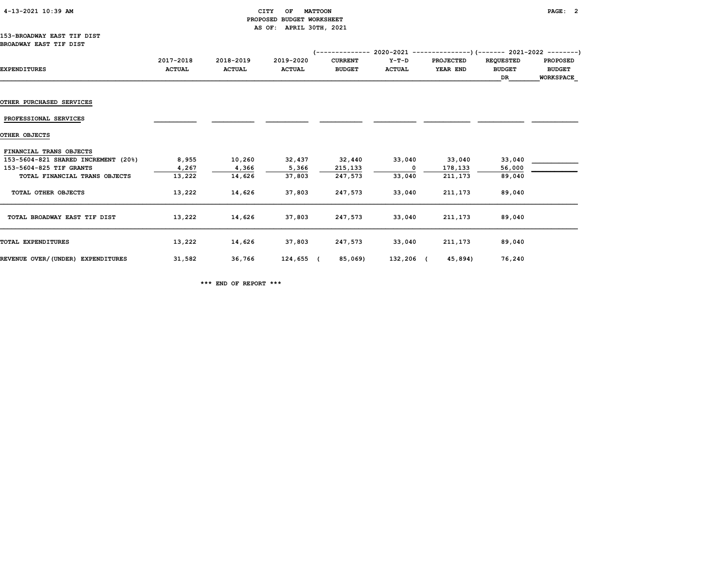| 4-13-2021 10:39 AM |  |  |
|--------------------|--|--|
|--------------------|--|--|

#### CITY OF MATTOON **PAGE: 2**  PROPOSED BUDGET WORKSHEET AS OF: APRIL 30TH, 2021

|                                     | 2017-2018     | 2018-2019     | 2019-2020     | <b>CURRENT</b> | Y-T-D         | <b>PROJECTED</b> | <b>REQUESTED</b> | <b>PROPOSED</b>  |
|-------------------------------------|---------------|---------------|---------------|----------------|---------------|------------------|------------------|------------------|
| <b>EXPENDITURES</b>                 | <b>ACTUAL</b> | <b>ACTUAL</b> | <b>ACTUAL</b> | <b>BUDGET</b>  | <b>ACTUAL</b> | YEAR END         | <b>BUDGET</b>    | <b>BUDGET</b>    |
|                                     |               |               |               |                |               |                  | DR               | <b>WORKSPACE</b> |
|                                     |               |               |               |                |               |                  |                  |                  |
| <b>OTHER PURCHASED SERVICES</b>     |               |               |               |                |               |                  |                  |                  |
|                                     |               |               |               |                |               |                  |                  |                  |
| PROFESSIONAL SERVICES               |               |               |               |                |               |                  |                  |                  |
| OTHER OBJECTS                       |               |               |               |                |               |                  |                  |                  |
|                                     |               |               |               |                |               |                  |                  |                  |
| FINANCIAL TRANS OBJECTS             |               |               |               |                |               |                  |                  |                  |
| 153-5604-821 SHARED INCREMENT (20%) | 8,955         | 10,260        | 32,437        | 32,440         | 33,040        | 33,040           | 33,040           |                  |
| 153-5604-825 TIF GRANTS             | 4,267         | 4,366         | 5,366         | 215,133        | $\mathbf{o}$  | 178,133          | 56,000           |                  |
| TOTAL FINANCIAL TRANS OBJECTS       | 13,222        | 14,626        | 37,803        | 247,573        | 33,040        | 211,173          | 89,040           |                  |
| TOTAL OTHER OBJECTS                 | 13,222        | 14,626        | 37,803        | 247,573        | 33,040        | 211,173          | 89,040           |                  |
|                                     |               |               |               |                |               |                  |                  |                  |
|                                     |               |               |               |                |               |                  |                  |                  |
| TOTAL BROADWAY EAST TIF DIST        | 13,222        | 14,626        | 37,803        | 247,573        | 33,040        | 211,173          | 89,040           |                  |
|                                     |               |               |               |                |               |                  |                  |                  |
| <b>TOTAL EXPENDITURES</b>           | 13,222        | 14,626        | 37,803        | 247,573        | 33,040        | 211,173          | 89,040           |                  |
|                                     | 31,582        | 36,766        | 124,655 (     |                | 132,206 (     | 45,894)          |                  |                  |
| REVENUE OVER/(UNDER) EXPENDITURES   |               |               |               | 85,069)        |               |                  | 76,240           |                  |

\*\*\* END OF REPORT \*\*\*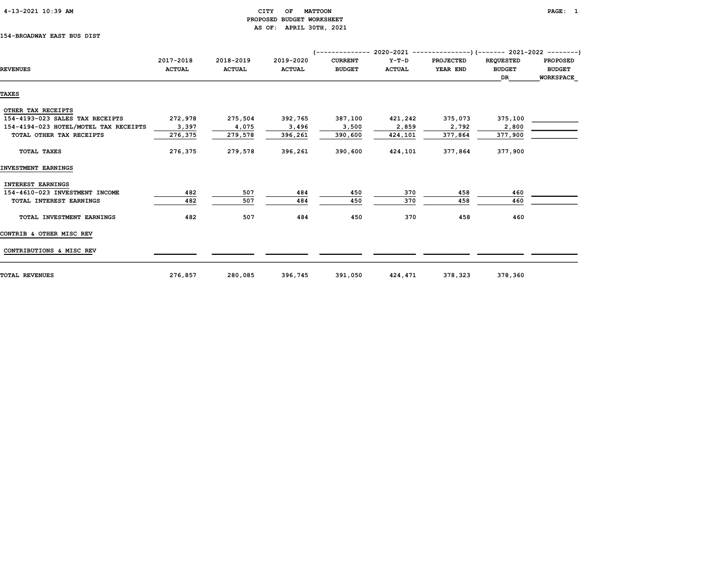| $4-13-2021$ 10:39 AM |  |
|----------------------|--|
|                      |  |

#### CITY OF MATTOON **PAGE:** 1 PROPOSED BUDGET WORKSHEET AS OF: APRIL 30TH, 2021

#### 154-BROADWAY EAST BUS DIST

|                                       | 2017-2018     | 2018-2019     | 2019-2020     | <b>CURRENT</b> | $Y-T-D$       | <b>PROJECTED</b> | <b>REQUESTED</b> | <b>PROPOSED</b> |
|---------------------------------------|---------------|---------------|---------------|----------------|---------------|------------------|------------------|-----------------|
| <b>REVENUES</b>                       | <b>ACTUAL</b> | <b>ACTUAL</b> | <b>ACTUAL</b> | <b>BUDGET</b>  | <b>ACTUAL</b> | YEAR END         | <b>BUDGET</b>    | <b>BUDGET</b>   |
|                                       |               |               |               |                |               |                  | DR.              | WORKSPACE       |
| <b>TAXES</b>                          |               |               |               |                |               |                  |                  |                 |
|                                       |               |               |               |                |               |                  |                  |                 |
| OTHER TAX RECEIPTS                    |               |               |               |                |               |                  |                  |                 |
| 154-4193-023 SALES TAX RECEIPTS       | 272,978       | 275,504       | 392,765       | 387,100        | 421,242       | 375,073          | 375,100          |                 |
| 154-4194-023 HOTEL/MOTEL TAX RECEIPTS | 3,397         | 4,075         | 3,496         | 3,500          | 2,859         | 2,792            | 2,800            |                 |
| TOTAL OTHER TAX RECEIPTS              | 276,375       | 279,578       | 396,261       | 390,600        | 424,101       | 377,864          | 377,900          |                 |
| TOTAL TAXES                           | 276,375       | 279,578       | 396,261       | 390,600        | 424,101       | 377,864          | 377,900          |                 |
| INVESTMENT EARNINGS                   |               |               |               |                |               |                  |                  |                 |
| INTEREST EARNINGS                     |               |               |               |                |               |                  |                  |                 |
| 154-4610-023 INVESTMENT INCOME        | 482           | 507           | 484           | 450            | 370           | 458              | 460              |                 |
| TOTAL INTEREST EARNINGS               | 482           | 507           | 484           | 450            | 370           | 458              | 460              |                 |
| TOTAL INVESTMENT EARNINGS             | 482           | 507           | 484           | 450            | 370           | 458              | 460              |                 |
| CONTRIB & OTHER MISC REV              |               |               |               |                |               |                  |                  |                 |
| CONTRIBUTIONS & MISC REV              |               |               |               |                |               |                  |                  |                 |
| <b>TOTAL REVENUES</b>                 | 276,857       | 280,085       | 396,745       | 391,050        | 424,471       | 378,323          | 378,360          |                 |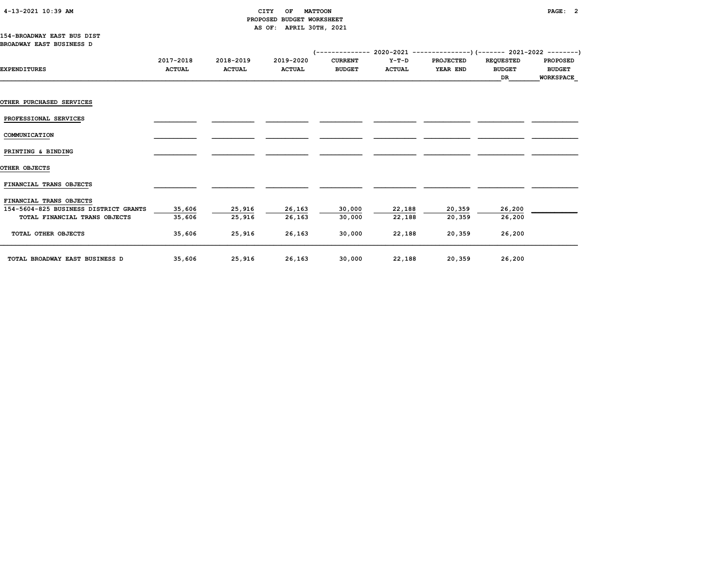#### 4-13-2021 10:39 AM CITY OF MATTOON PAGE: 2 PROPOSED BUDGET WORKSHEET AS OF: APRIL 30TH, 2021

#### 154-BROADWAY EAST BUS DIST BROADWAY EAST BUSINESS D

|                                                                  | 2017-2018     | 2018-2019     | 2019-2020     | <b>CURRENT</b> | $Y-T-D$       | <b>PROJECTED</b> | <b>REQUESTED</b> | <b>PROPOSED</b>  |
|------------------------------------------------------------------|---------------|---------------|---------------|----------------|---------------|------------------|------------------|------------------|
| <b>EXPENDITURES</b>                                              | <b>ACTUAL</b> | <b>ACTUAL</b> | <b>ACTUAL</b> | <b>BUDGET</b>  | <b>ACTUAL</b> | YEAR END         | <b>BUDGET</b>    | <b>BUDGET</b>    |
|                                                                  |               |               |               |                |               |                  | DR               | <b>WORKSPACE</b> |
|                                                                  |               |               |               |                |               |                  |                  |                  |
|                                                                  |               |               |               |                |               |                  |                  |                  |
| <b>OTHER PURCHASED SERVICES</b>                                  |               |               |               |                |               |                  |                  |                  |
|                                                                  |               |               |               |                |               |                  |                  |                  |
| PROFESSIONAL SERVICES                                            |               |               |               |                |               |                  |                  |                  |
| COMMUNICATION                                                    |               |               |               |                |               |                  |                  |                  |
|                                                                  |               |               |               |                |               |                  |                  |                  |
| PRINTING & BINDING                                               |               |               |               |                |               |                  |                  |                  |
|                                                                  |               |               |               |                |               |                  |                  |                  |
| OTHER OBJECTS                                                    |               |               |               |                |               |                  |                  |                  |
|                                                                  |               |               |               |                |               |                  |                  |                  |
| FINANCIAL TRANS OBJECTS                                          |               |               |               |                |               |                  |                  |                  |
|                                                                  |               |               |               |                |               |                  |                  |                  |
| FINANCIAL TRANS OBJECTS<br>154-5604-825 BUSINESS DISTRICT GRANTS | 35,606        | 25,916        | 26,163        | 30,000         | 22,188        | 20,359           | 26,200           |                  |
| TOTAL FINANCIAL TRANS OBJECTS                                    | 35,606        | 25,916        | 26,163        | 30,000         | 22,188        | 20,359           | 26,200           |                  |
|                                                                  |               |               |               |                |               |                  |                  |                  |
| TOTAL OTHER OBJECTS                                              | 35,606        | 25,916        | 26,163        | 30,000         | 22,188        | 20,359           | 26,200           |                  |
|                                                                  |               |               |               |                |               |                  |                  |                  |
|                                                                  |               |               |               |                |               |                  |                  |                  |
| TOTAL BROADWAY EAST BUSINESS D                                   | 35,606        | 25,916        | 26,163        | 30,000         | 22,188        | 20,359           | 26,200           |                  |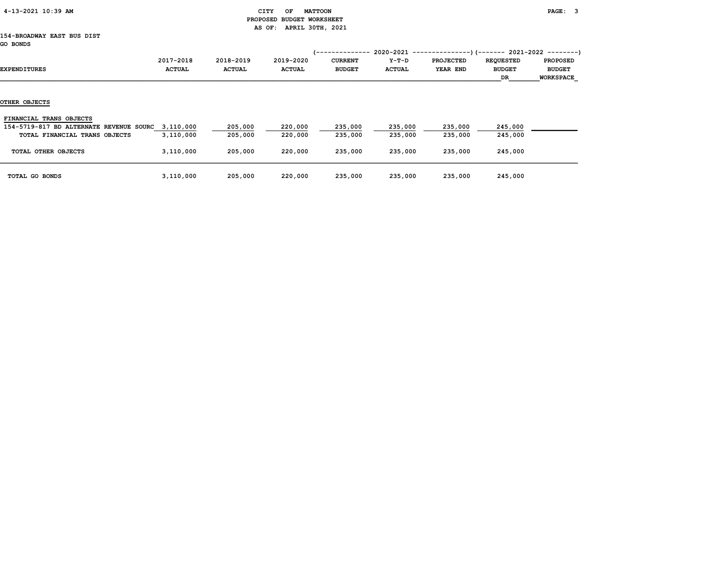| 4-13-2021 10:39 AM |  |
|--------------------|--|
|                    |  |

#### CITY OF MATTOON **PAGE:** 3 PROPOSED BUDGET WORKSHEET AS OF: APRIL 30TH, 2021

#### 154-BROADWAY EAST BUS DIST GO BONDS

| EXPENDITURES                                                                                                  | 2017-2018<br><b>ACTUAL</b> | 2018-2019<br><b>ACTUAL</b> | 2019-2020<br><b>ACTUAL</b> | '-------------<br><b>CURRENT</b><br><b>BUDGET</b> | 2020-2021<br>Y-T-D<br><b>ACTUAL</b> | <b>PROJECTED</b><br>YEAR END | -)(------- 2021-2022 --------)<br><b>REQUESTED</b><br><b>BUDGET</b><br>DR | <b>PROPOSED</b><br><b>BUDGET</b><br><b>WORKSPACE</b> |
|---------------------------------------------------------------------------------------------------------------|----------------------------|----------------------------|----------------------------|---------------------------------------------------|-------------------------------------|------------------------------|---------------------------------------------------------------------------|------------------------------------------------------|
| OTHER OBJECTS                                                                                                 |                            |                            |                            |                                                   |                                     |                              |                                                                           |                                                      |
| FINANCIAL TRANS OBJECTS<br>154-5719-817 BD ALTERNATE REVENUE SOURC 3,110,000<br>TOTAL FINANCIAL TRANS OBJECTS | 3,110,000                  | 205,000<br>205,000         | 220,000<br>220,000         | 235,000<br>235,000                                | 235,000<br>235,000                  | 235,000<br>235,000           | 245,000<br>245,000                                                        |                                                      |
| TOTAL OTHER OBJECTS                                                                                           | 3,110,000                  | 205,000                    | 220,000                    | 235,000                                           | 235,000                             | 235,000                      | 245,000                                                                   |                                                      |
| TOTAL GO BONDS                                                                                                | 3,110,000                  | 205,000                    | 220,000                    | 235,000                                           | 235,000                             | 235,000                      | 245,000                                                                   |                                                      |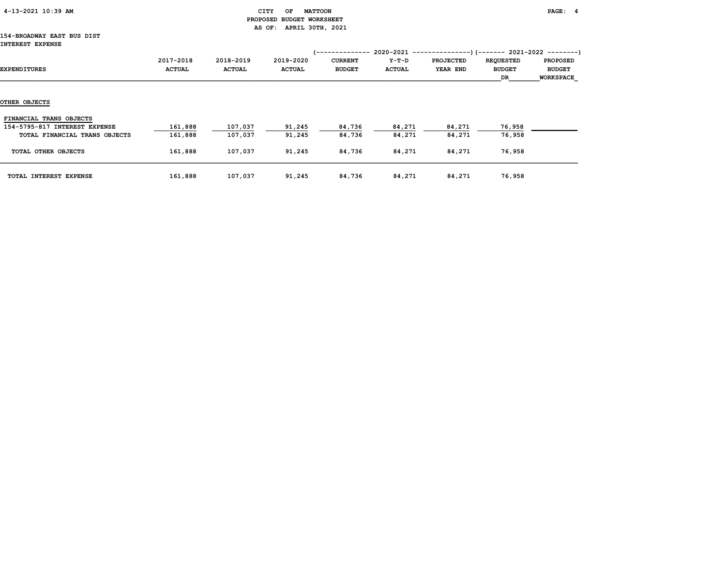| 4-13-2021 10:39 AM |  |
|--------------------|--|
|                    |  |

#### CITY OF MATTOON **PAGE:** 4 PROPOSED BUDGET WORKSHEET AS OF: APRIL 30TH, 2021

#### 154-BROADWAY EAST BUS DIST INTEREST EXPENSE

| EXPENDITURES                  | 2017-2018<br><b>ACTUAL</b> | 2018-2019<br><b>ACTUAL</b> | 2019-2020<br><b>ACTUAL</b> | <b>CURRENT</b><br><b>BUDGET</b> | Y-T-D<br><b>ACTUAL</b> | <b>PROJECTED</b><br><b>YEAR END</b> | <b>REQUESTED</b><br><b>BUDGET</b><br>DR | <b>PROPOSED</b><br><b>BUDGET</b><br>WORKSPACE |
|-------------------------------|----------------------------|----------------------------|----------------------------|---------------------------------|------------------------|-------------------------------------|-----------------------------------------|-----------------------------------------------|
| OTHER OBJECTS                 |                            |                            |                            |                                 |                        |                                     |                                         |                                               |
|                               |                            |                            |                            |                                 |                        |                                     |                                         |                                               |
| FINANCIAL TRANS OBJECTS       |                            |                            |                            |                                 |                        |                                     |                                         |                                               |
| 154-5795-817 INTEREST EXPENSE | 161,888                    | 107,037                    | 91,245                     | 84,736                          | 84,271                 | 84,271                              | 76,958                                  |                                               |
| TOTAL FINANCIAL TRANS OBJECTS | 161,888                    | 107,037                    | 91,245                     | 84,736                          | 84,271                 | 84,271                              | 76,958                                  |                                               |
| TOTAL OTHER OBJECTS           | 161,888                    | 107,037                    | 91,245                     | 84,736                          | 84,271                 | 84,271                              | 76,958                                  |                                               |
| TOTAL INTEREST EXPENSE        | 161,888                    | 107,037                    | 91,245                     | 84,736                          | 84,271                 | 84,271                              | 76,958                                  |                                               |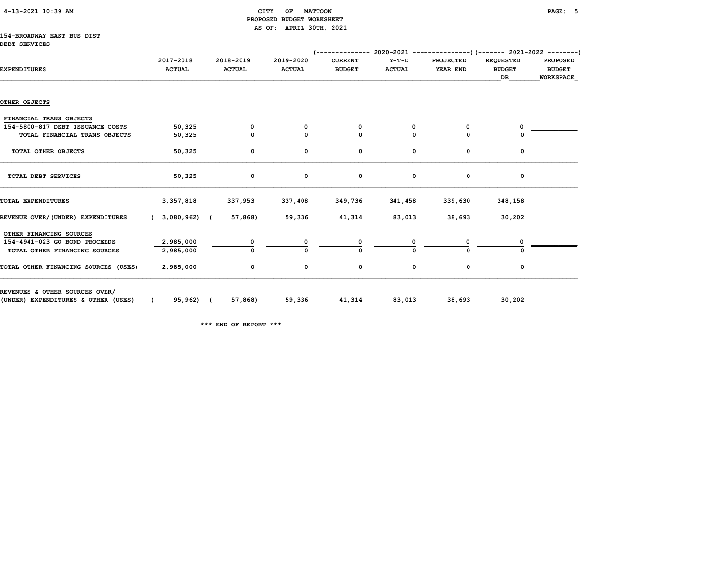| $4 - 13 - 2021$ $10:39$ AM |  |  |
|----------------------------|--|--|
|----------------------------|--|--|

#### CITY OF MATTOON **PAGE:** 5 PROPOSED BUDGET WORKSHEET AS OF: APRIL 30TH, 2021

#### 154-BROADWAY EAST BUS DIST DEBT SERVICES

| <b>EXPENDITURES</b>                                                                          | 2017-2018<br><b>ACTUAL</b> | 2018-2019<br><b>ACTUAL</b> | 2019-2020<br><b>ACTUAL</b> | <b>CURRENT</b><br><b>BUDGET</b> | Y-T-D<br><b>ACTUAL</b> | <b>PROJECTED</b><br>YEAR END | <b>REQUESTED</b><br><b>BUDGET</b><br>DR | <b>PROPOSED</b><br><b>BUDGET</b><br>WORKSPACE |
|----------------------------------------------------------------------------------------------|----------------------------|----------------------------|----------------------------|---------------------------------|------------------------|------------------------------|-----------------------------------------|-----------------------------------------------|
|                                                                                              |                            |                            |                            |                                 |                        |                              |                                         |                                               |
| OTHER OBJECTS                                                                                |                            |                            |                            |                                 |                        |                              |                                         |                                               |
| FINANCIAL TRANS OBJECTS<br>154-5800-817 DEBT ISSUANCE COSTS<br>TOTAL FINANCIAL TRANS OBJECTS | 50,325<br>50,325           | 0                          |                            |                                 |                        |                              |                                         |                                               |
| TOTAL OTHER OBJECTS                                                                          | 50,325                     | 0                          | 0                          | 0                               | 0                      | 0                            | 0                                       |                                               |
| TOTAL DEBT SERVICES                                                                          | 50,325                     | 0                          | 0                          | 0                               | 0                      | 0                            | 0                                       |                                               |
| TOTAL EXPENDITURES                                                                           | 3,357,818                  | 337,953                    | 337,408                    | 349,736                         | 341,458                | 339,630                      | 348,158                                 |                                               |
| REVENUE OVER/(UNDER) EXPENDITURES                                                            | (3,080,962)                | 57,868)                    | 59,336                     | 41,314                          | 83,013                 | 38,693                       | 30,202                                  |                                               |
| OTHER FINANCING SOURCES<br>154-4941-023 GO BOND PROCEEDS<br>TOTAL OTHER FINANCING SOURCES    | 2,985,000<br>2,985,000     | 0<br>$\Omega$              |                            |                                 |                        |                              |                                         |                                               |
| TOTAL OTHER FINANCING SOURCES (USES)                                                         | 2,985,000                  | 0                          | 0                          | 0                               | 0                      | 0                            | 0                                       |                                               |
| REVENUES & OTHER SOURCES OVER/<br>(UNDER) EXPENDITURES & OTHER (USES)                        | 95,962) (<br>$\epsilon$    | 57,868)                    | 59,336                     | 41,314                          | 83,013                 | 38,693                       | 30,202                                  |                                               |

\*\*\* END OF REPORT \*\*\*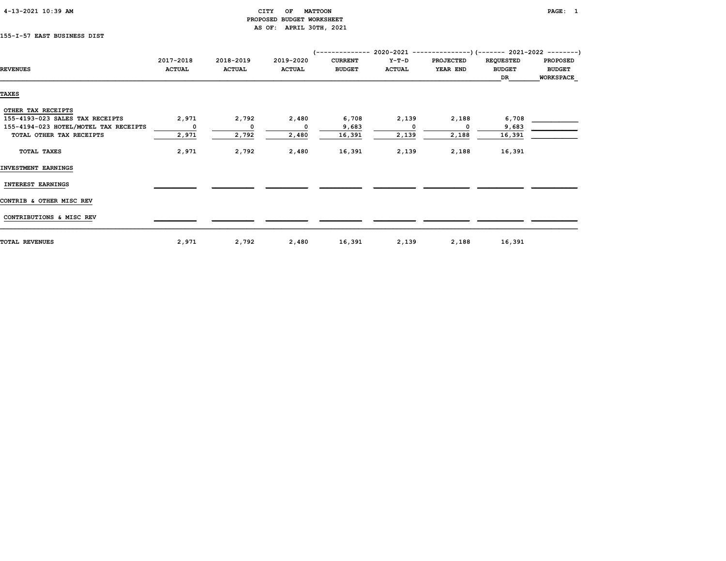| 4-13-2021 10:39 AM |  |
|--------------------|--|
|                    |  |

#### CITY OF MATTOON PAGE: 1 PROPOSED BUDGET WORKSHEET AS OF: APRIL 30TH, 2021

### 155-I-57 EAST BUSINESS DIST

|                                       | 2017-2018                | 2018-2019     | 2019-2020     | <b>CURRENT</b> | Y-T-D         | <b>PROJECTED</b> | <b>REQUESTED</b> | <b>PROPOSED</b>  |
|---------------------------------------|--------------------------|---------------|---------------|----------------|---------------|------------------|------------------|------------------|
| <b>REVENUES</b>                       | <b>ACTUAL</b>            | <b>ACTUAL</b> | <b>ACTUAL</b> | <b>BUDGET</b>  | <b>ACTUAL</b> | YEAR END         | <b>BUDGET</b>    | <b>BUDGET</b>    |
|                                       |                          |               |               |                |               |                  | DR               | <b>WORKSPACE</b> |
|                                       |                          |               |               |                |               |                  |                  |                  |
| <b>TAXES</b>                          |                          |               |               |                |               |                  |                  |                  |
| OTHER TAX RECEIPTS                    |                          |               |               |                |               |                  |                  |                  |
| 155-4193-023 SALES TAX RECEIPTS       | 2,971                    | 2,792         | 2,480         | 6,708          | 2,139         | 2,188            | 6,708            |                  |
| 155-4194-023 HOTEL/MOTEL TAX RECEIPTS | $\overline{\phantom{a}}$ | $\mathbf{o}$  | 0             | 9,683          | $\Omega$      | $\Omega$         | 9,683            |                  |
| TOTAL OTHER TAX RECEIPTS              | 2,971                    | 2,792         | 2,480         | 16,391         | 2,139         | 2,188            | 16,391           |                  |
|                                       |                          |               |               |                |               |                  |                  |                  |
| TOTAL TAXES                           | 2,971                    | 2,792         | 2,480         | 16,391         | 2,139         | 2,188            | 16,391           |                  |
| INVESTMENT EARNINGS                   |                          |               |               |                |               |                  |                  |                  |
| <b>INTEREST EARNINGS</b>              |                          |               |               |                |               |                  |                  |                  |
|                                       |                          |               |               |                |               |                  |                  |                  |
| CONTRIB & OTHER MISC REV              |                          |               |               |                |               |                  |                  |                  |
| CONTRIBUTIONS & MISC REV              |                          |               |               |                |               |                  |                  |                  |
|                                       |                          |               |               |                |               |                  |                  |                  |
| <b>TOTAL REVENUES</b>                 | 2,971                    | 2,792         | 2,480         | 16,391         | 2,139         | 2,188            | 16,391           |                  |
|                                       |                          |               |               |                |               |                  |                  |                  |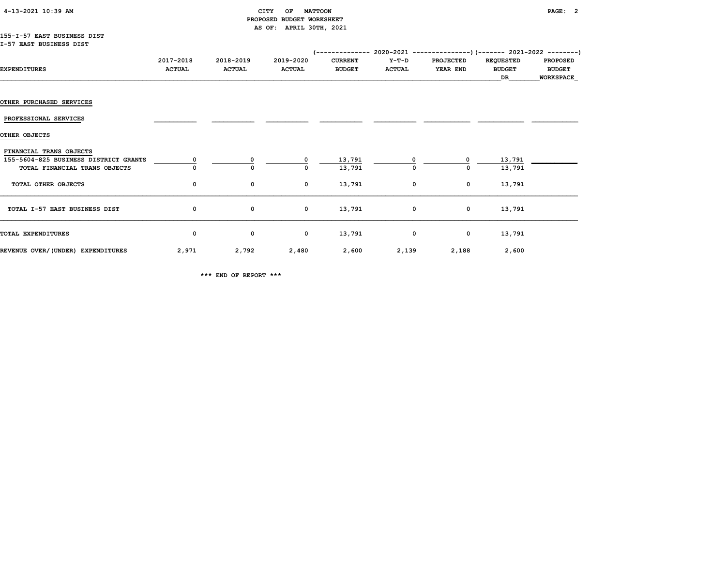| 4-13-2021 10:39 AM |  |  |
|--------------------|--|--|
|--------------------|--|--|

#### CITY OF MATTOON **PAGE: 2**  PROPOSED BUDGET WORKSHEET AS OF: APRIL 30TH, 2021

#### 155-I-57 EAST BUSINESS DIST I-57 EAST BUSINESS DIST

|                                       | 2017-2018     | 2018-2019     | 2019-2020     | <b>CURRENT</b> | Y-T-D         | <b>PROJECTED</b> | <b>REQUESTED</b> | <b>PROPOSED</b>  |
|---------------------------------------|---------------|---------------|---------------|----------------|---------------|------------------|------------------|------------------|
| <b>EXPENDITURES</b>                   | <b>ACTUAL</b> | <b>ACTUAL</b> | <b>ACTUAL</b> | <b>BUDGET</b>  | <b>ACTUAL</b> | YEAR END         | <b>BUDGET</b>    | <b>BUDGET</b>    |
|                                       |               |               |               |                |               |                  | DR               | <b>WORKSPACE</b> |
|                                       |               |               |               |                |               |                  |                  |                  |
| <b>OTHER PURCHASED SERVICES</b>       |               |               |               |                |               |                  |                  |                  |
| PROFESSIONAL SERVICES                 |               |               |               |                |               |                  |                  |                  |
| OTHER OBJECTS                         |               |               |               |                |               |                  |                  |                  |
| FINANCIAL TRANS OBJECTS               |               |               |               |                |               |                  |                  |                  |
| 155-5604-825 BUSINESS DISTRICT GRANTS |               | 0             | $^{\circ}$    | 13,791         | 0             | 0                | 13,791           |                  |
| TOTAL FINANCIAL TRANS OBJECTS         |               | 0             | 0             | 13,791         | 0             | 0                | 13,791           |                  |
|                                       |               |               |               |                |               |                  |                  |                  |
| TOTAL OTHER OBJECTS                   | 0             | 0             | $^{\circ}$    | 13,791         | 0             | $\mathbf 0$      | 13,791           |                  |
| TOTAL I-57 EAST BUSINESS DIST         | 0             | $\mathbf 0$   | $\mathbf 0$   | 13,791         | $\mathbf 0$   | $\mathbf 0$      | 13,791           |                  |
|                                       |               |               |               |                |               |                  |                  |                  |
| TOTAL EXPENDITURES                    | 0             | 0             | $\mathbf 0$   | 13,791         | 0             | $\mathbf 0$      | 13,791           |                  |
|                                       |               |               |               |                |               |                  |                  |                  |
| REVENUE OVER/(UNDER) EXPENDITURES     | 2,971         | 2,792         | 2,480         | 2,600          | 2,139         | 2,188            | 2,600            |                  |

\*\*\* END OF REPORT \*\*\*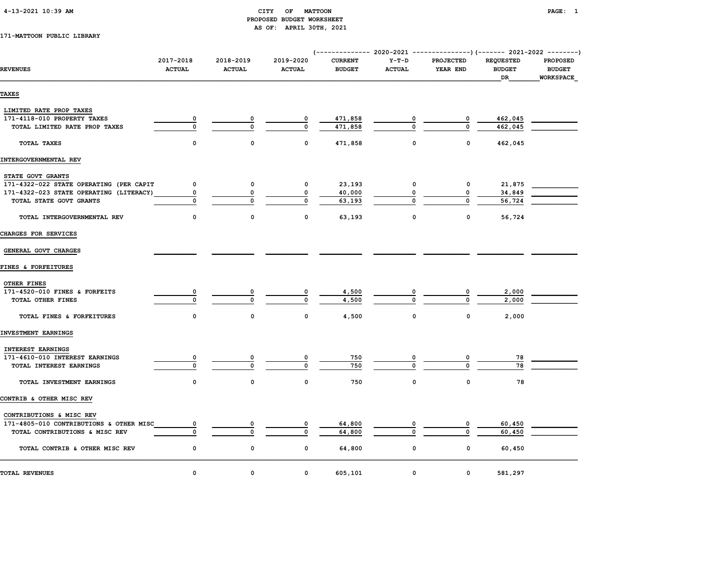#### 4-13-2021 10:39 AM CITY OF MATTOON PAGE: 1 PROPOSED BUDGET WORKSHEET AS OF: APRIL 30TH, 2021

#### 171-MATTOON PUBLIC LIBRARY

| <b>REVENUES</b>                         | 2017-2018<br><b>ACTUAL</b> | 2018-2019<br><b>ACTUAL</b> | 2019-2020<br><b>ACTUAL</b> | <b>CURRENT</b><br><b>BUDGET</b> | $Y-T-D$<br><b>ACTUAL</b> | <b>PROJECTED</b><br>YEAR END | <b>REQUESTED</b><br><b>BUDGET</b><br>DR | <b>PROPOSED</b><br><b>BUDGET</b><br><b>WORKSPACE</b> |
|-----------------------------------------|----------------------------|----------------------------|----------------------------|---------------------------------|--------------------------|------------------------------|-----------------------------------------|------------------------------------------------------|
| <b>TAXES</b>                            |                            |                            |                            |                                 |                          |                              |                                         |                                                      |
| LIMITED RATE PROP TAXES                 |                            |                            |                            |                                 |                          |                              |                                         |                                                      |
| 171-4118-010 PROPERTY TAXES             | 0                          |                            |                            | 471,858                         |                          |                              | 462,045                                 |                                                      |
| TOTAL LIMITED RATE PROP TAXES           | $\mathbf{0}$               | $\Omega$                   | $\mathbf{0}$               | 471,858                         |                          | $\Omega$                     | 462,045                                 |                                                      |
| TOTAL TAXES                             | $\mathbf 0$                | 0                          | 0                          | 471,858                         | 0                        | 0                            | 462,045                                 |                                                      |
| INTERGOVERNMENTAL REV                   |                            |                            |                            |                                 |                          |                              |                                         |                                                      |
| STATE GOVT GRANTS                       |                            |                            |                            |                                 |                          |                              |                                         |                                                      |
| 171-4322-022 STATE OPERATING (PER CAPIT | $\Omega$                   | $\mathbf 0$                | 0                          | 23,193                          | 0                        | $\mathbf 0$                  | 21,875                                  |                                                      |
| 171-4322-023 STATE OPERATING (LITERACY) | 0                          | 0                          | 0                          | 40,000                          | 0                        | 0                            | 34,849                                  |                                                      |
| TOTAL STATE GOVT GRANTS                 | $\Omega$                   | 0                          | 0                          | 63,193                          |                          | $\Omega$                     | 56,724                                  |                                                      |
| TOTAL INTERGOVERNMENTAL REV             | $\mathbf 0$                | $\mathbf 0$                | 0                          | 63,193                          | 0                        | $\mathbf 0$                  | 56,724                                  |                                                      |
| CHARGES FOR SERVICES                    |                            |                            |                            |                                 |                          |                              |                                         |                                                      |
| GENERAL GOVT CHARGES                    |                            |                            |                            |                                 |                          |                              |                                         |                                                      |
| FINES & FORFEITURES                     |                            |                            |                            |                                 |                          |                              |                                         |                                                      |
| OTHER FINES                             |                            |                            |                            |                                 |                          |                              |                                         |                                                      |
| 171-4520-010 FINES & FORFEITS           | 0                          | 0                          | 0                          | 4,500                           | 0                        | 0                            | 2,000                                   |                                                      |
| TOTAL OTHER FINES                       | $\mathbf 0$                | $\Omega$                   | $\Omega$                   | 4,500                           | $\Omega$                 | $\Omega$                     | 2,000                                   |                                                      |
| TOTAL FINES & FORFEITURES               | $\mathbf 0$                | $\mathbf 0$                | 0                          | 4,500                           | 0                        | $\mathbf 0$                  | 2,000                                   |                                                      |
| INVESTMENT EARNINGS                     |                            |                            |                            |                                 |                          |                              |                                         |                                                      |
| <b>INTEREST EARNINGS</b>                |                            |                            |                            |                                 |                          |                              |                                         |                                                      |
| 171-4610-010 INTEREST EARNINGS          | 0                          | 0                          | 0                          | 750                             |                          | 0                            | 78                                      |                                                      |
| TOTAL INTEREST EARNINGS                 | $\mathbf{0}$               | $\Omega$                   | $\Omega$                   | 750                             | $\Omega$                 | $\Omega$                     | 78                                      |                                                      |
| TOTAL INVESTMENT EARNINGS               | $\mathbf 0$                | $\mathbf 0$                | $\mathbf 0$                | 750                             | $\mathbf 0$              | $\mathbf 0$                  | 78                                      |                                                      |
| CONTRIB & OTHER MISC REV                |                            |                            |                            |                                 |                          |                              |                                         |                                                      |
| CONTRIBUTIONS & MISC REV                |                            |                            |                            |                                 |                          |                              |                                         |                                                      |
| 171-4805-010 CONTRIBUTIONS & OTHER MISC | 0                          | 0                          | 0                          | 64,800                          |                          | 0                            | 60,450                                  |                                                      |
| TOTAL CONTRIBUTIONS & MISC REV          | $\mathbf 0$                | $\Omega$                   | $\mathbf{0}$               | 64,800                          | $\Omega$                 | $\Omega$                     | 60,450                                  |                                                      |
| TOTAL CONTRIB & OTHER MISC REV          | 0                          | 0                          | 0                          | 64,800                          | 0                        | 0                            | 60,450                                  |                                                      |
| TOTAL REVENUES                          | $\Omega$                   | $\mathbf 0$                | 0                          | 605,101                         | 0                        | $\Omega$                     | 581,297                                 |                                                      |
|                                         |                            |                            |                            |                                 |                          |                              |                                         |                                                      |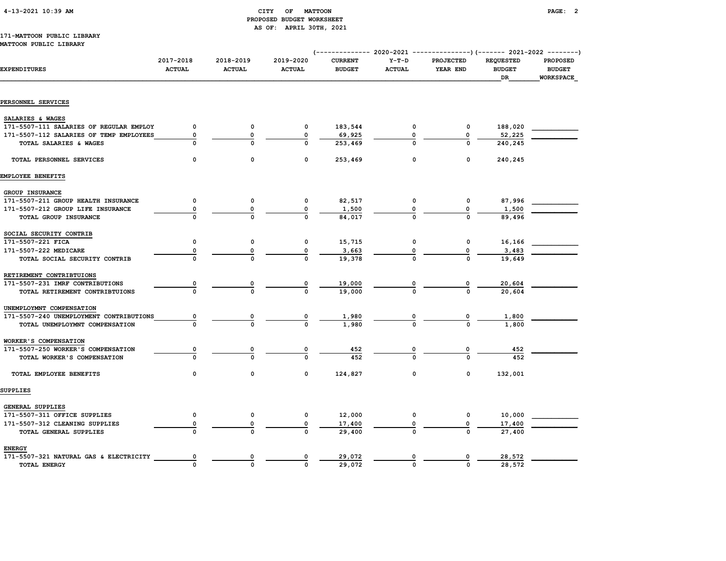|  | 4-13-2021 10:39 AM |  |
|--|--------------------|--|
|  |                    |  |

#### CITY OF MATTOON **PAGE: 2**  PROPOSED BUDGET WORKSHEET AS OF: APRIL 30TH, 2021

#### 171-MATTOON PUBLIC LIBRARY MATTOON PUBLIC LIBRARY

| <b>EXPENDITURES</b>                     | 2017-2018<br><b>ACTUAL</b> | 2018-2019<br><b>ACTUAL</b> | 2019-2020<br><b>ACTUAL</b> | <b>CURRENT</b><br><b>BUDGET</b> | $Y-T-D$<br><b>ACTUAL</b> | <b>PROJECTED</b><br>YEAR END | <b>REQUESTED</b><br><b>BUDGET</b><br>DR | <b>PROPOSED</b><br><b>BUDGET</b> |
|-----------------------------------------|----------------------------|----------------------------|----------------------------|---------------------------------|--------------------------|------------------------------|-----------------------------------------|----------------------------------|
|                                         |                            |                            |                            |                                 |                          |                              |                                         | WORKSPACE                        |
| PERSONNEL SERVICES                      |                            |                            |                            |                                 |                          |                              |                                         |                                  |
| SALARIES & WAGES                        |                            |                            |                            |                                 |                          |                              |                                         |                                  |
| 171-5507-111 SALARIES OF REGULAR EMPLOY | $\mathbf 0$                | 0                          | 0                          | 183,544                         | 0                        | 0                            | 188,020                                 |                                  |
| 171-5507-112 SALARIES OF TEMP EMPLOYEES | $\mathbf 0$                | $\mathbf 0$                | $\mathbf 0$                | 69,925                          | 0                        | $\Omega$                     | 52,225                                  |                                  |
| TOTAL SALARIES & WAGES                  | $\Omega$                   | 0                          | $\Omega$                   | 253,469                         | O                        | O                            | 240,245                                 |                                  |
|                                         |                            |                            |                            |                                 |                          |                              |                                         |                                  |
| TOTAL PERSONNEL SERVICES                | $\mathbf 0$                | $\Omega$                   | 0                          | 253,469                         | 0                        | $\Omega$                     | 240,245                                 |                                  |
| EMPLOYEE BENEFITS                       |                            |                            |                            |                                 |                          |                              |                                         |                                  |
| GROUP INSURANCE                         |                            |                            |                            |                                 |                          |                              |                                         |                                  |
| 171-5507-211 GROUP HEALTH INSURANCE     | $\mathbf 0$                | 0                          | 0                          | 82,517                          | $\mathbf{o}$             | 0                            | 87,996                                  |                                  |
| 171-5507-212 GROUP LIFE INSURANCE       | 0                          | 0                          | 0                          | 1,500                           |                          | $\mathbf 0$                  | 1,500                                   |                                  |
| TOTAL GROUP INSURANCE                   | $\Omega$                   |                            | 0                          | 84,017                          |                          | $\Omega$                     | 89,496                                  |                                  |
| SOCIAL SECURITY CONTRIB                 |                            |                            |                            |                                 |                          |                              |                                         |                                  |
| 171-5507-221 FICA                       | 0                          | $\mathbf 0$                | 0                          | 15,715                          | 0                        | 0                            | 16,166                                  |                                  |
| 171-5507-222 MEDICARE                   | 0                          | 0                          | 0                          | 3,663                           |                          | 0                            | 3,483                                   |                                  |
| TOTAL SOCIAL SECURITY CONTRIB           |                            |                            |                            | 19,378                          |                          | $\mathbf{0}$                 | 19,649                                  |                                  |
| RETIREMENT CONTRIBTUIONS                |                            |                            |                            |                                 |                          |                              |                                         |                                  |
| 171-5507-231 IMRF CONTRIBUTIONS         | 0                          | 0                          | 0                          | 19,000                          | 0                        | $\mathbf 0$                  | 20,604                                  |                                  |
| TOTAL RETIREMENT CONTRIBTUIONS          | $\Omega$                   |                            | O                          | 19,000                          |                          | $\Omega$                     | 20,604                                  |                                  |
| UNEMPLOYMNT COMPENSATION                |                            |                            |                            |                                 |                          |                              |                                         |                                  |
| 171-5507-240 UNEMPLOYMENT CONTRIBUTIONS | 0                          | $\overline{\mathbf{0}}$    | 0                          | 1,980                           |                          | 0                            | 1,800                                   |                                  |
| TOTAL UNEMPLOYMNT COMPENSATION          | $\Omega$                   | $\Omega$                   | <sup>0</sup>               | 1,980                           |                          | $\Omega$                     | 1,800                                   |                                  |
| WORKER'S COMPENSATION                   |                            |                            |                            |                                 |                          |                              |                                         |                                  |
| 171-5507-250 WORKER'S COMPENSATION      | 0                          |                            | $\mathbf 0$                | 452                             |                          | $\mathbf 0$                  | 452                                     |                                  |
| TOTAL WORKER'S COMPENSATION             | $\Omega$                   |                            | O                          | 452                             |                          | $\Omega$                     | 452                                     |                                  |
| TOTAL EMPLOYEE BENEFITS                 | 0                          | 0                          | 0                          | 124,827                         | 0                        | $\Omega$                     | 132,001                                 |                                  |
| SUPPLIES                                |                            |                            |                            |                                 |                          |                              |                                         |                                  |
| GENERAL SUPPLIES                        |                            |                            |                            |                                 |                          |                              |                                         |                                  |
| 171-5507-311 OFFICE SUPPLIES            | $\mathbf 0$                | 0                          | 0                          | 12,000                          | $\mathbf{o}$             | 0                            | 10,000                                  |                                  |
| 171-5507-312 CLEANING SUPPLIES          | $\mathbf 0$                | 0                          | 0                          | 17,400                          |                          | $\Omega$                     | 17,400                                  |                                  |
| TOTAL GENERAL SUPPLIES                  | $\Omega$                   | $\Omega$                   | 0                          | 29,400                          |                          | $\Omega$                     | 27,400                                  |                                  |
| <b>ENERGY</b>                           |                            |                            |                            |                                 |                          |                              |                                         |                                  |
| 171-5507-321 NATURAL GAS & ELECTRICITY  | 0                          | 0                          |                            | 29,072                          | 0                        | 0                            | 28,572                                  |                                  |
| <b>TOTAL ENERGY</b>                     | $\Omega$                   | $\Omega$                   | <sup>0</sup>               | 29,072                          | $\mathbf 0$              | $\Omega$                     | 28,572                                  |                                  |
|                                         |                            |                            |                            |                                 |                          |                              |                                         |                                  |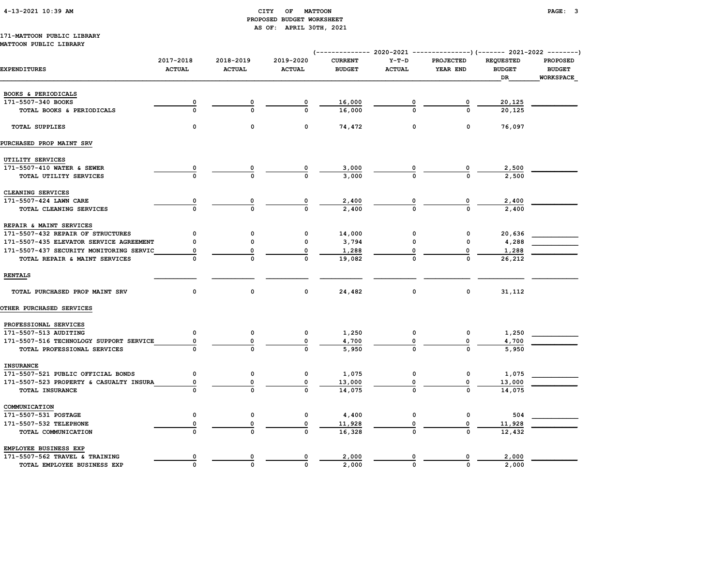#### 4-13-2021 10:39 AM CITY OF MATTOON PAGE: 3 PROPOSED BUDGET WORKSHEET AS OF: APRIL 30TH, 2021

# 171-MATTOON PUBLIC LIBRARY

#### MATTOON PUBLIC LIBRARY

| <b>EXPENDITURES</b>                     | 2017-2018<br><b>ACTUAL</b> | 2018-2019<br><b>ACTUAL</b> | 2019-2020<br><b>ACTUAL</b> | <b>CURRENT</b><br><b>BUDGET</b> | $Y-T-D$<br><b>ACTUAL</b> | PROJECTED<br>YEAR END | <b>REQUESTED</b><br><b>BUDGET</b><br>DR | <b>PROPOSED</b><br><b>BUDGET</b><br>WORKSPACE |
|-----------------------------------------|----------------------------|----------------------------|----------------------------|---------------------------------|--------------------------|-----------------------|-----------------------------------------|-----------------------------------------------|
| BOOKS & PERIODICALS                     |                            |                            |                            |                                 |                          |                       |                                         |                                               |
| 171-5507-340 BOOKS                      |                            |                            |                            | 16,000                          |                          | 0                     | 20,125                                  |                                               |
| TOTAL BOOKS & PERIODICALS               |                            | $\Omega$                   |                            | 16,000                          |                          |                       | 20,125                                  |                                               |
| <b>TOTAL SUPPLIES</b>                   | 0                          | 0                          | 0                          | 74,472                          | 0                        | 0                     | 76,097                                  |                                               |
| PURCHASED PROP MAINT SRV                |                            |                            |                            |                                 |                          |                       |                                         |                                               |
| UTILITY SERVICES                        |                            |                            |                            |                                 |                          |                       |                                         |                                               |
| 171-5507-410 WATER & SEWER              |                            |                            |                            | 3,000                           |                          |                       | 2,500                                   |                                               |
| TOTAL UTILITY SERVICES                  |                            | $\Omega$                   |                            | 3,000                           |                          |                       | 2,500                                   |                                               |
| CLEANING SERVICES                       |                            |                            |                            |                                 |                          |                       |                                         |                                               |
| 171-5507-424 LAWN CARE                  | 0                          |                            | $\overline{\mathbf{0}}$    | 2,400                           |                          |                       | 2,400                                   |                                               |
| TOTAL CLEANING SERVICES                 | $\Omega$                   | $\Omega$                   | $\Omega$                   | 2,400                           | $\frac{0}{0}$            |                       | 2,400                                   |                                               |
| REPAIR & MAINT SERVICES                 |                            |                            |                            |                                 |                          |                       |                                         |                                               |
| 171-5507-432 REPAIR OF STRUCTURES       | 0                          | 0                          | 0                          | 14,000                          | 0                        | 0                     | 20,636                                  |                                               |
| 171-5507-435 ELEVATOR SERVICE AGREEMENT | O                          | 0                          | 0                          | 3,794                           | $\Omega$                 | 0                     | 4,288                                   |                                               |
| 171-5507-437 SECURITY MONITORING SERVIC | 0                          | 0                          | 0                          | 1,288                           |                          | 0                     | 1,288                                   |                                               |
| TOTAL REPAIR & MAINT SERVICES           | $\Omega$                   |                            | $\mathbf 0$                | 19,082                          |                          | $\mathbf 0$           | 26,212                                  |                                               |
| <b>RENTALS</b>                          |                            |                            |                            |                                 |                          |                       |                                         |                                               |
| TOTAL PURCHASED PROP MAINT SRV          | 0                          | 0                          | 0                          | 24,482                          | 0                        | 0                     | 31,112                                  |                                               |
| <b>OTHER PURCHASED SERVICES</b>         |                            |                            |                            |                                 |                          |                       |                                         |                                               |
| PROFESSIONAL SERVICES                   |                            |                            |                            |                                 |                          |                       |                                         |                                               |
| 171-5507-513 AUDITING                   | 0                          | $\mathbf 0$                | 0                          | 1,250                           | 0                        | 0                     | 1,250                                   |                                               |
| 171-5507-516 TECHNOLOGY SUPPORT SERVICE | 0                          | 0                          | 0                          | 4,700                           |                          | 0                     | 4,700                                   |                                               |
| TOTAL PROFESSIONAL SERVICES             |                            |                            |                            | 5,950                           |                          |                       | 5,950                                   |                                               |
| <b>INSURANCE</b>                        |                            |                            |                            |                                 |                          |                       |                                         |                                               |
| 171-5507-521 PUBLIC OFFICIAL BONDS      | 0                          | $\mathbf 0$                | 0                          | 1,075                           | 0                        | 0                     | 1,075                                   |                                               |
| 171-5507-523 PROPERTY & CASUALTY INSURA | 0                          | 0                          | 0                          | 13,000                          | 0                        | 0                     | 13,000                                  |                                               |
| TOTAL INSURANCE                         | $\Omega$                   | $\Omega$                   | $\Omega$                   | 14,075                          |                          | $\Omega$              | 14,075                                  |                                               |
| COMMUNICATION                           |                            |                            |                            |                                 |                          |                       |                                         |                                               |
| 171-5507-531 POSTAGE                    | 0                          | 0                          | 0                          | 4,400                           | 0                        | 0                     | 504                                     |                                               |
| 171-5507-532 TELEPHONE                  | 0                          | 0                          | 0                          | 11,928                          |                          | 0                     | 11,928                                  |                                               |
| TOTAL COMMUNICATION                     | $\Omega$                   | $\Omega$                   | $\Omega$                   | 16,328                          |                          | $\Omega$              | 12,432                                  |                                               |
| EMPLOYEE BUSINESS EXP                   |                            |                            |                            |                                 |                          |                       |                                         |                                               |
| 171-5507-562 TRAVEL & TRAINING          | 0                          | 0                          | 0                          | 2,000                           | 0                        | 0                     | 2,000                                   |                                               |
| TOTAL EMPLOYEE BUSINESS EXP             | $\Omega$                   | $\Omega$                   | $\Omega$                   | 2,000                           | $\Omega$                 | $\Omega$              | 2,000                                   |                                               |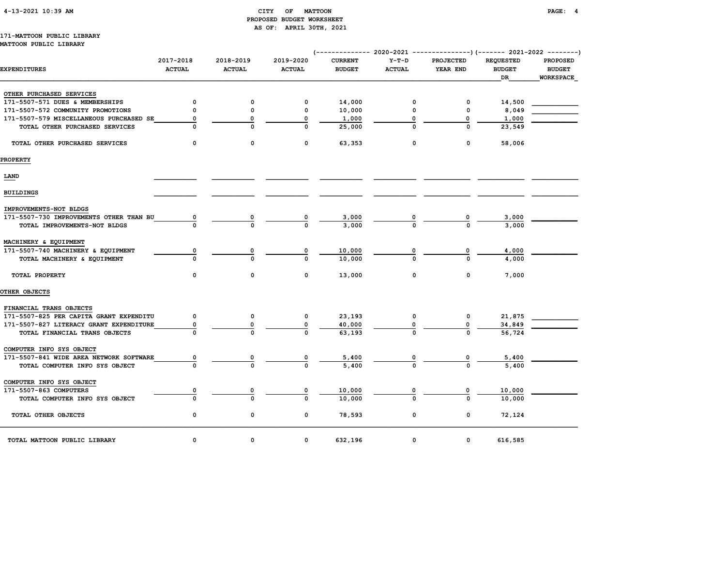#### 4-13-2021 10:39 AM CITY OF MATTOON PAGE: 4 PROPOSED BUDGET WORKSHEET AS OF: APRIL 30TH, 2021

# 171-MATTOON PUBLIC LIBRARY

| <b>EXPENDITURES</b>                                                       | 2017-2018<br><b>ACTUAL</b> | 2018-2019<br><b>ACTUAL</b> | 2019-2020<br><b>ACTUAL</b> | <b>CURRENT</b><br><b>BUDGET</b> | $Y-T-D$<br><b>ACTUAL</b> | <b>PROJECTED</b><br>YEAR END | <b>REQUESTED</b><br><b>BUDGET</b><br><b>DR</b> | <b>PROPOSED</b><br><b>BUDGET</b><br><b>WORKSPACE</b> |
|---------------------------------------------------------------------------|----------------------------|----------------------------|----------------------------|---------------------------------|--------------------------|------------------------------|------------------------------------------------|------------------------------------------------------|
| OTHER PURCHASED SERVICES                                                  |                            |                            |                            |                                 |                          |                              |                                                |                                                      |
| 171-5507-571 DUES & MEMBERSHIPS                                           | 0                          | 0                          | 0                          | 14,000                          | $\mathbf 0$              | $\mathbf 0$                  | 14,500                                         |                                                      |
| 171-5507-572 COMMUNITY PROMOTIONS                                         | $\mathbf 0$                | 0                          | 0                          | 10,000                          | 0                        | 0                            | 8,049                                          |                                                      |
| 171-5507-579 MISCELLANEOUS PURCHASED SE                                   | 0                          | $\Omega$                   | $\mathbf 0$                | 1,000                           | 0                        | 0                            | 1,000                                          |                                                      |
| TOTAL OTHER PURCHASED SERVICES                                            |                            | $\Omega$                   | $\Omega$                   | 25,000                          | $\Omega$                 | $\Omega$                     | 23,549                                         |                                                      |
| TOTAL OTHER PURCHASED SERVICES                                            | $\Omega$                   | $\mathbf 0$                | $\mathbf 0$                | 63,353                          | $\mathbf 0$              | $\mathbf 0$                  | 58,006                                         |                                                      |
| <b>PROPERTY</b>                                                           |                            |                            |                            |                                 |                          |                              |                                                |                                                      |
| LAND                                                                      |                            |                            |                            |                                 |                          |                              |                                                |                                                      |
| <b>BUILDINGS</b>                                                          |                            |                            |                            |                                 |                          |                              |                                                |                                                      |
| IMPROVEMENTS-NOT BLDGS                                                    |                            |                            |                            |                                 |                          |                              |                                                |                                                      |
| 171-5507-730 IMPROVEMENTS OTHER THAN BU<br>TOTAL IMPROVEMENTS-NOT BLDGS   | 0                          | 0<br>$\Omega$              | 0<br>$\Omega$              | 3,000<br>3,000                  |                          | 0<br><sup>0</sup>            | 3,000<br>3,000                                 |                                                      |
| MACHINERY & EQUIPMENT                                                     |                            |                            |                            |                                 |                          |                              |                                                |                                                      |
| 171-5507-740 MACHINERY & EQUIPMENT<br>TOTAL MACHINERY & EQUIPMENT         | 0                          | 0<br>$\Omega$              | 0<br>O                     | 10,000<br>10,000                | 0                        | 0<br>$\Omega$                | 4,000<br>4,000                                 |                                                      |
| TOTAL PROPERTY                                                            | 0                          | 0                          | 0                          | 13,000                          | 0                        | 0                            | 7,000                                          |                                                      |
| OTHER OBJECTS                                                             |                            |                            |                            |                                 |                          |                              |                                                |                                                      |
| FINANCIAL TRANS OBJECTS                                                   |                            |                            |                            |                                 |                          |                              |                                                |                                                      |
| 171-5507-825 PER CAPITA GRANT EXPENDITU                                   | 0                          | 0                          | 0                          | 23,193                          | 0                        | 0                            | 21,875                                         |                                                      |
| 171-5507-827 LITERACY GRANT EXPENDITURE                                   | 0                          | 0                          | $\mathbf 0$                | 40,000                          | 0                        | 0                            | 34,849                                         |                                                      |
| TOTAL FINANCIAL TRANS OBJECTS                                             |                            |                            | O                          | 63,193                          |                          | $\Omega$                     | 56,724                                         |                                                      |
| COMPUTER INFO SYS OBJECT                                                  |                            |                            |                            |                                 |                          |                              |                                                |                                                      |
| 171-5507-841 WIDE AREA NETWORK SOFTWARE<br>TOTAL COMPUTER INFO SYS OBJECT | 0                          | $\Omega$                   | 0<br>$\Omega$              | 5,400<br>5,400                  | 0                        | $\Omega$                     | 5,400<br>5,400                                 |                                                      |
| COMPUTER INFO SYS OBJECT                                                  |                            |                            |                            |                                 |                          |                              |                                                |                                                      |
| 171-5507-863 COMPUTERS                                                    | 0                          | 0                          |                            | 10,000                          |                          |                              | 10,000                                         |                                                      |
| TOTAL COMPUTER INFO SYS OBJECT                                            | $\Omega$                   | $\Omega$                   | <sup>0</sup>               | 10,000                          | $\Omega$                 | <sup>0</sup>                 | 10,000                                         |                                                      |
| TOTAL OTHER OBJECTS                                                       | 0                          | 0                          | 0                          | 78,593                          | 0                        | 0                            | 72,124                                         |                                                      |
| TOTAL MATTOON PUBLIC LIBRARY                                              | 0                          | 0                          | 0                          | 632,196                         | 0                        | 0                            | 616,585                                        |                                                      |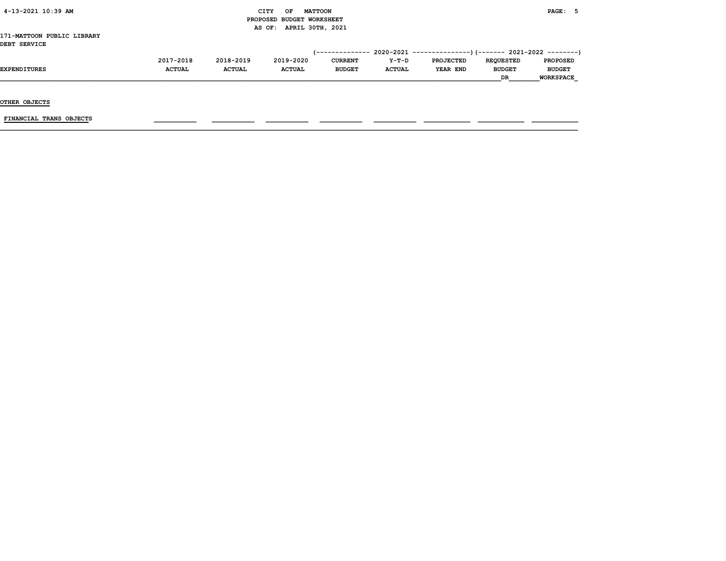#### $\begin{array}{ccc} \text{CITY} & \text{OF} & \text{MATTCON} \end{array}$  PROPOSED BUDGET WORKSHEET AS OF: APRIL 30TH, 2021

#### 171-MATTOON PUBLIC LIBRARY DEBT SERVICE

|                     | 2017-2018     | 2018-2019     | 2019-2020     | <b>CURRENT</b> | Y-T-D         | <b>PROJECTED</b> | <b>REOUESTED</b> | <b>PROPOSED</b>  |
|---------------------|---------------|---------------|---------------|----------------|---------------|------------------|------------------|------------------|
| <b>EXPENDITURES</b> | <b>ACTUAL</b> | <b>ACTUAL</b> | <b>ACTUAL</b> | <b>BUDGET</b>  | <b>ACTUAL</b> | YEAR END         | <b>BUDGET</b>    | <b>BUDGET</b>    |
|                     |               |               |               |                |               |                  | DR               | <b>WORKSPACE</b> |

OTHER OBJECTS

 $FINANCIAL$  TRANS OBJECTS  $\qquad \qquad \qquad \qquad$   $\qquad \qquad$   $\qquad \qquad$   $\qquad \qquad$   $\qquad$   $\qquad \qquad$   $\qquad \qquad$   $\qquad \qquad$   $\qquad$   $\qquad$   $\qquad$   $\qquad$   $\qquad$   $\qquad$   $\qquad$   $\qquad$   $\qquad$   $\qquad$   $\qquad$   $\qquad$   $\qquad$   $\qquad$   $\qquad$   $\qquad$   $\qquad$   $\qquad$   $\qquad$   $\qquad$   $\qquad$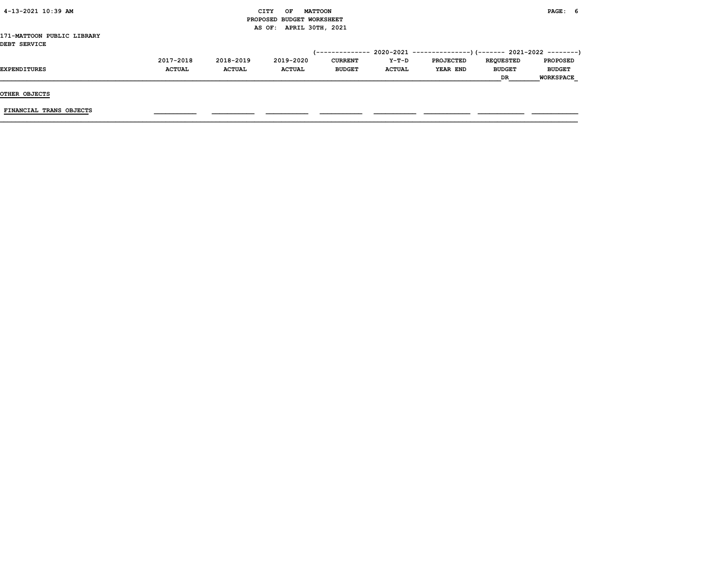| 4-13-2021 10:39 AM                         |               |               | OF<br>CITY<br>PROPOSED BUDGET WORKSHEET | <b>MATTOON</b> |               |                  |                  | PAGE: 6          |  |
|--------------------------------------------|---------------|---------------|-----------------------------------------|----------------|---------------|------------------|------------------|------------------|--|
|                                            |               |               | AS OF: APRIL 30TH, 2021                 |                |               |                  |                  |                  |  |
| 171-MATTOON PUBLIC LIBRARY<br>DEBT SERVICE |               |               |                                         |                |               |                  |                  |                  |  |
|                                            | 2017-2018     | 2018-2019     | 2019-2020                               | <b>CURRENT</b> | Y-T-D         | <b>PROJECTED</b> | <b>REQUESTED</b> | <b>PROPOSED</b>  |  |
| <b>EXPENDITURES</b>                        | <b>ACTUAL</b> | <b>ACTUAL</b> | <b>ACTUAL</b>                           | <b>BUDGET</b>  | <b>ACTUAL</b> | YEAR END         | <b>BUDGET</b>    | <b>BUDGET</b>    |  |
|                                            |               |               |                                         |                |               |                  | DR.              | <b>WORKSPACE</b> |  |
| OTUPD OD TECTO                             |               |               |                                         |                |               |                  |                  |                  |  |

OTHER OBJECTS

FINANCIAL TRANS OBJECTS \_\_\_\_\_\_\_\_\_\_\_ \_\_\_\_\_\_\_\_\_\_\_ \_\_\_\_\_\_\_\_\_\_\_ \_\_\_\_\_\_\_\_\_\_\_ \_\_\_\_\_\_\_\_\_\_\_ \_\_\_\_\_\_\_\_\_\_\_\_ \_\_\_\_\_\_\_\_\_\_\_\_ \_\_\_\_\_\_\_\_\_\_\_\_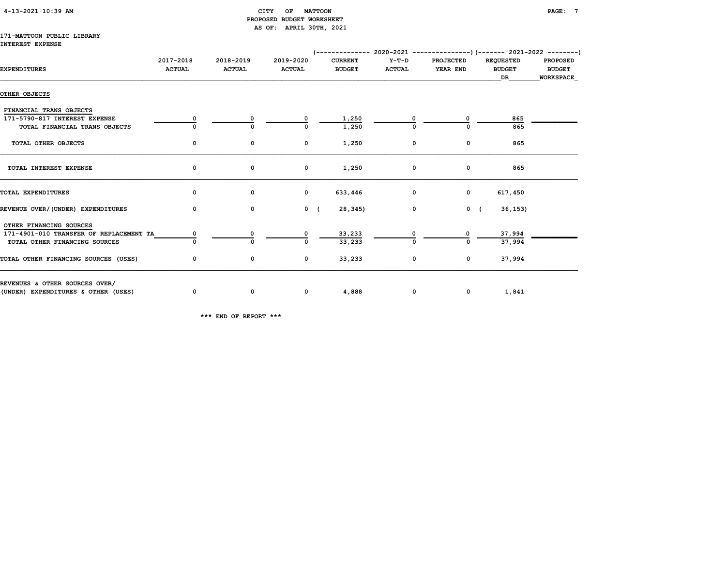| 4-13-2021 10:39 AM |
|--------------------|
|--------------------|

#### $\begin{array}{ccc} \texttt{CITY} & \texttt{OF} & \texttt{MATTOON} \end{array}$  PROPOSED BUDGET WORKSHEET AS OF: APRIL 30TH, 2021

#### 171-MATTOON PUBLIC LIBRARY INTEREST EXPENSE

| <b>EXPENDITURES</b>                     | 2017-2018<br><b>ACTUAL</b> | 2018-2019<br><b>ACTUAL</b> | 2019-2020<br><b>ACTUAL</b> | <b>CURRENT</b><br><b>BUDGET</b> | Y-T-D<br><b>ACTUAL</b> | <b>PROJECTED</b><br>YEAR END | <b>REQUESTED</b><br><b>BUDGET</b><br>DR | <b>PROPOSED</b><br><b>BUDGET</b><br><b>WORKSPACE</b> |
|-----------------------------------------|----------------------------|----------------------------|----------------------------|---------------------------------|------------------------|------------------------------|-----------------------------------------|------------------------------------------------------|
| OTHER OBJECTS                           |                            |                            |                            |                                 |                        |                              |                                         |                                                      |
| FINANCIAL TRANS OBJECTS                 |                            |                            |                            |                                 |                        |                              |                                         |                                                      |
| 171-5790-817 INTEREST EXPENSE           |                            |                            | 0                          | 1,250                           |                        | 0                            | 865                                     |                                                      |
| TOTAL FINANCIAL TRANS OBJECTS           |                            |                            | 0                          | 1,250                           |                        |                              | 865                                     |                                                      |
| TOTAL OTHER OBJECTS                     | 0                          | 0                          | 0                          | 1,250                           | 0                      | $\mathbf 0$                  | 865                                     |                                                      |
| TOTAL INTEREST EXPENSE                  | 0                          | 0                          | 0                          | 1,250                           | $\mathbf 0$            | $\mathbf 0$                  | 865                                     |                                                      |
| TOTAL EXPENDITURES                      | 0                          | 0                          | $\mathbf{0}$               | 633,446                         | $\mathbf 0$            | $\mathbf{0}$                 | 617,450                                 |                                                      |
| REVENUE OVER/(UNDER) EXPENDITURES       | $\Omega$                   | $\mathbf 0$                | $0 \left($                 | 28,345)                         | $\mathbf 0$            | $0 \left($                   | 36, 153)                                |                                                      |
| OTHER FINANCING SOURCES                 |                            |                            |                            |                                 |                        |                              |                                         |                                                      |
| 171-4901-010 TRANSFER OF REPLACEMENT TA |                            | 0                          | 0                          | 33,233                          |                        | 0                            | 37,994                                  |                                                      |
| TOTAL OTHER FINANCING SOURCES           |                            | $\Omega$                   | $\Omega$                   | 33,233                          |                        | $\Omega$                     | 37,994                                  |                                                      |
| TOTAL OTHER FINANCING SOURCES (USES)    | 0                          | 0                          | 0                          | 33,233                          | 0                      | $\mathbf 0$                  | 37,994                                  |                                                      |
| REVENUES & OTHER SOURCES OVER/          |                            |                            |                            |                                 |                        |                              |                                         |                                                      |
| (UNDER) EXPENDITURES & OTHER (USES)     | 0                          | 0                          | $\mathbf 0$                | 4,888                           | $\mathbf 0$            |                              | $\overline{0}$<br>1,841                 |                                                      |

\*\*\* END OF REPORT \*\*\*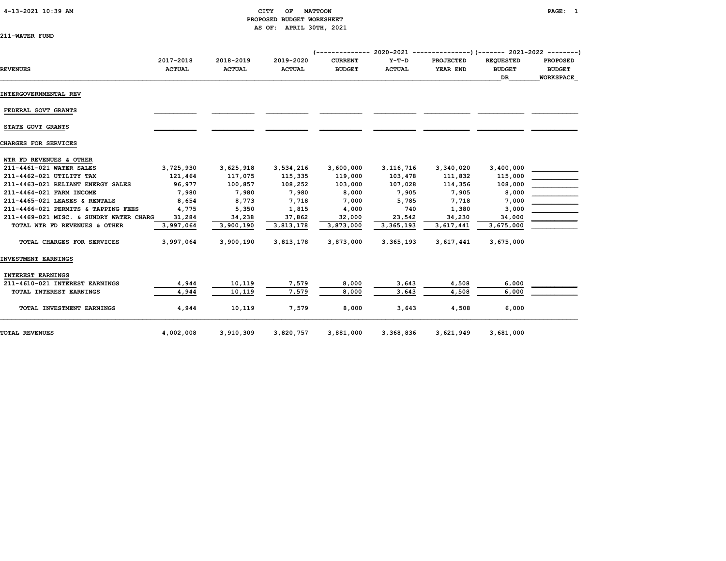#### 4-13-2021 10:39 AM CITY OF MATTOON PAGE: 1 PROPOSED BUDGET WORKSHEET AS OF: APRIL 30TH, 2021

| 211-WATER FUND |
|----------------|
|----------------|

| <b>REVENUES</b>                         | 2017-2018<br><b>ACTUAL</b> | 2018-2019<br><b>ACTUAL</b> | 2019-2020<br><b>ACTUAL</b> | <b>CURRENT</b><br><b>BUDGET</b> | $Y-T-D$<br><b>ACTUAL</b> | <b>PROJECTED</b><br>YEAR END | <b>REQUESTED</b><br><b>BUDGET</b><br><b>DR</b> | <b>PROPOSED</b><br><b>BUDGET</b><br><b>WORKSPACE</b> |
|-----------------------------------------|----------------------------|----------------------------|----------------------------|---------------------------------|--------------------------|------------------------------|------------------------------------------------|------------------------------------------------------|
| <b>INTERGOVERNMENTAL REV</b>            |                            |                            |                            |                                 |                          |                              |                                                |                                                      |
| FEDERAL GOVT GRANTS                     |                            |                            |                            |                                 |                          |                              |                                                |                                                      |
| STATE GOVT GRANTS                       |                            |                            |                            |                                 |                          |                              |                                                |                                                      |
| CHARGES FOR SERVICES                    |                            |                            |                            |                                 |                          |                              |                                                |                                                      |
| WTR FD REVENUES & OTHER                 |                            |                            |                            |                                 |                          |                              |                                                |                                                      |
| 211-4461-021 WATER SALES                | 3,725,930                  | 3,625,918                  | 3,534,216                  | 3,600,000                       | 3, 116, 716              | 3,340,020                    | 3,400,000                                      |                                                      |
| 211-4462-021 UTILITY TAX                | 121,464                    | 117,075                    | 115,335                    | 119,000                         | 103,478                  | 111,832                      | 115,000                                        |                                                      |
| 211-4463-021 RELIANT ENERGY SALES       | 96,977                     | 100,857                    | 108,252                    | 103,000                         | 107,028                  | 114,356                      | 108,000                                        |                                                      |
| 211-4464-021 FARM INCOME                | 7,980                      | 7,980                      | 7,980                      | 8,000                           | 7,905                    | 7,905                        | 8,000                                          |                                                      |
| 211-4465-021 LEASES & RENTALS           | 8,654                      | 8,773                      | 7,718                      | 7,000                           | 5,785                    | 7,718                        | 7,000                                          |                                                      |
| 211-4466-021 PERMITS & TAPPING FEES     | 4,775                      | 5,350                      | 1,815                      | 4,000                           | 740                      | 1,380                        | 3,000                                          |                                                      |
| 211-4469-021 MISC. & SUNDRY WATER CHARG | 31,284                     | 34,238                     | 37,862                     | 32,000                          | 23,542                   | 34,230                       | 34,000                                         |                                                      |
| TOTAL WTR FD REVENUES & OTHER           | 3,997,064                  | 3,900,190                  | 3,813,178                  | 3,873,000                       | 3,365,193                | 3,617,441                    | 3,675,000                                      |                                                      |
| TOTAL CHARGES FOR SERVICES              | 3,997,064                  | 3,900,190                  | 3,813,178                  | 3,873,000                       | 3, 365, 193              | 3,617,441                    | 3,675,000                                      |                                                      |
| INVESTMENT EARNINGS                     |                            |                            |                            |                                 |                          |                              |                                                |                                                      |
| <b>INTEREST EARNINGS</b>                |                            |                            |                            |                                 |                          |                              |                                                |                                                      |
| 211-4610-021 INTEREST EARNINGS          | 4,944                      | 10,119                     | 7,579                      | 8,000                           | 3,643                    | 4,508                        | 6,000                                          |                                                      |
| TOTAL INTEREST EARNINGS                 | 4,944                      | 10,119                     | 7,579                      | 8,000                           | 3.643                    | 4,508                        | 6.000                                          |                                                      |
| TOTAL INVESTMENT EARNINGS               | 4,944                      | 10,119                     | 7,579                      | 8,000                           | 3,643                    | 4,508                        | 6,000                                          |                                                      |
| TOTAL REVENUES                          | 4,002,008                  | 3,910,309                  | 3,820,757                  | 3,881,000                       | 3,368,836                | 3,621,949                    | 3,681,000                                      |                                                      |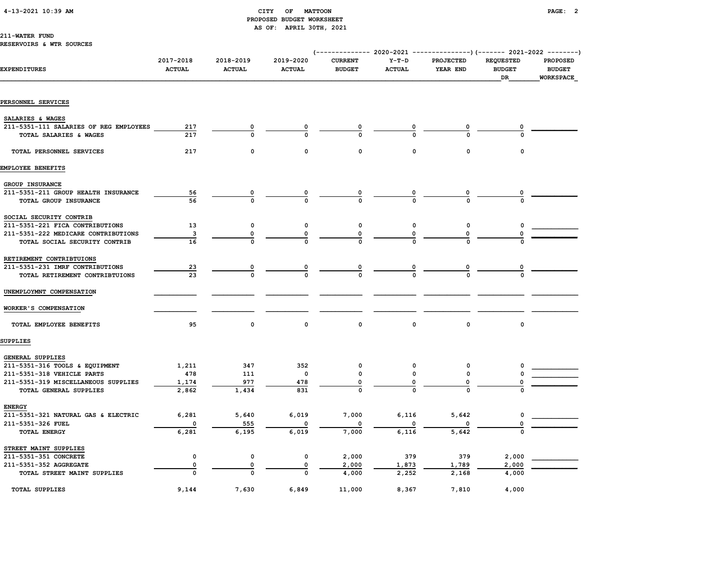#### 4-13-2021 10:39 AM CITY OF MATTOON PAGE: 2 PROPOSED BUDGET WORKSHEET AS OF: APRIL 30TH, 2021

#### 211-WATER FUND

#### RESERVOIRS & WTR SOURCES

|                                        |                            |                            |                            | $--------- 2020-2021$           |                          | ---------------) (------- 2021-2022 --------) |                                         |                                                      |
|----------------------------------------|----------------------------|----------------------------|----------------------------|---------------------------------|--------------------------|-----------------------------------------------|-----------------------------------------|------------------------------------------------------|
| <b>EXPENDITURES</b>                    | 2017-2018<br><b>ACTUAL</b> | 2018-2019<br><b>ACTUAL</b> | 2019-2020<br><b>ACTUAL</b> | <b>CURRENT</b><br><b>BUDGET</b> | $Y-T-D$<br><b>ACTUAL</b> | PROJECTED<br>YEAR END                         | <b>REQUESTED</b><br><b>BUDGET</b><br>DR | <b>PROPOSED</b><br><b>BUDGET</b><br><b>WORKSPACE</b> |
| PERSONNEL SERVICES                     |                            |                            |                            |                                 |                          |                                               |                                         |                                                      |
|                                        |                            |                            |                            |                                 |                          |                                               |                                         |                                                      |
| SALARIES & WAGES                       |                            |                            |                            |                                 |                          |                                               |                                         |                                                      |
| 211-5351-111 SALARIES OF REG EMPLOYEES | 217                        | 0                          |                            |                                 |                          | 0                                             |                                         |                                                      |
| TOTAL SALARIES & WAGES                 | 217                        | $\Omega$                   |                            |                                 |                          |                                               |                                         |                                                      |
| TOTAL PERSONNEL SERVICES               | 217                        | $\Omega$                   | $\Omega$                   | $\Omega$                        | $\Omega$                 | $\Omega$                                      | $\mathbf 0$                             |                                                      |
| EMPLOYEE BENEFITS                      |                            |                            |                            |                                 |                          |                                               |                                         |                                                      |
| GROUP INSURANCE                        |                            |                            |                            |                                 |                          |                                               |                                         |                                                      |
| 211-5351-211 GROUP HEALTH INSURANCE    | 56                         |                            |                            |                                 |                          | 0                                             |                                         |                                                      |
| TOTAL GROUP INSURANCE                  | 56                         |                            | O                          | $\Omega$                        |                          |                                               |                                         |                                                      |
| SOCIAL SECURITY CONTRIB                |                            |                            |                            |                                 |                          |                                               |                                         |                                                      |
| 211-5351-221 FICA CONTRIBUTIONS        | 13                         | 0                          | 0                          | $\mathbf 0$                     | 0                        | 0                                             | 0                                       |                                                      |
| 211-5351-222 MEDICARE CONTRIBUTIONS    | 3                          | $\mathbf 0$                | 0                          | 0                               | 0                        |                                               | $\mathbf 0$                             |                                                      |
| TOTAL SOCIAL SECURITY CONTRIB          | 16                         | O                          |                            | $\Omega$                        |                          |                                               |                                         |                                                      |
| RETIREMENT CONTRIBTUIONS               |                            |                            |                            |                                 |                          |                                               |                                         |                                                      |
| 211-5351-231 IMRF CONTRIBUTIONS        | $\overline{23}$            | 0                          | 0                          | 0                               | 0                        | $\overline{\mathbf{0}}$                       |                                         |                                                      |
| TOTAL RETIREMENT CONTRIBTUIONS         | 23                         | $\Omega$                   | $\Omega$                   | $\mathbf{o}$                    |                          | $\Omega$                                      |                                         |                                                      |
| UNEMPLOYMNT COMPENSATION               |                            |                            |                            |                                 |                          |                                               |                                         |                                                      |
| WORKER'S COMPENSATION                  |                            |                            |                            |                                 |                          |                                               |                                         |                                                      |
| TOTAL EMPLOYEE BENEFITS                | 95                         | 0                          | $\mathbf 0$                | $\mathbf 0$                     | 0                        | 0                                             | 0                                       |                                                      |
| <b>SUPPLIES</b>                        |                            |                            |                            |                                 |                          |                                               |                                         |                                                      |
| GENERAL SUPPLIES                       |                            |                            |                            |                                 |                          |                                               |                                         |                                                      |
| 211-5351-316 TOOLS & EQUIPMENT         | 1,211                      | 347                        | 352                        | $\mathbf 0$                     | 0                        | 0                                             |                                         |                                                      |
| 211-5351-318 VEHICLE PARTS             | 478                        | 111                        | 0                          | $\mathbf 0$                     | $\mathsf{o}\,$           | 0                                             |                                         |                                                      |
| 211-5351-319 MISCELLANEOUS SUPPLIES    | 1,174                      | 977                        | 478                        | 0                               | 0                        | 0                                             | 0                                       |                                                      |
| TOTAL GENERAL SUPPLIES                 | 2,862                      | 1,434                      | 831                        | $\Omega$                        |                          | $\Omega$                                      |                                         |                                                      |
| <b>ENERGY</b>                          |                            |                            |                            |                                 |                          |                                               |                                         |                                                      |
| 211-5351-321 NATURAL GAS & ELECTRIC    | 6,281                      | 5,640                      | 6,019                      | 7,000                           | 6,116                    | 5,642                                         | 0                                       |                                                      |
| 211-5351-326 FUEL                      | $\mathbf 0$                | 555                        |                            |                                 |                          |                                               | 0                                       |                                                      |
| TOTAL ENERGY                           | 6,281                      | 6,195                      | 6,019                      | 7,000                           | 6,116                    | 5,642                                         | $\Omega$                                |                                                      |
| STREET MAINT SUPPLIES                  |                            |                            |                            |                                 |                          |                                               |                                         |                                                      |
| 211-5351-351 CONCRETE                  | 0                          | $\mathsf{o}$               | 0                          | 2,000                           | 379                      | 379                                           | 2,000                                   |                                                      |
| 211-5351-352 AGGREGATE                 | 0                          | 0                          | $\mathbf 0$                | 2,000                           | 1,873                    | 1,789                                         | 2,000                                   |                                                      |
| TOTAL STREET MAINT SUPPLIES            | $\Omega$                   | 0                          | 0                          | 4,000                           | 2,252                    | 2,168                                         | 4,000                                   |                                                      |
| <b>TOTAL SUPPLIES</b>                  | 9,144                      | 7,630                      | 6,849                      | 11,000                          | 8,367                    | 7,810                                         | 4,000                                   |                                                      |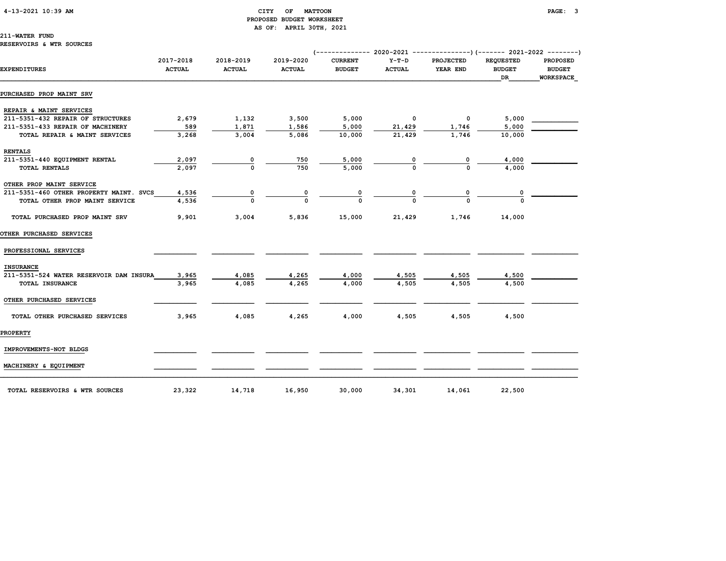#### 4-13-2021 10:39 AM CITY OF MATTOON PAGE: 3 PROPOSED BUDGET WORKSHEET AS OF: APRIL 30TH, 2021

211-WATER FUND

| <b>EXPENDITURES</b>                     | 2017-2018<br><b>ACTUAL</b> | 2018-2019<br><b>ACTUAL</b> | 2019-2020<br><b>ACTUAL</b> | <b>CURRENT</b><br><b>BUDGET</b> | $Y-T-D$<br><b>ACTUAL</b> | <b>PROJECTED</b><br>YEAR END | <b>REQUESTED</b><br><b>BUDGET</b><br>DR. | <b>PROPOSED</b><br><b>BUDGET</b><br><b>WORKSPACE</b> |
|-----------------------------------------|----------------------------|----------------------------|----------------------------|---------------------------------|--------------------------|------------------------------|------------------------------------------|------------------------------------------------------|
| PURCHASED PROP MAINT SRV                |                            |                            |                            |                                 |                          |                              |                                          |                                                      |
| REPAIR & MAINT SERVICES                 |                            |                            |                            |                                 |                          |                              |                                          |                                                      |
| 211-5351-432 REPAIR OF STRUCTURES       | 2,679                      | 1,132                      | 3,500                      | 5,000                           | 0                        | $\mathbf 0$                  | 5,000                                    |                                                      |
| 211-5351-433 REPAIR OF MACHINERY        | 589                        | 1,871                      | 1,586                      | 5,000                           | 21,429                   | 1,746                        | 5,000                                    |                                                      |
| TOTAL REPAIR & MAINT SERVICES           | 3,268                      | 3,004                      | 5,086                      | 10,000                          | 21,429                   | 1,746                        | 10,000                                   |                                                      |
| <b>RENTALS</b>                          |                            |                            |                            |                                 |                          |                              |                                          |                                                      |
| 211-5351-440 EQUIPMENT RENTAL           | 2,097                      | 0                          | 750                        | 5,000                           | 0                        | 0                            | 4,000                                    |                                                      |
| <b>TOTAL RENTALS</b>                    | 2,097                      | $\Omega$                   | 750                        | 5,000                           | $\Omega$                 |                              | 4,000                                    |                                                      |
| OTHER PROP MAINT SERVICE                |                            |                            |                            |                                 |                          |                              |                                          |                                                      |
| 211-5351-460 OTHER PROPERTY MAINT. SVCS | 4,536                      | 0                          | 0                          | 0                               | 0                        | 0                            | 0                                        |                                                      |
| TOTAL OTHER PROP MAINT SERVICE          | 4,536                      | O                          | O                          | $\Omega$                        | $\Omega$                 |                              |                                          |                                                      |
| TOTAL PURCHASED PROP MAINT SRV          | 9,901                      | 3,004                      | 5,836                      | 15,000                          | 21,429                   | 1,746                        | 14,000                                   |                                                      |
| OTHER PURCHASED SERVICES                |                            |                            |                            |                                 |                          |                              |                                          |                                                      |
| PROFESSIONAL SERVICES                   |                            |                            |                            |                                 |                          |                              |                                          |                                                      |
| <b>INSURANCE</b>                        |                            |                            |                            |                                 |                          |                              |                                          |                                                      |
| 211-5351-524 WATER RESERVOIR DAM INSURA | 3,965                      | 4,085                      | 4,265                      | 4,000                           | 4,505                    | 4,505                        | 4,500                                    |                                                      |
| TOTAL INSURANCE                         | 3,965                      | 4,085                      | 4,265                      | 4,000                           | 4,505                    | 4,505                        | 4,500                                    |                                                      |
| OTHER PURCHASED SERVICES                |                            |                            |                            |                                 |                          |                              |                                          |                                                      |
| TOTAL OTHER PURCHASED SERVICES          | 3,965                      | 4,085                      | 4,265                      | 4,000                           | 4,505                    | 4,505                        | 4,500                                    |                                                      |
| <b>PROPERTY</b>                         |                            |                            |                            |                                 |                          |                              |                                          |                                                      |
| IMPROVEMENTS-NOT BLDGS                  |                            |                            |                            |                                 |                          |                              |                                          |                                                      |

MACHINERY & EQUIPMENT \_\_\_\_\_\_\_\_\_\_\_ \_\_\_\_\_\_\_\_\_\_\_ \_\_\_\_\_\_\_\_\_\_\_ \_\_\_\_\_\_\_\_\_\_\_ \_\_\_\_\_\_\_\_\_\_\_ \_\_\_\_\_\_\_\_\_\_\_\_ \_\_\_\_\_\_\_\_\_\_\_\_ \_\_\_\_\_\_\_\_\_\_\_\_

TOTAL RESERVOIRS & WTR SOURCES 23,322 14,718 16,950 30,000 34,301 14,061 22,500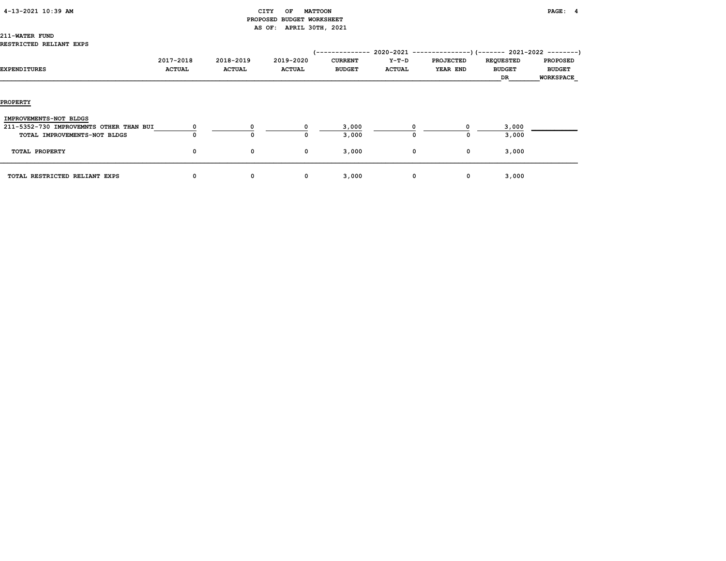| 4-13-2021 10:39 AM |  |
|--------------------|--|
|                    |  |

#### CITY OF MATTOON **PAGE:** 4 PROPOSED BUDGET WORKSHEET AS OF: APRIL 30TH, 2021

# 211-WATER FUND

#### RESTRICTED RELIANT EXPS

| EXPENDITURES                                                                                      | 2017-2018<br><b>ACTUAL</b> | 2018-2019<br><b>ACTUAL</b> | 2019-2020<br><b>ACTUAL</b> | '--------------<br><b>CURRENT</b><br><b>BUDGET</b> | $Y-T-D$<br><b>ACTUAL</b> | $2020-2021$ ---------------) (------- 2021-2022 --------)<br><b>PROJECTED</b><br>YEAR END | <b>REQUESTED</b><br><b>BUDGET</b><br>DR | <b>PROPOSED</b><br><b>BUDGET</b><br><b>WORKSPACE</b> |
|---------------------------------------------------------------------------------------------------|----------------------------|----------------------------|----------------------------|----------------------------------------------------|--------------------------|-------------------------------------------------------------------------------------------|-----------------------------------------|------------------------------------------------------|
| <b>PROPERTY</b>                                                                                   |                            |                            |                            |                                                    |                          |                                                                                           |                                         |                                                      |
| IMPROVEMENTS-NOT BLDGS<br>211-5352-730 IMPROVEMNTS OTHER THAN BUI<br>TOTAL IMPROVEMENTS-NOT BLDGS | $\Omega$                   |                            |                            | 3,000<br>3,000                                     | $^{\circ}$               |                                                                                           | 3,000<br>3,000                          |                                                      |
| TOTAL PROPERTY                                                                                    | 0                          | 0                          | $\mathbf{o}$               | 3,000                                              |                          | $\mathbf{o}$<br>$\mathbf 0$                                                               | 3,000                                   |                                                      |
| TOTAL RESTRICTED RELIANT EXPS                                                                     | 0                          | 0                          | 0                          | 3,000                                              |                          | $\mathbf{o}$<br>0                                                                         | 3,000                                   |                                                      |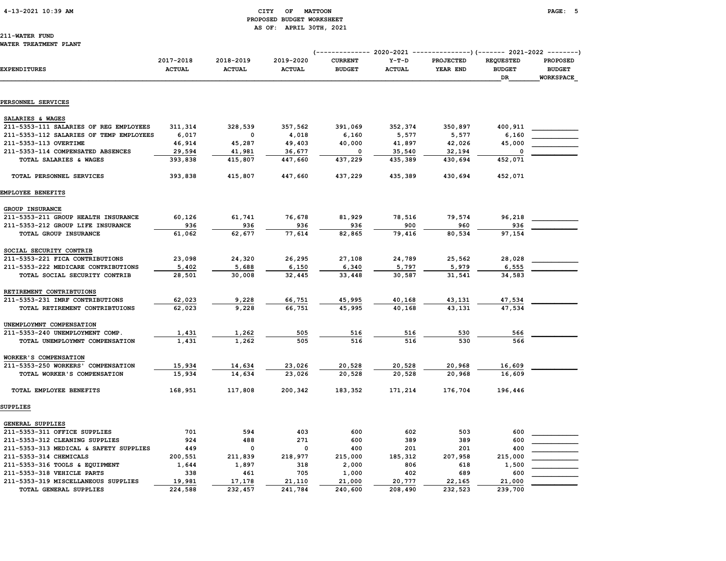#### 4-13-2021 10:39 AM CITY OF MATTOON PAGE: 5 PROPOSED BUDGET WORKSHEET AS OF: APRIL 30TH, 2021

# 211-WATER FUND

| <b>EXPENDITURES</b>                                        | 2017-2018<br><b>ACTUAL</b> | 2018-2019<br><b>ACTUAL</b> | 2019-2020<br><b>ACTUAL</b> | <b>CURRENT</b><br><b>BUDGET</b> | $Y-T-D$<br><b>ACTUAL</b> | PROJECTED<br>YEAR END | <b>REQUESTED</b><br><b>BUDGET</b><br>DR | <b>PROPOSED</b><br><b>BUDGET</b><br><b>WORKSPACE</b> |  |
|------------------------------------------------------------|----------------------------|----------------------------|----------------------------|---------------------------------|--------------------------|-----------------------|-----------------------------------------|------------------------------------------------------|--|
| PERSONNEL SERVICES                                         |                            |                            |                            |                                 |                          |                       |                                         |                                                      |  |
|                                                            |                            |                            |                            |                                 |                          |                       |                                         |                                                      |  |
| SALARIES & WAGES                                           |                            |                            |                            |                                 |                          |                       |                                         |                                                      |  |
| 211-5353-111 SALARIES OF REG EMPLOYEES                     | 311,314                    | 328,539                    | 357,562                    | 391,069                         | 352,374                  | 350,897               | 400,911                                 |                                                      |  |
| 211-5353-112 SALARIES OF TEMP EMPLOYEES                    | 6,017                      | 0                          | 4,018                      | 6,160                           | 5,577                    | 5,577                 | 6,160<br>45,000                         |                                                      |  |
| 211-5353-113 OVERTIME<br>211-5353-114 COMPENSATED ABSENCES | 46,914<br>29,594           | 45,287<br>41,981           | 49,403<br>36,677           | 40,000<br>0                     | 41,897<br>35,540         | 42,026<br>32,194      | 0                                       |                                                      |  |
| TOTAL SALARIES & WAGES                                     | 393,838                    | 415,807                    | 447,660                    | 437,229                         | 435,389                  | 430,694               | 452,071                                 |                                                      |  |
|                                                            |                            |                            |                            |                                 |                          |                       |                                         |                                                      |  |
| TOTAL PERSONNEL SERVICES                                   | 393,838                    | 415,807                    | 447,660                    | 437,229                         | 435,389                  | 430,694               | 452,071                                 |                                                      |  |
| EMPLOYEE BENEFITS                                          |                            |                            |                            |                                 |                          |                       |                                         |                                                      |  |
| GROUP INSURANCE                                            |                            |                            |                            |                                 |                          |                       |                                         |                                                      |  |
| 211-5353-211 GROUP HEALTH INSURANCE                        | 60,126                     | 61,741                     | 76,678                     | 81,929                          | 78,516                   | 79,574                | 96,218                                  |                                                      |  |
| 211-5353-212 GROUP LIFE INSURANCE                          | 936                        | 936                        | 936                        | 936                             | 900                      | 960                   | 936                                     |                                                      |  |
| TOTAL GROUP INSURANCE                                      | 61,062                     | 62,677                     | 77,614                     | 82,865                          | 79,416                   | 80,534                | 97,154                                  |                                                      |  |
| SOCIAL SECURITY CONTRIB                                    |                            |                            |                            |                                 |                          |                       |                                         |                                                      |  |
| 211-5353-221 FICA CONTRIBUTIONS                            | 23,098                     | 24,320                     | 26,295                     | 27,108                          | 24,789                   | 25,562                | 28,028                                  |                                                      |  |
| 211-5353-222 MEDICARE CONTRIBUTIONS                        | 5,402                      | 5,688                      | 6,150                      | 6,340                           | 5,797                    | 5,979                 | 6,555                                   |                                                      |  |
| TOTAL SOCIAL SECURITY CONTRIB                              | 28,501                     | 30,008                     | 32,445                     | 33,448                          | 30,587                   | 31,541                | 34,583                                  |                                                      |  |
| RETIREMENT CONTRIBTUIONS                                   |                            |                            |                            |                                 |                          |                       |                                         |                                                      |  |
| 211-5353-231 IMRF CONTRIBUTIONS                            | 62,023                     | 9,228                      | 66,751                     | 45,995                          | 40,168                   | 43,131                | 47,534                                  |                                                      |  |
| TOTAL RETIREMENT CONTRIBTUIONS                             | 62,023                     | 9,228                      | 66,751                     | 45,995                          | 40,168                   | 43,131                | 47,534                                  |                                                      |  |
| UNEMPLOYMNT COMPENSATION                                   |                            |                            |                            |                                 |                          |                       |                                         |                                                      |  |
| 211-5353-240 UNEMPLOYMENT COMP.                            | 1,431                      | 1,262                      | 505                        | 516                             | 516                      | 530                   | 566                                     |                                                      |  |
| TOTAL UNEMPLOYMNT COMPENSATION                             | 1,431                      | 1,262                      | 505                        | 516                             | 516                      | 530                   | 566                                     |                                                      |  |
| WORKER'S COMPENSATION                                      |                            |                            |                            |                                 |                          |                       |                                         |                                                      |  |
| 211-5353-250 WORKERS' COMPENSATION                         | 15,934                     | 14,634                     | 23,026                     | 20,528                          | 20,528                   | 20,968                | 16,609                                  |                                                      |  |
| TOTAL WORKER'S COMPENSATION                                | 15,934                     | 14,634                     | 23,026                     | 20,528                          | 20,528                   | 20,968                | 16,609                                  |                                                      |  |
| TOTAL EMPLOYEE BENEFITS                                    | 168,951                    | 117,808                    | 200,342                    | 183,352                         | 171,214                  | 176,704               | 196,446                                 |                                                      |  |
| SUPPLIES                                                   |                            |                            |                            |                                 |                          |                       |                                         |                                                      |  |
| GENERAL SUPPLIES                                           |                            |                            |                            |                                 |                          |                       |                                         |                                                      |  |
| 211-5353-311 OFFICE SUPPLIES                               | 701                        | 594                        | 403                        | 600                             | 602                      | 503                   | 600                                     |                                                      |  |
| 211-5353-312 CLEANING SUPPLIES                             | 924                        | 488                        | 271                        | 600                             | 389                      | 389                   | 600                                     |                                                      |  |
| 211-5353-313 MEDICAL & SAFETY SUPPLIES                     | 449                        | 0                          | $\mathbf 0$                | 400                             | 201                      | 201                   | 400                                     |                                                      |  |
| 211-5353-314 CHEMICALS                                     | 200,551                    | 211,839                    | 218,977                    | 215,000                         | 185,312                  | 207,958               | 215,000                                 |                                                      |  |
| 211-5353-316 TOOLS & EQUIPMENT                             | 1,644                      | 1,897                      | 318                        | 2,000                           | 806                      | 618                   | 1,500                                   |                                                      |  |
| 211-5353-318 VEHICLE PARTS                                 | 338                        | 461                        | 705                        | 1,000                           | 402                      | 689                   | 600                                     |                                                      |  |
| 211-5353-319 MISCELLANEOUS SUPPLIES                        | 19,981                     | 17,178                     | 21,110                     | 21,000                          | 20,777                   | 22,165                | 21,000                                  |                                                      |  |
| TOTAL GENERAL SUPPLIES                                     | 224,588                    | 232,457                    | 241,784                    | 240,600                         | 208,490                  | 232,523               | 239,700                                 |                                                      |  |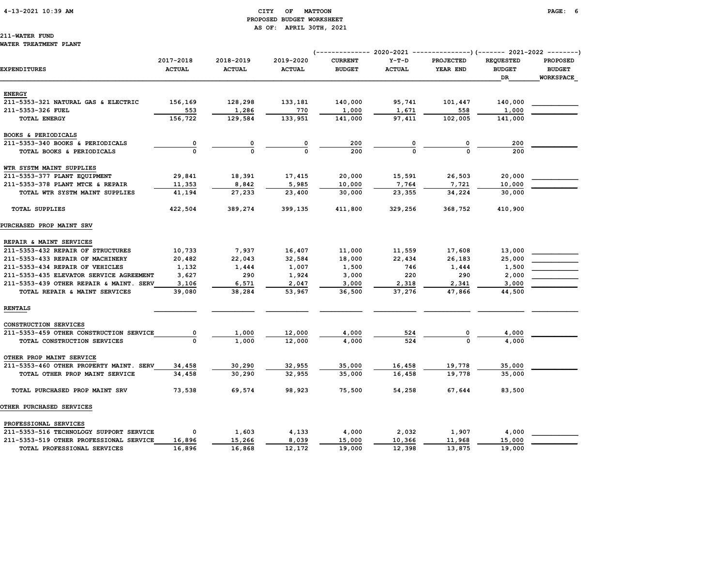#### 4-13-2021 10:39 AM CITY OF MATTOON PAGE: 6 PROPOSED BUDGET WORKSHEET AS OF: APRIL 30TH, 2021

# 211-WATER FUND

#### WATER TREATMENT PLANT

| EXPENDITURES                            | 2017-2018<br><b>ACTUAL</b> | 2018-2019<br><b>ACTUAL</b> | 2019-2020<br><b>ACTUAL</b> | <b>CURRENT</b><br><b>BUDGET</b> | $Y-T-D$<br><b>ACTUAL</b> | <b>PROJECTED</b><br>YEAR END | <b>REQUESTED</b><br><b>BUDGET</b><br>DR | <b>PROPOSED</b><br><b>BUDGET</b><br><b>WORKSPACE</b> |
|-----------------------------------------|----------------------------|----------------------------|----------------------------|---------------------------------|--------------------------|------------------------------|-----------------------------------------|------------------------------------------------------|
| <b>ENERGY</b>                           |                            |                            |                            |                                 |                          |                              |                                         |                                                      |
| 211-5353-321 NATURAL GAS & ELECTRIC     | 156,169                    | 128,298                    | 133,181                    | 140,000                         | 95,741                   | 101,447                      | 140,000                                 |                                                      |
| 211-5353-326 FUEL                       | 553                        | 1,286                      | 770                        | 1,000                           | 1,671                    | 558                          | 1,000                                   |                                                      |
| <b>TOTAL ENERGY</b>                     | 156,722                    | 129,584                    | 133,951                    | 141,000                         | 97,411                   | 102,005                      | 141,000                                 |                                                      |
| BOOKS & PERIODICALS                     |                            |                            |                            |                                 |                          |                              |                                         |                                                      |
| 211-5353-340 BOOKS & PERIODICALS        | $\overline{\mathbf{0}}$    | $\overline{\mathbf{0}}$    | 0                          | 200                             |                          | 0                            | 200                                     |                                                      |
| TOTAL BOOKS & PERIODICALS               |                            | $\Omega$                   |                            | 200                             |                          |                              | 200                                     |                                                      |
| WTR SYSTM MAINT SUPPLIES                |                            |                            |                            |                                 |                          |                              |                                         |                                                      |
| 211-5353-377 PLANT EQUIPMENT            | 29,841                     | 18,391                     | 17,415                     | 20,000                          | 15,591                   | 26,503                       | 20,000                                  |                                                      |
| 211-5353-378 PLANT MTCE & REPAIR        | 11,353                     | 8,842                      | 5,985                      | 10,000                          | 7,764                    | 7,721                        | 10,000                                  |                                                      |
| TOTAL WTR SYSTM MAINT SUPPLIES          | 41,194                     | 27,233                     | 23,400                     | 30,000                          | 23,355                   | 34,224                       | 30,000                                  |                                                      |
| <b>TOTAL SUPPLIES</b>                   | 422,504                    | 389,274                    | 399,135                    | 411,800                         | 329,256                  | 368,752                      | 410,900                                 |                                                      |
| PURCHASED PROP MAINT SRV                |                            |                            |                            |                                 |                          |                              |                                         |                                                      |
| REPAIR & MAINT SERVICES                 |                            |                            |                            |                                 |                          |                              |                                         |                                                      |
| 211-5353-432 REPAIR OF STRUCTURES       | 10,733                     | 7,937                      | 16,407                     | 11,000                          | 11,559                   | 17,608                       | 13,000                                  |                                                      |
| 211-5353-433 REPAIR OF MACHINERY        | 20,482                     | 22,043                     | 32,584                     | 18,000                          | 22,434                   | 26,183                       | 25,000                                  |                                                      |
| 211-5353-434 REPAIR OF VEHICLES         | 1,132                      | 1,444                      | 1,007                      | 1,500                           | 746                      | 1,444                        | 1,500                                   |                                                      |
| 211-5353-435 ELEVATOR SERVICE AGREEMENT | 3,627                      | 290                        | 1,924                      | 3,000                           | 220                      | 290                          | 2,000                                   |                                                      |
| 211-5353-439 OTHER REPAIR & MAINT. SERV | 3,106                      | 6,571                      | 2,047                      | 3,000                           | 2,318                    | 2,341                        | 3,000                                   |                                                      |
| TOTAL REPAIR & MAINT SERVICES           | 39,080                     | 38,284                     | 53,967                     | 36,500                          | 37,276                   | 47,866                       | 44,500                                  |                                                      |
| <b>RENTALS</b>                          |                            |                            |                            |                                 |                          |                              |                                         |                                                      |
| CONSTRUCTION SERVICES                   |                            |                            |                            |                                 |                          |                              |                                         |                                                      |
| 211-5353-459 OTHER CONSTRUCTION SERVICE | 0                          | 1,000                      | 12,000                     | 4,000                           | 524                      | 0                            | 4,000                                   |                                                      |
| TOTAL CONSTRUCTION SERVICES             | $\mathbf{o}$               | 1,000                      | 12,000                     | 4,000                           | 524                      | $\Omega$                     | 4,000                                   |                                                      |
| OTHER PROP MAINT SERVICE                |                            |                            |                            |                                 |                          |                              |                                         |                                                      |
| 211-5353-460 OTHER PROPERTY MAINT. SERV | 34,458                     | 30,290                     | 32,955                     | 35,000                          | 16,458                   | 19,778                       | 35,000                                  |                                                      |
| TOTAL OTHER PROP MAINT SERVICE          | 34,458                     | 30,290                     | 32,955                     | 35,000                          | 16,458                   | 19,778                       | 35,000                                  |                                                      |
| TOTAL PURCHASED PROP MAINT SRV          | 73,538                     | 69,574                     | 98,923                     | 75,500                          | 54,258                   | 67,644                       | 83,500                                  |                                                      |
| <b>OTHER PURCHASED SERVICES</b>         |                            |                            |                            |                                 |                          |                              |                                         |                                                      |
| PROFESSIONAL SERVICES                   |                            |                            |                            |                                 |                          |                              |                                         |                                                      |
| 211-5353-516 TECHNOLOGY SUPPORT SERVICE | $^{\circ}$                 | 1,603                      | 4,133                      | 4,000                           | 2,032                    | 1,907                        | 4,000                                   |                                                      |
| 211-5353-519 OTHER PROFESSIONAL SERVICE | 16,896                     | 15,266                     | 8,039                      | 15,000                          | 10,366                   | 11,968                       | 15,000                                  |                                                      |
| TOTAL PROFESSIONAL SERVICES             | 16,896                     | 16,868                     | 12,172                     | 19,000                          | 12,398                   | 13,875                       | 19,000                                  |                                                      |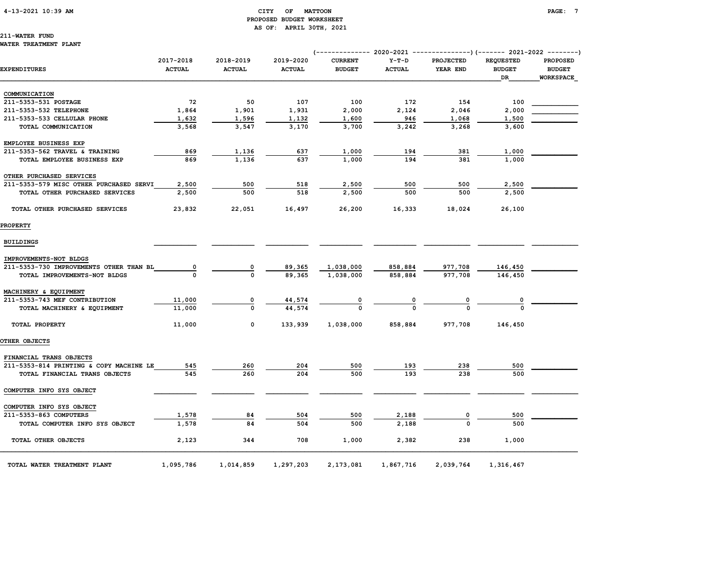#### 4-13-2021 10:39 AM CITY OF MATTOON PAGE: 7 PROPOSED BUDGET WORKSHEET AS OF: APRIL 30TH, 2021

## 211-WATER FUND

#### WATER TREATMENT PLANT

| <b>EXPENDITURES</b>                     | 2017-2018<br><b>ACTUAL</b> | 2018-2019<br><b>ACTUAL</b> | 2019-2020<br><b>ACTUAL</b> | <b>CURRENT</b><br><b>BUDGET</b> | $Y-T-D$<br><b>ACTUAL</b> | <b>PROJECTED</b><br>YEAR END | <b>REQUESTED</b><br><b>BUDGET</b><br>DR | <b>PROPOSED</b><br><b>BUDGET</b><br><b>WORKSPACE</b> |
|-----------------------------------------|----------------------------|----------------------------|----------------------------|---------------------------------|--------------------------|------------------------------|-----------------------------------------|------------------------------------------------------|
|                                         |                            |                            |                            |                                 |                          |                              |                                         |                                                      |
| COMMUNICATION                           |                            |                            |                            |                                 |                          |                              |                                         |                                                      |
| 211-5353-531 POSTAGE                    | 72                         | 50                         | 107                        | 100                             | 172                      | 154                          | 100                                     |                                                      |
| 211-5353-532 TELEPHONE                  | 1,864                      | 1,901                      | 1,931                      | 2,000                           | 2,124                    | 2,046                        | 2,000                                   |                                                      |
| 211-5353-533 CELLULAR PHONE             | 1,632                      | 1,596                      | 1,132                      | 1,600                           | 946                      | 1,068                        | 1,500                                   |                                                      |
| TOTAL COMMUNICATION                     | 3,568                      | 3,547                      | 3,170                      | 3,700                           | 3,242                    | 3,268                        | 3,600                                   |                                                      |
| EMPLOYEE BUSINESS EXP                   |                            |                            |                            |                                 |                          |                              |                                         |                                                      |
| 211-5353-562 TRAVEL & TRAINING          | 869                        | 1,136                      | 637                        | 1,000                           | 194                      | 381                          | 1,000                                   |                                                      |
| TOTAL EMPLOYEE BUSINESS EXP             | 869                        | 1,136                      | 637                        | 1,000                           | 194                      | 381                          | 1,000                                   |                                                      |
| OTHER PURCHASED SERVICES                |                            |                            |                            |                                 |                          |                              |                                         |                                                      |
| 211-5353-579 MISC OTHER PURCHASED SERVI | 2,500                      | 500                        | 518                        | 2,500                           | 500                      | 500                          | 2,500                                   |                                                      |
| TOTAL OTHER PURCHASED SERVICES          | 2,500                      | 500                        | 518                        | 2,500                           | 500                      | 500                          | 2,500                                   |                                                      |
| TOTAL OTHER PURCHASED SERVICES          | 23,832                     | 22,051                     | 16,497                     | 26,200                          | 16,333                   | 18,024                       | 26,100                                  |                                                      |
| <b>PROPERTY</b>                         |                            |                            |                            |                                 |                          |                              |                                         |                                                      |
| <b>BUILDINGS</b>                        |                            |                            |                            |                                 |                          |                              |                                         |                                                      |
| IMPROVEMENTS-NOT BLDGS                  |                            |                            |                            |                                 |                          |                              |                                         |                                                      |
| 211-5353-730 IMPROVEMENTS OTHER THAN BL | 0                          | 0                          | 89,365                     | 1,038,000                       | 858,884                  | 977,708                      | 146,450                                 |                                                      |
| TOTAL IMPROVEMENTS-NOT BLDGS            |                            | $\Omega$                   | 89,365                     | 1,038,000                       | 858,884                  | 977,708                      | 146,450                                 |                                                      |
| MACHINERY & EQUIPMENT                   |                            |                            |                            |                                 |                          |                              |                                         |                                                      |
| 211-5353-743 MEF CONTRIBUTION           | 11,000                     | 0                          | 44,574                     | 0                               | $\overline{\mathbf{0}}$  | 0                            | 0                                       |                                                      |
| TOTAL MACHINERY & EQUIPMENT             | 11,000                     | $\mathbf 0$                | 44,574                     | $\Omega$                        | $\Omega$                 |                              | $\Omega$                                |                                                      |
| TOTAL PROPERTY                          | 11,000                     | $\mathbf 0$                | 133,939                    | 1,038,000                       | 858,884                  | 977,708                      | 146,450                                 |                                                      |
| OTHER OBJECTS                           |                            |                            |                            |                                 |                          |                              |                                         |                                                      |
| FINANCIAL TRANS OBJECTS                 |                            |                            |                            |                                 |                          |                              |                                         |                                                      |
| 211-5353-814 PRINTING & COPY MACHINE LE | 545                        | 260                        | 204                        | 500                             | 193                      | 238                          | 500                                     |                                                      |
| TOTAL FINANCIAL TRANS OBJECTS           | 545                        | 260                        | 204                        | 500                             | 193                      | 238                          | 500                                     |                                                      |
| COMPUTER INFO SYS OBJECT                |                            |                            |                            |                                 |                          |                              |                                         |                                                      |
| COMPUTER INFO SYS OBJECT                |                            |                            |                            |                                 |                          |                              |                                         |                                                      |
| 211-5353-863 COMPUTERS                  | 1,578                      | 84                         | 504                        | 500                             | 2,188                    | 0                            | 500                                     |                                                      |
| TOTAL COMPUTER INFO SYS OBJECT          | 1,578                      | 84                         | 504                        | 500                             | 2,188                    | $\Omega$                     | 500                                     |                                                      |
| TOTAL OTHER OBJECTS                     | 2,123                      | 344                        | 708                        | 1,000                           | 2,382                    | 238                          | 1,000                                   |                                                      |
| TOTAL WATER TREATMENT PLANT             | 1,095,786                  | 1,014,859                  | 1,297,203                  | 2,173,081                       | 1,867,716                | 2,039,764                    | 1,316,467                               |                                                      |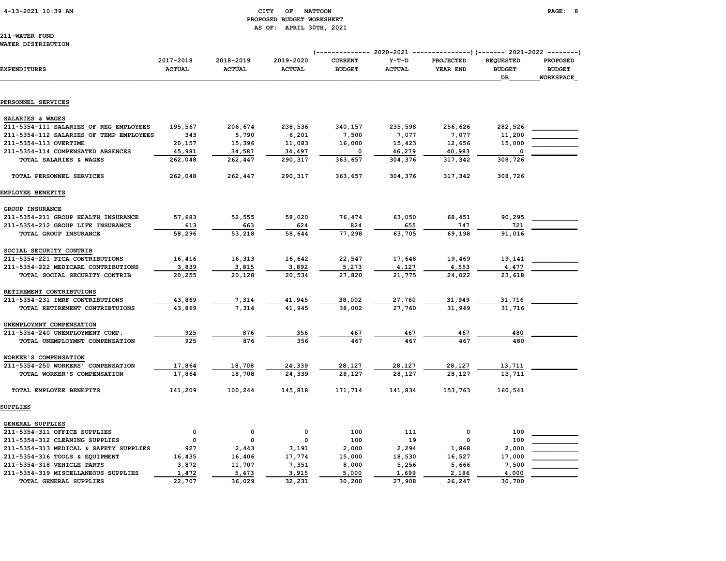#### 4-13-2021 10:39 AM CITY OF MATTOON PAGE: 8 PROPOSED BUDGET WORKSHEET AS OF: APRIL 30TH, 2021

211-WATER FUND WATER DISTRIBUTION

TOTAL GENERAL SUPPLIES

|                                                                      |                            |                            |                            | ------------ 2020-2021          |                          |                              |                                                | -------------)(------- 2021-2022 --------)           |  |
|----------------------------------------------------------------------|----------------------------|----------------------------|----------------------------|---------------------------------|--------------------------|------------------------------|------------------------------------------------|------------------------------------------------------|--|
| <b>EXPENDITURES</b>                                                  | 2017-2018<br><b>ACTUAL</b> | 2018-2019<br><b>ACTUAL</b> | 2019-2020<br><b>ACTUAL</b> | <b>CURRENT</b><br><b>BUDGET</b> | $Y-T-D$<br><b>ACTUAL</b> | <b>PROJECTED</b><br>YEAR END | <b>REQUESTED</b><br><b>BUDGET</b><br><b>DR</b> | <b>PROPOSED</b><br><b>BUDGET</b><br><b>WORKSPACE</b> |  |
|                                                                      |                            |                            |                            |                                 |                          |                              |                                                |                                                      |  |
| PERSONNEL SERVICES                                                   |                            |                            |                            |                                 |                          |                              |                                                |                                                      |  |
| SALARIES & WAGES                                                     |                            |                            |                            |                                 |                          |                              |                                                |                                                      |  |
| 211-5354-111 SALARIES OF REG EMPLOYEES                               | 195,567                    | 206,674                    | 238,536                    | 340,157                         | 235,598                  | 256,626                      | 282,526                                        |                                                      |  |
| 211-5354-112 SALARIES OF TEMP EMPLOYEES                              | 343                        | 5,790                      | 6,201                      | 7,500                           | 7,077                    | 7,077                        | 11,200                                         |                                                      |  |
| 211-5354-113 OVERTIME                                                | 20,157                     | 15,396                     | 11,083                     | 16,000                          | 15,423                   | 12,656                       | 15,000                                         |                                                      |  |
| 211-5354-114 COMPENSATED ABSENCES                                    | 45,981                     | 34,587                     | 34,497                     | 0                               | 46,279                   | 40,983                       |                                                |                                                      |  |
| TOTAL SALARIES & WAGES                                               | 262,048                    | 262,447                    | 290,317                    | 363,657                         | 304,376                  | 317,342                      | 308,726                                        |                                                      |  |
| TOTAL PERSONNEL SERVICES                                             | 262,048                    | 262,447                    | 290,317                    | 363,657                         | 304,376                  | 317,342                      | 308,726                                        |                                                      |  |
| EMPLOYEE BENEFITS                                                    |                            |                            |                            |                                 |                          |                              |                                                |                                                      |  |
| GROUP INSURANCE                                                      |                            |                            |                            |                                 |                          |                              |                                                |                                                      |  |
| 211-5354-211 GROUP HEALTH INSURANCE                                  | 57,683                     | 52,555                     | 58,020                     | 76,474                          | 63,050                   | 68,451                       | 90,295                                         |                                                      |  |
| 211-5354-212 GROUP LIFE INSURANCE                                    | 613                        | 663                        | 624                        | 824                             | 655                      | 747                          | 721                                            |                                                      |  |
| TOTAL GROUP INSURANCE                                                | 58,296                     | 53,218                     | 58,644                     | 77,298                          | 63,705                   | 69,198                       | 91,016                                         |                                                      |  |
|                                                                      |                            |                            |                            |                                 |                          |                              |                                                |                                                      |  |
| SOCIAL SECURITY CONTRIB                                              |                            |                            |                            |                                 |                          |                              |                                                |                                                      |  |
| 211-5354-221 FICA CONTRIBUTIONS                                      | 16,416                     | 16,313                     | 16,642                     | 22,547                          | 17,648                   | 19,469                       | 19,141                                         |                                                      |  |
| 211-5354-222 MEDICARE CONTRIBUTIONS<br>TOTAL SOCIAL SECURITY CONTRIB | 3,839                      | 3,815                      | 3,892<br>20,534            | 5,273<br>27,820                 | 4,127<br>21,775          | 4,553                        | 4,477                                          |                                                      |  |
|                                                                      | 20,255                     | 20,128                     |                            |                                 |                          | 24,022                       | 23,618                                         |                                                      |  |
| RETIREMENT CONTRIBTUIONS                                             |                            |                            |                            |                                 |                          |                              |                                                |                                                      |  |
| 211-5354-231 IMRF CONTRIBUTIONS                                      | 43,869                     | 7,314                      | 41,945                     | 38,002                          | 27,760                   | 31,949                       | 31,716                                         |                                                      |  |
| TOTAL RETIREMENT CONTRIBTUIONS                                       | 43,869                     | 7,314                      | 41,945                     | 38,002                          | 27,760                   | 31,949                       | 31,716                                         |                                                      |  |
| UNEMPLOYMNT COMPENSATION                                             |                            |                            |                            |                                 |                          |                              |                                                |                                                      |  |
| 211-5354-240 UNEMPLOYMENT COMP.                                      | 925                        | 876                        | 356                        | 467                             | 467                      | 467                          | 480                                            |                                                      |  |
| TOTAL UNEMPLOYMNT COMPENSATION                                       | 925                        | 876                        | 356                        | 467                             | 467                      | 467                          | 480                                            |                                                      |  |
| WORKER'S COMPENSATION                                                |                            |                            |                            |                                 |                          |                              |                                                |                                                      |  |
| 211-5354-250 WORKERS' COMPENSATION                                   | 17,864                     | 18,708                     | 24,339                     | 28,127                          | 28,127                   | 28,127                       | 13,711                                         |                                                      |  |
| TOTAL WORKER'S COMPENSATION                                          | 17,864                     | 18,708                     | 24,339                     | 28,127                          | 28,127                   | 28,127                       | 13,711                                         |                                                      |  |
| TOTAL EMPLOYEE BENEFITS                                              | 141,209                    | 100,244                    | 145,818                    | 171,714                         | 141,834                  | 153,763                      | 160,541                                        |                                                      |  |
| SUPPLIES                                                             |                            |                            |                            |                                 |                          |                              |                                                |                                                      |  |
|                                                                      |                            |                            |                            |                                 |                          |                              |                                                |                                                      |  |
| GENERAL SUPPLIES                                                     |                            |                            |                            |                                 |                          |                              |                                                |                                                      |  |
| 211-5354-311 OFFICE SUPPLIES                                         | $\mathbf 0$                | $\mathbf 0$                | $\mathbf 0$                | 100                             | 111                      | 0                            | 100                                            |                                                      |  |
| 211-5354-312 CLEANING SUPPLIES                                       | 0                          | 0                          | $\mathbf 0$                | 100                             | 19                       | 0                            | 100                                            |                                                      |  |
| 211-5354-313 MEDICAL & SAFETY SUPPLIES                               | 927                        | 2,443                      | 3,191                      | 2,000                           | 2,294                    | 1,868                        | 2,000                                          |                                                      |  |
| 211-5354-316 TOOLS & EQUIPMENT                                       | 16,435                     | 16,406                     | 17,774                     | 15,000                          | 18,530                   | 16,527                       | 17,000                                         |                                                      |  |
| 211-5354-318 VEHICLE PARTS                                           | 3,872                      | 11,707                     | 7,351                      | 8,000                           | 5,256                    | 5,666                        | 7,500                                          |                                                      |  |

211-5354-319 MISCELLANEOUS SUPPLIES  $\frac{1,472}{22,707}$   $\frac{5,473}{36,029}$   $\frac{3,915}{32,231}$   $\frac{5,000}{30,200}$   $\frac{1,699}{27,908}$   $\frac{2,186}{26,247}$   $\frac{4,000}{30,700}$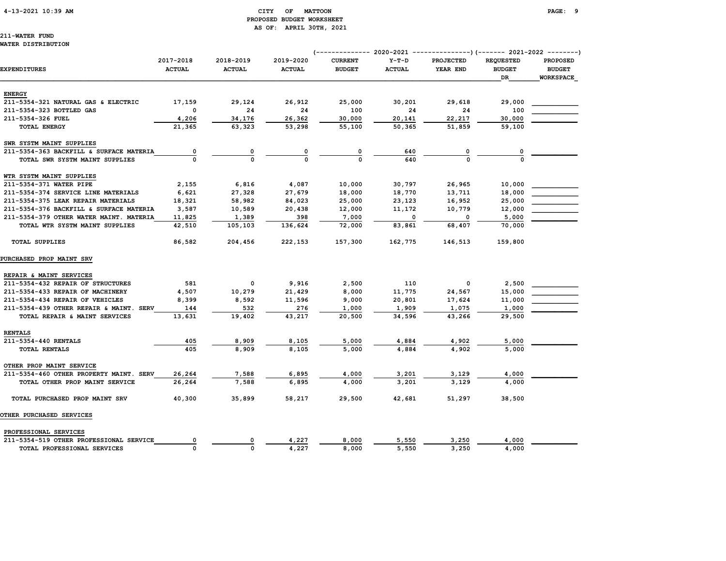#### 4-13-2021 10:39 AM CITY OF MATTOON PAGE: 9 PROPOSED BUDGET WORKSHEET AS OF: APRIL 30TH, 2021

211-WATER FUND

#### WATER DISTRIBUTION

|                                         |                            |                            |                            | ------------- 2020-2021         |                          | ---------------) (------- 2021-2022 --------) |                                         |                                                      |
|-----------------------------------------|----------------------------|----------------------------|----------------------------|---------------------------------|--------------------------|-----------------------------------------------|-----------------------------------------|------------------------------------------------------|
| <b>EXPENDITURES</b>                     | 2017-2018<br><b>ACTUAL</b> | 2018-2019<br><b>ACTUAL</b> | 2019-2020<br><b>ACTUAL</b> | <b>CURRENT</b><br><b>BUDGET</b> | $Y-T-D$<br><b>ACTUAL</b> | PROJECTED<br>YEAR END                         | <b>REQUESTED</b><br><b>BUDGET</b><br>DR | <b>PROPOSED</b><br><b>BUDGET</b><br><b>WORKSPACE</b> |
| <b>ENERGY</b>                           |                            |                            |                            |                                 |                          |                                               |                                         |                                                      |
| 211-5354-321 NATURAL GAS & ELECTRIC     | 17,159                     | 29,124                     | 26,912                     | 25,000                          | 30,201                   | 29,618                                        | 29,000                                  |                                                      |
| 211-5354-323 BOTTLED GAS                | 0                          | 24                         | 24                         | 100                             | 24                       | 24                                            | 100                                     |                                                      |
| 211-5354-326 FUEL                       | 4,206                      | 34,176                     | 26,362                     | 30,000                          | 20,141                   | 22,217                                        | 30,000                                  |                                                      |
| <b>TOTAL ENERGY</b>                     | 21,365                     | 63,323                     | 53,298                     | 55,100                          | 50,365                   | 51,859                                        | 59,100                                  |                                                      |
| SWR SYSTM MAINT SUPPLIES                |                            |                            |                            |                                 |                          |                                               |                                         |                                                      |
| 211-5354-363 BACKFILL & SURFACE MATERIA | 0                          | 0                          |                            | 0                               | 640                      |                                               |                                         |                                                      |
| TOTAL SWR SYSTM MAINT SUPPLIES          | $\Omega$                   | $\Omega$                   | $\Omega$                   | $\Omega$                        | 640                      | $\Omega$                                      |                                         |                                                      |
| WTR SYSTM MAINT SUPPLIES                |                            |                            |                            |                                 |                          |                                               |                                         |                                                      |
| 211-5354-371 WATER PIPE                 | 2,155                      | 6,816                      | 4,087                      | 10,000                          | 30,797                   | 26,965                                        | 10,000                                  |                                                      |
| 211-5354-374 SERVICE LINE MATERIALS     | 6,621                      | 27,328                     | 27,679                     | 18,000                          | 18,770                   | 13,711                                        | 18,000                                  |                                                      |
| 211-5354-375 LEAK REPAIR MATERIALS      | 18,321                     | 58,982                     | 84,023                     | 25,000                          | 23,123                   | 16,952                                        | 25,000                                  |                                                      |
| 211-5354-376 BACKFILL & SURFACE MATERIA | 3,587                      | 10,589                     | 20,438                     | 12,000                          | 11,172                   | 10,779                                        | 12,000                                  |                                                      |
| 211-5354-379 OTHER WATER MAINT. MATERIA | 11,825                     | 1,389                      | 398                        | 7,000                           | 0                        | 0                                             | 5,000                                   |                                                      |
| TOTAL WTR SYSTM MAINT SUPPLIES          | 42,510                     | 105,103                    | 136,624                    | 72,000                          | 83,861                   | 68,407                                        | 70,000                                  |                                                      |
| <b>TOTAL SUPPLIES</b>                   | 86,582                     | 204,456                    | 222,153                    | 157,300                         | 162,775                  | 146,513                                       | 159,800                                 |                                                      |
| PURCHASED PROP MAINT SRV                |                            |                            |                            |                                 |                          |                                               |                                         |                                                      |
| REPAIR & MAINT SERVICES                 |                            |                            |                            |                                 |                          |                                               |                                         |                                                      |
| 211-5354-432 REPAIR OF STRUCTURES       | 581                        | $\mathbf{o}$               | 9,916                      | 2,500                           | 110                      | 0                                             | 2,500                                   |                                                      |
| 211-5354-433 REPAIR OF MACHINERY        | 4,507                      | 10,279                     | 21,429                     | 8,000                           | 11,775                   | 24,567                                        | 15,000                                  |                                                      |
| 211-5354-434 REPAIR OF VEHICLES         | 8,399                      | 8,592                      | 11,596                     | 9,000                           | 20,801                   | 17,624                                        | 11,000                                  |                                                      |
| 211-5354-439 OTHER REPAIR & MAINT. SERV | 144                        | 532                        | 276                        | 1,000                           | 1,909                    | 1,075                                         | 1,000                                   |                                                      |
| TOTAL REPAIR & MAINT SERVICES           | 13,631                     | 19,402                     | 43,217                     | 20,500                          | 34,596                   | 43,266                                        | 29,500                                  |                                                      |
| <b>RENTALS</b>                          |                            |                            |                            |                                 |                          |                                               |                                         |                                                      |
| 211-5354-440 RENTALS                    | 405                        | 8,909                      | 8,105                      | 5,000                           | 4,884                    | 4,902                                         | 5,000                                   |                                                      |
| TOTAL RENTALS                           | 405                        | 8,909                      | 8,105                      | 5,000                           | 4,884                    | 4,902                                         | 5,000                                   |                                                      |
| OTHER PROP MAINT SERVICE                |                            |                            |                            |                                 |                          |                                               |                                         |                                                      |
| 211-5354-460 OTHER PROPERTY MAINT. SERV | 26,264                     | 7,588                      | 6,895                      | 4,000                           | 3,201                    | 3,129                                         | 4,000                                   |                                                      |
| TOTAL OTHER PROP MAINT SERVICE          | 26,264                     | 7,588                      | 6,895                      | 4,000                           | 3,201                    | 3.129                                         | 4,000                                   |                                                      |
| TOTAL PURCHASED PROP MAINT SRV          | 40,300                     | 35,899                     | 58,217                     | 29,500                          | 42,681                   | 51,297                                        | 38,500                                  |                                                      |
| OTHER PURCHASED SERVICES                |                            |                            |                            |                                 |                          |                                               |                                         |                                                      |
| PROFESSIONAL SERVICES                   |                            |                            |                            |                                 |                          |                                               |                                         |                                                      |
| 211-5354-519 OTHER PROFESSIONAL SERVICE |                            | 0                          | 4,227                      | 8,000                           | 5,550                    | 3,250                                         | 4,000                                   |                                                      |
| TOTAL PROFESSIONAL SERVICES             | 0                          | $\Omega$                   | 4,227                      | 8,000                           | 5,550                    | 3,250                                         | 4,000                                   |                                                      |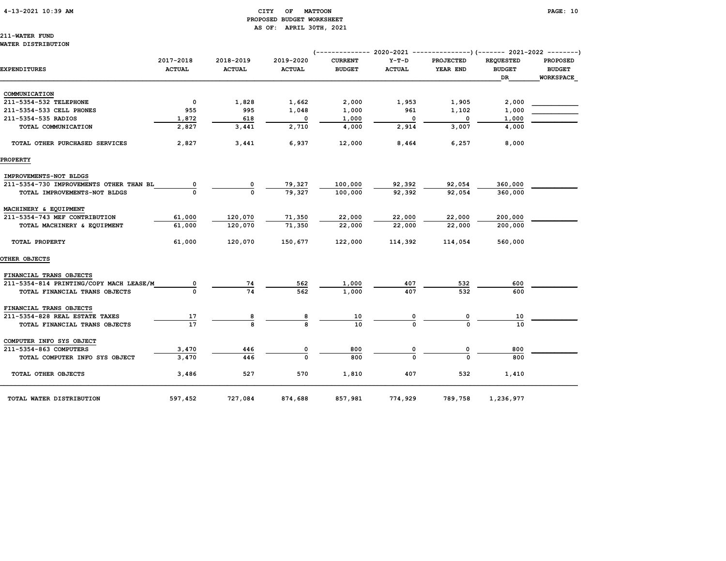#### 4-13-2021 10:39 AM CITY OF MATTOON PAGE: 10 PROPOSED BUDGET WORKSHEET AS OF: APRIL 30TH, 2021

211-WATER FUND WATER DISTRIBUTION

|                                         |                            |                            |                            |                                 |                          | (------------- 2020-2021 ---------------) (------- 2021-2022 --------) |                                         |                                                      |
|-----------------------------------------|----------------------------|----------------------------|----------------------------|---------------------------------|--------------------------|------------------------------------------------------------------------|-----------------------------------------|------------------------------------------------------|
| EXPENDITURES                            | 2017-2018<br><b>ACTUAL</b> | 2018-2019<br><b>ACTUAL</b> | 2019-2020<br><b>ACTUAL</b> | <b>CURRENT</b><br><b>BUDGET</b> | $Y-T-D$<br><b>ACTUAL</b> | PROJECTED<br>YEAR END                                                  | <b>REQUESTED</b><br><b>BUDGET</b><br>DR | <b>PROPOSED</b><br><b>BUDGET</b><br><b>WORKSPACE</b> |
| COMMUNICATION                           |                            |                            |                            |                                 |                          |                                                                        |                                         |                                                      |
| 211-5354-532 TELEPHONE                  | $\mathbf 0$                | 1,828                      | 1,662                      | 2,000                           | 1,953                    | 1,905                                                                  | 2,000                                   |                                                      |
| 211-5354-533 CELL PHONES                | 955                        | 995                        | 1,048                      | 1,000                           | 961                      | 1,102                                                                  | 1,000                                   |                                                      |
| 211-5354-535 RADIOS                     | 1,872                      | 618                        | 0                          | 1,000                           | 0                        | 0                                                                      | 1,000                                   |                                                      |
| TOTAL COMMUNICATION                     | 2,827                      | 3,441                      | 2,710                      | 4,000                           | 2,914                    | 3,007                                                                  | 4,000                                   |                                                      |
| TOTAL OTHER PURCHASED SERVICES          | 2,827                      | 3,441                      | 6,937                      | 12,000                          | 8,464                    | 6,257                                                                  | 8,000                                   |                                                      |
| <b>PROPERTY</b>                         |                            |                            |                            |                                 |                          |                                                                        |                                         |                                                      |
| IMPROVEMENTS-NOT BLDGS                  |                            |                            |                            |                                 |                          |                                                                        |                                         |                                                      |
| 211-5354-730 IMPROVEMENTS OTHER THAN BL | 0                          | 0                          | 79,327                     | 100,000                         | 92,392                   | 92,054                                                                 | 360,000                                 |                                                      |
| TOTAL IMPROVEMENTS-NOT BLDGS            | 0                          | $\Omega$                   | 79,327                     | 100,000                         | 92,392                   | 92,054                                                                 | 360,000                                 |                                                      |
| MACHINERY & EQUIPMENT                   |                            |                            |                            |                                 |                          |                                                                        |                                         |                                                      |
| 211-5354-743 MEF CONTRIBUTION           | 61,000                     | 120,070                    | 71,350                     | 22,000                          | 22,000                   | 22,000                                                                 | 200,000                                 |                                                      |
| TOTAL MACHINERY & EQUIPMENT             | 61,000                     | 120,070                    | 71,350                     | 22,000                          | 22,000                   | 22,000                                                                 | 200,000                                 |                                                      |
| TOTAL PROPERTY                          | 61,000                     | 120,070                    | 150,677                    | 122,000                         | 114,392                  | 114,054                                                                | 560,000                                 |                                                      |
| OTHER OBJECTS                           |                            |                            |                            |                                 |                          |                                                                        |                                         |                                                      |
| FINANCIAL TRANS OBJECTS                 |                            |                            |                            |                                 |                          |                                                                        |                                         |                                                      |
| 211-5354-814 PRINTING/COPY MACH LEASE/M | 0                          | 74                         | 562                        | 1,000                           | 407                      | 532                                                                    | 600                                     |                                                      |
| TOTAL FINANCIAL TRANS OBJECTS           |                            | 74                         | 562                        | 1,000                           | 407                      | 532                                                                    | 600                                     |                                                      |
| FINANCIAL TRANS OBJECTS                 |                            |                            |                            |                                 |                          |                                                                        |                                         |                                                      |
| 211-5354-828 REAL ESTATE TAXES          | 17                         | 8                          | 8                          | 10                              |                          |                                                                        | 10                                      |                                                      |
| TOTAL FINANCIAL TRANS OBJECTS           | $\overline{17}$            | 8                          | 8                          | 10                              |                          |                                                                        | 10                                      |                                                      |
| COMPUTER INFO SYS OBJECT                |                            |                            |                            |                                 |                          |                                                                        |                                         |                                                      |
| 211-5354-863 COMPUTERS                  | 3,470                      | 446                        | 0                          | 800                             |                          | 0                                                                      | 800                                     |                                                      |
| TOTAL COMPUTER INFO SYS OBJECT          | 3,470                      | 446                        | $\Omega$                   | 800                             |                          | $\Omega$                                                               | 800                                     |                                                      |
| TOTAL OTHER OBJECTS                     | 3,486                      | 527                        | 570                        | 1,810                           | 407                      | 532                                                                    | 1,410                                   |                                                      |
| TOTAL WATER DISTRIBUTION                | 597,452                    | 727,084                    | 874,688                    | 857,981                         | 774,929                  | 789,758                                                                | 1,236,977                               |                                                      |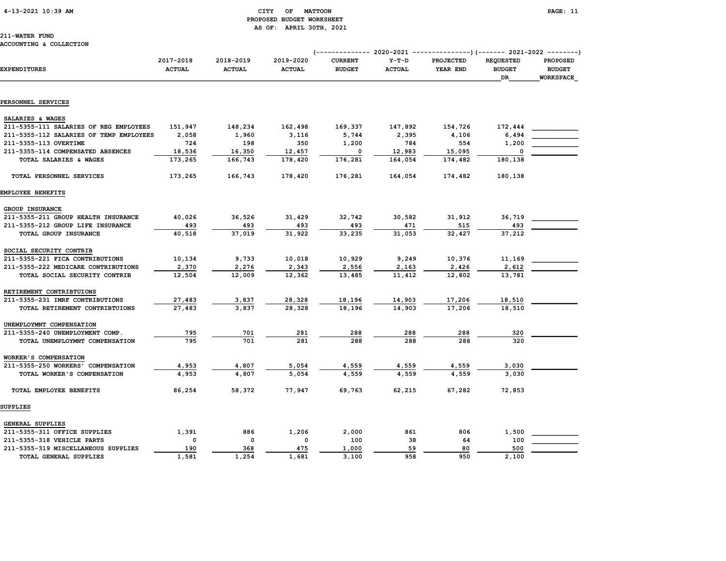#### 4-13-2021 10:39 AM CITY OF MATTOON PAGE: 11 PROPOSED BUDGET WORKSHEET AS OF: APRIL 30TH, 2021

211-WATER FUND

#### ACCOUNTING & COLLECTION

|                                         |                            |                            |                            | (-------------- 2020-2021       |                          |                       |                                   | -------------)(------- 2021-2022 --------) |  |  |
|-----------------------------------------|----------------------------|----------------------------|----------------------------|---------------------------------|--------------------------|-----------------------|-----------------------------------|--------------------------------------------|--|--|
| <b>EXPENDITURES</b>                     | 2017-2018<br><b>ACTUAL</b> | 2018–2019<br><b>ACTUAL</b> | 2019-2020<br><b>ACTUAL</b> | <b>CURRENT</b><br><b>BUDGET</b> | $Y-T-D$<br><b>ACTUAL</b> | PROJECTED<br>YEAR END | <b>REQUESTED</b><br><b>BUDGET</b> | <b>PROPOSED</b><br><b>BUDGET</b>           |  |  |
|                                         |                            |                            |                            |                                 |                          |                       | DR                                | <b>WORKSPACE</b>                           |  |  |
| PERSONNEL SERVICES                      |                            |                            |                            |                                 |                          |                       |                                   |                                            |  |  |
|                                         |                            |                            |                            |                                 |                          |                       |                                   |                                            |  |  |
| SALARIES & WAGES                        |                            |                            |                            |                                 |                          |                       |                                   |                                            |  |  |
| 211-5355-111 SALARIES OF REG EMPLOYEES  | 151,947                    | 148,234                    | 162,498                    | 169,337                         | 147,892                  | 154,726               | 172,444                           |                                            |  |  |
| 211-5355-112 SALARIES OF TEMP EMPLOYEES | 2,058                      | 1,960                      | 3,116                      | 5,744                           | 2,395                    | 4,106                 | 6,494                             |                                            |  |  |
| 211-5355-113 OVERTIME                   | 724                        | 198                        | 350                        | 1,200                           | 784                      | 554                   | 1,200                             |                                            |  |  |
| 211-5355-114 COMPENSATED ABSENCES       | 18,536                     | 16,350                     | 12,457                     | 0                               | 12,983                   | 15,095                | $\Omega$                          |                                            |  |  |
| TOTAL SALARIES & WAGES                  | 173,265                    | 166,743                    | 178,420                    | 176,281                         | 164,054                  | 174,482               | 180,138                           |                                            |  |  |
| TOTAL PERSONNEL SERVICES                | 173,265                    | 166,743                    | 178,420                    | 176,281                         | 164,054                  | 174,482               | 180,138                           |                                            |  |  |
| EMPLOYEE BENEFITS                       |                            |                            |                            |                                 |                          |                       |                                   |                                            |  |  |
| <b>GROUP INSURANCE</b>                  |                            |                            |                            |                                 |                          |                       |                                   |                                            |  |  |
| 211-5355-211 GROUP HEALTH INSURANCE     | 40,026                     | 36,526                     | 31,429                     | 32,742                          | 30,582                   | 31,912                | 36,719                            |                                            |  |  |
| 211-5355-212 GROUP LIFE INSURANCE       | 493                        | 493                        | 493                        | 493                             | 471                      | 515                   | 493                               |                                            |  |  |
| TOTAL GROUP INSURANCE                   | 40,518                     | 37,019                     | 31,922                     | 33,235                          | 31,053                   | 32,427                | 37,212                            |                                            |  |  |
| SOCIAL SECURITY CONTRIB                 |                            |                            |                            |                                 |                          |                       |                                   |                                            |  |  |
| 211-5355-221 FICA CONTRIBUTIONS         | 10,134                     | 9,733                      | 10,018                     | 10,929                          | 9,249                    | 10,376                | 11,169                            |                                            |  |  |
| 211-5355-222 MEDICARE CONTRIBUTIONS     | 2,370                      | 2,276                      | 2,343                      | 2,556                           | 2,163                    | 2,426                 | 2,612                             |                                            |  |  |
| TOTAL SOCIAL SECURITY CONTRIB           | 12,504                     | 12,009                     | 12,362                     | 13,485                          | 11,412                   | 12,802                | 13,781                            |                                            |  |  |
| RETIREMENT CONTRIBTUIONS                |                            |                            |                            |                                 |                          |                       |                                   |                                            |  |  |
| 211-5355-231 IMRF CONTRIBUTIONS         | 27,483                     | 3,837                      | 28,328                     | 18,196                          | 14,903                   | 17,206                | 18,510                            |                                            |  |  |
| TOTAL RETIREMENT CONTRIBTUIONS          | 27,483                     | 3,837                      | 28,328                     | 18,196                          | 14,903                   | 17,206                | 18,510                            |                                            |  |  |
| UNEMPLOYMNT COMPENSATION                |                            |                            |                            |                                 |                          |                       |                                   |                                            |  |  |
| 211-5355-240 UNEMPLOYMENT COMP.         | 795                        | 701                        | 281                        | 288                             | 288                      | 288                   | 320                               |                                            |  |  |
| TOTAL UNEMPLOYMNT COMPENSATION          | 795                        | 701                        | 281                        | 288                             | 288                      | 288                   | 320                               |                                            |  |  |
| WORKER'S COMPENSATION                   |                            |                            |                            |                                 |                          |                       |                                   |                                            |  |  |
| 211-5355-250 WORKERS' COMPENSATION      | 4,953                      | 4,807                      | 5,054                      | 4,559                           | 4,559                    | 4,559                 | 3,030                             |                                            |  |  |
| TOTAL WORKER'S COMPENSATION             | 4,953                      | 4,807                      | 5,054                      | 4,559                           | 4,559                    | 4,559                 | 3,030                             |                                            |  |  |
| TOTAL EMPLOYEE BENEFITS                 | 86,254                     | 58,372                     | 77,947                     | 69,763                          | 62,215                   | 67,282                | 72,853                            |                                            |  |  |
| SUPPLIES                                |                            |                            |                            |                                 |                          |                       |                                   |                                            |  |  |
| <b>GENERAL SUPPLIES</b>                 |                            |                            |                            |                                 |                          |                       |                                   |                                            |  |  |
| 211-5355-311 OFFICE SUPPLIES            | 1,391                      | 886                        | 1,206                      | 2,000                           | 861                      | 806                   | 1,500                             |                                            |  |  |
| 211-5355-318 VEHICLE PARTS              | 0                          | $\mathbf 0$                | 0                          | 100                             | 38                       | 64                    | 100                               |                                            |  |  |
| 211-5355-319 MISCELLANEOUS SUPPLIES     | 190                        | 368                        | 475                        | 1,000                           | 59                       | 80                    | 500                               |                                            |  |  |
| <b>TOTAL GENERAL SUPPLIES</b>           | 1,581                      | 1,254                      | 1,681                      | 3,100                           | 958                      | 950                   | 2,100                             |                                            |  |  |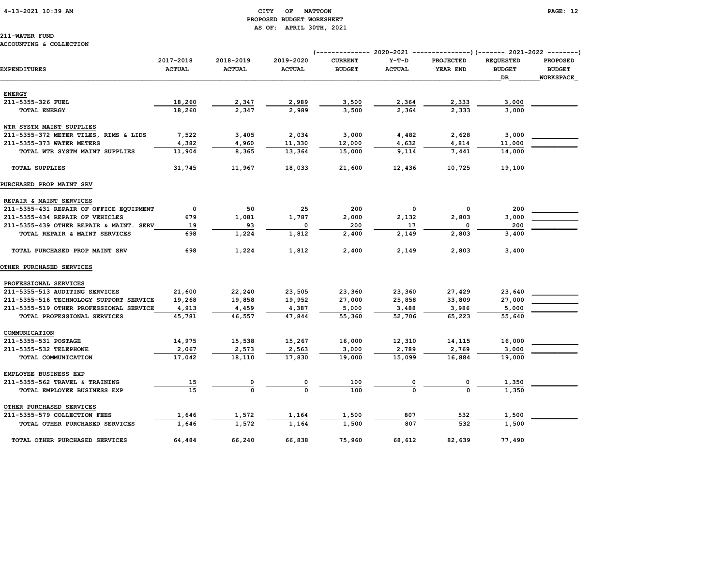#### 4-13-2021 10:39 AM CITY OF MATTOON PAGE: 12 PROPOSED BUDGET WORKSHEET AS OF: APRIL 30TH, 2021

## 211-WATER FUND

#### ACCOUNTING & COLLECTION

|                                         | 2017-2018     | 2018-2019     | 2019-2020     | <b>CURRENT</b> | $Y-T-D$       | <b>PROJECTED</b> | <b>REQUESTED</b> | <b>PROPOSED</b>  |
|-----------------------------------------|---------------|---------------|---------------|----------------|---------------|------------------|------------------|------------------|
| <b>EXPENDITURES</b>                     | <b>ACTUAL</b> | <b>ACTUAL</b> | <b>ACTUAL</b> | <b>BUDGET</b>  | <b>ACTUAL</b> | YEAR END         | <b>BUDGET</b>    | <b>BUDGET</b>    |
|                                         |               |               |               |                |               |                  | DR               | <b>WORKSPACE</b> |
|                                         |               |               |               |                |               |                  |                  |                  |
| <b>ENERGY</b>                           |               |               |               |                |               |                  |                  |                  |
| 211-5355-326 FUEL                       | 18,260        | 2,347         | 2,989         | 3,500          | 2,364         | 2,333            | 3,000            |                  |
| TOTAL ENERGY                            | 18,260        | 2,347         | 2,989         | 3,500          | 2,364         | 2,333            | 3,000            |                  |
| WTR SYSTM MAINT SUPPLIES                |               |               |               |                |               |                  |                  |                  |
| 211-5355-372 METER TILES, RIMS & LIDS   | 7,522         | 3,405         | 2,034         | 3,000          | 4,482         | 2,628            | 3,000            |                  |
| 211-5355-373 WATER METERS               | 4,382         | 4,960         | 11,330        | 12,000         | 4,632         | 4,814            | 11,000           |                  |
| TOTAL WTR SYSTM MAINT SUPPLIES          | 11,904        | 8,365         | 13,364        | 15,000         | 9,114         | 7,441            | 14,000           |                  |
|                                         |               |               |               |                |               |                  |                  |                  |
| <b>TOTAL SUPPLIES</b>                   | 31,745        | 11,967        | 18,033        | 21,600         | 12,436        | 10,725           | 19,100           |                  |
| PURCHASED PROP MAINT SRV                |               |               |               |                |               |                  |                  |                  |
| REPAIR & MAINT SERVICES                 |               |               |               |                |               |                  |                  |                  |
| 211-5355-431 REPAIR OF OFFICE EQUIPMENT | $\mathbf 0$   | 50            | 25            | 200            | 0             | 0                | 200              |                  |
| 211-5355-434 REPAIR OF VEHICLES         | 679           | 1,081         | 1,787         | 2,000          | 2,132         | 2,803            | 3,000            |                  |
| 211-5355-439 OTHER REPAIR & MAINT. SERV | 19            | 93            | 0             | 200            | 17            | 0                | 200              |                  |
| TOTAL REPAIR & MAINT SERVICES           | 698           | 1,224         | 1,812         | 2,400          | 2,149         | 2,803            | 3,400            |                  |
|                                         |               |               |               |                |               |                  |                  |                  |
| TOTAL PURCHASED PROP MAINT SRV          | 698           | 1,224         | 1,812         | 2,400          | 2,149         | 2,803            | 3,400            |                  |
| <b>OTHER PURCHASED SERVICES</b>         |               |               |               |                |               |                  |                  |                  |
| PROFESSIONAL SERVICES                   |               |               |               |                |               |                  |                  |                  |
| 211-5355-513 AUDITING SERVICES          | 21,600        | 22,240        | 23,505        | 23,360         | 23,360        | 27,429           | 23,640           |                  |
| 211-5355-516 TECHNOLOGY SUPPORT SERVICE | 19,268        | 19,858        | 19,952        | 27,000         | 25,858        | 33,809           | 27,000           |                  |
| 211-5355-519 OTHER PROFESSIONAL SERVICE | 4,913         | 4,459         | 4,387         | 5,000          | 3,488         | 3,986            | 5,000            |                  |
| TOTAL PROFESSIONAL SERVICES             | 45,781        | 46,557        | 47,844        | 55,360         | 52,706        | 65,223           | 55,640           |                  |
|                                         |               |               |               |                |               |                  |                  |                  |
| COMMUNICATION                           |               |               |               |                |               |                  |                  |                  |
| 211-5355-531 POSTAGE                    | 14,975        | 15,538        | 15,267        | 16,000         | 12,310        | 14,115           | 16,000           |                  |
| 211-5355-532 TELEPHONE                  | 2,067         | 2,573         | 2,563         | 3,000          | 2,789         | 2,769            | 3,000            |                  |
| TOTAL COMMUNICATION                     | 17,042        | 18,110        | 17,830        | 19,000         | 15,099        | 16,884           | 19,000           |                  |
| EMPLOYEE BUSINESS EXP                   |               |               |               |                |               |                  |                  |                  |
| 211-5355-562 TRAVEL & TRAINING          | <u>15</u>     |               |               | 100            |               |                  | 1,350            |                  |
| TOTAL EMPLOYEE BUSINESS EXP             | 15            | $\Omega$      | O             | 100            |               |                  | 1,350            |                  |
| OTHER PURCHASED SERVICES                |               |               |               |                |               |                  |                  |                  |
| 211-5355-579 COLLECTION FEES            | 1,646         | 1,572         | 1,164         | 1,500          | 807           | 532              | 1,500            |                  |
| TOTAL OTHER PURCHASED SERVICES          | 1,646         | 1,572         | 1,164         | 1,500          | 807           | 532              | 1,500            |                  |
|                                         |               |               |               |                |               |                  |                  |                  |
| TOTAL OTHER PURCHASED SERVICES          | 64,484        | 66,240        | 66,838        | 75,960         | 68,612        | 82,639           | 77,490           |                  |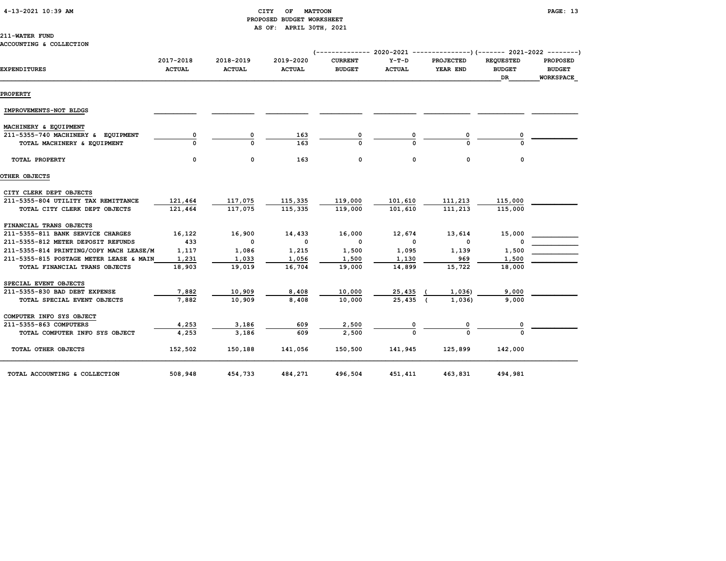|  | 4-13-2021 10:39 AM |  |
|--|--------------------|--|
|  |                    |  |

#### CITY OF MATTOON **PAGE:** 13 PROPOSED BUDGET WORKSHEET AS OF: APRIL 30TH, 2021

#### 211-WATER FUND

#### ACCOUNTING & COLLECTION

|                                                                   |                            |                            |                            | (------------- 2020-2021 ---------------)(------- 2021-2022 --------) |                          |                              |                                                |                                                      |  |
|-------------------------------------------------------------------|----------------------------|----------------------------|----------------------------|-----------------------------------------------------------------------|--------------------------|------------------------------|------------------------------------------------|------------------------------------------------------|--|
| <b>EXPENDITURES</b>                                               | 2017-2018<br><b>ACTUAL</b> | 2018-2019<br><b>ACTUAL</b> | 2019-2020<br><b>ACTUAL</b> | <b>CURRENT</b><br><b>BUDGET</b>                                       | $Y-T-D$<br><b>ACTUAL</b> | <b>PROJECTED</b><br>YEAR END | <b>REQUESTED</b><br><b>BUDGET</b><br><b>DR</b> | <b>PROPOSED</b><br><b>BUDGET</b><br><b>WORKSPACE</b> |  |
| <b>PROPERTY</b>                                                   |                            |                            |                            |                                                                       |                          |                              |                                                |                                                      |  |
| IMPROVEMENTS-NOT BLDGS                                            |                            |                            |                            |                                                                       |                          |                              |                                                |                                                      |  |
| MACHINERY & EQUIPMENT                                             |                            |                            |                            |                                                                       |                          |                              |                                                |                                                      |  |
| 211-5355-740 MACHINERY & EQUIPMENT<br>TOTAL MACHINERY & EQUIPMENT |                            | 0<br>U                     | 163<br>163                 | 0<br>$\Omega$                                                         |                          | 0<br>U                       |                                                |                                                      |  |
| TOTAL PROPERTY                                                    | 0                          | $\mathbf 0$                | 163                        | 0                                                                     | 0                        | $\mathbf 0$                  | 0                                              |                                                      |  |
| OTHER OBJECTS                                                     |                            |                            |                            |                                                                       |                          |                              |                                                |                                                      |  |
| CITY CLERK DEPT OBJECTS                                           |                            |                            |                            |                                                                       |                          |                              |                                                |                                                      |  |
| 211-5355-804 UTILITY TAX REMITTANCE                               | 121,464                    | 117,075                    | 115,335                    | 119,000                                                               | 101,610                  | 111,213                      | 115,000                                        |                                                      |  |
| TOTAL CITY CLERK DEPT OBJECTS                                     | 121,464                    | 117,075                    | 115,335                    | 119,000                                                               | 101,610                  | 111,213                      | 115,000                                        |                                                      |  |
| FINANCIAL TRANS OBJECTS                                           |                            |                            |                            |                                                                       |                          |                              |                                                |                                                      |  |
| 211-5355-811 BANK SERVICE CHARGES                                 | 16,122                     | 16,900                     | 14,433                     | 16,000                                                                | 12,674                   | 13,614                       | 15,000                                         |                                                      |  |
| 211-5355-812 METER DEPOSIT REFUNDS                                | 433                        | 0                          | $\mathbf 0$                | $\mathbf{o}$                                                          | $\mathbf 0$              | $\mathbf 0$                  | O                                              |                                                      |  |
| 211-5355-814 PRINTING/COPY MACH LEASE/M                           | 1,117                      | 1,086                      | 1,215                      | 1,500                                                                 | 1,095                    | 1,139                        | 1,500                                          |                                                      |  |
| 211-5355-815 POSTAGE METER LEASE & MAIN                           | 1,231                      | 1,033                      | 1,056                      | 1,500                                                                 | 1,130                    | 969                          | 1,500                                          |                                                      |  |
| TOTAL FINANCIAL TRANS OBJECTS                                     | 18,903                     | 19,019                     | 16,704                     | 19,000                                                                | 14,899                   | 15,722                       | 18,000                                         |                                                      |  |
| SPECIAL EVENT OBJECTS                                             |                            |                            |                            |                                                                       |                          |                              |                                                |                                                      |  |
| 211-5355-830 BAD DEBT EXPENSE                                     | 7,882                      | 10,909                     | 8,408                      | 10,000                                                                | 25,435                   | 1,036)                       | 9,000                                          |                                                      |  |
| TOTAL SPECIAL EVENT OBJECTS                                       | 7,882                      | 10,909                     | 8,408                      | 10,000                                                                | 25,435                   | 1,036)                       | 9,000                                          |                                                      |  |
| COMPUTER INFO SYS OBJECT                                          |                            |                            |                            |                                                                       |                          |                              |                                                |                                                      |  |
| 211-5355-863 COMPUTERS                                            | 4,253                      | 3,186                      | 609                        | 2,500                                                                 |                          | 0                            |                                                |                                                      |  |
| TOTAL COMPUTER INFO SYS OBJECT                                    | 4,253                      | 3,186                      | 609                        | 2,500                                                                 |                          |                              |                                                |                                                      |  |
| TOTAL OTHER OBJECTS                                               | 152,502                    | 150,188                    | 141,056                    | 150,500                                                               | 141,945                  | 125,899                      | 142,000                                        |                                                      |  |
| TOTAL ACCOUNTING & COLLECTION                                     | 508,948                    | 454,733                    | 484,271                    | 496,504                                                               | 451,411                  | 463,831                      | 494,981                                        |                                                      |  |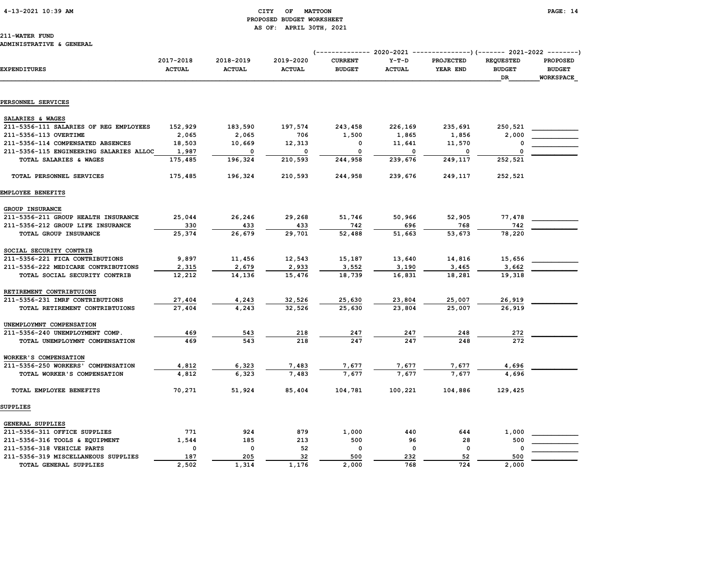#### 4-13-2021 10:39 AM CITY OF MATTOON PAGE: 14 PROPOSED BUDGET WORKSHEET AS OF: APRIL 30TH, 2021

## 211-WATER FUND

#### ADMINISTRATIVE & GENERAL

|                                         |                            |                            |                            | (------------- 2020-2021 ---------------)(------- 2021-2022 --------) |                          |                              |                                         |                                                      |  |  |
|-----------------------------------------|----------------------------|----------------------------|----------------------------|-----------------------------------------------------------------------|--------------------------|------------------------------|-----------------------------------------|------------------------------------------------------|--|--|
| <b>EXPENDITURES</b>                     | 2017-2018<br><b>ACTUAL</b> | 2018-2019<br><b>ACTUAL</b> | 2019-2020<br><b>ACTUAL</b> | <b>CURRENT</b><br><b>BUDGET</b>                                       | $Y-T-D$<br><b>ACTUAL</b> | <b>PROJECTED</b><br>YEAR END | <b>REQUESTED</b><br><b>BUDGET</b><br>DR | <b>PROPOSED</b><br><b>BUDGET</b><br><b>WORKSPACE</b> |  |  |
|                                         |                            |                            |                            |                                                                       |                          |                              |                                         |                                                      |  |  |
| PERSONNEL SERVICES                      |                            |                            |                            |                                                                       |                          |                              |                                         |                                                      |  |  |
| SALARIES & WAGES                        |                            |                            |                            |                                                                       |                          |                              |                                         |                                                      |  |  |
| 211-5356-111 SALARIES OF REG EMPLOYEES  | 152,929                    | 183,590                    | 197,574                    | 243,458                                                               | 226,169                  | 235,691                      | 250,521                                 |                                                      |  |  |
| 211-5356-113 OVERTIME                   | 2,065                      | 2,065                      | 706                        | 1,500                                                                 | 1,865                    | 1,856                        | 2,000                                   |                                                      |  |  |
| 211-5356-114 COMPENSATED ABSENCES       | 18,503                     | 10,669                     | 12,313                     | 0                                                                     | 11,641                   | 11,570                       |                                         |                                                      |  |  |
| 211-5356-115 ENGINEERING SALARIES ALLOC | 1,987                      | 0                          | 0                          | 0                                                                     | 0                        | 0                            | $\Omega$                                |                                                      |  |  |
| TOTAL SALARIES & WAGES                  | 175,485                    | 196,324                    | 210,593                    | 244,958                                                               | 239,676                  | 249,117                      | 252,521                                 |                                                      |  |  |
| TOTAL PERSONNEL SERVICES                | 175,485                    | 196,324                    | 210,593                    | 244,958                                                               | 239,676                  | 249,117                      | 252,521                                 |                                                      |  |  |
| <b>EMPLOYEE BENEFITS</b>                |                            |                            |                            |                                                                       |                          |                              |                                         |                                                      |  |  |
| GROUP INSURANCE                         |                            |                            |                            |                                                                       |                          |                              |                                         |                                                      |  |  |
| 211-5356-211 GROUP HEALTH INSURANCE     | 25,044                     | 26,246                     | 29,268                     | 51,746                                                                | 50,966                   | 52,905                       | 77,478                                  |                                                      |  |  |
| 211-5356-212 GROUP LIFE INSURANCE       | 330                        | 433                        | 433                        | 742                                                                   | 696                      | 768                          | 742                                     |                                                      |  |  |
| TOTAL GROUP INSURANCE                   | 25,374                     | 26,679                     | 29,701                     | 52,488                                                                | 51,663                   | 53,673                       | 78,220                                  |                                                      |  |  |
| SOCIAL SECURITY CONTRIB                 |                            |                            |                            |                                                                       |                          |                              |                                         |                                                      |  |  |
| 211-5356-221 FICA CONTRIBUTIONS         | 9,897                      | 11,456                     | 12,543                     | 15,187                                                                | 13,640                   | 14,816                       | 15,656                                  |                                                      |  |  |
| 211-5356-222 MEDICARE CONTRIBUTIONS     | 2,315                      | 2,679                      | 2,933                      | 3,552                                                                 | 3,190                    | 3,465                        | 3,662                                   |                                                      |  |  |
| TOTAL SOCIAL SECURITY CONTRIB           | 12,212                     | 14,136                     | 15,476                     | 18,739                                                                | 16,831                   | 18,281                       | 19,318                                  |                                                      |  |  |
| RETIREMENT CONTRIBTUIONS                |                            |                            |                            |                                                                       |                          |                              |                                         |                                                      |  |  |
| 211-5356-231 IMRF CONTRIBUTIONS         | 27,404                     | 4,243                      | 32,526                     | 25,630                                                                | 23,804                   | 25,007                       | 26,919                                  |                                                      |  |  |
| TOTAL RETIREMENT CONTRIBTUIONS          | 27,404                     | 4,243                      | 32,526                     | 25,630                                                                | 23,804                   | 25,007                       | 26,919                                  |                                                      |  |  |
| UNEMPLOYMNT COMPENSATION                |                            |                            |                            |                                                                       |                          |                              |                                         |                                                      |  |  |
| 211-5356-240 UNEMPLOYMENT COMP.         | 469                        | 543                        | 218                        | 247                                                                   | 247                      | 248                          | 272                                     |                                                      |  |  |
| TOTAL UNEMPLOYMNT COMPENSATION          | 469                        | 543                        | 218                        | 247                                                                   | 247                      | 248                          | 272                                     |                                                      |  |  |
| WORKER'S COMPENSATION                   |                            |                            |                            |                                                                       |                          |                              |                                         |                                                      |  |  |
| 211-5356-250 WORKERS' COMPENSATION      | 4,812                      | 6,323                      | 7,483                      | 7,677                                                                 | 7,677                    | 7,677                        | 4,696                                   |                                                      |  |  |
| TOTAL WORKER'S COMPENSATION             | 4,812                      | 6,323                      | 7,483                      | 7,677                                                                 | 7,677                    | 7,677                        | 4,696                                   |                                                      |  |  |
| TOTAL EMPLOYEE BENEFITS                 | 70,271                     | 51,924                     | 85,404                     | 104,781                                                               | 100,221                  | 104,886                      | 129,425                                 |                                                      |  |  |
| <b>SUPPLIES</b>                         |                            |                            |                            |                                                                       |                          |                              |                                         |                                                      |  |  |
| <b>GENERAL SUPPLIES</b>                 |                            |                            |                            |                                                                       |                          |                              |                                         |                                                      |  |  |
| 211-5356-311 OFFICE SUPPLIES            | 771                        | 924                        | 879                        | 1,000                                                                 | 440                      | 644                          | 1,000                                   |                                                      |  |  |
| 211-5356-316 TOOLS & EQUIPMENT          | 1,544                      | 185                        | 213                        | 500                                                                   | 96                       | 28                           | 500                                     |                                                      |  |  |
| 211-5356-318 VEHICLE PARTS              | 0                          | 0                          | 52                         | 0                                                                     | $\mathbf 0$              | 0                            | 0                                       |                                                      |  |  |
| 211-5356-319 MISCELLANEOUS SUPPLIES     | 187                        | 205                        | 32                         | 500                                                                   | 232                      | 52                           | 500                                     |                                                      |  |  |
| TOTAL GENERAL SUPPLIES                  | 2,502                      | 1,314                      | 1,176                      | 2,000                                                                 | 768                      | 724                          | 2,000                                   |                                                      |  |  |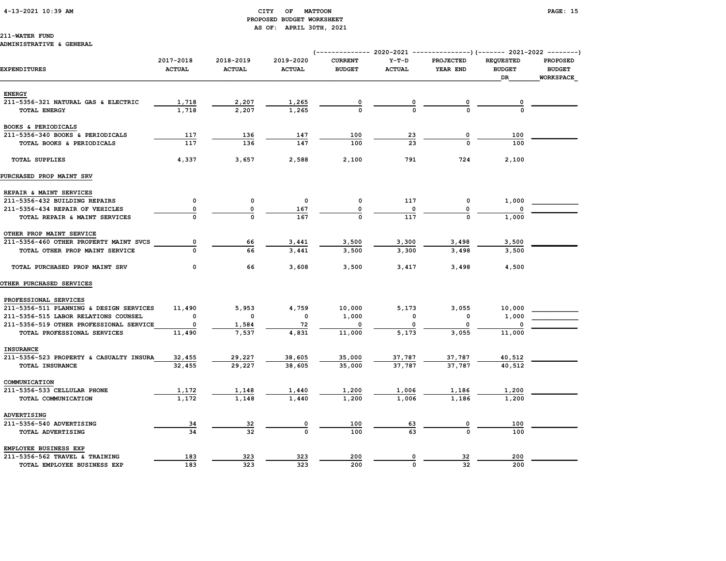#### 4-13-2021 10:39 AM CITY OF MATTOON PAGE: 15 PROPOSED BUDGET WORKSHEET AS OF: APRIL 30TH, 2021

#### 211-WATER FUND

#### ADMINISTRATIVE & GENERAL

|                                         |                            |                            |                            |                                 |                          |                              |                                   | (------------- 2020-2021 ---------------)(------- 2021-2022 --------) |  |
|-----------------------------------------|----------------------------|----------------------------|----------------------------|---------------------------------|--------------------------|------------------------------|-----------------------------------|-----------------------------------------------------------------------|--|
| <b>EXPENDITURES</b>                     | 2017-2018<br><b>ACTUAL</b> | 2018-2019<br><b>ACTUAL</b> | 2019-2020<br><b>ACTUAL</b> | <b>CURRENT</b><br><b>BUDGET</b> | $Y-T-D$<br><b>ACTUAL</b> | <b>PROJECTED</b><br>YEAR END | <b>REQUESTED</b><br><b>BUDGET</b> | PROPOSED<br><b>BUDGET</b>                                             |  |
|                                         |                            |                            |                            |                                 |                          |                              | DR                                | <b>WORKSPACE</b>                                                      |  |
| <b>ENERGY</b>                           |                            |                            |                            |                                 |                          |                              |                                   |                                                                       |  |
| 211-5356-321 NATURAL GAS & ELECTRIC     | 1,718                      | 2,207                      | 1,265                      |                                 |                          |                              |                                   |                                                                       |  |
| TOTAL ENERGY                            | 1,718                      | 2,207                      | 1,265                      |                                 |                          | $\frac{0}{0}$                |                                   |                                                                       |  |
| BOOKS & PERIODICALS                     |                            |                            |                            |                                 |                          |                              |                                   |                                                                       |  |
| 211-5356-340 BOOKS & PERIODICALS        | 117                        | 136                        | 147                        | 100                             | <u>23</u>                | $\overline{\mathbf{0}}$      | 100                               |                                                                       |  |
| TOTAL BOOKS & PERIODICALS               | 117                        | 136                        | 147                        | 100                             | 23                       | $\Omega$                     | 100                               |                                                                       |  |
| <b>TOTAL SUPPLIES</b>                   | 4,337                      | 3,657                      | 2,588                      | 2,100                           | 791                      | 724                          | 2,100                             |                                                                       |  |
| PURCHASED PROP MAINT SRV                |                            |                            |                            |                                 |                          |                              |                                   |                                                                       |  |
| REPAIR & MAINT SERVICES                 |                            |                            |                            |                                 |                          |                              |                                   |                                                                       |  |
| 211-5356-432 BUILDING REPAIRS           | 0                          | 0                          | $\mathbf{o}$               | 0                               | 117                      | 0                            | 1,000                             |                                                                       |  |
| 211-5356-434 REPAIR OF VEHICLES         | 0                          | 0                          | 167                        | 0                               | 0                        | 0                            |                                   |                                                                       |  |
| TOTAL REPAIR & MAINT SERVICES           |                            |                            | 167                        |                                 | 117                      |                              | 1,000                             |                                                                       |  |
| OTHER PROP MAINT SERVICE                |                            |                            |                            |                                 |                          |                              |                                   |                                                                       |  |
| 211-5356-460 OTHER PROPERTY MAINT SVCS  | 0                          | 66                         | 3,441                      | 3,500                           | 3,300                    | 3,498                        | 3,500                             |                                                                       |  |
| TOTAL OTHER PROP MAINT SERVICE          | $\Omega$                   | 66                         | 3,441                      | 3,500                           | 3,300                    | 3,498                        | 3,500                             |                                                                       |  |
| TOTAL PURCHASED PROP MAINT SRV          | 0                          | 66                         | 3,608                      | 3,500                           | 3,417                    | 3,498                        | 4,500                             |                                                                       |  |
| <b>OTHER PURCHASED SERVICES</b>         |                            |                            |                            |                                 |                          |                              |                                   |                                                                       |  |
| PROFESSIONAL SERVICES                   |                            |                            |                            |                                 |                          |                              |                                   |                                                                       |  |
| 211-5356-511 PLANNING & DESIGN SERVICES | 11,490                     | 5,953                      | 4,759                      | 10,000                          | 5,173                    | 3,055                        | 10,000                            |                                                                       |  |
| 211-5356-515 LABOR RELATIONS COUNSEL    | 0                          | $\mathbf 0$                | $\mathbf{o}$               | 1,000                           |                          | 0                            | 1,000                             |                                                                       |  |
| 211-5356-519 OTHER PROFESSIONAL SERVICE | $\mathbf 0$                | 1,584                      | 72                         | 0                               |                          | 0                            |                                   |                                                                       |  |
| TOTAL PROFESSIONAL SERVICES             | 11,490                     | 7,537                      | 4,831                      | 11,000                          | 5.173                    | 3.055                        | 11,000                            |                                                                       |  |
| <b>INSURANCE</b>                        |                            |                            |                            |                                 |                          |                              |                                   |                                                                       |  |
| 211-5356-523 PROPERTY & CASUALTY INSURA | 32,455                     | 29,227                     | 38,605                     | 35,000                          | 37,787                   | 37,787                       | 40,512                            |                                                                       |  |
| TOTAL INSURANCE                         | 32,455                     | 29,227                     | 38,605                     | 35,000                          | 37,787                   | 37,787                       | 40,512                            |                                                                       |  |
| COMMUNICATION                           |                            |                            |                            |                                 |                          |                              |                                   |                                                                       |  |
| 211-5356-533 CELLULAR PHONE             | 1,172                      | 1,148                      | 1,440                      | 1,200                           | 1,006                    | 1,186                        | 1,200                             |                                                                       |  |
| TOTAL COMMUNICATION                     | 1,172                      | 1,148                      | 1,440                      | 1,200                           | 1,006                    | 1,186                        | 1,200                             |                                                                       |  |
| ADVERTISING                             |                            |                            |                            |                                 |                          |                              |                                   |                                                                       |  |
| 211-5356-540 ADVERTISING                | $\frac{34}{1}$             | <u>32</u>                  | 0                          | 100                             | <u>63</u>                |                              | 100                               |                                                                       |  |
| TOTAL ADVERTISING                       | 34                         | 32                         | $\Omega$                   | 100                             | 63                       | $\frac{0}{0}$                | 100                               |                                                                       |  |
| EMPLOYEE BUSINESS EXP                   |                            |                            |                            |                                 |                          |                              |                                   |                                                                       |  |
| 211-5356-562 TRAVEL & TRAINING          | 183                        | 323                        | 323                        | 200                             | 0                        | <u>32</u>                    | 200                               |                                                                       |  |
| TOTAL EMPLOYEE BUSINESS EXP             | 183                        | 323                        | 323                        | 200                             | $\Omega$                 | 32                           | 200                               |                                                                       |  |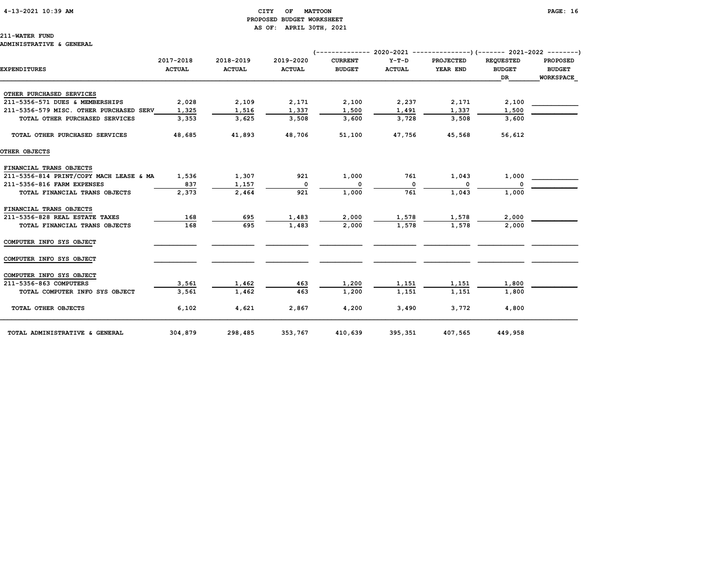# 4-13-2021 10:39 AM CITY OF MATTOON PAGE: 16 PROPOSED BUDGET WORKSHEET

211-WATER FUND ADMINISTRATIVE & GENERAL

# AS OF: APRIL 30TH, 2021

| <b>EXPENDITURES</b>                     | 2017-2018<br><b>ACTUAL</b> | 2018-2019<br><b>ACTUAL</b> | 2019-2020<br><b>ACTUAL</b> | <b>CURRENT</b><br><b>BUDGET</b> | $Y-T-D$<br><b>ACTUAL</b> | <b>PROJECTED</b><br>YEAR END | <b>REOUESTED</b><br><b>BUDGET</b><br>DR. | <b>PROPOSED</b><br><b>BUDGET</b><br><b>WORKSPACE</b> |
|-----------------------------------------|----------------------------|----------------------------|----------------------------|---------------------------------|--------------------------|------------------------------|------------------------------------------|------------------------------------------------------|
| OTHER PURCHASED SERVICES                |                            |                            |                            |                                 |                          |                              |                                          |                                                      |
| 211-5356-571 DUES & MEMBERSHIPS         | 2,028                      | 2,109                      | 2,171                      | 2,100                           | 2,237                    | 2,171                        | 2,100                                    |                                                      |
| 211-5356-579 MISC. OTHER PURCHASED SERV | 1,325                      | 1,516                      | 1,337                      | 1,500                           | 1,491                    | 1,337                        | 1,500                                    |                                                      |
| TOTAL OTHER PURCHASED SERVICES          | 3,353                      | 3,625                      | 3,508                      | 3,600                           | 3,728                    | 3,508                        | 3,600                                    |                                                      |
| TOTAL OTHER PURCHASED SERVICES          | 48,685                     | 41,893                     | 48,706                     | 51,100                          | 47,756                   | 45,568                       | 56,612                                   |                                                      |
| OTHER OBJECTS                           |                            |                            |                            |                                 |                          |                              |                                          |                                                      |
| FINANCIAL TRANS OBJECTS                 |                            |                            |                            |                                 |                          |                              |                                          |                                                      |
| 211-5356-814 PRINT/COPY MACH LEASE & MA | 1,536                      | 1,307                      | 921                        | 1,000                           | 761                      | 1,043                        | 1,000                                    |                                                      |
| 211-5356-816 FARM EXPENSES              | 837                        | 1,157                      | $\Omega$                   | 0                               | 0                        |                              | $\Omega$                                 |                                                      |
| TOTAL FINANCIAL TRANS OBJECTS           | 2,373                      | 2,464                      | 921                        | 1,000                           | 761                      | 1,043                        | 1,000                                    |                                                      |
| FINANCIAL TRANS OBJECTS                 |                            |                            |                            |                                 |                          |                              |                                          |                                                      |
| 211-5356-828 REAL ESTATE TAXES          | 168                        | 695                        | 1,483                      | 2,000                           | 1,578                    | 1,578                        | 2,000                                    |                                                      |
| TOTAL FINANCIAL TRANS OBJECTS           | 168                        | 695                        | 1,483                      | 2,000                           | 1,578                    | 1,578                        | 2,000                                    |                                                      |
| COMPUTER INFO SYS OBJECT                |                            |                            |                            |                                 |                          |                              |                                          |                                                      |
| COMPUTER INFO SYS OBJECT                |                            |                            |                            |                                 |                          |                              |                                          |                                                      |
| COMPUTER INFO SYS OBJECT                |                            |                            |                            |                                 |                          |                              |                                          |                                                      |
| 211-5356-863 COMPUTERS                  | 3,561                      | 1,462                      | 463                        | 1,200                           | 1,151                    | 1,151                        | 1,800                                    |                                                      |
| TOTAL COMPUTER INFO SYS OBJECT          | 3,561                      | 1,462                      | 463                        | 1,200                           | 1,151                    | 1,151                        | 1,800                                    |                                                      |
| TOTAL OTHER OBJECTS                     | 6,102                      | 4,621                      | 2,867                      | 4,200                           | 3,490                    | 3,772                        | 4,800                                    |                                                      |
| TOTAL ADMINISTRATIVE & GENERAL          | 304,879                    | 298,485                    | 353,767                    | 410,639                         | 395,351                  | 407,565                      | 449,958                                  |                                                      |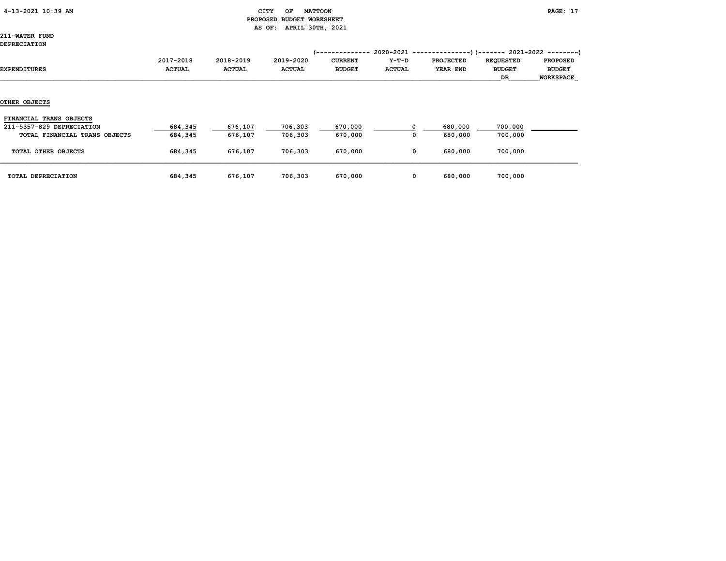#### CITY OF MATTOON **PAGE:** 17 PROPOSED BUDGET WORKSHEET AS OF: APRIL 30TH, 2021

211-WATER FUND DEPRECIATION

| ,,,,,,,,,,,,,,,,,<br>EXPENDITURES                    | 2017-2018<br><b>ACTUAL</b> | 2018-2019<br><b>ACTUAL</b> | 2019-2020<br><b>ACTUAL</b> | /--------------<br><b>CURRENT</b><br><b>BUDGET</b> | 2020-2021 --------------<br>$Y-T-D$<br><b>ACTUAL</b> | <b>PROJECTED</b><br>YEAR END | --)(------- 2021-2022 --------)<br><b>REQUESTED</b><br><b>BUDGET</b><br>DR | <b>PROPOSED</b><br><b>BUDGET</b><br><b>WORKSPACE</b> |
|------------------------------------------------------|----------------------------|----------------------------|----------------------------|----------------------------------------------------|------------------------------------------------------|------------------------------|----------------------------------------------------------------------------|------------------------------------------------------|
| <b>OTHER OBJECTS</b>                                 |                            |                            |                            |                                                    |                                                      |                              |                                                                            |                                                      |
| FINANCIAL TRANS OBJECTS<br>211-5357-829 DEPRECIATION | 684,345                    | 676,107                    | 706,303                    | 670,000                                            |                                                      | 680,000                      | 700,000                                                                    |                                                      |
| TOTAL FINANCIAL TRANS OBJECTS                        | 684,345                    | 676,107                    | 706,303                    | 670,000                                            | O                                                    | 680,000                      | 700,000                                                                    |                                                      |
| TOTAL OTHER OBJECTS                                  | 684,345                    | 676,107                    | 706,303                    | 670,000                                            | 0                                                    | 680,000                      | 700,000                                                                    |                                                      |
| TOTAL DEPRECIATION                                   | 684,345                    | 676,107                    | 706,303                    | 670,000                                            | 0                                                    | 680,000                      | 700,000                                                                    |                                                      |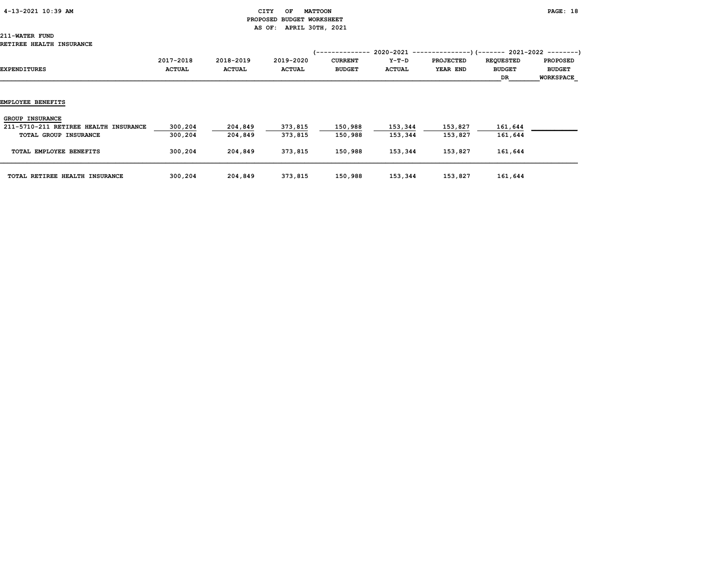# 4-13-2021 10:39 AM CITY OF MATTOON PAGE: 18 PROPOSED BUDGET WORKSHEET AS OF: APRIL 30TH, 2021

# 211-WATER FUND

# RETIREE HEALTH INSURANCE

| REIIREE AEALIA INSURANCE              |                            |                            |                            |                                                     |                          |                              |                                         |                                                      |
|---------------------------------------|----------------------------|----------------------------|----------------------------|-----------------------------------------------------|--------------------------|------------------------------|-----------------------------------------|------------------------------------------------------|
| EXPENDITURES                          | 2017-2018<br><b>ACTUAL</b> | 2018-2019<br><b>ACTUAL</b> | 2019-2020<br><b>ACTUAL</b> | '---------------<br><b>CURRENT</b><br><b>BUDGET</b> | $Y-T-D$<br><b>ACTUAL</b> | <b>PROJECTED</b><br>YEAR END | <b>REQUESTED</b><br><b>BUDGET</b><br>DR | <b>PROPOSED</b><br><b>BUDGET</b><br><b>WORKSPACE</b> |
| EMPLOYEE BENEFITS                     |                            |                            |                            |                                                     |                          |                              |                                         |                                                      |
| <b>GROUP INSURANCE</b>                |                            |                            |                            |                                                     |                          |                              |                                         |                                                      |
| 211-5710-211 RETIREE HEALTH INSURANCE | 300,204                    | 204,849                    | 373,815                    | 150,988                                             | 153,344                  | 153,827                      | 161,644                                 |                                                      |
| TOTAL GROUP INSURANCE                 | 300,204                    | 204,849                    | 373,815                    | 150,988                                             | 153,344                  | 153,827                      | 161,644                                 |                                                      |
| TOTAL EMPLOYEE BENEFITS               | 300,204                    | 204,849                    | 373,815                    | 150,988                                             | 153,344                  | 153,827                      | 161,644                                 |                                                      |
| TOTAL RETIREE HEALTH INSURANCE        | 300,204                    | 204,849                    | 373,815                    | 150,988                                             | 153,344                  | 153,827                      | 161,644                                 |                                                      |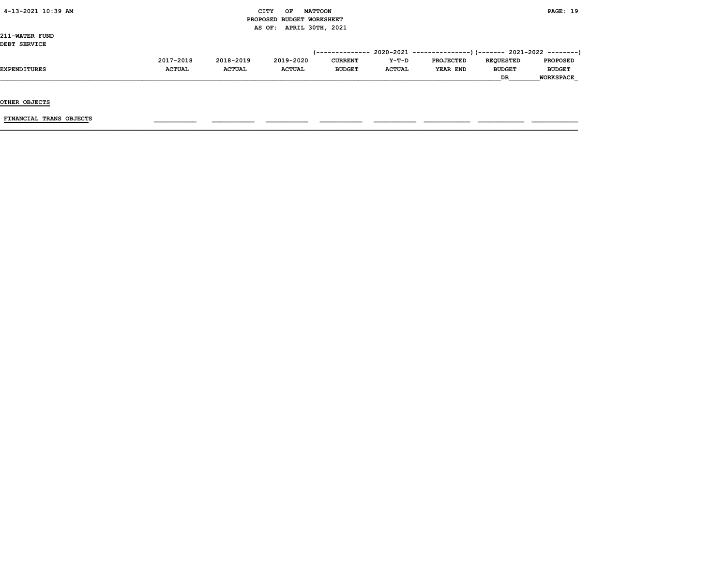# $\begin{array}{ccc} \texttt{CITY} & \texttt{OF} & \texttt{MATTCON} \end{array}$  PROPOSED BUDGET WORKSHEET AS OF: APRIL 30TH, 2021

211-WATER FUND DEBT SERVICE

| 2017-2018     | 2018-2019     | 2019-2020     | <b>CURRENT</b> | $Y-T-D$       | <b>PROJECTED</b> | <b>REOUESTED</b> | <b>PROPOSED</b>  |
|---------------|---------------|---------------|----------------|---------------|------------------|------------------|------------------|
| <b>ACTUAL</b> | <b>ACTUAL</b> | <b>ACTUAL</b> | <b>BUDGET</b>  | <b>ACTUAL</b> | YEAR END         | <b>BUDGET</b>    | <b>BUDGET</b>    |
|               |               |               |                |               |                  | <b>DR</b>        | <b>WORKSPACE</b> |
|               |               |               |                |               |                  |                  |                  |

OTHER OBJECTS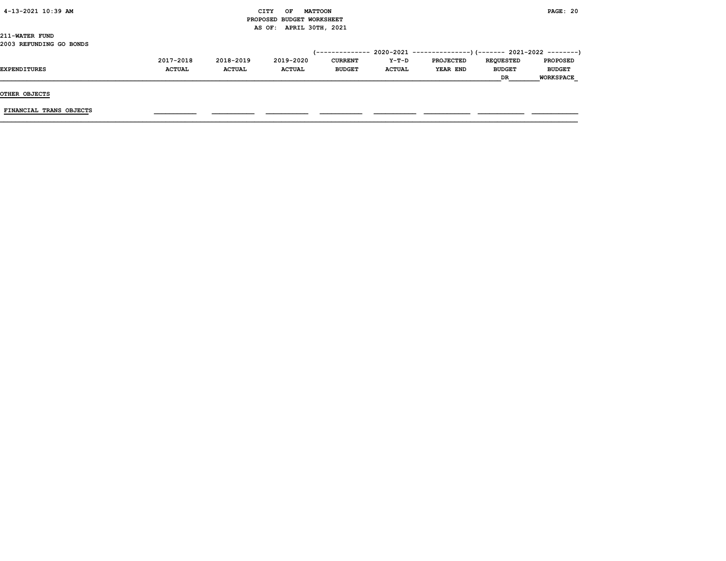| 4-13-2021 10:39 AM |  |
|--------------------|--|
|                    |  |

# CITY OF MATTOON **PAGE: 20**  PROPOSED BUDGET WORKSHEET AS OF: APRIL 30TH, 2021

211-WATER FUND 2003 REFUNDING GO BONDS

|                     | 2017-2018     | 2018-2019     | 2019-2020     | <b>CURRENT</b> | Y-T-D         | <b>PROJECTED</b> | <b>REOUESTED</b> | <b>PROPOSED</b>  |
|---------------------|---------------|---------------|---------------|----------------|---------------|------------------|------------------|------------------|
| <b>EXPENDITURES</b> | <b>ACTUAL</b> | <b>ACTUAL</b> | <b>ACTUAL</b> | <b>BUDGET</b>  | <b>ACTUAL</b> | YEAR END         | <b>BUDGET</b>    | <b>BUDGET</b>    |
|                     |               |               |               |                |               |                  | <b>DR</b>        | <b>WORKSPACE</b> |

OTHER OBJECTS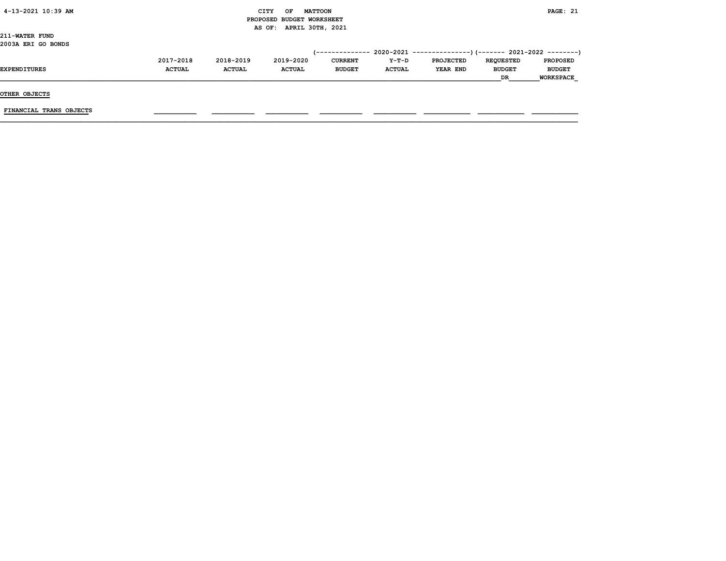| $4-13-2021$ $10:39$ AM |  |
|------------------------|--|
|                        |  |

# CITY OF MATTOON **PAGE: 21**  PROPOSED BUDGET WORKSHEET AS OF: APRIL 30TH, 2021

211-WATER FUND 2003A ERI GO BONDS

|                     |               |               |               |                |               |                  | <b>DR</b>        | <b>WORKSPACE</b> |
|---------------------|---------------|---------------|---------------|----------------|---------------|------------------|------------------|------------------|
|                     |               |               |               |                |               |                  |                  |                  |
| EXPENDITURES        | <b>ACTUAL</b> | <b>ACTUAL</b> | <b>ACTUAL</b> | <b>BUDGET</b>  | <b>ACTUAL</b> | YEAR END         | <b>BUDGET</b>    | <b>BUDGET</b>    |
|                     | 2017-2018     | 2018-2019     | 2019-2020     | <b>CURRENT</b> | $Y-T-D$       | <b>PROJECTED</b> | <b>REOUESTED</b> | <b>PROPOSED</b>  |
|                     |               |               |               |                |               |                  |                  |                  |
| ------------------- |               |               |               |                |               |                  |                  |                  |

OTHER OBJECTS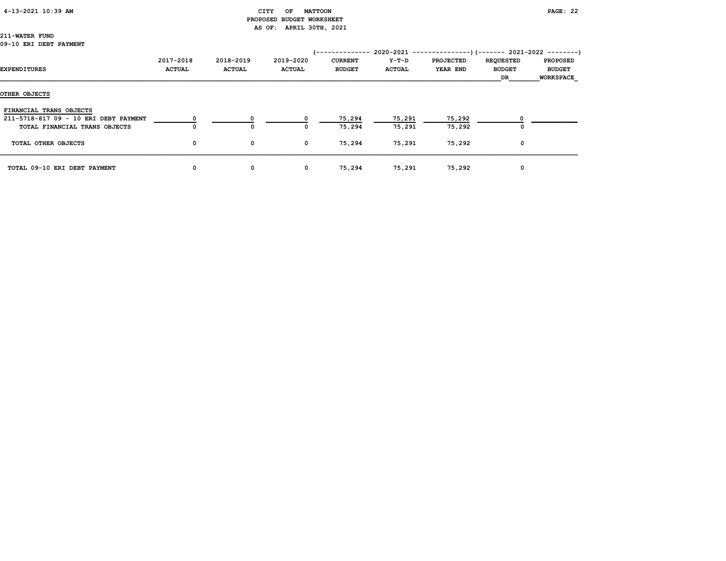### 4-13-2021 10:39 AM CITY OF MATTOON PAGE: 22

# PROPOSED BUDGET WORKSHEET AS OF: APRIL 30TH, 2021

# 211-WATER FUND

#### 09-10 ERI DEBT PAYMENT

|                                       |                            |                            |                            | (--------------                 |                        | 2020-2021 ----------------)(------- 2021-2022 ---------) |                                         |                                               |
|---------------------------------------|----------------------------|----------------------------|----------------------------|---------------------------------|------------------------|----------------------------------------------------------|-----------------------------------------|-----------------------------------------------|
| EXPENDITURES                          | 2017-2018<br><b>ACTUAL</b> | 2018-2019<br><b>ACTUAL</b> | 2019-2020<br><b>ACTUAL</b> | <b>CURRENT</b><br><b>BUDGET</b> | Y-T-D<br><b>ACTUAL</b> | <b>PROJECTED</b><br><b>YEAR END</b>                      | <b>REQUESTED</b><br><b>BUDGET</b><br>DR | <b>PROPOSED</b><br><b>BUDGET</b><br>WORKSPACE |
| OTHER OBJECTS                         |                            |                            |                            |                                 |                        |                                                          |                                         |                                               |
| FINANCIAL TRANS OBJECTS               |                            |                            |                            |                                 |                        |                                                          |                                         |                                               |
| 211-5718-817 09 - 10 ERI DEBT PAYMENT | 0                          | 0                          |                            | 75,294                          | 75,291                 | 75,292                                                   | 0                                       |                                               |
| TOTAL FINANCIAL TRANS OBJECTS         | 0                          | 0                          | 0                          | 75,294                          | 75,291                 | 75,292                                                   | 0                                       |                                               |
| TOTAL OTHER OBJECTS                   | 0                          | 0                          | $\mathbf 0$                | 75,294                          | 75,291                 | 75,292                                                   | 0                                       |                                               |
| TOTAL 09-10 ERI DEBT PAYMENT          | 0                          | 0                          | $\mathbf{o}$               | 75,294                          | 75,291                 | 75,292                                                   | 0                                       |                                               |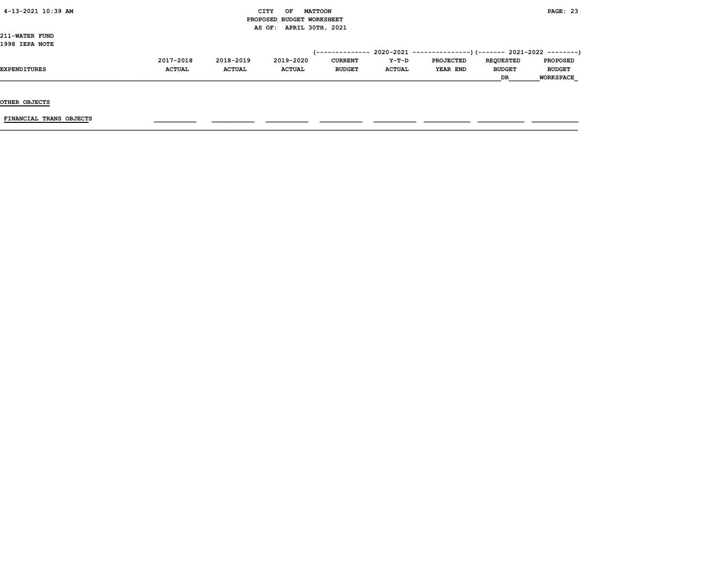# $\begin{array}{ccc} \text{CITY} & \text{OF} & \text{MATTOON} \end{array}$  PROPOSED BUDGET WORKSHEET AS OF: APRIL 30TH, 2021

211-WATER FUND 1998 IEPA NOTE

| LYYO ILPA NUTL      |               |               |               |                |               |                  |                  |                  |
|---------------------|---------------|---------------|---------------|----------------|---------------|------------------|------------------|------------------|
|                     |               |               |               |                |               |                  |                  |                  |
|                     | 2017-2018     | 2018-2019     | 2019-2020     | <b>CURRENT</b> | $Y-T-D$       | <b>PROJECTED</b> | <b>REOUESTED</b> | <b>PROPOSED</b>  |
| <b>EXPENDITURES</b> | <b>ACTUAL</b> | <b>ACTUAL</b> | <b>ACTUAL</b> | <b>BUDGET</b>  | <b>ACTUAL</b> | YEAR END         | <b>BUDGET</b>    | <b>BUDGET</b>    |
|                     |               |               |               |                |               |                  | <b>DR</b>        | <b>WORKSPACE</b> |

OTHER OBJECTS

 $FINANCIAL$  TRANS OBJECTS  $\qquad \qquad \qquad \qquad$   $\qquad \qquad$   $\qquad \qquad$   $\qquad \qquad$   $\qquad$   $\qquad \qquad$   $\qquad \qquad$   $\qquad \qquad$   $\qquad$   $\qquad$   $\qquad$   $\qquad$   $\qquad$   $\qquad$   $\qquad$   $\qquad$   $\qquad$   $\qquad$   $\qquad$   $\qquad$   $\qquad$   $\qquad$   $\qquad$   $\qquad$   $\qquad$   $\qquad$   $\qquad$   $\qquad$   $\qquad$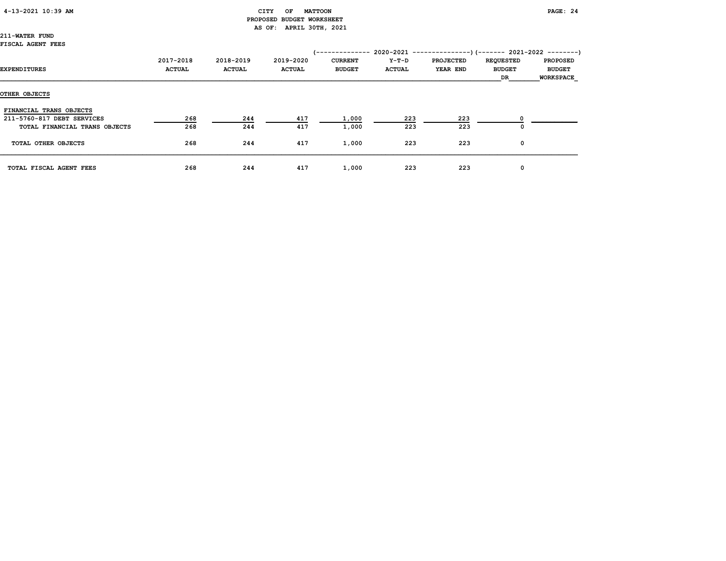# 4-13-2021 10:39 AM CITY OF MATTOON PAGE: 24 PROPOSED BUDGET WORKSHEET AS OF: APRIL 30TH, 2021

211-WATER FUND FISCAL AGENT FEES

| EXPENDITURES                  | 2017-2018<br><b>ACTUAL</b> | 2018-2019<br><b>ACTUAL</b> | 2019-2020<br><b>ACTUAL</b> | /--------------<br><b>CURRENT</b><br><b>BUDGET</b> | Y-T-D<br><b>ACTUAL</b> | $2020-2021$ ---------------) (------- 2021-2022 --------)<br><b>PROJECTED</b><br>YEAR END | <b>REQUESTED</b><br><b>BUDGET</b><br>DR. | <b>PROPOSED</b><br><b>BUDGET</b><br><b>WORKSPACE</b> |
|-------------------------------|----------------------------|----------------------------|----------------------------|----------------------------------------------------|------------------------|-------------------------------------------------------------------------------------------|------------------------------------------|------------------------------------------------------|
| OTHER OBJECTS                 |                            |                            |                            |                                                    |                        |                                                                                           |                                          |                                                      |
| FINANCIAL TRANS OBJECTS       |                            |                            |                            |                                                    |                        |                                                                                           |                                          |                                                      |
| 211-5760-817 DEBT SERVICES    | 268                        | 244                        | 417                        | 1,000                                              | 223                    | 223                                                                                       |                                          |                                                      |
| TOTAL FINANCIAL TRANS OBJECTS | 268                        | 244                        | 417                        | 1,000                                              | 223                    | 223                                                                                       | O                                        |                                                      |
| TOTAL OTHER OBJECTS           | 268                        | 244                        | 417                        | 1,000                                              | 223                    | 223                                                                                       | 0                                        |                                                      |
| TOTAL FISCAL AGENT FEES       | 268                        | 244                        | 417                        | 1,000                                              | 223                    | 223                                                                                       | 0                                        |                                                      |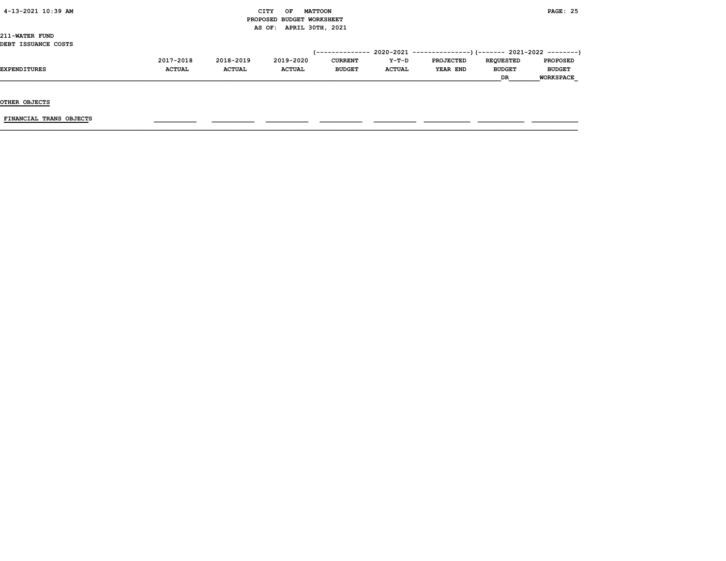# 4-13-2021 10:39 AM CITY OF MATTOON PAGE: 25 PROPOSED BUDGET WORKSHEET AS OF: APRIL 30TH, 2021

211-WATER FUND DEBT ISSUANCE COSTS

|              | 2017-2018     | 2018-2019     | 2019-2020     | <b>CURRENT</b> | $Y-T-D$       | <b>PROJECTED</b> | <b>REOUESTED</b> | <b>PROPOSED</b>  |
|--------------|---------------|---------------|---------------|----------------|---------------|------------------|------------------|------------------|
| EXPENDITURES | <b>ACTUAL</b> | <b>ACTUAL</b> | <b>ACTUAL</b> | <b>BUDGET</b>  | <b>ACTUAL</b> | YEAR END         | <b>BUDGET</b>    | <b>BUDGET</b>    |
|              |               |               |               |                |               |                  | DR               | <b>WORKSPACE</b> |

OTHER OBJECTS

 $FINANCIAL$  TRANS OBJECTS  $\qquad \qquad \qquad \qquad$   $\qquad \qquad$   $\qquad \qquad$   $\qquad \qquad$   $\qquad$   $\qquad \qquad$   $\qquad \qquad$   $\qquad \qquad$   $\qquad$   $\qquad$   $\qquad$   $\qquad$   $\qquad$   $\qquad$   $\qquad$   $\qquad$   $\qquad$   $\qquad$   $\qquad$   $\qquad$   $\qquad$   $\qquad$   $\qquad$   $\qquad$   $\qquad$   $\qquad$   $\qquad$   $\qquad$   $\qquad$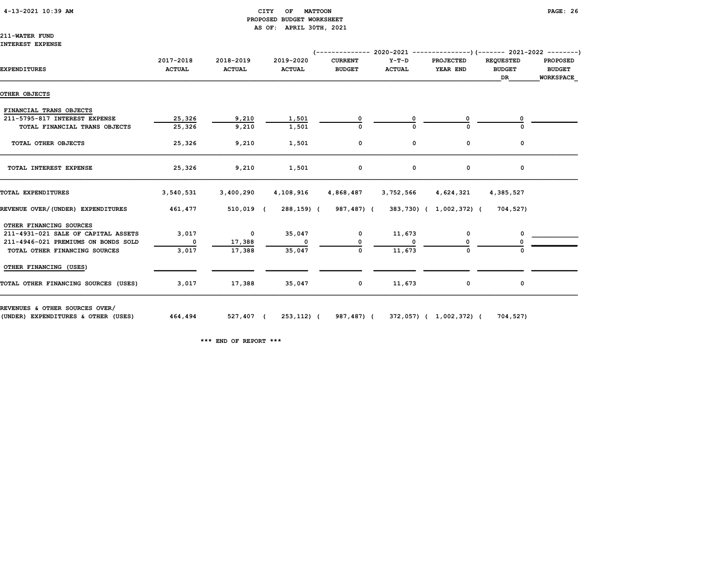# 4-13-2021 10:39 AM CITY OF MATTOON PAGE: 26 PROPOSED BUDGET WORKSHEET AS OF: APRIL 30TH, 2021

### 211-WATER FUND INTEREST EXPENSE

| <b>EXPENDITURES</b>                                                   | 2017-2018<br><b>ACTUAL</b> | 2018-2019<br><b>ACTUAL</b> | 2019-2020<br><b>ACTUAL</b> | <b>CURRENT</b><br><b>BUDGET</b> | Y-T-D<br><b>ACTUAL</b> | <b>PROJECTED</b><br>YEAR END | <b>REQUESTED</b><br><b>BUDGET</b> | <b>PROPOSED</b><br><b>BUDGET</b> |
|-----------------------------------------------------------------------|----------------------------|----------------------------|----------------------------|---------------------------------|------------------------|------------------------------|-----------------------------------|----------------------------------|
|                                                                       |                            |                            |                            |                                 |                        |                              | DR                                | <b>WORKSPACE</b>                 |
| OTHER OBJECTS                                                         |                            |                            |                            |                                 |                        |                              |                                   |                                  |
| FINANCIAL TRANS OBJECTS                                               |                            |                            |                            |                                 |                        |                              |                                   |                                  |
| 211-5795-817 INTEREST EXPENSE                                         | 25,326                     | 9,210                      | 1,501                      |                                 |                        |                              |                                   |                                  |
| TOTAL FINANCIAL TRANS OBJECTS                                         | 25,326                     | 9,210                      | 1,501                      |                                 |                        |                              |                                   |                                  |
| TOTAL OTHER OBJECTS                                                   | 25,326                     | 9,210                      | 1,501                      | 0                               | 0                      | 0                            | 0                                 |                                  |
| TOTAL INTEREST EXPENSE                                                | 25,326                     | 9,210                      | 1,501                      | 0                               | 0                      | 0                            | 0                                 |                                  |
| TOTAL EXPENDITURES                                                    | 3,540,531                  | 3,400,290                  | 4,108,916                  | 4,868,487                       | 3,752,566              | 4,624,321                    | 4,385,527                         |                                  |
| REVENUE OVER/(UNDER) EXPENDITURES                                     | 461,477                    | 510,019 (                  | 288,159) (                 | 987,487) (                      |                        | 383,730) ( 1,002,372) (      | 704,527)                          |                                  |
| OTHER FINANCING SOURCES                                               |                            |                            |                            |                                 |                        |                              |                                   |                                  |
| 211-4931-021 SALE OF CAPITAL ASSETS                                   | 3,017                      | $\mathbf{O}$               | 35,047                     | $\mathbf 0$                     | 11,673                 | 0                            | 0                                 |                                  |
| 211-4946-021 PREMIUMS ON BONDS SOLD                                   | $\mathbf 0$                | 17,388                     | 0                          |                                 |                        |                              |                                   |                                  |
| TOTAL OTHER FINANCING SOURCES                                         | 3,017                      | 17,388                     | 35,047                     | 0                               | 11,673                 | $\Omega$                     |                                   |                                  |
| OTHER FINANCING (USES)                                                |                            |                            |                            |                                 |                        |                              |                                   |                                  |
| TOTAL OTHER FINANCING SOURCES (USES)                                  | 3,017                      | 17,388                     | 35,047                     | $\mathbf 0$                     | 11,673                 | 0                            | 0                                 |                                  |
| REVENUES & OTHER SOURCES OVER/<br>(UNDER) EXPENDITURES & OTHER (USES) | 464,494                    | 527,407 (                  |                            | 253,112) (987,487) (            |                        | 372,057) ( 1,002,372) (      | 704,527)                          |                                  |

\*\*\* END OF REPORT \*\*\*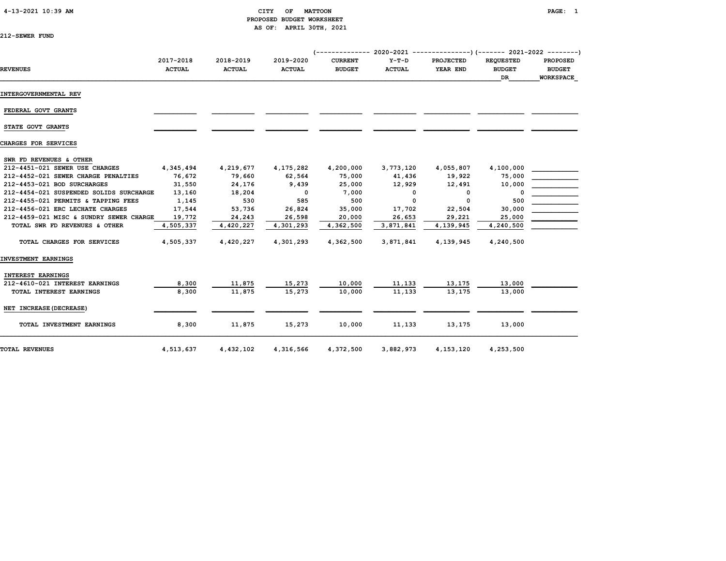### 4-13-2021 10:39 AM CITY OF MATTOON PAGE: 1 PROPOSED BUDGET WORKSHEET AS OF: APRIL 30TH, 2021

| 212-SEWER FUND |  |
|----------------|--|
|----------------|--|

| <b>REVENUES</b>                         | 2017-2018<br><b>ACTUAL</b> | 2018-2019<br><b>ACTUAL</b> | 2019-2020<br><b>ACTUAL</b> | $(----------2020-2021 -$<br><b>CURRENT</b><br><b>BUDGET</b> | $Y-T-D$<br><b>ACTUAL</b> | -------------)(------- 2021-2022 --------)<br><b>PROJECTED</b><br>YEAR END | <b>REOUESTED</b><br><b>BUDGET</b><br><b>DR</b> | <b>PROPOSED</b><br><b>BUDGET</b><br><b>WORKSPACE</b> |
|-----------------------------------------|----------------------------|----------------------------|----------------------------|-------------------------------------------------------------|--------------------------|----------------------------------------------------------------------------|------------------------------------------------|------------------------------------------------------|
| INTERGOVERNMENTAL REV                   |                            |                            |                            |                                                             |                          |                                                                            |                                                |                                                      |
| FEDERAL GOVT GRANTS                     |                            |                            |                            |                                                             |                          |                                                                            |                                                |                                                      |
| STATE GOVT GRANTS                       |                            |                            |                            |                                                             |                          |                                                                            |                                                |                                                      |
| CHARGES FOR SERVICES                    |                            |                            |                            |                                                             |                          |                                                                            |                                                |                                                      |
| SWR FD REVENUES & OTHER                 |                            |                            |                            |                                                             |                          |                                                                            |                                                |                                                      |
| 212-4451-021 SEWER USE CHARGES          | 4,345,494                  | 4,219,677                  | 4,175,282                  | 4,200,000                                                   | 3,773,120                | 4,055,807                                                                  | 4,100,000                                      |                                                      |
| 212-4452-021 SEWER CHARGE PENALTIES     | 76,672                     | 79,660                     | 62,564                     | 75,000                                                      | 41,436                   | 19,922                                                                     | 75,000                                         |                                                      |
| 212-4453-021 BOD SURCHARGES             | 31,550                     | 24,176                     | 9,439                      | 25,000                                                      | 12,929                   | 12,491                                                                     | 10,000                                         |                                                      |
| 212-4454-021 SUSPENDED SOLIDS SURCHARGE | 13,160                     | 18,204                     | $\Omega$                   | 7,000                                                       | 0                        | 0                                                                          | O                                              |                                                      |
| 212-4455-021 PERMITS & TAPPING FEES     | 1,145                      | 530                        | 585                        | 500                                                         | $\mathbf 0$              | 0                                                                          | 500                                            |                                                      |
| 212-4456-021 ERC LECHATE CHARGES        | 17,544                     | 53,736                     | 26,824                     | 35,000                                                      | 17,702                   | 22,504                                                                     | 30,000                                         |                                                      |
| 212-4459-021 MISC & SUNDRY SEWER CHARGE | 19,772                     | 24,243                     | 26,598                     | 20,000                                                      | 26,653                   | 29,221                                                                     | 25,000                                         |                                                      |
| TOTAL SWR FD REVENUES & OTHER           | 4,505,337                  | 4,420,227                  | 4,301,293                  | 4,362,500                                                   | 3,871,841                | 4,139,945                                                                  | 4,240,500                                      |                                                      |
| TOTAL CHARGES FOR SERVICES              | 4,505,337                  | 4,420,227                  | 4,301,293                  | 4,362,500                                                   | 3,871,841                | 4,139,945                                                                  | 4,240,500                                      |                                                      |
| INVESTMENT EARNINGS                     |                            |                            |                            |                                                             |                          |                                                                            |                                                |                                                      |
| INTEREST EARNINGS                       |                            |                            |                            |                                                             |                          |                                                                            |                                                |                                                      |
| 212-4610-021 INTEREST EARNINGS          | 8,300                      | 11,875                     | 15,273                     | 10,000                                                      | 11,133                   | 13,175                                                                     | 13,000                                         |                                                      |
| TOTAL INTEREST EARNINGS                 | 8,300                      | 11,875                     | 15,273                     | 10,000                                                      | 11,133                   | 13,175                                                                     | 13,000                                         |                                                      |
| NET INCREASE (DECREASE)                 |                            |                            |                            |                                                             |                          |                                                                            |                                                |                                                      |
| TOTAL INVESTMENT EARNINGS               | 8,300                      | 11,875                     | 15,273                     | 10,000                                                      | 11,133                   | 13,175                                                                     | 13,000                                         |                                                      |
| <b>TOTAL REVENUES</b>                   | 4,513,637                  | 4,432,102                  | 4,316,566                  | 4,372,500                                                   | 3,882,973                | 4, 153, 120                                                                | 4,253,500                                      |                                                      |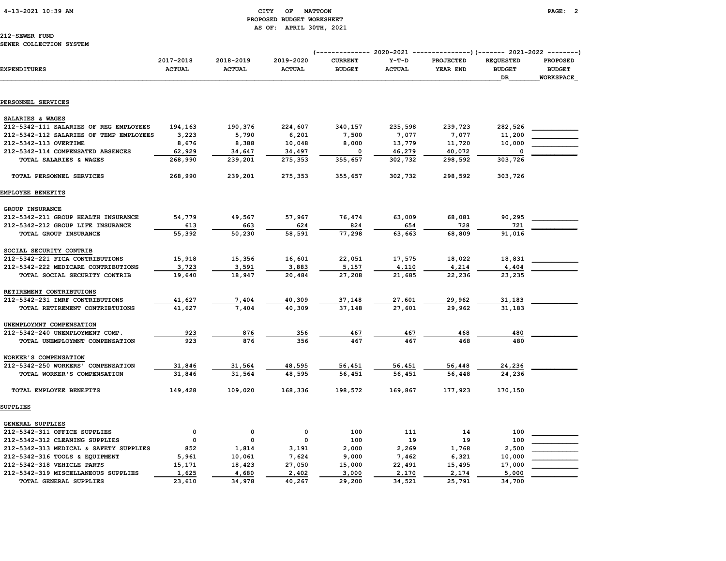# 4-13-2021 10:39 AM CITY OF MATTOON PAGE: 2 PROPOSED BUDGET WORKSHEET AS OF: APRIL 30TH, 2021

| <b>EXPENDITURES</b>                     | 2017-2018<br><b>ACTUAL</b> | 2018-2019<br><b>ACTUAL</b> | 2019-2020<br><b>ACTUAL</b> | <b>CURRENT</b><br><b>BUDGET</b> | $Y-T-D$<br><b>ACTUAL</b> | PROJECTED<br>YEAR END | <b>REQUESTED</b><br><b>BUDGET</b><br>DR | <b>PROPOSED</b><br><b>BUDGET</b><br><b>WORKSPACE</b> |
|-----------------------------------------|----------------------------|----------------------------|----------------------------|---------------------------------|--------------------------|-----------------------|-----------------------------------------|------------------------------------------------------|
|                                         |                            |                            |                            |                                 |                          |                       |                                         |                                                      |
| PERSONNEL SERVICES                      |                            |                            |                            |                                 |                          |                       |                                         |                                                      |
| SALARIES & WAGES                        |                            |                            |                            |                                 |                          |                       |                                         |                                                      |
| 212-5342-111 SALARIES OF REG EMPLOYEES  | 194,163                    | 190,376                    | 224,607                    | 340,157                         | 235,598                  | 239,723               | 282,526                                 |                                                      |
| 212-5342-112 SALARIES OF TEMP EMPLOYEES | 3,223                      | 5,790                      | 6,201                      | 7,500                           | 7,077                    | 7,077                 | 11,200                                  |                                                      |
| 212-5342-113 OVERTIME                   | 8,676                      | 8,388                      | 10,048                     | 8,000                           | 13,779                   | 11,720                | 10,000                                  |                                                      |
| 212-5342-114 COMPENSATED ABSENCES       | 62,929                     | 34,647                     | 34,497                     | $\mathbf 0$                     | 46,279                   | 40,072                |                                         |                                                      |
| TOTAL SALARIES & WAGES                  | 268,990                    | 239,201                    | 275,353                    | 355,657                         | 302,732                  | 298,592               | 303,726                                 |                                                      |
| TOTAL PERSONNEL SERVICES                | 268,990                    | 239,201                    | 275,353                    | 355,657                         | 302,732                  | 298,592               | 303,726                                 |                                                      |
| EMPLOYEE BENEFITS                       |                            |                            |                            |                                 |                          |                       |                                         |                                                      |
| GROUP INSURANCE                         |                            |                            |                            |                                 |                          |                       |                                         |                                                      |
| 212-5342-211 GROUP HEALTH INSURANCE     | 54,779                     | 49,567                     | 57,967                     | 76,474                          | 63,009                   | 68,081                | 90,295                                  |                                                      |
| 212-5342-212 GROUP LIFE INSURANCE       | 613                        | 663                        | 624                        | 824                             | 654                      | 728                   | 721                                     |                                                      |
| TOTAL GROUP INSURANCE                   | 55,392                     | 50,230                     | 58,591                     | 77,298                          | 63,663                   | 68,809                | 91,016                                  |                                                      |
| SOCIAL SECURITY CONTRIB                 |                            |                            |                            |                                 |                          |                       |                                         |                                                      |
| 212-5342-221 FICA CONTRIBUTIONS         | 15,918                     | 15,356                     | 16,601                     | 22,051                          | 17,575                   | 18,022                | 18,831                                  |                                                      |
| 212-5342-222 MEDICARE CONTRIBUTIONS     | 3,723                      | 3,591                      | 3,883                      | 5,157                           | 4,110                    | 4,214                 | 4,404                                   |                                                      |
| TOTAL SOCIAL SECURITY CONTRIB           | 19,640                     | 18,947                     | 20,484                     | 27,208                          | 21,685                   | 22,236                | 23,235                                  |                                                      |
| RETIREMENT CONTRIBTUIONS                |                            |                            |                            |                                 |                          |                       |                                         |                                                      |
| 212-5342-231 IMRF CONTRIBUTIONS         | 41,627                     | 7,404                      | 40,309                     | 37,148                          | 27,601                   | 29,962                | 31,183                                  |                                                      |
| TOTAL RETIREMENT CONTRIBTUIONS          | 41,627                     | 7,404                      | 40,309                     | 37,148                          | 27,601                   | 29,962                | 31,183                                  |                                                      |
| UNEMPLOYMNT COMPENSATION                |                            |                            |                            |                                 |                          |                       |                                         |                                                      |
| 212-5342-240 UNEMPLOYMENT COMP.         | 923                        | 876                        | 356                        | 467                             | 467                      | 468                   | 480                                     |                                                      |
| TOTAL UNEMPLOYMNT COMPENSATION          | 923                        | 876                        | 356                        | 467                             | 467                      | 468                   | 480                                     |                                                      |
| WORKER'S COMPENSATION                   |                            |                            |                            |                                 |                          |                       |                                         |                                                      |
| 212-5342-250 WORKERS' COMPENSATION      | 31,846                     | 31,564                     | 48,595                     | 56,451                          | 56,451                   | 56,448                | 24,236                                  |                                                      |
| TOTAL WORKER'S COMPENSATION             | 31,846                     | 31,564                     | 48,595                     | 56,451                          | 56,451                   | 56,448                | 24,236                                  |                                                      |
| TOTAL EMPLOYEE BENEFITS                 | 149,428                    | 109,020                    | 168,336                    | 198,572                         | 169,867                  | 177,923               | 170,150                                 |                                                      |
| SUPPLIES                                |                            |                            |                            |                                 |                          |                       |                                         |                                                      |
| <b>GENERAL SUPPLIES</b>                 |                            |                            |                            |                                 |                          |                       |                                         |                                                      |
| 212-5342-311 OFFICE SUPPLIES            | 0                          | 0                          | $\mathbf 0$                | 100                             | 111                      | 14                    | 100                                     |                                                      |
| 212-5342-312 CLEANING SUPPLIES          | 0                          | 0                          | $\mathbf 0$                | 100                             | 19                       | 19                    | 100                                     |                                                      |
| 212-5342-313 MEDICAL & SAFETY SUPPLIES  | 852                        | 1,814                      | 3,191                      | 2,000                           | 2,269                    | 1,768                 | 2,500                                   |                                                      |
| 212-5342-316 TOOLS & EQUIPMENT          | 5,961                      | 10,061                     | 7,624                      | 9,000                           | 7,462                    | 6,321                 | 10,000                                  |                                                      |
| 212-5342-318 VEHICLE PARTS              | 15,171                     | 18,423                     | 27,050                     | 15,000                          | 22,491                   | 15,495                | 17,000                                  |                                                      |
| 212-5342-319 MISCELLANEOUS SUPPLIES     | 1,625                      | 4,680                      | 2,402                      | 3,000                           | 2,170                    | 2,174                 | 5,000                                   |                                                      |
| <b>TOTAL GENERAL SUPPLIES</b>           | 23,610                     | 34,978                     | 40,267                     | 29,200                          | 34,521                   | 25,791                | 34,700                                  |                                                      |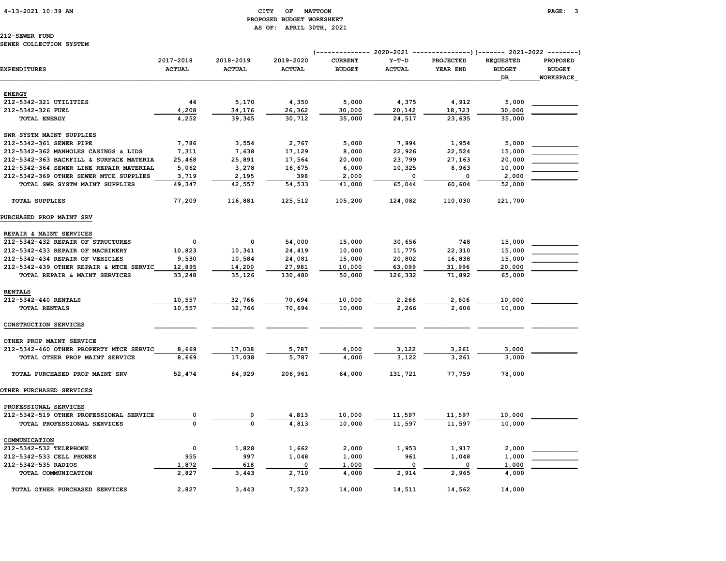# 4-13-2021 10:39 AM CITY OF MATTOON PAGE: 3 PROPOSED BUDGET WORKSHEET AS OF: APRIL 30TH, 2021

# 212-SEWER FUND

### SEWER COLLECTION SYSTEM

|                                         | 2017-2018     | 2018-2019     | 2019-2020     | <b>CURRENT</b> | $Y-T-D$       | <b>PROJECTED</b> | <b>REQUESTED</b> | <b>PROPOSED</b>  |
|-----------------------------------------|---------------|---------------|---------------|----------------|---------------|------------------|------------------|------------------|
| <b>EXPENDITURES</b>                     | <b>ACTUAL</b> | <b>ACTUAL</b> | <b>ACTUAL</b> | <b>BUDGET</b>  | <b>ACTUAL</b> | YEAR END         | <b>BUDGET</b>    | <b>BUDGET</b>    |
|                                         |               |               |               |                |               |                  | DR               | <b>WORKSPACE</b> |
| <b>ENERGY</b>                           |               |               |               |                |               |                  |                  |                  |
| 212-5342-321 UTILITIES                  | 44            | 5,170         | 4,350         | 5,000          | 4,375         | 4,912            | 5,000            |                  |
| 212-5342-326 FUEL                       | 4,208         | 34,176        | 26,362        | 30,000         | 20,142        | 18,723           | 30,000           |                  |
| <b>TOTAL ENERGY</b>                     | 4,252         | 39,345        | 30,712        | 35,000         | 24,517        | 23,635           | 35,000           |                  |
| SWR SYSTM MAINT SUPPLIES                |               |               |               |                |               |                  |                  |                  |
| 212-5342-361 SEWER PIPE                 | 7,786         | 3,554         | 2,767         | 5,000          | 7,994         | 1,954            | 5,000            |                  |
| 212-5342-362 MANHOLES CASINGS & LIDS    | 7,311         | 7,638         | 17,129        | 8,000          | 22,926        | 22,524           | 15,000           |                  |
| 212-5342-363 BACKFILL & SURFACE MATERIA | 25,468        | 25,891        | 17,564        | 20,000         | 23,799        | 27,163           | 20,000           |                  |
| 212-5342-364 SEWER LINE REPAIR MATERIAL | 5,062         | 3,278         | 16,675        | 6,000          | 10,325        | 8,963            | 10,000           |                  |
| 212-5342-369 OTHER SEWER MTCE SUPPLIES  | 3,719         | 2,195         | 398           | 2,000          | 0             | $\Omega$         | 2,000            |                  |
| TOTAL SWR SYSTM MAINT SUPPLIES          | 49,347        | 42,557        | 54,533        | 41,000         | 65,044        | 60,604           | 52,000           |                  |
| <b>TOTAL SUPPLIES</b>                   | 77,209        | 116,881       | 125,512       | 105,200        | 124,082       | 110,030          | 121,700          |                  |
| PURCHASED PROP MAINT SRV                |               |               |               |                |               |                  |                  |                  |
| REPAIR & MAINT SERVICES                 |               |               |               |                |               |                  |                  |                  |
| 212-5342-432 REPAIR OF STRUCTURES       | 0             | 0             | 54,000        | 15,000         | 30,656        | 748              | 15,000           |                  |
| 212-5342-433 REPAIR OF MACHINERY        | 10,823        | 10,341        | 24,419        | 10,000         | 11,775        | 22,310           | 15,000           |                  |
| 212-5342-434 REPAIR OF VEHICLES         | 9,530         | 10,584        | 24,081        | 15,000         | 20,802        | 16,838           | 15,000           |                  |
| 212-5342-439 OTHER REPAIR & MTCE SERVIC | 12,895        | 14,200        | 27,981        | 10,000         | 63,099        | 31,996           | 20,000           |                  |
| TOTAL REPAIR & MAINT SERVICES           | 33,248        | 35,126        | 130,480       | 50,000         | 126,332       | 71,892           | 65,000           |                  |
| <b>RENTALS</b>                          |               |               |               |                |               |                  |                  |                  |
| 212-5342-440 RENTALS                    | 10,557        | 32,766        | 70,694        | 10,000         | 2,266         | 2,606            | 10,000           |                  |
| TOTAL RENTALS                           | 10,557        | 32,766        | 70,694        | 10,000         | 2,266         | 2,606            | 10,000           |                  |
| CONSTRUCTION SERVICES                   |               |               |               |                |               |                  |                  |                  |
| OTHER PROP MAINT SERVICE                |               |               |               |                |               |                  |                  |                  |
| 212-5342-460 OTHER PROPERTY MTCE SERVIC | 8,669         | 17,038        | 5,787         | 4,000          | 3,122         | 3,261            | 3,000            |                  |
| TOTAL OTHER PROP MAINT SERVICE          | 8,669         | 17,038        | 5,787         | 4,000          | 3.122         | 3,261            | 3,000            |                  |
| TOTAL PURCHASED PROP MAINT SRV          | 52,474        | 84,929        | 206,961       | 64,000         | 131,721       | 77,759           | 78,000           |                  |
| <b>OTHER PURCHASED SERVICES</b>         |               |               |               |                |               |                  |                  |                  |
| PROFESSIONAL SERVICES                   |               |               |               |                |               |                  |                  |                  |
| 212-5342-519 OTHER PROFESSIONAL SERVICE | 0             | 0             | 4,813         | 10,000         | 11,597        | 11,597           | 10,000           |                  |
| TOTAL PROFESSIONAL SERVICES             | $\Omega$      | $\Omega$      | 4,813         | 10,000         | 11,597        | 11,597           | 10,000           |                  |
| COMMUNICATION                           |               |               |               |                |               |                  |                  |                  |
| 212-5342-532 TELEPHONE                  | 0             | 1,828         | 1,662         | 2,000          | 1,953         | 1,917            | 2,000            |                  |
| 212-5342-533 CELL PHONES                | 955           | 997           | 1,048         | 1,000          | 961           | 1,048            | 1,000            |                  |
| 212-5342-535 RADIOS                     | 1,872         | 618           | 0             | 1,000          | 0             | 0                | 1,000            |                  |
| TOTAL COMMUNICATION                     | 2,827         | 3,443         | 2,710         | 4,000          | 2,914         | 2,965            | 4,000            |                  |
| TOTAL OTHER PURCHASED SERVICES          | 2,827         | 3,443         | 7,523         | 14,000         | 14,511        | 14,562           | 14,000           |                  |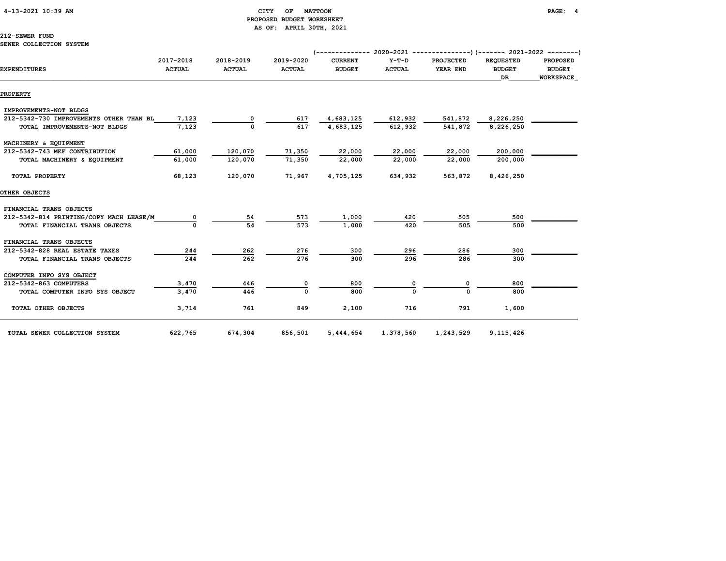# 4-13-2021 10:39 AM CITY OF MATTOON PAGE: 4 PROPOSED BUDGET WORKSHEET AS OF: APRIL 30TH, 2021

# 212-SEWER FUND

|                                         | 2017-2018     | 2018-2019     | 2019-2020     | <b>CURRENT</b> | $Y-T-D$       | <b>PROJECTED</b> | <b>REQUESTED</b>    | <b>PROPOSED</b>                   |
|-----------------------------------------|---------------|---------------|---------------|----------------|---------------|------------------|---------------------|-----------------------------------|
| <b>EXPENDITURES</b>                     | <b>ACTUAL</b> | <b>ACTUAL</b> | <b>ACTUAL</b> | <b>BUDGET</b>  | <b>ACTUAL</b> | YEAR END         | <b>BUDGET</b><br>DR | <b>BUDGET</b><br><b>WORKSPACE</b> |
|                                         |               |               |               |                |               |                  |                     |                                   |
| <b>PROPERTY</b>                         |               |               |               |                |               |                  |                     |                                   |
| IMPROVEMENTS-NOT BLDGS                  |               |               |               |                |               |                  |                     |                                   |
| 212-5342-730 IMPROVEMENTS OTHER THAN BL | 7,123         |               | 617           | 4,683,125      | 612,932       | 541,872          | 8,226,250           |                                   |
| TOTAL IMPROVEMENTS-NOT BLDGS            | 7,123         | 0             | 617           | 4,683,125      | 612,932       | 541,872          | 8,226,250           |                                   |
| MACHINERY & EQUIPMENT                   |               |               |               |                |               |                  |                     |                                   |
| 212-5342-743 MEF CONTRIBUTION           | 61,000        | 120,070       | 71,350        | 22,000         | 22,000        | 22,000           | 200,000             |                                   |
| TOTAL MACHINERY & EQUIPMENT             | 61,000        | 120,070       | 71,350        | 22,000         | 22,000        | 22,000           | 200,000             |                                   |
| TOTAL PROPERTY                          | 68,123        | 120,070       | 71,967        | 4,705,125      | 634,932       | 563,872          | 8,426,250           |                                   |
| OTHER OBJECTS                           |               |               |               |                |               |                  |                     |                                   |
| FINANCIAL TRANS OBJECTS                 |               |               |               |                |               |                  |                     |                                   |
| 212-5342-814 PRINTING/COPY MACH LEASE/M |               | 54            | 573           | 1,000          | 420           | 505              | 500                 |                                   |
| TOTAL FINANCIAL TRANS OBJECTS           |               | 54            | 573           | 1,000          | 420           | 505              | 500                 |                                   |
| FINANCIAL TRANS OBJECTS                 |               |               |               |                |               |                  |                     |                                   |
| 212-5342-828 REAL ESTATE TAXES          | 244           | 262           | 276           | 300            | 296           | 286              | 300                 |                                   |
| TOTAL FINANCIAL TRANS OBJECTS           | 244           | 262           | 276           | 300            | 296           | 286              | 300                 |                                   |
| COMPUTER INFO SYS OBJECT                |               |               |               |                |               |                  |                     |                                   |
| 212-5342-863 COMPUTERS                  | 3,470         | 446           |               | 800            |               |                  | 800                 |                                   |
| TOTAL COMPUTER INFO SYS OBJECT          | 3,470         | 446           | $\Omega$      | 800            |               | U                | 800                 |                                   |
| TOTAL OTHER OBJECTS                     | 3,714         | 761           | 849           | 2,100          | 716           | 791              | 1,600               |                                   |
|                                         |               |               |               |                |               |                  |                     |                                   |

TOTAL SEWER COLLECTION SYSTEM 622,765 674,304 856,501 5,444,654 1,378,560 1,243,529 9,115,426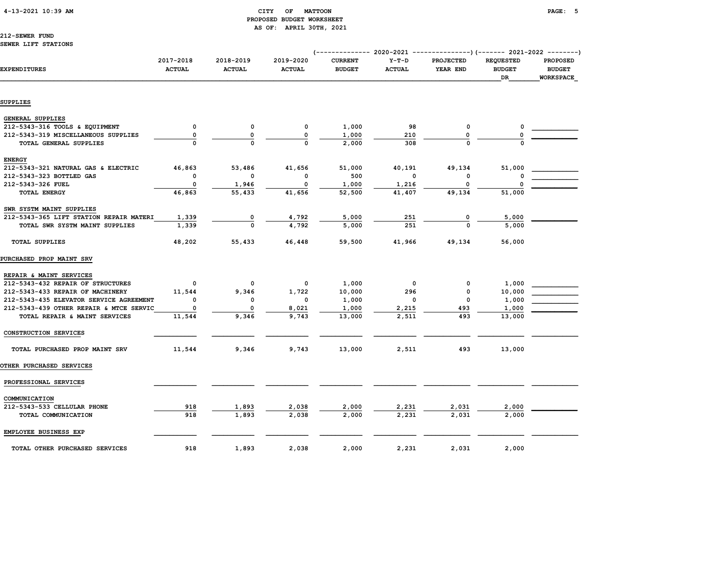# 4-13-2021 10:39 AM CITY OF MATTOON PAGE: 5 PROPOSED BUDGET WORKSHEET AS OF: APRIL 30TH, 2021

212-SEWER FUND SEWER LIFT STATIONS

|                                         |                            |                            |                            | (-------------- 2020-2021       |                          | ---------------) (------- 2021-2022 --------) |                                         |                                                      |
|-----------------------------------------|----------------------------|----------------------------|----------------------------|---------------------------------|--------------------------|-----------------------------------------------|-----------------------------------------|------------------------------------------------------|
| <b>EXPENDITURES</b>                     | 2017-2018<br><b>ACTUAL</b> | 2018-2019<br><b>ACTUAL</b> | 2019-2020<br><b>ACTUAL</b> | <b>CURRENT</b><br><b>BUDGET</b> | $Y-T-D$<br><b>ACTUAL</b> | PROJECTED<br>YEAR END                         | <b>REQUESTED</b><br><b>BUDGET</b><br>DR | <b>PROPOSED</b><br><b>BUDGET</b><br><b>WORKSPACE</b> |
|                                         |                            |                            |                            |                                 |                          |                                               |                                         |                                                      |
| SUPPLIES                                |                            |                            |                            |                                 |                          |                                               |                                         |                                                      |
| <b>GENERAL SUPPLIES</b>                 |                            |                            |                            |                                 |                          |                                               |                                         |                                                      |
| 212-5343-316 TOOLS & EQUIPMENT          | 0                          | 0                          | 0                          | 1,000                           | 98                       | 0                                             | 0                                       |                                                      |
| 212-5343-319 MISCELLANEOUS SUPPLIES     | 0                          | 0                          | $\mathbf 0$                | 1,000                           | 210                      | 0                                             |                                         |                                                      |
| TOTAL GENERAL SUPPLIES                  |                            | $\Omega$                   | $\Omega$                   | 2,000                           | 308                      | $\Omega$                                      |                                         |                                                      |
| <b>ENERGY</b>                           |                            |                            |                            |                                 |                          |                                               |                                         |                                                      |
| 212-5343-321 NATURAL GAS & ELECTRIC     | 46,863                     | 53,486                     | 41,656                     | 51,000                          | 40,191                   | 49,134                                        | 51,000                                  |                                                      |
| 212-5343-323 BOTTLED GAS                | 0                          | 0                          | 0                          | 500                             | $\Omega$                 | O                                             |                                         |                                                      |
| 212-5343-326 FUEL                       | 0                          | 1,946                      | $\mathbf 0$                | 1,000                           | 1,216                    | 0                                             |                                         |                                                      |
| TOTAL ENERGY                            | 46,863                     | 55,433                     | 41,656                     | 52,500                          | 41,407                   | 49,134                                        | 51,000                                  |                                                      |
| SWR SYSTM MAINT SUPPLIES                |                            |                            |                            |                                 |                          |                                               |                                         |                                                      |
| 212-5343-365 LIFT STATION REPAIR MATERI | 1,339                      | 0                          | 4,792                      | 5,000                           | 251                      | 0                                             | 5,000                                   |                                                      |
| TOTAL SWR SYSTM MAINT SUPPLIES          | 1,339                      | 0                          | 4,792                      | 5,000                           | 251                      | $\Omega$                                      | 5,000                                   |                                                      |
| <b>TOTAL SUPPLIES</b>                   | 48,202                     | 55,433                     | 46,448                     | 59,500                          | 41,966                   | 49,134                                        | 56,000                                  |                                                      |
| PURCHASED PROP MAINT SRV                |                            |                            |                            |                                 |                          |                                               |                                         |                                                      |
| REPAIR & MAINT SERVICES                 |                            |                            |                            |                                 |                          |                                               |                                         |                                                      |
| 212-5343-432 REPAIR OF STRUCTURES       | 0                          | 0                          | 0                          | 1,000                           | $\mathbf{o}$             | 0                                             | 1,000                                   |                                                      |
| 212-5343-433 REPAIR OF MACHINERY        | 11,544                     | 9,346                      | 1,722                      | 10,000                          | 296                      | 0                                             | 10,000                                  |                                                      |
| 212-5343-435 ELEVATOR SERVICE AGREEMENT | 0                          | 0                          | 0                          | 1,000                           | 0                        | $\mathbf 0$                                   | 1,000                                   |                                                      |
| 212-5343-439 OTHER REPAIR & MTCE SERVIC | 0                          | 0                          | 8,021                      | 1,000                           | 2,215                    | 493                                           | 1,000                                   |                                                      |
| TOTAL REPAIR & MAINT SERVICES           | 11,544                     | 9,346                      | 9,743                      | 13,000                          | 2,511                    | 493                                           | 13,000                                  |                                                      |
| CONSTRUCTION SERVICES                   |                            |                            |                            |                                 |                          |                                               |                                         |                                                      |
| TOTAL PURCHASED PROP MAINT SRV          | 11,544                     | 9,346                      | 9,743                      | 13,000                          | 2,511                    | 493                                           | 13,000                                  |                                                      |
| <b>OTHER PURCHASED SERVICES</b>         |                            |                            |                            |                                 |                          |                                               |                                         |                                                      |
| PROFESSIONAL SERVICES                   |                            |                            |                            |                                 |                          |                                               |                                         |                                                      |
| COMMUNICATION                           |                            |                            |                            |                                 |                          |                                               |                                         |                                                      |
| 212-5343-533 CELLULAR PHONE             | 918                        | 1,893                      | 2,038                      | 2,000                           | 2,231                    | 2,031                                         | 2,000                                   |                                                      |
| TOTAL COMMUNICATION                     | 918                        | 1,893                      | 2,038                      | 2,000                           | 2,231                    | 2,031                                         | 2,000                                   |                                                      |
| EMPLOYEE BUSINESS EXP                   |                            |                            |                            |                                 |                          |                                               |                                         |                                                      |
| TOTAL OTHER PURCHASED SERVICES          | 918                        | 1,893                      | 2,038                      | 2,000                           | 2,231                    | 2,031                                         | 2,000                                   |                                                      |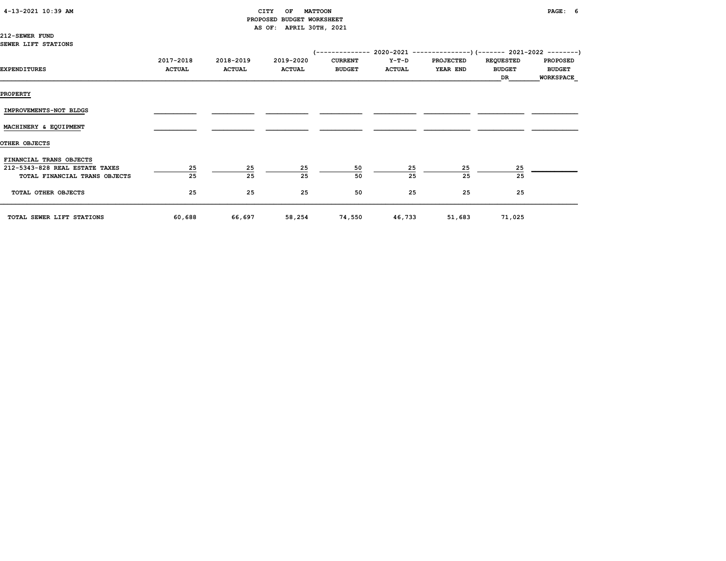# CITY OF MATTOON **PAGE:** 6 PROPOSED BUDGET WORKSHEET AS OF: APRIL 30TH, 2021

212-SEWER FUND SEWER LIFT STATIONS

| EXPENDITURES                                                                               | 2017-2018<br><b>ACTUAL</b> | 2018-2019<br><b>ACTUAL</b> | 2019-2020<br><b>ACTUAL</b> | <b>CURRENT</b><br><b>BUDGET</b> | Y-T-D<br><b>ACTUAL</b> | <b>PROJECTED</b><br>YEAR END | <b>REQUESTED</b><br><b>BUDGET</b><br>DR | <b>PROPOSED</b><br><b>BUDGET</b><br><b>WORKSPACE</b> |
|--------------------------------------------------------------------------------------------|----------------------------|----------------------------|----------------------------|---------------------------------|------------------------|------------------------------|-----------------------------------------|------------------------------------------------------|
| <b>PROPERTY</b>                                                                            |                            |                            |                            |                                 |                        |                              |                                         |                                                      |
| IMPROVEMENTS-NOT BLDGS                                                                     |                            |                            |                            |                                 |                        |                              |                                         |                                                      |
| MACHINERY & EQUIPMENT                                                                      |                            |                            |                            |                                 |                        |                              |                                         |                                                      |
| OTHER OBJECTS                                                                              |                            |                            |                            |                                 |                        |                              |                                         |                                                      |
| FINANCIAL TRANS OBJECTS<br>212-5343-828 REAL ESTATE TAXES<br>TOTAL FINANCIAL TRANS OBJECTS | <u>25</u><br>25            | 25<br>25                   | 25<br>25                   | 50<br>50                        | 25<br>25               | 25<br>25                     | 25<br>25                                |                                                      |
| TOTAL OTHER OBJECTS                                                                        | 25                         | 25                         | 25                         | 50                              | 25                     | 25                           | 25                                      |                                                      |
| TOTAL SEWER LIFT STATIONS                                                                  | 60,688                     | 66,697                     | 58,254                     | 74,550                          | 46,733                 | 51,683                       | 71,025                                  |                                                      |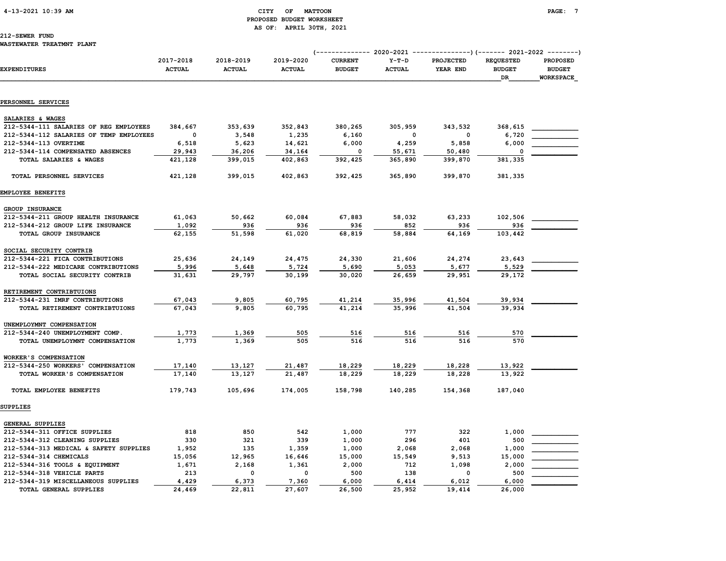# 4-13-2021 10:39 AM CITY OF MATTOON PAGE: 7 PROPOSED BUDGET WORKSHEET AS OF: APRIL 30TH, 2021

|                                         | 2017-2018     | 2018-2019     | 2019-2020     |                                 | $Y-T-D$<br><b>PROJECTED</b><br><b>REQUESTED</b> |             |                     |                                                      |  |
|-----------------------------------------|---------------|---------------|---------------|---------------------------------|-------------------------------------------------|-------------|---------------------|------------------------------------------------------|--|
| <b>EXPENDITURES</b>                     | <b>ACTUAL</b> | <b>ACTUAL</b> | <b>ACTUAL</b> | <b>CURRENT</b><br><b>BUDGET</b> | <b>ACTUAL</b>                                   | YEAR END    | <b>BUDGET</b><br>DR | <b>PROPOSED</b><br><b>BUDGET</b><br><b>WORKSPACE</b> |  |
| PERSONNEL SERVICES                      |               |               |               |                                 |                                                 |             |                     |                                                      |  |
|                                         |               |               |               |                                 |                                                 |             |                     |                                                      |  |
| SALARIES & WAGES                        |               |               |               |                                 |                                                 |             |                     |                                                      |  |
| 212-5344-111 SALARIES OF REG EMPLOYEES  | 384,667       | 353,639       | 352,843       | 380,265                         | 305,959                                         | 343,532     | 368,615             |                                                      |  |
| 212-5344-112 SALARIES OF TEMP EMPLOYEES | 0             | 3,548         | 1,235         | 6,160                           | 0                                               | $\mathbf 0$ | 6,720               |                                                      |  |
| 212-5344-113 OVERTIME                   | 6,518         | 5,623         | 14,621        | 6,000                           | 4,259                                           | 5,858       | 6,000               |                                                      |  |
| 212-5344-114 COMPENSATED ABSENCES       | 29,943        | 36,206        | 34,164        | 0                               | 55,671                                          | 50,480      | $\mathbf 0$         |                                                      |  |
| TOTAL SALARIES & WAGES                  | 421,128       | 399,015       | 402,863       | 392,425                         | 365,890                                         | 399,870     | 381,335             |                                                      |  |
| TOTAL PERSONNEL SERVICES                | 421,128       | 399,015       | 402,863       | 392,425                         | 365,890                                         | 399,870     | 381,335             |                                                      |  |
| EMPLOYEE BENEFITS                       |               |               |               |                                 |                                                 |             |                     |                                                      |  |
| GROUP INSURANCE                         |               |               |               |                                 |                                                 |             |                     |                                                      |  |
| 212-5344-211 GROUP HEALTH INSURANCE     | 61,063        | 50,662        | 60,084        | 67,883                          | 58,032                                          | 63,233      | 102,506             |                                                      |  |
| 212-5344-212 GROUP LIFE INSURANCE       | 1,092         | 936           | 936           | 936                             | 852                                             | 936         | 936                 |                                                      |  |
| TOTAL GROUP INSURANCE                   | 62,155        | 51,598        | 61,020        | 68,819                          | 58,884                                          | 64,169      | 103,442             |                                                      |  |
| SOCIAL SECURITY CONTRIB                 |               |               |               |                                 |                                                 |             |                     |                                                      |  |
| 212-5344-221 FICA CONTRIBUTIONS         | 25,636        | 24,149        | 24,475        | 24,330                          | 21,606                                          | 24,274      | 23,643              |                                                      |  |
| 212-5344-222 MEDICARE CONTRIBUTIONS     | 5,996         | 5,648         | 5,724         | 5,690                           | 5,053                                           | 5,677       | 5,529               |                                                      |  |
| TOTAL SOCIAL SECURITY CONTRIB           | 31,631        | 29,797        | 30,199        | 30,020                          | 26,659                                          | 29,951      | 29,172              |                                                      |  |
| RETIREMENT CONTRIBTUIONS                |               |               |               |                                 |                                                 |             |                     |                                                      |  |
| 212-5344-231 IMRF CONTRIBUTIONS         | 67,043        | 9,805         | 60,795        | 41,214                          | 35,996                                          | 41,504      | 39,934              |                                                      |  |
| TOTAL RETIREMENT CONTRIBTUIONS          | 67,043        | 9,805         | 60,795        | 41,214                          | 35,996                                          | 41,504      | 39,934              |                                                      |  |
| UNEMPLOYMNT COMPENSATION                |               |               |               |                                 |                                                 |             |                     |                                                      |  |
| 212-5344-240 UNEMPLOYMENT COMP.         | 1,773         | 1,369         | 505           | 516                             | 516                                             | 516         | 570                 |                                                      |  |
| TOTAL UNEMPLOYMNT COMPENSATION          | 1,773         | 1,369         | 505           | 516                             | 516                                             | 516         | 570                 |                                                      |  |
| WORKER'S COMPENSATION                   |               |               |               |                                 |                                                 |             |                     |                                                      |  |
| 212-5344-250 WORKERS' COMPENSATION      | 17,140        | 13,127        | 21,487        | 18,229                          | 18,229                                          | 18,228      | 13,922              |                                                      |  |
| TOTAL WORKER'S COMPENSATION             | 17,140        | 13,127        | 21,487        | 18,229                          | 18,229                                          | 18,228      | 13,922              |                                                      |  |
| TOTAL EMPLOYEE BENEFITS                 | 179,743       | 105,696       | 174,005       | 158,798                         | 140,285                                         | 154,368     | 187,040             |                                                      |  |
| SUPPLIES                                |               |               |               |                                 |                                                 |             |                     |                                                      |  |
| GENERAL SUPPLIES                        |               |               |               |                                 |                                                 |             |                     |                                                      |  |
| 212-5344-311 OFFICE SUPPLIES            | 818           | 850           | 542           | 1,000                           | 777                                             | 322         | 1,000               |                                                      |  |
| 212-5344-312 CLEANING SUPPLIES          | 330           | 321           | 339           | 1,000                           | 296                                             | 401         | 500                 |                                                      |  |
| 212-5344-313 MEDICAL & SAFETY SUPPLIES  | 1,952         | 135           | 1,359         | 1,000                           | 2,068                                           | 2,068       | 1,000               |                                                      |  |
| 212-5344-314 CHEMICALS                  | 15,056        | 12,965        | 16,646        | 15,000                          | 15,549                                          | 9,513       | 15,000              |                                                      |  |
| 212-5344-316 TOOLS & EQUIPMENT          | 1,671         | 2,168         | 1,361         | 2,000                           | 712                                             | 1,098       | 2,000               |                                                      |  |
| 212-5344-318 VEHICLE PARTS              | 213           | 0             | 0             | 500                             | 138                                             | $\Omega$    | 500                 |                                                      |  |
| 212-5344-319 MISCELLANEOUS SUPPLIES     | 4,429         | 6,373         | 7,360         | 6,000                           | 6,414                                           | 6,012       | 6,000               |                                                      |  |
| TOTAL GENERAL SUPPLIES                  | 24,469        | 22,811        | 27,607        | 26,500                          | 25,952                                          | 19,414      | 26,000              |                                                      |  |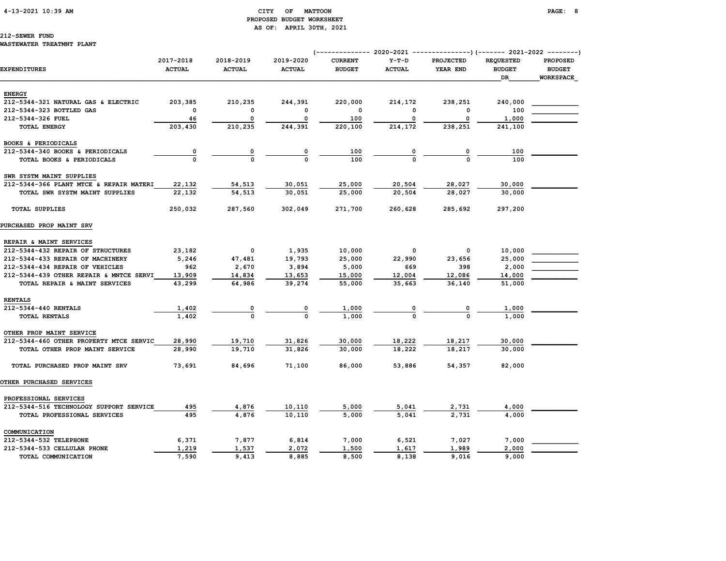# 4-13-2021 10:39 AM CITY OF MATTOON PAGE: 8 PROPOSED BUDGET WORKSHEET AS OF: APRIL 30TH, 2021

# 212-SEWER FUND

### WASTEWATER TREATMNT PLANT

| <b>EXPENDITURES</b>                     | 2017-2018<br><b>ACTUAL</b> | 2018-2019<br><b>ACTUAL</b> | 2019-2020<br><b>ACTUAL</b> | <b>CURRENT</b><br><b>BUDGET</b> | $Y-T-D$<br><b>ACTUAL</b> | <b>PROJECTED</b><br>YEAR END | <b>REQUESTED</b><br><b>BUDGET</b><br><b>DR</b> | <b>PROPOSED</b><br><b>BUDGET</b><br><b>WORKSPACE</b> |
|-----------------------------------------|----------------------------|----------------------------|----------------------------|---------------------------------|--------------------------|------------------------------|------------------------------------------------|------------------------------------------------------|
| <b>ENERGY</b>                           |                            |                            |                            |                                 |                          |                              |                                                |                                                      |
| 212-5344-321 NATURAL GAS & ELECTRIC     | 203,385                    | 210,235                    | 244,391                    | 220,000                         | 214,172                  | 238,251                      | 240,000                                        |                                                      |
| 212-5344-323 BOTTLED GAS                | 0                          | 0                          | $\mathbf 0$                | $\mathbf 0$                     | 0                        | 0                            | 100                                            |                                                      |
| 212-5344-326 FUEL                       | 46                         | 0                          | $\mathbf 0$                | 100                             | 0                        | 0                            | 1,000                                          |                                                      |
| <b>TOTAL ENERGY</b>                     | 203,430                    | 210,235                    | 244,391                    | 220,100                         | 214,172                  | 238,251                      | 241,100                                        |                                                      |
|                                         |                            |                            |                            |                                 |                          |                              |                                                |                                                      |
| BOOKS & PERIODICALS                     |                            |                            |                            |                                 |                          |                              |                                                |                                                      |
| 212-5344-340 BOOKS & PERIODICALS        | 0                          | 0                          | 0                          | 100                             | 0                        | 0                            | 100                                            |                                                      |
| TOTAL BOOKS & PERIODICALS               | $\Omega$                   | $\Omega$                   | $\Omega$                   | 100                             | $\Omega$                 | $\Omega$                     | 100                                            |                                                      |
| SWR SYSTM MAINT SUPPLIES                |                            |                            |                            |                                 |                          |                              |                                                |                                                      |
| 212-5344-366 PLANT MTCE & REPAIR MATERI | 22,132                     | 54,513                     | 30,051                     | 25,000                          | 20,504                   | 28,027                       | 30,000                                         |                                                      |
| TOTAL SWR SYSTM MAINT SUPPLIES          | 22,132                     | 54,513                     | 30,051                     | 25,000                          | 20,504                   | 28,027                       | 30,000                                         |                                                      |
| <b>TOTAL SUPPLIES</b>                   | 250,032                    | 287,560                    | 302,049                    | 271,700                         | 260,628                  | 285,692                      | 297,200                                        |                                                      |
| PURCHASED PROP MAINT SRV                |                            |                            |                            |                                 |                          |                              |                                                |                                                      |
| REPAIR & MAINT SERVICES                 |                            |                            |                            |                                 |                          |                              |                                                |                                                      |
| 212-5344-432 REPAIR OF STRUCTURES       | 23,182                     | 0                          | 1,935                      | 10,000                          | 0                        | 0                            | 10,000                                         |                                                      |
| 212-5344-433 REPAIR OF MACHINERY        | 5,246                      | 47,481                     | 19,793                     | 25,000                          | 22,990                   | 23,656                       | 25,000                                         |                                                      |
| 212-5344-434 REPAIR OF VEHICLES         | 962                        | 2,670                      | 3,894                      | 5,000                           | 669                      | 398                          | 2,000                                          |                                                      |
| 212-5344-439 OTHER REPAIR & MNTCE SERVI | 13,909                     | 14,834                     | 13,653                     | 15,000                          | 12,004                   | 12,086                       | 14,000                                         |                                                      |
| TOTAL REPAIR & MAINT SERVICES           | 43,299                     | 64,986                     | 39,274                     | 55,000                          | 35,663                   | 36,140                       | 51,000                                         |                                                      |
| <b>RENTALS</b>                          |                            |                            |                            |                                 |                          |                              |                                                |                                                      |
| 212-5344-440 RENTALS                    | 1,402                      |                            |                            | 1,000                           |                          |                              | 1,000                                          |                                                      |
| <b>TOTAL RENTALS</b>                    | 1,402                      | $\mathbf 0$                | $\mathbf{o}$               | 1,000                           |                          |                              | 1,000                                          |                                                      |
|                                         |                            |                            |                            |                                 |                          |                              |                                                |                                                      |
| OTHER PROP MAINT SERVICE                |                            |                            |                            |                                 |                          |                              |                                                |                                                      |
| 212-5344-460 OTHER PROPERTY MTCE SERVIC | 28,990                     | 19,710                     | 31,826                     | 30,000                          | 18,222                   | 18,217                       | 30,000                                         |                                                      |
| TOTAL OTHER PROP MAINT SERVICE          | 28,990                     | 19,710                     | 31,826                     | 30,000                          | 18,222                   | 18,217                       | 30,000                                         |                                                      |
| TOTAL PURCHASED PROP MAINT SRV          | 73,691                     | 84,696                     | 71,100                     | 86,000                          | 53,886                   | 54,357                       | 82,000                                         |                                                      |
| OTHER PURCHASED SERVICES                |                            |                            |                            |                                 |                          |                              |                                                |                                                      |
| PROFESSIONAL SERVICES                   |                            |                            |                            |                                 |                          |                              |                                                |                                                      |
| 212-5344-516 TECHNOLOGY SUPPORT SERVICE | 495                        | 4,876                      | 10,110                     | 5,000                           | 5,041                    | 2,731                        | 4,000                                          |                                                      |
| TOTAL PROFESSIONAL SERVICES             | 495                        | 4,876                      | 10,110                     | 5,000                           | 5,041                    | 2,731                        | 4,000                                          |                                                      |
| COMMUNICATION                           |                            |                            |                            |                                 |                          |                              |                                                |                                                      |
| 212-5344-532 TELEPHONE                  | 6,371                      | 7,877                      | 6,814                      | 7,000                           | 6,521                    | 7,027                        | 7,000                                          |                                                      |
| 212-5344-533 CELLULAR PHONE             | 1,219                      | 1,537                      | 2,072                      | 1,500                           | 1,617                    | 1,989                        | 2,000                                          |                                                      |
| TOTAL COMMUNICATION                     | 7,590                      | 9,413                      | 8,885                      | 8,500                           | 8,138                    | 9,016                        | 9,000                                          |                                                      |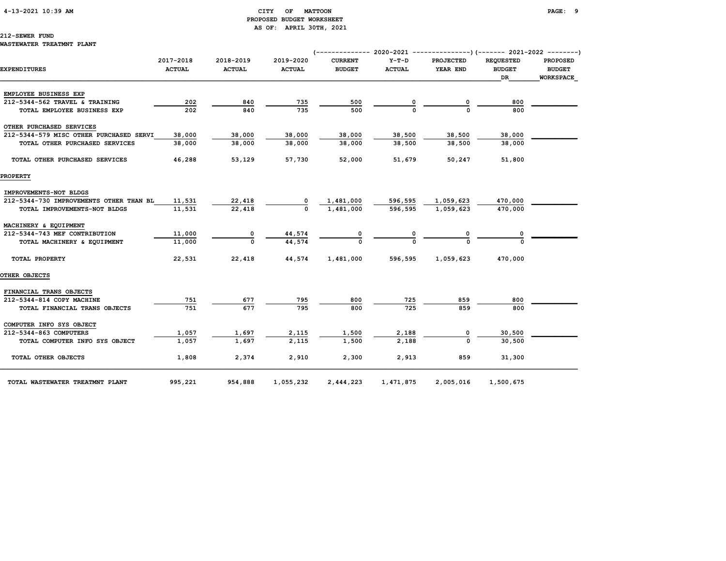# 4-13-2021 10:39 AM CITY OF MATTOON PAGE: 9 PROPOSED BUDGET WORKSHEET AS OF: APRIL 30TH, 2021

### 212-SEWER FUND

WASTEWATER TREATMNT PLANT

| EXPENDITURES                            | 2017-2018<br><b>ACTUAL</b> | 2018-2019<br><b>ACTUAL</b> | 2019-2020<br><b>ACTUAL</b> | <b>CURRENT</b><br><b>BUDGET</b> | $Y-T-D$<br><b>ACTUAL</b> | <b>PROJECTED</b><br>YEAR END | <b>REOUESTED</b><br><b>BUDGET</b><br><b>DR</b> | <b>PROPOSED</b><br><b>BUDGET</b><br><b>WORKSPACE</b> |
|-----------------------------------------|----------------------------|----------------------------|----------------------------|---------------------------------|--------------------------|------------------------------|------------------------------------------------|------------------------------------------------------|
|                                         |                            |                            |                            |                                 |                          |                              |                                                |                                                      |
| EMPLOYEE BUSINESS EXP                   |                            |                            |                            |                                 |                          |                              |                                                |                                                      |
| 212-5344-562 TRAVEL & TRAINING          | 202                        | 840                        | 735                        | 500                             |                          | 0                            | 800                                            |                                                      |
| TOTAL EMPLOYEE BUSINESS EXP             | 202                        | 840                        | 735                        | 500                             |                          | $\Omega$                     | 800                                            |                                                      |
| OTHER PURCHASED SERVICES                |                            |                            |                            |                                 |                          |                              |                                                |                                                      |
| 212-5344-579 MISC OTHER PURCHASED SERVI | 38,000                     | 38,000                     | 38,000                     | 38,000                          | 38,500                   | 38,500                       | 38,000                                         |                                                      |
| TOTAL OTHER PURCHASED SERVICES          | 38,000                     | 38,000                     | 38,000                     | 38,000                          | 38,500                   | 38.500                       | 38,000                                         |                                                      |
| TOTAL OTHER PURCHASED SERVICES          | 46,288                     | 53,129                     | 57,730                     | 52,000                          | 51,679                   | 50,247                       | 51,800                                         |                                                      |
| <b>PROPERTY</b>                         |                            |                            |                            |                                 |                          |                              |                                                |                                                      |
| IMPROVEMENTS-NOT BLDGS                  |                            |                            |                            |                                 |                          |                              |                                                |                                                      |
| 212-5344-730 IMPROVEMENTS OTHER THAN BL | 11,531                     | 22,418                     |                            | 1,481,000                       | 596,595                  | 1,059,623                    | 470,000                                        |                                                      |
| TOTAL IMPROVEMENTS-NOT BLDGS            | 11,531                     | 22,418                     | $\Omega$                   | 1,481,000                       | 596,595                  | 1,059,623                    | 470,000                                        |                                                      |
| MACHINERY & EQUIPMENT                   |                            |                            |                            |                                 |                          |                              |                                                |                                                      |
| 212-5344-743 MEF CONTRIBUTION           | 11,000                     |                            |                            |                                 |                          |                              |                                                |                                                      |
| TOTAL MACHINERY & EQUIPMENT             | 11,000                     | $\Omega$                   | $\frac{44,574}{44,574}$    | $\frac{0}{0}$                   |                          |                              |                                                |                                                      |
| TOTAL PROPERTY                          | 22,531                     | 22,418                     | 44,574                     | 1,481,000                       | 596,595                  | 1,059,623                    | 470,000                                        |                                                      |
| <b>OTHER OBJECTS</b>                    |                            |                            |                            |                                 |                          |                              |                                                |                                                      |
| FINANCIAL TRANS OBJECTS                 |                            |                            |                            |                                 |                          |                              |                                                |                                                      |
| 212-5344-814 COPY MACHINE               | 751                        | 677                        | 795                        | 800                             | 725                      | 859                          | 800                                            |                                                      |
| TOTAL FINANCIAL TRANS OBJECTS           | 751                        | 677                        | 795                        | 800                             | 725                      | 859                          | 800                                            |                                                      |
| COMPUTER INFO SYS OBJECT                |                            |                            |                            |                                 |                          |                              |                                                |                                                      |
| 212-5344-863 COMPUTERS                  | 1,057                      | 1,697                      | 2,115                      | 1,500                           | 2,188                    |                              | 30,500                                         |                                                      |
| TOTAL COMPUTER INFO SYS OBJECT          | 1,057                      | 1,697                      | 2,115                      | 1,500                           | 2,188                    | $\Omega$                     | 30,500                                         |                                                      |
| TOTAL OTHER OBJECTS                     | 1,808                      | 2,374                      | 2,910                      | 2,300                           | 2,913                    | 859                          | 31,300                                         |                                                      |
| TOTAL WASTEWATER TREATMNT PLANT         | 995,221                    | 954,888                    | 1,055,232                  | 2,444,223                       | 1,471,875                | 2,005,016                    | 1,500,675                                      |                                                      |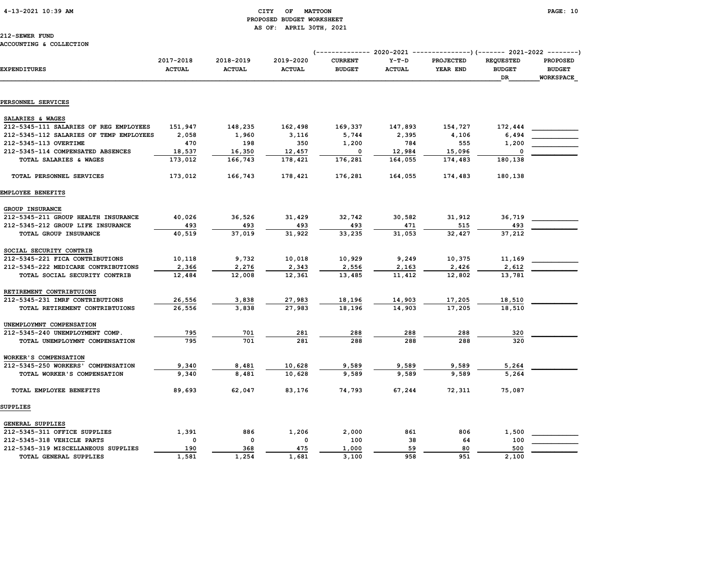4-13-2021 10:39 AM CITY OF MATTOON PAGE: 10

# PROPOSED BUDGET WORKSHEET

EMPLOYEE BENEFITS GROUP INSURANCE

#### ACCOUNTING & COLLECTION

|                                           |                            |                            | AS OF:                     | APRIL 30TH, 2021                |                          |                                                           |                                         |                                                      |
|-------------------------------------------|----------------------------|----------------------------|----------------------------|---------------------------------|--------------------------|-----------------------------------------------------------|-----------------------------------------|------------------------------------------------------|
| 212-SEWER FUND<br>ACCOUNTING & COLLECTION |                            |                            |                            | <i>(--------------</i>          |                          | $2020-2021$ ----------------)(------- 2021-2022 --------) |                                         |                                                      |
| <b>EXPENDITURES</b>                       | 2017-2018<br><b>ACTUAL</b> | 2018-2019<br><b>ACTUAL</b> | 2019-2020<br><b>ACTUAL</b> | <b>CURRENT</b><br><b>BUDGET</b> | $Y-T-D$<br><b>ACTUAL</b> | <b>PROJECTED</b><br>YEAR END                              | <b>REQUESTED</b><br><b>BUDGET</b><br>DR | <b>PROPOSED</b><br><b>BUDGET</b><br><b>WORKSPACE</b> |
|                                           |                            |                            |                            |                                 |                          |                                                           |                                         |                                                      |
| PERSONNEL SERVICES                        |                            |                            |                            |                                 |                          |                                                           |                                         |                                                      |
| SALARIES & WAGES                          |                            |                            |                            |                                 |                          |                                                           |                                         |                                                      |
| 212-5345-111 SALARIES OF REG EMPLOYEES    | 151,947                    | 148,235                    | 162,498                    | 169,337                         | 147,893                  | 154,727                                                   | 172,444                                 |                                                      |
| 212-5345-112 SALARIES OF TEMP EMPLOYEES   | 2,058                      | 1,960                      | 3,116                      | 5,744                           | 2,395                    | 4,106                                                     | 6,494                                   |                                                      |
| 212-5345-113 OVERTIME                     | 470                        | 198                        | 350                        | 1,200                           | 784                      | 555                                                       | 1,200                                   |                                                      |
| 212-5345-114 COMPENSATED ABSENCES         | 18,537                     | 16,350                     | 12,457                     | 0                               | 12,984                   | 15,096                                                    | - 0                                     |                                                      |
| TOTAL SALARIES & WAGES                    | 173,012                    | 166,743                    | 178,421                    | 176,281                         | 164,055                  | 174,483                                                   | 180,138                                 |                                                      |
| TOTAL PERSONNEL SERVICES                  | 173,012                    | 166,743                    | 178,421                    | 176,281                         | 164,055                  | 174,483                                                   | 180,138                                 |                                                      |
| EMPLOYEE BENEFITS                         |                            |                            |                            |                                 |                          |                                                           |                                         |                                                      |
| $CDOIII$ THAID ANOP                       |                            |                            |                            |                                 |                          |                                                           |                                         |                                                      |

| 212-5345-211 GROUP HEALTH INSURANCE | 40,026   | 36,526   | 31,429 | 32,742 | 30,582 | 31,912 | 36,719 |  |
|-------------------------------------|----------|----------|--------|--------|--------|--------|--------|--|
| 212-5345-212 GROUP LIFE INSURANCE   | 493      | 493      | 493    | 493    | 471    | 515    | 493    |  |
| TOTAL GROUP INSURANCE               | 40,519   | 37,019   | 31,922 | 33,235 | 31,053 | 32,427 | 37,212 |  |
| SOCIAL SECURITY CONTRIB             |          |          |        |        |        |        |        |  |
| 212-5345-221 FICA CONTRIBUTIONS     | 10,118   | 9,732    | 10,018 | 10,929 | 9,249  | 10,375 | 11,169 |  |
| 212-5345-222 MEDICARE CONTRIBUTIONS | 2,366    | 2,276    | 2,343  | 2,556  | 2,163  | 2,426  | 2,612  |  |
| TOTAL SOCIAL SECURITY CONTRIB       | 12,484   | 12,008   | 12,361 | 13,485 | 11,412 | 12,802 | 13,781 |  |
| RETIREMENT CONTRIBTUIONS            |          |          |        |        |        |        |        |  |
| 212-5345-231 IMRF CONTRIBUTIONS     | 26,556   | 3,838    | 27,983 | 18,196 | 14,903 | 17,205 | 18,510 |  |
| TOTAL RETIREMENT CONTRIBTUIONS      | 26,556   | 3,838    | 27,983 | 18,196 | 14,903 | 17,205 | 18,510 |  |
| UNEMPLOYMNT COMPENSATION            |          |          |        |        |        |        |        |  |
| 212-5345-240 UNEMPLOYMENT COMP.     | 795      | 701      | 281    | 288    | 288    | 288    | 320    |  |
| TOTAL UNEMPLOYMNT COMPENSATION      | 795      | 701      | 281    | 288    | 288    | 288    | 320    |  |
| WORKER'S COMPENSATION               |          |          |        |        |        |        |        |  |
| 212-5345-250 WORKERS' COMPENSATION  | 9,340    | 8,481    | 10,628 | 9,589  | 9,589  | 9,589  | 5,264  |  |
| TOTAL WORKER'S COMPENSATION         | 9,340    | 8,481    | 10,628 | 9,589  | 9,589  | 9,589  | 5,264  |  |
| TOTAL EMPLOYEE BENEFITS             | 89,693   | 62,047   | 83,176 | 74,793 | 67,244 | 72,311 | 75,087 |  |
| SUPPLIES                            |          |          |        |        |        |        |        |  |
| <b>GENERAL SUPPLIES</b>             |          |          |        |        |        |        |        |  |
| 212-5345-311 OFFICE SUPPLIES        | 1,391    | 886      | 1,206  | 2,000  | 861    | 806    | 1,500  |  |
| 212-5345-318 VEHICLE PARTS          | $\Omega$ | $\Omega$ | 0      | 100    | 38     | 64     | 100    |  |
| 212-5345-319 MISCELLANEOUS SUPPLIES | 190      | 368      | 475    | 1,000  | 59     | 80     | 500    |  |
| TOTAL GENERAL SUPPLIES              | 1,581    | 1,254    | 1,681  | 3,100  | 958    | 951    | 2,100  |  |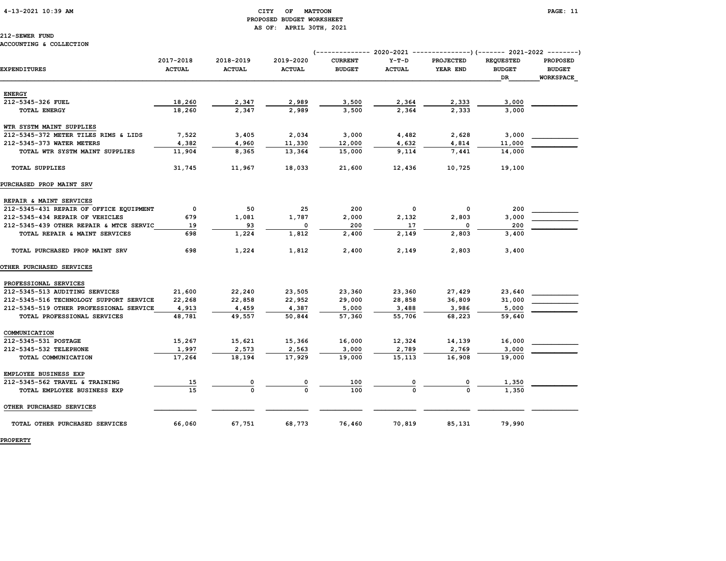# PROPOSED BUDGET WORKSHEET AS OF: APRIL 30TH, 2021

# 212-SEWER FUND

### ACCOUNTING & COLLECTION

|                                         | (-------------- 2020-2021<br>----------------) (------- 2021-2022 ---------) |                            |                            |                                 |                          |                              |                                         |                                                      |  |  |
|-----------------------------------------|------------------------------------------------------------------------------|----------------------------|----------------------------|---------------------------------|--------------------------|------------------------------|-----------------------------------------|------------------------------------------------------|--|--|
| <b>EXPENDITURES</b>                     | 2017-2018<br><b>ACTUAL</b>                                                   | 2018-2019<br><b>ACTUAL</b> | 2019-2020<br><b>ACTUAL</b> | <b>CURRENT</b><br><b>BUDGET</b> | $Y-T-D$<br><b>ACTUAL</b> | <b>PROJECTED</b><br>YEAR END | <b>REQUESTED</b><br><b>BUDGET</b><br>DR | <b>PROPOSED</b><br><b>BUDGET</b><br><b>WORKSPACE</b> |  |  |
|                                         |                                                                              |                            |                            |                                 |                          |                              |                                         |                                                      |  |  |
| <b>ENERGY</b>                           |                                                                              |                            |                            |                                 |                          |                              |                                         |                                                      |  |  |
| 212-5345-326 FUEL                       | 18,260                                                                       | 2,347                      | 2,989                      | 3,500                           | 2,364                    | 2,333                        | 3,000                                   |                                                      |  |  |
| <b>TOTAL ENERGY</b>                     | 18,260                                                                       | 2,347                      | 2,989                      | 3,500                           | 2,364                    | 2,333                        | 3,000                                   |                                                      |  |  |
| WTR SYSTM MAINT SUPPLIES                |                                                                              |                            |                            |                                 |                          |                              |                                         |                                                      |  |  |
| 212-5345-372 METER TILES RIMS & LIDS    | 7,522                                                                        | 3,405                      | 2,034                      | 3,000                           | 4,482                    | 2,628                        | 3,000                                   |                                                      |  |  |
| 212-5345-373 WATER METERS               | 4,382                                                                        | 4,960                      | 11,330                     | 12,000                          | 4,632                    | 4,814                        | 11,000                                  |                                                      |  |  |
| TOTAL WTR SYSTM MAINT SUPPLIES          | 11,904                                                                       | 8,365                      | 13,364                     | 15,000                          | 9,114                    | 7,441                        | 14,000                                  |                                                      |  |  |
| <b>TOTAL SUPPLIES</b>                   | 31,745                                                                       | 11,967                     | 18,033                     | 21,600                          | 12,436                   | 10,725                       | 19,100                                  |                                                      |  |  |
| PURCHASED PROP MAINT SRV                |                                                                              |                            |                            |                                 |                          |                              |                                         |                                                      |  |  |
| REPAIR & MAINT SERVICES                 |                                                                              |                            |                            |                                 |                          |                              |                                         |                                                      |  |  |
| 212-5345-431 REPAIR OF OFFICE EQUIPMENT | $\mathbf 0$                                                                  | 50                         | 25                         | 200                             | $\mathbf 0$              | 0                            | 200                                     |                                                      |  |  |
| 212-5345-434 REPAIR OF VEHICLES         | 679                                                                          | 1,081                      | 1,787                      | 2,000                           | 2,132                    | 2,803                        | 3,000                                   |                                                      |  |  |
| 212-5345-439 OTHER REPAIR & MTCE SERVIC | 19                                                                           | 93                         | 0                          | 200                             | 17                       | 0                            | 200                                     |                                                      |  |  |
| TOTAL REPAIR & MAINT SERVICES           | 698                                                                          | 1,224                      | 1,812                      | 2,400                           | 2,149                    | 2,803                        | 3,400                                   |                                                      |  |  |
| TOTAL PURCHASED PROP MAINT SRV          | 698                                                                          | 1,224                      | 1,812                      | 2,400                           | 2,149                    | 2,803                        | 3,400                                   |                                                      |  |  |
| <b>OTHER PURCHASED SERVICES</b>         |                                                                              |                            |                            |                                 |                          |                              |                                         |                                                      |  |  |
| PROFESSIONAL SERVICES                   |                                                                              |                            |                            |                                 |                          |                              |                                         |                                                      |  |  |
| 212-5345-513 AUDITING SERVICES          | 21,600                                                                       | 22,240                     | 23,505                     | 23,360                          | 23,360                   | 27,429                       | 23,640                                  |                                                      |  |  |
| 212-5345-516 TECHNOLOGY SUPPORT SERVICE | 22,268                                                                       | 22,858                     | 22,952                     | 29,000                          | 28,858                   | 36,809                       | 31,000                                  |                                                      |  |  |
| 212-5345-519 OTHER PROFESSIONAL SERVICE | 4,913                                                                        | 4,459                      | 4,387                      | 5,000                           | 3,488                    | 3,986                        | 5,000                                   |                                                      |  |  |
| TOTAL PROFESSIONAL SERVICES             | 48,781                                                                       | 49,557                     | 50,844                     | 57,360                          | 55,706                   | 68,223                       | 59,640                                  |                                                      |  |  |
| COMMUNICATION                           |                                                                              |                            |                            |                                 |                          |                              |                                         |                                                      |  |  |
| 212-5345-531 POSTAGE                    | 15,267                                                                       | 15,621                     | 15,366                     | 16,000                          | 12,324                   | 14,139                       | 16,000                                  |                                                      |  |  |
| 212-5345-532 TELEPHONE                  | 1,997                                                                        | 2,573                      | 2,563                      | 3,000                           | 2,789                    | 2,769                        | 3,000                                   |                                                      |  |  |
| TOTAL COMMUNICATION                     | 17,264                                                                       | 18,194                     | 17,929                     | 19,000                          | 15,113                   | 16,908                       | 19,000                                  |                                                      |  |  |
| EMPLOYEE BUSINESS EXP                   |                                                                              |                            |                            |                                 |                          |                              |                                         |                                                      |  |  |
| 212-5345-562 TRAVEL & TRAINING          | 15                                                                           | 0                          | 0                          | 100                             |                          |                              | 1,350                                   |                                                      |  |  |
| TOTAL EMPLOYEE BUSINESS EXP             | 15                                                                           | $\Omega$                   | $\Omega$                   | 100                             |                          |                              | 1,350                                   |                                                      |  |  |
| OTHER PURCHASED SERVICES                |                                                                              |                            |                            |                                 |                          |                              |                                         |                                                      |  |  |
| TOTAL OTHER PURCHASED SERVICES          | 66,060                                                                       | 67,751                     | 68,773                     | 76,460                          | 70,819                   | 85,131                       | 79,990                                  |                                                      |  |  |

PROPERTY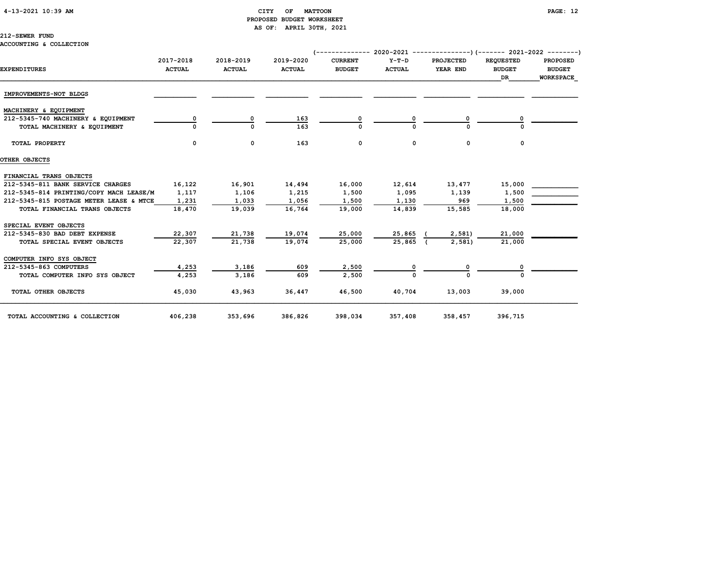# 4-13-2021 10:39 AM CITY OF MATTOON PAGE: 12 PROPOSED BUDGET WORKSHEET AS OF: APRIL 30TH, 2021

|  |  | ACCOUNTING & COLLECTION |
|--|--|-------------------------|
|--|--|-------------------------|

| <b>EXPENDITURES</b>                     | 2017-2018<br><b>ACTUAL</b> | 2018-2019<br><b>ACTUAL</b> | 2019-2020<br><b>ACTUAL</b> | <b>CURRENT</b><br><b>BUDGET</b> | $Y-T-D$<br><b>ACTUAL</b> | <b>PROJECTED</b><br>YEAR END | <b>REOUESTED</b><br><b>BUDGET</b> | <b>PROPOSED</b><br><b>BUDGET</b> |
|-----------------------------------------|----------------------------|----------------------------|----------------------------|---------------------------------|--------------------------|------------------------------|-----------------------------------|----------------------------------|
|                                         |                            |                            |                            |                                 |                          |                              | <b>DR</b>                         | <b>WORKSPACE</b>                 |
| IMPROVEMENTS-NOT BLDGS                  |                            |                            |                            |                                 |                          |                              |                                   |                                  |
| MACHINERY & EQUIPMENT                   |                            |                            |                            |                                 |                          |                              |                                   |                                  |
| 212-5345-740 MACHINERY & EQUIPMENT      |                            | 0                          | 163                        |                                 |                          |                              |                                   |                                  |
| TOTAL MACHINERY & EQUIPMENT             |                            | $\Omega$                   | 163                        |                                 |                          |                              |                                   |                                  |
| TOTAL PROPERTY                          | 0                          | 0                          | 163                        | 0                               | 0                        | $\mathbf 0$                  | 0                                 |                                  |
| OTHER OBJECTS                           |                            |                            |                            |                                 |                          |                              |                                   |                                  |
| FINANCIAL TRANS OBJECTS                 |                            |                            |                            |                                 |                          |                              |                                   |                                  |
| 212-5345-811 BANK SERVICE CHARGES       | 16,122                     | 16,901                     | 14,494                     | 16,000                          | 12,614                   | 13,477                       | 15,000                            |                                  |
| 212-5345-814 PRINTING/COPY MACH LEASE/M | 1,117                      | 1,106                      | 1,215                      | 1,500                           | 1,095                    | 1,139                        | 1,500                             |                                  |
| 212-5345-815 POSTAGE METER LEASE & MTCE | 1,231                      | 1,033                      | 1,056                      | 1,500                           | 1,130                    | 969                          | 1,500                             |                                  |
| TOTAL FINANCIAL TRANS OBJECTS           | 18,470                     | 19,039                     | 16,764                     | 19,000                          | 14,839                   | 15,585                       | 18,000                            |                                  |
| SPECIAL EVENT OBJECTS                   |                            |                            |                            |                                 |                          |                              |                                   |                                  |
| 212-5345-830 BAD DEBT EXPENSE           | 22,307                     | 21,738                     | 19,074                     | 25,000                          | 25,865                   | 2,581                        | 21,000                            |                                  |
| TOTAL SPECIAL EVENT OBJECTS             | 22,307                     | 21,738                     | 19,074                     | 25,000                          | 25,865                   | 2,581                        | 21,000                            |                                  |
| COMPUTER INFO SYS OBJECT                |                            |                            |                            |                                 |                          |                              |                                   |                                  |
| 212-5345-863 COMPUTERS                  | 4,253                      | 3,186                      | 609                        | 2,500                           |                          |                              |                                   |                                  |
| TOTAL COMPUTER INFO SYS OBJECT          | 4,253                      | 3,186                      | 609                        | 2,500                           |                          | U                            |                                   |                                  |
| TOTAL OTHER OBJECTS                     | 45,030                     | 43,963                     | 36,447                     | 46,500                          | 40,704                   | 13,003                       | 39,000                            |                                  |
| TOTAL ACCOUNTING & COLLECTION           | 406,238                    | 353,696                    | 386,826                    | 398,034                         | 357,408                  | 358,457                      | 396,715                           |                                  |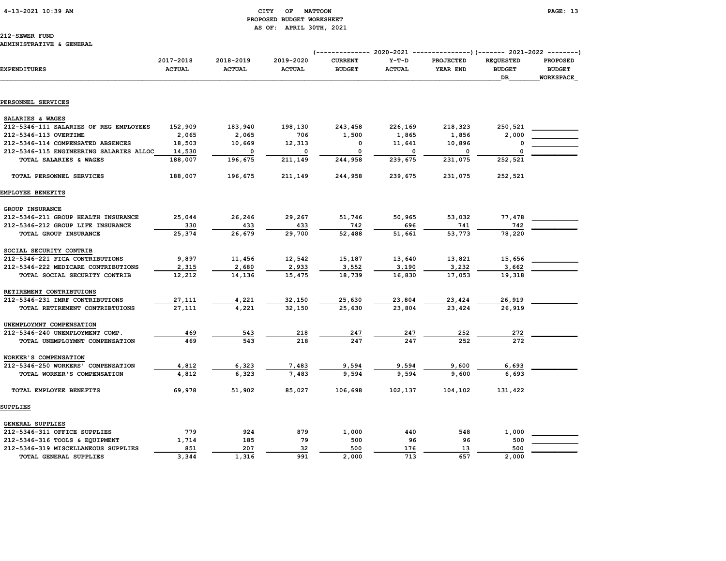# 4-13-2021 10:39 AM CITY OF MATTOON PAGE: 13 PROPOSED BUDGET WORKSHEET AS OF: APRIL 30TH, 2021

| EXPENDITURES                            | 2017-2018<br><b>ACTUAL</b> | 2018-2019<br><b>ACTUAL</b> | 2019-2020<br><b>ACTUAL</b> | <b>CURRENT</b><br><b>BUDGET</b> | $Y-T-D$<br><b>ACTUAL</b> | <b>PROJECTED</b><br>YEAR END | <b>REQUESTED</b><br><b>BUDGET</b><br>DR | <b>PROPOSED</b><br><b>BUDGET</b><br>WORKSPACE |
|-----------------------------------------|----------------------------|----------------------------|----------------------------|---------------------------------|--------------------------|------------------------------|-----------------------------------------|-----------------------------------------------|
|                                         |                            |                            |                            |                                 |                          |                              |                                         |                                               |
| PERSONNEL SERVICES                      |                            |                            |                            |                                 |                          |                              |                                         |                                               |
| SALARIES & WAGES                        |                            |                            |                            |                                 |                          |                              |                                         |                                               |
| 212-5346-111 SALARIES OF REG EMPLOYEES  | 152,909                    | 183,940                    | 198,130                    | 243,458                         | 226,169                  | 218,323                      | 250,521                                 |                                               |
| 212-5346-113 OVERTIME                   | 2,065                      | 2,065                      | 706                        | 1,500                           | 1,865                    | 1,856                        | 2,000                                   |                                               |
| 212-5346-114 COMPENSATED ABSENCES       | 18,503                     | 10,669                     | 12,313                     | 0                               | 11,641                   | 10,896                       | 0                                       |                                               |
| 212-5346-115 ENGINEERING SALARIES ALLOC | 14,530                     | 0                          | 0                          | 0                               | $\mathbf 0$              | 0                            | $\Omega$                                |                                               |
| TOTAL SALARIES & WAGES                  | 188,007                    | 196,675                    | 211,149                    | 244,958                         | 239,675                  | 231,075                      | 252,521                                 |                                               |
| TOTAL PERSONNEL SERVICES                | 188,007                    | 196,675                    | 211,149                    | 244,958                         | 239,675                  | 231,075                      | 252,521                                 |                                               |
| EMPLOYEE BENEFITS                       |                            |                            |                            |                                 |                          |                              |                                         |                                               |
| GROUP INSURANCE                         |                            |                            |                            |                                 |                          |                              |                                         |                                               |
| 212-5346-211 GROUP HEALTH INSURANCE     | 25,044                     | 26,246                     | 29,267                     | 51,746                          | 50,965                   | 53,032                       | 77,478                                  |                                               |
| 212-5346-212 GROUP LIFE INSURANCE       | 330                        | 433                        | 433                        | 742                             | 696                      | 741                          | 742                                     |                                               |
| TOTAL GROUP INSURANCE                   | 25,374                     | 26,679                     | 29,700                     | 52,488                          | 51,661                   | 53,773                       | 78,220                                  |                                               |
| SOCIAL SECURITY CONTRIB                 |                            |                            |                            |                                 |                          |                              |                                         |                                               |
| 212-5346-221 FICA CONTRIBUTIONS         | 9,897                      | 11,456                     | 12,542                     | 15,187                          | 13,640                   | 13,821                       | 15,656                                  |                                               |
| 212-5346-222 MEDICARE CONTRIBUTIONS     | 2,315                      | 2,680                      | 2,933                      | 3,552                           | 3,190                    | 3,232                        | 3,662                                   |                                               |
| TOTAL SOCIAL SECURITY CONTRIB           | 12,212                     | 14,136                     | 15,475                     | 18,739                          | 16,830                   | 17,053                       | 19,318                                  |                                               |
| RETIREMENT CONTRIBTUIONS                |                            |                            |                            |                                 |                          |                              |                                         |                                               |
| 212-5346-231 IMRF CONTRIBUTIONS         | 27,111                     | 4,221                      | 32,150                     | 25,630                          | 23,804                   | 23,424                       | 26,919                                  |                                               |
| TOTAL RETIREMENT CONTRIBTUIONS          | 27,111                     | 4.221                      | 32.150                     | 25,630                          | 23,804                   | 23,424                       | 26,919                                  |                                               |
| UNEMPLOYMNT COMPENSATION                |                            |                            |                            |                                 |                          |                              |                                         |                                               |
| 212-5346-240 UNEMPLOYMENT COMP.         | 469                        | 543                        | 218                        | 247                             | 247                      | 252                          | 272                                     |                                               |
| TOTAL UNEMPLOYMNT COMPENSATION          | 469                        | 543                        | 218                        | 247                             | 247                      | 252                          | 272                                     |                                               |
| WORKER'S COMPENSATION                   |                            |                            |                            |                                 |                          |                              |                                         |                                               |
| 212-5346-250 WORKERS' COMPENSATION      | 4,812                      | 6,323                      | 7,483                      | 9,594                           | 9,594                    | 9,600                        | 6,693                                   |                                               |
| TOTAL WORKER'S COMPENSATION             | 4,812                      | 6.323                      | 7,483                      | 9,594                           | 9,594                    | 9,600                        | 6,693                                   |                                               |
| TOTAL EMPLOYEE BENEFITS                 | 69,978                     | 51,902                     | 85,027                     | 106,698                         | 102,137                  | 104,102                      | 131,422                                 |                                               |
| <b>SUPPLIES</b>                         |                            |                            |                            |                                 |                          |                              |                                         |                                               |
| GENERAL SUPPLIES                        |                            |                            |                            |                                 |                          |                              |                                         |                                               |
| 212-5346-311 OFFICE SUPPLIES            | 779                        | 924                        | 879                        | 1,000                           | 440                      | 548                          | 1,000                                   |                                               |
| 212-5346-316 TOOLS & EQUIPMENT          | 1,714                      | 185                        | 79                         | 500                             | 96                       | 96                           | 500                                     |                                               |
| 212-5346-319 MISCELLANEOUS SUPPLIES     | 851                        | 207                        | 32                         | 500                             | 176                      | 13                           | 500                                     |                                               |
| TOTAL GENERAL SUPPLIES                  | 3,344                      | 1,316                      | 991                        | 2,000                           | 713                      | 657                          | 2,000                                   |                                               |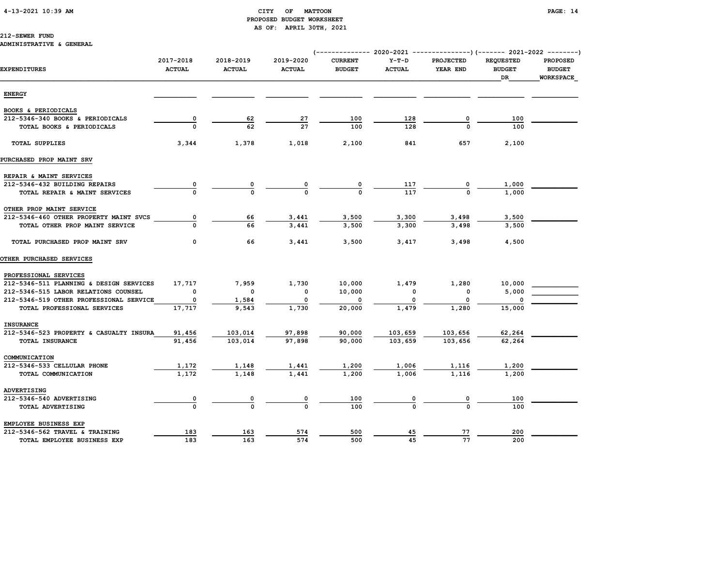# 4-13-2021 10:39 AM CITY OF MATTOON PAGE: 14 PROPOSED BUDGET WORKSHEET AS OF: APRIL 30TH, 2021

### 212-SEWER FUND

### ADMINISTRATIVE & GENERAL

|                                         | 2017-2018     | 2018-2019     | 2019-2020     | <b>CURRENT</b> | $Y-T-D$       | <b>PROJECTED</b> | <b>REQUESTED</b> | <b>PROPOSED</b>  |
|-----------------------------------------|---------------|---------------|---------------|----------------|---------------|------------------|------------------|------------------|
| <b>EXPENDITURES</b>                     | <b>ACTUAL</b> | <b>ACTUAL</b> | <b>ACTUAL</b> | <b>BUDGET</b>  | <b>ACTUAL</b> | YEAR END         | <b>BUDGET</b>    | <b>BUDGET</b>    |
|                                         |               |               |               |                |               |                  | DR               | <b>WORKSPACE</b> |
|                                         |               |               |               |                |               |                  |                  |                  |
| <b>ENERGY</b>                           |               |               |               |                |               |                  |                  |                  |
| BOOKS & PERIODICALS                     |               |               |               |                |               |                  |                  |                  |
| 212-5346-340 BOOKS & PERIODICALS        | 0             | 62            | 27            | 100            | 128           |                  | 100              |                  |
| TOTAL BOOKS & PERIODICALS               |               | 62            | 27            | 100            | 128           |                  | 100              |                  |
|                                         |               |               |               |                |               |                  |                  |                  |
| <b>TOTAL SUPPLIES</b>                   | 3,344         | 1,378         | 1,018         | 2,100          | 841           | 657              | 2,100            |                  |
| PURCHASED PROP MAINT SRV                |               |               |               |                |               |                  |                  |                  |
| REPAIR & MAINT SERVICES                 |               |               |               |                |               |                  |                  |                  |
| 212-5346-432 BUILDING REPAIRS           |               | 0             | 0             | 0              | 117           | 0                | 1,000            |                  |
| TOTAL REPAIR & MAINT SERVICES           |               |               |               |                | 117           |                  | 1,000            |                  |
| OTHER PROP MAINT SERVICE                |               |               |               |                |               |                  |                  |                  |
| 212-5346-460 OTHER PROPERTY MAINT SVCS  | 0             | 66            | 3,441         | 3,500          | 3,300         | 3,498            | 3,500            |                  |
| TOTAL OTHER PROP MAINT SERVICE          |               | 66            | 3,441         | 3,500          | 3,300         | 3,498            | 3,500            |                  |
|                                         |               |               |               |                |               |                  |                  |                  |
| TOTAL PURCHASED PROP MAINT SRV          | 0             | 66            | 3,441         | 3,500          | 3,417         | 3,498            | 4,500            |                  |
| <b>OTHER PURCHASED SERVICES</b>         |               |               |               |                |               |                  |                  |                  |
| PROFESSIONAL SERVICES                   |               |               |               |                |               |                  |                  |                  |
| 212-5346-511 PLANNING & DESIGN SERVICES | 17,717        | 7,959         | 1,730         | 10,000         | 1,479         | 1,280            | 10,000           |                  |
| 212-5346-515 LABOR RELATIONS COUNSEL    | $\mathbf 0$   | $\mathbf 0$   | $\mathbf 0$   | 10,000         | 0             | 0                | 5,000            |                  |
| 212-5346-519 OTHER PROFESSIONAL SERVICE | 0             | 1,584         | $\mathbf 0$   | $\mathbf{o}$   | 0             | $^{\circ}$       |                  |                  |
| TOTAL PROFESSIONAL SERVICES             | 17,717        | 9,543         | 1,730         | 20,000         | 1,479         | 1,280            | 15,000           |                  |
| <b>INSURANCE</b>                        |               |               |               |                |               |                  |                  |                  |
| 212-5346-523 PROPERTY & CASUALTY INSURA | 91,456        | 103,014       | 97,898        | 90,000         | 103,659       | 103,656          | 62,264           |                  |
| TOTAL INSURANCE                         | 91,456        | 103,014       | 97,898        | 90,000         | 103,659       | 103,656          | 62,264           |                  |
| COMMUNICATION                           |               |               |               |                |               |                  |                  |                  |
| 212-5346-533 CELLULAR PHONE             | 1,172         | 1,148         | 1,441         | 1,200          | 1,006         | 1,116            | 1,200            |                  |
| TOTAL COMMUNICATION                     | 1,172         | 1,148         | 1,441         | 1,200          | 1,006         | 1,116            | 1,200            |                  |
| ADVERTISING                             |               |               |               |                |               |                  |                  |                  |
| 212-5346-540 ADVERTISING                |               | 0             |               | 100            |               |                  | 100              |                  |
| TOTAL ADVERTISING                       |               |               |               | 100            |               | $\Omega$         | 100              |                  |
| EMPLOYEE BUSINESS EXP                   |               |               |               |                |               |                  |                  |                  |
| 212-5346-562 TRAVEL & TRAINING          | 183           | 163           | 574           | 500            | 45            | 77               | 200              |                  |
| TOTAL EMPLOYEE BUSINESS EXP             | 183           | 163           | 574           | 500            | 45            | 77               | 200              |                  |
|                                         |               |               |               |                |               |                  |                  |                  |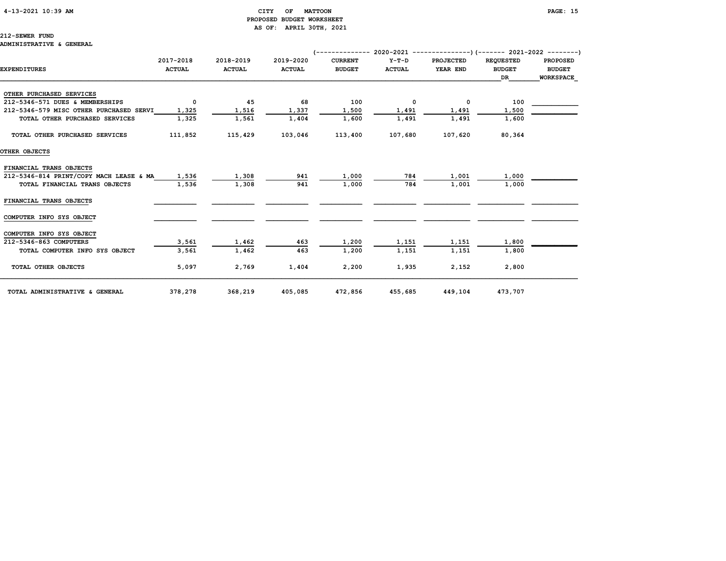### 4-13-2021 10:39 AM CITY OF MATTOON PAGE: 15 PROPOSED BUDGET WORKSHEET AS OF: APRIL 30TH, 2021

212-SEWER FUND ADMINISTRATIVE & GENERAL

# (-------------- 2020-2021 ---------------)(------- 2021-2022 --------) 2017-2018 2018-2019 2019-2020 CURRENT Y-T-D PROJECTED REQUESTED PROPOSED EXPENDITURES ACTUAL ACTUAL ACTUAL BUDGET ACTUAL YEAR END BUDGET BUDGET  $\Box$  . The contract of the contract of the contract of the contract of the contract of the contract of the contract of the contract of the contract of the contract of the contract of the contract of the contract of the co OTHER PURCHASED SERVICES 212-5346-571 DUES & MEMBERSHIPS 0 45 68 100 0 0 100 212-5346-579 MISC OTHER PURCHASED SERVI 1,325 1,516 1,337 1,500 1,491 1,491 1,500 TOTAL OTHER PURCHASED SERVICES 1,325 1,561 1,404 1,600 1,491 1,491 1,600 TOTAL OTHER PURCHASED SERVICES 111,852 115,429 103,046 113,400 107,680 107,620 80,364 OTHER OBJECTS FINANCIAL TRANS OBJECTS 212-5346-814 PRINT/COPY MACH LEASE & MA 1,536 1,308 941 1,000 784 1,001 1,000 TOTAL FINANCIAL TRANS OBJECTS 1,536 1,308 941 1,000 784 1,001 1,000 FINANCIAL TRANS OBJECTS \_\_\_\_\_\_\_\_\_\_\_ \_\_\_\_\_\_\_\_\_\_\_ \_\_\_\_\_\_\_\_\_\_\_ \_\_\_\_\_\_\_\_\_\_\_ \_\_\_\_\_\_\_\_\_\_\_ \_\_\_\_\_\_\_\_\_\_\_\_ \_\_\_\_\_\_\_\_\_\_\_\_ \_\_\_\_\_\_\_\_\_\_\_\_ COMPUTER INFO SYS OBJECT COMPUTER INFO SYS OBJECT  $\overline{212-5346-863}$  COMPUTERS  $\overline{3,561}$   $\overline{1,462}$   $\overline{463}$   $\overline{1,200}$   $\overline{1,151}$   $\overline{1,151}$   $\overline{1,151}$   $\overline{1,151}$   $\overline{1,800}$  TOTAL COMPUTER INFO SYS OBJECT 3,561 1,462 463 1,200 1,151 1,151 1,800 TOTAL OTHER OBJECTS 5,097 2,769 1,404 2,200 1,935 2,152 2,800

| TOTAL ADMINISTRATIVE & GENERAL | 378,278 | 368,219 | 405,085 | 472,856 | 455,685 | 449,104 | 473,707 |
|--------------------------------|---------|---------|---------|---------|---------|---------|---------|
|                                |         |         |         |         |         |         |         |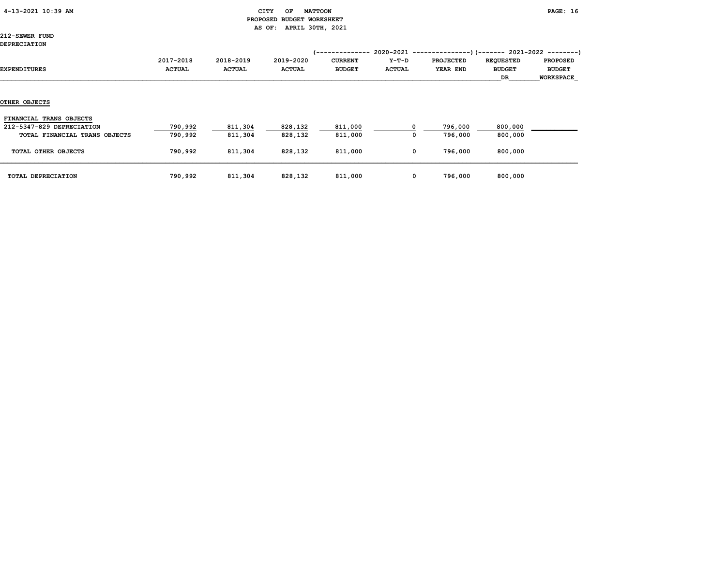# 4-13-2021 10:39 AM CITY OF MATTOON PAGE: 16 PROPOSED BUDGET WORKSHEET AS OF: APRIL 30TH, 2021

212-SEWER FUND DEPRECIATION

| ยอยณอง <del>เคม I</del> VII   |                            |                            |                            | /--------------                 |                          |                                                                                             |                                         |                                                      |
|-------------------------------|----------------------------|----------------------------|----------------------------|---------------------------------|--------------------------|---------------------------------------------------------------------------------------------|-----------------------------------------|------------------------------------------------------|
| EXPENDITURES                  | 2017-2018<br><b>ACTUAL</b> | 2018-2019<br><b>ACTUAL</b> | 2019-2020<br><b>ACTUAL</b> | <b>CURRENT</b><br><b>BUDGET</b> | $Y-T-D$<br><b>ACTUAL</b> | $2020-2021$ ----------------) (------- 2021-2022 ---------)<br><b>PROJECTED</b><br>YEAR END | <b>REQUESTED</b><br><b>BUDGET</b><br>DR | <b>PROPOSED</b><br><b>BUDGET</b><br><b>WORKSPACE</b> |
|                               |                            |                            |                            |                                 |                          |                                                                                             |                                         |                                                      |
| OTHER OBJECTS                 |                            |                            |                            |                                 |                          |                                                                                             |                                         |                                                      |
| FINANCIAL TRANS OBJECTS       |                            |                            |                            |                                 |                          |                                                                                             |                                         |                                                      |
| 212-5347-829 DEPRECIATION     | 790,992                    | 811,304                    | 828,132                    | 811,000                         |                          | 796,000                                                                                     | 800,000                                 |                                                      |
| TOTAL FINANCIAL TRANS OBJECTS | 790,992                    | 811,304                    | 828,132                    | 811,000                         | 0                        | 796,000                                                                                     | 800,000                                 |                                                      |
| TOTAL OTHER OBJECTS           | 790,992                    | 811,304                    | 828,132                    | 811,000                         | 0                        | 796,000                                                                                     | 800,000                                 |                                                      |
| TOTAL DEPRECIATION            | 790,992                    | 811,304                    | 828,132                    | 811,000                         | 0                        | 796,000                                                                                     | 800,000                                 |                                                      |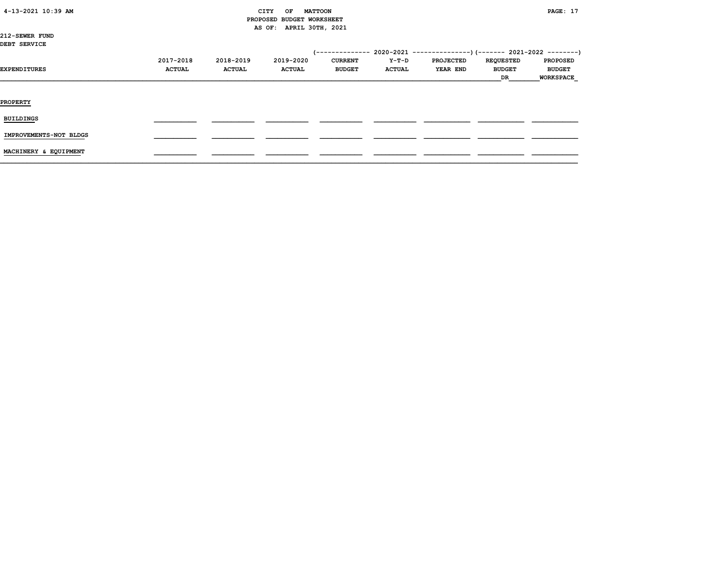# CITY OF MATTOON **PAGE:** 17 PROPOSED BUDGET WORKSHEET AS OF: APRIL 30TH, 2021

212-SEWER FUND DEBT SERVICE

| -------------          |                            |                            |                            |                                 |                        |                              |                                         |                                                      |
|------------------------|----------------------------|----------------------------|----------------------------|---------------------------------|------------------------|------------------------------|-----------------------------------------|------------------------------------------------------|
| EXPENDITURES           | 2017-2018<br><b>ACTUAL</b> | 2018-2019<br><b>ACTUAL</b> | 2019-2020<br><b>ACTUAL</b> | <b>CURRENT</b><br><b>BUDGET</b> | Y-T-D<br><b>ACTUAL</b> | <b>PROJECTED</b><br>YEAR END | <b>REQUESTED</b><br><b>BUDGET</b><br>DR | <b>PROPOSED</b><br><b>BUDGET</b><br><b>WORKSPACE</b> |
| <b>PROPERTY</b>        |                            |                            |                            |                                 |                        |                              |                                         |                                                      |
| <b>BUILDINGS</b>       |                            |                            |                            |                                 |                        |                              |                                         |                                                      |
| IMPROVEMENTS-NOT BLDGS |                            |                            |                            |                                 |                        |                              |                                         |                                                      |
| MACHINERY & EQUIPMENT  |                            |                            |                            |                                 |                        |                              |                                         |                                                      |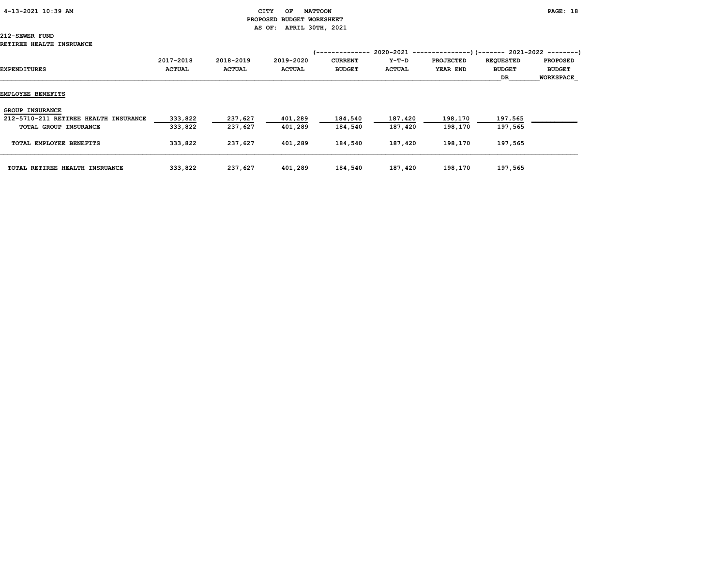# PROPOSED BUDGET WORKSHEET AS OF: APRIL 30TH, 2021

| EXPENDITURES                          | 2017-2018<br><b>ACTUAL</b> | 2018-2019<br><b>ACTUAL</b> | 2019-2020<br><b>ACTUAL</b> | <b>CURRENT</b><br><b>BUDGET</b> | 2020-2021<br>Y-T-D<br><b>ACTUAL</b> | <b>PROJECTED</b><br>YEAR END | -)(------- 2021-2022 --------)<br><b>REQUESTED</b><br><b>BUDGET</b><br>DR. | <b>PROPOSED</b><br><b>BUDGET</b><br><b>WORKSPACE</b> |
|---------------------------------------|----------------------------|----------------------------|----------------------------|---------------------------------|-------------------------------------|------------------------------|----------------------------------------------------------------------------|------------------------------------------------------|
| EMPLOYEE BENEFITS                     |                            |                            |                            |                                 |                                     |                              |                                                                            |                                                      |
| <b>GROUP INSURANCE</b>                |                            |                            |                            |                                 |                                     |                              |                                                                            |                                                      |
| 212-5710-211 RETIREE HEALTH INSURANCE | 333,822                    | 237,627                    | 401,289                    | 184,540                         | 187,420                             | 198,170                      | 197,565                                                                    |                                                      |
| TOTAL GROUP INSURANCE                 | 333,822                    | 237,627                    | 401,289                    | 184,540                         | 187,420                             | 198,170                      | 197,565                                                                    |                                                      |
| TOTAL EMPLOYEE BENEFITS               | 333,822                    | 237,627                    | 401,289                    | 184,540                         | 187,420                             | 198,170                      | 197,565                                                                    |                                                      |
| TOTAL RETIREE HEALTH INSRUANCE        | 333,822                    | 237,627                    | 401,289                    | 184,540                         | 187,420                             | 198,170                      | 197,565                                                                    |                                                      |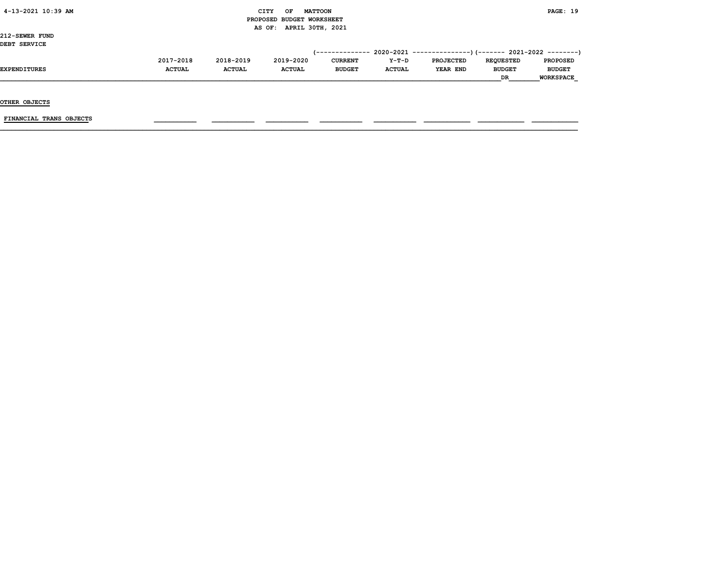# $\begin{array}{ccc} \text{CITY} & \text{OF} & \text{MATTCON} \end{array}$  PROPOSED BUDGET WORKSHEET AS OF: APRIL 30TH, 2021

212-SEWER FUND DEBT SERVICE

| DEBI SERVICE        |               |               |               |                |               |                  |                  |                  |
|---------------------|---------------|---------------|---------------|----------------|---------------|------------------|------------------|------------------|
|                     |               |               |               |                |               |                  |                  |                  |
|                     | 2017-2018     | 2018-2019     | 2019-2020     | <b>CURRENT</b> | $Y-T-D$       | <b>PROJECTED</b> | <b>REOUESTED</b> | <b>PROPOSED</b>  |
| <b>EXPENDITURES</b> | <b>ACTUAL</b> | <b>ACTUAL</b> | <b>ACTUAL</b> | <b>BUDGET</b>  | <b>ACTUAL</b> | YEAR END         | <b>BUDGET</b>    | <b>BUDGET</b>    |
|                     |               |               |               |                |               |                  | <b>DR</b>        | <b>WORKSPACE</b> |

OTHER OBJECTS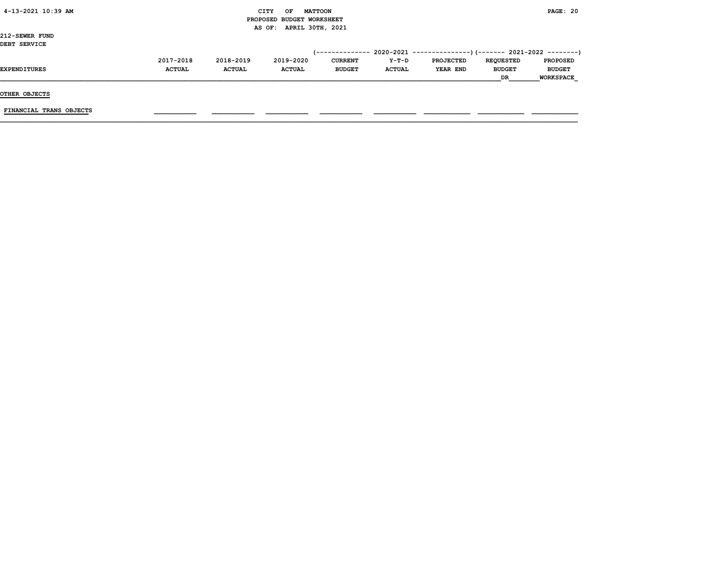| 4-13-2021 10:39 AM |  |
|--------------------|--|
|                    |  |

# CITY OF MATTOON **PAGE: 20**  PROPOSED BUDGET WORKSHEET AS OF: APRIL 30TH, 2021

212-SEWER FUND DEBT SERVICE

| DERI SEKVICE |               |               |               |                        |               |                                                           |                  |                  |
|--------------|---------------|---------------|---------------|------------------------|---------------|-----------------------------------------------------------|------------------|------------------|
|              |               |               |               | <i>(--------------</i> |               | . 2020-2021 ---------------) (------- 2021-2022 --------) |                  |                  |
|              | 2017-2018     | 2018-2019     | 2019-2020     | <b>CURRENT</b>         | $Y-T-D$       | <b>PROJECTED</b>                                          | <b>REOUESTED</b> | <b>PROPOSED</b>  |
| EXPENDITURES | <b>ACTUAL</b> | <b>ACTUAL</b> | <b>ACTUAL</b> | <b>BUDGET</b>          | <b>ACTUAL</b> | YEAR END                                                  | <b>BUDGET</b>    | <b>BUDGET</b>    |
|              |               |               |               |                        |               |                                                           | <b>DR</b>        | <b>WORKSPACE</b> |
|              |               |               |               |                        |               |                                                           |                  |                  |

OTHER OBJECTS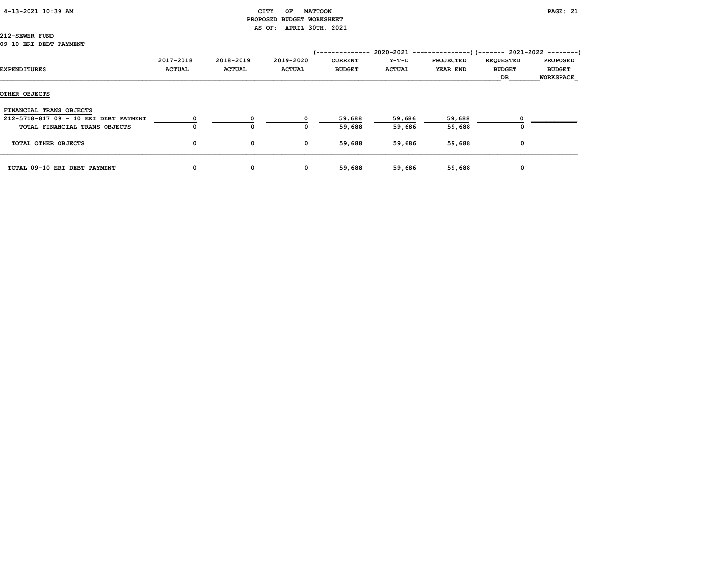# 4-13-2021 10:39 AM CITY OF MATTOON PAGE: 21 PROPOSED BUDGET WORKSHEET AS OF: APRIL 30TH, 2021

| EXPENDITURES                                                     | 2017-2018<br><b>ACTUAL</b> | 2018-2019<br><b>ACTUAL</b> | 2019-2020<br><b>ACTUAL</b> | '--------------<br><b>CURRENT</b><br><b>BUDGET</b> | Y-T-D<br><b>ACTUAL</b> | $2020-2021$ ---------------) (------- 2021-2022 --------)<br><b>PROJECTED</b><br>YEAR END | <b>REQUESTED</b><br><b>BUDGET</b><br>DR | <b>PROPOSED</b><br><b>BUDGET</b><br><b>WORKSPACE</b> |
|------------------------------------------------------------------|----------------------------|----------------------------|----------------------------|----------------------------------------------------|------------------------|-------------------------------------------------------------------------------------------|-----------------------------------------|------------------------------------------------------|
| OTHER OBJECTS                                                    |                            |                            |                            |                                                    |                        |                                                                                           |                                         |                                                      |
| FINANCIAL TRANS OBJECTS<br>212-5718-817 09 - 10 ERI DEBT PAYMENT |                            |                            | <sup>0</sup>               | 59,688                                             | 59,686                 | 59,688                                                                                    |                                         |                                                      |
| TOTAL FINANCIAL TRANS OBJECTS                                    |                            | $\mathbf{o}$               | 0                          | 59,688                                             | 59,686                 | 59,688                                                                                    |                                         |                                                      |
| TOTAL OTHER OBJECTS                                              | 0                          | 0                          | $\mathbf 0$                | 59,688                                             | 59,686                 | 59,688                                                                                    | 0                                       |                                                      |
| TOTAL 09-10 ERI DEBT PAYMENT                                     | 0                          | 0                          | $\mathbf 0$                | 59,688                                             | 59,686                 | 59,688                                                                                    | 0                                       |                                                      |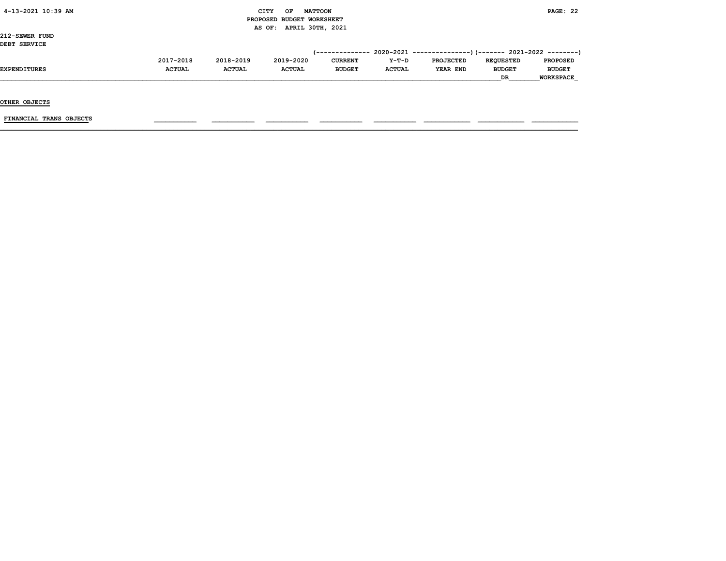# $\begin{array}{ccc} \text{CITY} & \text{OF} & \text{MATTCON} \end{array}$  PROPOSED BUDGET WORKSHEET AS OF: APRIL 30TH, 2021

212-SEWER FUND DEBT SERVICE

| DEBI SERVICE        |               |               |               |                |               |                  |                  |                  |
|---------------------|---------------|---------------|---------------|----------------|---------------|------------------|------------------|------------------|
|                     |               |               |               |                |               |                  |                  |                  |
|                     | 2017-2018     | 2018-2019     | 2019-2020     | <b>CURRENT</b> | $Y-T-D$       | <b>PROJECTED</b> | <b>REOUESTED</b> | <b>PROPOSED</b>  |
| <b>EXPENDITURES</b> | <b>ACTUAL</b> | <b>ACTUAL</b> | <b>ACTUAL</b> | <b>BUDGET</b>  | <b>ACTUAL</b> | YEAR END         | <b>BUDGET</b>    | <b>BUDGET</b>    |
|                     |               |               |               |                |               |                  | <b>DR</b>        | <b>WORKSPACE</b> |

OTHER OBJECTS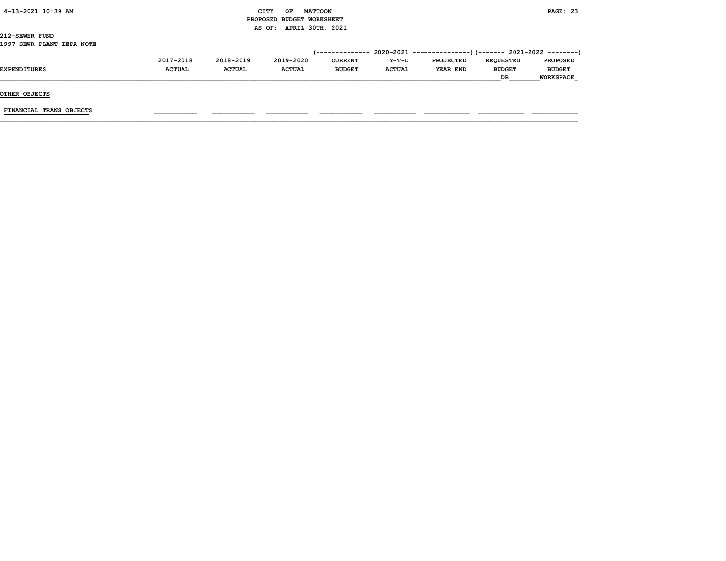| 4-13-2021 10:39 AM |  |
|--------------------|--|
|                    |  |

# CITY OF MATTOON **PAGE: 23**  PROPOSED BUDGET WORKSHEET AS OF: APRIL 30TH, 2021

212-SEWER FUND 1997 SEWR PLANT IEPA NOTE

| <b>CURRENT</b> | $Y-T-D$       | <b>PROJECTED</b> | <b>REOUESTED</b> | <b>PROPOSED</b>  |
|----------------|---------------|------------------|------------------|------------------|
| <b>BUDGET</b>  | <b>ACTUAL</b> | YEAR END         | <b>BUDGET</b>    | <b>BUDGET</b>    |
|                |               |                  | <b>DR</b>        | <b>WORKSPACE</b> |
|                |               |                  |                  |                  |

OTHER OBJECTS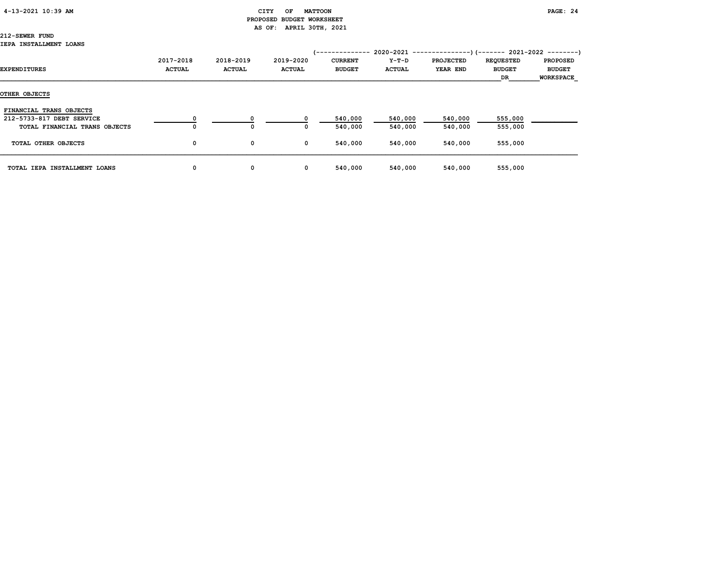### 4-13-2021 10:39 AM CITY OF MATTOON PAGE: 24

# PROPOSED BUDGET WORKSHEET AS OF: APRIL 30TH, 2021

|                               |               |               |               | '-------------- |               | 2020-2021 ----------------) (------- 2021-2022 ---------) |                  |                  |
|-------------------------------|---------------|---------------|---------------|-----------------|---------------|-----------------------------------------------------------|------------------|------------------|
|                               | 2017-2018     | 2018-2019     | 2019-2020     | <b>CURRENT</b>  | Y-T-D         | <b>PROJECTED</b>                                          | <b>REQUESTED</b> | <b>PROPOSED</b>  |
| EXPENDITURES                  | <b>ACTUAL</b> | <b>ACTUAL</b> | <b>ACTUAL</b> | <b>BUDGET</b>   | <b>ACTUAL</b> | YEAR END                                                  | <b>BUDGET</b>    | <b>BUDGET</b>    |
|                               |               |               |               |                 |               |                                                           | DR.              | <b>WORKSPACE</b> |
| OTHER OBJECTS                 |               |               |               |                 |               |                                                           |                  |                  |
| FINANCIAL TRANS OBJECTS       |               |               |               |                 |               |                                                           |                  |                  |
| 212-5733-817 DEBT SERVICE     |               | 0             |               | 540,000         | 540,000       | 540,000                                                   | 555,000          |                  |
| TOTAL FINANCIAL TRANS OBJECTS | 0             | 0             | 0             | 540,000         | 540,000       | 540,000                                                   | 555,000          |                  |
| TOTAL OTHER OBJECTS           | 0             | 0             | 0             | 540,000         | 540,000       | 540,000                                                   | 555,000          |                  |
| TOTAL IEPA INSTALLMENT LOANS  | 0             | 0             | $\mathbf{o}$  | 540,000         | 540,000       | 540,000                                                   | 555,000          |                  |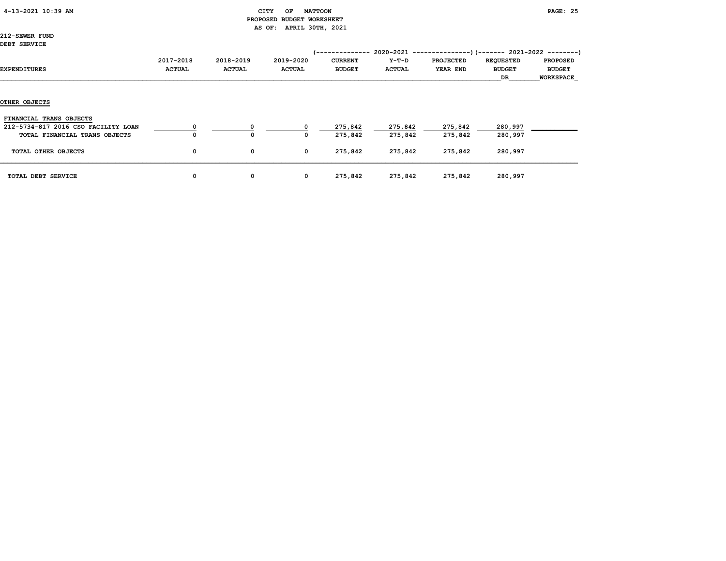|  | 4-13-2021 10:39 AM |  |  |
|--|--------------------|--|--|
|--|--------------------|--|--|

# CITY OF MATTOON **PAGE: 25**  PROPOSED BUDGET WORKSHEET AS OF: APRIL 30TH, 2021

212-SEWER FUND DEBT SERVICE

| DEBI SERVICE                        |                            |                            |                            | /--------------                 |                          | $2020-2021$ ----------------) (------- 2021-2022 ---------) |                                         |                                                      |
|-------------------------------------|----------------------------|----------------------------|----------------------------|---------------------------------|--------------------------|-------------------------------------------------------------|-----------------------------------------|------------------------------------------------------|
| EXPENDITURES                        | 2017-2018<br><b>ACTUAL</b> | 2018-2019<br><b>ACTUAL</b> | 2019-2020<br><b>ACTUAL</b> | <b>CURRENT</b><br><b>BUDGET</b> | $Y-T-D$<br><b>ACTUAL</b> | <b>PROJECTED</b><br>YEAR END                                | <b>REQUESTED</b><br><b>BUDGET</b><br>DR | <b>PROPOSED</b><br><b>BUDGET</b><br><b>WORKSPACE</b> |
| OTHER OBJECTS                       |                            |                            |                            |                                 |                          |                                                             |                                         |                                                      |
| FINANCIAL TRANS OBJECTS             |                            |                            |                            |                                 |                          |                                                             |                                         |                                                      |
| 212-5734-817 2016 CSO FACILITY LOAN |                            |                            | $^{\circ}$                 | 275,842                         | 275,842                  | 275,842                                                     | 280,997                                 |                                                      |
| TOTAL FINANCIAL TRANS OBJECTS       |                            | $\Omega$                   | 0                          | 275,842                         | 275,842                  | 275,842                                                     | 280,997                                 |                                                      |
| TOTAL OTHER OBJECTS                 | 0                          | 0                          | 0                          | 275,842                         | 275,842                  | 275,842                                                     | 280,997                                 |                                                      |
| TOTAL DEBT SERVICE                  | 0                          | 0                          | $\mathbf{o}$               | 275,842                         | 275,842                  | 275,842                                                     | 280,997                                 |                                                      |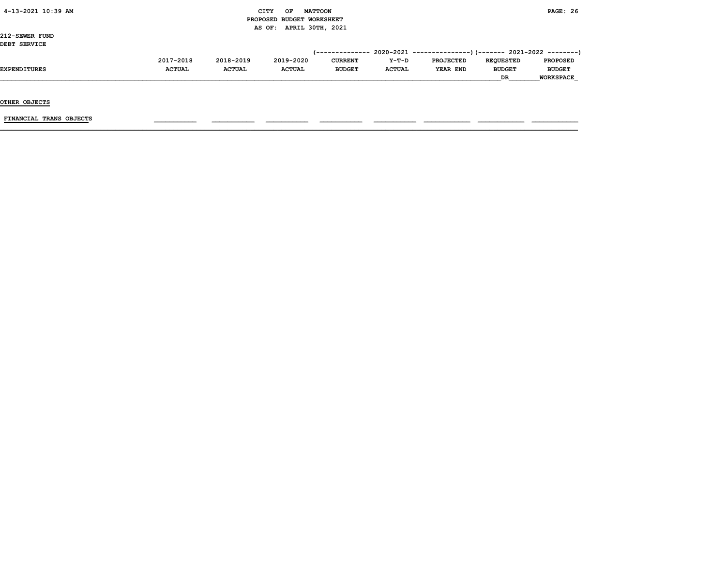# $\begin{array}{ccc} \text{CITY} & \text{OF} & \text{MATTCON} \end{array}$  PROPOSED BUDGET WORKSHEET AS OF: APRIL 30TH, 2021

212-SEWER FUND DEBT SERVICE

| DEBI SERVICE        |               |               |               |                |               |                  |                  |                  |
|---------------------|---------------|---------------|---------------|----------------|---------------|------------------|------------------|------------------|
|                     |               |               |               |                |               |                  |                  |                  |
|                     | 2017-2018     | 2018-2019     | 2019-2020     | <b>CURRENT</b> | $Y-T-D$       | <b>PROJECTED</b> | <b>REOUESTED</b> | <b>PROPOSED</b>  |
| <b>EXPENDITURES</b> | <b>ACTUAL</b> | <b>ACTUAL</b> | <b>ACTUAL</b> | <b>BUDGET</b>  | <b>ACTUAL</b> | YEAR END         | <b>BUDGET</b>    | <b>BUDGET</b>    |
|                     |               |               |               |                |               |                  | <b>DR</b>        | <b>WORKSPACE</b> |

OTHER OBJECTS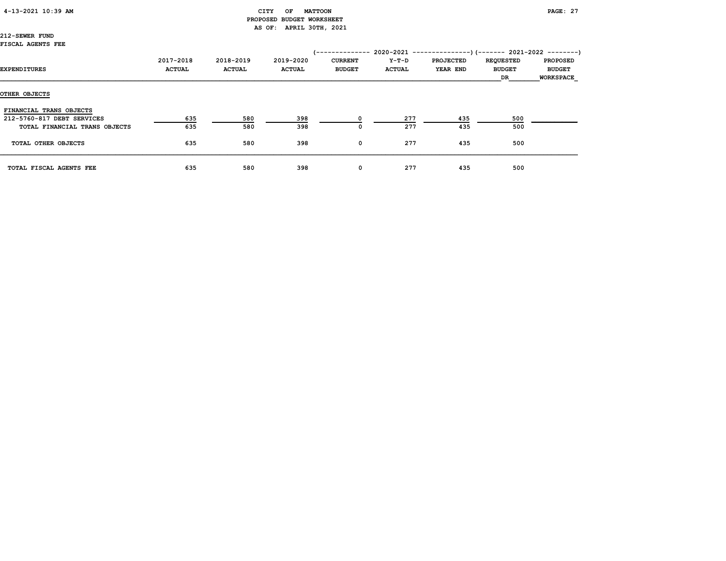# CITY OF MATTOON **PAGE: 27**  PROPOSED BUDGET WORKSHEET AS OF: APRIL 30TH, 2021

|                               | 2017-2018     | 2018-2019     | 2019-2020     | <b>CURRENT</b> | Y-T-D         | <b>PROJECTED</b> | <b>REQUESTED</b> | <b>PROPOSED</b>  |
|-------------------------------|---------------|---------------|---------------|----------------|---------------|------------------|------------------|------------------|
| EXPENDITURES                  | <b>ACTUAL</b> | <b>ACTUAL</b> | <b>ACTUAL</b> | <b>BUDGET</b>  | <b>ACTUAL</b> | <b>YEAR END</b>  | <b>BUDGET</b>    | <b>BUDGET</b>    |
|                               |               |               |               |                |               |                  | DR               | <b>WORKSPACE</b> |
| OTHER OBJECTS                 |               |               |               |                |               |                  |                  |                  |
| FINANCIAL TRANS OBJECTS       |               |               |               |                |               |                  |                  |                  |
| 212-5760-817 DEBT SERVICES    | 635           | 580           | 398           |                | 277           | 435              | 500              |                  |
| TOTAL FINANCIAL TRANS OBJECTS | 635           | 580           | 398           | 0              | 277           | 435              | 500              |                  |
| TOTAL OTHER OBJECTS           | 635           | 580           | 398           | 0              | 277           | 435              | 500              |                  |
| TOTAL FISCAL AGENTS FEE       | 635           | 580           | 398           | 0              | 277           | 435              | 500              |                  |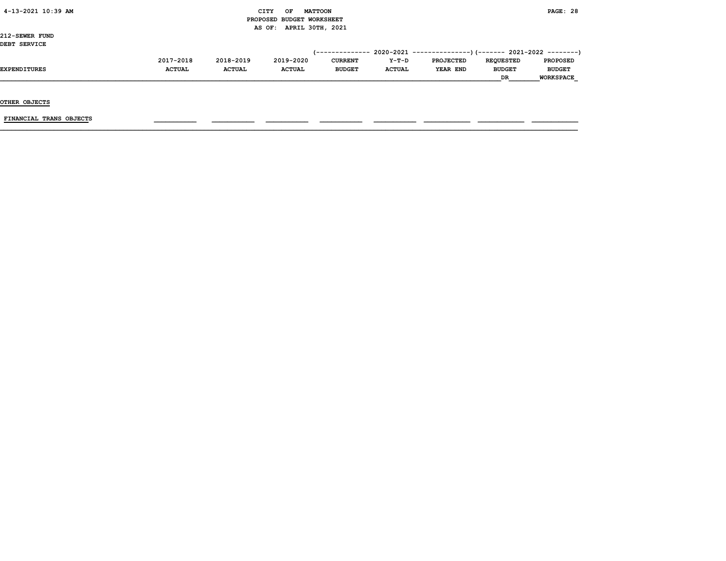#### $\begin{array}{ccc} \text{CITY} & \text{OF} & \text{MATTCON} \end{array}$  PROPOSED BUDGET WORKSHEET AS OF: APRIL 30TH, 2021

212-SEWER FUND DEBT SERVICE

| DEBI SERVICE        |               |               |               |                |               |                  |                  |                  |
|---------------------|---------------|---------------|---------------|----------------|---------------|------------------|------------------|------------------|
|                     |               |               |               |                |               |                  |                  |                  |
|                     | 2017-2018     | 2018-2019     | 2019-2020     | <b>CURRENT</b> | $Y-T-D$       | <b>PROJECTED</b> | <b>REOUESTED</b> | <b>PROPOSED</b>  |
| <b>EXPENDITURES</b> | <b>ACTUAL</b> | <b>ACTUAL</b> | <b>ACTUAL</b> | <b>BUDGET</b>  | <b>ACTUAL</b> | YEAR END         | <b>BUDGET</b>    | <b>BUDGET</b>    |
|                     |               |               |               |                |               |                  | <b>DR</b>        | <b>WORKSPACE</b> |

OTHER OBJECTS

FINANCIAL TRANS OBJECTS \_\_\_\_\_\_\_\_\_\_\_ \_\_\_\_\_\_\_\_\_\_\_ \_\_\_\_\_\_\_\_\_\_\_ \_\_\_\_\_\_\_\_\_\_\_ \_\_\_\_\_\_\_\_\_\_\_ \_\_\_\_\_\_\_\_\_\_\_\_ \_\_\_\_\_\_\_\_\_\_\_\_ \_\_\_\_\_\_\_\_\_\_\_\_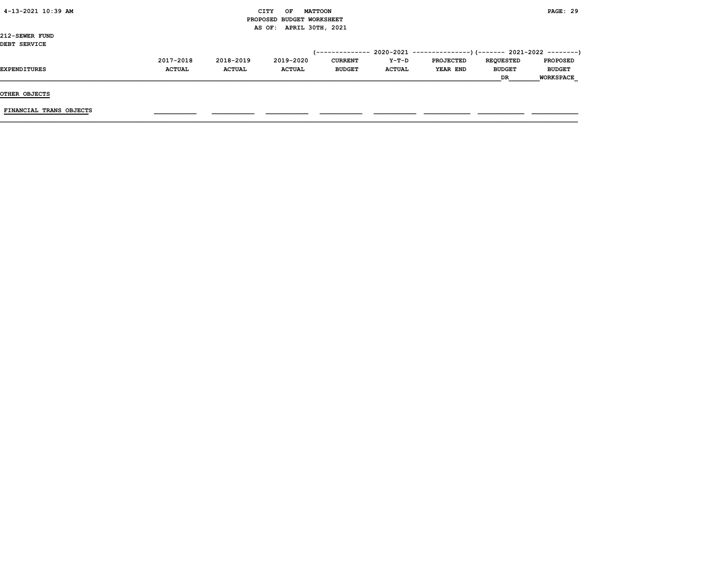| 4-13-2021 10:39 AM |  |
|--------------------|--|
|                    |  |

# CITY OF MATTOON **PAGE: 29**  PROPOSED BUDGET WORKSHEET AS OF: APRIL 30TH, 2021

212-SEWER FUND DEBT SERVICE

| DEBI SERVICE |               |               |               |                |               |           |                  |                  |
|--------------|---------------|---------------|---------------|----------------|---------------|-----------|------------------|------------------|
|              |               |               |               |                |               |           |                  |                  |
|              | 2017-2018     | 2018-2019     | 2019-2020     | <b>CURRENT</b> | Y-T-D         | PROJECTED | <b>REOUESTED</b> | <b>PROPOSED</b>  |
| EXPENDITURES | <b>ACTUAL</b> | <b>ACTUAL</b> | <b>ACTUAL</b> | <b>BUDGET</b>  | <b>ACTUAL</b> | YEAR END  | <b>BUDGET</b>    | <b>BUDGET</b>    |
|              |               |               |               |                |               |           | DR               | <b>WORKSPACE</b> |
|              |               |               |               |                |               |           |                  |                  |

OTHER OBJECTS

 $\tt{FINANCIAL}$  trans objects  $\tt{max}$   $\tt{max}$   $\tt{max}$   $\tt{max}$   $\tt{max}$   $\tt{max}$   $\tt{max}$   $\tt{max}$   $\tt{max}$   $\tt{max}$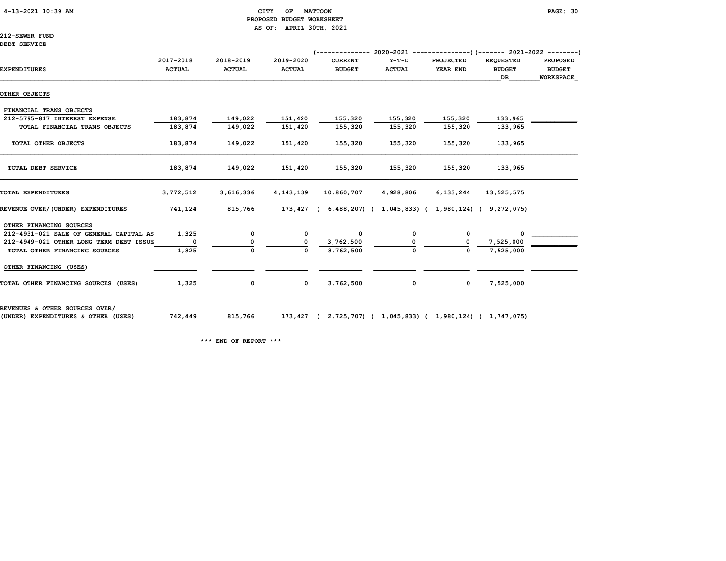#### 4-13-2021 10:39 AM CITY OF MATTOON PAGE: 30 PROPOSED BUDGET WORKSHEET AS OF: APRIL 30TH, 2021

212-SEWER FUND DEBT SERVICE

|                                         |               |               |               | <i>(--------------</i> |                                                         |                  | $2020-2021$ ---------------) (------- 2021-2022 --------) |                  |
|-----------------------------------------|---------------|---------------|---------------|------------------------|---------------------------------------------------------|------------------|-----------------------------------------------------------|------------------|
|                                         | 2017-2018     | 2018-2019     | 2019-2020     | <b>CURRENT</b>         | $Y-T-D$                                                 | <b>PROJECTED</b> | <b>REQUESTED</b>                                          | <b>PROPOSED</b>  |
| <b>EXPENDITURES</b>                     | <b>ACTUAL</b> | <b>ACTUAL</b> | <b>ACTUAL</b> | <b>BUDGET</b>          | <b>ACTUAL</b>                                           | YEAR END         | <b>BUDGET</b>                                             | <b>BUDGET</b>    |
|                                         |               |               |               |                        |                                                         |                  | DR                                                        | <b>WORKSPACE</b> |
| OTHER OBJECTS                           |               |               |               |                        |                                                         |                  |                                                           |                  |
| FINANCIAL TRANS OBJECTS                 |               |               |               |                        |                                                         |                  |                                                           |                  |
| 212-5795-817 INTEREST EXPENSE           | 183,874       | 149,022       | 151,420       | 155,320                | 155,320                                                 | 155,320          | 133,965                                                   |                  |
| TOTAL FINANCIAL TRANS OBJECTS           | 183,874       | 149,022       | 151,420       | 155,320                | 155,320                                                 | 155,320          | 133,965                                                   |                  |
| TOTAL OTHER OBJECTS                     | 183,874       | 149,022       | 151,420       | 155,320                | 155,320                                                 | 155,320          | 133,965                                                   |                  |
| TOTAL DEBT SERVICE                      | 183,874       | 149,022       | 151,420       | 155,320                | 155,320                                                 | 155,320          | 133,965                                                   |                  |
| TOTAL EXPENDITURES                      | 3,772,512     | 3,616,336     | 4, 143, 139   | 10,860,707             | 4,928,806                                               | 6,133,244        | 13,525,575                                                |                  |
| REVENUE OVER/(UNDER) EXPENDITURES       | 741,124       | 815,766       | 173,427 (     |                        | $6,488,207$ ( $1,045,833$ ( $1,980,124$ ( $9,272,075$ ) |                  |                                                           |                  |
| OTHER FINANCING SOURCES                 |               |               |               |                        |                                                         |                  |                                                           |                  |
| 212-4931-021 SALE OF GENERAL CAPITAL AS | 1,325         | 0             | 0             | 0                      | 0                                                       | 0                | <sup>0</sup>                                              |                  |
| 212-4949-021 OTHER LONG TERM DEBT ISSUE |               |               |               | 3,762,500              |                                                         |                  | 7,525,000                                                 |                  |
| TOTAL OTHER FINANCING SOURCES           | 1,325         | $\mathbf{0}$  | $\Omega$      | 3,762,500              |                                                         | $\Omega$         | 7,525,000                                                 |                  |
| OTHER FINANCING (USES)                  |               |               |               |                        |                                                         |                  |                                                           |                  |
| TOTAL OTHER FINANCING SOURCES (USES)    | 1,325         | 0             | $\mathbf{o}$  | 3,762,500              | 0                                                       | $\mathbf 0$      | 7,525,000                                                 |                  |

REVENUES & OTHER SOURCES OVER/

(UNDER) EXPENDITURES & OTHER (USES) 742,449 815,766 173,427 ( 2,725,707) ( 1,045,833) ( 1,980,124) ( 1,747,075)

\*\*\* END OF REPORT \*\*\*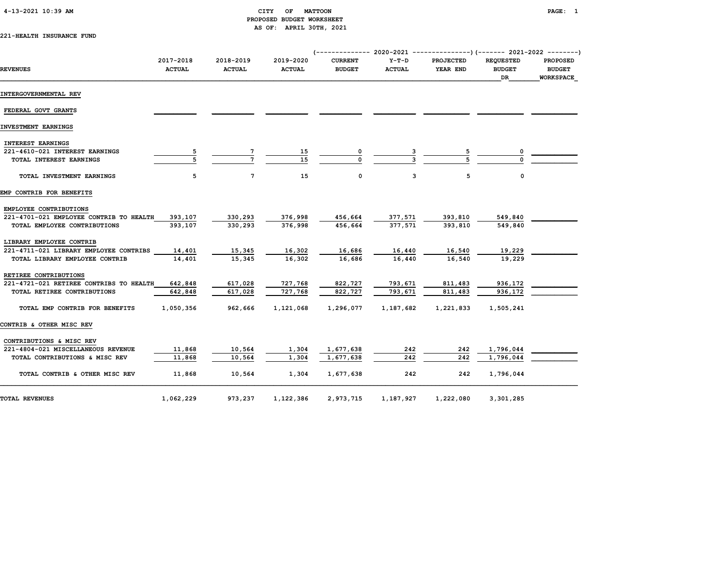# PROPOSED BUDGET WORKSHEET AS OF: APRIL 30TH, 2021

221-HEALTH INSURANCE FUND

| <b>REVENUES</b>                                 | 2017-2018<br><b>ACTUAL</b> | 2018-2019<br><b>ACTUAL</b> | 2019-2020<br><b>ACTUAL</b> | <b>CURRENT</b><br><b>BUDGET</b> | $Y-T-D$<br><b>ACTUAL</b> | <b>PROJECTED</b><br>YEAR END | <b>REOUESTED</b><br><b>BUDGET</b><br>DR. | <b>PROPOSED</b><br><b>BUDGET</b><br><b>WORKSPACE</b> |
|-------------------------------------------------|----------------------------|----------------------------|----------------------------|---------------------------------|--------------------------|------------------------------|------------------------------------------|------------------------------------------------------|
| INTERGOVERNMENTAL REV                           |                            |                            |                            |                                 |                          |                              |                                          |                                                      |
| FEDERAL GOVT GRANTS                             |                            |                            |                            |                                 |                          |                              |                                          |                                                      |
| INVESTMENT EARNINGS                             |                            |                            |                            |                                 |                          |                              |                                          |                                                      |
| <b>INTEREST EARNINGS</b>                        |                            |                            |                            |                                 |                          |                              |                                          |                                                      |
| 221-4610-021 INTEREST EARNINGS                  |                            |                            | 15                         |                                 |                          |                              |                                          |                                                      |
| TOTAL INTEREST EARNINGS                         |                            |                            | 15                         | $\Omega$                        |                          |                              |                                          |                                                      |
| TOTAL INVESTMENT EARNINGS                       | 5                          | $7\phantom{.0}$            | 15                         | 0                               | 3                        | 5                            | 0                                        |                                                      |
| EMP CONTRIB FOR BENEFITS                        |                            |                            |                            |                                 |                          |                              |                                          |                                                      |
| EMPLOYEE CONTRIBUTIONS                          |                            |                            |                            |                                 |                          |                              |                                          |                                                      |
| 221-4701-021 EMPLOYEE CONTRIB TO HEALTH 393,107 |                            | 330,293                    | 376,998                    | 456,664                         | 377,571                  | 393,810                      | 549,840                                  |                                                      |
| TOTAL EMPLOYEE CONTRIBUTIONS                    | 393,107                    | 330,293                    | 376,998                    | 456,664                         | 377,571                  | 393,810                      | 549,840                                  |                                                      |
| LIBRARY EMPLOYEE CONTRIB                        |                            |                            |                            |                                 |                          |                              |                                          |                                                      |
| 221-4711-021 LIBRARY EMPLOYEE CONTRIBS          | 14,401                     | 15,345                     | 16,302                     | 16,686                          | 16,440                   | 16,540                       | 19,229                                   |                                                      |
| TOTAL LIBRARY EMPLOYEE CONTRIB                  | 14,401                     | 15,345                     | 16,302                     | 16,686                          | 16,440                   | 16,540                       | 19,229                                   |                                                      |
| RETIREE CONTRIBUTIONS                           |                            |                            |                            |                                 |                          |                              |                                          |                                                      |
| 221-4721-021 RETIREE CONTRIBS TO HEALTH         | 642,848                    | 617,028                    | 727,768                    | 822,727                         | 793,671                  | 811,483                      | 936,172                                  |                                                      |
| TOTAL RETIREE CONTRIBUTIONS                     | 642,848                    | 617,028                    | 727,768                    | 822,727                         | 793,671                  | 811,483                      | 936,172                                  |                                                      |
| TOTAL EMP CONTRIB FOR BENEFITS                  | 1,050,356                  | 962,666                    | 1,121,068                  | 1,296,077                       | 1,187,682                | 1,221,833                    | 1,505,241                                |                                                      |
| CONTRIB & OTHER MISC REV                        |                            |                            |                            |                                 |                          |                              |                                          |                                                      |
| CONTRIBUTIONS & MISC REV                        |                            |                            |                            |                                 |                          |                              |                                          |                                                      |
| 221-4804-021 MISCELLANEOUS REVENUE              | 11,868                     | 10,564                     | 1,304                      | 1,677,638                       | 242                      | 242                          | 1,796,044                                |                                                      |
| TOTAL CONTRIBUTIONS & MISC REV                  | 11,868                     | 10,564                     | 1,304                      | 1,677,638                       | 242                      | 242                          | 1,796,044                                |                                                      |
| TOTAL CONTRIB & OTHER MISC REV                  | 11,868                     | 10,564                     | 1,304                      | 1,677,638                       | 242                      | 242                          | 1,796,044                                |                                                      |
| <b>TOTAL REVENUES</b>                           | 1,062,229                  | 973,237                    | 1,122,386                  | 2,973,715                       | 1,187,927                | 1,222,080                    | 3,301,285                                |                                                      |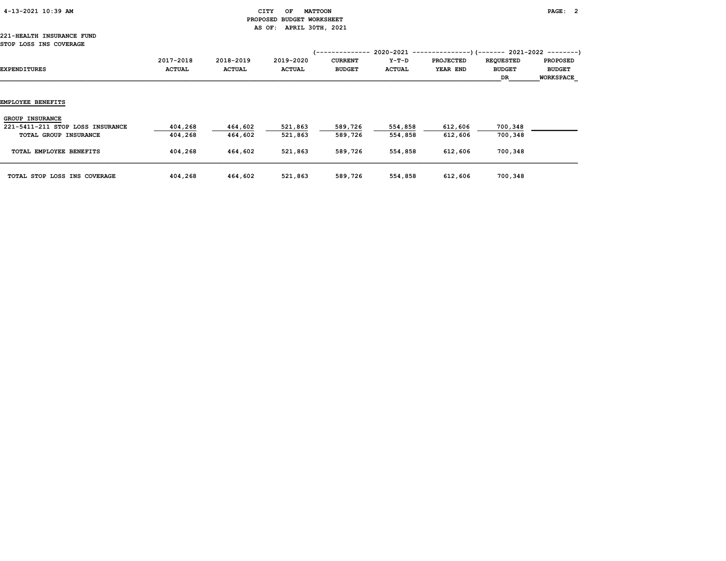| 4-13-2021 10:39 AM |  |  |  |  |
|--------------------|--|--|--|--|
|--------------------|--|--|--|--|

## CITY OF MATTOON **EXAMPLE AT A CITY OF MATTOON**  PROPOSED BUDGET WORKSHEET AS OF: APRIL 30TH, 2021

#### 221-HEALTH INSURANCE FUND STOP LOSS INS COVERAGE

| SIOF LOSS INS COVERAGE           |                            |                            |                            | /--------------                 | 2020-2021                |                              |                                         |                                                      |
|----------------------------------|----------------------------|----------------------------|----------------------------|---------------------------------|--------------------------|------------------------------|-----------------------------------------|------------------------------------------------------|
| EXPENDITURES                     | 2017-2018<br><b>ACTUAL</b> | 2018-2019<br><b>ACTUAL</b> | 2019-2020<br><b>ACTUAL</b> | <b>CURRENT</b><br><b>BUDGET</b> | $Y-T-D$<br><b>ACTUAL</b> | <b>PROJECTED</b><br>YEAR END | <b>REQUESTED</b><br><b>BUDGET</b><br>DR | <b>PROPOSED</b><br><b>BUDGET</b><br><b>WORKSPACE</b> |
|                                  |                            |                            |                            |                                 |                          |                              |                                         |                                                      |
| <b>EMPLOYEE BENEFITS</b>         |                            |                            |                            |                                 |                          |                              |                                         |                                                      |
| <b>GROUP INSURANCE</b>           |                            |                            |                            |                                 |                          |                              |                                         |                                                      |
| 221-5411-211 STOP LOSS INSURANCE | 404,268                    | 464,602                    | 521,863                    | 589,726                         | 554,858                  | 612,606                      | 700,348                                 |                                                      |
| TOTAL GROUP INSURANCE            | 404,268                    | 464,602                    | 521,863                    | 589,726                         | 554,858                  | 612,606                      | 700,348                                 |                                                      |
| TOTAL EMPLOYEE BENEFITS          | 404,268                    | 464,602                    | 521,863                    | 589,726                         | 554,858                  | 612,606                      | 700,348                                 |                                                      |
| TOTAL STOP LOSS INS COVERAGE     | 404,268                    | 464,602                    | 521,863                    | 589,726                         | 554,858                  | 612,606                      | 700,348                                 |                                                      |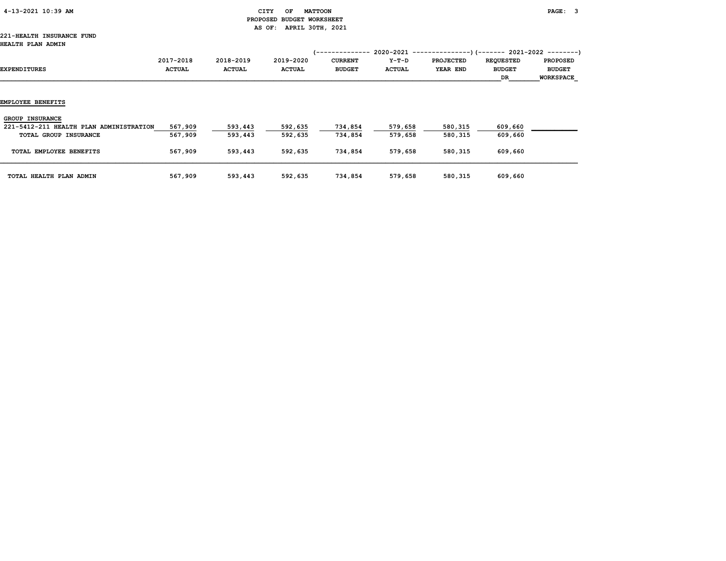| 4-13-2021 10:39 AM |  |
|--------------------|--|
|                    |  |

#### CITY OF MATTOON **PAGE: 3**  PROPOSED BUDGET WORKSHEET AS OF: APRIL 30TH, 2021

#### 221-HEALTH INSURANCE FUND HEALTH PLAN ADMIN

| HEALTH PLAN ADMIN                                                                          |                            |                            |                            | (--------------                 |                        |                              | $2020-2021$ ----------------) (------- 2021-2022 --------) |                                                      |
|--------------------------------------------------------------------------------------------|----------------------------|----------------------------|----------------------------|---------------------------------|------------------------|------------------------------|------------------------------------------------------------|------------------------------------------------------|
| EXPENDITURES                                                                               | 2017-2018<br><b>ACTUAL</b> | 2018-2019<br><b>ACTUAL</b> | 2019-2020<br><b>ACTUAL</b> | <b>CURRENT</b><br><b>BUDGET</b> | Y-T-D<br><b>ACTUAL</b> | <b>PROJECTED</b><br>YEAR END | <b>REQUESTED</b><br><b>BUDGET</b><br>DR                    | <b>PROPOSED</b><br><b>BUDGET</b><br><b>WORKSPACE</b> |
| <b>EMPLOYEE BENEFITS</b>                                                                   |                            |                            |                            |                                 |                        |                              |                                                            |                                                      |
| <b>GROUP INSURANCE</b><br>221-5412-211 HEALTH PLAN ADMINISTRATION<br>TOTAL GROUP INSURANCE | 567,909<br>567,909         | 593,443<br>593,443         | 592,635<br>592,635         | 734,854<br>734,854              | 579,658<br>579,658     | 580,315<br>580,315           | 609,660<br>609,660                                         |                                                      |
| TOTAL EMPLOYEE BENEFITS                                                                    | 567,909                    | 593,443                    | 592,635                    | 734,854                         | 579,658                | 580,315                      | 609,660                                                    |                                                      |
| TOTAL HEALTH PLAN ADMIN                                                                    | 567,909                    | 593,443                    | 592,635                    | 734,854                         | 579,658                | 580,315                      | 609,660                                                    |                                                      |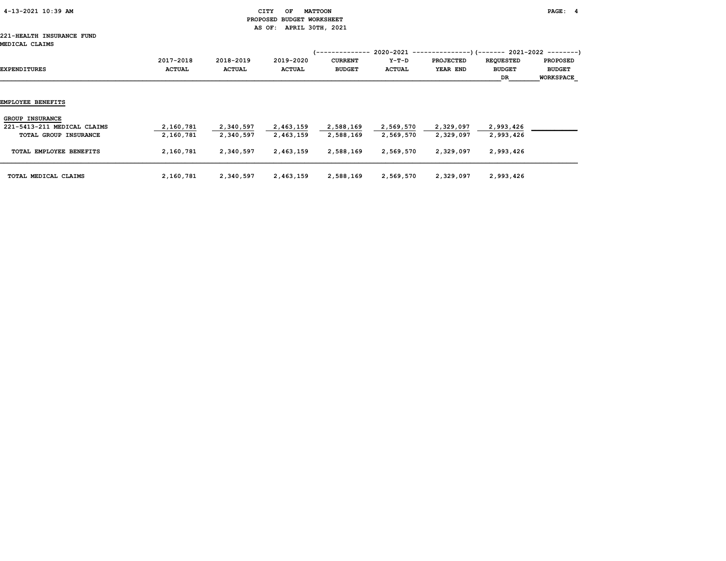| 4-13-2021 10:39 AM |  |
|--------------------|--|
|                    |  |

#### CITY OF MATTOON **PAGE:** 4 PROPOSED BUDGET WORKSHEET AS OF: APRIL 30TH, 2021

# 221-HEALTH INSURANCE FUND

| MEDICAL CLAIMS                                        |                            |                            |                            | 1--------------                 |                          | 2020-2021 ----------------)(-------- 2021-2022 ---------) |                                         |                                                      |
|-------------------------------------------------------|----------------------------|----------------------------|----------------------------|---------------------------------|--------------------------|-----------------------------------------------------------|-----------------------------------------|------------------------------------------------------|
| <b>EXPENDITURES</b>                                   | 2017-2018<br><b>ACTUAL</b> | 2018-2019<br><b>ACTUAL</b> | 2019-2020<br><b>ACTUAL</b> | <b>CURRENT</b><br><b>BUDGET</b> | $Y-T-D$<br><b>ACTUAL</b> | <b>PROJECTED</b><br>YEAR END                              | <b>REQUESTED</b><br><b>BUDGET</b><br>DR | <b>PROPOSED</b><br><b>BUDGET</b><br><b>WORKSPACE</b> |
| EMPLOYEE BENEFITS                                     |                            |                            |                            |                                 |                          |                                                           |                                         |                                                      |
| <b>GROUP INSURANCE</b><br>221-5413-211 MEDICAL CLAIMS | 2,160,781                  | 2,340,597                  | 2,463,159                  | 2,588,169                       | 2,569,570                | 2,329,097                                                 | 2,993,426                               |                                                      |
| TOTAL GROUP INSURANCE                                 | 2,160,781                  | 2,340,597                  | 2,463,159                  | 2,588,169                       | 2,569,570                | 2,329,097                                                 | 2,993,426                               |                                                      |
| TOTAL EMPLOYEE BENEFITS                               | 2,160,781                  | 2,340,597                  | 2,463,159                  | 2,588,169                       | 2,569,570                | 2,329,097                                                 | 2,993,426                               |                                                      |
| TOTAL MEDICAL CLAIMS                                  | 2,160,781                  | 2,340,597                  | 2,463,159                  | 2,588,169                       | 2,569,570                | 2,329,097                                                 | 2,993,426                               |                                                      |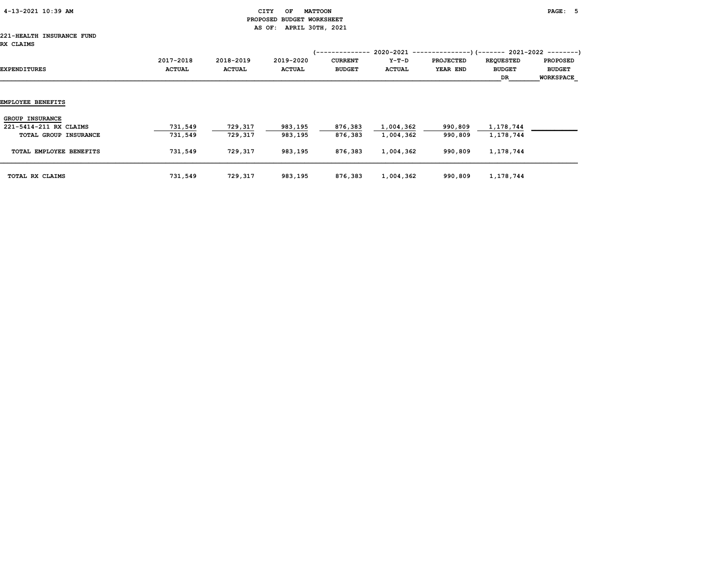| 4-13-2021 10:39 AM |
|--------------------|
|--------------------|

# $\begin{array}{ccc} \texttt{CITY} & \texttt{OF} & \texttt{MATTOON} \end{array}$  PROPOSED BUDGET WORKSHEET AS OF: APRIL 30TH, 2021

#### 221-HEALTH INSURANCE FUND RX CLAIMS

| RA CLAIMS                                        |                            |                            |                            | '--------------                 |                          | 2020-2021 ----------------)(-------- 2021-2022 ---------) |                                         |                                                      |
|--------------------------------------------------|----------------------------|----------------------------|----------------------------|---------------------------------|--------------------------|-----------------------------------------------------------|-----------------------------------------|------------------------------------------------------|
| EXPENDITURES                                     | 2017-2018<br><b>ACTUAL</b> | 2018-2019<br><b>ACTUAL</b> | 2019-2020<br><b>ACTUAL</b> | <b>CURRENT</b><br><b>BUDGET</b> | $Y-T-D$<br><b>ACTUAL</b> | <b>PROJECTED</b><br>YEAR END                              | <b>REQUESTED</b><br><b>BUDGET</b><br>DR | <b>PROPOSED</b><br><b>BUDGET</b><br><b>WORKSPACE</b> |
| EMPLOYEE BENEFITS                                |                            |                            |                            |                                 |                          |                                                           |                                         |                                                      |
| <b>GROUP INSURANCE</b><br>221-5414-211 RX CLAIMS | 731,549                    | 729,317                    | 983,195                    | 876,383                         | 1,004,362                | 990,809                                                   | 1,178,744                               |                                                      |
| TOTAL GROUP INSURANCE                            | 731,549                    | 729,317                    | 983,195                    | 876,383                         | 1,004,362                | 990,809                                                   | 1,178,744                               |                                                      |
| TOTAL EMPLOYEE BENEFITS                          | 731,549                    | 729,317                    | 983,195                    | 876,383                         | 1,004,362                | 990,809                                                   | 1,178,744                               |                                                      |
| TOTAL RX CLAIMS                                  | 731,549                    | 729,317                    | 983,195                    | 876,383                         | 1,004,362                | 990,809                                                   | 1,178,744                               |                                                      |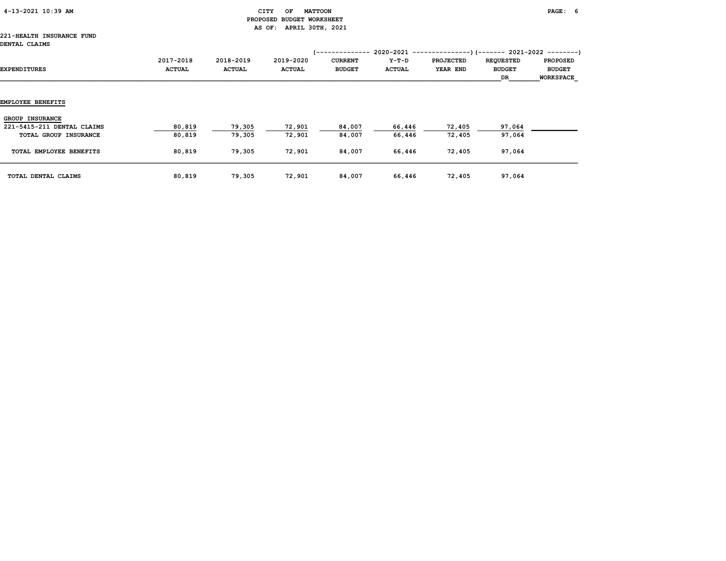| 4-13-2021 10:39 AM |
|--------------------|
|--------------------|

# CITY OF MATTOON **PAGE:** 6 PROPOSED BUDGET WORKSHEET AS OF: APRIL 30TH, 2021

#### 221-HEALTH INSURANCE FUND DE

| DENTAL CLAIMS                                                                 |                            |                            |                            | (--------------                 |                        | 2020-2021 ----------------) (------- 2021-2022 ---------) |                                         |                                                      |
|-------------------------------------------------------------------------------|----------------------------|----------------------------|----------------------------|---------------------------------|------------------------|-----------------------------------------------------------|-----------------------------------------|------------------------------------------------------|
| EXPENDITURES                                                                  | 2017-2018<br><b>ACTUAL</b> | 2018-2019<br><b>ACTUAL</b> | 2019-2020<br><b>ACTUAL</b> | <b>CURRENT</b><br><b>BUDGET</b> | Y-T-D<br><b>ACTUAL</b> | <b>PROJECTED</b><br>YEAR END                              | <b>REQUESTED</b><br><b>BUDGET</b><br>DR | <b>PROPOSED</b><br><b>BUDGET</b><br><b>WORKSPACE</b> |
| EMPLOYEE BENEFITS                                                             |                            |                            |                            |                                 |                        |                                                           |                                         |                                                      |
| <b>GROUP INSURANCE</b><br>221-5415-211 DENTAL CLAIMS<br>TOTAL GROUP INSURANCE | 80,819<br>80,819           | 79,305<br>79,305           | 72,901<br>72,901           | 84,007<br>84,007                | 66,446<br>66,446       | 72,405<br>72,405                                          | 97,064<br>97,064                        |                                                      |
| TOTAL EMPLOYEE BENEFITS                                                       | 80,819                     | 79,305                     | 72,901                     | 84,007                          | 66,446                 | 72,405                                                    | 97,064                                  |                                                      |
| TOTAL DENTAL CLAIMS                                                           | 80,819                     | 79,305                     | 72,901                     | 84,007                          | 66,446                 | 72,405                                                    | 97,064                                  |                                                      |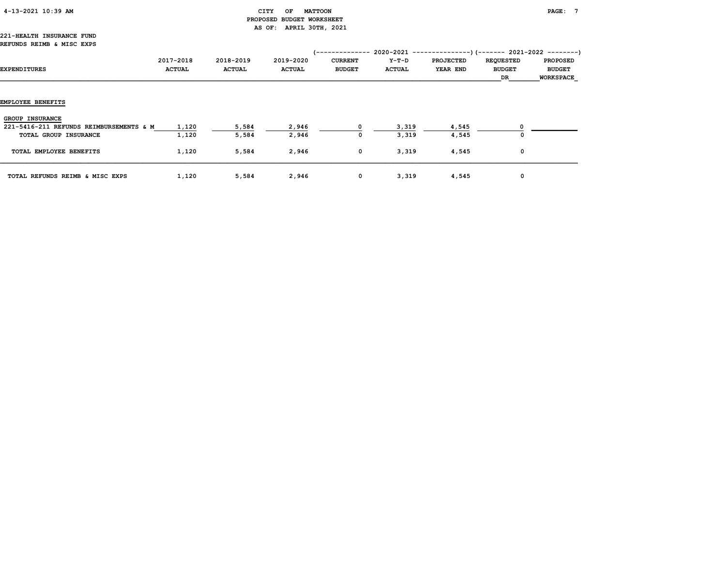| 4-13-2021 10:39 AM |  |  |  |  |
|--------------------|--|--|--|--|
|--------------------|--|--|--|--|

## $\begin{array}{ccc} \texttt{CITY} & \texttt{OF} & \texttt{MATTOON} \end{array}$  PROPOSED BUDGET WORKSHEET AS OF: APRIL 30TH, 2021

#### 221-HEALTH INSURANCE FUND REFUNDS REIMB & MISC EXPS

| .wive <i>.</i> wind .windows            |               |               |               |                 |               |                                                           |                  |                  |
|-----------------------------------------|---------------|---------------|---------------|-----------------|---------------|-----------------------------------------------------------|------------------|------------------|
|                                         |               |               |               | (-------------- |               | 2020-2021 ----------------)(-------- 2021-2022 ---------) |                  |                  |
|                                         | 2017-2018     | 2018-2019     | 2019-2020     | <b>CURRENT</b>  | Y-T-D         | <b>PROJECTED</b>                                          | <b>REQUESTED</b> | <b>PROPOSED</b>  |
| <b>EXPENDITURES</b>                     | <b>ACTUAL</b> | <b>ACTUAL</b> | <b>ACTUAL</b> | <b>BUDGET</b>   | <b>ACTUAL</b> | YEAR END                                                  | <b>BUDGET</b>    | <b>BUDGET</b>    |
|                                         |               |               |               |                 |               |                                                           | DR               | <b>WORKSPACE</b> |
|                                         |               |               |               |                 |               |                                                           |                  |                  |
|                                         |               |               |               |                 |               |                                                           |                  |                  |
| <b>EMPLOYEE BENEFITS</b>                |               |               |               |                 |               |                                                           |                  |                  |
|                                         |               |               |               |                 |               |                                                           |                  |                  |
| <b>GROUP INSURANCE</b>                  |               |               |               |                 |               |                                                           |                  |                  |
| 221-5416-211 REFUNDS REIMBURSEMENTS & M | 1,120         | 5,584         | 2,946         |                 | 3,319         | 4,545                                                     |                  |                  |
| TOTAL GROUP INSURANCE                   | 1,120         | 5,584         | 2,946         | 0               | 3,319         | 4,545                                                     | $\Omega$         |                  |
|                                         |               |               |               |                 |               |                                                           |                  |                  |
| TOTAL EMPLOYEE BENEFITS                 | 1,120         | 5,584         | 2,946         | $\mathbf 0$     | 3,319         | 4,545                                                     | 0                |                  |
|                                         |               |               |               |                 |               |                                                           |                  |                  |
|                                         |               |               |               |                 |               |                                                           |                  |                  |
| TOTAL REFUNDS REIMB & MISC EXPS         | 1,120         | 5,584         | 2,946         | $\mathbf 0$     | 3,319         | 4,545                                                     | 0                |                  |
|                                         |               |               |               |                 |               |                                                           |                  |                  |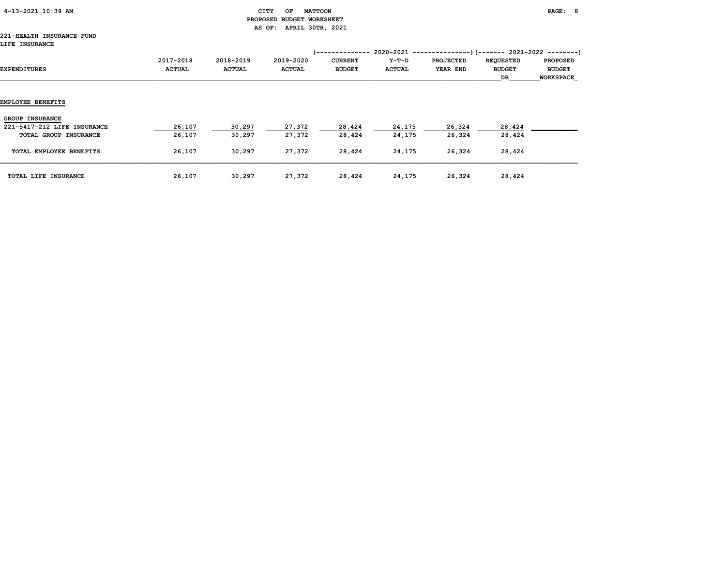| 4-13-2021 10:39 AM |  |
|--------------------|--|
|                    |  |

### CITY OF MATTOON **PAGE: 8**  PROPOSED BUDGET WORKSHEET AS OF: APRIL 30TH, 2021

#### 221-HEALTH INSURANCE FUND LIFE INSURANCE

| AIFA INSURINCE              |                            |                            |                            |                                                           |                          |                                                                                           |                                         |                                                      |
|-----------------------------|----------------------------|----------------------------|----------------------------|-----------------------------------------------------------|--------------------------|-------------------------------------------------------------------------------------------|-----------------------------------------|------------------------------------------------------|
| EXPENDITURES                | 2017-2018<br><b>ACTUAL</b> | 2018-2019<br><b>ACTUAL</b> | 2019-2020<br><b>ACTUAL</b> | <i>(--------------</i><br><b>CURRENT</b><br><b>BUDGET</b> | $Y-T-D$<br><b>ACTUAL</b> | 2020-2021 ----------------) (------- 2021-2022 ---------)<br><b>PROJECTED</b><br>YEAR END | <b>REQUESTED</b><br><b>BUDGET</b><br>DR | <b>PROPOSED</b><br><b>BUDGET</b><br><b>WORKSPACE</b> |
|                             |                            |                            |                            |                                                           |                          |                                                                                           |                                         |                                                      |
| EMPLOYEE BENEFITS           |                            |                            |                            |                                                           |                          |                                                                                           |                                         |                                                      |
| <b>GROUP INSURANCE</b>      |                            |                            |                            |                                                           |                          |                                                                                           |                                         |                                                      |
| 221-5417-212 LIFE INSURANCE | 26,107                     | 30,297                     | 27,372                     | 28,424                                                    | 24,175                   | 26,324                                                                                    | 28,424                                  |                                                      |
| TOTAL GROUP INSURANCE       | 26,107                     | 30,297                     | 27,372                     | 28,424                                                    | 24,175                   | 26,324                                                                                    | 28,424                                  |                                                      |
| TOTAL EMPLOYEE BENEFITS     | 26,107                     | 30,297                     | 27,372                     | 28,424                                                    | 24,175                   | 26,324                                                                                    | 28,424                                  |                                                      |
| TOTAL LIFE INSURANCE        | 26,107                     | 30,297                     | 27,372                     | 28,424                                                    | 24,175                   | 26,324                                                                                    | 28,424                                  |                                                      |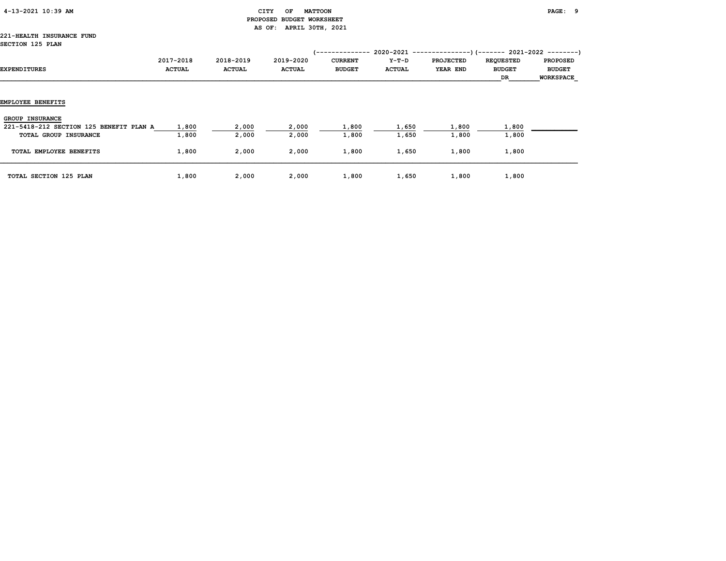|  | 4-13-2021 10:39 AM |  |  |
|--|--------------------|--|--|
|--|--------------------|--|--|

# $\begin{array}{cccccccccc} \texttt{CITY} & \texttt{OF} & \texttt{MATTCON} \end{array}$  PROPOSED BUDGET WORKSHEET AS OF: APRIL 30TH, 2021

#### 221-HEALTH INSURANCE FUND SECTION 125 PLAN

| OGGILON 120 FANN                                                                           |                            |                            |                            | <i>1</i> --------------         |                          |                              |                                                                                                      |                                                      |
|--------------------------------------------------------------------------------------------|----------------------------|----------------------------|----------------------------|---------------------------------|--------------------------|------------------------------|------------------------------------------------------------------------------------------------------|------------------------------------------------------|
| EXPENDITURES                                                                               | 2017-2018<br><b>ACTUAL</b> | 2018-2019<br><b>ACTUAL</b> | 2019-2020<br><b>ACTUAL</b> | <b>CURRENT</b><br><b>BUDGET</b> | $Y-T-D$<br><b>ACTUAL</b> | <b>PROJECTED</b><br>YEAR END | 2020-2021 ----------------) (------- 2021-2022 ---------)<br><b>REQUESTED</b><br><b>BUDGET</b><br>DR | <b>PROPOSED</b><br><b>BUDGET</b><br><b>WORKSPACE</b> |
| EMPLOYEE BENEFITS                                                                          |                            |                            |                            |                                 |                          |                              |                                                                                                      |                                                      |
| <b>GROUP INSURANCE</b><br>221-5418-212 SECTION 125 BENEFIT PLAN A<br>TOTAL GROUP INSURANCE | 1,800<br>1,800             | 2,000<br>2,000             | 2,000<br>2,000             | 1,800<br>1,800                  | 1,650<br>1,650           | 1,800<br>1,800               | 1,800<br>1,800                                                                                       |                                                      |
| TOTAL EMPLOYEE BENEFITS                                                                    | 1,800                      | 2,000                      | 2,000                      | 1,800                           | 1,650                    | 1,800                        | 1,800                                                                                                |                                                      |
| <b>TOTAL SECTION 125 PLAN</b>                                                              | 1,800                      | 2,000                      | 2,000                      | 1,800                           | 1,650                    | 1,800                        | 1,800                                                                                                |                                                      |